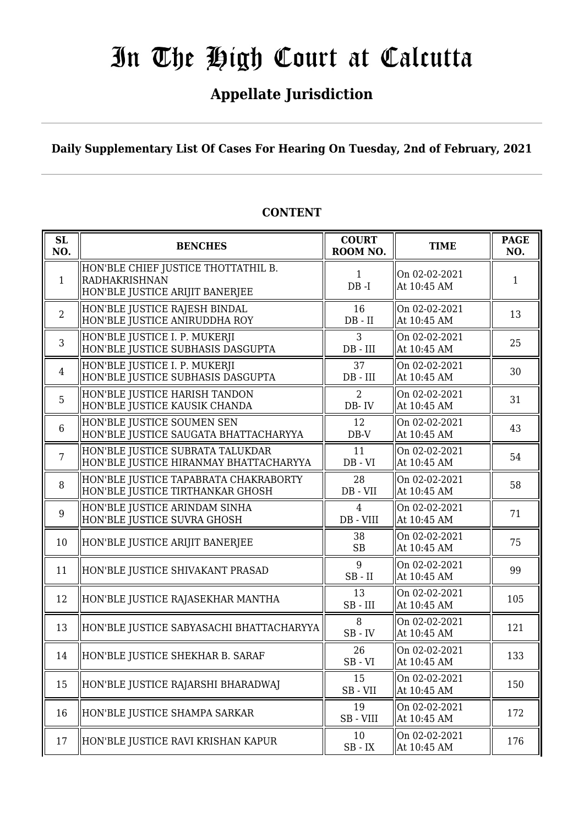### **Appellate Jurisdiction**

**Daily Supplementary List Of Cases For Hearing On Tuesday, 2nd of February, 2021**

| SL<br>NO.      | <b>BENCHES</b>                                                                          | <b>COURT</b><br>ROOM NO.    | <b>TIME</b>                  | <b>PAGE</b><br>NO. |
|----------------|-----------------------------------------------------------------------------------------|-----------------------------|------------------------------|--------------------|
| $\mathbf{1}$   | HON'BLE CHIEF JUSTICE THOTTATHIL B.<br>RADHAKRISHNAN<br>HON'BLE JUSTICE ARIJIT BANERJEE | $\mathbf{1}$<br>$DB - I$    | On 02-02-2021<br>At 10:45 AM | 1                  |
| 2              | HON'BLE JUSTICE RAJESH BINDAL<br>HON'BLE JUSTICE ANIRUDDHA ROY                          | 16<br>$DB - II$             | On 02-02-2021<br>At 10:45 AM | 13                 |
| 3              | HON'BLE JUSTICE I. P. MUKERJI<br>HON'BLE JUSTICE SUBHASIS DASGUPTA                      | 3<br>$DB$ - $III$           | On 02-02-2021<br>At 10:45 AM | 25                 |
| $\overline{4}$ | HON'BLE JUSTICE I. P. MUKERJI<br>HON'BLE JUSTICE SUBHASIS DASGUPTA                      | 37<br>$DB$ - $III$          | On 02-02-2021<br>At 10:45 AM | 30                 |
| 5              | HON'BLE JUSTICE HARISH TANDON<br>HON'BLE JUSTICE KAUSIK CHANDA                          | 2<br>DB-IV                  | On 02-02-2021<br>At 10:45 AM | 31                 |
| 6              | HON'BLE JUSTICE SOUMEN SEN<br>HON'BLE JUSTICE SAUGATA BHATTACHARYYA                     | 12<br>$DB-V$                | On 02-02-2021<br>At 10:45 AM | 43                 |
| $\overline{7}$ | HON'BLE JUSTICE SUBRATA TALUKDAR<br>HON'BLE JUSTICE HIRANMAY BHATTACHARYYA              | 11<br>$DB - VI$             | On 02-02-2021<br>At 10:45 AM | 54                 |
| 8              | HON'BLE JUSTICE TAPABRATA CHAKRABORTY<br>HON'BLE JUSTICE TIRTHANKAR GHOSH               | 28<br>DB - VII              | On 02-02-2021<br>At 10:45 AM | 58                 |
| 9              | HON'BLE JUSTICE ARINDAM SINHA<br>HON'BLE JUSTICE SUVRA GHOSH                            | $\overline{4}$<br>DB - VIII | On 02-02-2021<br>At 10:45 AM | 71                 |
| 10             | HON'BLE JUSTICE ARIJIT BANERJEE                                                         | 38<br><b>SB</b>             | On 02-02-2021<br>At 10:45 AM | 75                 |
| 11             | HON'BLE JUSTICE SHIVAKANT PRASAD                                                        | 9<br>$SB$ - $II$            | On 02-02-2021<br>At 10:45 AM | 99                 |
| 12             | HON'BLE JUSTICE RAJASEKHAR MANTHA                                                       | 13<br>$SB$ - $III$          | On 02-02-2021<br>At 10:45 AM | 105                |
| 13             | HON'BLE JUSTICE SABYASACHI BHATTACHARYYA                                                | 8<br>$SB$ - $IV$            | On 02-02-2021<br>At 10:45 AM | 121                |
| 14             | HON'BLE JUSTICE SHEKHAR B. SARAF                                                        | 26<br>$SB - VI$             | On 02-02-2021<br>At 10:45 AM | 133                |
| 15             | HON'BLE JUSTICE RAJARSHI BHARADWAJ                                                      | 15<br>SB-VII                | On 02-02-2021<br>At 10:45 AM | 150                |
| 16             | HON'BLE JUSTICE SHAMPA SARKAR                                                           | 19<br>SB-VIII               | On 02-02-2021<br>At 10:45 AM | 172                |
| 17             | HON'BLE JUSTICE RAVI KRISHAN KAPUR                                                      | 10<br>$\rm SB$ - $\rm IX$   | On 02-02-2021<br>At 10:45 AM | 176                |

#### **CONTENT**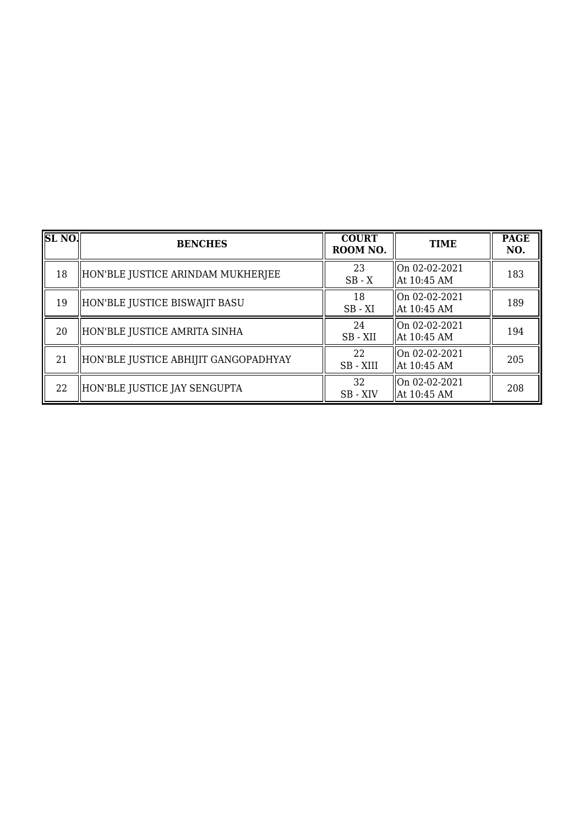| SLNO | <b>BENCHES</b>                       | <b>COURT</b><br>ROOM NO. | <b>TIME</b>                    | <b>PAGE</b><br>NO. |
|------|--------------------------------------|--------------------------|--------------------------------|--------------------|
| 18   | HON'BLE JUSTICE ARINDAM MUKHERJEE    | 23<br>$SB - X$           | On 02-02-2021<br>At 10:45 AM   | 183                |
| 19   | HON'BLE JUSTICE BISWAJIT BASU        | 18<br>$SB - XI$          | On 02-02-2021<br>At 10:45 AM   | 189                |
| 20   | HON'BLE JUSTICE AMRITA SINHA         | 24<br>$SB - XII$         | On 02-02-2021<br>  At 10:45 AM | 194                |
| 21   | HON'BLE JUSTICE ABHIJIT GANGOPADHYAY | 22<br>SB - XIII          | On 02-02-2021<br>At 10:45 AM   | 205                |
| 22   | HON'BLE JUSTICE JAY SENGUPTA         | 32<br>SB - XIV           | On 02-02-2021<br>At 10:45 AM   | 208                |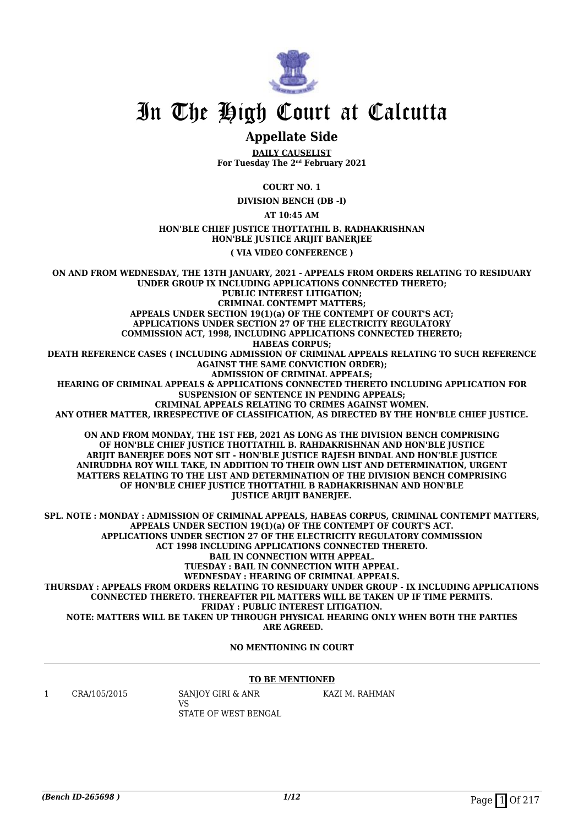

#### **Appellate Side**

**DAILY CAUSELIST For Tuesday The 2nd February 2021**

**COURT NO. 1**

**DIVISION BENCH (DB -I)**

**AT 10:45 AM**

#### **HON'BLE CHIEF JUSTICE THOTTATHIL B. RADHAKRISHNAN HON'BLE JUSTICE ARIJIT BANERJEE**

**( VIA VIDEO CONFERENCE )**

**ON AND FROM WEDNESDAY, THE 13TH JANUARY, 2021 - APPEALS FROM ORDERS RELATING TO RESIDUARY UNDER GROUP IX INCLUDING APPLICATIONS CONNECTED THERETO; PUBLIC INTEREST LITIGATION; CRIMINAL CONTEMPT MATTERS; APPEALS UNDER SECTION 19(1)(a) OF THE CONTEMPT OF COURT'S ACT; APPLICATIONS UNDER SECTION 27 OF THE ELECTRICITY REGULATORY COMMISSION ACT, 1998, INCLUDING APPLICATIONS CONNECTED THERETO; HABEAS CORPUS; DEATH REFERENCE CASES ( INCLUDING ADMISSION OF CRIMINAL APPEALS RELATING TO SUCH REFERENCE AGAINST THE SAME CONVICTION ORDER); ADMISSION OF CRIMINAL APPEALS; HEARING OF CRIMINAL APPEALS & APPLICATIONS CONNECTED THERETO INCLUDING APPLICATION FOR SUSPENSION OF SENTENCE IN PENDING APPEALS; CRIMINAL APPEALS RELATING TO CRIMES AGAINST WOMEN. ANY OTHER MATTER, IRRESPECTIVE OF CLASSIFICATION, AS DIRECTED BY THE HON'BLE CHIEF JUSTICE. ON AND FROM MONDAY, THE 1ST FEB, 2021 AS LONG AS THE DIVISION BENCH COMPRISING OF HON'BLE CHIEF JUSTICE THOTTATHIL B. RAHDAKRISHNAN AND HON'BLE JUSTICE ARIJIT BANERJEE DOES NOT SIT - HON'BLE JUSTICE RAJESH BINDAL AND HON'BLE JUSTICE ANIRUDDHA ROY WILL TAKE, IN ADDITION TO THEIR OWN LIST AND DETERMINATION, URGENT MATTERS RELATING TO THE LIST AND DETERMINATION OF THE DIVISION BENCH COMPRISING OF HON'BLE CHIEF JUSTICE THOTTATHIL B RADHAKRISHNAN AND HON'BLE JUSTICE ARIJIT BANERJEE. SPL. NOTE : MONDAY : ADMISSION OF CRIMINAL APPEALS, HABEAS CORPUS, CRIMINAL CONTEMPT MATTERS, APPEALS UNDER SECTION 19(1)(a) OF THE CONTEMPT OF COURT'S ACT. APPLICATIONS UNDER SECTION 27 OF THE ELECTRICITY REGULATORY COMMISSION ACT 1998 INCLUDING APPLICATIONS CONNECTED THERETO. BAIL IN CONNECTION WITH APPEAL. TUESDAY : BAIL IN CONNECTION WITH APPEAL. WEDNESDAY : HEARING OF CRIMINAL APPEALS. THURSDAY : APPEALS FROM ORDERS RELATING TO RESIDUARY UNDER GROUP - IX INCLUDING APPLICATIONS CONNECTED THERETO. THEREAFTER PIL MATTERS WILL BE TAKEN UP IF TIME PERMITS. FRIDAY : PUBLIC INTEREST LITIGATION. NOTE: MATTERS WILL BE TAKEN UP THROUGH PHYSICAL HEARING ONLY WHEN BOTH THE PARTIES**

 **ARE AGREED.**

**NO MENTIONING IN COURT**

#### **TO BE MENTIONED**

1 CRA/105/2015 SANJOY GIRI & ANR

VS STATE OF WEST BENGAL KAZI M. RAHMAN

*(Bench ID-265698)* 1/12 Page 1 Of 217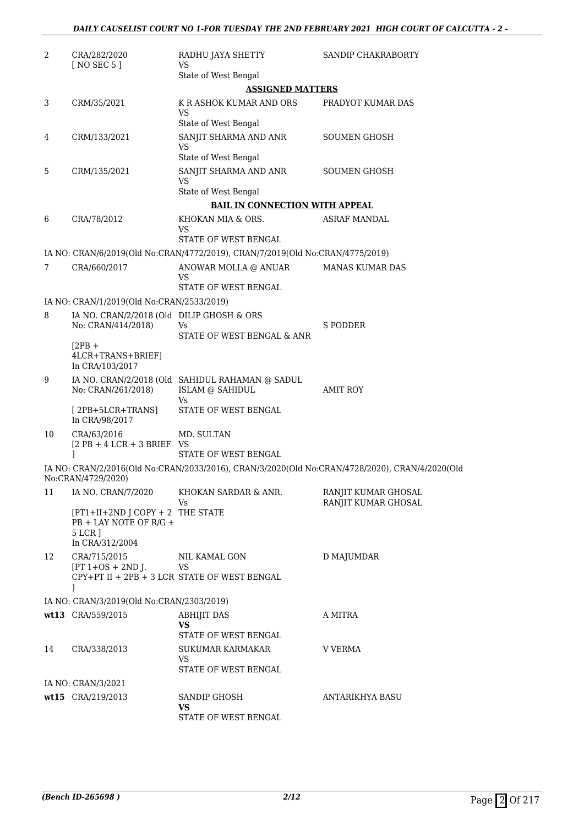| 2  | CRA/282/2020<br>[ NO SEC 5 ]                                                              | RADHU JAYA SHETTY<br>VS                                                          | SANDIP CHAKRABORTY                                                                             |
|----|-------------------------------------------------------------------------------------------|----------------------------------------------------------------------------------|------------------------------------------------------------------------------------------------|
|    |                                                                                           | State of West Bengal                                                             |                                                                                                |
|    |                                                                                           | <b>ASSIGNED MATTERS</b>                                                          |                                                                                                |
| 3  | CRM/35/2021                                                                               | K R ASHOK KUMAR AND ORS<br>VS                                                    | PRADYOT KUMAR DAS                                                                              |
| 4  | CRM/133/2021                                                                              | State of West Bengal<br>SANJIT SHARMA AND ANR                                    | <b>SOUMEN GHOSH</b>                                                                            |
|    |                                                                                           | <b>VS</b><br>State of West Bengal                                                |                                                                                                |
| 5  | CRM/135/2021                                                                              | SANJIT SHARMA AND ANR<br><b>VS</b>                                               | <b>SOUMEN GHOSH</b>                                                                            |
|    |                                                                                           | State of West Bengal                                                             |                                                                                                |
|    |                                                                                           | <b>BAIL IN CONNECTION WITH APPEAL</b>                                            |                                                                                                |
| 6  | CRA/78/2012                                                                               | KHOKAN MIA & ORS.<br>VS                                                          | <b>ASRAF MANDAL</b>                                                                            |
|    |                                                                                           | STATE OF WEST BENGAL                                                             |                                                                                                |
|    |                                                                                           | IA NO: CRAN/6/2019(Old No:CRAN/4772/2019), CRAN/7/2019(Old No:CRAN/4775/2019)    |                                                                                                |
| 7  | CRA/660/2017                                                                              | ANOWAR MOLLA @ ANUAR<br>VS<br>STATE OF WEST BENGAL                               | <b>MANAS KUMAR DAS</b>                                                                         |
|    | IA NO: CRAN/1/2019(Old No:CRAN/2533/2019)                                                 |                                                                                  |                                                                                                |
| 8  | IA NO. CRAN/2/2018 (Old DILIP GHOSH & ORS                                                 |                                                                                  |                                                                                                |
|    | No: CRAN/414/2018)                                                                        | Vs<br>STATE OF WEST BENGAL & ANR                                                 | <b>S PODDER</b>                                                                                |
|    | $[2PB +$<br>4LCR+TRANS+BRIEF]<br>In CRA/103/2017                                          |                                                                                  |                                                                                                |
| 9  | No: CRAN/261/2018)                                                                        | IA NO. CRAN/2/2018 (Old SAHIDUL RAHAMAN @ SADUL<br><b>ISLAM @ SAHIDUL</b><br>Vs. | <b>AMIT ROY</b>                                                                                |
|    | $[2PB+5LCR+TRANS]$<br>In CRA/98/2017                                                      | STATE OF WEST BENGAL                                                             |                                                                                                |
| 10 | CRA/63/2016<br>$[2$ PB + 4 LCR + 3 BRIEF VS                                               | MD. SULTAN                                                                       |                                                                                                |
|    | 1                                                                                         | STATE OF WEST BENGAL                                                             |                                                                                                |
|    | No:CRAN/4729/2020)                                                                        |                                                                                  | IA NO: CRAN/2/2016(Old No:CRAN/2033/2016), CRAN/3/2020(Old No:CRAN/4728/2020), CRAN/4/2020(Old |
| 11 | IA NO. CRAN/7/2020                                                                        | KHOKAN SARDAR & ANR.<br>Vs                                                       | RANJIT KUMAR GHOSAL<br>RANJIT KUMAR GHOSAL                                                     |
|    | $[PT1+II+2ND]$ COPY + 2 THE STATE<br>PB + LAY NOTE OF R/G +<br>5 LCR ]<br>In CRA/312/2004 |                                                                                  |                                                                                                |
| 12 | CRA/715/2015                                                                              | NIL KAMAL GON                                                                    | <b>D MAJUMDAR</b>                                                                              |
|    | $[PT 1+OS + 2ND$ J.<br>1                                                                  | VS<br>CPY+PT II + 2PB + 3 LCR STATE OF WEST BENGAL                               |                                                                                                |
|    | IA NO: CRAN/3/2019(Old No:CRAN/2303/2019)                                                 |                                                                                  |                                                                                                |
|    | wt13 CRA/559/2015                                                                         | <b>ABHIJIT DAS</b>                                                               | A MITRA                                                                                        |
|    |                                                                                           | VS<br>STATE OF WEST BENGAL                                                       |                                                                                                |
| 14 | CRA/338/2013                                                                              | SUKUMAR KARMAKAR<br>VS                                                           | <b>V VERMA</b>                                                                                 |
|    |                                                                                           | STATE OF WEST BENGAL                                                             |                                                                                                |
|    | IA NO: CRAN/3/2021                                                                        |                                                                                  |                                                                                                |
|    | wt15 CRA/219/2013                                                                         | SANDIP GHOSH<br><b>VS</b>                                                        | ANTARIKHYA BASU                                                                                |
|    |                                                                                           | STATE OF WEST BENGAL                                                             |                                                                                                |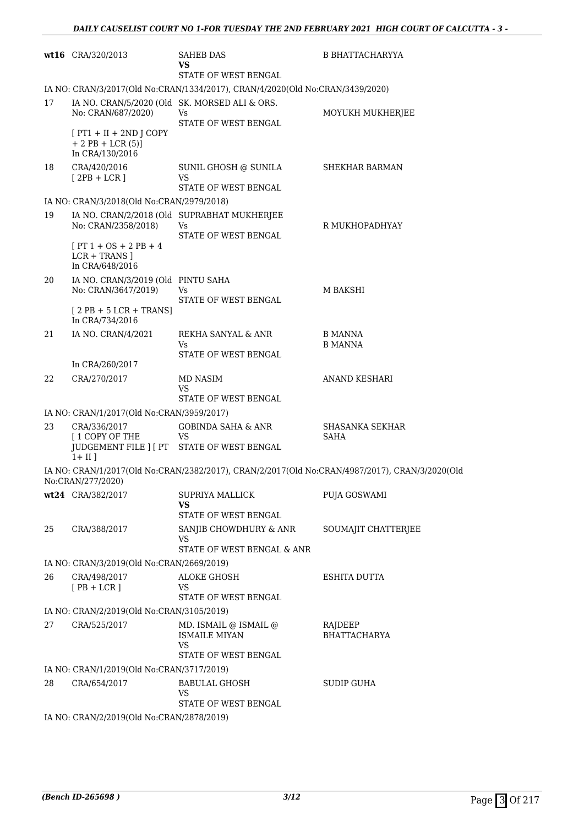|    | wt16 CRA/320/2013                                                   | <b>SAHEB DAS</b><br>VS<br>STATE OF WEST BENGAL                                     | <b>B BHATTACHARYYA</b>                                                                         |
|----|---------------------------------------------------------------------|------------------------------------------------------------------------------------|------------------------------------------------------------------------------------------------|
|    |                                                                     | IA NO: CRAN/3/2017(Old No:CRAN/1334/2017), CRAN/4/2020(Old No:CRAN/3439/2020)      |                                                                                                |
| 17 | IA NO. CRAN/5/2020 (Old SK. MORSED ALI & ORS.<br>No: CRAN/687/2020) | Vs<br>STATE OF WEST BENGAL                                                         | MOYUKH MUKHERJEE                                                                               |
|    | $[PT1 + II + 2ND J COPY]$<br>$+ 2$ PB + LCR (5)]<br>In CRA/130/2016 |                                                                                    |                                                                                                |
| 18 | CRA/420/2016<br>$[2PB + LCR]$                                       | SUNIL GHOSH @ SUNILA<br>VS<br>STATE OF WEST BENGAL                                 | SHEKHAR BARMAN                                                                                 |
|    | IA NO: CRAN/3/2018(Old No:CRAN/2979/2018)                           |                                                                                    |                                                                                                |
| 19 | No: CRAN/2358/2018)                                                 | IA NO. CRAN/2/2018 (Old SUPRABHAT MUKHERJEE<br>Vs<br>STATE OF WEST BENGAL          | R MUKHOPADHYAY                                                                                 |
|    | $[PT 1 + OS + 2 PB + 4]$<br>$LCR + TRANS$ ]<br>In CRA/648/2016      |                                                                                    |                                                                                                |
| 20 | IA NO. CRAN/3/2019 (Old PINTU SAHA<br>No: CRAN/3647/2019)           | Vs                                                                                 | M BAKSHI                                                                                       |
|    | $[2PB + 5LCR + TRANS]$<br>In CRA/734/2016                           | STATE OF WEST BENGAL                                                               |                                                                                                |
| 21 | IA NO. CRAN/4/2021                                                  | REKHA SANYAL & ANR<br>Vs<br>STATE OF WEST BENGAL                                   | B MANNA<br><b>B MANNA</b>                                                                      |
|    | In CRA/260/2017                                                     |                                                                                    |                                                                                                |
| 22 | CRA/270/2017                                                        | <b>MD NASIM</b><br>VS<br>STATE OF WEST BENGAL                                      | <b>ANAND KESHARI</b>                                                                           |
|    | IA NO: CRAN/1/2017(Old No:CRAN/3959/2017)                           |                                                                                    |                                                                                                |
| 23 | CRA/336/2017<br>[1 COPY OF THE                                      | <b>GOBINDA SAHA &amp; ANR</b><br>VS<br>JUDGEMENT FILE ] [ PT STATE OF WEST BENGAL  | <b>SHASANKA SEKHAR</b><br><b>SAHA</b>                                                          |
|    | $1 + II$ ]                                                          |                                                                                    | IA NO: CRAN/1/2017(Old No:CRAN/2382/2017), CRAN/2/2017(Old No:CRAN/4987/2017), CRAN/3/2020(Old |
|    | No:CRAN/277/2020)                                                   |                                                                                    |                                                                                                |
|    | wt24 CRA/382/2017                                                   | <b>SUPRIYA MALLICK</b><br>VS.<br>STATE OF WEST BENGAL                              | PUJA GOSWAMI                                                                                   |
| 25 | CRA/388/2017                                                        | SANJIB CHOWDHURY & ANR<br><b>VS</b><br>STATE OF WEST BENGAL & ANR                  | SOUMAJIT CHATTERJEE                                                                            |
|    | IA NO: CRAN/3/2019(Old No:CRAN/2669/2019)                           |                                                                                    |                                                                                                |
| 26 | CRA/498/2017                                                        | ALOKE GHOSH                                                                        | ESHITA DUTTA                                                                                   |
|    | $[PB + LCR]$                                                        | VS.<br>STATE OF WEST BENGAL                                                        |                                                                                                |
|    | IA NO: CRAN/2/2019(Old No:CRAN/3105/2019)                           |                                                                                    |                                                                                                |
| 27 | CRA/525/2017                                                        | MD. ISMAIL @ ISMAIL @<br><b>ISMAILE MIYAN</b><br><b>VS</b><br>STATE OF WEST BENGAL | RAJDEEP<br><b>BHATTACHARYA</b>                                                                 |
|    | IA NO: CRAN/1/2019(Old No:CRAN/3717/2019)                           |                                                                                    |                                                                                                |
| 28 | CRA/654/2017                                                        | <b>BABULAL GHOSH</b><br><b>VS</b><br>STATE OF WEST BENGAL                          | <b>SUDIP GUHA</b>                                                                              |
|    | IA NO: CRAN/2/2019(Old No:CRAN/2878/2019)                           |                                                                                    |                                                                                                |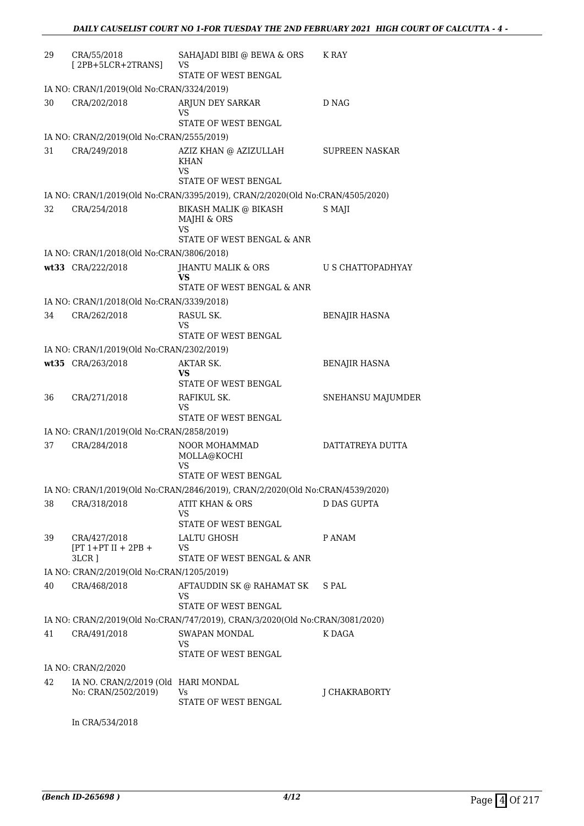| 29 | CRA/55/2018<br>$[2PB+5LCR+2TRANS]$                         | SAHAJADI BIBI @ BEWA & ORS<br>VS<br><b>STATE OF WEST BENGAL</b>               | K RAY                    |
|----|------------------------------------------------------------|-------------------------------------------------------------------------------|--------------------------|
|    | IA NO: CRAN/1/2019(Old No:CRAN/3324/2019)                  |                                                                               |                          |
| 30 | CRA/202/2018                                               | ARJUN DEY SARKAR<br>VS                                                        | D NAG                    |
|    |                                                            | STATE OF WEST BENGAL                                                          |                          |
|    | IA NO: CRAN/2/2019(Old No:CRAN/2555/2019)                  |                                                                               |                          |
| 31 | CRA/249/2018                                               | AZIZ KHAN @ AZIZULLAH<br>KHAN<br>VS                                           | <b>SUPREEN NASKAR</b>    |
|    |                                                            | STATE OF WEST BENGAL                                                          |                          |
|    |                                                            | IA NO: CRAN/1/2019(Old No:CRAN/3395/2019), CRAN/2/2020(Old No:CRAN/4505/2020) |                          |
| 32 | CRA/254/2018                                               | <b>BIKASH MALIK @ BIKASH</b><br>MAJHI & ORS<br><b>VS</b>                      | S MAJI                   |
|    |                                                            | STATE OF WEST BENGAL & ANR                                                    |                          |
|    | IA NO: CRAN/1/2018(Old No:CRAN/3806/2018)                  |                                                                               |                          |
|    | wt33 CRA/222/2018                                          | <b>JHANTU MALIK &amp; ORS</b><br>VS<br>STATE OF WEST BENGAL & ANR             | <b>U S CHATTOPADHYAY</b> |
|    | IA NO: CRAN/1/2018(Old No:CRAN/3339/2018)                  |                                                                               |                          |
| 34 | CRA/262/2018                                               | RASUL SK.                                                                     | <b>BENAJIR HASNA</b>     |
|    |                                                            | VS                                                                            |                          |
|    | IA NO: CRAN/1/2019(Old No:CRAN/2302/2019)                  | STATE OF WEST BENGAL                                                          |                          |
|    | wt35 CRA/263/2018                                          | AKTAR SK.                                                                     | <b>BENAJIR HASNA</b>     |
|    |                                                            | VS<br>STATE OF WEST BENGAL                                                    |                          |
| 36 | CRA/271/2018                                               | RAFIKUL SK.<br>VS                                                             | SNEHANSU MAJUMDER        |
|    |                                                            | STATE OF WEST BENGAL                                                          |                          |
|    | IA NO: CRAN/1/2019(Old No:CRAN/2858/2019)                  |                                                                               |                          |
| 37 | CRA/284/2018                                               | <b>NOOR MOHAMMAD</b><br>MOLLA@KOCHI<br>VS                                     | DATTATREYA DUTTA         |
|    |                                                            | STATE OF WEST BENGAL                                                          |                          |
|    |                                                            | IA NO: CRAN/1/2019(Old No:CRAN/2846/2019), CRAN/2/2020(Old No:CRAN/4539/2020) |                          |
| 38 | CRA/318/2018                                               | ATIT KHAN & ORS<br>VS<br>STATE OF WEST BENGAL                                 | D DAS GUPTA              |
| 39 | CRA/427/2018                                               | <b>LALTU GHOSH</b>                                                            | P ANAM                   |
|    | $[PT 1+PT II + 2PB +$<br>$3LCR$ ]                          | VS<br>STATE OF WEST BENGAL & ANR                                              |                          |
|    | IA NO: CRAN/2/2019(Old No:CRAN/1205/2019)                  |                                                                               |                          |
| 40 | CRA/468/2018                                               | AFTAUDDIN SK @ RAHAMAT SK<br>VS<br>STATE OF WEST BENGAL                       | S PAL                    |
|    |                                                            | IA NO: CRAN/2/2019(Old No:CRAN/747/2019), CRAN/3/2020(Old No:CRAN/3081/2020)  |                          |
| 41 | CRA/491/2018                                               | SWAPAN MONDAL<br>VS                                                           | K DAGA                   |
|    |                                                            | STATE OF WEST BENGAL                                                          |                          |
|    | IA NO: CRAN/2/2020                                         |                                                                               |                          |
| 42 | IA NO. CRAN/2/2019 (Old HARI MONDAL<br>No: CRAN/2502/2019) | Vs<br>STATE OF WEST BENGAL                                                    | J CHAKRABORTY            |
|    |                                                            |                                                                               |                          |

In CRA/534/2018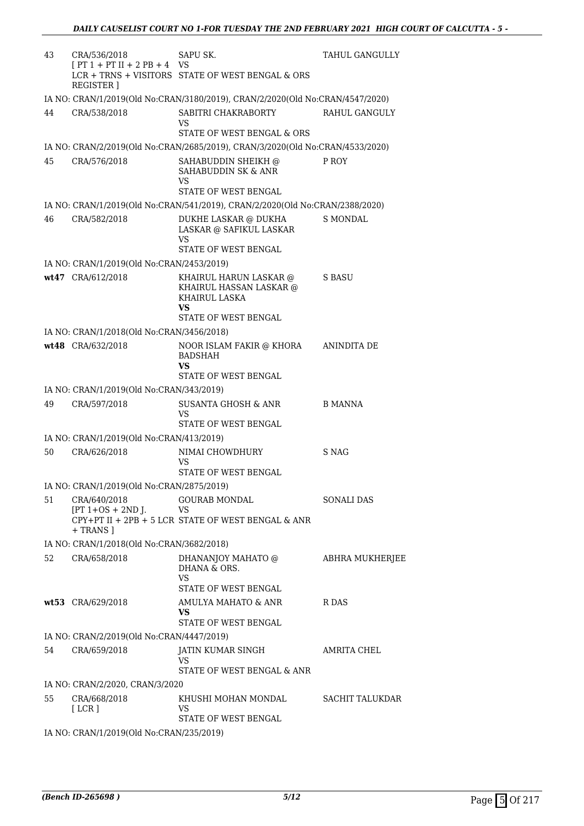| 43 | CRA/536/2018                                        | SAPU SK.                                                                             | TAHUL GANGULLY  |
|----|-----------------------------------------------------|--------------------------------------------------------------------------------------|-----------------|
|    | $[PT 1 + PT II + 2 PB + 4 VS]$<br><b>REGISTER</b> ] | LCR + TRNS + VISITORS STATE OF WEST BENGAL & ORS                                     |                 |
|    |                                                     | IA NO: CRAN/1/2019(Old No:CRAN/3180/2019), CRAN/2/2020(Old No:CRAN/4547/2020)        |                 |
| 44 | CRA/538/2018                                        | SABITRI CHAKRABORTY<br>VS<br>STATE OF WEST BENGAL & ORS                              | RAHUL GANGULY   |
|    |                                                     | IA NO: CRAN/2/2019(Old No:CRAN/2685/2019), CRAN/3/2020(Old No:CRAN/4533/2020)        |                 |
| 45 | CRA/576/2018                                        | SAHABUDDIN SHEIKH @                                                                  | P ROY           |
|    |                                                     | SAHABUDDIN SK & ANR<br>VS<br>STATE OF WEST BENGAL                                    |                 |
|    |                                                     | IA NO: CRAN/1/2019(Old No:CRAN/541/2019), CRAN/2/2020(Old No:CRAN/2388/2020)         |                 |
| 46 | CRA/582/2018                                        | DUKHE LASKAR @ DUKHA<br>LASKAR @ SAFIKUL LASKAR<br>VS<br><b>STATE OF WEST BENGAL</b> | S MONDAL        |
|    | IA NO: CRAN/1/2019(Old No:CRAN/2453/2019)           |                                                                                      |                 |
|    | wt47 CRA/612/2018                                   | KHAIRUL HARUN LASKAR @<br>KHAIRUL HASSAN LASKAR @<br><b>KHAIRUL LASKA</b><br>VS      | S BASU          |
|    |                                                     | STATE OF WEST BENGAL                                                                 |                 |
|    | IA NO: CRAN/1/2018(Old No:CRAN/3456/2018)           |                                                                                      |                 |
|    | wt48 CRA/632/2018                                   | NOOR ISLAM FAKIR @ KHORA<br><b>BADSHAH</b><br>VS<br>STATE OF WEST BENGAL             | ANINDITA DE     |
|    | IA NO: CRAN/1/2019(Old No:CRAN/343/2019)            |                                                                                      |                 |
| 49 | CRA/597/2018                                        | SUSANTA GHOSH & ANR<br>VS<br>STATE OF WEST BENGAL                                    | <b>B MANNA</b>  |
|    | IA NO: CRAN/1/2019(Old No:CRAN/413/2019)            |                                                                                      |                 |
| 50 | CRA/626/2018                                        | NIMAI CHOWDHURY<br>VS<br>STATE OF WEST BENGAL                                        | S NAG           |
|    | IA NO: CRAN/1/2019(Old No:CRAN/2875/2019)           |                                                                                      |                 |
| 51 | CRA/640/2018                                        | GOURAB MONDAL                                                                        | SONALI DAS      |
|    | $[PT 1+OS + 2ND J.$<br>+ TRANS 1                    | VS<br>CPY+PT II + 2PB + 5 LCR STATE OF WEST BENGAL & ANR                             |                 |
|    | IA NO: CRAN/1/2018(Old No:CRAN/3682/2018)           |                                                                                      |                 |
| 52 | CRA/658/2018                                        | DHANANJOY MAHATO @<br>DHANA & ORS.<br><b>VS</b>                                      | ABHRA MUKHERJEE |
|    |                                                     | STATE OF WEST BENGAL                                                                 |                 |
|    | wt53 CRA/629/2018                                   | AMULYA MAHATO & ANR<br>VS.<br>STATE OF WEST BENGAL                                   | R DAS           |
|    | IA NO: CRAN/2/2019(Old No:CRAN/4447/2019)           |                                                                                      |                 |
| 54 | CRA/659/2018                                        | JATIN KUMAR SINGH<br>VS<br>STATE OF WEST BENGAL & ANR                                | AMRITA CHEL     |
|    | IA NO: CRAN/2/2020, CRAN/3/2020                     |                                                                                      |                 |
| 55 | CRA/668/2018<br>[LCR]                               | KHUSHI MOHAN MONDAL<br>VS                                                            | SACHIT TALUKDAR |
|    | IA NO: CRAN/1/2019(Old No:CRAN/235/2019)            | STATE OF WEST BENGAL                                                                 |                 |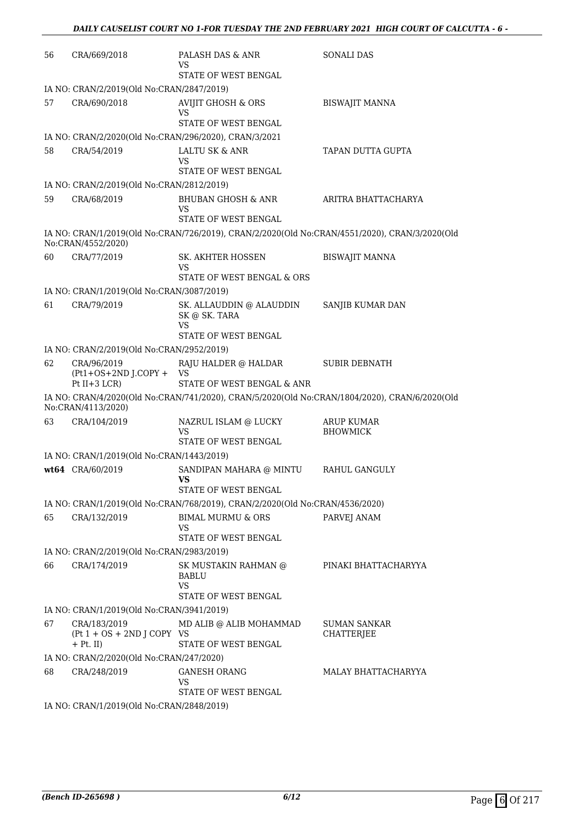| 56 | CRA/669/2018                                                | PALASH DAS & ANR<br>VS                                                                        | <b>SONALI DAS</b>                    |
|----|-------------------------------------------------------------|-----------------------------------------------------------------------------------------------|--------------------------------------|
|    |                                                             | STATE OF WEST BENGAL                                                                          |                                      |
|    | IA NO: CRAN/2/2019(Old No:CRAN/2847/2019)                   |                                                                                               |                                      |
| 57 | CRA/690/2018                                                | AVIJIT GHOSH & ORS<br>VS                                                                      | <b>BISWAJIT MANNA</b>                |
|    |                                                             | STATE OF WEST BENGAL                                                                          |                                      |
|    |                                                             | IA NO: CRAN/2/2020(Old No:CRAN/296/2020), CRAN/3/2021                                         |                                      |
| 58 | CRA/54/2019                                                 | LALTU SK & ANR<br>VS<br>STATE OF WEST BENGAL                                                  | TAPAN DUTTA GUPTA                    |
|    | IA NO: CRAN/2/2019(Old No:CRAN/2812/2019)                   |                                                                                               |                                      |
| 59 | CRA/68/2019                                                 | BHUBAN GHOSH & ANR<br>VS                                                                      | ARITRA BHATTACHARYA                  |
|    |                                                             | STATE OF WEST BENGAL                                                                          |                                      |
|    | No:CRAN/4552/2020)                                          | IA NO: CRAN/1/2019(Old No:CRAN/726/2019), CRAN/2/2020(Old No:CRAN/4551/2020), CRAN/3/2020(Old |                                      |
| 60 | CRA/77/2019                                                 | SK. AKHTER HOSSEN<br>VS                                                                       | <b>BISWAJIT MANNA</b>                |
|    |                                                             | STATE OF WEST BENGAL & ORS                                                                    |                                      |
|    | IA NO: CRAN/1/2019(Old No:CRAN/3087/2019)                   |                                                                                               |                                      |
| 61 | CRA/79/2019                                                 | SK. ALLAUDDIN @ ALAUDDIN<br>SK @ SK. TARA<br>VS                                               | SANJIB KUMAR DAN                     |
|    |                                                             | STATE OF WEST BENGAL                                                                          |                                      |
|    | IA NO: CRAN/2/2019(Old No:CRAN/2952/2019)                   |                                                                                               |                                      |
| 62 | CRA/96/2019<br>$(Pt1+OS+2ND J.COPY +$<br>Pt $II+3$ LCR)     | RAJU HALDER @ HALDAR<br>VS<br>STATE OF WEST BENGAL & ANR                                      | <b>SUBIR DEBNATH</b>                 |
|    | No:CRAN/4113/2020)                                          | IA NO: CRAN/4/2020(Old No:CRAN/741/2020), CRAN/5/2020(Old No:CRAN/1804/2020), CRAN/6/2020(Old |                                      |
| 63 | CRA/104/2019                                                | NAZRUL ISLAM @ LUCKY<br>VS                                                                    | <b>ARUP KUMAR</b><br><b>BHOWMICK</b> |
|    |                                                             | STATE OF WEST BENGAL                                                                          |                                      |
|    | IA NO: CRAN/1/2019(Old No:CRAN/1443/2019)                   |                                                                                               |                                      |
|    | wt64 CRA/60/2019                                            | SANDIPAN MAHARA @ MINTU<br><b>VS</b><br>STATE OF WEST BENGAL                                  | RAHUL GANGULY                        |
|    |                                                             | IA NO: CRAN/1/2019(Old No:CRAN/768/2019), CRAN/2/2020(Old No:CRAN/4536/2020)                  |                                      |
| 65 | CRA/132/2019                                                | <b>BIMAL MURMU &amp; ORS</b><br>VS<br>STATE OF WEST BENGAL                                    | PARVEJ ANAM                          |
|    |                                                             |                                                                                               |                                      |
|    | IA NO: CRAN/2/2019(Old No:CRAN/2983/2019)                   |                                                                                               |                                      |
| 66 | CRA/174/2019                                                | SK MUSTAKIN RAHMAN @<br><b>BABLU</b><br><b>VS</b>                                             | PINAKI BHATTACHARYYA                 |
|    |                                                             | STATE OF WEST BENGAL                                                                          |                                      |
|    | IA NO: CRAN/1/2019(Old No:CRAN/3941/2019)                   |                                                                                               |                                      |
| 67 | CRA/183/2019<br>$(Pt 1 + OS + 2ND J COPY VS$<br>$+$ Pt. II) | MD ALIB @ ALIB MOHAMMAD<br>STATE OF WEST BENGAL                                               | SUMAN SANKAR<br><b>CHATTERJEE</b>    |
|    | IA NO: CRAN/2/2020(Old No:CRAN/247/2020)                    |                                                                                               |                                      |
| 68 | CRA/248/2019                                                | <b>GANESH ORANG</b><br><b>VS</b>                                                              | MALAY BHATTACHARYYA                  |
|    |                                                             | STATE OF WEST BENGAL                                                                          |                                      |
|    | IA NO: CRAN/1/2019(Old No:CRAN/2848/2019)                   |                                                                                               |                                      |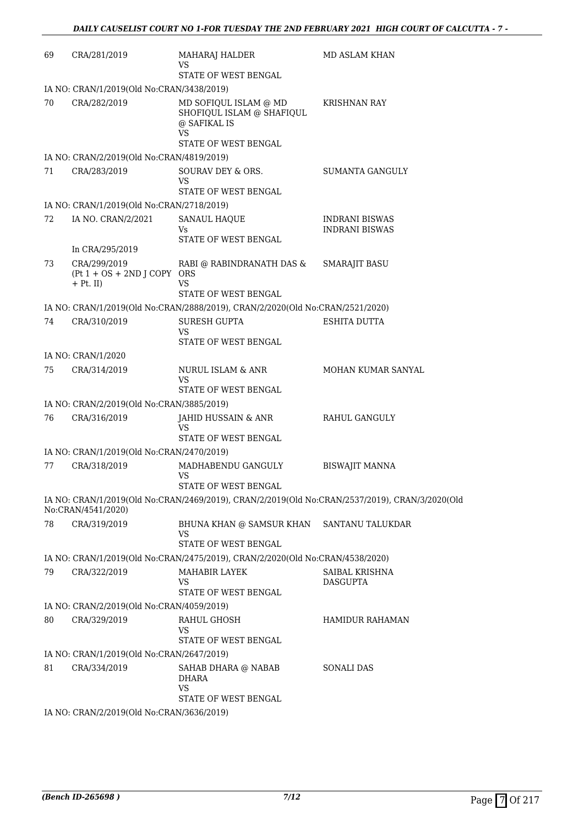| 69 | CRA/281/2019                                                  | MAHARAJ HALDER<br>VS<br><b>STATE OF WEST BENGAL</b>                                              | <b>MD ASLAM KHAN</b>                                                                           |
|----|---------------------------------------------------------------|--------------------------------------------------------------------------------------------------|------------------------------------------------------------------------------------------------|
|    | IA NO: CRAN/1/2019(Old No:CRAN/3438/2019)                     |                                                                                                  |                                                                                                |
| 70 | CRA/282/2019                                                  | MD SOFIQUL ISLAM @ MD<br>SHOFIQUL ISLAM @ SHAFIQUL<br>@ SAFIKAL IS<br>VS<br>STATE OF WEST BENGAL | <b>KRISHNAN RAY</b>                                                                            |
|    | IA NO: CRAN/2/2019(Old No:CRAN/4819/2019)                     |                                                                                                  |                                                                                                |
| 71 | CRA/283/2019                                                  | SOURAV DEY & ORS.                                                                                | <b>SUMANTA GANGULY</b>                                                                         |
|    |                                                               | VS<br>STATE OF WEST BENGAL                                                                       |                                                                                                |
|    | IA NO: CRAN/1/2019(Old No:CRAN/2718/2019)                     |                                                                                                  |                                                                                                |
| 72 | IA NO. CRAN/2/2021                                            | <b>SANAUL HAQUE</b><br>Vs.                                                                       | INDRANI BISWAS<br><b>INDRANI BISWAS</b>                                                        |
|    | In CRA/295/2019                                               | STATE OF WEST BENGAL                                                                             |                                                                                                |
| 73 | CRA/299/2019<br>$(Pt 1 + OS + 2ND J COPY ORS)$<br>$+$ Pt. II) | RABI @ RABINDRANATH DAS &<br>VS                                                                  | <b>SMARAJIT BASU</b>                                                                           |
|    |                                                               | STATE OF WEST BENGAL                                                                             |                                                                                                |
|    |                                                               | IA NO: CRAN/1/2019(Old No:CRAN/2888/2019), CRAN/2/2020(Old No:CRAN/2521/2020)                    |                                                                                                |
| 74 | CRA/310/2019                                                  | <b>SURESH GUPTA</b><br>VS<br>STATE OF WEST BENGAL                                                | <b>ESHITA DUTTA</b>                                                                            |
|    | IA NO: CRAN/1/2020                                            |                                                                                                  |                                                                                                |
| 75 | CRA/314/2019                                                  | NURUL ISLAM & ANR<br><b>VS</b><br>STATE OF WEST BENGAL                                           | MOHAN KUMAR SANYAL                                                                             |
|    | IA NO: CRAN/2/2019(Old No:CRAN/3885/2019)                     |                                                                                                  |                                                                                                |
| 76 | CRA/316/2019                                                  | JAHID HUSSAIN & ANR<br>VS<br>STATE OF WEST BENGAL                                                | RAHUL GANGULY                                                                                  |
|    | IA NO: CRAN/1/2019(Old No:CRAN/2470/2019)                     |                                                                                                  |                                                                                                |
| 77 | CRA/318/2019                                                  | MADHABENDU GANGULY<br><b>VS</b><br>STATE OF WEST BENGAL                                          | <b>BISWAJIT MANNA</b>                                                                          |
|    | No:CRAN/4541/2020)                                            |                                                                                                  | IA NO: CRAN/1/2019(Old No:CRAN/2469/2019), CRAN/2/2019(Old No:CRAN/2537/2019), CRAN/3/2020(Old |
| 78 | CRA/319/2019                                                  | BHUNA KHAN @ SAMSUR KHAN<br>VS<br>STATE OF WEST BENGAL                                           | SANTANU TALUKDAR                                                                               |
|    |                                                               | IA NO: CRAN/1/2019(Old No:CRAN/2475/2019), CRAN/2/2020(Old No:CRAN/4538/2020)                    |                                                                                                |
| 79 | CRA/322/2019                                                  | MAHABIR LAYEK                                                                                    | SAIBAL KRISHNA                                                                                 |
|    |                                                               | VS<br>STATE OF WEST BENGAL                                                                       | DASGUPTA                                                                                       |
|    | IA NO: CRAN/2/2019(Old No:CRAN/4059/2019)                     |                                                                                                  |                                                                                                |
| 80 | CRA/329/2019                                                  | RAHUL GHOSH<br>VS<br>STATE OF WEST BENGAL                                                        | <b>HAMIDUR RAHAMAN</b>                                                                         |
|    | IA NO: CRAN/1/2019(Old No:CRAN/2647/2019)                     |                                                                                                  |                                                                                                |
| 81 | CRA/334/2019                                                  | SAHAB DHARA @ NABAB                                                                              | <b>SONALI DAS</b>                                                                              |
|    |                                                               | <b>DHARA</b><br><b>VS</b><br>STATE OF WEST BENGAL                                                |                                                                                                |
|    | IA NO: CRAN/2/2019(Old No:CRAN/3636/2019)                     |                                                                                                  |                                                                                                |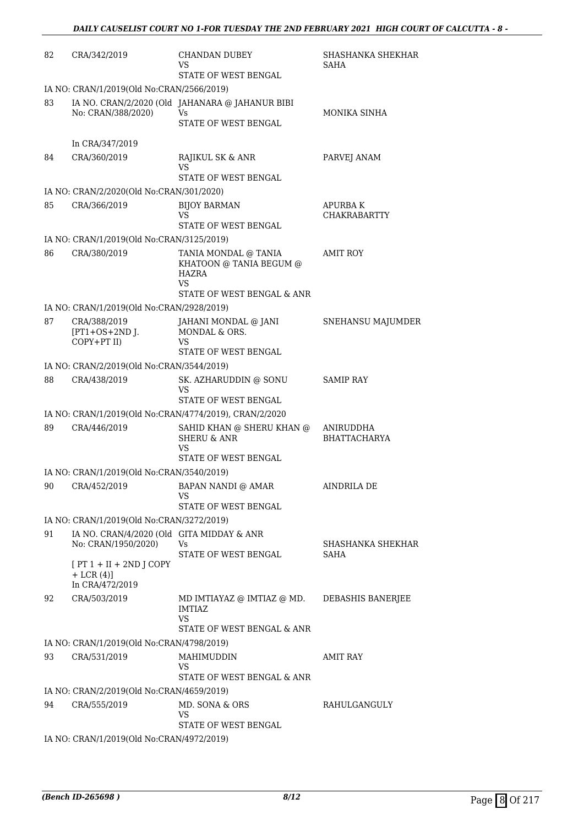| 82 | CRA/342/2019                                                     | <b>CHANDAN DUBEY</b><br>VS<br>STATE OF WEST BENGAL                                                  | <b>SHASHANKA SHEKHAR</b><br>SAHA      |
|----|------------------------------------------------------------------|-----------------------------------------------------------------------------------------------------|---------------------------------------|
|    | IA NO: CRAN/1/2019(Old No:CRAN/2566/2019)                        |                                                                                                     |                                       |
| 83 | No: CRAN/388/2020)                                               | IA NO. CRAN/2/2020 (Old JAHANARA @ JAHANUR BIBI<br><b>Vs</b><br>STATE OF WEST BENGAL                | MONIKA SINHA                          |
|    | In CRA/347/2019                                                  |                                                                                                     |                                       |
| 84 | CRA/360/2019                                                     | RAJIKUL SK & ANR<br>VS<br>STATE OF WEST BENGAL                                                      | PARVEJ ANAM                           |
|    | IA NO: CRAN/2/2020(Old No:CRAN/301/2020)                         |                                                                                                     |                                       |
| 85 | CRA/366/2019                                                     | <b>BIJOY BARMAN</b><br>VS<br>STATE OF WEST BENGAL                                                   | <b>APURBAK</b><br><b>CHAKRABARTTY</b> |
|    | IA NO: CRAN/1/2019(Old No:CRAN/3125/2019)                        |                                                                                                     |                                       |
| 86 | CRA/380/2019                                                     | TANIA MONDAL @ TANIA<br>KHATOON @ TANIA BEGUM @<br><b>HAZRA</b><br>VS<br>STATE OF WEST BENGAL & ANR | <b>AMIT ROY</b>                       |
|    | IA NO: CRAN/1/2019(Old No:CRAN/2928/2019)                        |                                                                                                     |                                       |
| 87 | CRA/388/2019<br>$[PT1+OS+2ND$ J.<br>COPY+PT II)                  | JAHANI MONDAL @ JANI<br>MONDAL & ORS.<br>VS<br>STATE OF WEST BENGAL                                 | SNEHANSU MAJUMDER                     |
|    | IA NO: CRAN/2/2019(Old No:CRAN/3544/2019)                        |                                                                                                     |                                       |
| 88 | CRA/438/2019                                                     | SK. AZHARUDDIN @ SONU<br><b>VS</b><br>STATE OF WEST BENGAL                                          | <b>SAMIP RAY</b>                      |
|    |                                                                  | IA NO: CRAN/1/2019(Old No:CRAN/4774/2019), CRAN/2/2020                                              |                                       |
| 89 | CRA/446/2019                                                     | SAHID KHAN @ SHERU KHAN @<br><b>SHERU &amp; ANR</b><br>VS<br>STATE OF WEST BENGAL                   | ANIRUDDHA<br><b>BHATTACHARYA</b>      |
|    | IA NO: CRAN/1/2019(Old No:CRAN/3540/2019)                        |                                                                                                     |                                       |
|    | 90 CRA/452/2019 BAPAN NANDI @ AMAR                               | VS<br>STATE OF WEST BENGAL                                                                          | AINDRILA DE                           |
|    | IA NO: CRAN/1/2019(Old No:CRAN/3272/2019)                        |                                                                                                     |                                       |
| 91 | IA NO. CRAN/4/2020 (Old GITA MIDDAY & ANR<br>No: CRAN/1950/2020) | Vs.<br>STATE OF WEST BENGAL                                                                         | SHASHANKA SHEKHAR<br>SAHA             |
|    | $[PT 1 + II + 2ND J COPY]$<br>$+$ LCR $(4)$ ]<br>In CRA/472/2019 |                                                                                                     |                                       |
| 92 | CRA/503/2019                                                     | MD IMTIAYAZ @ IMTIAZ @ MD.<br><b>IMTIAZ</b><br>VS<br>STATE OF WEST BENGAL & ANR                     | DEBASHIS BANERJEE                     |
|    | IA NO: CRAN/1/2019(Old No:CRAN/4798/2019)                        |                                                                                                     |                                       |
| 93 | CRA/531/2019                                                     | MAHIMUDDIN<br>VS<br>STATE OF WEST BENGAL & ANR                                                      | <b>AMIT RAY</b>                       |
|    | IA NO: CRAN/2/2019(Old No:CRAN/4659/2019)                        |                                                                                                     |                                       |
| 94 | CRA/555/2019                                                     | MD. SONA & ORS<br>VS<br>STATE OF WEST BENGAL                                                        | RAHULGANGULY                          |
|    | IA NO: CRAN/1/2019(Old No:CRAN/4972/2019)                        |                                                                                                     |                                       |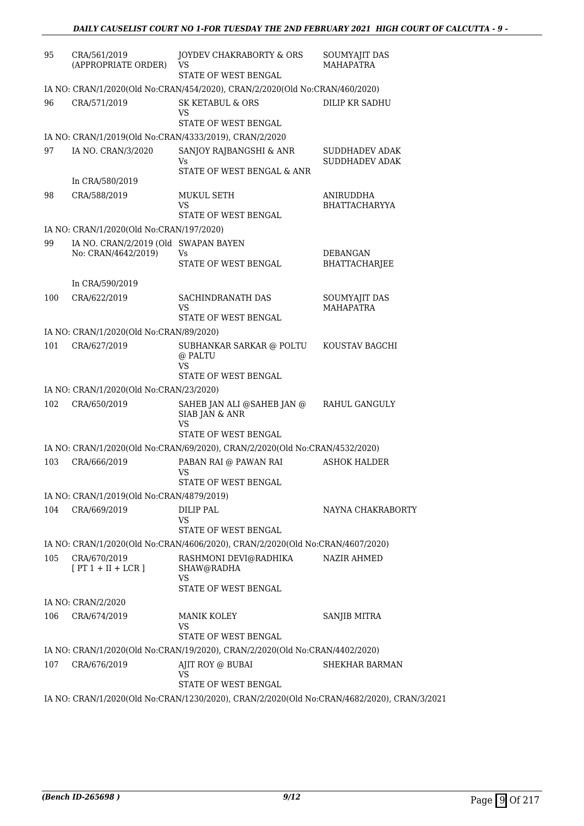| 95  | CRA/561/2019<br>(APPROPRIATE ORDER)       | JOYDEV CHAKRABORTY & ORS<br>VS<br>STATE OF WEST BENGAL                                     | SOUMYAJIT DAS<br><b>MAHAPATRA</b>       |
|-----|-------------------------------------------|--------------------------------------------------------------------------------------------|-----------------------------------------|
|     |                                           | IA NO: CRAN/1/2020(Old No:CRAN/454/2020), CRAN/2/2020(Old No:CRAN/460/2020)                |                                         |
| 96  | CRA/571/2019                              | <b>SK KETABUL &amp; ORS</b><br>VS<br>STATE OF WEST BENGAL                                  | DILIP KR SADHU                          |
|     |                                           | IA NO: CRAN/1/2019(Old No:CRAN/4333/2019), CRAN/2/2020                                     |                                         |
| 97  | IA NO. CRAN/3/2020                        | SANJOY RAJBANGSHI & ANR                                                                    | <b>SUDDHADEV ADAK</b>                   |
|     |                                           | Vs.                                                                                        | <b>SUDDHADEV ADAK</b>                   |
|     | In CRA/580/2019                           | STATE OF WEST BENGAL & ANR                                                                 |                                         |
| 98  | CRA/588/2019                              | <b>MUKUL SETH</b>                                                                          | ANIRUDDHA                               |
|     |                                           | VS                                                                                         | <b>BHATTACHARYYA</b>                    |
|     | IA NO: CRAN/1/2020(Old No:CRAN/197/2020)  | STATE OF WEST BENGAL                                                                       |                                         |
| 99  | IA NO. CRAN/2/2019 (Old SWAPAN BAYEN      |                                                                                            |                                         |
|     | No: CRAN/4642/2019)                       | Vs<br>STATE OF WEST BENGAL                                                                 | <b>DEBANGAN</b><br><b>BHATTACHARJEE</b> |
|     | In CRA/590/2019                           |                                                                                            |                                         |
| 100 | CRA/622/2019                              | SACHINDRANATH DAS                                                                          | SOUMYAJIT DAS                           |
|     |                                           | VS                                                                                         | <b>MAHAPATRA</b>                        |
|     | IA NO: CRAN/1/2020(Old No:CRAN/89/2020)   | STATE OF WEST BENGAL                                                                       |                                         |
| 101 | CRA/627/2019                              | SUBHANKAR SARKAR @ POLTU                                                                   | KOUSTAV BAGCHI                          |
|     |                                           | @ PALTU<br>VS<br>STATE OF WEST BENGAL                                                      |                                         |
|     | IA NO: CRAN/1/2020(Old No:CRAN/23/2020)   |                                                                                            |                                         |
| 102 | CRA/650/2019                              | SAHEB JAN ALI @SAHEB JAN @<br>SIAB JAN & ANR<br>VS                                         | RAHUL GANGULY                           |
|     |                                           | STATE OF WEST BENGAL                                                                       |                                         |
|     |                                           | IA NO: CRAN/1/2020(Old No:CRAN/69/2020), CRAN/2/2020(Old No:CRAN/4532/2020)                |                                         |
| 103 | CRA/666/2019                              | PABAN RAI @ PAWAN RAI<br>VS                                                                | <b>ASHOK HALDER</b>                     |
|     |                                           | STATE OF WEST BENGAL                                                                       |                                         |
|     | IA NO: CRAN/1/2019(Old No:CRAN/4879/2019) |                                                                                            |                                         |
| 104 | CRA/669/2019                              | <b>DILIP PAL</b><br>VS<br>STATE OF WEST BENGAL                                             | NAYNA CHAKRABORTY                       |
|     |                                           | IA NO: CRAN/1/2020(Old No:CRAN/4606/2020), CRAN/2/2020(Old No:CRAN/4607/2020)              |                                         |
| 105 | CRA/670/2019                              | RASHMONI DEVI@RADHIKA                                                                      | <b>NAZIR AHMED</b>                      |
|     | $[PT 1 + II + LCR]$                       | SHAW@RADHA<br><b>VS</b>                                                                    |                                         |
|     |                                           | STATE OF WEST BENGAL                                                                       |                                         |
|     | IA NO: CRAN/2/2020                        |                                                                                            |                                         |
| 106 | CRA/674/2019                              | <b>MANIK KOLEY</b><br>VS<br>STATE OF WEST BENGAL                                           | SANJIB MITRA                            |
|     |                                           | IA NO: CRAN/1/2020(Old No:CRAN/19/2020), CRAN/2/2020(Old No:CRAN/4402/2020)                |                                         |
| 107 | CRA/676/2019                              | AJIT ROY @ BUBAI<br>VS                                                                     | SHEKHAR BARMAN                          |
|     |                                           | STATE OF WEST BENGAL                                                                       |                                         |
|     |                                           | IA NO: CRAN/1/2020(Old No:CRAN/1230/2020), CRAN/2/2020(Old No:CRAN/4682/2020), CRAN/3/2021 |                                         |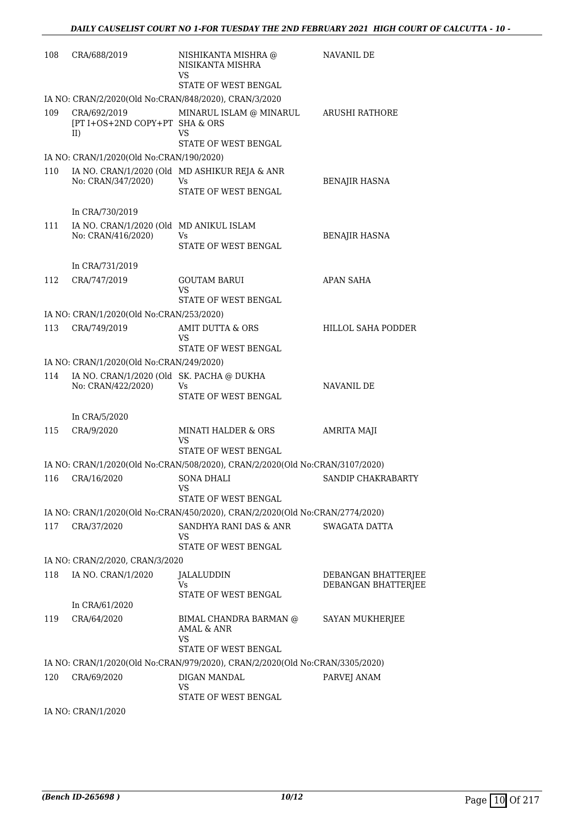| 108 | CRA/688/2019                                                    | NISHIKANTA MISHRA @<br>NISIKANTA MISHRA<br>VS                                | NAVANIL DE                                 |
|-----|-----------------------------------------------------------------|------------------------------------------------------------------------------|--------------------------------------------|
|     |                                                                 | STATE OF WEST BENGAL                                                         |                                            |
|     |                                                                 | IA NO: CRAN/2/2020(Old No:CRAN/848/2020), CRAN/3/2020                        |                                            |
| 109 | CRA/692/2019<br>[PT I+OS+2ND COPY+PT SHA & ORS<br>II)           | MINARUL ISLAM @ MINARUL<br>VS<br>STATE OF WEST BENGAL                        | ARUSHI RATHORE                             |
|     | IA NO: CRAN/1/2020(Old No:CRAN/190/2020)                        |                                                                              |                                            |
| 110 |                                                                 | IA NO. CRAN/1/2020 (Old MD ASHIKUR REJA & ANR                                |                                            |
|     | No: CRAN/347/2020)                                              | Vs<br>STATE OF WEST BENGAL                                                   | <b>BENAJIR HASNA</b>                       |
|     | In CRA/730/2019                                                 |                                                                              |                                            |
| 111 | IA NO. CRAN/1/2020 (Old MD ANIKUL ISLAM<br>No: CRAN/416/2020)   | Vs<br>STATE OF WEST BENGAL                                                   | <b>BENAJIR HASNA</b>                       |
|     | In CRA/731/2019                                                 |                                                                              |                                            |
| 112 | CRA/747/2019                                                    | <b>GOUTAM BARUI</b><br>VS                                                    | APAN SAHA                                  |
|     |                                                                 | STATE OF WEST BENGAL                                                         |                                            |
| 113 | IA NO: CRAN/1/2020(Old No:CRAN/253/2020)<br>CRA/749/2019        | AMIT DUTTA & ORS                                                             | <b>HILLOL SAHA PODDER</b>                  |
|     |                                                                 | VS<br>STATE OF WEST BENGAL                                                   |                                            |
|     | IA NO: CRAN/1/2020(Old No:CRAN/249/2020)                        |                                                                              |                                            |
| 114 | IA NO. CRAN/1/2020 (Old SK. PACHA @ DUKHA<br>No: CRAN/422/2020) | Vs.<br>STATE OF WEST BENGAL                                                  | NAVANIL DE                                 |
|     | In CRA/5/2020                                                   |                                                                              |                                            |
| 115 | CRA/9/2020                                                      | <b>MINATI HALDER &amp; ORS</b><br>VS<br>STATE OF WEST BENGAL                 | AMRITA MAJI                                |
|     |                                                                 | IA NO: CRAN/1/2020(Old No:CRAN/508/2020), CRAN/2/2020(Old No:CRAN/3107/2020) |                                            |
| 116 | CRA/16/2020                                                     | <b>SONA DHALI</b><br>VS<br>STATE OF WEST BENGAL                              | SANDIP CHAKRABARTY                         |
|     |                                                                 | IA NO: CRAN/1/2020(Old No:CRAN/450/2020), CRAN/2/2020(Old No:CRAN/2774/2020) |                                            |
| 117 | CRA/37/2020                                                     | SANDHYA RANI DAS & ANR<br>VS<br>STATE OF WEST BENGAL                         | SWAGATA DATTA                              |
|     | IA NO: CRAN/2/2020, CRAN/3/2020                                 |                                                                              |                                            |
| 118 | IA NO. CRAN/1/2020                                              | JALALUDDIN<br>Vs<br>STATE OF WEST BENGAL                                     | DEBANGAN BHATTERJEE<br>DEBANGAN BHATTERJEE |
|     | In CRA/61/2020                                                  |                                                                              |                                            |
| 119 | CRA/64/2020                                                     | BIMAL CHANDRA BARMAN @<br>AMAL & ANR<br>VS<br>STATE OF WEST BENGAL           | SAYAN MUKHERJEE                            |
|     |                                                                 | IA NO: CRAN/1/2020(Old No:CRAN/979/2020), CRAN/2/2020(Old No:CRAN/3305/2020) |                                            |
| 120 | CRA/69/2020                                                     | DIGAN MANDAL<br>VS                                                           | PARVEJ ANAM                                |
|     | IA NO: CRAN/1/2020                                              | STATE OF WEST BENGAL                                                         |                                            |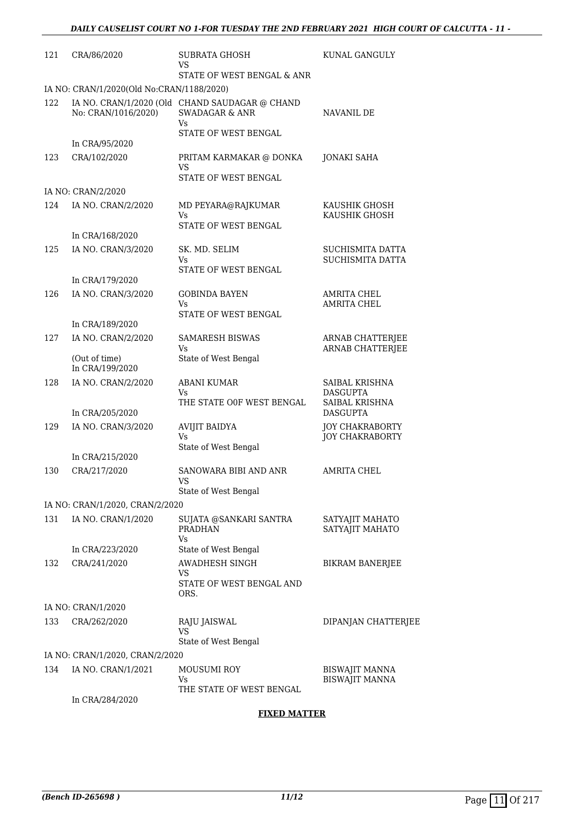| 121 | CRA/86/2020                               | <b>SUBRATA GHOSH</b><br>VS                                                        | <b>KUNAL GANGULY</b>                                |
|-----|-------------------------------------------|-----------------------------------------------------------------------------------|-----------------------------------------------------|
|     |                                           | STATE OF WEST BENGAL & ANR                                                        |                                                     |
|     | IA NO: CRAN/1/2020(Old No:CRAN/1188/2020) |                                                                                   |                                                     |
| 122 | No: CRAN/1016/2020)                       | IA NO. CRAN/1/2020 (Old CHAND SAUDAGAR @ CHAND<br><b>SWADAGAR &amp; ANR</b><br>Vs | NAVANIL DE                                          |
|     | In CRA/95/2020                            | STATE OF WEST BENGAL                                                              |                                                     |
| 123 | CRA/102/2020                              | PRITAM KARMAKAR @ DONKA<br>VS<br><b>STATE OF WEST BENGAL</b>                      | <b>JONAKI SAHA</b>                                  |
|     | IA NO: CRAN/2/2020                        |                                                                                   |                                                     |
| 124 | IA NO. CRAN/2/2020                        | MD PEYARA@RAJKUMAR<br>Vs.                                                         | KAUSHIK GHOSH<br>KAUSHIK GHOSH                      |
|     | In CRA/168/2020                           | STATE OF WEST BENGAL                                                              |                                                     |
| 125 | IA NO. CRAN/3/2020                        | SK. MD. SELIM<br>Vs<br>STATE OF WEST BENGAL                                       | SUCHISMITA DATTA<br><b>SUCHISMITA DATTA</b>         |
|     | In CRA/179/2020                           |                                                                                   |                                                     |
| 126 | IA NO. CRAN/3/2020                        | <b>GOBINDA BAYEN</b><br>Vs.                                                       | <b>AMRITA CHEL</b><br><b>AMRITA CHEL</b>            |
|     | In CRA/189/2020                           | STATE OF WEST BENGAL                                                              |                                                     |
| 127 | IA NO. CRAN/2/2020                        | <b>SAMARESH BISWAS</b><br>Vs                                                      | ARNAB CHATTERJEE<br><b>ARNAB CHATTERJEE</b>         |
|     | (Out of time)<br>In CRA/199/2020          | State of West Bengal                                                              |                                                     |
| 128 | IA NO. CRAN/2/2020                        | <b>ABANI KUMAR</b><br>Vs.<br>THE STATE OOF WEST BENGAL                            | SAIBAL KRISHNA<br><b>DASGUPTA</b><br>SAIBAL KRISHNA |
|     | In CRA/205/2020                           |                                                                                   | <b>DASGUPTA</b>                                     |
| 129 | IA NO. CRAN/3/2020                        | <b>AVIJIT BAIDYA</b><br>Vs<br>State of West Bengal                                | <b>JOY CHAKRABORTY</b><br><b>JOY CHAKRABORTY</b>    |
|     | In CRA/215/2020                           |                                                                                   |                                                     |
| 130 | CRA/217/2020                              | SANOWARA BIBI AND ANR<br>VS<br>State of West Bengal                               | <b>AMRITA CHEL</b>                                  |
|     | IA NO: CRAN/1/2020, CRAN/2/2020           |                                                                                   |                                                     |
| 131 | IA NO. CRAN/1/2020                        | SUJATA @SANKARI SANTRA<br><b>PRADHAN</b>                                          | SATYAJIT MAHATO<br>SATYAJIT MAHATO                  |
|     | In CRA/223/2020                           | Vs.<br>State of West Bengal                                                       |                                                     |
| 132 | CRA/241/2020                              | AWADHESH SINGH<br>VS                                                              | <b>BIKRAM BANERJEE</b>                              |
|     |                                           | STATE OF WEST BENGAL AND<br>ORS.                                                  |                                                     |
|     | IA NO: CRAN/1/2020                        |                                                                                   |                                                     |
| 133 | CRA/262/2020                              | RAJU JAISWAL<br>VS                                                                | DIPANJAN CHATTERJEE                                 |
|     |                                           | State of West Bengal                                                              |                                                     |
| 134 | IA NO: CRAN/1/2020, CRAN/2/2020           |                                                                                   |                                                     |
|     | IA NO. CRAN/1/2021                        | MOUSUMI ROY<br>Vs<br>THE STATE OF WEST BENGAL                                     | BISWAJIT MANNA<br><b>BISWAJIT MANNA</b>             |
|     | In CRA/284/2020                           |                                                                                   |                                                     |

#### **FIXED MATTER**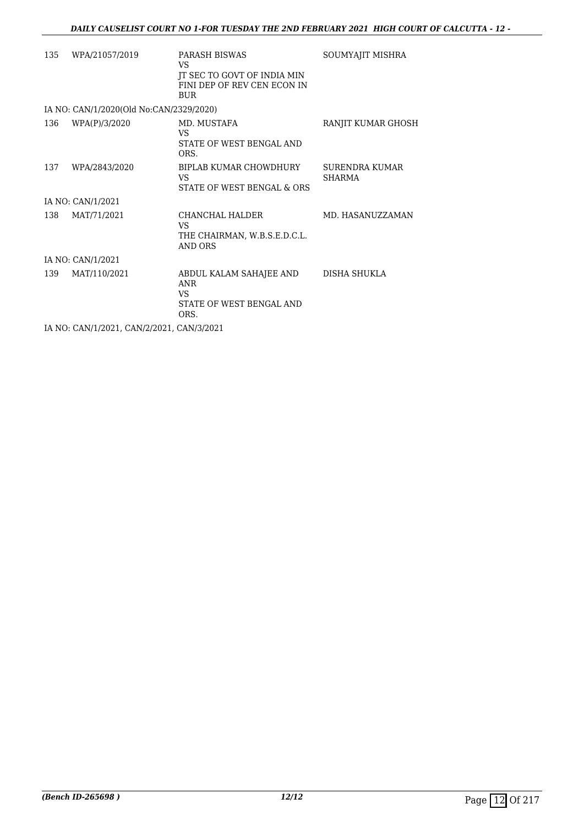| 135 | WPA/21057/2019                            | PARASH BISWAS<br>VS.<br>JT SEC TO GOVT OF INDIA MIN<br>FINI DEP OF REV CEN ECON IN<br><b>BUR</b> | SOUMYAJIT MISHRA                       |
|-----|-------------------------------------------|--------------------------------------------------------------------------------------------------|----------------------------------------|
|     | IA NO: CAN/1/2020(Old No:CAN/2329/2020)   |                                                                                                  |                                        |
| 136 | WPA(P)/3/2020                             | MD. MUSTAFA<br>VS.<br>STATE OF WEST BENGAL AND<br>ORS.                                           | RANJIT KUMAR GHOSH                     |
| 137 | WPA/2843/2020                             | BIPLAB KUMAR CHOWDHURY<br>VS<br>STATE OF WEST BENGAL & ORS                                       | <b>SURENDRA KUMAR</b><br><b>SHARMA</b> |
|     | IA NO: CAN/1/2021                         |                                                                                                  |                                        |
| 138 | MAT/71/2021                               | CHANCHAL HALDER<br>VS.<br>THE CHAIRMAN, W.B.S.E.D.C.L.<br>AND ORS                                | MD. HASANUZZAMAN                       |
|     | IA NO: CAN/1/2021                         |                                                                                                  |                                        |
| 139 | MAT/110/2021                              | ABDUL KALAM SAHAJEE AND<br>ANR<br>VS.<br>STATE OF WEST BENGAL AND<br>ORS.                        | DISHA SHUKLA                           |
|     | IA NO: CAN/1/2021, CAN/2/2021, CAN/3/2021 |                                                                                                  |                                        |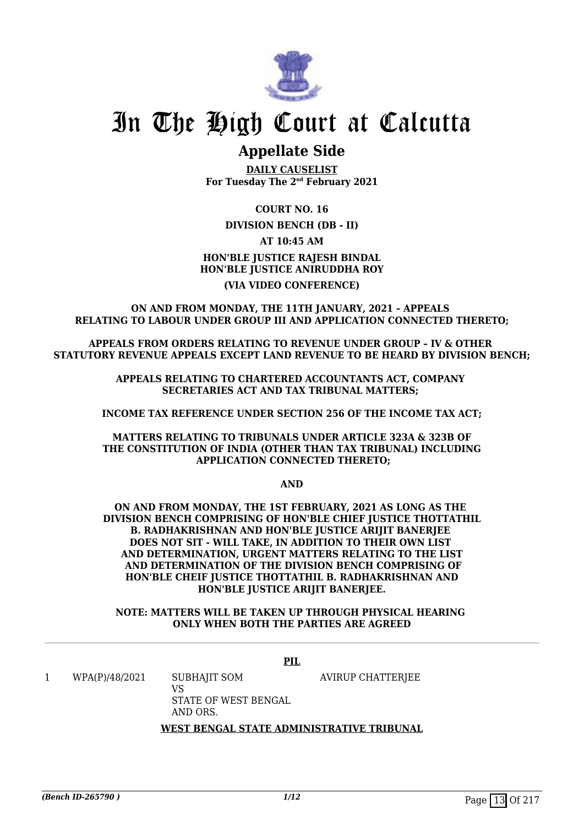

### **Appellate Side**

**DAILY CAUSELIST For Tuesday The 2nd February 2021**

**COURT NO. 16**

#### **DIVISION BENCH (DB - II)**

**AT 10:45 AM**

#### **HON'BLE JUSTICE RAJESH BINDAL HON'BLE JUSTICE ANIRUDDHA ROY (VIA VIDEO CONFERENCE)**

#### **ON AND FROM MONDAY, THE 11TH JANUARY, 2021 – APPEALS RELATING TO LABOUR UNDER GROUP III AND APPLICATION CONNECTED THERETO;**

**APPEALS FROM ORDERS RELATING TO REVENUE UNDER GROUP – IV & OTHER STATUTORY REVENUE APPEALS EXCEPT LAND REVENUE TO BE HEARD BY DIVISION BENCH;**

> **APPEALS RELATING TO CHARTERED ACCOUNTANTS ACT, COMPANY SECRETARIES ACT AND TAX TRIBUNAL MATTERS;**

**INCOME TAX REFERENCE UNDER SECTION 256 OF THE INCOME TAX ACT;**

#### **MATTERS RELATING TO TRIBUNALS UNDER ARTICLE 323A & 323B OF THE CONSTITUTION OF INDIA (OTHER THAN TAX TRIBUNAL) INCLUDING APPLICATION CONNECTED THERETO;**

**AND**

**ON AND FROM MONDAY, THE 1ST FEBRUARY, 2021 AS LONG AS THE DIVISION BENCH COMPRISING OF HON'BLE CHIEF JUSTICE THOTTATHIL B. RADHAKRISHNAN AND HON'BLE JUSTICE ARIJIT BANERJEE DOES NOT SIT - WILL TAKE, IN ADDITION TO THEIR OWN LIST AND DETERMINATION, URGENT MATTERS RELATING TO THE LIST AND DETERMINATION OF THE DIVISION BENCH COMPRISING OF HON'BLE CHEIF JUSTICE THOTTATHIL B. RADHAKRISHNAN AND HON'BLE JUSTICE ARIJIT BANERJEE.**

#### **NOTE: MATTERS WILL BE TAKEN UP THROUGH PHYSICAL HEARING ONLY WHEN BOTH THE PARTIES ARE AGREED**

|                |                                                        | PIL                                       |
|----------------|--------------------------------------------------------|-------------------------------------------|
| WPA(P)/48/2021 | SUBHAJIT SOM<br>VS<br>STATE OF WEST BENGAL<br>AND ORS. | AVIRUP CHATTERJEE                         |
|                |                                                        | WEST BENGAL STATE ADMINISTRATIVE TRIBUNAL |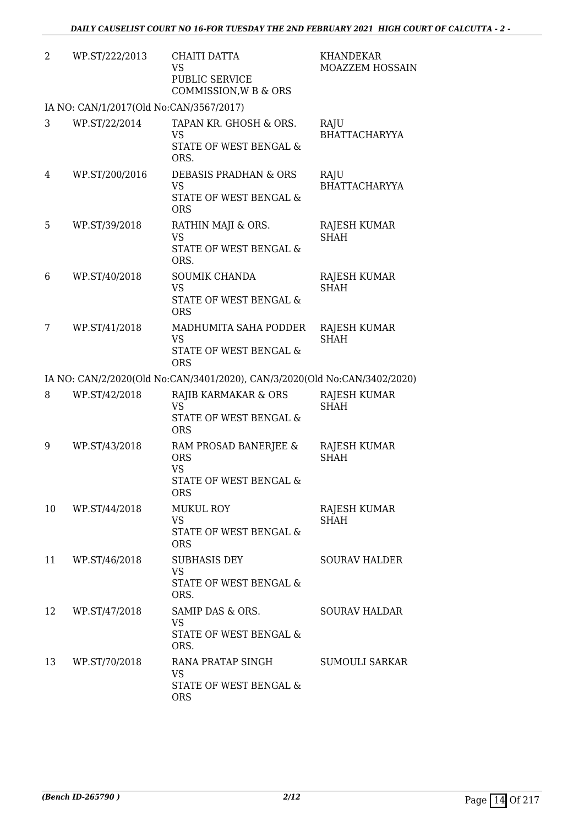| 2  | WP.ST/222/2013                          | <b>CHAITI DATTA</b><br><b>VS</b><br>PUBLIC SERVICE<br>COMMISSION, W B & ORS              | <b>KHANDEKAR</b><br>MOAZZEM HOSSAIN |
|----|-----------------------------------------|------------------------------------------------------------------------------------------|-------------------------------------|
|    | IA NO: CAN/1/2017(Old No:CAN/3567/2017) |                                                                                          |                                     |
| 3  | WP.ST/22/2014                           | TAPAN KR. GHOSH & ORS.<br><b>VS</b><br>STATE OF WEST BENGAL &<br>ORS.                    | RAJU<br><b>BHATTACHARYYA</b>        |
| 4  | WP.ST/200/2016                          | <b>DEBASIS PRADHAN &amp; ORS</b><br><b>VS</b><br>STATE OF WEST BENGAL &<br><b>ORS</b>    | RAJU<br><b>BHATTACHARYYA</b>        |
| 5  | WP.ST/39/2018                           | RATHIN MAJI & ORS.<br><b>VS</b><br><b>STATE OF WEST BENGAL &amp;</b><br>ORS.             | RAJESH KUMAR<br><b>SHAH</b>         |
| 6  | WP.ST/40/2018                           | <b>SOUMIK CHANDA</b><br><b>VS</b><br><b>STATE OF WEST BENGAL &amp;</b><br><b>ORS</b>     | RAJESH KUMAR<br><b>SHAH</b>         |
| 7  | WP.ST/41/2018                           | MADHUMITA SAHA PODDER<br>VS<br>STATE OF WEST BENGAL &<br><b>ORS</b>                      | <b>RAJESH KUMAR</b><br><b>SHAH</b>  |
|    |                                         | IA NO: CAN/2/2020(Old No:CAN/3401/2020), CAN/3/2020(Old No:CAN/3402/2020)                |                                     |
| 8  | WP.ST/42/2018                           | RAJIB KARMAKAR & ORS<br><b>VS</b><br>STATE OF WEST BENGAL &<br><b>ORS</b>                | RAJESH KUMAR<br><b>SHAH</b>         |
| 9  | WP.ST/43/2018                           | RAM PROSAD BANERJEE &<br><b>ORS</b><br><b>VS</b><br>STATE OF WEST BENGAL &<br><b>ORS</b> | RAJESH KUMAR<br><b>SHAH</b>         |
| 10 | WP.ST/44/2018                           | <b>MUKUL ROY</b><br><b>VS</b><br>STATE OF WEST BENGAL &<br><b>ORS</b>                    | RAJESH KUMAR<br><b>SHAH</b>         |
| 11 | WP.ST/46/2018                           | <b>SUBHASIS DEY</b><br><b>VS</b><br><b>STATE OF WEST BENGAL &amp;</b><br>ORS.            | <b>SOURAV HALDER</b>                |
| 12 | WP.ST/47/2018                           | SAMIP DAS & ORS.<br><b>VS</b><br>STATE OF WEST BENGAL &<br>ORS.                          | <b>SOURAV HALDAR</b>                |
| 13 | WP.ST/70/2018                           | RANA PRATAP SINGH<br><b>VS</b><br>STATE OF WEST BENGAL &<br><b>ORS</b>                   | <b>SUMOULI SARKAR</b>               |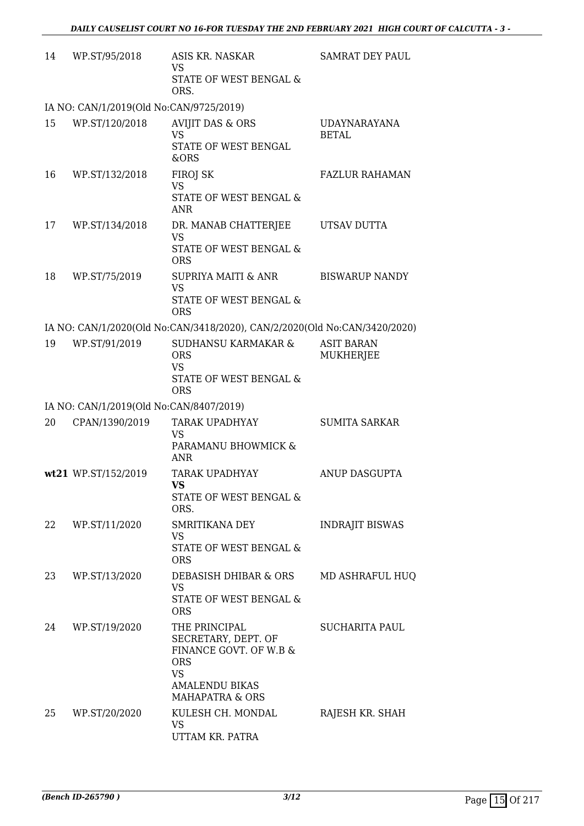| 14 | WP.ST/95/2018                           | ASIS KR. NASKAR<br><b>VS</b><br>STATE OF WEST BENGAL &<br>ORS.                                                                                   | <b>SAMRAT DEY PAUL</b>                |
|----|-----------------------------------------|--------------------------------------------------------------------------------------------------------------------------------------------------|---------------------------------------|
|    | IA NO: CAN/1/2019(Old No:CAN/9725/2019) |                                                                                                                                                  |                                       |
| 15 | WP.ST/120/2018                          | <b>AVIJIT DAS &amp; ORS</b><br><b>VS</b><br>STATE OF WEST BENGAL<br>&ORS                                                                         | <b>UDAYNARAYANA</b><br><b>BETAL</b>   |
| 16 | WP.ST/132/2018                          | <b>FIROJ SK</b><br><b>VS</b><br>STATE OF WEST BENGAL &<br><b>ANR</b>                                                                             | <b>FAZLUR RAHAMAN</b>                 |
| 17 | WP.ST/134/2018                          | DR. MANAB CHATTERJEE<br><b>VS</b><br>STATE OF WEST BENGAL &<br><b>ORS</b>                                                                        | UTSAV DUTTA                           |
| 18 | WP.ST/75/2019                           | SUPRIYA MAITI & ANR<br><b>VS</b><br>STATE OF WEST BENGAL &<br><b>ORS</b>                                                                         | <b>BISWARUP NANDY</b>                 |
|    |                                         | IA NO: CAN/1/2020(Old No:CAN/3418/2020), CAN/2/2020(Old No:CAN/3420/2020)                                                                        |                                       |
| 19 | WP.ST/91/2019                           | <b>SUDHANSU KARMAKAR &amp;</b><br><b>ORS</b><br><b>VS</b><br>STATE OF WEST BENGAL &<br><b>ORS</b>                                                | <b>ASIT BARAN</b><br><b>MUKHERJEE</b> |
|    | IA NO: CAN/1/2019(Old No:CAN/8407/2019) |                                                                                                                                                  |                                       |
| 20 | CPAN/1390/2019                          | TARAK UPADHYAY<br><b>VS</b><br>PARAMANU BHOWMICK &<br><b>ANR</b>                                                                                 | <b>SUMITA SARKAR</b>                  |
|    | wt21 WP.ST/152/2019                     | <b>TARAK UPADHYAY</b><br>VS.<br>STATE OF WEST BENGAL &<br>ORS.                                                                                   | <b>ANUP DASGUPTA</b>                  |
| 22 | WP.ST/11/2020                           | SMRITIKANA DEY<br>VS<br>STATE OF WEST BENGAL &<br><b>ORS</b>                                                                                     | <b>INDRAJIT BISWAS</b>                |
| 23 | WP.ST/13/2020                           | DEBASISH DHIBAR & ORS<br><b>VS</b><br>STATE OF WEST BENGAL &<br><b>ORS</b>                                                                       | MD ASHRAFUL HUQ                       |
| 24 | WP.ST/19/2020                           | THE PRINCIPAL<br>SECRETARY, DEPT. OF<br>FINANCE GOVT. OF W.B &<br><b>ORS</b><br><b>VS</b><br><b>AMALENDU BIKAS</b><br><b>MAHAPATRA &amp; ORS</b> | <b>SUCHARITA PAUL</b>                 |
| 25 | WP.ST/20/2020                           | KULESH CH. MONDAL<br>VS                                                                                                                          | RAJESH KR. SHAH                       |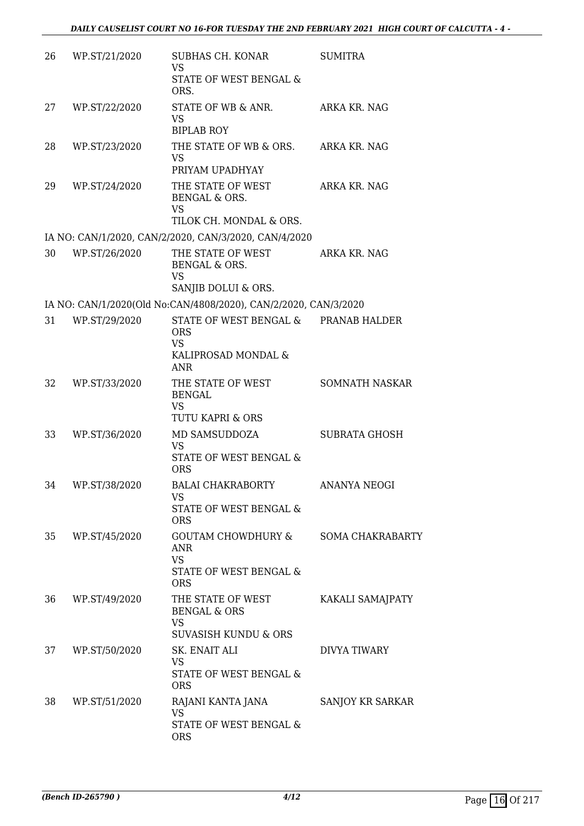| 26 | WP.ST/21/2020 | SUBHAS CH. KONAR<br><b>VS</b><br>STATE OF WEST BENGAL &<br>ORS.                                      | <b>SUMITRA</b>          |
|----|---------------|------------------------------------------------------------------------------------------------------|-------------------------|
| 27 | WP.ST/22/2020 | STATE OF WB & ANR.<br><b>VS</b><br><b>BIPLAB ROY</b>                                                 | ARKA KR. NAG            |
| 28 | WP.ST/23/2020 | THE STATE OF WB & ORS.<br><b>VS</b><br>PRIYAM UPADHYAY                                               | ARKA KR. NAG            |
| 29 | WP.ST/24/2020 | THE STATE OF WEST<br>BENGAL & ORS.<br><b>VS</b><br>TILOK CH. MONDAL & ORS.                           | ARKA KR. NAG            |
|    |               | IA NO: CAN/1/2020, CAN/2/2020, CAN/3/2020, CAN/4/2020                                                |                         |
| 30 | WP.ST/26/2020 | THE STATE OF WEST<br>BENGAL & ORS.<br><b>VS</b>                                                      | ARKA KR. NAG            |
|    |               | SANJIB DOLUI & ORS.                                                                                  |                         |
|    |               | IA NO: CAN/1/2020(Old No:CAN/4808/2020), CAN/2/2020, CAN/3/2020                                      |                         |
| 31 | WP.ST/29/2020 | STATE OF WEST BENGAL & PRANAB HALDER<br><b>ORS</b><br><b>VS</b><br>KALIPROSAD MONDAL &<br><b>ANR</b> |                         |
| 32 | WP.ST/33/2020 | THE STATE OF WEST<br><b>BENGAL</b><br><b>VS</b><br>TUTU KAPRI & ORS                                  | SOMNATH NASKAR          |
| 33 | WP.ST/36/2020 | MD SAMSUDDOZA<br><b>VS</b><br>STATE OF WEST BENGAL &<br><b>ORS</b>                                   | <b>SUBRATA GHOSH</b>    |
| 34 | WP.ST/38/2020 | BALAI CHAKRABORTY<br>VS<br>STATE OF WEST BENGAL &<br><b>ORS</b>                                      | ANANYA NEOGI            |
| 35 | WP.ST/45/2020 | GOUTAM CHOWDHURY &<br><b>ANR</b><br><b>VS</b><br>STATE OF WEST BENGAL &<br><b>ORS</b>                | <b>SOMA CHAKRABARTY</b> |
| 36 | WP.ST/49/2020 | THE STATE OF WEST<br><b>BENGAL &amp; ORS</b><br><b>VS</b><br><b>SUVASISH KUNDU &amp; ORS</b>         | KAKALI SAMAJPATY        |
| 37 | WP.ST/50/2020 | SK. ENAIT ALI<br><b>VS</b><br>STATE OF WEST BENGAL &<br><b>ORS</b>                                   | DIVYA TIWARY            |
| 38 | WP.ST/51/2020 | RAJANI KANTA JANA<br><b>VS</b><br>STATE OF WEST BENGAL &<br>ORS                                      | SANJOY KR SARKAR        |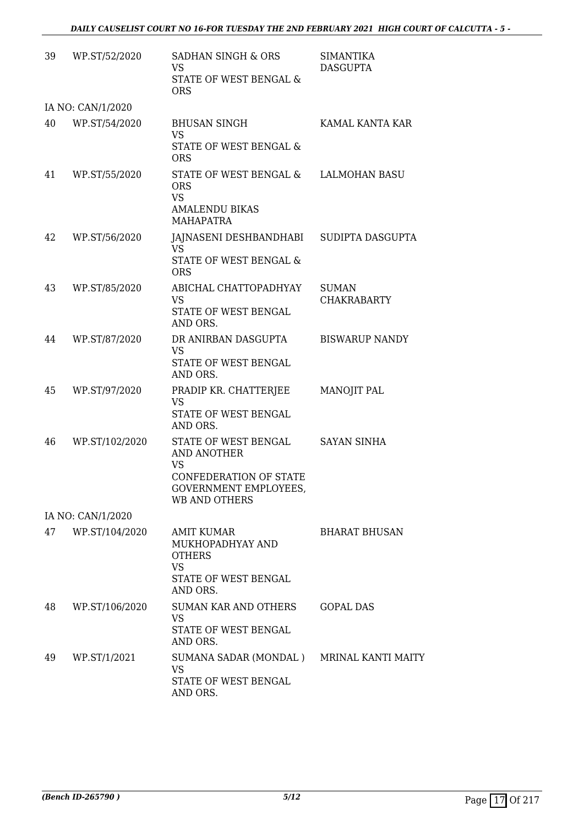| 39 | WP.ST/52/2020     | <b>SADHAN SINGH &amp; ORS</b><br><b>VS</b><br>STATE OF WEST BENGAL &<br><b>ORS</b>                                                       | <b>SIMANTIKA</b><br><b>DASGUPTA</b> |
|----|-------------------|------------------------------------------------------------------------------------------------------------------------------------------|-------------------------------------|
|    | IA NO: CAN/1/2020 |                                                                                                                                          |                                     |
| 40 | WP.ST/54/2020     | <b>BHUSAN SINGH</b><br><b>VS</b><br>STATE OF WEST BENGAL &<br><b>ORS</b>                                                                 | KAMAL KANTA KAR                     |
| 41 | WP.ST/55/2020     | STATE OF WEST BENGAL &<br><b>ORS</b><br><b>VS</b><br><b>AMALENDU BIKAS</b>                                                               | <b>LALMOHAN BASU</b>                |
|    |                   | <b>MAHAPATRA</b>                                                                                                                         |                                     |
| 42 | WP.ST/56/2020     | JAJNASENI DESHBANDHABI SUDIPTA DASGUPTA<br>VS.<br><b>STATE OF WEST BENGAL &amp;</b><br><b>ORS</b>                                        |                                     |
| 43 | WP.ST/85/2020     | ABICHAL CHATTOPADHYAY<br><b>VS</b><br>STATE OF WEST BENGAL<br>AND ORS.                                                                   | <b>SUMAN</b><br><b>CHAKRABARTY</b>  |
| 44 | WP.ST/87/2020     | DR ANIRBAN DASGUPTA<br><b>VS</b><br>STATE OF WEST BENGAL<br>AND ORS.                                                                     | <b>BISWARUP NANDY</b>               |
| 45 | WP.ST/97/2020     | PRADIP KR. CHATTERJEE<br><b>VS</b><br>STATE OF WEST BENGAL<br>AND ORS.                                                                   | MANOJIT PAL                         |
| 46 | WP.ST/102/2020    | STATE OF WEST BENGAL<br><b>AND ANOTHER</b><br><b>VS</b><br><b>CONFEDERATION OF STATE</b><br><b>GOVERNMENT EMPLOYEES</b><br>WB AND OTHERS | <b>SAYAN SINHA</b>                  |
|    | IA NO: CAN/1/2020 |                                                                                                                                          |                                     |
| 47 | WP.ST/104/2020    | <b>AMIT KUMAR</b><br>MUKHOPADHYAY AND<br><b>OTHERS</b><br><b>VS</b><br>STATE OF WEST BENGAL<br>AND ORS.                                  | <b>BHARAT BHUSAN</b>                |
| 48 | WP.ST/106/2020    | <b>SUMAN KAR AND OTHERS</b><br><b>VS</b><br>STATE OF WEST BENGAL<br>AND ORS.                                                             | <b>GOPAL DAS</b>                    |
| 49 | WP.ST/1/2021      | SUMANA SADAR (MONDAL) MRINAL KANTI MAITY<br><b>VS</b><br>STATE OF WEST BENGAL<br>AND ORS.                                                |                                     |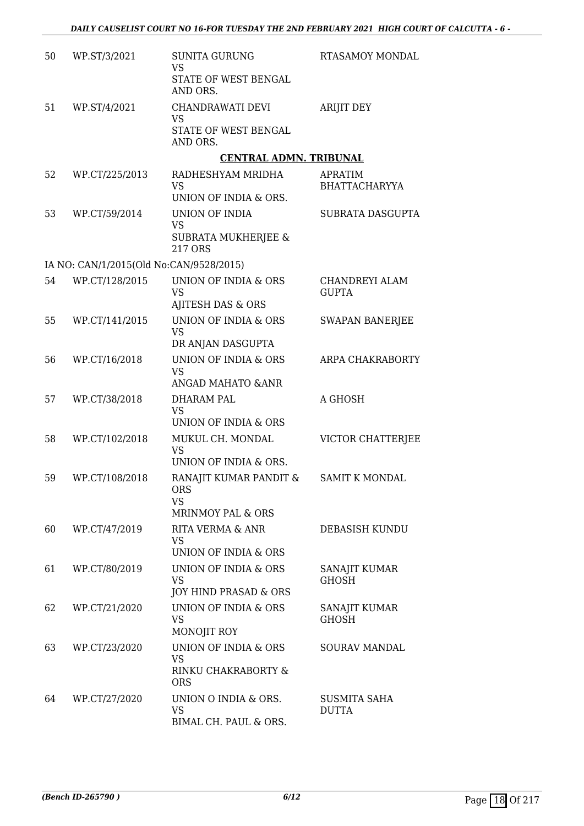| 50 | WP.ST/3/2021                            | <b>SUNITA GURUNG</b><br><b>VS</b><br>STATE OF WEST BENGAL                             | RTASAMOY MONDAL                        |
|----|-----------------------------------------|---------------------------------------------------------------------------------------|----------------------------------------|
| 51 | WP.ST/4/2021                            | AND ORS.<br>CHANDRAWATI DEVI<br><b>VS</b><br>STATE OF WEST BENGAL<br>AND ORS.         | <b>ARIJIT DEY</b>                      |
|    |                                         | <b>CENTRAL ADMN. TRIBUNAL</b>                                                         |                                        |
| 52 | WP.CT/225/2013                          | RADHESHYAM MRIDHA<br><b>VS</b><br>UNION OF INDIA & ORS.                               | <b>APRATIM</b><br><b>BHATTACHARYYA</b> |
| 53 | WP.CT/59/2014                           | <b>UNION OF INDIA</b><br><b>VS</b><br><b>SUBRATA MUKHERJEE &amp;</b><br>217 ORS       | SUBRATA DASGUPTA                       |
|    | IA NO: CAN/1/2015(Old No:CAN/9528/2015) |                                                                                       |                                        |
| 54 | WP.CT/128/2015                          | UNION OF INDIA & ORS<br><b>VS</b><br>AJITESH DAS & ORS                                | CHANDREYI ALAM<br><b>GUPTA</b>         |
| 55 | WP.CT/141/2015                          | UNION OF INDIA & ORS<br><b>VS</b><br>DR ANJAN DASGUPTA                                | <b>SWAPAN BANERJEE</b>                 |
| 56 | WP.CT/16/2018                           | UNION OF INDIA & ORS<br><b>VS</b>                                                     | ARPA CHAKRABORTY                       |
| 57 | WP.CT/38/2018                           | ANGAD MAHATO & ANR<br>DHARAM PAL<br><b>VS</b><br>UNION OF INDIA & ORS                 | A GHOSH                                |
| 58 | WP.CT/102/2018                          | MUKUL CH. MONDAL<br><b>VS</b><br>UNION OF INDIA & ORS.                                | VICTOR CHATTERJEE                      |
| 59 | WP.CT/108/2018                          | RANAJIT KUMAR PANDIT &<br><b>ORS</b><br><b>VS</b>                                     | <b>SAMIT K MONDAL</b>                  |
| 60 | WP.CT/47/2019                           | <b>MRINMOY PAL &amp; ORS</b><br>RITA VERMA & ANR<br><b>VS</b><br>UNION OF INDIA & ORS | DEBASISH KUNDU                         |
| 61 | WP.CT/80/2019                           | UNION OF INDIA & ORS<br><b>VS</b><br>JOY HIND PRASAD & ORS                            | SANAJIT KUMAR<br><b>GHOSH</b>          |
| 62 | WP.CT/21/2020                           | <b>UNION OF INDIA &amp; ORS</b><br><b>VS</b><br>MONOJIT ROY                           | SANAJIT KUMAR<br><b>GHOSH</b>          |
| 63 | WP.CT/23/2020                           | <b>UNION OF INDIA &amp; ORS</b><br><b>VS</b><br>RINKU CHAKRABORTY &<br><b>ORS</b>     | <b>SOURAV MANDAL</b>                   |
| 64 | WP.CT/27/2020                           | UNION O INDIA & ORS.<br><b>VS</b><br>BIMAL CH. PAUL & ORS.                            | <b>SUSMITA SAHA</b><br><b>DUTTA</b>    |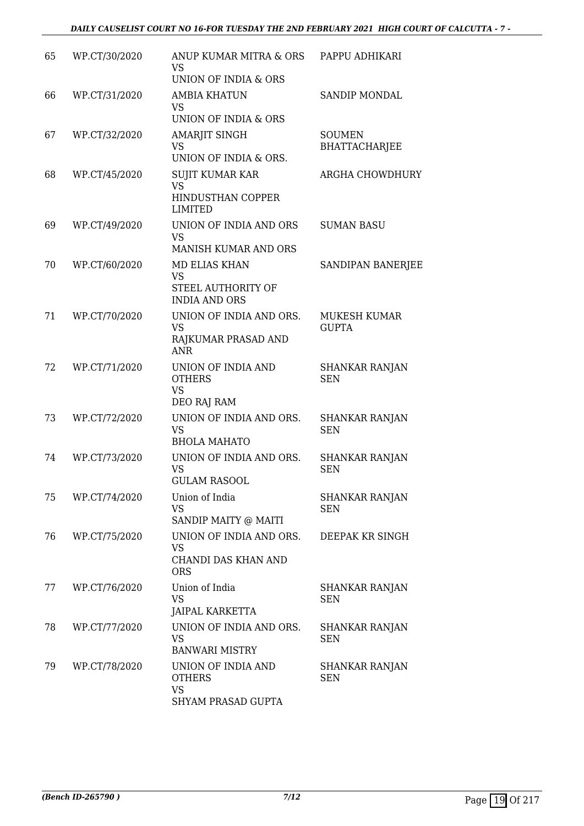| 65 | WP.CT/30/2020 | ANUP KUMAR MITRA & ORS<br><b>VS</b><br>UNION OF INDIA & ORS                     | PAPPU ADHIKARI                        |
|----|---------------|---------------------------------------------------------------------------------|---------------------------------------|
| 66 | WP.CT/31/2020 | <b>AMBIA KHATUN</b><br>VS<br><b>UNION OF INDIA &amp; ORS</b>                    | SANDIP MONDAL                         |
| 67 | WP.CT/32/2020 | AMARJIT SINGH<br>VS<br>UNION OF INDIA & ORS.                                    | <b>SOUMEN</b><br><b>BHATTACHARJEE</b> |
| 68 | WP.CT/45/2020 | <b>SUJIT KUMAR KAR</b><br><b>VS</b><br>HINDUSTHAN COPPER<br><b>LIMITED</b>      | ARGHA CHOWDHURY                       |
| 69 | WP.CT/49/2020 | UNION OF INDIA AND ORS<br><b>VS</b><br><b>MANISH KUMAR AND ORS</b>              | <b>SUMAN BASU</b>                     |
| 70 | WP.CT/60/2020 | <b>MD ELIAS KHAN</b><br><b>VS</b><br>STEEL AUTHORITY OF<br><b>INDIA AND ORS</b> | SANDIPAN BANERJEE                     |
| 71 | WP.CT/70/2020 | UNION OF INDIA AND ORS.<br><b>VS</b><br>RAJKUMAR PRASAD AND<br><b>ANR</b>       | MUKESH KUMAR<br><b>GUPTA</b>          |
| 72 | WP.CT/71/2020 | UNION OF INDIA AND<br><b>OTHERS</b><br><b>VS</b><br>DEO RAJ RAM                 | <b>SHANKAR RANJAN</b><br><b>SEN</b>   |
| 73 | WP.CT/72/2020 | UNION OF INDIA AND ORS.<br><b>VS</b><br><b>BHOLA MAHATO</b>                     | <b>SHANKAR RANJAN</b><br><b>SEN</b>   |
| 74 | WP.CT/73/2020 | UNION OF INDIA AND ORS.<br><b>VS</b><br><b>GULAM RASOOL</b>                     | <b>SHANKAR RANJAN</b><br><b>SEN</b>   |
| 75 | WP.CT/74/2020 | Union of India<br><b>VS</b><br>SANDIP MAITY @ MAITI                             | <b>SHANKAR RANJAN</b><br><b>SEN</b>   |
| 76 | WP.CT/75/2020 | UNION OF INDIA AND ORS.<br><b>VS</b><br>CHANDI DAS KHAN AND<br><b>ORS</b>       | DEEPAK KR SINGH                       |
| 77 | WP.CT/76/2020 | Union of India<br><b>VS</b><br>JAIPAL KARKETTA                                  | SHANKAR RANJAN<br><b>SEN</b>          |
| 78 | WP.CT/77/2020 | UNION OF INDIA AND ORS.<br><b>VS</b><br><b>BANWARI MISTRY</b>                   | <b>SHANKAR RANJAN</b><br><b>SEN</b>   |
| 79 | WP.CT/78/2020 | UNION OF INDIA AND<br><b>OTHERS</b><br><b>VS</b><br>SHYAM PRASAD GUPTA          | <b>SHANKAR RANJAN</b><br><b>SEN</b>   |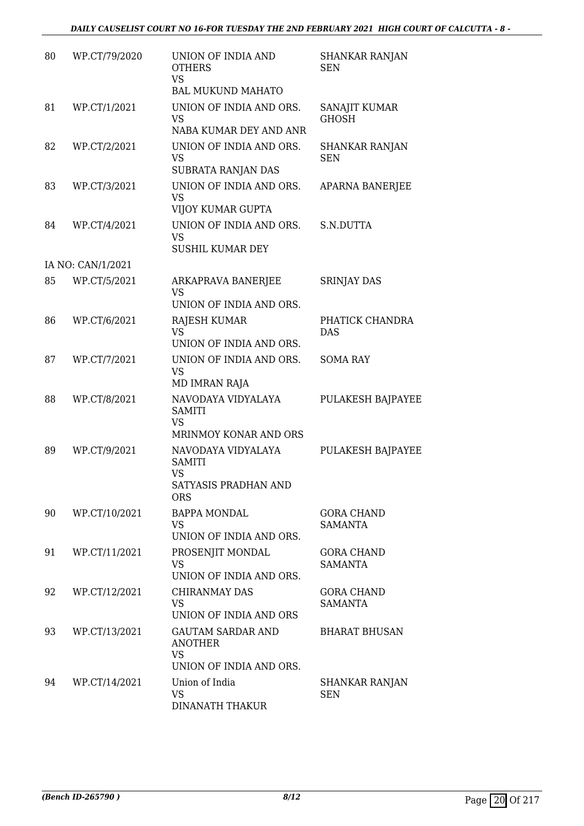| 80 | WP.CT/79/2020     | UNION OF INDIA AND<br><b>OTHERS</b><br><b>VS</b><br><b>BAL MUKUND MAHATO</b>           | <b>SHANKAR RANJAN</b><br><b>SEN</b> |
|----|-------------------|----------------------------------------------------------------------------------------|-------------------------------------|
| 81 | WP.CT/1/2021      | UNION OF INDIA AND ORS.<br>VS<br>NABA KUMAR DEY AND ANR                                | SANAJIT KUMAR<br><b>GHOSH</b>       |
| 82 | WP.CT/2/2021      | UNION OF INDIA AND ORS.<br><b>VS</b><br>SUBRATA RANJAN DAS                             | <b>SHANKAR RANJAN</b><br><b>SEN</b> |
| 83 | WP.CT/3/2021      | UNION OF INDIA AND ORS.<br><b>VS</b><br>VIJOY KUMAR GUPTA                              | APARNA BANERJEE                     |
| 84 | WP.CT/4/2021      | UNION OF INDIA AND ORS.<br><b>VS</b><br><b>SUSHIL KUMAR DEY</b>                        | S.N.DUTTA                           |
|    | IA NO: CAN/1/2021 |                                                                                        |                                     |
| 85 | WP.CT/5/2021      | ARKAPRAVA BANERJEE<br>VS                                                               | SRINJAY DAS                         |
| 86 | WP.CT/6/2021      | UNION OF INDIA AND ORS.<br><b>RAJESH KUMAR</b><br><b>VS</b><br>UNION OF INDIA AND ORS. | PHATICK CHANDRA<br><b>DAS</b>       |
| 87 | WP.CT/7/2021      | UNION OF INDIA AND ORS.<br><b>VS</b><br>MD IMRAN RAJA                                  | <b>SOMA RAY</b>                     |
| 88 | WP.CT/8/2021      | NAVODAYA VIDYALAYA<br><b>SAMITI</b><br><b>VS</b><br>MRINMOY KONAR AND ORS              | <b>PULAKESH BAJPAYEE</b>            |
| 89 | WP.CT/9/2021      | NAVODAYA VIDYALAYA<br><b>SAMITI</b><br><b>VS</b><br>SATYASIS PRADHAN AND<br><b>ORS</b> | PULAKESH BAJPAYEE                   |
| 90 | WP.CT/10/2021     | <b>BAPPA MONDAL</b><br>VS<br>UNION OF INDIA AND ORS.                                   | <b>GORA CHAND</b><br><b>SAMANTA</b> |
| 91 | WP.CT/11/2021     | PROSENJIT MONDAL<br><b>VS</b><br>UNION OF INDIA AND ORS.                               | <b>GORA CHAND</b><br><b>SAMANTA</b> |
| 92 | WP.CT/12/2021     | <b>CHIRANMAY DAS</b><br><b>VS</b><br>UNION OF INDIA AND ORS                            | <b>GORA CHAND</b><br><b>SAMANTA</b> |
| 93 | WP.CT/13/2021     | <b>GAUTAM SARDAR AND</b><br><b>ANOTHER</b><br><b>VS</b><br>UNION OF INDIA AND ORS.     | <b>BHARAT BHUSAN</b>                |
| 94 | WP.CT/14/2021     | Union of India<br><b>VS</b><br><b>DINANATH THAKUR</b>                                  | SHANKAR RANJAN<br><b>SEN</b>        |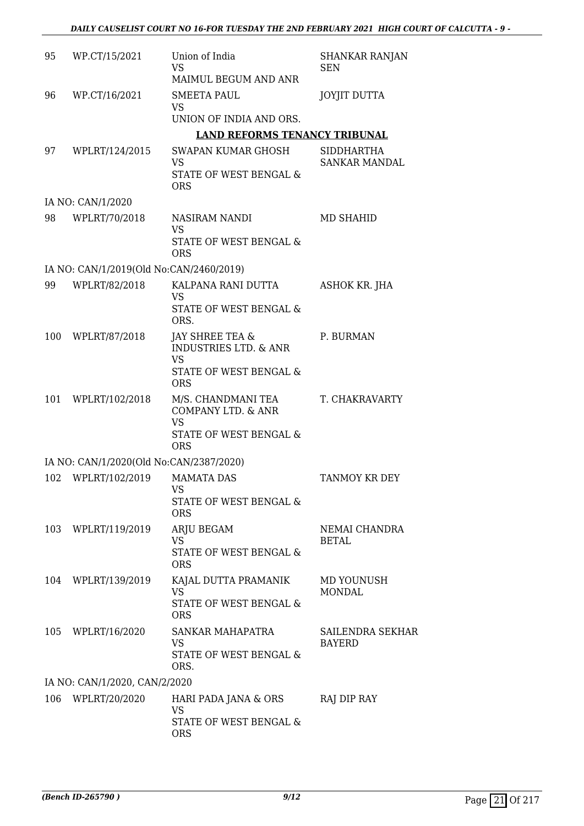| 95  | WP.CT/15/2021                           | Union of India<br><b>VS</b>                                                                | <b>SHANKAR RANJAN</b><br>SEN       |
|-----|-----------------------------------------|--------------------------------------------------------------------------------------------|------------------------------------|
| 96  | WP.CT/16/2021                           | MAIMUL BEGUM AND ANR<br><b>SMEETA PAUL</b>                                                 | <b>JOYJIT DUTTA</b>                |
|     |                                         | <b>VS</b><br>UNION OF INDIA AND ORS.                                                       |                                    |
|     |                                         | <b>LAND REFORMS TENANCY TRIBUNAL</b>                                                       |                                    |
| 97  | WPLRT/124/2015                          | SWAPAN KUMAR GHOSH<br>VS<br><b>STATE OF WEST BENGAL &amp;</b><br><b>ORS</b>                | <b>SIDDHARTHA</b><br>SANKAR MANDAL |
|     | IA NO: CAN/1/2020                       |                                                                                            |                                    |
| 98  | WPLRT/70/2018                           | NASIRAM NANDI<br>VS                                                                        | MD SHAHID                          |
|     |                                         | STATE OF WEST BENGAL &<br><b>ORS</b>                                                       |                                    |
|     | IA NO: CAN/1/2019(Old No:CAN/2460/2019) |                                                                                            |                                    |
| 99  | WPLRT/82/2018                           | KALPANA RANI DUTTA<br><b>VS</b>                                                            | ASHOK KR. JHA                      |
|     |                                         | <b>STATE OF WEST BENGAL &amp;</b><br>ORS.                                                  |                                    |
| 100 | WPLRT/87/2018                           | JAY SHREE TEA &<br><b>INDUSTRIES LTD. &amp; ANR</b><br><b>VS</b><br>STATE OF WEST BENGAL & | P. BURMAN                          |
|     |                                         | <b>ORS</b>                                                                                 |                                    |
| 101 | WPLRT/102/2018                          | M/S. CHANDMANI TEA<br>COMPANY LTD. & ANR<br><b>VS</b><br><b>STATE OF WEST BENGAL &amp;</b> | T. CHAKRAVARTY                     |
|     |                                         | <b>ORS</b>                                                                                 |                                    |
|     | IA NO: CAN/1/2020(Old No:CAN/2387/2020) |                                                                                            |                                    |
|     | 102 WPLRT/102/2019                      | <b>MAMATA DAS</b><br>VS<br>STATE OF WEST BENGAL &<br><b>ORS</b>                            | TANMOY KR DEY                      |
|     | 103 WPLRT/119/2019                      | ARJU BEGAM                                                                                 | NEMAI CHANDRA                      |
|     |                                         | VS<br>STATE OF WEST BENGAL &<br><b>ORS</b>                                                 | <b>BETAL</b>                       |
|     | 104 WPLRT/139/2019                      | KAJAL DUTTA PRAMANIK<br>VS                                                                 | MD YOUNUSH<br><b>MONDAL</b>        |
|     |                                         | STATE OF WEST BENGAL &<br><b>ORS</b>                                                       |                                    |
| 105 | WPLRT/16/2020                           | SANKAR MAHAPATRA<br><b>VS</b><br>STATE OF WEST BENGAL &<br>ORS.                            | SAILENDRA SEKHAR<br><b>BAYERD</b>  |
|     | IA NO: CAN/1/2020, CAN/2/2020           |                                                                                            |                                    |
| 106 | WPLRT/20/2020                           | HARI PADA JANA & ORS<br>VS                                                                 | RAJ DIP RAY                        |
|     |                                         | STATE OF WEST BENGAL &<br><b>ORS</b>                                                       |                                    |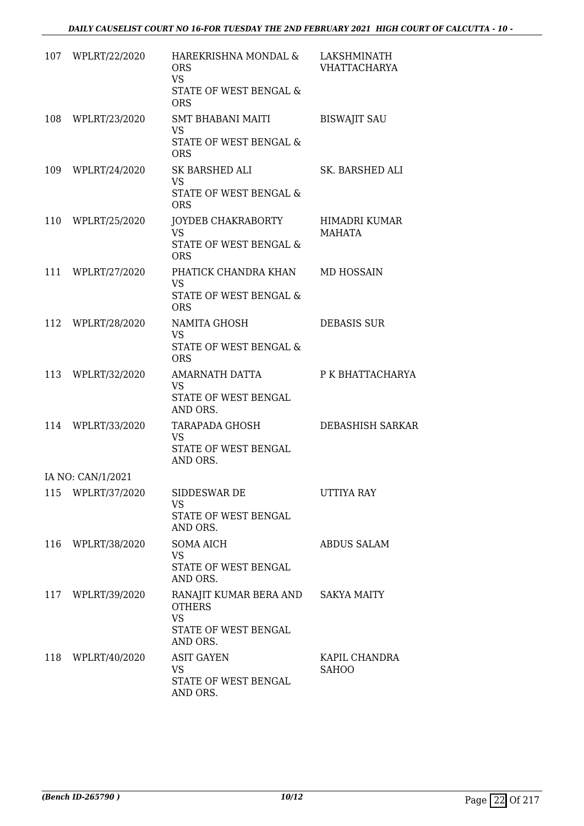|     | 107 WPLRT/22/2020 | HAREKRISHNA MONDAL &<br><b>ORS</b><br><b>VS</b><br>STATE OF WEST BENGAL &<br><b>ORS</b>  | LAKSHMINATH<br><b>VHATTACHARYA</b> |
|-----|-------------------|------------------------------------------------------------------------------------------|------------------------------------|
| 108 | WPLRT/23/2020     | <b>SMT BHABANI MAITI</b><br><b>VS</b><br>STATE OF WEST BENGAL &<br><b>ORS</b>            | <b>BISWAJIT SAU</b>                |
|     | 109 WPLRT/24/2020 | SK BARSHED ALI<br><b>VS</b><br>STATE OF WEST BENGAL &<br><b>ORS</b>                      | SK. BARSHED ALI                    |
|     | 110 WPLRT/25/2020 | JOYDEB CHAKRABORTY<br><b>VS</b><br>STATE OF WEST BENGAL &<br><b>ORS</b>                  | HIMADRI KUMAR<br>MAHATA            |
|     | 111 WPLRT/27/2020 | PHATICK CHANDRA KHAN<br><b>VS</b><br>STATE OF WEST BENGAL &<br><b>ORS</b>                | <b>MD HOSSAIN</b>                  |
|     | 112 WPLRT/28/2020 | NAMITA GHOSH<br><b>VS</b><br>STATE OF WEST BENGAL &<br><b>ORS</b>                        | <b>DEBASIS SUR</b>                 |
| 113 | WPLRT/32/2020     | AMARNATH DATTA<br><b>VS</b><br>STATE OF WEST BENGAL<br>AND ORS.                          | P K BHATTACHARYA                   |
| 114 | WPLRT/33/2020     | TARAPADA GHOSH<br><b>VS</b><br>STATE OF WEST BENGAL<br>AND ORS.                          | <b>DEBASHISH SARKAR</b>            |
|     | IA NO: CAN/1/2021 |                                                                                          |                                    |
|     | 115 WPLRT/37/2020 | SIDDESWAR DE<br><b>VS</b><br>STATE OF WEST BENGAL<br>AND ORS.                            | UTTIYA RAY                         |
|     | 116 WPLRT/38/2020 | <b>SOMA AICH</b><br><b>VS</b><br>STATE OF WEST BENGAL<br>AND ORS.                        | <b>ABDUS SALAM</b>                 |
|     | 117 WPLRT/39/2020 | RANAJIT KUMAR BERA AND<br><b>OTHERS</b><br><b>VS</b><br>STATE OF WEST BENGAL<br>AND ORS. | <b>SAKYA MAITY</b>                 |
| 118 | WPLRT/40/2020     | <b>ASIT GAYEN</b><br>VS<br>STATE OF WEST BENGAL<br>AND ORS.                              | KAPIL CHANDRA<br>SAHOO             |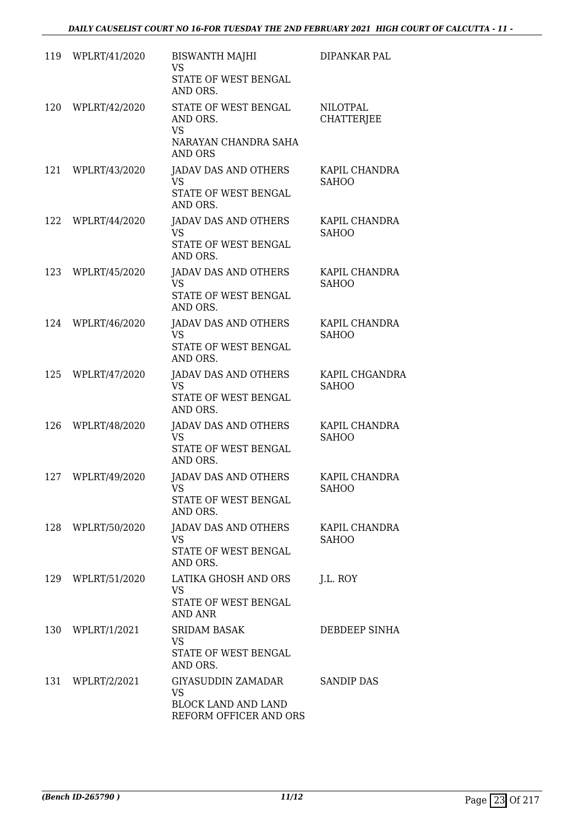| 119 | WPLRT/41/2020     | <b>BISWANTH MAJHI</b><br><b>VS</b><br>STATE OF WEST BENGAL<br>AND ORS.                        | DIPANKAR PAL                   |
|-----|-------------------|-----------------------------------------------------------------------------------------------|--------------------------------|
| 120 | WPLRT/42/2020     | STATE OF WEST BENGAL<br>AND ORS.<br><b>VS</b><br>NARAYAN CHANDRA SAHA<br><b>AND ORS</b>       | NILOTPAL<br><b>CHATTERJEE</b>  |
| 121 | WPLRT/43/2020     | <b>JADAV DAS AND OTHERS</b><br><b>VS</b><br>STATE OF WEST BENGAL<br>AND ORS.                  | KAPIL CHANDRA<br><b>SAHOO</b>  |
| 122 | WPLRT/44/2020     | JADAV DAS AND OTHERS<br><b>VS</b><br>STATE OF WEST BENGAL<br>AND ORS.                         | KAPIL CHANDRA<br><b>SAHOO</b>  |
| 123 | WPLRT/45/2020     | JADAV DAS AND OTHERS<br><b>VS</b><br><b>STATE OF WEST BENGAL</b><br>AND ORS.                  | KAPIL CHANDRA<br><b>SAHOO</b>  |
| 124 | WPLRT/46/2020     | <b>JADAV DAS AND OTHERS</b><br><b>VS</b><br>STATE OF WEST BENGAL<br>AND ORS.                  | KAPIL CHANDRA<br><b>SAHOO</b>  |
| 125 | WPLRT/47/2020     | JADAV DAS AND OTHERS<br><b>VS</b><br>STATE OF WEST BENGAL<br>AND ORS.                         | KAPIL CHGANDRA<br><b>SAHOO</b> |
| 126 | WPLRT/48/2020     | <b>JADAV DAS AND OTHERS</b><br><b>VS</b><br>STATE OF WEST BENGAL<br>AND ORS.                  | KAPIL CHANDRA<br><b>SAHOO</b>  |
| 127 | WPLRT/49/2020     | <b>JADAV DAS AND OTHERS</b><br>VS FOR THE VIOLENCE STREET<br>STATE OF WEST BENGAL<br>AND ORS. | KAPIL CHANDRA<br>SAHOO         |
| 128 | WPLRT/50/2020     | JADAV DAS AND OTHERS<br>VS.<br>STATE OF WEST BENGAL<br>AND ORS.                               | KAPIL CHANDRA<br><b>SAHOO</b>  |
|     | 129 WPLRT/51/2020 | LATIKA GHOSH AND ORS<br>VS<br>STATE OF WEST BENGAL<br><b>AND ANR</b>                          | J.L. ROY                       |
|     | 130 WPLRT/1/2021  | <b>SRIDAM BASAK</b><br>VS.<br>STATE OF WEST BENGAL<br>AND ORS.                                | DEBDEEP SINHA                  |
| 131 | WPLRT/2/2021      | GIYASUDDIN ZAMADAR<br><b>VS</b><br><b>BLOCK LAND AND LAND</b><br>REFORM OFFICER AND ORS       | <b>SANDIP DAS</b>              |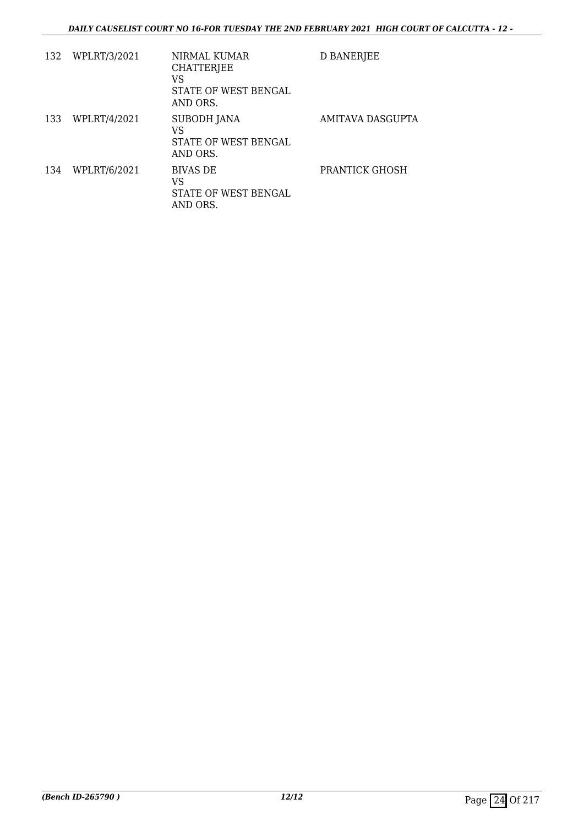| 132 | WPLRT/3/2021 | NIRMAL KUMAR<br><b>CHATTERJEE</b><br>VS<br>STATE OF WEST BENGAL<br>AND ORS. | D BANERJEE       |
|-----|--------------|-----------------------------------------------------------------------------|------------------|
| 133 | WPLRT/4/2021 | <b>SUBODH JANA</b><br>VS<br>STATE OF WEST BENGAL<br>AND ORS.                | AMITAVA DASGUPTA |
| 134 | WPLRT/6/2021 | <b>BIVAS DE</b><br>VS<br>STATE OF WEST BENGAL<br>AND ORS.                   | PRANTICK GHOSH   |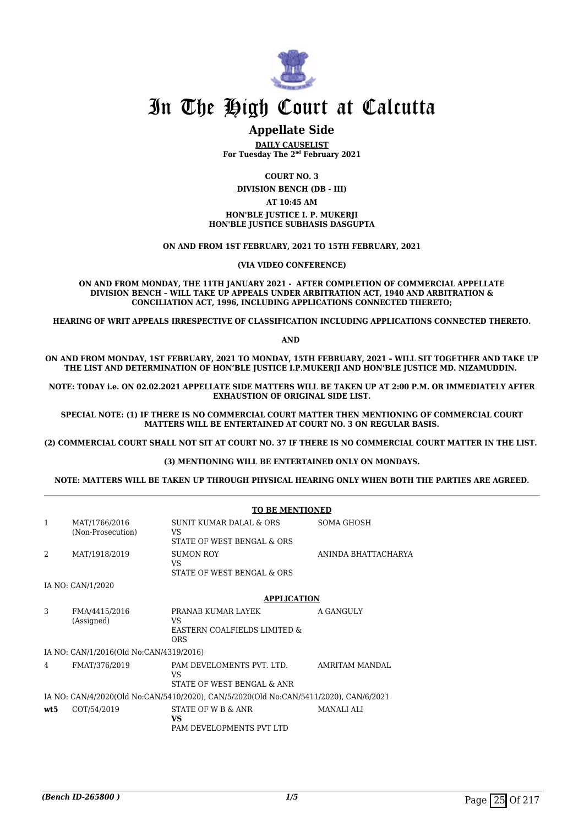

#### **Appellate Side**

**DAILY CAUSELIST For Tuesday The 2nd February 2021**

**COURT NO. 3**

**DIVISION BENCH (DB - III)**

#### **AT 10:45 AM**

**HON'BLE JUSTICE I. P. MUKERJI HON'BLE JUSTICE SUBHASIS DASGUPTA**

**ON AND FROM 1ST FEBRUARY, 2021 TO 15TH FEBRUARY, 2021**

**(VIA VIDEO CONFERENCE)**

**ON AND FROM MONDAY, THE 11TH JANUARY 2021 - AFTER COMPLETION OF COMMERCIAL APPELLATE DIVISION BENCH – WILL TAKE UP APPEALS UNDER ARBITRATION ACT, 1940 AND ARBITRATION & CONCILIATION ACT, 1996, INCLUDING APPLICATIONS CONNECTED THERETO;**

**HEARING OF WRIT APPEALS IRRESPECTIVE OF CLASSIFICATION INCLUDING APPLICATIONS CONNECTED THERETO.**

**AND** 

**ON AND FROM MONDAY, 1ST FEBRUARY, 2021 TO MONDAY, 15TH FEBRUARY, 2021 – WILL SIT TOGETHER AND TAKE UP THE LIST AND DETERMINATION OF HON'BLE JUSTICE I.P.MUKERJI AND HON'BLE JUSTICE MD. NIZAMUDDIN.** 

**NOTE: TODAY i.e. ON 02.02.2021 APPELLATE SIDE MATTERS WILL BE TAKEN UP AT 2:00 P.M. OR IMMEDIATELY AFTER EXHAUSTION OF ORIGINAL SIDE LIST.**

**SPECIAL NOTE: (1) IF THERE IS NO COMMERCIAL COURT MATTER THEN MENTIONING OF COMMERCIAL COURT MATTERS WILL BE ENTERTAINED AT COURT NO. 3 ON REGULAR BASIS.**

**(2) COMMERCIAL COURT SHALL NOT SIT AT COURT NO. 37 IF THERE IS NO COMMERCIAL COURT MATTER IN THE LIST.** 

#### **(3) MENTIONING WILL BE ENTERTAINED ONLY ON MONDAYS.**

#### **NOTE: MATTERS WILL BE TAKEN UP THROUGH PHYSICAL HEARING ONLY WHEN BOTH THE PARTIES ARE AGREED.**

|                |                                         | <b>TO BE MENTIONED</b>                                                                |                     |
|----------------|-----------------------------------------|---------------------------------------------------------------------------------------|---------------------|
| 1              | MAT/1766/2016<br>(Non-Prosecution)      | SUNIT KUMAR DALAL & ORS<br>VS                                                         | SOMA GHOSH          |
|                |                                         | STATE OF WEST BENGAL & ORS                                                            |                     |
| $\mathfrak{D}$ | MAT/1918/2019                           | <b>SUMON ROY</b><br><b>VS</b>                                                         | ANINDA BHATTACHARYA |
|                |                                         | STATE OF WEST BENGAL & ORS                                                            |                     |
|                | IA NO: CAN/1/2020                       |                                                                                       |                     |
|                |                                         | <b>APPLICATION</b>                                                                    |                     |
| 3              | FMA/4415/2016<br>(Assigned)             | PRANAB KUMAR LAYEK<br>VS.<br>EASTERN COALFIELDS LIMITED &<br>ORS                      | A GANGULY           |
|                | IA NO: CAN/1/2016(Old No:CAN/4319/2016) |                                                                                       |                     |
| 4              | FMAT/376/2019                           | PAM DEVELOMENTS PVT. LTD.<br>VS.<br>STATE OF WEST BENGAL & ANR                        | AMRITAM MANDAL      |
|                |                                         | IA NO: CAN/4/2020(Old No:CAN/5410/2020), CAN/5/2020(Old No:CAN/5411/2020), CAN/6/2021 |                     |
| wt:5           | COT/54/2019                             | STATE OF W B & ANR<br>VS<br>PAM DEVELOPMENTS PVT LTD                                  | <b>MANALI ALI</b>   |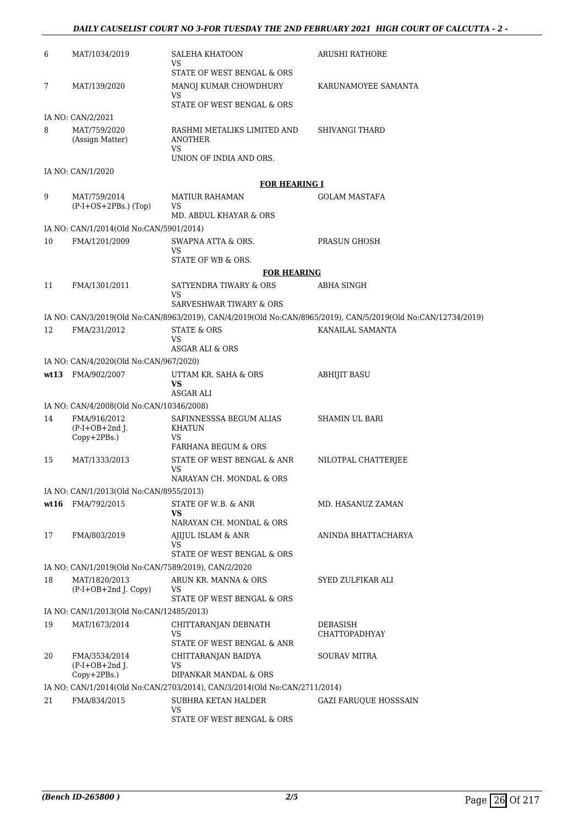#### *DAILY CAUSELIST COURT NO 3-FOR TUESDAY THE 2ND FEBRUARY 2021 HIGH COURT OF CALCUTTA - 2 -*

| 6    | MAT/1034/2019                                       | <b>SALEHA KHATOON</b><br>VS                                                                      | ARUSHI RATHORE                                                                                               |
|------|-----------------------------------------------------|--------------------------------------------------------------------------------------------------|--------------------------------------------------------------------------------------------------------------|
| 7    | MAT/139/2020                                        | STATE OF WEST BENGAL & ORS<br>MANOJ KUMAR CHOWDHURY<br>VS<br>STATE OF WEST BENGAL & ORS          | KARUNAMOYEE SAMANTA                                                                                          |
|      | IA NO: CAN/2/2021                                   |                                                                                                  |                                                                                                              |
| 8    | MAT/759/2020<br>(Assign Matter)                     | RASHMI METALIKS LIMITED AND<br>ANOTHER<br>VS.<br>UNION OF INDIA AND ORS.                         | SHIVANGI THARD                                                                                               |
|      | IA NO: CAN/1/2020                                   |                                                                                                  |                                                                                                              |
|      |                                                     | <b>FOR HEARING I</b>                                                                             |                                                                                                              |
| 9    | MAT/759/2014<br>$(P-I+OS+2PBs.)$ (Top)              | MATIUR RAHAMAN<br><b>VS</b><br>MD. ABDUL KHAYAR & ORS                                            | GOLAM MASTAFA                                                                                                |
|      | IA NO: CAN/1/2014(Old No:CAN/5901/2014)             |                                                                                                  |                                                                                                              |
| 10   | FMA/1201/2009                                       | SWAPNA ATTA & ORS.<br>VS                                                                         | PRASUN GHOSH                                                                                                 |
|      |                                                     | STATE OF WB & ORS.                                                                               |                                                                                                              |
|      |                                                     | <b>FOR HEARING</b>                                                                               |                                                                                                              |
| 11   | FMA/1301/2011                                       | SATYENDRA TIWARY & ORS<br><b>VS</b>                                                              | ABHA SINGH                                                                                                   |
|      |                                                     | SARVESHWAR TIWARY & ORS                                                                          |                                                                                                              |
|      |                                                     |                                                                                                  | IA NO: CAN/3/2019(Old No:CAN/8963/2019), CAN/4/2019(Old No:CAN/8965/2019), CAN/5/2019(Old No:CAN/12734/2019) |
| 12   | FMA/231/2012                                        | <b>STATE &amp; ORS</b><br>VS                                                                     | KANAILAL SAMANTA                                                                                             |
|      |                                                     | ASGAR ALI & ORS                                                                                  |                                                                                                              |
|      | IA NO: CAN/4/2020(Old No:CAN/967/2020)              |                                                                                                  |                                                                                                              |
| wt13 | FMA/902/2007                                        | UTTAM KR. SAHA & ORS<br><b>VS</b><br>ASGAR ALI                                                   | <b>ABHIJIT BASU</b>                                                                                          |
|      | IA NO: CAN/4/2008(Old No:CAN/10346/2008)            |                                                                                                  |                                                                                                              |
| 14   | FMA/916/2012<br>$(P-I+OB+2nd$ J.                    | SAFINNESSSA BEGUM ALIAS<br>KHATUN                                                                | SHAMIN UL BARI                                                                                               |
|      | Copy+2PBs.)                                         | <b>VS</b><br><b>FARHANA BEGUM &amp; ORS</b>                                                      |                                                                                                              |
| 15   | MAT/1333/2013                                       | STATE OF WEST BENGAL & ANR<br>VS                                                                 | NILOTPAL CHATTERJEE                                                                                          |
|      |                                                     | NARAYAN CH. MONDAL & ORS                                                                         |                                                                                                              |
|      | IA NO: CAN/1/2013(Old No:CAN/8955/2013)             |                                                                                                  |                                                                                                              |
| wt16 | FMA/792/2015                                        | STATE OF W.B. & ANR<br><b>VS</b><br>NARAYAN CH. MONDAL & ORS                                     | MD. HASANUZ ZAMAN                                                                                            |
| 17   | FMA/803/2019                                        | AJIJUL ISLAM & ANR<br>VS                                                                         | ANINDA BHATTACHARYA                                                                                          |
|      |                                                     | STATE OF WEST BENGAL & ORS                                                                       |                                                                                                              |
|      | IA NO: CAN/1/2019(Old No:CAN/7589/2019), CAN/2/2020 |                                                                                                  |                                                                                                              |
| 18   | MAT/1820/2013<br>$(P-I+OB+2nd J. Copy)$             | ARUN KR. MANNA & ORS<br>VS<br>STATE OF WEST BENGAL & ORS                                         | SYED ZULFIKAR ALI                                                                                            |
|      | IA NO: CAN/1/2013(Old No:CAN/12485/2013)            |                                                                                                  |                                                                                                              |
| 19   | MAT/1673/2014                                       | CHITTARANJAN DEBNATH                                                                             | DEBASISH                                                                                                     |
|      |                                                     | VS<br>STATE OF WEST BENGAL & ANR                                                                 | CHATTOPADHYAY                                                                                                |
| 20   | FMA/3534/2014<br>$(P-I+OB+2nd$ J.                   | CHITTARANJAN BAIDYA<br>VS                                                                        | <b>SOURAV MITRA</b>                                                                                          |
|      | Copy+2PBs.)                                         | DIPANKAR MANDAL & ORS                                                                            |                                                                                                              |
|      |                                                     |                                                                                                  |                                                                                                              |
| 21   | FMA/834/2015                                        | IA NO: CAN/1/2014(Old No:CAN/2703/2014), CAN/3/2014(Old No:CAN/2711/2014)<br>SUBHRA KETAN HALDER | <b>GAZI FARUQUE HOSSSAIN</b>                                                                                 |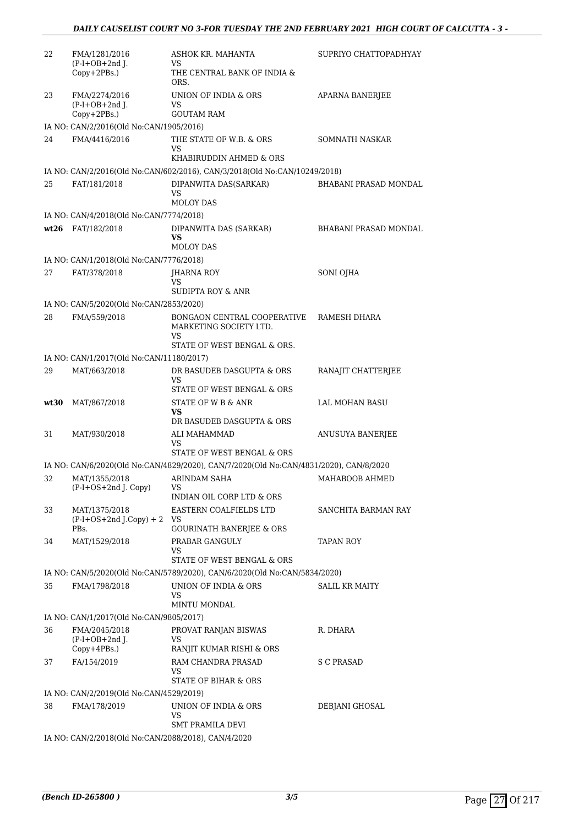| 22   | FMA/1281/2016                                       | ASHOK KR. MAHANTA                                                                                 | SUPRIYO CHATTOPADHYAY        |
|------|-----------------------------------------------------|---------------------------------------------------------------------------------------------------|------------------------------|
|      | $(P-I+OB+2nd J.$<br>$Copy+2PBs.$ )                  | VS<br>THE CENTRAL BANK OF INDIA &<br>ORS.                                                         |                              |
| 23   | FMA/2274/2016<br>$(P-I+OB+2nd)$ .                   | UNION OF INDIA & ORS<br>VS                                                                        | <b>APARNA BANERJEE</b>       |
|      | Copy+2PBs.)                                         | <b>GOUTAM RAM</b>                                                                                 |                              |
|      | IA NO: CAN/2/2016(Old No:CAN/1905/2016)             |                                                                                                   |                              |
| 24   | FMA/4416/2016                                       | THE STATE OF W.B. & ORS<br>VS<br>KHABIRUDDIN AHMED & ORS                                          | SOMNATH NASKAR               |
|      |                                                     | IA NO: CAN/2/2016(Old No:CAN/602/2016), CAN/3/2018(Old No:CAN/10249/2018)                         |                              |
| 25   | FAT/181/2018                                        | DIPANWITA DAS(SARKAR)                                                                             | <b>BHABANI PRASAD MONDAL</b> |
|      |                                                     | VS.                                                                                               |                              |
|      |                                                     | <b>MOLOY DAS</b>                                                                                  |                              |
|      | IA NO: CAN/4/2018(Old No:CAN/7774/2018)             |                                                                                                   |                              |
| wt26 | FAT/182/2018                                        | DIPANWITA DAS (SARKAR)<br>VS<br><b>MOLOY DAS</b>                                                  | <b>BHABANI PRASAD MONDAL</b> |
|      | IA NO: CAN/1/2018(Old No:CAN/7776/2018)             |                                                                                                   |                              |
| 27   | FAT/378/2018                                        | JHARNA ROY                                                                                        | SONI OJHA                    |
|      |                                                     | VS                                                                                                |                              |
|      |                                                     | SUDIPTA ROY & ANR                                                                                 |                              |
|      | IA NO: CAN/5/2020(Old No:CAN/2853/2020)             |                                                                                                   |                              |
| 28   | FMA/559/2018                                        | BONGAON CENTRAL COOPERATIVE<br>MARKETING SOCIETY LTD.<br>VS                                       | RAMESH DHARA                 |
|      |                                                     | STATE OF WEST BENGAL & ORS.                                                                       |                              |
|      | IA NO: CAN/1/2017(Old No:CAN/11180/2017)            |                                                                                                   |                              |
| 29   | MAT/663/2018                                        | DR BASUDEB DASGUPTA & ORS<br><b>VS</b>                                                            | RANAJIT CHATTERJEE           |
|      |                                                     | STATE OF WEST BENGAL & ORS                                                                        |                              |
| wt30 | MAT/867/2018                                        | STATE OF W B & ANR<br>VS<br>DR BASUDEB DASGUPTA & ORS                                             | <b>LAL MOHAN BASU</b>        |
| 31   | MAT/930/2018                                        | ALI MAHAMMAD<br>VS                                                                                | ANUSUYA BANERJEE             |
|      |                                                     | STATE OF WEST BENGAL & ORS                                                                        |                              |
|      |                                                     | IA NO: CAN/6/2020(Old No:CAN/4829/2020), CAN/7/2020(Old No:CAN/4831/2020), CAN/8/2020             |                              |
| 32   | MAT/1355/2018<br>(P-I+OS+2nd J. Copy)               | ARINDAM SAHA<br>VS<br>INDIAN OIL CORP LTD & ORS                                                   | MAHABOOB AHMED               |
| 33   | MAT/1375/2018                                       | EASTERN COALFIELDS LTD                                                                            | SANCHITA BARMAN RAY          |
|      | $(P-I+OS+2nd J.Copy) + 2$<br>PBs.                   | VS<br>GOURINATH BANERJEE & ORS                                                                    |                              |
| 34   | MAT/1529/2018                                       | PRABAR GANGULY                                                                                    | TAPAN ROY                    |
|      |                                                     | VS                                                                                                |                              |
|      |                                                     | STATE OF WEST BENGAL & ORS                                                                        |                              |
|      |                                                     | IA NO: CAN/5/2020(Old No:CAN/5789/2020), CAN/6/2020(Old No:CAN/5834/2020)<br>UNION OF INDIA & ORS | <b>SALIL KR MAITY</b>        |
| 35   | FMA/1798/2018                                       | VS<br>MINTU MONDAL                                                                                |                              |
|      | IA NO: CAN/1/2017(Old No:CAN/9805/2017)             |                                                                                                   |                              |
| 36   | FMA/2045/2018                                       | PROVAT RANJAN BISWAS                                                                              | R. DHARA                     |
|      | $(P-I+OB+2nd$ J.                                    | VS                                                                                                |                              |
|      | $Copy+4PBs.$ )                                      | RANJIT KUMAR RISHI & ORS<br>RAM CHANDRA PRASAD                                                    |                              |
| 37   | FA/154/2019                                         | VS<br>STATE OF BIHAR & ORS                                                                        | S C PRASAD                   |
|      | IA NO: CAN/2/2019(Old No:CAN/4529/2019)             |                                                                                                   |                              |
| 38   | FMA/178/2019                                        | UNION OF INDIA & ORS<br><b>VS</b>                                                                 | DEBJANI GHOSAL               |
|      |                                                     | <b>SMT PRAMILA DEVI</b>                                                                           |                              |
|      | IA NO: CAN/2/2018(Old No:CAN/2088/2018), CAN/4/2020 |                                                                                                   |                              |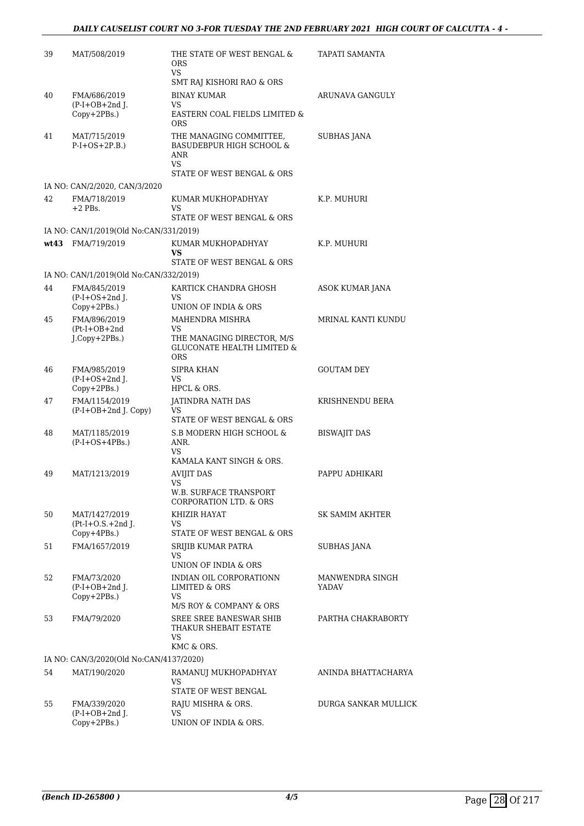| 39 | MAT/508/2019                                      | THE STATE OF WEST BENGAL &<br><b>ORS</b><br>VS                                                            | TAPATI SAMANTA           |
|----|---------------------------------------------------|-----------------------------------------------------------------------------------------------------------|--------------------------|
|    |                                                   | SMT RAJ KISHORI RAO & ORS                                                                                 |                          |
| 40 | FMA/686/2019<br>$(P-I+OB+2nd$ J.                  | <b>BINAY KUMAR</b><br>VS.                                                                                 | ARUNAVA GANGULY          |
|    | Copy+2PBs.)                                       | EASTERN COAL FIELDS LIMITED &<br><b>ORS</b>                                                               |                          |
| 41 | MAT/715/2019<br>$P-I+OS+2P.B.)$                   | THE MANAGING COMMITTEE,<br><b>BASUDEBPUR HIGH SCHOOL &amp;</b><br>ANR<br>VS<br>STATE OF WEST BENGAL & ORS | <b>SUBHAS JANA</b>       |
|    | IA NO: CAN/2/2020, CAN/3/2020                     |                                                                                                           |                          |
| 42 | FMA/718/2019<br>$+2$ PBs.                         | KUMAR MUKHOPADHYAY<br>VS.<br>STATE OF WEST BENGAL & ORS                                                   | K.P. MUHURI              |
|    | IA NO: CAN/1/2019(Old No:CAN/331/2019)            |                                                                                                           |                          |
|    | wt43 FMA/719/2019                                 | KUMAR MUKHOPADHYAY<br><b>VS</b><br>STATE OF WEST BENGAL & ORS                                             | K.P. MUHURI              |
|    | IA NO: CAN/1/2019(Old No:CAN/332/2019)            |                                                                                                           |                          |
| 44 | FMA/845/2019                                      | KARTICK CHANDRA GHOSH                                                                                     | ASOK KUMAR JANA          |
|    | $(P-I+OS+2nd$ J.<br>Copy+2PBs.)                   | VS.<br>UNION OF INDIA & ORS                                                                               |                          |
| 45 | FMA/896/2019                                      | <b>MAHENDRA MISHRA</b>                                                                                    | MRINAL KANTI KUNDU       |
|    | $(Pt-I+OB+2nd$<br>J.Copy+2PBs.)                   | VS<br>THE MANAGING DIRECTOR, M/S<br><b>GLUCONATE HEALTH LIMITED &amp;</b><br><b>ORS</b>                   |                          |
| 46 | FMA/985/2019<br>$(P-I+OS+2nd$ J.<br>Copy+2PBs.)   | SIPRA KHAN<br>VS.<br>HPCL & ORS.                                                                          | <b>GOUTAM DEY</b>        |
| 47 | FMA/1154/2019<br>$(P-I+OB+2nd J. Copy)$           | JATINDRA NATH DAS<br>VS                                                                                   | KRISHNENDU BERA          |
| 48 | MAT/1185/2019<br>$(P-I+OS+4PBs.)$                 | STATE OF WEST BENGAL & ORS<br>S.B MODERN HIGH SCHOOL &<br>ANR.<br>VS.                                     | <b>BISWAJIT DAS</b>      |
|    |                                                   | KAMALA KANT SINGH & ORS.                                                                                  |                          |
| 49 | MAT/1213/2019                                     | <b>AVIJIT DAS</b><br><b>VS</b>                                                                            | PAPPU ADHIKARI           |
|    |                                                   | W.B. SURFACE TRANSPORT<br>CORPORATION LTD. & ORS                                                          |                          |
| 50 | MAT/1427/2019<br>$Pt-I+O.S.+2nd$ J.               | KHIZIR HAYAT<br>VS                                                                                        | SK SAMIM AKHTER          |
| 51 | $Copy+4PBs.$ )<br>FMA/1657/2019                   | STATE OF WEST BENGAL & ORS<br>SRIJIB KUMAR PATRA                                                          | SUBHAS JANA              |
|    |                                                   | VS<br>UNION OF INDIA & ORS                                                                                |                          |
| 52 | FMA/73/2020<br>$(P-I+OB+2nd J.$<br>$Copy+2PBs.$ ) | INDIAN OIL CORPORATIONN<br>LIMITED & ORS<br>VS                                                            | MANWENDRA SINGH<br>YADAV |
|    |                                                   | M/S ROY & COMPANY & ORS                                                                                   |                          |
| 53 | FMA/79/2020                                       | SREE SREE BANESWAR SHIB<br>THAKUR SHEBAIT ESTATE<br>VS<br>KMC & ORS.                                      | PARTHA CHAKRABORTY       |
|    | IA NO: CAN/3/2020(Old No:CAN/4137/2020)           |                                                                                                           |                          |
| 54 | MAT/190/2020                                      | RAMANUJ MUKHOPADHYAY<br>VS                                                                                | ANINDA BHATTACHARYA      |
|    |                                                   | STATE OF WEST BENGAL                                                                                      |                          |
| 55 | FMA/339/2020<br>$(P-I+OB+2nd$ J.<br>Copy+2PBs.)   | RAJU MISHRA & ORS.<br>VS<br>UNION OF INDIA & ORS.                                                         | DURGA SANKAR MULLICK     |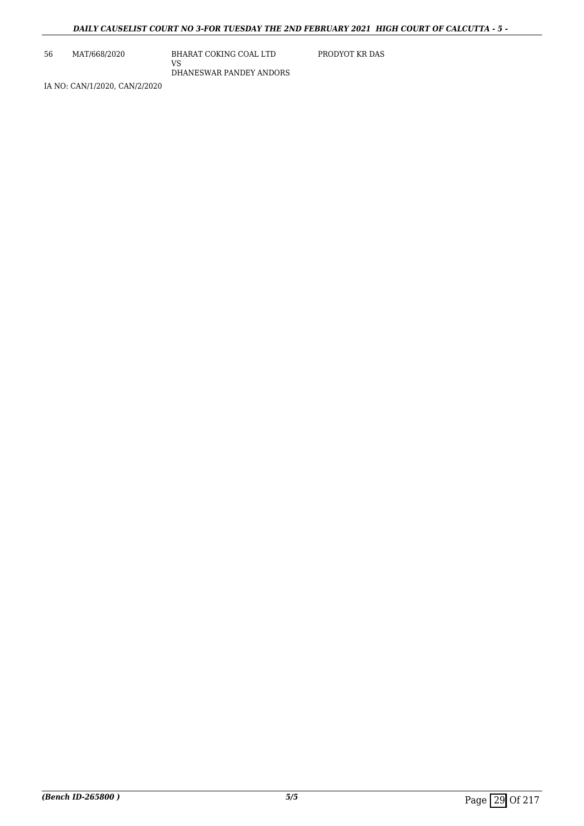56 MAT/668/2020 BHARAT COKING COAL LTD VS DHANESWAR PANDEY ANDORS PRODYOT KR DAS

IA NO: CAN/1/2020, CAN/2/2020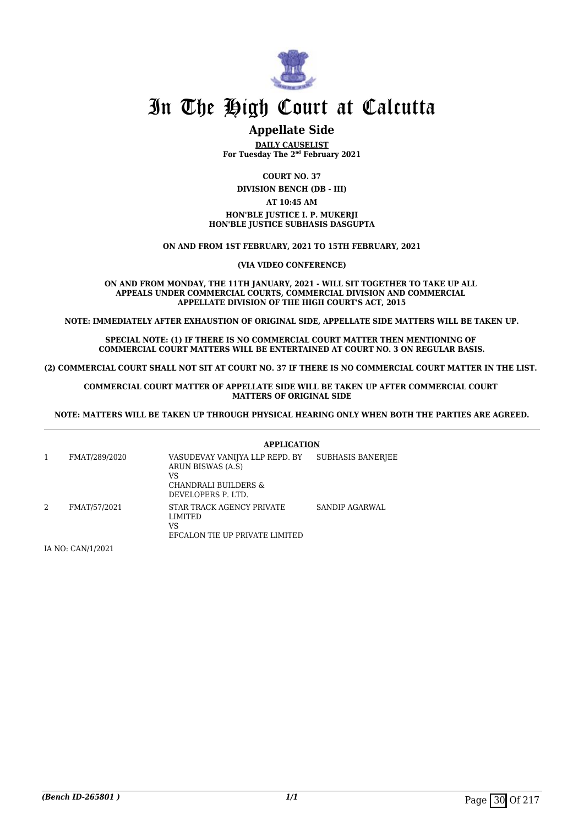

#### **Appellate Side**

**DAILY CAUSELIST For Tuesday The 2nd February 2021**

**COURT NO. 37**

**DIVISION BENCH (DB - III)**

#### **AT 10:45 AM**

#### **HON'BLE JUSTICE I. P. MUKERJI HON'BLE JUSTICE SUBHASIS DASGUPTA**

**ON AND FROM 1ST FEBRUARY, 2021 TO 15TH FEBRUARY, 2021**

**(VIA VIDEO CONFERENCE)**

**ON AND FROM MONDAY, THE 11TH JANUARY, 2021 - WILL SIT TOGETHER TO TAKE UP ALL APPEALS UNDER COMMERCIAL COURTS, COMMERCIAL DIVISION AND COMMERCIAL APPELLATE DIVISION OF THE HIGH COURT'S ACT, 2015**

**NOTE: IMMEDIATELY AFTER EXHAUSTION OF ORIGINAL SIDE, APPELLATE SIDE MATTERS WILL BE TAKEN UP.**

**SPECIAL NOTE: (1) IF THERE IS NO COMMERCIAL COURT MATTER THEN MENTIONING OF COMMERCIAL COURT MATTERS WILL BE ENTERTAINED AT COURT NO. 3 ON REGULAR BASIS.**

**(2) COMMERCIAL COURT SHALL NOT SIT AT COURT NO. 37 IF THERE IS NO COMMERCIAL COURT MATTER IN THE LIST.** 

**COMMERCIAL COURT MATTER OF APPELLATE SIDE WILL BE TAKEN UP AFTER COMMERCIAL COURT MATTERS OF ORIGINAL SIDE**

**NOTE: MATTERS WILL BE TAKEN UP THROUGH PHYSICAL HEARING ONLY WHEN BOTH THE PARTIES ARE AGREED.**

|   |               | <b>APPLICATION</b>                                                                                      |                          |
|---|---------------|---------------------------------------------------------------------------------------------------------|--------------------------|
|   | FMAT/289/2020 | VASUDEVAY VANIJYA LLP REPD. BY<br>ARUN BISWAS (A.S)<br>VS<br>CHANDRALI BUILDERS &<br>DEVELOPERS P. LTD. | <b>SUBHASIS BANERIEE</b> |
| 2 | FMAT/57/2021  | STAR TRACK AGENCY PRIVATE<br>LIMITED<br>VS<br>EFCALON TIE UP PRIVATE LIMITED                            | SANDIP AGARWAL           |

IA NO: CAN/1/2021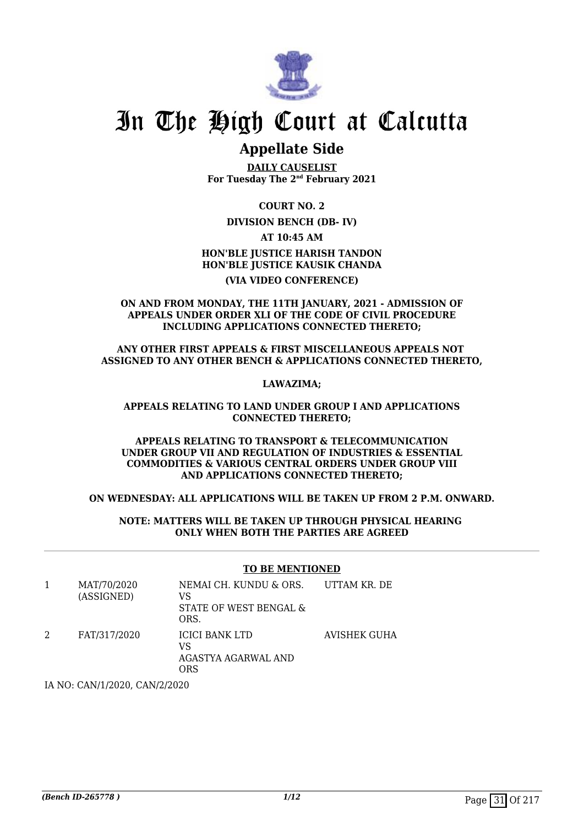

### **Appellate Side**

**DAILY CAUSELIST For Tuesday The 2nd February 2021**

**COURT NO. 2**

**DIVISION BENCH (DB- IV)**

**AT 10:45 AM**

#### **HON'BLE JUSTICE HARISH TANDON HON'BLE JUSTICE KAUSIK CHANDA (VIA VIDEO CONFERENCE)**

#### **ON AND FROM MONDAY, THE 11TH JANUARY, 2021 - ADMISSION OF APPEALS UNDER ORDER XLI OF THE CODE OF CIVIL PROCEDURE INCLUDING APPLICATIONS CONNECTED THERETO;**

#### **ANY OTHER FIRST APPEALS & FIRST MISCELLANEOUS APPEALS NOT ASSIGNED TO ANY OTHER BENCH & APPLICATIONS CONNECTED THERETO,**

**LAWAZIMA;**

#### **APPEALS RELATING TO LAND UNDER GROUP I AND APPLICATIONS CONNECTED THERETO;**

#### **APPEALS RELATING TO TRANSPORT & TELECOMMUNICATION UNDER GROUP VII AND REGULATION OF INDUSTRIES & ESSENTIAL COMMODITIES & VARIOUS CENTRAL ORDERS UNDER GROUP VIII AND APPLICATIONS CONNECTED THERETO;**

#### **ON WEDNESDAY: ALL APPLICATIONS WILL BE TAKEN UP FROM 2 P.M. ONWARD.**

#### **NOTE: MATTERS WILL BE TAKEN UP THROUGH PHYSICAL HEARING ONLY WHEN BOTH THE PARTIES ARE AGREED**

#### **TO BE MENTIONED**

| MAT/70/2020<br>(ASSIGNED) | NEMAI CH. KUNDU & ORS.<br>VS<br>STATE OF WEST BENGAL &<br>ORS. | UTTAM KR. DE |
|---------------------------|----------------------------------------------------------------|--------------|
| FAT/317/2020              | <b>ICICI BANK LTD</b><br>VS<br>AGASTYA AGARWAL AND<br>ORS      | AVISHEK GUHA |

IA NO: CAN/1/2020, CAN/2/2020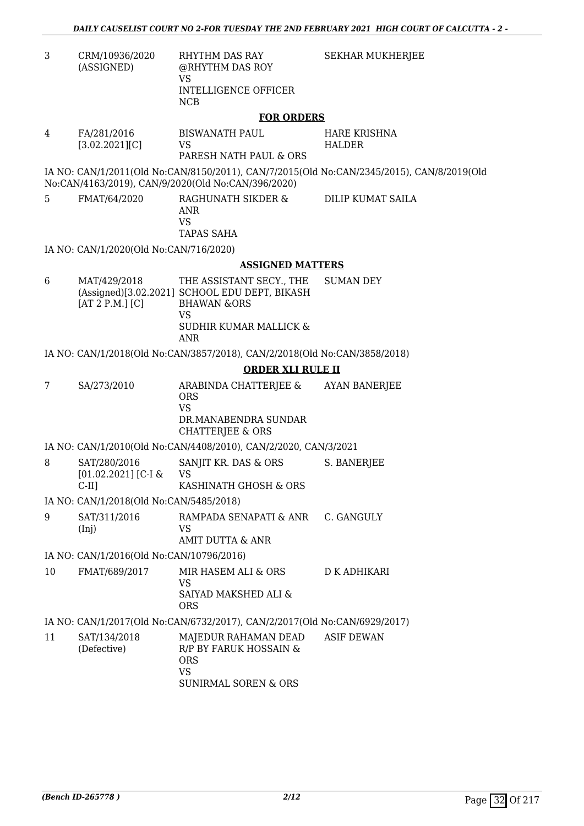| CRM/10936/2020 | RHYTHM DAS RAY       |  |
|----------------|----------------------|--|
| (ASSIGNED)     | @RHYTHM DAS ROY      |  |
|                | VS                   |  |
|                | INTELLIGENCE OFFICER |  |

NCB

SEKHAR MUKHERJEE

#### **FOR ORDERS**

| 4 | FA/281/2016    | BISWANATH PAUL         | HARE KRISHNA |
|---|----------------|------------------------|--------------|
|   | [3.02.2021][C] | VS.                    | HALDER       |
|   |                | PARESH NATH PAUL & ORS |              |

IA NO: CAN/1/2011(Old No:CAN/8150/2011), CAN/7/2015(Old No:CAN/2345/2015), CAN/8/2019(Old No:CAN/4163/2019), CAN/9/2020(Old No:CAN/396/2020)

5 FMAT/64/2020 RAGHUNATH SIKDER & ANR VS TAPAS SAHA

DILIP KUMAT SAILA

IA NO: CAN/1/2020(Old No:CAN/716/2020)

#### **ASSIGNED MATTERS**

6 MAT/429/2018 (Assigned)[3.02.2021] SCHOOL EDU DEPT, BIKASH [AT 2 P.M.] [C] THE ASSISTANT SECY., THE BHAWAN &ORS VS SUDHIR KUMAR MALLICK & ANR SUMAN DEY

IA NO: CAN/1/2018(Old No:CAN/3857/2018), CAN/2/2018(Old No:CAN/3858/2018)

#### **ORDER XLI RULE II**

7 SA/273/2010 ARABINDA CHATTERJEE & ORS VS DR.MANABENDRA SUNDAR CHATTERJEE & ORS AYAN BANERJEE

IA NO: CAN/1/2010(Old No:CAN/4408/2010), CAN/2/2020, CAN/3/2021

8 SAT/280/2016 [01.02.2021] [C-I & C-II] SANJIT KR. DAS & ORS VS KASHINATH GHOSH & ORS S. BANERJEE

IA NO: CAN/1/2018(Old No:CAN/5485/2018)

9 SAT/311/2016 (Inj) RAMPADA SENAPATI & ANR VS AMIT DUTTA & ANR C. GANGULY

IA NO: CAN/1/2016(Old No:CAN/10796/2016)

10 FMAT/689/2017 MIR HASEM ALI & ORS VS SAIYAD MAKSHED ALI & ORS D K ADHIKARI

IA NO: CAN/1/2017(Old No:CAN/6732/2017), CAN/2/2017(Old No:CAN/6929/2017)

| 11 | SAT/134/2018 | MAJEDUR RAHAMAN DEAD   | ASIF DEWAN |
|----|--------------|------------------------|------------|
|    | (Defective)  | R/P BY FARUK HOSSAIN & |            |
|    |              | ORS                    |            |
|    |              | VS                     |            |
|    |              | SUNIRMAL SOREN & ORS   |            |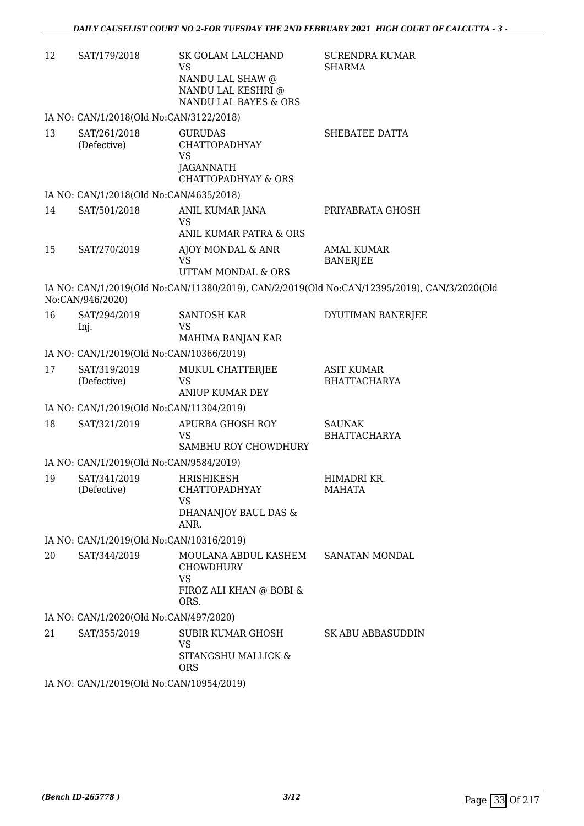| 12 | SAT/179/2018                             | SK GOLAM LALCHAND<br>VS<br>NANDU LAL SHAW @<br>NANDU LAL KESHRI @<br>NANDU LAL BAYES & ORS         | <b>SURENDRA KUMAR</b><br><b>SHARMA</b>                                                      |  |  |
|----|------------------------------------------|----------------------------------------------------------------------------------------------------|---------------------------------------------------------------------------------------------|--|--|
|    | IA NO: CAN/1/2018(Old No:CAN/3122/2018)  |                                                                                                    |                                                                                             |  |  |
| 13 | SAT/261/2018<br>(Defective)              | <b>GURUDAS</b><br><b>CHATTOPADHYAY</b><br>VS<br><b>JAGANNATH</b><br><b>CHATTOPADHYAY &amp; ORS</b> | SHEBATEE DATTA                                                                              |  |  |
|    | IA NO: CAN/1/2018(Old No:CAN/4635/2018)  |                                                                                                    |                                                                                             |  |  |
| 14 | SAT/501/2018                             | ANIL KUMAR JANA<br><b>VS</b><br>ANIL KUMAR PATRA & ORS                                             | PRIYABRATA GHOSH                                                                            |  |  |
| 15 | SAT/270/2019                             | AJOY MONDAL & ANR<br><b>VS</b><br>UTTAM MONDAL & ORS                                               | <b>AMAL KUMAR</b><br><b>BANERJEE</b>                                                        |  |  |
|    | No:CAN/946/2020)                         |                                                                                                    | IA NO: CAN/1/2019(Old No:CAN/11380/2019), CAN/2/2019(Old No:CAN/12395/2019), CAN/3/2020(Old |  |  |
| 16 | SAT/294/2019<br>Inj.                     | <b>SANTOSH KAR</b><br>VS<br>MAHIMA RANJAN KAR                                                      | DYUTIMAN BANERJEE                                                                           |  |  |
|    | IA NO: CAN/1/2019(Old No:CAN/10366/2019) |                                                                                                    |                                                                                             |  |  |
| 17 | SAT/319/2019<br>(Defective)              | MUKUL CHATTERJEE<br><b>VS</b><br><b>ANIUP KUMAR DEY</b>                                            | <b>ASIT KUMAR</b><br><b>BHATTACHARYA</b>                                                    |  |  |
|    | IA NO: CAN/1/2019(Old No:CAN/11304/2019) |                                                                                                    |                                                                                             |  |  |
| 18 | SAT/321/2019                             | APURBA GHOSH ROY<br>VS<br>SAMBHU ROY CHOWDHURY                                                     | <b>SAUNAK</b><br><b>BHATTACHARYA</b>                                                        |  |  |
|    | IA NO: CAN/1/2019(Old No:CAN/9584/2019)  |                                                                                                    |                                                                                             |  |  |
| 19 | SAT/341/2019<br>(Defective)              | HRISHIKESH<br>CHATTOPADHYAY<br>VS<br>DHANANJOY BAUL DAS &<br>ANR.                                  | HIMADRI KR.<br><b>MAHATA</b>                                                                |  |  |
|    | IA NO: CAN/1/2019(Old No:CAN/10316/2019) |                                                                                                    |                                                                                             |  |  |
| 20 | SAT/344/2019                             | MOULANA ABDUL KASHEM<br><b>CHOWDHURY</b><br><b>VS</b><br>FIROZ ALI KHAN @ BOBI &                   | SANATAN MONDAL                                                                              |  |  |
|    | IA NO: CAN/1/2020(Old No:CAN/497/2020)   | ORS.                                                                                               |                                                                                             |  |  |
| 21 | SAT/355/2019                             | SUBIR KUMAR GHOSH                                                                                  | <b>SK ABU ABBASUDDIN</b>                                                                    |  |  |
|    |                                          | VS<br>SITANGSHU MALLICK &<br><b>ORS</b>                                                            |                                                                                             |  |  |
|    | $CAN1/1/2010/014N_2CAN1/1005/12010$      |                                                                                                    |                                                                                             |  |  |

IA NO: CAN/1/2019(Old No:CAN/10954/2019)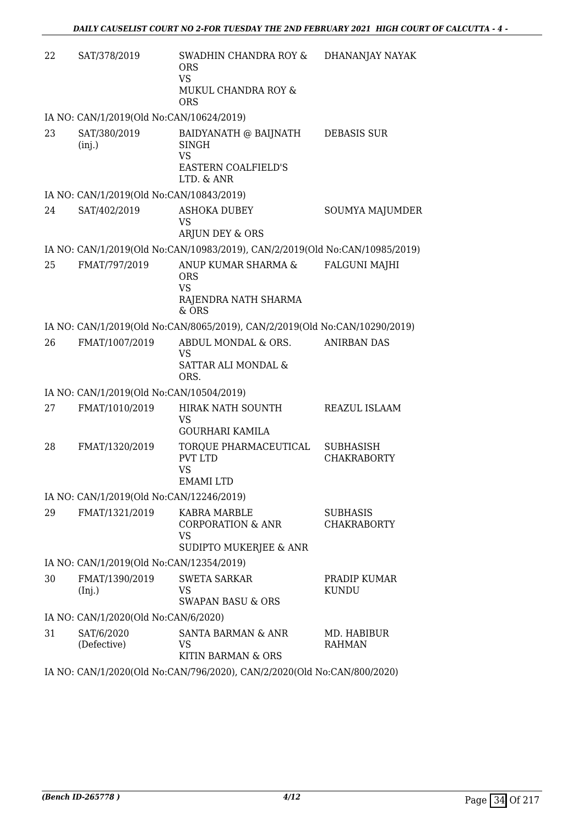| 22 | SAT/378/2019                             | SWADHIN CHANDRA ROY &<br><b>ORS</b><br><b>VS</b><br>MUKUL CHANDRA ROY &<br><b>ORS</b>          | DHANANJAY NAYAK                        |
|----|------------------------------------------|------------------------------------------------------------------------------------------------|----------------------------------------|
|    | IA NO: CAN/1/2019(Old No:CAN/10624/2019) |                                                                                                |                                        |
| 23 | SAT/380/2019<br>(inj.)                   | BAIDYANATH @ BAIJNATH<br><b>SINGH</b><br><b>VS</b><br><b>EASTERN COALFIELD'S</b><br>LTD. & ANR | <b>DEBASIS SUR</b>                     |
|    | IA NO: CAN/1/2019(Old No:CAN/10843/2019) |                                                                                                |                                        |
| 24 | SAT/402/2019                             | <b>ASHOKA DUBEY</b><br><b>VS</b><br>ARJUN DEY & ORS                                            | SOUMYA MAJUMDER                        |
|    |                                          | IA NO: CAN/1/2019(Old No:CAN/10983/2019), CAN/2/2019(Old No:CAN/10985/2019)                    |                                        |
| 25 | FMAT/797/2019                            | ANUP KUMAR SHARMA &<br><b>ORS</b><br><b>VS</b><br>RAJENDRA NATH SHARMA<br>$&$ ORS              | <b>FALGUNI MAJHI</b>                   |
|    |                                          | IA NO: CAN/1/2019(Old No:CAN/8065/2019), CAN/2/2019(Old No:CAN/10290/2019)                     |                                        |
| 26 | FMAT/1007/2019                           | ABDUL MONDAL & ORS.<br>VS<br>SATTAR ALI MONDAL &<br>ORS.                                       | <b>ANIRBAN DAS</b>                     |
|    | IA NO: CAN/1/2019(Old No:CAN/10504/2019) |                                                                                                |                                        |
| 27 | FMAT/1010/2019                           | HIRAK NATH SOUNTH<br>VS<br><b>GOURHARI KAMILA</b>                                              | REAZUL ISLAAM                          |
| 28 | FMAT/1320/2019                           | TORQUE PHARMACEUTICAL<br><b>PVT LTD</b><br><b>VS</b><br><b>EMAMI LTD</b>                       | <b>SUBHASISH</b><br><b>CHAKRABORTY</b> |
|    | IA NO: CAN/1/2019(Old No:CAN/12246/2019) |                                                                                                |                                        |
| 29 | FMAT/1321/2019                           | <b>KABRA MARBLE</b><br><b>CORPORATION &amp; ANR</b><br>VS<br>SUDIPTO MUKERJEE & ANR            | <b>SUBHASIS</b><br><b>CHAKRABORTY</b>  |
|    | IA NO: CAN/1/2019(Old No:CAN/12354/2019) |                                                                                                |                                        |
| 30 | FMAT/1390/2019<br>(Inj.)                 | <b>SWETA SARKAR</b><br>VS<br><b>SWAPAN BASU &amp; ORS</b>                                      | PRADIP KUMAR<br><b>KUNDU</b>           |
|    | IA NO: CAN/1/2020(Old No:CAN/6/2020)     |                                                                                                |                                        |
| 31 | SAT/6/2020<br>(Defective)                | SANTA BARMAN & ANR<br>VS<br>KITIN BARMAN & ORS                                                 | MD. HABIBUR<br><b>RAHMAN</b>           |
|    |                                          | IA NO: CAN/1/2020(Old No:CAN/796/2020), CAN/2/2020(Old No:CAN/800/2020)                        |                                        |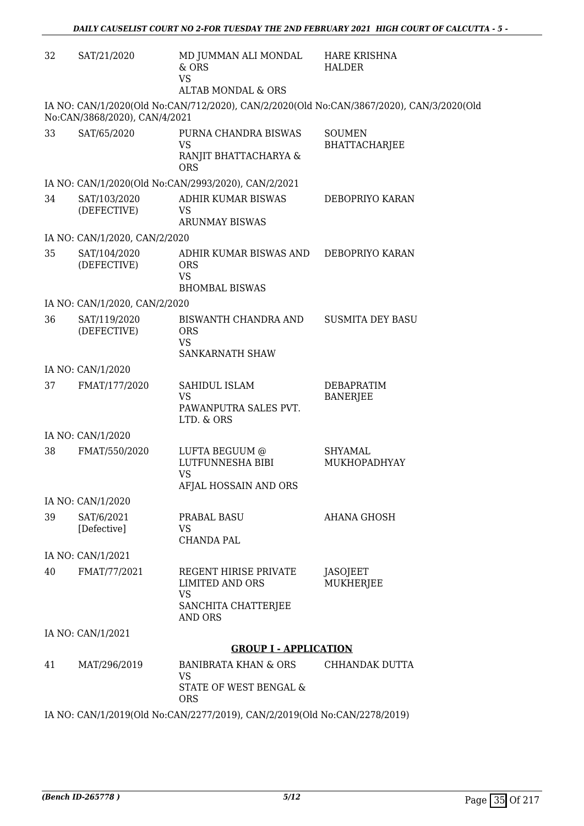| 32 | SAT/21/2020                   | MD JUMMAN ALI MONDAL<br>& ORS<br><b>VS</b>                                    | <b>HARE KRISHNA</b><br><b>HALDER</b>                                                     |
|----|-------------------------------|-------------------------------------------------------------------------------|------------------------------------------------------------------------------------------|
|    |                               | <b>ALTAB MONDAL &amp; ORS</b>                                                 |                                                                                          |
|    | No:CAN/3868/2020), CAN/4/2021 |                                                                               | IA NO: CAN/1/2020(Old No:CAN/712/2020), CAN/2/2020(Old No:CAN/3867/2020), CAN/3/2020(Old |
| 33 | SAT/65/2020                   | PURNA CHANDRA BISWAS<br><b>VS</b><br>RANJIT BHATTACHARYA &<br><b>ORS</b>      | <b>SOUMEN</b><br><b>BHATTACHARJEE</b>                                                    |
|    |                               | IA NO: CAN/1/2020(Old No:CAN/2993/2020), CAN/2/2021                           |                                                                                          |
| 34 | SAT/103/2020<br>(DEFECTIVE)   | ADHIR KUMAR BISWAS<br><b>VS</b><br><b>ARUNMAY BISWAS</b>                      | DEBOPRIYO KARAN                                                                          |
|    | IA NO: CAN/1/2020, CAN/2/2020 |                                                                               |                                                                                          |
| 35 | SAT/104/2020<br>(DEFECTIVE)   | ADHIR KUMAR BISWAS AND<br><b>ORS</b><br><b>VS</b><br><b>BHOMBAL BISWAS</b>    | DEBOPRIYO KARAN                                                                          |
|    | IA NO: CAN/1/2020, CAN/2/2020 |                                                                               |                                                                                          |
| 36 | SAT/119/2020<br>(DEFECTIVE)   | BISWANTH CHANDRA AND<br><b>ORS</b><br><b>VS</b><br>SANKARNATH SHAW            | <b>SUSMITA DEY BASU</b>                                                                  |
|    | IA NO: CAN/1/2020             |                                                                               |                                                                                          |
| 37 | FMAT/177/2020                 | SAHIDUL ISLAM<br><b>VS</b><br>PAWANPUTRA SALES PVT.                           | <b>DEBAPRATIM</b><br><b>BANERJEE</b>                                                     |
|    |                               | LTD. & ORS                                                                    |                                                                                          |
|    | IA NO: CAN/1/2020             |                                                                               |                                                                                          |
| 38 | FMAT/550/2020                 | LUFTA BEGUUM @<br>LUTFUNNESHA BIBI<br><b>VS</b><br>AFJAL HOSSAIN AND ORS      | <b>SHYAMAL</b><br>MUKHOPADHYAY                                                           |
|    | IA NO: CAN/1/2020             |                                                                               |                                                                                          |
| 39 | SAT/6/2021<br>[Defective]     | PRABAL BASU<br>VS.<br>CHANDA PAL                                              | AHANA GHOSH                                                                              |
|    | IA NO: CAN/1/2021             |                                                                               |                                                                                          |
| 40 | FMAT/77/2021                  | REGENT HIRISE PRIVATE<br><b>LIMITED AND ORS</b><br>VS<br>SANCHITA CHATTERJEE  | JASOJEET<br>MUKHERJEE                                                                    |
|    | IA NO: CAN/1/2021             | AND ORS                                                                       |                                                                                          |
|    |                               | <b>GROUP I - APPLICATION</b>                                                  |                                                                                          |
| 41 | MAT/296/2019                  | <b>BANIBRATA KHAN &amp; ORS</b><br>VS<br>STATE OF WEST BENGAL &<br><b>ORS</b> | CHHANDAK DUTTA                                                                           |
|    |                               | IA NO: CAN/1/2019(Old No:CAN/2277/2019), CAN/2/2019(Old No:CAN/2278/2019)     |                                                                                          |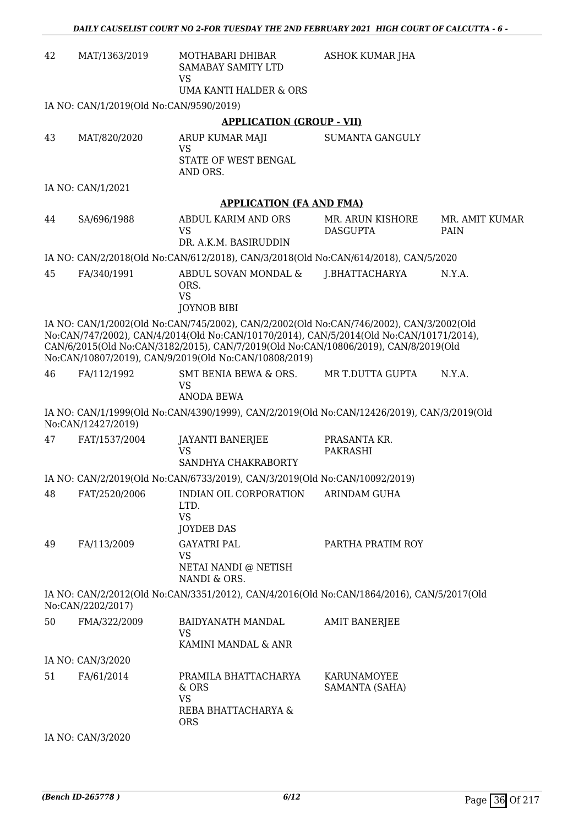| 42                                                                                                                                                                                                                                                                                                                                 | MAT/1363/2019                           | MOTHABARI DHIBAR<br>SAMABAY SAMITY LTD                                                     | ASHOK KUMAR JHA                     |                        |  |
|------------------------------------------------------------------------------------------------------------------------------------------------------------------------------------------------------------------------------------------------------------------------------------------------------------------------------------|-----------------------------------------|--------------------------------------------------------------------------------------------|-------------------------------------|------------------------|--|
|                                                                                                                                                                                                                                                                                                                                    |                                         | <b>VS</b><br><b>UMA KANTI HALDER &amp; ORS</b>                                             |                                     |                        |  |
|                                                                                                                                                                                                                                                                                                                                    | IA NO: CAN/1/2019(Old No:CAN/9590/2019) |                                                                                            |                                     |                        |  |
|                                                                                                                                                                                                                                                                                                                                    |                                         | <b>APPLICATION (GROUP - VII)</b>                                                           |                                     |                        |  |
| 43                                                                                                                                                                                                                                                                                                                                 | MAT/820/2020                            | ARUP KUMAR MAJI<br><b>VS</b><br>STATE OF WEST BENGAL<br>AND ORS.                           | <b>SUMANTA GANGULY</b>              |                        |  |
|                                                                                                                                                                                                                                                                                                                                    | IA NO: CAN/1/2021                       |                                                                                            |                                     |                        |  |
|                                                                                                                                                                                                                                                                                                                                    |                                         | <b>APPLICATION (FA AND FMA)</b>                                                            |                                     |                        |  |
| 44                                                                                                                                                                                                                                                                                                                                 | SA/696/1988                             | ABDUL KARIM AND ORS<br><b>VS</b><br>DR. A.K.M. BASIRUDDIN                                  | MR. ARUN KISHORE<br><b>DASGUPTA</b> | MR. AMIT KUMAR<br>PAIN |  |
|                                                                                                                                                                                                                                                                                                                                    |                                         | IA NO: CAN/2/2018(Old No:CAN/612/2018), CAN/3/2018(Old No:CAN/614/2018), CAN/5/2020        |                                     |                        |  |
| 45                                                                                                                                                                                                                                                                                                                                 | FA/340/1991                             | ABDUL SOVAN MONDAL &<br>ORS.<br><b>VS</b><br><b>JOYNOB BIBI</b>                            | J.BHATTACHARYA                      | N.Y.A.                 |  |
| IA NO: CAN/1/2002(Old No:CAN/745/2002), CAN/2/2002(Old No:CAN/746/2002), CAN/3/2002(Old<br>No:CAN/747/2002), CAN/4/2014(Old No:CAN/10170/2014), CAN/5/2014(Old No:CAN/10171/2014),<br>CAN/6/2015(Old No:CAN/3182/2015), CAN/7/2019(Old No:CAN/10806/2019), CAN/8/2019(Old<br>No:CAN/10807/2019), CAN/9/2019(Old No:CAN/10808/2019) |                                         |                                                                                            |                                     |                        |  |
| 46                                                                                                                                                                                                                                                                                                                                 | FA/112/1992                             | SMT BENIA BEWA & ORS.<br>VS<br>ANODA BEWA                                                  | MR T.DUTTA GUPTA                    | N.Y.A.                 |  |
|                                                                                                                                                                                                                                                                                                                                    | No:CAN/12427/2019)                      | IA NO: CAN/1/1999(Old No:CAN/4390/1999), CAN/2/2019(Old No:CAN/12426/2019), CAN/3/2019(Old |                                     |                        |  |
| 47                                                                                                                                                                                                                                                                                                                                 | FAT/1537/2004                           | JAYANTI BANERJEE<br><b>VS</b><br>SANDHYA CHAKRABORTY                                       | PRASANTA KR.<br>PAKRASHI            |                        |  |
|                                                                                                                                                                                                                                                                                                                                    |                                         | IA NO: CAN/2/2019(Old No:CAN/6733/2019), CAN/3/2019(Old No:CAN/10092/2019)                 |                                     |                        |  |
| 48                                                                                                                                                                                                                                                                                                                                 | FAT/2520/2006                           | INDIAN OIL CORPORATION<br>LTD.<br><b>VS</b><br><b>JOYDEB DAS</b>                           | ARINDAM GUHA                        |                        |  |
| 49                                                                                                                                                                                                                                                                                                                                 | FA/113/2009                             | <b>GAYATRI PAL</b><br><b>VS</b><br>NETAI NANDI @ NETISH<br>NANDI & ORS.                    | PARTHA PRATIM ROY                   |                        |  |
|                                                                                                                                                                                                                                                                                                                                    | No:CAN/2202/2017)                       | IA NO: CAN/2/2012(Old No:CAN/3351/2012), CAN/4/2016(Old No:CAN/1864/2016), CAN/5/2017(Old  |                                     |                        |  |
| 50                                                                                                                                                                                                                                                                                                                                 | FMA/322/2009                            | BAIDYANATH MANDAL<br>VS<br>KAMINI MANDAL & ANR                                             | <b>AMIT BANERJEE</b>                |                        |  |
|                                                                                                                                                                                                                                                                                                                                    | IA NO: CAN/3/2020                       |                                                                                            |                                     |                        |  |
| 51                                                                                                                                                                                                                                                                                                                                 | FA/61/2014                              | PRAMILA BHATTACHARYA<br>& ORS<br><b>VS</b><br>REBA BHATTACHARYA &<br><b>ORS</b>            | KARUNAMOYEE<br>SAMANTA (SAHA)       |                        |  |
|                                                                                                                                                                                                                                                                                                                                    | IA NO: CAN/3/2020                       |                                                                                            |                                     |                        |  |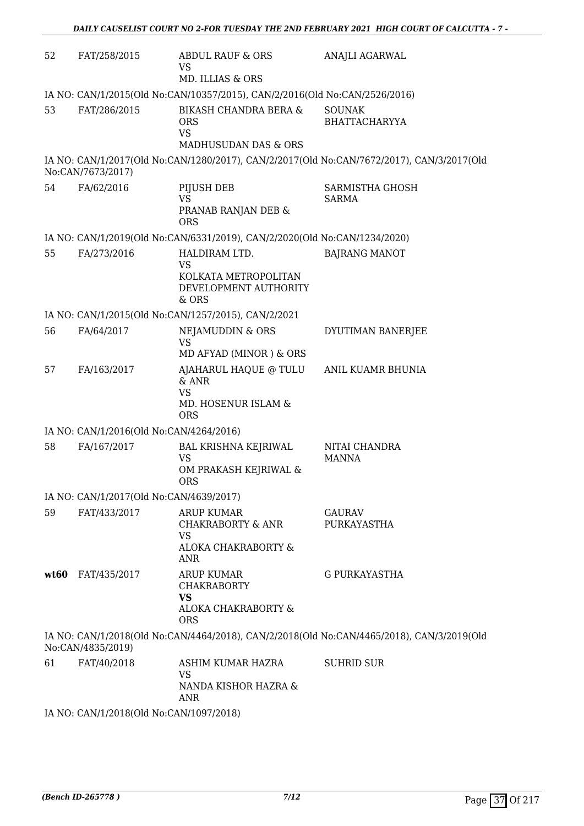| 52   | FAT/258/2015                                                               | ABDUL RAUF & ORS<br>VS                                                                         | ANAJLI AGARWAL                                                                            |  |  |  |  |
|------|----------------------------------------------------------------------------|------------------------------------------------------------------------------------------------|-------------------------------------------------------------------------------------------|--|--|--|--|
|      |                                                                            | MD. ILLIAS & ORS                                                                               |                                                                                           |  |  |  |  |
|      | IA NO: CAN/1/2015(Old No:CAN/10357/2015), CAN/2/2016(Old No:CAN/2526/2016) |                                                                                                |                                                                                           |  |  |  |  |
| 53   | FAT/286/2015                                                               | <b>BIKASH CHANDRA BERA &amp;</b><br><b>ORS</b><br><b>VS</b><br><b>MADHUSUDAN DAS &amp; ORS</b> | <b>SOUNAK</b><br><b>BHATTACHARYYA</b>                                                     |  |  |  |  |
|      | No:CAN/7673/2017)                                                          |                                                                                                | IA NO: CAN/1/2017(Old No:CAN/1280/2017), CAN/2/2017(Old No:CAN/7672/2017), CAN/3/2017(Old |  |  |  |  |
| 54   | FA/62/2016                                                                 | PIJUSH DEB<br>VS<br>PRANAB RANJAN DEB &<br><b>ORS</b>                                          | SARMISTHA GHOSH<br><b>SARMA</b>                                                           |  |  |  |  |
|      |                                                                            | IA NO: CAN/1/2019(Old No:CAN/6331/2019), CAN/2/2020(Old No:CAN/1234/2020)                      |                                                                                           |  |  |  |  |
| 55   | FA/273/2016                                                                | HALDIRAM LTD.<br><b>VS</b>                                                                     | <b>BAJRANG MANOT</b>                                                                      |  |  |  |  |
|      |                                                                            | KOLKATA METROPOLITAN<br>DEVELOPMENT AUTHORITY<br>& ORS                                         |                                                                                           |  |  |  |  |
|      |                                                                            | IA NO: CAN/1/2015(Old No:CAN/1257/2015), CAN/2/2021                                            |                                                                                           |  |  |  |  |
| 56   | FA/64/2017                                                                 | NEJAMUDDIN & ORS<br><b>VS</b><br>MD AFYAD (MINOR) & ORS                                        | DYUTIMAN BANERJEE                                                                         |  |  |  |  |
| 57   | FA/163/2017                                                                | AJAHARUL HAQUE @ TULU<br>& ANR<br><b>VS</b>                                                    | ANIL KUAMR BHUNIA                                                                         |  |  |  |  |
|      |                                                                            | MD. HOSENUR ISLAM &<br><b>ORS</b>                                                              |                                                                                           |  |  |  |  |
|      | IA NO: CAN/1/2016(Old No:CAN/4264/2016)                                    |                                                                                                |                                                                                           |  |  |  |  |
| 58   | FA/167/2017                                                                | <b>BAL KRISHNA KEJRIWAL</b><br><b>VS</b><br>OM PRAKASH KEJRIWAL &<br><b>ORS</b>                | NITAI CHANDRA<br><b>MANNA</b>                                                             |  |  |  |  |
|      | IA NO: CAN/1/2017(Old No:CAN/4639/2017)                                    |                                                                                                |                                                                                           |  |  |  |  |
| 59   | FAT/433/2017                                                               | <b>ARUP KUMAR</b><br><b>CHAKRABORTY &amp; ANR</b><br>VS<br>ALOKA CHAKRABORTY &<br><b>ANR</b>   | <b>GAURAV</b><br>PURKAYASTHA                                                              |  |  |  |  |
| wt60 | FAT/435/2017                                                               | <b>ARUP KUMAR</b><br><b>CHAKRABORTY</b><br><b>VS</b>                                           | <b>G PURKAYASTHA</b>                                                                      |  |  |  |  |
|      |                                                                            | ALOKA CHAKRABORTY &<br><b>ORS</b>                                                              |                                                                                           |  |  |  |  |
|      | No:CAN/4835/2019)                                                          |                                                                                                | IA NO: CAN/1/2018(Old No:CAN/4464/2018), CAN/2/2018(Old No:CAN/4465/2018), CAN/3/2019(Old |  |  |  |  |
| 61   | FAT/40/2018                                                                | ASHIM KUMAR HAZRA<br><b>VS</b><br>NANDA KISHOR HAZRA &<br>ANR                                  | <b>SUHRID SUR</b>                                                                         |  |  |  |  |

IA NO: CAN/1/2018(Old No:CAN/1097/2018)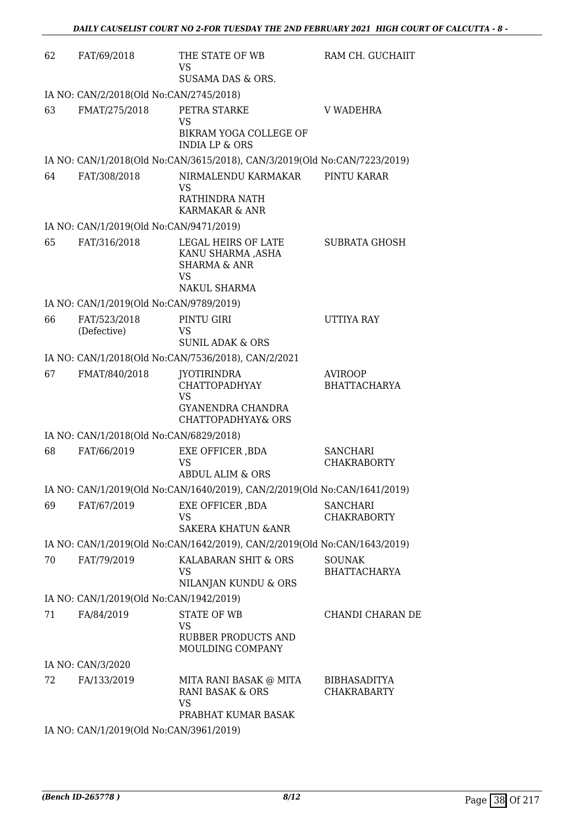| 62 | FAT/69/2018                             | THE STATE OF WB<br><b>VS</b><br>SUSAMA DAS & ORS.                                                  | RAM CH. GUCHAIIT                          |
|----|-----------------------------------------|----------------------------------------------------------------------------------------------------|-------------------------------------------|
|    | IA NO: CAN/2/2018(Old No:CAN/2745/2018) |                                                                                                    |                                           |
| 63 | FMAT/275/2018                           | PETRA STARKE<br><b>VS</b><br>BIKRAM YOGA COLLEGE OF<br><b>INDIA LP &amp; ORS</b>                   | <b>V WADEHRA</b>                          |
|    |                                         | IA NO: CAN/1/2018(Old No:CAN/3615/2018), CAN/3/2019(Old No:CAN/7223/2019)                          |                                           |
| 64 | FAT/308/2018                            | NIRMALENDU KARMAKAR<br><b>VS</b><br>RATHINDRA NATH<br>KARMAKAR & ANR                               | PINTU KARAR                               |
|    | IA NO: CAN/1/2019(Old No:CAN/9471/2019) |                                                                                                    |                                           |
| 65 | FAT/316/2018                            | LEGAL HEIRS OF LATE<br>KANU SHARMA ,ASHA<br><b>SHARMA &amp; ANR</b><br><b>VS</b><br>NAKUL SHARMA   | <b>SUBRATA GHOSH</b>                      |
|    | IA NO: CAN/1/2019(Old No:CAN/9789/2019) |                                                                                                    |                                           |
| 66 | FAT/523/2018<br>(Defective)             | PINTU GIRI<br>VS<br><b>SUNIL ADAK &amp; ORS</b>                                                    | UTTIYA RAY                                |
|    |                                         | IA NO: CAN/1/2018(Old No:CAN/7536/2018), CAN/2/2021                                                |                                           |
| 67 | FMAT/840/2018                           | <b>JYOTIRINDRA</b><br><b>CHATTOPADHYAY</b><br><b>VS</b><br>GYANENDRA CHANDRA<br>CHATTOPADHYAY& ORS | <b>AVIROOP</b><br><b>BHATTACHARYA</b>     |
|    | IA NO: CAN/1/2018(Old No:CAN/6829/2018) |                                                                                                    |                                           |
| 68 | FAT/66/2019                             | EXE OFFICER, BDA<br><b>VS</b><br>ABDUL ALIM & ORS                                                  | <b>SANCHARI</b><br><b>CHAKRABORTY</b>     |
|    |                                         | IA NO: CAN/1/2019(Old No:CAN/1640/2019), CAN/2/2019(Old No:CAN/1641/2019)                          |                                           |
| 69 | FAT/67/2019                             | EXE OFFICER , BDA<br><b>VS</b><br><b>SAKERA KHATUN &amp; ANR</b>                                   | <b>SANCHARI</b><br><b>CHAKRABORTY</b>     |
|    |                                         | IA NO: CAN/1/2019(Old No:CAN/1642/2019), CAN/2/2019(Old No:CAN/1643/2019)                          |                                           |
| 70 | FAT/79/2019                             | KALABARAN SHIT & ORS<br>VS.<br>NILANJAN KUNDU & ORS                                                | <b>SOUNAK</b><br><b>BHATTACHARYA</b>      |
|    | IA NO: CAN/1/2019(Old No:CAN/1942/2019) |                                                                                                    |                                           |
| 71 | FA/84/2019                              | <b>STATE OF WB</b><br><b>VS</b><br>RUBBER PRODUCTS AND<br>MOULDING COMPANY                         | CHANDI CHARAN DE                          |
|    | IA NO: CAN/3/2020                       |                                                                                                    |                                           |
| 72 | FA/133/2019                             | MITA RANI BASAK @ MITA<br>RANI BASAK & ORS<br><b>VS</b><br>PRABHAT KUMAR BASAK                     | <b>BIBHASADITYA</b><br><b>CHAKRABARTY</b> |
|    | IA NO: CAN/1/2019(Old No:CAN/3961/2019) |                                                                                                    |                                           |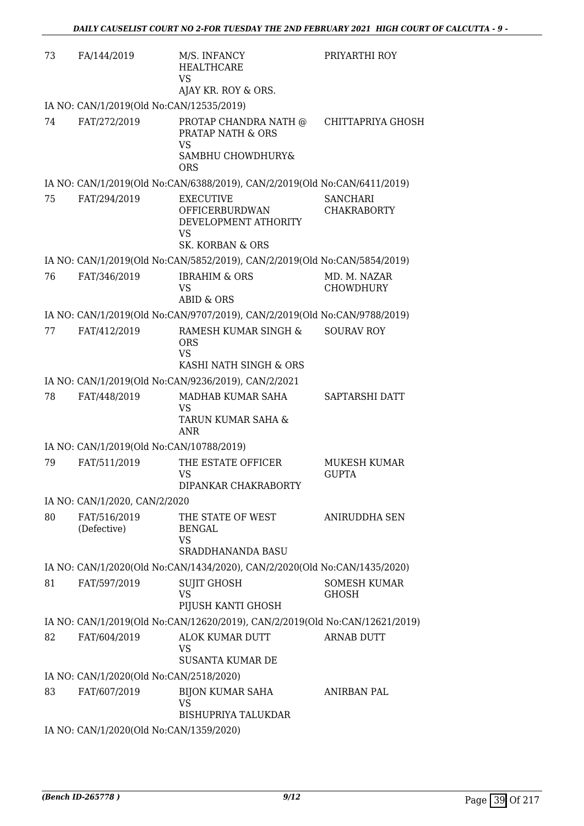| 73 | FA/144/2019                              | M/S. INFANCY<br>HEALTHCARE<br><b>VS</b>                                     | PRIYARTHI ROY                         |
|----|------------------------------------------|-----------------------------------------------------------------------------|---------------------------------------|
|    | IA NO: CAN/1/2019(Old No:CAN/12535/2019) | AJAY KR. ROY & ORS.                                                         |                                       |
| 74 | FAT/272/2019                             | PROTAP CHANDRA NATH @<br>PRATAP NATH & ORS<br><b>VS</b>                     | CHITTAPRIYA GHOSH                     |
|    |                                          | SAMBHU CHOWDHURY&<br><b>ORS</b>                                             |                                       |
|    |                                          | IA NO: CAN/1/2019(Old No:CAN/6388/2019), CAN/2/2019(Old No:CAN/6411/2019)   |                                       |
| 75 | FAT/294/2019                             | <b>EXECUTIVE</b><br><b>OFFICERBURDWAN</b><br>DEVELOPMENT ATHORITY<br>VS.    | <b>SANCHARI</b><br><b>CHAKRABORTY</b> |
|    |                                          | SK. KORBAN & ORS                                                            |                                       |
|    |                                          | IA NO: CAN/1/2019(Old No:CAN/5852/2019), CAN/2/2019(Old No:CAN/5854/2019)   |                                       |
| 76 | FAT/346/2019                             | <b>IBRAHIM &amp; ORS</b><br><b>VS</b><br>ABID & ORS                         | MD. M. NAZAR<br><b>CHOWDHURY</b>      |
|    |                                          | IA NO: CAN/1/2019(Old No:CAN/9707/2019), CAN/2/2019(Old No:CAN/9788/2019)   |                                       |
| 77 | FAT/412/2019                             | RAMESH KUMAR SINGH &<br><b>ORS</b><br><b>VS</b>                             | <b>SOURAV ROY</b>                     |
|    |                                          | KASHI NATH SINGH & ORS                                                      |                                       |
|    |                                          | IA NO: CAN/1/2019(Old No:CAN/9236/2019), CAN/2/2021                         |                                       |
| 78 | FAT/448/2019                             | MADHAB KUMAR SAHA<br><b>VS</b><br>TARUN KUMAR SAHA &<br>ANR                 | SAPTARSHI DATT                        |
|    | IA NO: CAN/1/2019(Old No:CAN/10788/2019) |                                                                             |                                       |
| 79 | FAT/511/2019                             | THE ESTATE OFFICER<br><b>VS</b><br>DIPANKAR CHAKRABORTY                     | MUKESH KUMAR<br><b>GUPTA</b>          |
|    | IA NO: CAN/1/2020, CAN/2/2020            |                                                                             |                                       |
| 80 | FAT/516/2019<br>(Defective)              | THE STATE OF WEST<br><b>BENGAL</b><br>VS<br><b>SRADDHANANDA BASU</b>        | ANIRUDDHA SEN                         |
|    |                                          | IA NO: CAN/1/2020(Old No:CAN/1434/2020), CAN/2/2020(Old No:CAN/1435/2020)   |                                       |
| 81 | FAT/597/2019                             | <b>SUJIT GHOSH</b><br><b>VS</b><br>PIJUSH KANTI GHOSH                       | <b>SOMESH KUMAR</b><br><b>GHOSH</b>   |
|    |                                          | IA NO: CAN/1/2019(Old No:CAN/12620/2019), CAN/2/2019(Old No:CAN/12621/2019) |                                       |
| 82 | FAT/604/2019                             | ALOK KUMAR DUTT<br>VS                                                       | <b>ARNAB DUTT</b>                     |
|    | IA NO: CAN/1/2020(Old No:CAN/2518/2020)  | <b>SUSANTA KUMAR DE</b>                                                     |                                       |
| 83 | FAT/607/2019                             | <b>BIJON KUMAR SAHA</b><br><b>VS</b><br><b>BISHUPRIYA TALUKDAR</b>          | <b>ANIRBAN PAL</b>                    |
|    | IA NO: CAN/1/2020(Old No:CAN/1359/2020)  |                                                                             |                                       |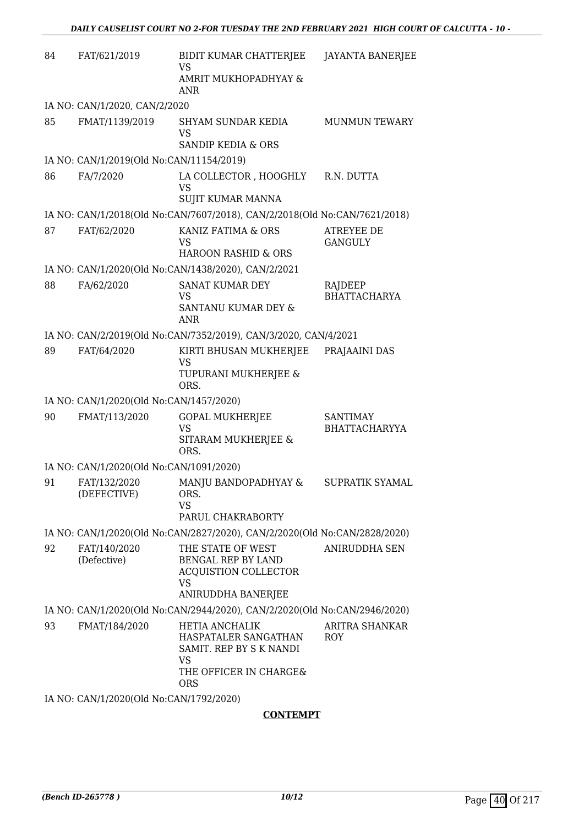| 84 | FAT/621/2019                                                                                                                                                                                                                                                                                                                                                                                                                      | BIDIT KUMAR CHATTERJEE<br>VS<br>AMRIT MUKHOPADHYAY &                                               | <b>JAYANTA BANERJEE</b>                 |
|----|-----------------------------------------------------------------------------------------------------------------------------------------------------------------------------------------------------------------------------------------------------------------------------------------------------------------------------------------------------------------------------------------------------------------------------------|----------------------------------------------------------------------------------------------------|-----------------------------------------|
|    |                                                                                                                                                                                                                                                                                                                                                                                                                                   | <b>ANR</b>                                                                                         |                                         |
|    | IA NO: CAN/1/2020, CAN/2/2020                                                                                                                                                                                                                                                                                                                                                                                                     |                                                                                                    |                                         |
| 85 | FMAT/1139/2019                                                                                                                                                                                                                                                                                                                                                                                                                    | SHYAM SUNDAR KEDIA<br>VS<br><b>SANDIP KEDIA &amp; ORS</b>                                          | <b>MUNMUN TEWARY</b>                    |
|    | IA NO: CAN/1/2019(Old No:CAN/11154/2019)                                                                                                                                                                                                                                                                                                                                                                                          |                                                                                                    |                                         |
| 86 | FA/7/2020                                                                                                                                                                                                                                                                                                                                                                                                                         | LA COLLECTOR, HOOGHLY<br>VS<br><b>SUJIT KUMAR MANNA</b>                                            | R.N. DUTTA                              |
|    |                                                                                                                                                                                                                                                                                                                                                                                                                                   | IA NO: CAN/1/2018(Old No:CAN/7607/2018), CAN/2/2018(Old No:CAN/7621/2018)                          |                                         |
| 87 | FAT/62/2020                                                                                                                                                                                                                                                                                                                                                                                                                       | KANIZ FATIMA & ORS<br>VS<br><b>HAROON RASHID &amp; ORS</b>                                         | <b>ATREYEE DE</b><br><b>GANGULY</b>     |
|    |                                                                                                                                                                                                                                                                                                                                                                                                                                   | IA NO: CAN/1/2020(Old No:CAN/1438/2020), CAN/2/2021                                                |                                         |
| 88 | FA/62/2020                                                                                                                                                                                                                                                                                                                                                                                                                        | <b>SANAT KUMAR DEY</b><br>VS<br>SANTANU KUMAR DEY &<br>ANR                                         | RAJDEEP<br><b>BHATTACHARYA</b>          |
|    |                                                                                                                                                                                                                                                                                                                                                                                                                                   | IA NO: CAN/2/2019(Old No:CAN/7352/2019), CAN/3/2020, CAN/4/2021                                    |                                         |
| 89 | FAT/64/2020                                                                                                                                                                                                                                                                                                                                                                                                                       | KIRTI BHUSAN MUKHERJEE<br>VS<br>TUPURANI MUKHERJEE &<br>ORS.                                       | PRAJAAINI DAS                           |
|    | IA NO: CAN/1/2020(Old No:CAN/1457/2020)                                                                                                                                                                                                                                                                                                                                                                                           |                                                                                                    |                                         |
| 90 | FMAT/113/2020                                                                                                                                                                                                                                                                                                                                                                                                                     | <b>GOPAL MUKHERJEE</b><br>VS<br>SITARAM MUKHERJEE &<br>ORS.                                        | <b>SANTIMAY</b><br><b>BHATTACHARYYA</b> |
|    | IA NO: CAN/1/2020(Old No:CAN/1091/2020)                                                                                                                                                                                                                                                                                                                                                                                           |                                                                                                    |                                         |
| 91 | FAT/132/2020<br>(DEFECTIVE)                                                                                                                                                                                                                                                                                                                                                                                                       | MANJU BANDOPADHYAY &<br>ORS.<br>VS                                                                 | SUPRATIK SYAMAL                         |
|    |                                                                                                                                                                                                                                                                                                                                                                                                                                   | PARUL CHAKRABORTY                                                                                  |                                         |
|    |                                                                                                                                                                                                                                                                                                                                                                                                                                   | IA NO: CAN/1/2020(Old No:CAN/2827/2020), CAN/2/2020(Old No:CAN/2828/2020)                          |                                         |
| 92 | FAT/140/2020<br>(Defective)                                                                                                                                                                                                                                                                                                                                                                                                       | THE STATE OF WEST<br>BENGAL REP BY LAND<br><b>ACQUISTION COLLECTOR</b><br>VS<br>ANIRUDDHA BANERJEE | ANIRUDDHA SEN                           |
|    |                                                                                                                                                                                                                                                                                                                                                                                                                                   | IA NO: CAN/1/2020(Old No:CAN/2944/2020), CAN/2/2020(Old No:CAN/2946/2020)                          |                                         |
| 93 | FMAT/184/2020                                                                                                                                                                                                                                                                                                                                                                                                                     | HETIA ANCHALIK<br>HASPATALER SANGATHAN<br>SAMIT. REP BY S K NANDI<br>VS<br>THE OFFICER IN CHARGE&  | ARITRA SHANKAR<br>ROY.                  |
|    | $\overline{N}$ $\overline{N}$ $\overline{N}$ $\overline{N}$ $\overline{N}$ $\overline{N}$ $\overline{N}$ $\overline{N}$ $\overline{N}$ $\overline{N}$ $\overline{N}$ $\overline{N}$ $\overline{N}$ $\overline{N}$ $\overline{N}$ $\overline{N}$ $\overline{N}$ $\overline{N}$ $\overline{N}$ $\overline{N}$ $\overline{N}$ $\overline{N}$ $\overline{N}$ $\overline{N}$ $\overline{N}$ $\overline{N}$ $\overline{N}$ $\overline{$ | ORS                                                                                                |                                         |

IA NO: CAN/1/2020(Old No:CAN/1792/2020)

# **CONTEMPT**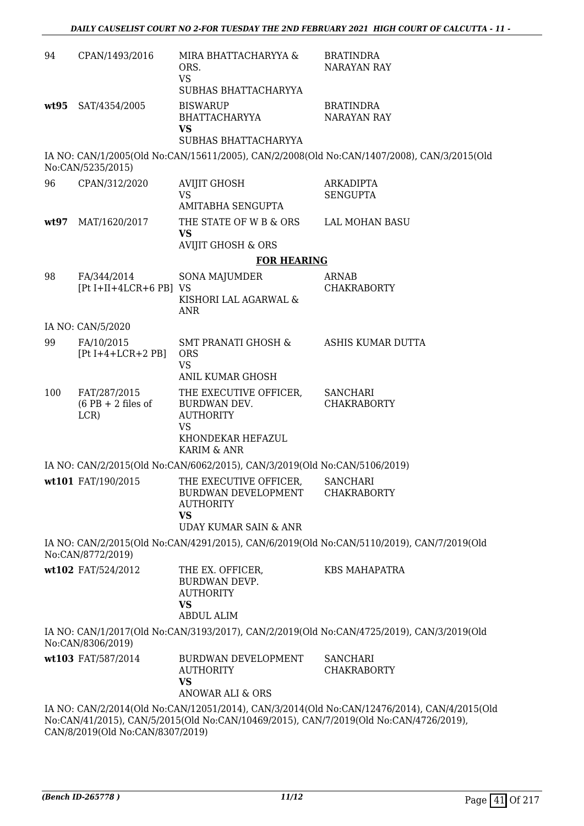| 94   | CPAN/1493/2016                              | MIRA BHATTACHARYYA &<br>ORS.<br><b>VS</b><br>SUBHAS BHATTACHARYYA                                                                                                                    | <b>BRATINDRA</b><br><b>NARAYAN RAY</b>                                                                                                                                               |
|------|---------------------------------------------|--------------------------------------------------------------------------------------------------------------------------------------------------------------------------------------|--------------------------------------------------------------------------------------------------------------------------------------------------------------------------------------|
|      | wt95 SAT/4354/2005                          | <b>BISWARUP</b><br><b>BHATTACHARYYA</b><br>VS<br>SUBHAS BHATTACHARYYA                                                                                                                | <b>BRATINDRA</b><br><b>NARAYAN RAY</b>                                                                                                                                               |
|      | No:CAN/5235/2015)                           |                                                                                                                                                                                      | IA NO: CAN/1/2005(Old No:CAN/15611/2005), CAN/2/2008(Old No:CAN/1407/2008), CAN/3/2015(Old                                                                                           |
| 96   | CPAN/312/2020                               | <b>AVIJIT GHOSH</b><br><b>VS</b><br><b>AMITABHA SENGUPTA</b>                                                                                                                         | <b>ARKADIPTA</b><br><b>SENGUPTA</b>                                                                                                                                                  |
| wt97 | MAT/1620/2017                               | THE STATE OF W B & ORS<br><b>VS</b><br><b>AVIJIT GHOSH &amp; ORS</b>                                                                                                                 | <b>LAL MOHAN BASU</b>                                                                                                                                                                |
|      |                                             | <b>FOR HEARING</b>                                                                                                                                                                   |                                                                                                                                                                                      |
| 98   | FA/344/2014                                 | <b>SONA MAJUMDER</b>                                                                                                                                                                 | <b>ARNAB</b>                                                                                                                                                                         |
|      | $[Pt I+II+4LCR+6 PB]$ VS                    | KISHORI LAL AGARWAL &<br><b>ANR</b>                                                                                                                                                  | <b>CHAKRABORTY</b>                                                                                                                                                                   |
|      | IA NO: CAN/5/2020                           |                                                                                                                                                                                      |                                                                                                                                                                                      |
| 99   | FA/10/2015<br>$[Pt I+4+LCR+2 PB]$           | SMT PRANATI GHOSH &<br><b>ORS</b><br><b>VS</b><br>ANIL KUMAR GHOSH                                                                                                                   | ASHIS KUMAR DUTTA                                                                                                                                                                    |
| 100  | FAT/287/2015<br>$(6$ PB + 2 files of<br>LCR | THE EXECUTIVE OFFICER,<br>BURDWAN DEV.<br><b>AUTHORITY</b><br><b>VS</b><br>KHONDEKAR HEFAZUL                                                                                         | <b>SANCHARI</b><br><b>CHAKRABORTY</b>                                                                                                                                                |
|      |                                             | <b>KARIM &amp; ANR</b>                                                                                                                                                               |                                                                                                                                                                                      |
|      | wt101 FAT/190/2015                          | IA NO: CAN/2/2015(Old No:CAN/6062/2015), CAN/3/2019(Old No:CAN/5106/2019)<br>THE EXECUTIVE OFFICER,<br>BURDWAN DEVELOPMENT<br><b>AUTHORITY</b><br><b>VS</b><br>UDAY KUMAR SAIN & ANR | <b>SANCHARI</b><br><b>CHAKRABORTY</b>                                                                                                                                                |
|      | No:CAN/8772/2019)                           |                                                                                                                                                                                      | IA NO: CAN/2/2015(Old No:CAN/4291/2015), CAN/6/2019(Old No:CAN/5110/2019), CAN/7/2019(Old                                                                                            |
|      | wt102 FAT/524/2012                          | THE EX. OFFICER,<br>BURDWAN DEVP.<br><b>AUTHORITY</b><br><b>VS</b><br><b>ABDUL ALIM</b>                                                                                              | <b>KBS MAHAPATRA</b>                                                                                                                                                                 |
|      | No:CAN/8306/2019)                           |                                                                                                                                                                                      | IA NO: CAN/1/2017(Old No:CAN/3193/2017), CAN/2/2019(Old No:CAN/4725/2019), CAN/3/2019(Old                                                                                            |
|      | wt103 FAT/587/2014                          | BURDWAN DEVELOPMENT<br><b>AUTHORITY</b><br><b>VS</b><br><b>ANOWAR ALI &amp; ORS</b>                                                                                                  | <b>SANCHARI</b><br><b>CHAKRABORTY</b>                                                                                                                                                |
|      |                                             |                                                                                                                                                                                      | IA NO: CAN/2/2014(Old No:CAN/12051/2014), CAN/3/2014(Old No:CAN/12476/2014), CAN/4/2015(Old<br>No:CAN/41/2015), CAN/5/2015(Old No:CAN/10469/2015), CAN/7/2019(Old No:CAN/4726/2019), |

CAN/8/2019(Old No:CAN/8307/2019)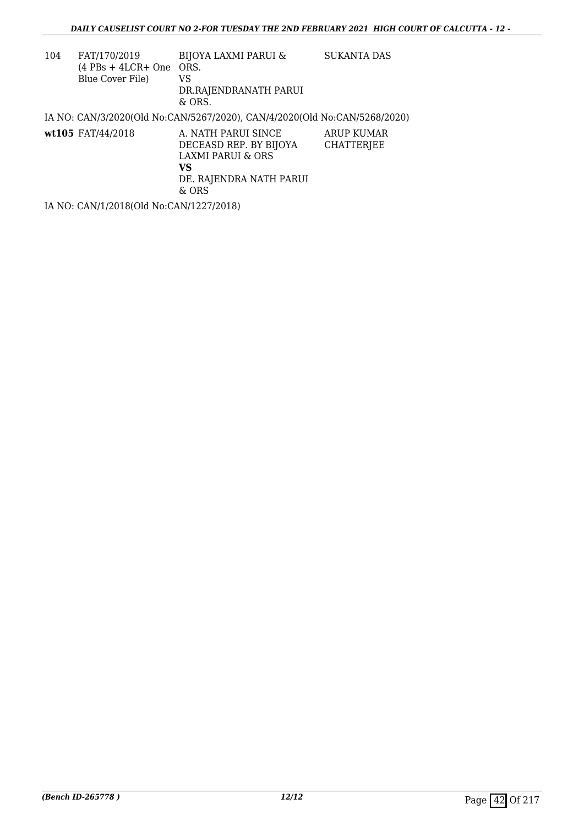| 104 | FAT/170/2019<br>$(4$ PBs + 4LCR+ One ORS.<br>Blue Cover File) | <b>BIJOYA LAXMI PARUI &amp;</b><br>VS<br>DR.RAJENDRANATH PARUI<br>$&$ ORS.                                      | SUKANTA DAS              |
|-----|---------------------------------------------------------------|-----------------------------------------------------------------------------------------------------------------|--------------------------|
|     |                                                               | IA NO: CAN/3/2020(Old No:CAN/5267/2020), CAN/4/2020(Old No:CAN/5268/2020)                                       |                          |
|     | wt105 FAT/44/2018                                             | A. NATH PARUI SINCE<br>DECEASD REP. BY BIJOYA<br>LAXMI PARUI & ORS<br>VS.<br>DE. RAJENDRA NATH PARUI<br>$&$ ORS | ARUP KUMAR<br>CHATTERJEE |

IA NO: CAN/1/2018(Old No:CAN/1227/2018)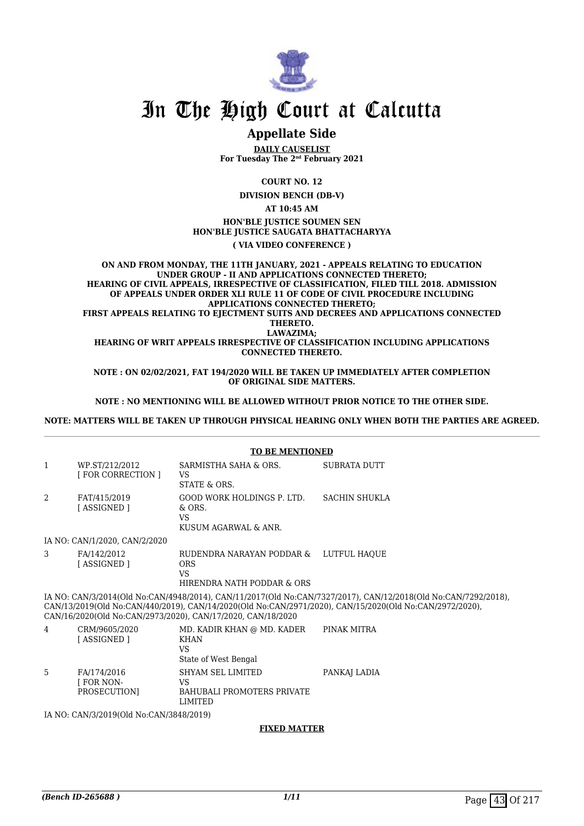

# In The High Court at Calcutta

# **Appellate Side**

**DAILY CAUSELIST For Tuesday The 2nd February 2021**

**COURT NO. 12**

**DIVISION BENCH (DB-V)**

**AT 10:45 AM**

**HON'BLE JUSTICE SOUMEN SEN HON'BLE JUSTICE SAUGATA BHATTACHARYYA**

**( VIA VIDEO CONFERENCE )**

**ON AND FROM MONDAY, THE 11TH JANUARY, 2021 - APPEALS RELATING TO EDUCATION UNDER GROUP - II AND APPLICATIONS CONNECTED THERETO; HEARING OF CIVIL APPEALS, IRRESPECTIVE OF CLASSIFICATION, FILED TILL 2018. ADMISSION OF APPEALS UNDER ORDER XLI RULE 11 OF CODE OF CIVIL PROCEDURE INCLUDING APPLICATIONS CONNECTED THERETO; FIRST APPEALS RELATING TO EJECTMENT SUITS AND DECREES AND APPLICATIONS CONNECTED THERETO. LAWAZIMA; HEARING OF WRIT APPEALS IRRESPECTIVE OF CLASSIFICATION INCLUDING APPLICATIONS CONNECTED THERETO.**

**NOTE : ON 02/02/2021, FAT 194/2020 WILL BE TAKEN UP IMMEDIATELY AFTER COMPLETION OF ORIGINAL SIDE MATTERS.**

**NOTE : NO MENTIONING WILL BE ALLOWED WITHOUT PRIOR NOTICE TO THE OTHER SIDE.**

**NOTE: MATTERS WILL BE TAKEN UP THROUGH PHYSICAL HEARING ONLY WHEN BOTH THE PARTIES ARE AGREED.**

|                | <b>TO BE MENTIONED</b>                         |                                                                                                 |                                                                                                                                                                                                                           |  |  |  |
|----------------|------------------------------------------------|-------------------------------------------------------------------------------------------------|---------------------------------------------------------------------------------------------------------------------------------------------------------------------------------------------------------------------------|--|--|--|
| 1              | WP.ST/212/2012<br><b>FOR CORRECTION 1</b>      | SARMISTHA SAHA & ORS.<br><b>VS</b><br>STATE & ORS.                                              | SUBRATA DUTT                                                                                                                                                                                                              |  |  |  |
| $\mathfrak{D}$ | FAT/415/2019<br>[ASSIGNED]                     | GOOD WORK HOLDINGS P. LTD.<br>& ORS.<br><b>VS</b><br>KUSUM AGARWAL & ANR.                       | SACHIN SHUKLA                                                                                                                                                                                                             |  |  |  |
|                | IA NO: CAN/1/2020, CAN/2/2020                  |                                                                                                 |                                                                                                                                                                                                                           |  |  |  |
| 3              | FA/142/2012<br>[ASSIGNED]                      | RUDENDRA NARAYAN PODDAR & LUTFUL HAOUE<br><b>ORS</b><br><b>VS</b><br>HIRENDRA NATH PODDAR & ORS |                                                                                                                                                                                                                           |  |  |  |
|                |                                                | CAN/16/2020(Old No:CAN/2973/2020), CAN/17/2020, CAN/18/2020                                     | IA NO: CAN/3/2014(Old No:CAN/4948/2014), CAN/11/2017(Old No:CAN/7327/2017), CAN/12/2018(Old No:CAN/7292/2018),<br>CAN/13/2019(Old No:CAN/440/2019), CAN/14/2020(Old No:CAN/2971/2020), CAN/15/2020(Old No:CAN/2972/2020), |  |  |  |
| 4              | CRM/9605/2020<br>[ASSIGNED]                    | MD. KADIR KHAN @ MD. KADER<br><b>KHAN</b><br><b>VS</b><br>State of West Bengal                  | PINAK MITRA                                                                                                                                                                                                               |  |  |  |
| 5              | FA/174/2016<br><b>FOR NON-</b><br>PROSECUTION] | <b>SHYAM SEL LIMITED</b><br><b>VS</b><br><b>BAHUBALI PROMOTERS PRIVATE</b><br><b>LIMITED</b>    | PANKAJ LADIA                                                                                                                                                                                                              |  |  |  |
|                | IA NO: CAN/3/2019 (Old No:CAN/3848/2019)       |                                                                                                 |                                                                                                                                                                                                                           |  |  |  |
|                | <b>TITLET A LA CONTINUE</b>                    |                                                                                                 |                                                                                                                                                                                                                           |  |  |  |

#### **FIXED MATTER**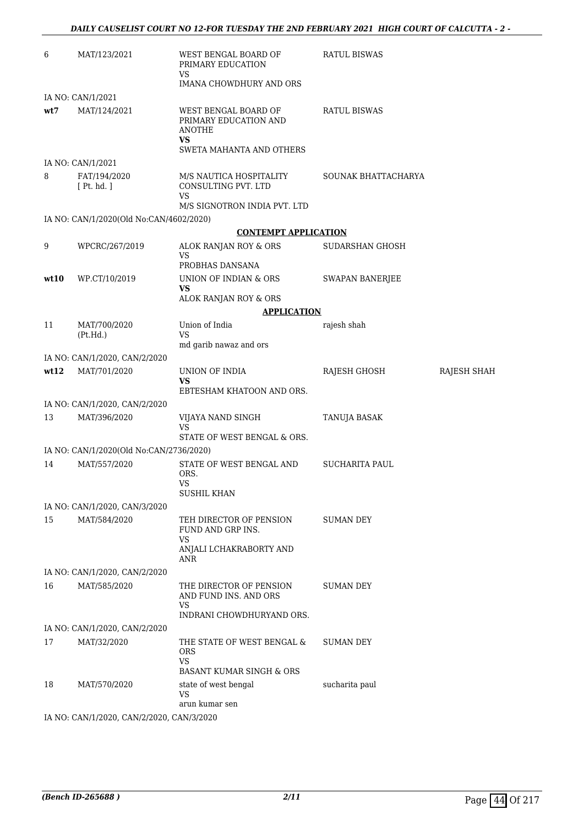| 6    | MAT/123/2021                              | WEST BENGAL BOARD OF<br>PRIMARY EDUCATION<br>VS                                             | <b>RATUL BISWAS</b>    |             |
|------|-------------------------------------------|---------------------------------------------------------------------------------------------|------------------------|-------------|
|      |                                           | IMANA CHOWDHURY AND ORS                                                                     |                        |             |
|      | IA NO: CAN/1/2021                         |                                                                                             |                        |             |
| wt7  | MAT/124/2021                              | WEST BENGAL BOARD OF<br>PRIMARY EDUCATION AND<br>ANOTHE<br>VS.<br>SWETA MAHANTA AND OTHERS  | <b>RATUL BISWAS</b>    |             |
|      | IA NO: CAN/1/2021                         |                                                                                             |                        |             |
| 8    | FAT/194/2020<br>[ Pt. hd. ]               | M/S NAUTICA HOSPITALITY<br>CONSULTING PVT. LTD<br><b>VS</b><br>M/S SIGNOTRON INDIA PVT. LTD | SOUNAK BHATTACHARYA    |             |
|      | IA NO: CAN/1/2020(Old No:CAN/4602/2020)   |                                                                                             |                        |             |
|      |                                           | <b>CONTEMPT APPLICATION</b>                                                                 |                        |             |
| 9    | WPCRC/267/2019                            | ALOK RANJAN ROY & ORS<br>VS                                                                 | SUDARSHAN GHOSH        |             |
|      |                                           | PROBHAS DANSANA                                                                             |                        |             |
| wt10 | WP.CT/10/2019                             | UNION OF INDIAN & ORS<br><b>VS</b>                                                          | <b>SWAPAN BANERJEE</b> |             |
|      |                                           | ALOK RANJAN ROY & ORS                                                                       |                        |             |
| 11   | MAT/700/2020                              | <b>APPLICATION</b><br>Union of India                                                        | rajesh shah            |             |
|      | (Pt.Hd.)                                  | <b>VS</b><br>md garib nawaz and ors                                                         |                        |             |
|      | IA NO: CAN/1/2020, CAN/2/2020             |                                                                                             |                        |             |
| wt12 | MAT/701/2020                              | UNION OF INDIA<br>VS                                                                        | RAJESH GHOSH           | RAJESH SHAH |
|      |                                           | EBTESHAM KHATOON AND ORS.                                                                   |                        |             |
|      | IA NO: CAN/1/2020, CAN/2/2020             |                                                                                             |                        |             |
| 13   | MAT/396/2020                              | VIJAYA NAND SINGH<br>VS<br>STATE OF WEST BENGAL & ORS.                                      | TANUJA BASAK           |             |
|      | IA NO: CAN/1/2020(Old No:CAN/2736/2020)   |                                                                                             |                        |             |
| 14   | MAT/557/2020                              | STATE OF WEST BENGAL AND<br>ORS.                                                            | <b>SUCHARITA PAUL</b>  |             |
|      |                                           | <b>VS</b><br><b>SUSHIL KHAN</b>                                                             |                        |             |
|      | IA NO: CAN/1/2020, CAN/3/2020             |                                                                                             |                        |             |
| 15   | MAT/584/2020                              | TEH DIRECTOR OF PENSION                                                                     | SUMAN DEY              |             |
|      |                                           | FUND AND GRP INS.<br>VS                                                                     |                        |             |
|      |                                           | ANJALI LCHAKRABORTY AND<br>ANR                                                              |                        |             |
|      | IA NO: CAN/1/2020, CAN/2/2020             |                                                                                             |                        |             |
| 16   | MAT/585/2020                              | THE DIRECTOR OF PENSION<br>AND FUND INS. AND ORS<br>VS                                      | SUMAN DEY              |             |
|      |                                           | INDRANI CHOWDHURYAND ORS.                                                                   |                        |             |
|      | IA NO: CAN/1/2020, CAN/2/2020             |                                                                                             |                        |             |
| 17   | MAT/32/2020                               | THE STATE OF WEST BENGAL &<br>ORS<br><b>VS</b>                                              | SUMAN DEY              |             |
|      |                                           | <b>BASANT KUMAR SINGH &amp; ORS</b>                                                         |                        |             |
| 18   | MAT/570/2020                              | state of west bengal<br>VS                                                                  | sucharita paul         |             |
|      | IA NO: CAN/1/2020, CAN/2/2020, CAN/3/2020 | arun kumar sen                                                                              |                        |             |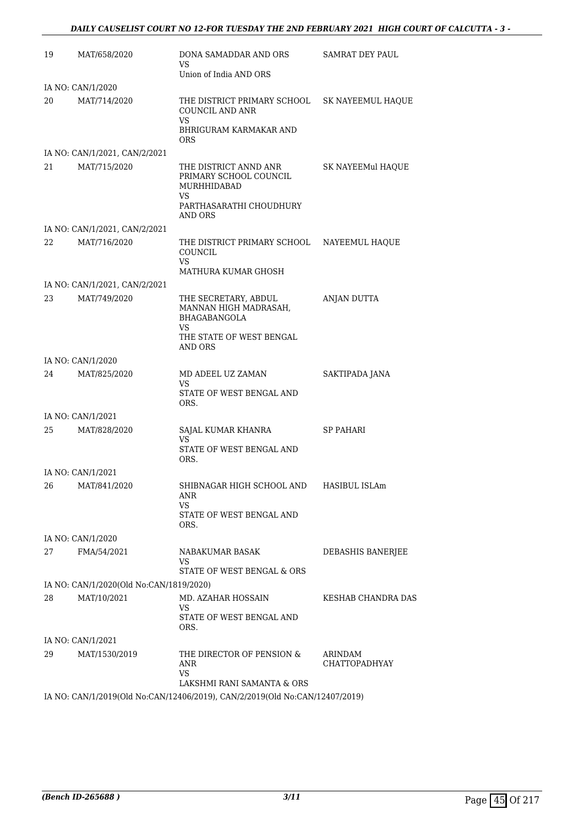| 19 | MAT/658/2020                                  | DONA SAMADDAR AND ORS<br>VS<br>Union of India AND ORS                                                     | SAMRAT DEY PAUL                 |
|----|-----------------------------------------------|-----------------------------------------------------------------------------------------------------------|---------------------------------|
|    | IA NO: CAN/1/2020                             |                                                                                                           |                                 |
| 20 | MAT/714/2020                                  | THE DISTRICT PRIMARY SCHOOL<br><b>COUNCIL AND ANR</b><br>VS.<br>BHRIGURAM KARMAKAR AND<br><b>ORS</b>      | SK NAYEEMUL HAQUE               |
|    | IA NO: CAN/1/2021, CAN/2/2021                 |                                                                                                           |                                 |
| 21 | MAT/715/2020                                  | THE DISTRICT ANND ANR<br>PRIMARY SCHOOL COUNCIL<br>MURHHIDABAD<br>VS.<br>PARTHASARATHI CHOUDHURY          | SK NAYEEMul HAQUE               |
|    |                                               | AND ORS                                                                                                   |                                 |
|    | IA NO: CAN/1/2021, CAN/2/2021                 |                                                                                                           |                                 |
| 22 | MAT/716/2020                                  | THE DISTRICT PRIMARY SCHOOL<br>COUNCIL<br>VS.                                                             | NAYEEMUL HAQUE                  |
|    |                                               | MATHURA KUMAR GHOSH                                                                                       |                                 |
| 23 | IA NO: CAN/1/2021, CAN/2/2021<br>MAT/749/2020 | THE SECRETARY, ABDUL<br>MANNAN HIGH MADRASAH,<br><b>BHAGABANGOLA</b><br>VS<br>THE STATE OF WEST BENGAL    | <b>ANJAN DUTTA</b>              |
|    |                                               | AND ORS                                                                                                   |                                 |
|    | IA NO: CAN/1/2020                             |                                                                                                           |                                 |
| 24 | MAT/825/2020                                  | MD ADEEL UZ ZAMAN<br>VS<br>STATE OF WEST BENGAL AND<br>ORS.                                               | SAKTIPADA JANA                  |
|    | IA NO: CAN/1/2021                             |                                                                                                           |                                 |
| 25 | MAT/828/2020                                  | SAJAL KUMAR KHANRA<br>VS<br>STATE OF WEST BENGAL AND<br>ORS.                                              | <b>SP PAHARI</b>                |
|    | IA NO: CAN/1/2021                             |                                                                                                           |                                 |
|    | 26 MAT/841/2020                               | SHIBNAGAR HIGH SCHOOL AND<br>ANR<br>VS.<br>STATE OF WEST BENGAL AND<br>ORS.                               | HASIBUL ISLAm                   |
|    | IA NO: CAN/1/2020                             |                                                                                                           |                                 |
| 27 | FMA/54/2021                                   | NABAKUMAR BASAK<br>VS.<br>STATE OF WEST BENGAL & ORS                                                      | DEBASHIS BANERJEE               |
|    | IA NO: CAN/1/2020(Old No:CAN/1819/2020)       |                                                                                                           |                                 |
| 28 | MAT/10/2021                                   | MD. AZAHAR HOSSAIN                                                                                        | <b>KESHAB CHANDRA DAS</b>       |
|    |                                               | VS<br>STATE OF WEST BENGAL AND<br>ORS.                                                                    |                                 |
|    | IA NO: CAN/1/2021                             |                                                                                                           |                                 |
| 29 | MAT/1530/2019                                 | THE DIRECTOR OF PENSION &<br>ANR<br>VS                                                                    | ARINDAM<br><b>CHATTOPADHYAY</b> |
|    |                                               | LAKSHMI RANI SAMANTA & ORS<br>IA NO: CAN/1/2019(Old No:CAN/12406/2019), CAN/2/2019(Old No:CAN/12407/2019) |                                 |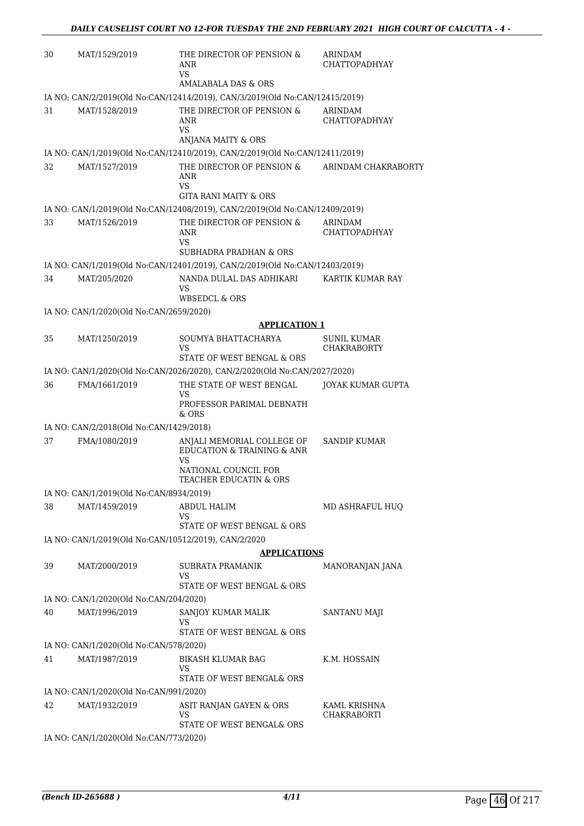| 30 | MAT/1529/2019                                            | THE DIRECTOR OF PENSION &<br>ANR<br>VS.                                                                                 | ARINDAM<br><b>CHATTOPADHYAY</b> |
|----|----------------------------------------------------------|-------------------------------------------------------------------------------------------------------------------------|---------------------------------|
|    |                                                          | AMALABALA DAS & ORS                                                                                                     |                                 |
|    |                                                          | IA NO: CAN/2/2019(Old No:CAN/12414/2019), CAN/3/2019(Old No:CAN/12415/2019)                                             |                                 |
| 31 | MAT/1528/2019                                            | THE DIRECTOR OF PENSION &<br>ANR<br>VS.                                                                                 | ARINDAM<br><b>CHATTOPADHYAY</b> |
|    |                                                          | ANJANA MAITY & ORS<br>IA NO: CAN/1/2019(Old No:CAN/12410/2019), CAN/2/2019(Old No:CAN/12411/2019)                       |                                 |
|    |                                                          |                                                                                                                         |                                 |
| 32 | MAT/1527/2019                                            | THE DIRECTOR OF PENSION &<br>ANR<br><b>VS</b>                                                                           | ARINDAM CHAKRABORTY             |
|    |                                                          | <b>GITA RANI MAITY &amp; ORS</b><br>IA NO: CAN/1/2019(Old No:CAN/12408/2019), CAN/2/2019(Old No:CAN/12409/2019)         |                                 |
| 33 | MAT/1526/2019                                            | THE DIRECTOR OF PENSION &                                                                                               | ARINDAM                         |
|    |                                                          | ANR<br>VS.<br><b>SUBHADRA PRADHAN &amp; ORS</b>                                                                         | <b>CHATTOPADHYAY</b>            |
|    |                                                          | IA NO: CAN/1/2019(Old No:CAN/12401/2019), CAN/2/2019(Old No:CAN/12403/2019)                                             |                                 |
| 34 | MAT/205/2020                                             | NANDA DULAL DAS ADHIKARI<br>VS<br>WBSEDCL & ORS                                                                         | KARTIK KUMAR RAY                |
|    | IA NO: CAN/1/2020(Old No:CAN/2659/2020)                  |                                                                                                                         |                                 |
|    |                                                          | <b>APPLICATION 1</b>                                                                                                    |                                 |
| 35 | MAT/1250/2019                                            | SOUMYA BHATTACHARYA                                                                                                     | SUNIL KUMAR                     |
|    |                                                          | VS                                                                                                                      | <b>CHAKRABORTY</b>              |
|    |                                                          | STATE OF WEST BENGAL & ORS                                                                                              |                                 |
|    |                                                          | IA NO: CAN/1/2020(Old No:CAN/2026/2020), CAN/2/2020(Old No:CAN/2027/2020)                                               |                                 |
| 36 | FMA/1661/2019                                            | THE STATE OF WEST BENGAL<br>VS<br>PROFESSOR PARIMAL DEBNATH                                                             | JOYAK KUMAR GUPTA               |
|    |                                                          | $&$ ORS                                                                                                                 |                                 |
| 37 | IA NO: CAN/2/2018(Old No:CAN/1429/2018)<br>FMA/1080/2019 |                                                                                                                         | <b>SANDIP KUMAR</b>             |
|    |                                                          | ANJALI MEMORIAL COLLEGE OF<br>EDUCATION & TRAINING & ANR<br><b>VS</b><br>NATIONAL COUNCIL FOR<br>TEACHER EDUCATIN & ORS |                                 |
|    | IA NO: CAN/1/2019(Old No:CAN/8934/2019)                  |                                                                                                                         |                                 |
| 38 | MAT/1459/2019                                            | ABDUL HALIM<br>VS<br>STATE OF WEST BENGAL & ORS                                                                         | MD ASHRAFUL HUO                 |
|    | IA NO: CAN/1/2019(Old No:CAN/10512/2019), CAN/2/2020     |                                                                                                                         |                                 |
|    |                                                          | <b>APPLICATIONS</b>                                                                                                     |                                 |
| 39 | MAT/2000/2019                                            | SUBRATA PRAMANIK                                                                                                        | MANORANJAN JANA                 |
|    |                                                          | VS<br>STATE OF WEST BENGAL & ORS                                                                                        |                                 |
|    | IA NO: CAN/1/2020(Old No:CAN/204/2020)                   |                                                                                                                         |                                 |
| 40 | MAT/1996/2019                                            | SANJOY KUMAR MALIK<br><b>VS</b><br>STATE OF WEST BENGAL & ORS                                                           | SANTANU MAJI                    |
|    | IA NO: CAN/1/2020(Old No:CAN/578/2020)                   |                                                                                                                         |                                 |
| 41 | MAT/1987/2019                                            | BIKASH KLUMAR BAG<br>VS                                                                                                 | K.M. HOSSAIN                    |
|    |                                                          | STATE OF WEST BENGAL& ORS                                                                                               |                                 |
|    | IA NO: CAN/1/2020(Old No:CAN/991/2020)                   |                                                                                                                         |                                 |
| 42 | MAT/1932/2019                                            | ASIT RANJAN GAYEN & ORS<br>VS<br>STATE OF WEST BENGAL& ORS                                                              | KAML KRISHNA<br>CHAKRABORTI     |
|    | IA NO: CAN/1/2020(Old No:CAN/773/2020)                   |                                                                                                                         |                                 |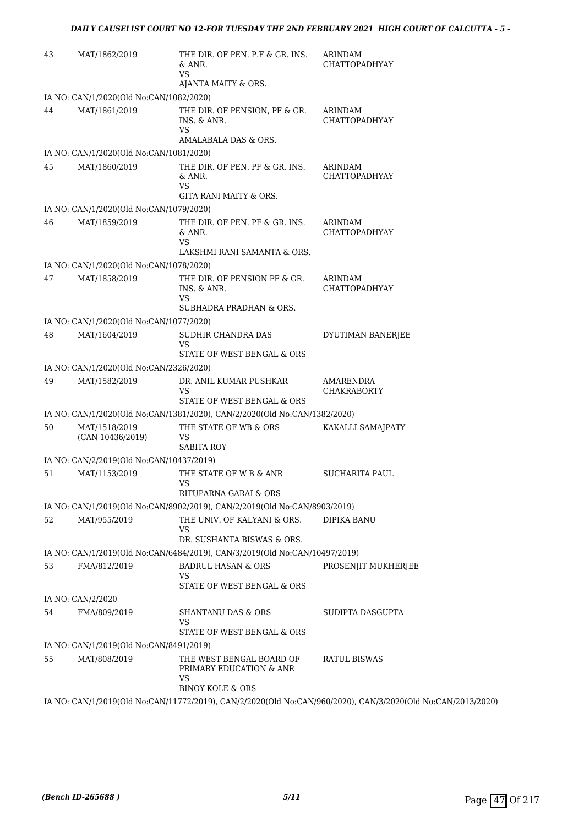| 43 | MAT/1862/2019                                             | THE DIR. OF PEN. P.F & GR. INS.<br>& ANR.<br><b>VS</b>                        | ARINDAM<br><b>CHATTOPADHYAY</b>                                                                             |
|----|-----------------------------------------------------------|-------------------------------------------------------------------------------|-------------------------------------------------------------------------------------------------------------|
|    |                                                           | AJANTA MAITY & ORS.                                                           |                                                                                                             |
|    | IA NO: CAN/1/2020(Old No:CAN/1082/2020)                   |                                                                               |                                                                                                             |
| 44 | MAT/1861/2019                                             | THE DIR. OF PENSION, PF & GR.<br>INS. & ANR.<br>VS                            | ARINDAM<br>CHATTOPADHYAY                                                                                    |
|    | IA NO: CAN/1/2020(Old No:CAN/1081/2020)                   | AMALABALA DAS & ORS.                                                          |                                                                                                             |
| 45 | MAT/1860/2019                                             | THE DIR. OF PEN. PF & GR. INS.                                                | ARINDAM                                                                                                     |
|    |                                                           | & ANR.<br><b>VS</b><br>GITA RANI MAITY & ORS.                                 | <b>CHATTOPADHYAY</b>                                                                                        |
|    | IA NO: CAN/1/2020(Old No:CAN/1079/2020)                   |                                                                               |                                                                                                             |
| 46 | MAT/1859/2019                                             | THE DIR. OF PEN. PF & GR. INS.<br>& ANR.<br>VS<br>LAKSHMI RANI SAMANTA & ORS. | ARINDAM<br><b>CHATTOPADHYAY</b>                                                                             |
|    | IA NO: CAN/1/2020(Old No:CAN/1078/2020)                   |                                                                               |                                                                                                             |
| 47 | MAT/1858/2019                                             | THE DIR. OF PENSION PF & GR.<br>INS. & ANR.<br>VS<br>SUBHADRA PRADHAN & ORS.  | ARINDAM<br>CHATTOPADHYAY                                                                                    |
|    | IA NO: CAN/1/2020(Old No:CAN/1077/2020)                   |                                                                               |                                                                                                             |
| 48 | MAT/1604/2019                                             | SUDHIR CHANDRA DAS<br>VS                                                      | DYUTIMAN BANERJEE                                                                                           |
|    | IA NO: CAN/1/2020(Old No:CAN/2326/2020)                   | STATE OF WEST BENGAL & ORS                                                    |                                                                                                             |
|    |                                                           |                                                                               |                                                                                                             |
| 49 | MAT/1582/2019                                             | DR. ANIL KUMAR PUSHKAR<br>VS<br>STATE OF WEST BENGAL & ORS                    | AMARENDRA<br><b>CHAKRABORTY</b>                                                                             |
|    |                                                           | IA NO: CAN/1/2020(Old No:CAN/1381/2020), CAN/2/2020(Old No:CAN/1382/2020)     |                                                                                                             |
| 50 | MAT/1518/2019<br>(CAN 10436/2019)                         | THE STATE OF WB & ORS<br>VS                                                   | KAKALLI SAMAJPATY                                                                                           |
|    |                                                           | <b>SABITA ROY</b>                                                             |                                                                                                             |
| 51 | IA NO: CAN/2/2019(Old No:CAN/10437/2019)<br>MAT/1153/2019 | THE STATE OF W B & ANR                                                        | <b>SUCHARITA PAUL</b>                                                                                       |
|    |                                                           | <b>VS</b><br>RITUPARNA GARAI & ORS                                            |                                                                                                             |
|    |                                                           | IA NO: CAN/1/2019(Old No:CAN/8902/2019), CAN/2/2019(Old No:CAN/8903/2019)     |                                                                                                             |
| 52 | MAT/955/2019                                              | THE UNIV. OF KALYANI & ORS.<br>VS                                             | <b>DIPIKA BANU</b>                                                                                          |
|    |                                                           | DR. SUSHANTA BISWAS & ORS.                                                    |                                                                                                             |
|    |                                                           | IA NO: CAN/1/2019(Old No:CAN/6484/2019), CAN/3/2019(Old No:CAN/10497/2019)    |                                                                                                             |
| 53 | FMA/812/2019                                              | <b>BADRUL HASAN &amp; ORS</b><br>VS<br>STATE OF WEST BENGAL & ORS             | PROSENJIT MUKHERJEE                                                                                         |
|    | IA NO: CAN/2/2020                                         |                                                                               |                                                                                                             |
| 54 | FMA/809/2019                                              | <b>SHANTANU DAS &amp; ORS</b><br><b>VS</b>                                    | SUDIPTA DASGUPTA                                                                                            |
|    |                                                           | STATE OF WEST BENGAL & ORS                                                    |                                                                                                             |
|    | IA NO: CAN/1/2019(Old No:CAN/8491/2019)                   |                                                                               |                                                                                                             |
| 55 | MAT/808/2019                                              | THE WEST BENGAL BOARD OF<br>PRIMARY EDUCATION & ANR<br>VS                     | RATUL BISWAS                                                                                                |
|    |                                                           | <b>BINOY KOLE &amp; ORS</b>                                                   |                                                                                                             |
|    |                                                           |                                                                               | IA NO: CAN/1/2019(Old No:CAN/11772/2019), CAN/2/2020(Old No:CAN/960/2020), CAN/3/2020(Old No:CAN/2013/2020) |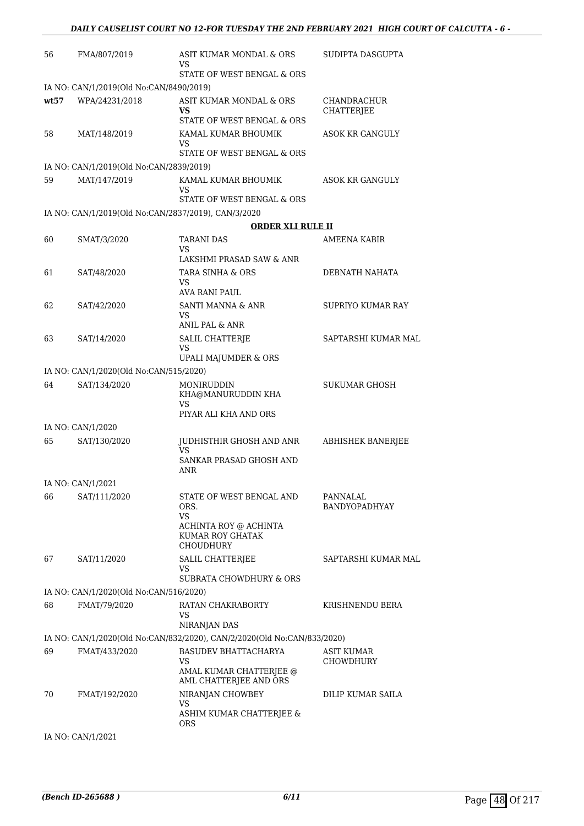| 56   | FMA/807/2019                                        | ASIT KUMAR MONDAL & ORS<br>VS                                           | SUDIPTA DASGUPTA                 |
|------|-----------------------------------------------------|-------------------------------------------------------------------------|----------------------------------|
|      |                                                     | STATE OF WEST BENGAL & ORS                                              |                                  |
|      | IA NO: CAN/1/2019(Old No:CAN/8490/2019)             |                                                                         |                                  |
| wt57 | WPA/24231/2018                                      | ASIT KUMAR MONDAL & ORS<br>VS.<br>STATE OF WEST BENGAL & ORS            | <b>CHANDRACHUR</b><br>CHATTERJEE |
| 58   | MAT/148/2019                                        | KAMAL KUMAR BHOUMIK<br>VS                                               | <b>ASOK KR GANGULY</b>           |
|      |                                                     | STATE OF WEST BENGAL & ORS                                              |                                  |
|      | IA NO: CAN/1/2019(Old No:CAN/2839/2019)             |                                                                         |                                  |
| 59   | MAT/147/2019                                        | KAMAL KUMAR BHOUMIK<br>VS<br>STATE OF WEST BENGAL & ORS                 | ASOK KR GANGULY                  |
|      | IA NO: CAN/1/2019(Old No:CAN/2837/2019), CAN/3/2020 |                                                                         |                                  |
|      |                                                     | <b>ORDER XLI RULE II</b>                                                |                                  |
| 60   | SMAT/3/2020                                         | <b>TARANI DAS</b><br>VS<br>LAKSHMI PRASAD SAW & ANR                     | AMEENA KABIR                     |
| 61   | SAT/48/2020                                         | TARA SINHA & ORS                                                        | DEBNATH NAHATA                   |
|      |                                                     | VS<br>AVA RANI PAUL                                                     |                                  |
| 62   | SAT/42/2020                                         | SANTI MANNA & ANR                                                       | SUPRIYO KUMAR RAY                |
|      |                                                     | VS<br>ANIL PAL & ANR                                                    |                                  |
| 63   | SAT/14/2020                                         | SALIL CHATTERJE<br>VS                                                   | SAPTARSHI KUMAR MAL              |
|      |                                                     | UPALI MAJUMDER & ORS                                                    |                                  |
|      | IA NO: CAN/1/2020(Old No:CAN/515/2020)              |                                                                         |                                  |
| 64   | SAT/134/2020                                        | MONIRUDDIN<br>KHA@MANURUDDIN KHA<br>VS                                  | SUKUMAR GHOSH                    |
|      |                                                     | PIYAR ALI KHA AND ORS                                                   |                                  |
|      | IA NO: CAN/1/2020                                   |                                                                         |                                  |
| 65   | SAT/130/2020                                        | JUDHISTHIR GHOSH AND ANR<br>VS<br>SANKAR PRASAD GHOSH AND               | <b>ABHISHEK BANERJEE</b>         |
|      |                                                     | ANR                                                                     |                                  |
|      | IA NO: CAN/1/2021                                   |                                                                         |                                  |
| 66   | SAT/111/2020                                        | STATE OF WEST BENGAL AND<br>ORS.<br>VS                                  | PANNALAL<br>BANDYOPADHYAY        |
|      |                                                     | ACHINTA ROY @ ACHINTA<br>KUMAR ROY GHATAK<br><b>CHOUDHURY</b>           |                                  |
| 67   | SAT/11/2020                                         | SALIL CHATTERJEE<br>VS<br>SUBRATA CHOWDHURY & ORS                       | SAPTARSHI KUMAR MAL              |
|      | IA NO: CAN/1/2020(Old No:CAN/516/2020)              |                                                                         |                                  |
| 68   | FMAT/79/2020                                        | RATAN CHAKRABORTY                                                       | KRISHNENDU BERA                  |
|      |                                                     | VS<br>NIRANJAN DAS                                                      |                                  |
|      |                                                     | IA NO: CAN/1/2020(Old No:CAN/832/2020), CAN/2/2020(Old No:CAN/833/2020) |                                  |
| 69   | FMAT/433/2020                                       | <b>BASUDEV BHATTACHARYA</b><br>VS                                       | ASIT KUMAR<br>CHOWDHURY          |
|      |                                                     | AMAL KUMAR CHATTERJEE @<br>AML CHATTERJEE AND ORS                       |                                  |
| 70   | FMAT/192/2020                                       | NIRANJAN CHOWBEY<br>VS                                                  | DILIP KUMAR SAILA                |
|      |                                                     | ASHIM KUMAR CHATTERJEE &<br><b>ORS</b>                                  |                                  |

IA NO: CAN/1/2021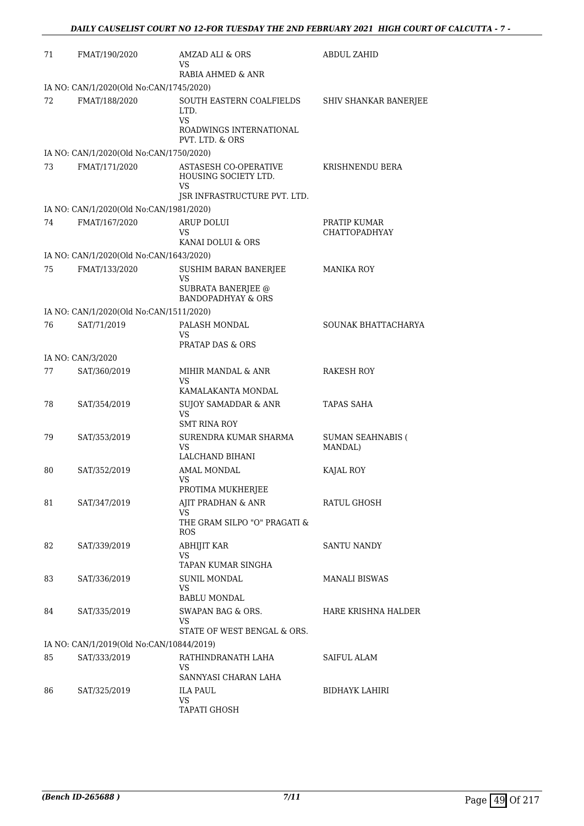| 71 | FMAT/190/2020                            | AMZAD ALI & ORS<br>VS<br>RABIA AHMED & ANR                                           | <b>ABDUL ZAHID</b>                   |
|----|------------------------------------------|--------------------------------------------------------------------------------------|--------------------------------------|
|    | IA NO: CAN/1/2020(Old No:CAN/1745/2020)  |                                                                                      |                                      |
| 72 | FMAT/188/2020                            | SOUTH EASTERN COALFIELDS<br>LTD.<br>VS<br>ROADWINGS INTERNATIONAL<br>PVT. LTD. & ORS | SHIV SHANKAR BANERJEE                |
|    | IA NO: CAN/1/2020(Old No:CAN/1750/2020)  |                                                                                      |                                      |
| 73 | FMAT/171/2020                            | <b>ASTASESH CO-OPERATIVE</b><br>HOUSING SOCIETY LTD.<br>VS                           | KRISHNENDU BERA                      |
|    |                                          | JSR INFRASTRUCTURE PVT. LTD.                                                         |                                      |
|    | IA NO: CAN/1/2020(Old No:CAN/1981/2020)  |                                                                                      |                                      |
| 74 | FMAT/167/2020                            | ARUP DOLUI<br>VS<br>KANAI DOLUI & ORS                                                | PRATIP KUMAR<br><b>CHATTOPADHYAY</b> |
|    | IA NO: CAN/1/2020(Old No:CAN/1643/2020)  |                                                                                      |                                      |
| 75 | FMAT/133/2020                            | SUSHIM BARAN BANERJEE<br>VS<br>SUBRATA BANERJEE @<br><b>BANDOPADHYAY &amp; ORS</b>   | MANIKA ROY                           |
|    | IA NO: CAN/1/2020(Old No:CAN/1511/2020)  |                                                                                      |                                      |
| 76 | SAT/71/2019                              | PALASH MONDAL<br>VS.<br><b>PRATAP DAS &amp; ORS</b>                                  | SOUNAK BHATTACHARYA                  |
|    | IA NO: CAN/3/2020                        |                                                                                      |                                      |
| 77 | SAT/360/2019                             | MIHIR MANDAL & ANR<br><b>VS</b>                                                      | <b>RAKESH ROY</b>                    |
|    |                                          | KAMALAKANTA MONDAL                                                                   |                                      |
| 78 | SAT/354/2019                             | <b>SUJOY SAMADDAR &amp; ANR</b><br><b>VS</b><br><b>SMT RINA ROY</b>                  | TAPAS SAHA                           |
| 79 | SAT/353/2019                             | SURENDRA KUMAR SHARMA<br>VS<br>LALCHAND BIHANI                                       | <b>SUMAN SEAHNABIS (</b><br>MANDAL)  |
| 80 | SAT/352/2019                             | AMAL MONDAL<br>VS<br>PROTIMA MUKHERJEE                                               | KAJAL ROY                            |
| 81 | SAT/347/2019                             | AJIT PRADHAN & ANR<br>VS.<br>THE GRAM SILPO "O" PRAGATI &<br><b>ROS</b>              | RATUL GHOSH                          |
| 82 | SAT/339/2019                             | ABHIJIT KAR<br>VS<br>TAPAN KUMAR SINGHA                                              | SANTU NANDY                          |
| 83 | SAT/336/2019                             | <b>SUNIL MONDAL</b><br>VS.<br><b>BABLU MONDAL</b>                                    | <b>MANALI BISWAS</b>                 |
| 84 | SAT/335/2019                             | SWAPAN BAG & ORS.<br>VS<br>STATE OF WEST BENGAL & ORS.                               | HARE KRISHNA HALDER                  |
|    | IA NO: CAN/1/2019(Old No:CAN/10844/2019) |                                                                                      |                                      |
| 85 | SAT/333/2019                             | RATHINDRANATH LAHA<br>VS<br>SANNYASI CHARAN LAHA                                     | SAIFUL ALAM                          |
| 86 | SAT/325/2019                             | <b>ILA PAUL</b><br>VS.<br>TAPATI GHOSH                                               | BIDHAYK LAHIRI                       |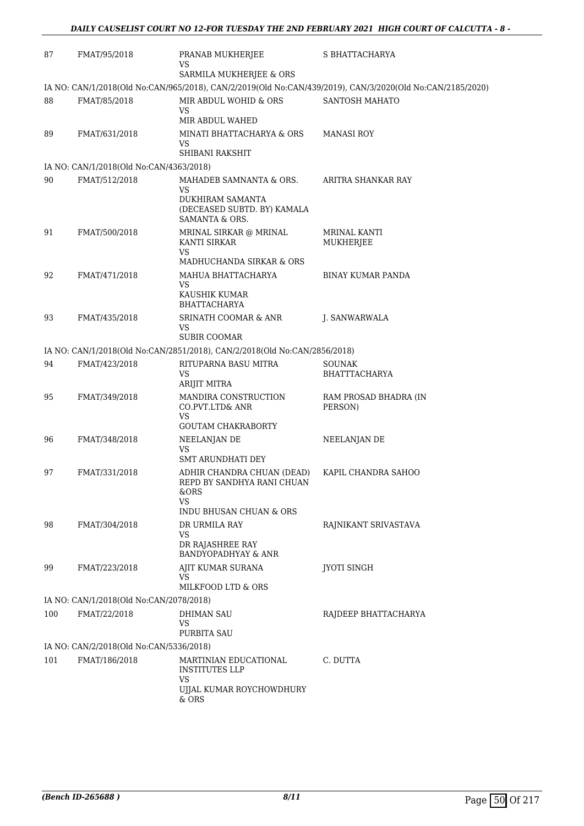| 87  | FMAT/95/2018                            | PRANAB MUKHERJEE<br>VS                                                    | S BHATTACHARYA                                                                                            |
|-----|-----------------------------------------|---------------------------------------------------------------------------|-----------------------------------------------------------------------------------------------------------|
|     |                                         | SARMILA MUKHERJEE & ORS                                                   |                                                                                                           |
|     |                                         |                                                                           | IA NO: CAN/1/2018(Old No:CAN/965/2018), CAN/2/2019(Old No:CAN/439/2019), CAN/3/2020(Old No:CAN/2185/2020) |
| 88  | FMAT/85/2018                            | MIR ABDUL WOHID & ORS<br>VS                                               | SANTOSH MAHATO                                                                                            |
|     |                                         | MIR ABDUL WAHED                                                           |                                                                                                           |
| 89  | FMAT/631/2018                           | MINATI BHATTACHARYA & ORS<br>VS                                           | <b>MANASI ROY</b>                                                                                         |
|     |                                         | SHIBANI RAKSHIT                                                           |                                                                                                           |
|     | IA NO: CAN/1/2018(Old No:CAN/4363/2018) |                                                                           |                                                                                                           |
| 90  | FMAT/512/2018                           | MAHADEB SAMNANTA & ORS.<br><b>VS</b>                                      | ARITRA SHANKAR RAY                                                                                        |
|     |                                         | DUKHIRAM SAMANTA<br>(DECEASED SUBTD. BY) KAMALA<br>SAMANTA & ORS.         |                                                                                                           |
| 91  | FMAT/500/2018                           | MRINAL SIRKAR @ MRINAL<br>KANTI SIRKAR<br><b>VS</b>                       | MRINAL KANTI<br>MUKHERJEE                                                                                 |
|     |                                         | MADHUCHANDA SIRKAR & ORS                                                  |                                                                                                           |
| 92  | FMAT/471/2018                           | MAHUA BHATTACHARYA<br><b>VS</b>                                           | <b>BINAY KUMAR PANDA</b>                                                                                  |
|     |                                         | KAUSHIK KUMAR<br><b>BHATTACHARYA</b>                                      |                                                                                                           |
| 93  | FMAT/435/2018                           | <b>SRINATH COOMAR &amp; ANR</b><br>VS                                     | J. SANWARWALA                                                                                             |
|     |                                         | <b>SUBIR COOMAR</b>                                                       |                                                                                                           |
|     |                                         | IA NO: CAN/1/2018(Old No:CAN/2851/2018), CAN/2/2018(Old No:CAN/2856/2018) |                                                                                                           |
| 94  | FMAT/423/2018                           | RITUPARNA BASU MITRA<br>VS<br>ARIJIT MITRA                                | <b>SOUNAK</b><br>BHATTTACHARYA                                                                            |
|     |                                         |                                                                           |                                                                                                           |
| 95  | FMAT/349/2018                           | <b>MANDIRA CONSTRUCTION</b><br>CO.PVT.LTD& ANR<br><b>VS</b>               | RAM PROSAD BHADRA (IN<br>PERSON)                                                                          |
|     |                                         | <b>GOUTAM CHAKRABORTY</b>                                                 |                                                                                                           |
| 96  | FMAT/348/2018                           | NEELANJAN DE<br>VS                                                        | NEELANJAN DE                                                                                              |
|     |                                         | <b>SMT ARUNDHATI DEY</b>                                                  |                                                                                                           |
| 97  | FMAT/331/2018                           | ADHIR CHANDRA CHUAN (DEAD)<br>REPD BY SANDHYA RANI CHUAN<br>&ORS<br>VS    | KAPIL CHANDRA SAHOO                                                                                       |
|     |                                         | INDU BHUSAN CHUAN & ORS                                                   |                                                                                                           |
| 98  | FMAT/304/2018                           | DR URMILA RAY<br>VS                                                       | RAJNIKANT SRIVASTAVA                                                                                      |
|     |                                         | DR RAJASHREE RAY<br><b>BANDYOPADHYAY &amp; ANR</b>                        |                                                                                                           |
| 99  | FMAT/223/2018                           | AJIT KUMAR SURANA<br>VS                                                   | <b>JYOTI SINGH</b>                                                                                        |
|     |                                         | MILKFOOD LTD & ORS                                                        |                                                                                                           |
|     | IA NO: CAN/1/2018(Old No:CAN/2078/2018) |                                                                           |                                                                                                           |
| 100 | FMAT/22/2018                            | DHIMAN SAU<br>VS                                                          | RAJDEEP BHATTACHARYA                                                                                      |
|     |                                         | PURBITA SAU                                                               |                                                                                                           |
|     | IA NO: CAN/2/2018(Old No:CAN/5336/2018) |                                                                           |                                                                                                           |
| 101 | FMAT/186/2018                           | MARTINIAN EDUCATIONAL<br><b>INSTITUTES LLP</b><br><b>VS</b>               | C. DUTTA                                                                                                  |
|     |                                         | UJJAL KUMAR ROYCHOWDHURY<br>& ORS                                         |                                                                                                           |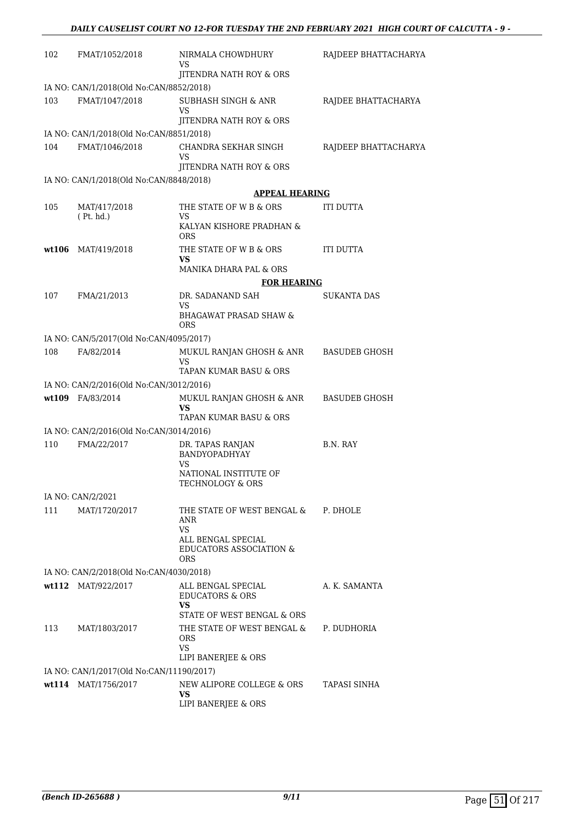| 102   | FMAT/1052/2018                           | NIRMALA CHOWDHURY<br>VS                                  | RAJDEEP BHATTACHARYA |
|-------|------------------------------------------|----------------------------------------------------------|----------------------|
|       |                                          | JITENDRA NATH ROY & ORS                                  |                      |
|       | IA NO: CAN/1/2018(Old No:CAN/8852/2018)  |                                                          |                      |
| 103   | FMAT/1047/2018                           | <b>SUBHASH SINGH &amp; ANR</b><br>VS                     | RAJDEE BHATTACHARYA  |
|       |                                          | JITENDRA NATH ROY & ORS                                  |                      |
| 104   | IA NO: CAN/1/2018(Old No:CAN/8851/2018)  |                                                          |                      |
|       | FMAT/1046/2018                           | CHANDRA SEKHAR SINGH<br>VS                               | RAJDEEP BHATTACHARYA |
|       |                                          | JITENDRA NATH ROY & ORS                                  |                      |
|       | IA NO: CAN/1/2018(Old No:CAN/8848/2018)  |                                                          |                      |
|       |                                          | <b>APPEAL HEARING</b>                                    |                      |
| 105   | MAT/417/2018<br>(Pt. hd.)                | THE STATE OF W B & ORS<br>VS                             | ITI DUTTA            |
|       |                                          | KALYAN KISHORE PRADHAN &<br><b>ORS</b>                   |                      |
| wt106 | MAT/419/2018                             | THE STATE OF W B & ORS<br>VS                             | ITI DUTTA            |
|       |                                          | MANIKA DHARA PAL & ORS                                   |                      |
|       |                                          | <b>FOR HEARING</b>                                       |                      |
| 107   | FMA/21/2013                              | DR. SADANAND SAH<br>VS                                   | SUKANTA DAS          |
|       |                                          | <b>BHAGAWAT PRASAD SHAW &amp;</b><br>ORS                 |                      |
|       | IA NO: CAN/5/2017(Old No:CAN/4095/2017)  |                                                          |                      |
| 108   | FA/82/2014                               | MUKUL RANJAN GHOSH & ANR<br>VS                           | <b>BASUDEB GHOSH</b> |
|       |                                          | TAPAN KUMAR BASU & ORS                                   |                      |
|       | IA NO: CAN/2/2016(Old No:CAN/3012/2016)  |                                                          |                      |
|       | wt109 FA/83/2014                         | MUKUL RANJAN GHOSH & ANR<br>VS<br>TAPAN KUMAR BASU & ORS | <b>BASUDEB GHOSH</b> |
|       | IA NO: CAN/2/2016(Old No:CAN/3014/2016)  |                                                          |                      |
| 110   | FMA/22/2017                              | DR. TAPAS RANJAN                                         | B.N. RAY             |
|       |                                          | BANDYOPADHYAY<br>VS                                      |                      |
|       |                                          | NATIONAL INSTITUTE OF<br>TECHNOLOGY & ORS                |                      |
|       | IA NO: CAN/2/2021                        |                                                          |                      |
| 111   | MAT/1720/2017                            | THE STATE OF WEST BENGAL &<br>ANR                        | P. DHOLE             |
|       |                                          | <b>VS</b><br>ALL BENGAL SPECIAL                          |                      |
|       |                                          | <b>EDUCATORS ASSOCIATION &amp;</b><br>ORS                |                      |
|       | IA NO: CAN/2/2018(Old No:CAN/4030/2018)  |                                                          |                      |
|       | wt112 MAT/922/2017                       | ALL BENGAL SPECIAL                                       | A. K. SAMANTA        |
|       |                                          | <b>EDUCATORS &amp; ORS</b><br>VS.                        |                      |
|       |                                          | STATE OF WEST BENGAL & ORS                               |                      |
| 113   | MAT/1803/2017                            | THE STATE OF WEST BENGAL &<br><b>ORS</b><br>VS.          | P. DUDHORIA          |
|       |                                          | LIPI BANERJEE & ORS                                      |                      |
|       | IA NO: CAN/1/2017(Old No:CAN/11190/2017) |                                                          |                      |
|       | wt114 MAT/1756/2017                      | NEW ALIPORE COLLEGE & ORS<br>VS                          | TAPASI SINHA         |
|       |                                          | LIPI BANERJEE & ORS                                      |                      |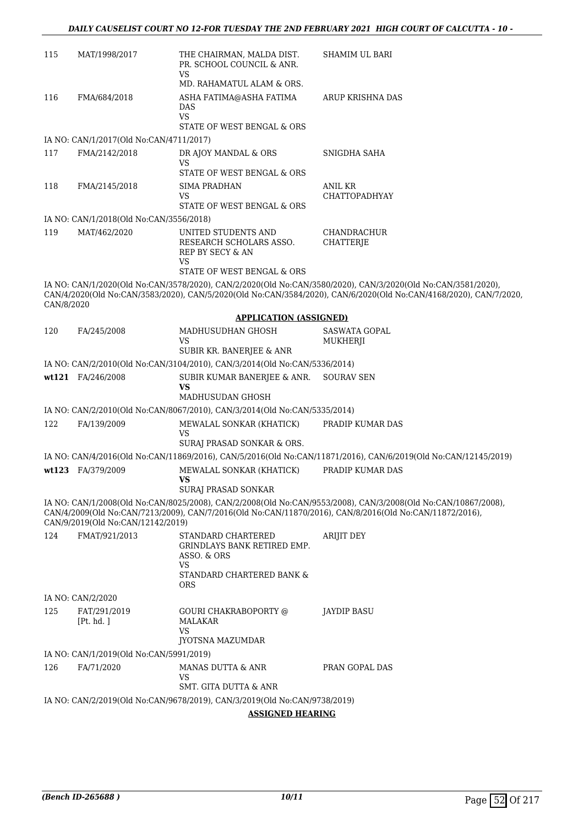| 115        | MAT/1998/2017                           | THE CHAIRMAN, MALDA DIST.<br>PR. SCHOOL COUNCIL & ANR.<br><b>VS</b>                                    | <b>SHAMIM UL BARI</b>                                                                                                                                                                                                             |
|------------|-----------------------------------------|--------------------------------------------------------------------------------------------------------|-----------------------------------------------------------------------------------------------------------------------------------------------------------------------------------------------------------------------------------|
|            |                                         | MD. RAHAMATUL ALAM & ORS.                                                                              |                                                                                                                                                                                                                                   |
| 116        | FMA/684/2018                            | ASHA FATIMA@ASHA FATIMA<br>DAS<br><b>VS</b>                                                            | ARUP KRISHNA DAS                                                                                                                                                                                                                  |
|            |                                         | STATE OF WEST BENGAL & ORS                                                                             |                                                                                                                                                                                                                                   |
|            | IA NO: CAN/1/2017(Old No:CAN/4711/2017) |                                                                                                        |                                                                                                                                                                                                                                   |
| 117        | FMA/2142/2018                           | DR AJOY MANDAL & ORS<br>VS                                                                             | SNIGDHA SAHA                                                                                                                                                                                                                      |
|            |                                         | STATE OF WEST BENGAL & ORS                                                                             |                                                                                                                                                                                                                                   |
| 118        | FMA/2145/2018                           | SIMA PRADHAN<br>VS                                                                                     | ANIL KR<br><b>CHATTOPADHYAY</b>                                                                                                                                                                                                   |
|            |                                         | STATE OF WEST BENGAL & ORS                                                                             |                                                                                                                                                                                                                                   |
|            | IA NO: CAN/1/2018(Old No:CAN/3556/2018) |                                                                                                        |                                                                                                                                                                                                                                   |
| 119        | MAT/462/2020                            | UNITED STUDENTS AND<br>RESEARCH SCHOLARS ASSO.<br>REP BY SECY & AN<br>VS<br>STATE OF WEST BENGAL & ORS | <b>CHANDRACHUR</b><br><b>CHATTERJE</b>                                                                                                                                                                                            |
| CAN/8/2020 |                                         |                                                                                                        | IA NO: CAN/1/2020(Old No:CAN/3578/2020), CAN/2/2020(Old No:CAN/3580/2020), CAN/3/2020(Old No:CAN/3581/2020),<br>CAN/4/2020(Old No:CAN/3583/2020), CAN/5/2020(Old No:CAN/3584/2020), CAN/6/2020(Old No:CAN/4168/2020), CAN/7/2020, |
|            |                                         | <b>APPLICATION (ASSIGNED)</b>                                                                          |                                                                                                                                                                                                                                   |
| 120        | FA/245/2008                             | MADHUSUDHAN GHOSH<br>VS                                                                                | <b>SASWATA GOPAL</b><br>MUKHERJI                                                                                                                                                                                                  |
|            |                                         | SUBIR KR. BANERJEE & ANR                                                                               |                                                                                                                                                                                                                                   |
|            |                                         | IA NO: CAN/2/2010(Old No:CAN/3104/2010), CAN/3/2014(Old No:CAN/5336/2014)                              |                                                                                                                                                                                                                                   |
|            | wt121 FA/246/2008                       | SUBIR KUMAR BANERJEE & ANR.<br>VS                                                                      | <b>SOURAV SEN</b>                                                                                                                                                                                                                 |
|            |                                         | MADHUSUDAN GHOSH                                                                                       |                                                                                                                                                                                                                                   |
|            |                                         | IA NO: CAN/2/2010(Old No:CAN/8067/2010), CAN/3/2014(Old No:CAN/5335/2014)                              |                                                                                                                                                                                                                                   |
| 122        | FA/139/2009                             | MEWALAL SONKAR (KHATICK)<br>VS<br>SURAJ PRASAD SONKAR & ORS.                                           | PRADIP KUMAR DAS                                                                                                                                                                                                                  |
|            |                                         |                                                                                                        | IA NO: CAN/4/2016(Old No:CAN/11869/2016), CAN/5/2016(Old No:CAN/11871/2016), CAN/6/2019(Old No:CAN/12145/2019)                                                                                                                    |
|            | wt123 FA/379/2009                       | MEWALAL SONKAR (KHATICK)<br><b>VS</b>                                                                  | PRADIP KUMAR DAS                                                                                                                                                                                                                  |
|            |                                         | SURAJ PRASAD SONKAR                                                                                    |                                                                                                                                                                                                                                   |
|            | CAN/9/2019(Old No:CAN/12142/2019)       |                                                                                                        | IA NO: CAN/1/2008(Old No:CAN/8025/2008), CAN/2/2008(Old No:CAN/9553/2008), CAN/3/2008(Old No:CAN/10867/2008),<br>CAN/4/2009(Old No:CAN/7213/2009), CAN/7/2016(Old No:CAN/11870/2016), CAN/8/2016(Old No:CAN/11872/2016),          |
| 124        | FMAT/921/2013                           | STANDARD CHARTERED<br>GRINDLAYS BANK RETIRED EMP.<br>ASSO. & ORS<br>VS                                 | <b>ARIJIT DEY</b>                                                                                                                                                                                                                 |
|            |                                         | STANDARD CHARTERED BANK &<br><b>ORS</b>                                                                |                                                                                                                                                                                                                                   |
|            | IA NO: CAN/2/2020                       |                                                                                                        |                                                                                                                                                                                                                                   |
| 125        | FAT/291/2019<br>[Pt. hd. ]              | <b>GOURI CHAKRABOPORTY @</b><br><b>MALAKAR</b><br>VS                                                   | JAYDIP BASU                                                                                                                                                                                                                       |
|            |                                         | JYOTSNA MAZUMDAR                                                                                       |                                                                                                                                                                                                                                   |
|            | IA NO: CAN/1/2019(Old No:CAN/5991/2019) |                                                                                                        |                                                                                                                                                                                                                                   |
| 126        | FA/71/2020                              | MANAS DUTTA & ANR<br>VS                                                                                | PRAN GOPAL DAS                                                                                                                                                                                                                    |
|            |                                         | SMT. GITA DUTTA & ANR                                                                                  |                                                                                                                                                                                                                                   |
|            |                                         | IA NO: CAN/2/2019(Old No:CAN/9678/2019), CAN/3/2019(Old No:CAN/9738/2019)                              |                                                                                                                                                                                                                                   |
|            |                                         | <b>ASSIGNED HEARING</b>                                                                                |                                                                                                                                                                                                                                   |
|            |                                         |                                                                                                        |                                                                                                                                                                                                                                   |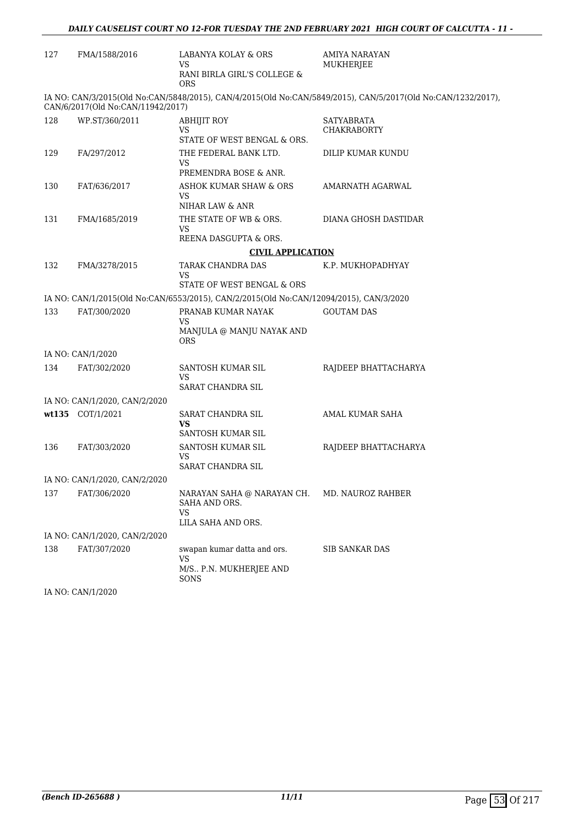| 127 | FMA/1588/2016                     | LABANYA KOLAY & ORS<br>VS                                                              | AMIYA NARAYAN<br>MUKHERJEE                                                                                   |
|-----|-----------------------------------|----------------------------------------------------------------------------------------|--------------------------------------------------------------------------------------------------------------|
|     |                                   | RANI BIRLA GIRL'S COLLEGE &<br><b>ORS</b>                                              |                                                                                                              |
|     | CAN/6/2017(Old No:CAN/11942/2017) |                                                                                        | IA NO: CAN/3/2015(Old No:CAN/5848/2015), CAN/4/2015(Old No:CAN/5849/2015), CAN/5/2017(Old No:CAN/1232/2017), |
| 128 | WP.ST/360/2011                    | ABHIJIT ROY<br>VS                                                                      | SATYABRATA<br><b>CHAKRABORTY</b>                                                                             |
|     |                                   | STATE OF WEST BENGAL & ORS.                                                            |                                                                                                              |
| 129 | FA/297/2012                       | THE FEDERAL BANK LTD.<br>VS                                                            | DILIP KUMAR KUNDU                                                                                            |
| 130 |                                   | PREMENDRA BOSE & ANR.<br>ASHOK KUMAR SHAW & ORS                                        | AMARNATH AGARWAL                                                                                             |
|     | FAT/636/2017                      | VS                                                                                     |                                                                                                              |
|     |                                   | NIHAR LAW & ANR                                                                        |                                                                                                              |
| 131 | FMA/1685/2019                     | THE STATE OF WB & ORS.<br>VS                                                           | DIANA GHOSH DASTIDAR                                                                                         |
|     |                                   | REENA DASGUPTA & ORS.                                                                  |                                                                                                              |
|     |                                   | <b>CIVIL APPLICATION</b>                                                               |                                                                                                              |
| 132 | FMA/3278/2015                     | TARAK CHANDRA DAS<br>VS                                                                | K.P. MUKHOPADHYAY                                                                                            |
|     |                                   | STATE OF WEST BENGAL & ORS                                                             |                                                                                                              |
|     |                                   | IA NO: CAN/1/2015(Old No:CAN/6553/2015), CAN/2/2015(Old No:CAN/12094/2015), CAN/3/2020 |                                                                                                              |
| 133 | FAT/300/2020                      | PRANAB KUMAR NAYAK<br>VS                                                               | <b>GOUTAM DAS</b>                                                                                            |
|     |                                   | MANJULA @ MANJU NAYAK AND<br>ORS                                                       |                                                                                                              |
|     | IA NO: CAN/1/2020                 |                                                                                        |                                                                                                              |
| 134 | FAT/302/2020                      | SANTOSH KUMAR SIL<br>VS                                                                | RAJDEEP BHATTACHARYA                                                                                         |
|     |                                   | SARAT CHANDRA SIL                                                                      |                                                                                                              |
|     | IA NO: CAN/1/2020, CAN/2/2020     |                                                                                        |                                                                                                              |
|     | wt135 COT/1/2021                  | SARAT CHANDRA SIL<br>VS                                                                | AMAL KUMAR SAHA                                                                                              |
|     |                                   | SANTOSH KUMAR SIL                                                                      |                                                                                                              |
| 136 | FAT/303/2020                      | SANTOSH KUMAR SIL<br>VS                                                                | RAJDEEP BHATTACHARYA                                                                                         |
|     |                                   | SARAT CHANDRA SIL                                                                      |                                                                                                              |
|     | IA NO: CAN/1/2020, CAN/2/2020     |                                                                                        |                                                                                                              |
| 137 | FAT/306/2020                      | NARAYAN SAHA @ NARAYAN CH.<br>SAHA AND ORS.<br>VS                                      | MD. NAUROZ RAHBER                                                                                            |
|     | IA NO: CAN/1/2020, CAN/2/2020     | LILA SAHA AND ORS.                                                                     |                                                                                                              |
|     |                                   |                                                                                        |                                                                                                              |
| 138 | FAT/307/2020                      | swapan kumar datta and ors.<br>VS                                                      | <b>SIB SANKAR DAS</b>                                                                                        |
|     |                                   | M/S., P.N. MUKHERJEE AND<br>SONS                                                       |                                                                                                              |

IA NO: CAN/1/2020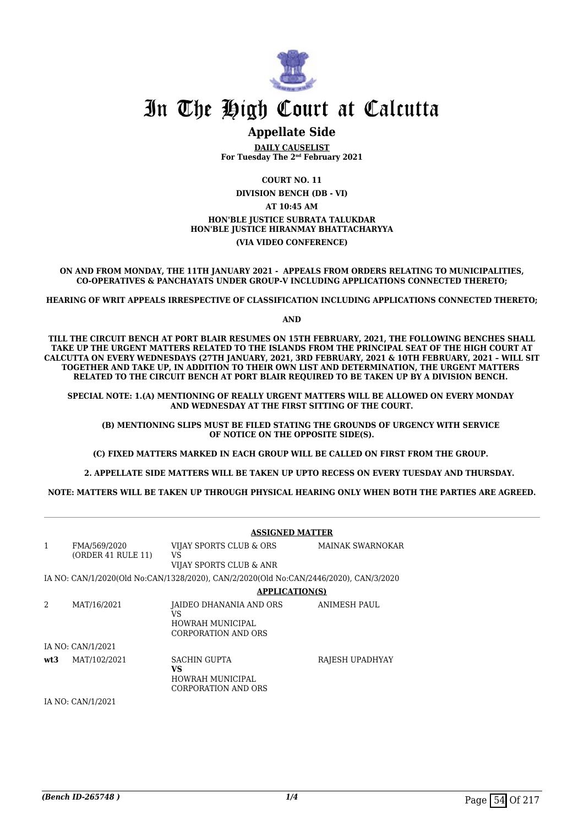

# In The High Court at Calcutta

# **Appellate Side**

**DAILY CAUSELIST For Tuesday The 2nd February 2021**

**COURT NO. 11 DIVISION BENCH (DB - VI) AT 10:45 AM HON'BLE JUSTICE SUBRATA TALUKDAR HON'BLE JUSTICE HIRANMAY BHATTACHARYYA (VIA VIDEO CONFERENCE)**

**ON AND FROM MONDAY, THE 11TH JANUARY 2021 - APPEALS FROM ORDERS RELATING TO MUNICIPALITIES, CO-OPERATIVES & PANCHAYATS UNDER GROUP-V INCLUDING APPLICATIONS CONNECTED THERETO;**

**HEARING OF WRIT APPEALS IRRESPECTIVE OF CLASSIFICATION INCLUDING APPLICATIONS CONNECTED THERETO;**

**AND**

**TILL THE CIRCUIT BENCH AT PORT BLAIR RESUMES ON 15TH FEBRUARY, 2021, THE FOLLOWING BENCHES SHALL TAKE UP THE URGENT MATTERS RELATED TO THE ISLANDS FROM THE PRINCIPAL SEAT OF THE HIGH COURT AT CALCUTTA ON EVERY WEDNESDAYS (27TH JANUARY, 2021, 3RD FEBRUARY, 2021 & 10TH FEBRUARY, 2021 – WILL SIT TOGETHER AND TAKE UP, IN ADDITION TO THEIR OWN LIST AND DETERMINATION, THE URGENT MATTERS RELATED TO THE CIRCUIT BENCH AT PORT BLAIR REQUIRED TO BE TAKEN UP BY A DIVISION BENCH.** 

**SPECIAL NOTE: 1.(A) MENTIONING OF REALLY URGENT MATTERS WILL BE ALLOWED ON EVERY MONDAY AND WEDNESDAY AT THE FIRST SITTING OF THE COURT.**

 **(B) MENTIONING SLIPS MUST BE FILED STATING THE GROUNDS OF URGENCY WITH SERVICE OF NOTICE ON THE OPPOSITE SIDE(S).**

**(C) FIXED MATTERS MARKED IN EACH GROUP WILL BE CALLED ON FIRST FROM THE GROUP.** 

 **2. APPELLATE SIDE MATTERS WILL BE TAKEN UP UPTO RECESS ON EVERY TUESDAY AND THURSDAY.** 

**NOTE: MATTERS WILL BE TAKEN UP THROUGH PHYSICAL HEARING ONLY WHEN BOTH THE PARTIES ARE AGREED.**

|                   |                                    | <b>ASSIGNED MATTER</b>                                                                |                         |  |
|-------------------|------------------------------------|---------------------------------------------------------------------------------------|-------------------------|--|
| $\mathbf{1}$      | FMA/569/2020<br>(ORDER 41 RULE 11) | VIJAY SPORTS CLUB & ORS<br>VS                                                         | <b>MAINAK SWARNOKAR</b> |  |
|                   |                                    | VIJAY SPORTS CLUB & ANR                                                               |                         |  |
|                   |                                    | IA NO: CAN/1/2020(Old No:CAN/1328/2020), CAN/2/2020(Old No:CAN/2446/2020), CAN/3/2020 |                         |  |
|                   |                                    | <b>APPLICATION(S)</b>                                                                 |                         |  |
| 2                 | MAT/16/2021                        | JAIDEO DHANANIA AND ORS<br>VS<br>HOWRAH MUNICIPAL<br><b>CORPORATION AND ORS</b>       | ANIMESH PAUL            |  |
|                   | IA NO: CAN/1/2021                  |                                                                                       |                         |  |
| wt3               | MAT/102/2021                       | <b>SACHIN GUPTA</b><br>VS.<br>HOWRAH MUNICIPAL<br><b>CORPORATION AND ORS</b>          | RAJESH UPADHYAY         |  |
| IA NO: CAN/1/2021 |                                    |                                                                                       |                         |  |
|                   |                                    |                                                                                       |                         |  |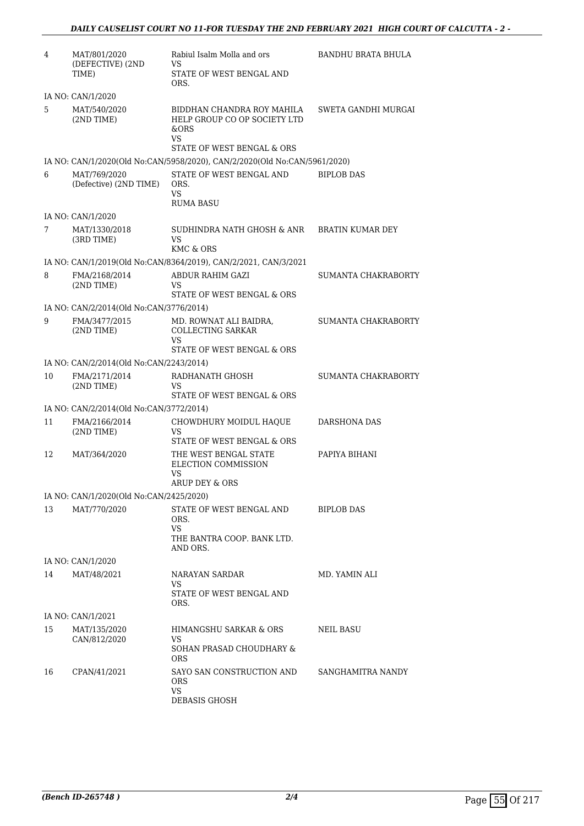| 4  | MAT/801/2020<br>(DEFECTIVE) (2ND                        | Rabiul Isalm Molla and ors<br>VS                                          | BANDHU BRATA BHULA         |
|----|---------------------------------------------------------|---------------------------------------------------------------------------|----------------------------|
|    | TIME)                                                   | STATE OF WEST BENGAL AND<br>ORS.                                          |                            |
|    | IA NO: CAN/1/2020                                       |                                                                           |                            |
| 5  | MAT/540/2020<br>$(2ND$ TIME)                            | BIDDHAN CHANDRA ROY MAHILA<br>HELP GROUP CO OP SOCIETY LTD<br>&ORS<br>VS  | SWETA GANDHI MURGAI        |
|    |                                                         | STATE OF WEST BENGAL & ORS                                                |                            |
|    |                                                         | IA NO: CAN/1/2020(Old No:CAN/5958/2020), CAN/2/2020(Old No:CAN/5961/2020) |                            |
| 6  | MAT/769/2020<br>(Defective) (2ND TIME)                  | STATE OF WEST BENGAL AND<br>ORS.<br>VS.<br><b>RUMA BASU</b>               | <b>BIPLOB DAS</b>          |
|    | IA NO: CAN/1/2020                                       |                                                                           |                            |
| 7  | MAT/1330/2018<br>(3RD TIME)                             | SUDHINDRA NATH GHOSH & ANR<br>VS                                          | BRATIN KUMAR DEY           |
|    |                                                         | KMC & ORS                                                                 |                            |
|    |                                                         | IA NO: CAN/1/2019(Old No:CAN/8364/2019), CAN/2/2021, CAN/3/2021           |                            |
| 8  | FMA/2168/2014<br>$(2ND$ TIME)                           | ABDUR RAHIM GAZI<br>VS<br>STATE OF WEST BENGAL & ORS                      | SUMANTA CHAKRABORTY        |
|    | IA NO: CAN/2/2014(Old No:CAN/3776/2014)                 |                                                                           |                            |
| 9  | FMA/3477/2015<br>$(2ND$ TIME)                           | MD. ROWNAT ALI BAIDRA,<br>COLLECTING SARKAR<br>VS                         | SUMANTA CHAKRABORTY        |
|    | IA NO: CAN/2/2014(Old No:CAN/2243/2014)                 | STATE OF WEST BENGAL & ORS                                                |                            |
| 10 | FMA/2171/2014                                           | RADHANATH GHOSH                                                           | <b>SUMANTA CHAKRABORTY</b> |
|    | (2ND TIME)                                              | VS<br>STATE OF WEST BENGAL & ORS                                          |                            |
|    | IA NO: CAN/2/2014(Old No:CAN/3772/2014)                 |                                                                           |                            |
| 11 | FMA/2166/2014<br>(2ND TIME)                             | CHOWDHURY MOIDUL HAQUE<br><b>VS</b><br>STATE OF WEST BENGAL & ORS         | DARSHONA DAS               |
| 12 | MAT/364/2020                                            | THE WEST BENGAL STATE<br>ELECTION COMMISSION<br>VS                        | PAPIYA BIHANI              |
|    |                                                         | ARUP DEY & ORS                                                            |                            |
| 13 | IA NO: CAN/1/2020(Old No:CAN/2425/2020)<br>MAT/770/2020 | STATE OF WEST BENGAL AND                                                  | <b>BIPLOB DAS</b>          |
|    |                                                         | ORS.<br>VS<br>THE BANTRA COOP. BANK LTD.<br>AND ORS.                      |                            |
|    | IA NO: CAN/1/2020                                       |                                                                           |                            |
| 14 | MAT/48/2021                                             | NARAYAN SARDAR                                                            | MD. YAMIN ALI              |
|    |                                                         | VS<br>STATE OF WEST BENGAL AND<br>ORS.                                    |                            |
|    | IA NO: CAN/1/2021                                       |                                                                           |                            |
| 15 | MAT/135/2020                                            | HIMANGSHU SARKAR & ORS                                                    | <b>NEIL BASU</b>           |
|    | CAN/812/2020                                            | VS<br>SOHAN PRASAD CHOUDHARY &<br><b>ORS</b>                              |                            |
| 16 | CPAN/41/2021                                            | SAYO SAN CONSTRUCTION AND<br><b>ORS</b><br>VS                             | SANGHAMITRA NANDY          |
|    |                                                         | DEBASIS GHOSH                                                             |                            |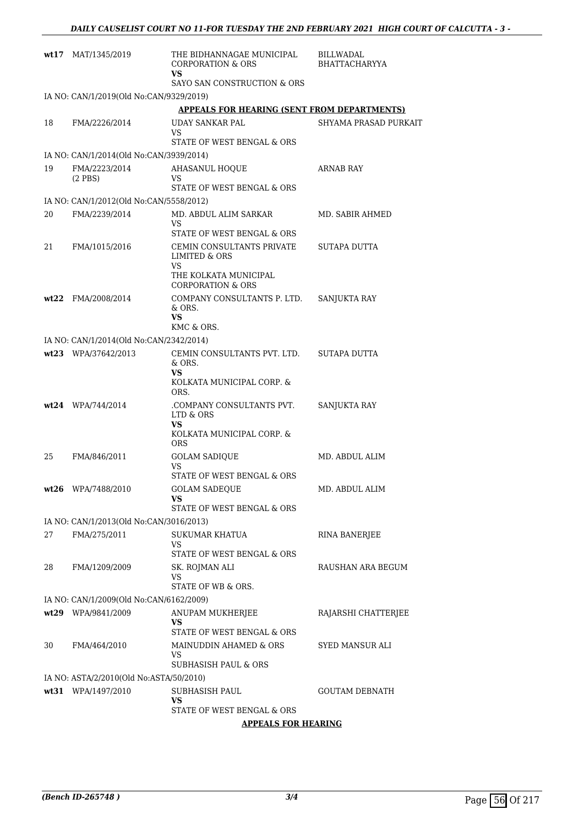| wt17 | MAT/1345/2019                           | THE BIDHANNAGAE MUNICIPAL<br><b>CORPORATION &amp; ORS</b><br>VS                                                      | BILLWADAL<br><b>BHATTACHARYYA</b> |
|------|-----------------------------------------|----------------------------------------------------------------------------------------------------------------------|-----------------------------------|
|      |                                         | SAYO SAN CONSTRUCTION & ORS                                                                                          |                                   |
|      | IA NO: CAN/1/2019(Old No:CAN/9329/2019) |                                                                                                                      |                                   |
|      |                                         | <b>APPEALS FOR HEARING (SENT FROM DEPARTMENTS)</b>                                                                   |                                   |
| 18   | FMA/2226/2014                           | UDAY SANKAR PAL<br>VS<br>STATE OF WEST BENGAL & ORS                                                                  | SHYAMA PRASAD PURKAIT             |
|      | IA NO: CAN/1/2014(Old No:CAN/3939/2014) |                                                                                                                      |                                   |
| 19   | FMA/2223/2014<br>$(2$ PBS $)$           | <b>AHASANUL HOOUE</b><br>VS                                                                                          | ARNAB RAY                         |
|      |                                         | STATE OF WEST BENGAL & ORS                                                                                           |                                   |
|      | IA NO: CAN/1/2012(Old No:CAN/5558/2012) |                                                                                                                      |                                   |
| 20   | FMA/2239/2014                           | MD. ABDUL ALIM SARKAR<br>VS<br>STATE OF WEST BENGAL & ORS                                                            | MD. SABIR AHMED                   |
| 21   | FMA/1015/2016                           | CEMIN CONSULTANTS PRIVATE<br><b>LIMITED &amp; ORS</b><br>VS<br>THE KOLKATA MUNICIPAL<br><b>CORPORATION &amp; ORS</b> | SUTAPA DUTTA                      |
| wt22 | FMA/2008/2014                           | COMPANY CONSULTANTS P. LTD.<br>& ORS.<br>VS                                                                          | SANJUKTA RAY                      |
|      |                                         | KMC & ORS.                                                                                                           |                                   |
|      | IA NO: CAN/1/2014(Old No:CAN/2342/2014) |                                                                                                                      |                                   |
|      | wt23 WPA/37642/2013                     | CEMIN CONSULTANTS PVT. LTD.<br>& ORS.<br>VS                                                                          | SUTAPA DUTTA                      |
|      |                                         | KOLKATA MUNICIPAL CORP. &<br>ORS.                                                                                    |                                   |
|      | $wt24$ WPA/744/2014                     | .COMPANY CONSULTANTS PVT.<br>LTD & ORS<br>VS<br>KOLKATA MUNICIPAL CORP. &<br><b>ORS</b>                              | SANJUKTA RAY                      |
| 25   | FMA/846/2011                            | <b>GOLAM SADIQUE</b><br>VS                                                                                           | MD. ABDUL ALIM                    |
|      |                                         | STATE OF WEST BENGAL & ORS                                                                                           |                                   |
|      | wt26 WPA/7488/2010                      | <b>GOLAM SADEQUE</b><br>vs<br>STATE OF WEST BENGAL & ORS                                                             | MD. ABDUL ALIM                    |
|      | IA NO: CAN/1/2013(Old No:CAN/3016/2013) |                                                                                                                      |                                   |
| 27   | FMA/275/2011                            | SUKUMAR KHATUA                                                                                                       | RINA BANERJEE                     |
|      |                                         | VS<br>STATE OF WEST BENGAL & ORS                                                                                     |                                   |
| 28   | FMA/1209/2009                           | SK. ROJMAN ALI<br>VS<br>STATE OF WB & ORS.                                                                           | RAUSHAN ARA BEGUM                 |
|      | IA NO: CAN/1/2009(Old No:CAN/6162/2009) |                                                                                                                      |                                   |
|      | wt29 WPA/9841/2009                      | ANUPAM MUKHERJEE                                                                                                     | RAJARSHI CHATTERJEE               |
|      |                                         | VS<br>STATE OF WEST BENGAL & ORS                                                                                     |                                   |
| 30   | FMA/464/2010                            | MAINUDDIN AHAMED & ORS                                                                                               | SYED MANSUR ALI                   |
|      |                                         | VS<br>SUBHASISH PAUL & ORS                                                                                           |                                   |
|      | IA NO: ASTA/2/2010(Old No:ASTA/50/2010) |                                                                                                                      |                                   |
|      | wt31 WPA/1497/2010                      | SUBHASISH PAUL<br>VS                                                                                                 | <b>GOUTAM DEBNATH</b>             |
|      |                                         | STATE OF WEST BENGAL & ORS                                                                                           |                                   |
|      |                                         | <b>APPEALS FOR HEARING</b>                                                                                           |                                   |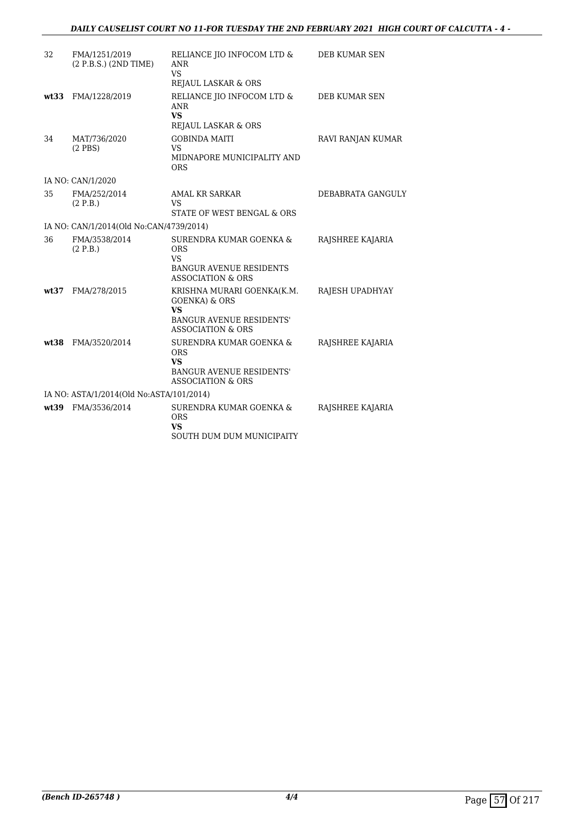| 32    | FMA/1251/2019<br>(2 P.B.S.) (2ND TIME)   | RELIANCE JIO INFOCOM LTD &<br>ANR<br>VS<br>REJAUL LASKAR & ORS                                                                         | DEB KUMAR SEN     |
|-------|------------------------------------------|----------------------------------------------------------------------------------------------------------------------------------------|-------------------|
| wt33  | FMA/1228/2019                            | RELIANCE JIO INFOCOM LTD &<br><b>ANR</b><br><b>VS</b><br>REJAUL LASKAR & ORS                                                           | DEB KUMAR SEN     |
| 34    | MAT/736/2020<br>$(2$ PBS $)$             | <b>GOBINDA MAITI</b><br>VS<br>MIDNAPORE MUNICIPALITY AND<br><b>ORS</b>                                                                 | RAVI RANJAN KUMAR |
|       | IA NO: CAN/1/2020                        |                                                                                                                                        |                   |
| 35    | FMA/252/2014<br>(2 P.B.)                 | AMAL KR SARKAR<br>VS<br>STATE OF WEST BENGAL & ORS                                                                                     | DEBABRATA GANGULY |
|       | IA NO: CAN/1/2014(Old No:CAN/4739/2014)  |                                                                                                                                        |                   |
| 36    | FMA/3538/2014<br>(2 P.B.)                | SURENDRA KUMAR GOENKA &<br><b>ORS</b><br>VS<br><b>BANGUR AVENUE RESIDENTS</b><br><b>ASSOCIATION &amp; ORS</b>                          | RAJSHREE KAJARIA  |
| wt:37 | FMA/278/2015                             | KRISHNA MURARI GOENKA(K.M.<br><b>GOENKA) &amp; ORS</b><br><b>VS</b><br><b>BANGUR AVENUE RESIDENTS'</b><br><b>ASSOCIATION &amp; ORS</b> | RAJESH UPADHYAY   |
| wt.38 | FMA/3520/2014                            | SURENDRA KUMAR GOENKA &<br><b>ORS</b><br><b>VS</b><br><b>BANGUR AVENUE RESIDENTS'</b><br><b>ASSOCIATION &amp; ORS</b>                  | RAJSHREE KAJARIA  |
|       | IA NO: ASTA/1/2014(Old No:ASTA/101/2014) |                                                                                                                                        |                   |
| wt39  | FMA/3536/2014                            | SURENDRA KUMAR GOENKA &<br><b>ORS</b><br>VS<br>SOUTH DUM DUM MUNICIPAITY                                                               | RAJSHREE KAJARIA  |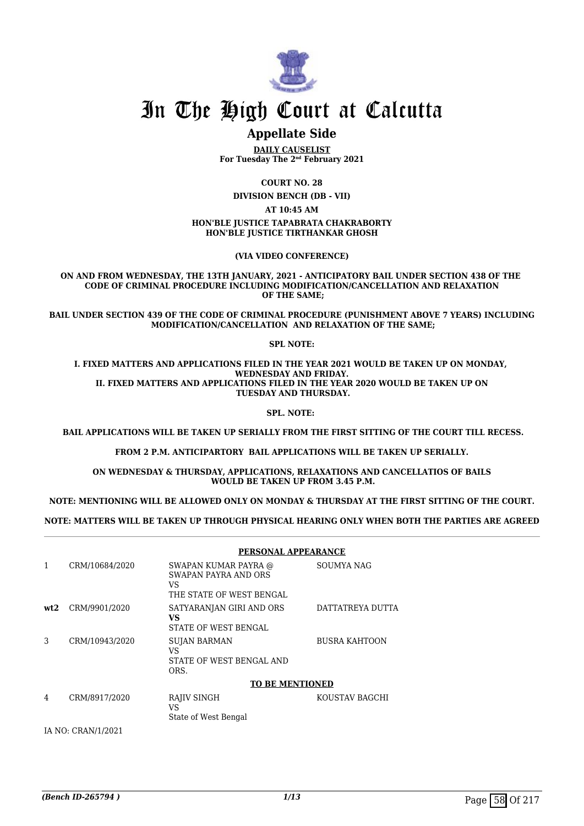

# In The High Court at Calcutta

# **Appellate Side**

**DAILY CAUSELIST For Tuesday The 2nd February 2021**

**COURT NO. 28**

**DIVISION BENCH (DB - VII)**

**AT 10:45 AM**

#### **HON'BLE JUSTICE TAPABRATA CHAKRABORTY HON'BLE JUSTICE TIRTHANKAR GHOSH**

**(VIA VIDEO CONFERENCE)**

**ON AND FROM WEDNESDAY, THE 13TH JANUARY, 2021 - ANTICIPATORY BAIL UNDER SECTION 438 OF THE CODE OF CRIMINAL PROCEDURE INCLUDING MODIFICATION/CANCELLATION AND RELAXATION OF THE SAME;**

**BAIL UNDER SECTION 439 OF THE CODE OF CRIMINAL PROCEDURE (PUNISHMENT ABOVE 7 YEARS) INCLUDING MODIFICATION/CANCELLATION AND RELAXATION OF THE SAME;**

#### **SPL NOTE:**

**I. FIXED MATTERS AND APPLICATIONS FILED IN THE YEAR 2021 WOULD BE TAKEN UP ON MONDAY, WEDNESDAY AND FRIDAY. II. FIXED MATTERS AND APPLICATIONS FILED IN THE YEAR 2020 WOULD BE TAKEN UP ON TUESDAY AND THURSDAY.**

**SPL. NOTE:** 

 **BAIL APPLICATIONS WILL BE TAKEN UP SERIALLY FROM THE FIRST SITTING OF THE COURT TILL RECESS.**

**FROM 2 P.M. ANTICIPARTORY BAIL APPLICATIONS WILL BE TAKEN UP SERIALLY.**

**ON WEDNESDAY & THURSDAY, APPLICATIONS, RELAXATIONS AND CANCELLATIOS OF BAILS WOULD BE TAKEN UP FROM 3.45 P.M.**

**NOTE: MENTIONING WILL BE ALLOWED ONLY ON MONDAY & THURSDAY AT THE FIRST SITTING OF THE COURT.**

**NOTE: MATTERS WILL BE TAKEN UP THROUGH PHYSICAL HEARING ONLY WHEN BOTH THE PARTIES ARE AGREED**

#### **PERSONAL APPEARANCE** 1 CRM/10684/2020 SWAPAN KUMAR PAYRA @ SWAPAN PAYRA AND ORS VS THE STATE OF WEST BENGAL SOUMYA NAG **wt2** CRM/9901/2020 SATYARANJAN GIRI AND ORS **VS** STATE OF WEST BENGAL DATTATREYA DUTTA 3 CRM/10943/2020 SUJAN BARMAN VS STATE OF WEST BENGAL AND ORS. BUSRA KAHTOON **TO BE MENTIONED** 4 CRM/8917/2020 RAJIV SINGH VS State of West Bengal KOUSTAV BAGCHI

IA NO: CRAN/1/2021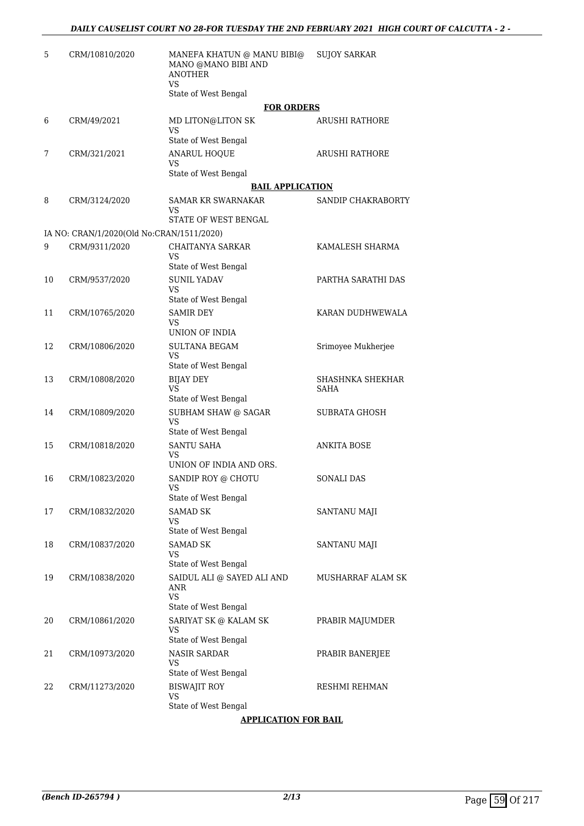| 5  | CRM/10810/2020                            | MANEFA KHATUN @ MANU BIBI@<br>MANO @MANO BIBI AND<br><b>ANOTHER</b><br>VS. | <b>SUJOY SARKAR</b>             |
|----|-------------------------------------------|----------------------------------------------------------------------------|---------------------------------|
|    |                                           | State of West Bengal<br><b>FOR ORDERS</b>                                  |                                 |
| 6  | CRM/49/2021                               | MD LITON@LITON SK<br><b>VS</b>                                             | <b>ARUSHI RATHORE</b>           |
| 7  | CRM/321/2021                              | State of West Bengal<br><b>ANARUL HOQUE</b><br>VS                          | <b>ARUSHI RATHORE</b>           |
|    |                                           | State of West Bengal                                                       |                                 |
|    |                                           | <b>BAIL APPLICATION</b>                                                    |                                 |
| 8  | CRM/3124/2020                             | SAMAR KR SWARNAKAR<br>VS<br>STATE OF WEST BENGAL                           | SANDIP CHAKRABORTY              |
|    | IA NO: CRAN/1/2020(Old No:CRAN/1511/2020) |                                                                            |                                 |
| 9  | CRM/9311/2020                             | <b>CHAITANYA SARKAR</b>                                                    | KAMALESH SHARMA                 |
|    |                                           | VS                                                                         |                                 |
|    |                                           | State of West Bengal                                                       |                                 |
| 10 | CRM/9537/2020                             | <b>SUNIL YADAV</b><br><b>VS</b><br>State of West Bengal                    | PARTHA SARATHI DAS              |
| 11 | CRM/10765/2020                            | <b>SAMIR DEY</b><br><b>VS</b>                                              | KARAN DUDHWEWALA                |
|    |                                           | UNION OF INDIA                                                             |                                 |
| 12 | CRM/10806/2020                            | <b>SULTANA BEGAM</b><br>VS                                                 | Srimoyee Mukherjee              |
|    |                                           | State of West Bengal                                                       |                                 |
| 13 | CRM/10808/2020                            | <b>BIJAY DEY</b><br>VS.<br>State of West Bengal                            | SHASHNKA SHEKHAR<br><b>SAHA</b> |
| 14 | CRM/10809/2020                            | SUBHAM SHAW @ SAGAR<br>VS.                                                 | <b>SUBRATA GHOSH</b>            |
|    |                                           | State of West Bengal                                                       |                                 |
| 15 | CRM/10818/2020                            | <b>SANTU SAHA</b><br>VS<br>UNION OF INDIA AND ORS.                         | <b>ANKITA BOSE</b>              |
| 16 | CRM/10823/2020                            | SANDIP ROY @ CHOTU<br>VS<br>State of West Bengal                           | <b>SONALI DAS</b>               |
| 17 | CRM/10832/2020                            | <b>SAMAD SK</b><br>VS                                                      | SANTANU MAJI                    |
|    |                                           | State of West Bengal                                                       |                                 |
| 18 | CRM/10837/2020                            | SAMAD SK<br>VS<br>State of West Bengal                                     | <b>SANTANU MAJI</b>             |
| 19 | CRM/10838/2020                            | SAIDUL ALI @ SAYED ALI AND<br><b>ANR</b>                                   | MUSHARRAF ALAM SK               |
|    |                                           | VS<br>State of West Bengal                                                 |                                 |
| 20 | CRM/10861/2020                            | SARIYAT SK @ KALAM SK<br>VS                                                | PRABIR MAJUMDER                 |
|    |                                           | State of West Bengal<br><b>NASIR SARDAR</b>                                |                                 |
| 21 | CRM/10973/2020                            | VS<br>State of West Bengal                                                 | PRABIR BANERJEE                 |
| 22 | CRM/11273/2020                            | <b>BISWAJIT ROY</b><br><b>VS</b>                                           | RESHMI REHMAN                   |
|    |                                           | State of West Bengal                                                       |                                 |
|    |                                           | <b>APPLICATION FOR BAIL</b>                                                |                                 |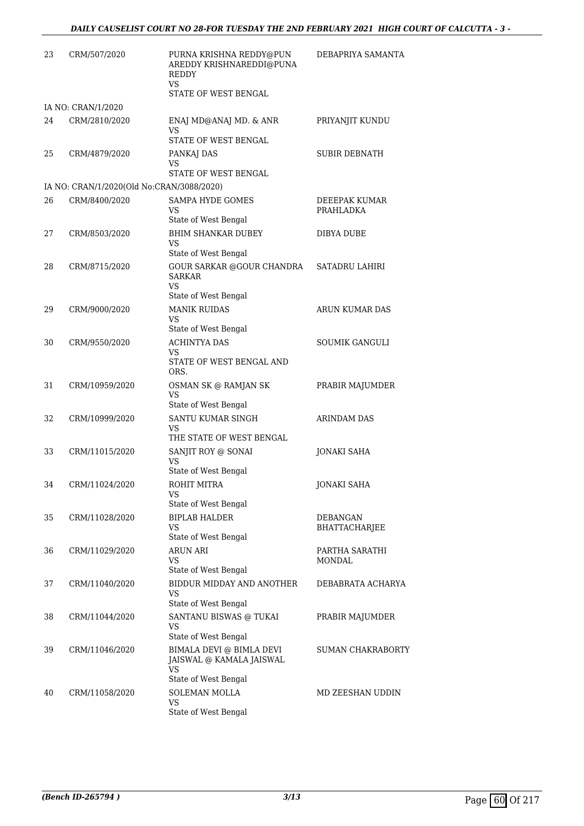| 23 | CRM/507/2020                              | PURNA KRISHNA REDDY@PUN<br>AREDDY KRISHNAREDDI@PUNA<br><b>REDDY</b><br><b>VS</b><br>STATE OF WEST BENGAL | DEBAPRIYA SAMANTA                |
|----|-------------------------------------------|----------------------------------------------------------------------------------------------------------|----------------------------------|
|    | IA NO: CRAN/1/2020                        |                                                                                                          |                                  |
| 24 | CRM/2810/2020                             | ENAJ MD@ANAJ MD. & ANR<br>VS.                                                                            | PRIYANJIT KUNDU                  |
|    |                                           | STATE OF WEST BENGAL                                                                                     |                                  |
| 25 | CRM/4879/2020                             | PANKAJ DAS<br>VS<br>STATE OF WEST BENGAL                                                                 | <b>SUBIR DEBNATH</b>             |
|    | IA NO: CRAN/1/2020(Old No:CRAN/3088/2020) |                                                                                                          |                                  |
| 26 | CRM/8400/2020                             | SAMPA HYDE GOMES<br>VS.<br>State of West Bengal                                                          | DEEEPAK KUMAR<br>PRAHLADKA       |
| 27 | CRM/8503/2020                             | <b>BHIM SHANKAR DUBEY</b><br><b>VS</b>                                                                   | DIBYA DUBE                       |
| 28 | CRM/8715/2020                             | State of West Bengal<br>GOUR SARKAR @GOUR CHANDRA<br><b>SARKAR</b><br>VS                                 | <b>SATADRU LAHIRI</b>            |
|    |                                           | State of West Bengal                                                                                     |                                  |
| 29 | CRM/9000/2020                             | <b>MANIK RUIDAS</b><br>VS<br>State of West Bengal                                                        | ARUN KUMAR DAS                   |
| 30 | CRM/9550/2020                             | <b>ACHINTYA DAS</b><br>VS.                                                                               | <b>SOUMIK GANGULI</b>            |
|    |                                           | STATE OF WEST BENGAL AND<br>ORS.                                                                         |                                  |
| 31 | CRM/10959/2020                            | OSMAN SK @ RAMJAN SK<br><b>VS</b>                                                                        | PRABIR MAJUMDER                  |
| 32 | CRM/10999/2020                            | State of West Bengal<br>SANTU KUMAR SINGH<br><b>VS</b><br>THE STATE OF WEST BENGAL                       | ARINDAM DAS                      |
| 33 | CRM/11015/2020                            | SANJIT ROY @ SONAI<br>VS<br>State of West Bengal                                                         | <b>JONAKI SAHA</b>               |
| 34 | CRM/11024/2020                            | ROHIT MITRA<br><b>VS</b>                                                                                 | <b>JONAKI SAHA</b>               |
| 35 | CRM/11028/2020                            | State of West Bengal<br><b>BIPLAB HALDER</b><br>VS                                                       | <b>DEBANGAN</b><br>BHATTACHARJEE |
| 36 | CRM/11029/2020                            | State of West Bengal<br><b>ARUN ARI</b><br>VS                                                            | PARTHA SARATHI<br>MONDAL         |
| 37 | CRM/11040/2020                            | State of West Bengal<br>BIDDUR MIDDAY AND ANOTHER<br>VS                                                  | DEBABRATA ACHARYA                |
| 38 | CRM/11044/2020                            | State of West Bengal<br>SANTANU BISWAS @ TUKAI<br>VS<br>State of West Bengal                             | PRABIR MAJUMDER                  |
| 39 | CRM/11046/2020                            | BIMALA DEVI @ BIMLA DEVI<br>JAISWAL @ KAMALA JAISWAL<br>VS                                               | <b>SUMAN CHAKRABORTY</b>         |
|    |                                           | State of West Bengal                                                                                     |                                  |
| 40 | CRM/11058/2020                            | SOLEMAN MOLLA<br>VS<br>State of West Bengal                                                              | MD ZEESHAN UDDIN                 |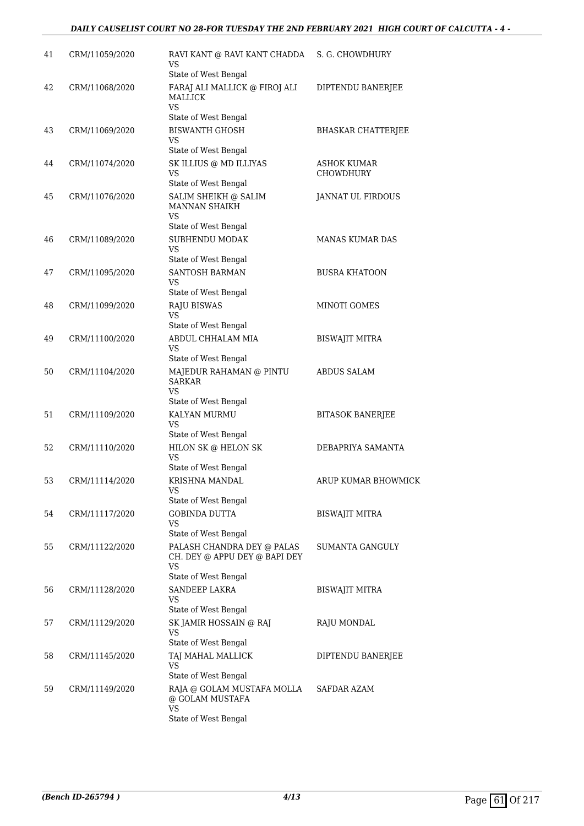| 41 | CRM/11059/2020 | RAVI KANT @ RAVI KANT CHADDA<br><b>VS</b><br>State of West Bengal                  | S. G. CHOWDHURY                 |
|----|----------------|------------------------------------------------------------------------------------|---------------------------------|
| 42 | CRM/11068/2020 | FARAJ ALI MALLICK @ FIROJ ALI<br><b>MALLICK</b><br><b>VS</b>                       | DIPTENDU BANERJEE               |
| 43 | CRM/11069/2020 | State of West Bengal<br><b>BISWANTH GHOSH</b><br>VS<br>State of West Bengal        | <b>BHASKAR CHATTERJEE</b>       |
| 44 | CRM/11074/2020 | SK ILLIUS @ MD ILLIYAS<br><b>VS</b><br>State of West Bengal                        | ASHOK KUMAR<br><b>CHOWDHURY</b> |
| 45 | CRM/11076/2020 | SALIM SHEIKH @ SALIM<br>MANNAN SHAIKH<br><b>VS</b>                                 | JANNAT UL FIRDOUS               |
| 46 | CRM/11089/2020 | State of West Bengal<br>SUBHENDU MODAK<br><b>VS</b>                                | <b>MANAS KUMAR DAS</b>          |
| 47 | CRM/11095/2020 | State of West Bengal<br>SANTOSH BARMAN<br>VS                                       | <b>BUSRA KHATOON</b>            |
| 48 | CRM/11099/2020 | State of West Bengal<br><b>RAJU BISWAS</b><br><b>VS</b><br>State of West Bengal    | MINOTI GOMES                    |
| 49 | CRM/11100/2020 | ABDUL CHHALAM MIA<br><b>VS</b><br>State of West Bengal                             | <b>BISWAJIT MITRA</b>           |
| 50 | CRM/11104/2020 | MAJEDUR RAHAMAN @ PINTU<br><b>SARKAR</b><br><b>VS</b>                              | <b>ABDUS SALAM</b>              |
| 51 | CRM/11109/2020 | State of West Bengal<br>KALYAN MURMU<br><b>VS</b>                                  | <b>BITASOK BANERJEE</b>         |
| 52 | CRM/11110/2020 | State of West Bengal<br>HILON SK @ HELON SK<br>VS<br>State of West Bengal          | DEBAPRIYA SAMANTA               |
| 53 | CRM/11114/2020 | KRISHNA MANDAL<br>VS<br>State of West Bengal                                       | ARUP KUMAR BHOWMICK             |
| 54 | CRM/11117/2020 | <b>GOBINDA DUTTA</b><br>VS<br>State of West Bengal                                 | <b>BISWAJIT MITRA</b>           |
| 55 | CRM/11122/2020 | PALASH CHANDRA DEY @ PALAS<br>CH. DEY @ APPU DEY @ BAPI DEY<br><b>VS</b>           | SUMANTA GANGULY                 |
| 56 | CRM/11128/2020 | State of West Bengal<br>SANDEEP LAKRA<br><b>VS</b><br>State of West Bengal         | BISWAJIT MITRA                  |
| 57 | CRM/11129/2020 | SK JAMIR HOSSAIN @ RAJ<br>VS<br>State of West Bengal                               | RAJU MONDAL                     |
| 58 | CRM/11145/2020 | TAJ MAHAL MALLICK<br>VS<br>State of West Bengal                                    | DIPTENDU BANERJEE               |
| 59 | CRM/11149/2020 | RAJA @ GOLAM MUSTAFA MOLLA<br>@ GOLAM MUSTAFA<br><b>VS</b><br>State of West Bengal | SAFDAR AZAM                     |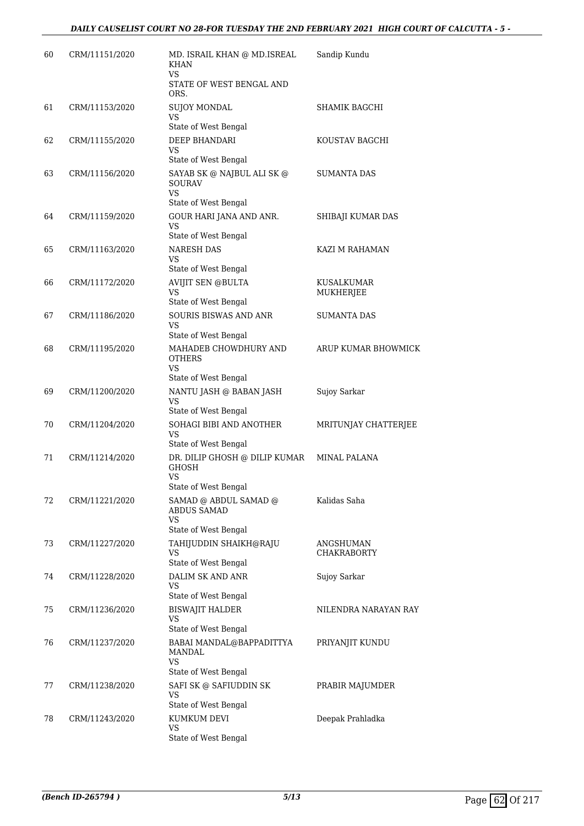| 60 | CRM/11151/2020 | MD. ISRAIL KHAN @ MD.ISREAL<br>KHAN<br><b>VS</b><br>STATE OF WEST BENGAL AND     | Sandip Kundu                    |
|----|----------------|----------------------------------------------------------------------------------|---------------------------------|
| 61 | CRM/11153/2020 | ORS.<br><b>SUJOY MONDAL</b><br>VS<br>State of West Bengal                        | SHAMIK BAGCHI                   |
| 62 | CRM/11155/2020 | DEEP BHANDARI<br><b>VS</b><br>State of West Bengal                               | KOUSTAV BAGCHI                  |
| 63 | CRM/11156/2020 | SAYAB SK @ NAJBUL ALI SK @<br><b>SOURAV</b><br><b>VS</b><br>State of West Bengal | <b>SUMANTA DAS</b>              |
| 64 | CRM/11159/2020 | GOUR HARI JANA AND ANR.<br><b>VS</b><br>State of West Bengal                     | SHIBAJI KUMAR DAS               |
| 65 | CRM/11163/2020 | <b>NARESH DAS</b><br>VS<br>State of West Bengal                                  | KAZI M RAHAMAN                  |
| 66 | CRM/11172/2020 | <b>AVIJIT SEN @BULTA</b><br>VS<br>State of West Bengal                           | KUSALKUMAR<br>MUKHERJEE         |
| 67 | CRM/11186/2020 | <b>SOURIS BISWAS AND ANR</b><br><b>VS</b><br>State of West Bengal                | SUMANTA DAS                     |
| 68 | CRM/11195/2020 | MAHADEB CHOWDHURY AND<br><b>OTHERS</b><br><b>VS</b><br>State of West Bengal      | ARUP KUMAR BHOWMICK             |
| 69 | CRM/11200/2020 | NANTU JASH @ BABAN JASH<br>VS<br>State of West Bengal                            | Sujoy Sarkar                    |
| 70 | CRM/11204/2020 | SOHAGI BIBI AND ANOTHER<br><b>VS</b><br>State of West Bengal                     | MRITUNJAY CHATTERJEE            |
| 71 | CRM/11214/2020 | DR. DILIP GHOSH @ DILIP KUMAR<br><b>GHOSH</b><br>VS<br>State of West Bengal      | <b>MINAL PALANA</b>             |
| 72 | CRM/11221/2020 | SAMAD @ ABDUL SAMAD @<br><b>ABDUS SAMAD</b><br><b>VS</b><br>State of West Bengal | Kalidas Saha                    |
| 73 | CRM/11227/2020 | TAHIJUDDIN SHAIKH@RAJU<br>VS<br>State of West Bengal                             | ANGSHUMAN<br><b>CHAKRABORTY</b> |
| 74 | CRM/11228/2020 | DALIM SK AND ANR<br><b>VS</b><br>State of West Bengal                            | Sujoy Sarkar                    |
| 75 | CRM/11236/2020 | <b>BISWAJIT HALDER</b><br><b>VS</b><br>State of West Bengal                      | NILENDRA NARAYAN RAY            |
| 76 | CRM/11237/2020 | BABAI MANDAL@BAPPADITTYA<br>MANDAL<br><b>VS</b><br>State of West Bengal          | PRIYANJIT KUNDU                 |
| 77 | CRM/11238/2020 | SAFI SK @ SAFIUDDIN SK<br><b>VS</b><br>State of West Bengal                      | PRABIR MAJUMDER                 |
| 78 | CRM/11243/2020 | KUMKUM DEVI<br><b>VS</b><br>State of West Bengal                                 | Deepak Prahladka                |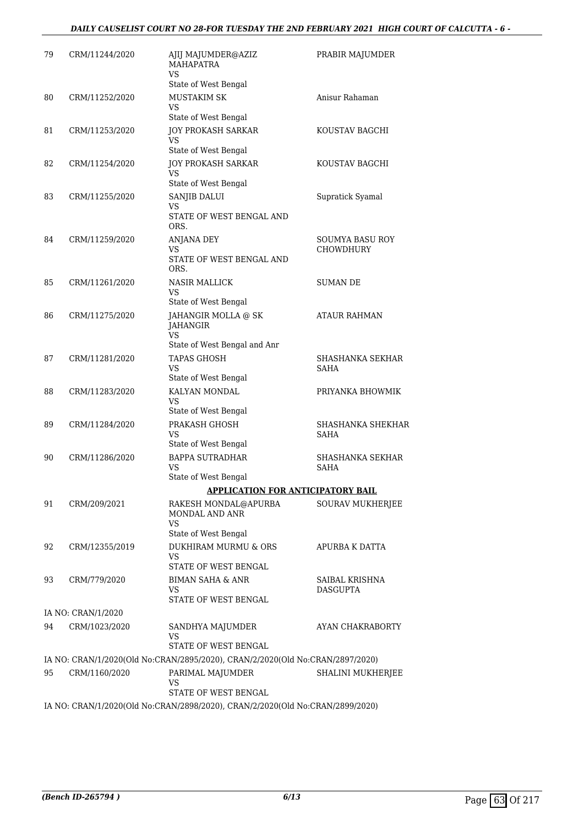## *DAILY CAUSELIST COURT NO 28-FOR TUESDAY THE 2ND FEBRUARY 2021 HIGH COURT OF CALCUTTA - 6 -*

| 79 | CRM/11244/2020     | AJIJ MAJUMDER@AZIZ<br><b>MAHAPATRA</b><br><b>VS</b>                           | PRABIR MAJUMDER                   |
|----|--------------------|-------------------------------------------------------------------------------|-----------------------------------|
|    |                    | State of West Bengal                                                          |                                   |
| 80 | CRM/11252/2020     | MUSTAKIM SK<br>VS                                                             | Anisur Rahaman                    |
|    |                    | State of West Bengal                                                          |                                   |
| 81 | CRM/11253/2020     | <b>JOY PROKASH SARKAR</b><br>VS                                               | KOUSTAV BAGCHI                    |
|    |                    | State of West Bengal                                                          |                                   |
| 82 | CRM/11254/2020     | <b>JOY PROKASH SARKAR</b><br><b>VS</b><br>State of West Bengal                | KOUSTAV BAGCHI                    |
| 83 | CRM/11255/2020     | SANJIB DALUI                                                                  | Supratick Syamal                  |
|    |                    | VS<br>STATE OF WEST BENGAL AND<br>ORS.                                        |                                   |
| 84 | CRM/11259/2020     | ANJANA DEY                                                                    | SOUMYA BASU ROY                   |
|    |                    | VS<br>STATE OF WEST BENGAL AND<br>ORS.                                        | <b>CHOWDHURY</b>                  |
| 85 | CRM/11261/2020     | NASIR MALLICK                                                                 | <b>SUMAN DE</b>                   |
|    |                    | VS                                                                            |                                   |
|    |                    | State of West Bengal                                                          |                                   |
| 86 | CRM/11275/2020     | JAHANGIR MOLLA @ SK<br>JAHANGIR<br>VS.                                        | ATAUR RAHMAN                      |
|    |                    | State of West Bengal and Anr                                                  |                                   |
| 87 | CRM/11281/2020     | <b>TAPAS GHOSH</b><br>VS<br>State of West Bengal                              | SHASHANKA SEKHAR<br>SAHA          |
| 88 | CRM/11283/2020     | KALYAN MONDAL<br>VS                                                           | PRIYANKA BHOWMIK                  |
|    |                    | State of West Bengal                                                          |                                   |
| 89 | CRM/11284/2020     | PRAKASH GHOSH<br>VS<br>State of West Bengal                                   | SHASHANKA SHEKHAR<br>SAHA         |
| 90 | CRM/11286/2020     | <b>BAPPA SUTRADHAR</b><br><b>VS</b>                                           | SHASHANKA SEKHAR<br><b>SAHA</b>   |
|    |                    | State of West Bengal                                                          |                                   |
|    |                    | <b>APPLICATION FOR ANTICIPATORY BAIL</b>                                      |                                   |
| 91 | CRM/209/2021       | RAKESH MONDAL@APURBA<br>MONDAL AND ANR<br><b>VS</b>                           | <b>SOURAV MUKHERJEE</b>           |
|    |                    | State of West Bengal                                                          |                                   |
| 92 | CRM/12355/2019     | DUKHIRAM MURMU & ORS<br>VS                                                    | APURBA K DATTA                    |
|    |                    | STATE OF WEST BENGAL                                                          |                                   |
| 93 | CRM/779/2020       | <b>BIMAN SAHA &amp; ANR</b><br>VS                                             | SAIBAL KRISHNA<br><b>DASGUPTA</b> |
|    | IA NO: CRAN/1/2020 | STATE OF WEST BENGAL                                                          |                                   |
| 94 | CRM/1023/2020      | SANDHYA MAJUMDER                                                              | AYAN CHAKRABORTY                  |
|    |                    | VS<br>STATE OF WEST BENGAL                                                    |                                   |
|    |                    | IA NO: CRAN/1/2020(Old No:CRAN/2895/2020), CRAN/2/2020(Old No:CRAN/2897/2020) |                                   |
| 95 | CRM/1160/2020      | PARIMAL MAJUMDER<br>VS                                                        | SHALINI MUKHERJEE                 |
|    |                    | STATE OF WEST BENGAL                                                          |                                   |
|    |                    | IA NO: CRAN/1/2020(Old No:CRAN/2898/2020), CRAN/2/2020(Old No:CRAN/2899/2020) |                                   |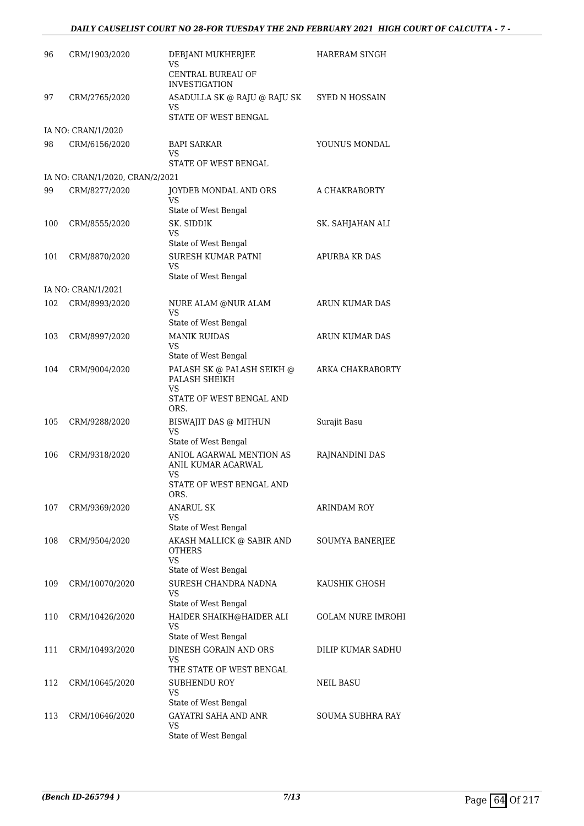# *DAILY CAUSELIST COURT NO 28-FOR TUESDAY THE 2ND FEBRUARY 2021 HIGH COURT OF CALCUTTA - 7 -*

| 96  |                                 |                                                            |                          |
|-----|---------------------------------|------------------------------------------------------------|--------------------------|
|     | CRM/1903/2020                   | DEBJANI MUKHERJEE<br>VS<br><b>CENTRAL BUREAU OF</b>        | HARERAM SINGH            |
|     |                                 | <b>INVESTIGATION</b>                                       |                          |
| 97  | CRM/2765/2020                   | ASADULLA SK @ RAJU @ RAJU SK<br>VS<br>STATE OF WEST BENGAL | SYED N HOSSAIN           |
|     | IA NO: CRAN/1/2020              |                                                            |                          |
| 98  | CRM/6156/2020                   | <b>BAPI SARKAR</b><br>VS                                   | YOUNUS MONDAL            |
|     |                                 | STATE OF WEST BENGAL                                       |                          |
|     | IA NO: CRAN/1/2020, CRAN/2/2021 |                                                            |                          |
| 99  | CRM/8277/2020                   | JOYDEB MONDAL AND ORS<br>VS                                | A CHAKRABORTY            |
|     |                                 | State of West Bengal                                       |                          |
| 100 | CRM/8555/2020                   | SK. SIDDIK<br>VS                                           | SK. SAHJAHAN ALI         |
|     |                                 | State of West Bengal                                       |                          |
| 101 | CRM/8870/2020                   | SURESH KUMAR PATNI<br>VS<br>State of West Bengal           | <b>APURBA KR DAS</b>     |
|     | IA NO: CRAN/1/2021              |                                                            |                          |
| 102 | CRM/8993/2020                   | NURE ALAM @NUR ALAM<br>VS                                  | ARUN KUMAR DAS           |
|     |                                 | State of West Bengal                                       |                          |
| 103 | CRM/8997/2020                   | <b>MANIK RUIDAS</b><br>VS                                  | ARUN KUMAR DAS           |
|     |                                 | State of West Bengal                                       |                          |
| 104 | CRM/9004/2020                   | PALASH SK @ PALASH SEIKH @<br>PALASH SHEIKH<br>VS          | ARKA CHAKRABORTY         |
|     |                                 | STATE OF WEST BENGAL AND<br>ORS.                           |                          |
| 105 | CRM/9288/2020                   | BISWAJIT DAS @ MITHUN<br>VS                                | Surajit Basu             |
|     |                                 | State of West Bengal                                       |                          |
| 106 | CRM/9318/2020                   | ANIOL AGARWAL MENTION AS<br>ANIL KUMAR AGARWAL<br>VS       | RAJNANDINI DAS           |
|     |                                 | STATE OF WEST BENGAL AND<br>ORS.                           |                          |
| 107 | CRM/9369/2020                   | <b>ANARUL SK</b><br>VS                                     | <b>ARINDAM ROY</b>       |
|     |                                 | State of West Bengal                                       |                          |
| 108 | CRM/9504/2020                   | AKASH MALLICK @ SABIR AND<br><b>OTHERS</b><br>VS           | <b>SOUMYA BANERJEE</b>   |
|     |                                 | State of West Bengal                                       |                          |
| 109 | CRM/10070/2020                  | SURESH CHANDRA NADNA<br><b>VS</b><br>State of West Bengal  | KAUSHIK GHOSH            |
| 110 | CRM/10426/2020                  | HAIDER SHAIKH@HAIDER ALI                                   | <b>GOLAM NURE IMROHI</b> |
|     |                                 | VS<br>State of West Bengal                                 |                          |
| 111 | CRM/10493/2020                  | DINESH GORAIN AND ORS<br>VS<br>THE STATE OF WEST BENGAL    | DILIP KUMAR SADHU        |
|     |                                 |                                                            |                          |
| 112 | CRM/10645/2020                  | <b>SUBHENDU ROY</b><br>VS<br>State of West Bengal          | NEIL BASU                |
| 113 | CRM/10646/2020                  | GAYATRI SAHA AND ANR                                       | SOUMA SUBHRA RAY         |
|     |                                 | <b>VS</b><br>State of West Bengal                          |                          |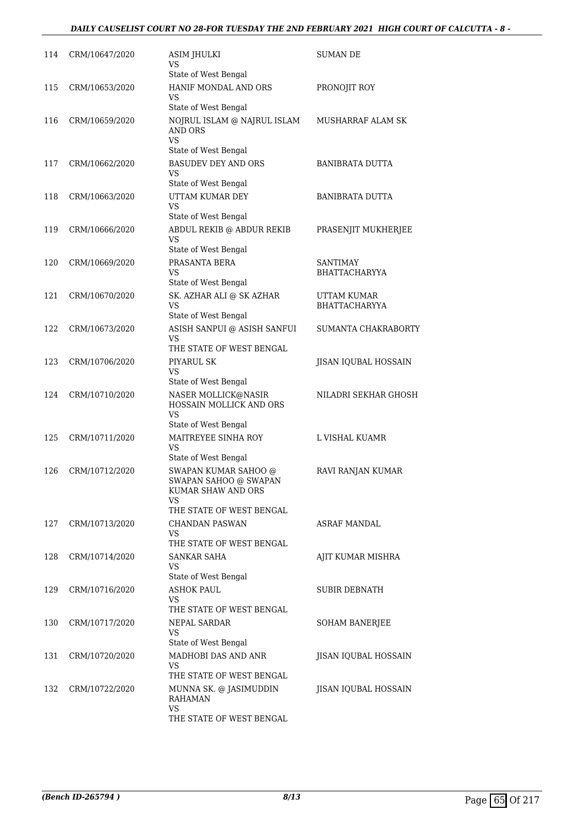## *DAILY CAUSELIST COURT NO 28-FOR TUESDAY THE 2ND FEBRUARY 2021 HIGH COURT OF CALCUTTA - 8 -*

| 114 | CRM/10647/2020 | <b>ASIM JHULKI</b><br>VS<br>State of West Bengal                                                      | SUMAN DE                                |
|-----|----------------|-------------------------------------------------------------------------------------------------------|-----------------------------------------|
| 115 | CRM/10653/2020 | HANIF MONDAL AND ORS<br>VS<br>State of West Bengal                                                    | PRONOJIT ROY                            |
| 116 | CRM/10659/2020 | NOJRUL ISLAM @ NAJRUL ISLAM<br><b>AND ORS</b><br>VS                                                   | MUSHARRAF ALAM SK                       |
| 117 | CRM/10662/2020 | State of West Bengal<br>BASUDEV DEY AND ORS<br>VS<br>State of West Bengal                             | BANIBRATA DUTTA                         |
| 118 | CRM/10663/2020 | UTTAM KUMAR DEY<br>VS<br>State of West Bengal                                                         | <b>BANIBRATA DUTTA</b>                  |
| 119 | CRM/10666/2020 | ABDUL REKIB @ ABDUR REKIB<br>VS<br>State of West Bengal                                               | PRASENJIT MUKHERJEE                     |
| 120 | CRM/10669/2020 | PRASANTA BERA<br>VS<br>State of West Bengal                                                           | <b>SANTIMAY</b><br><b>BHATTACHARYYA</b> |
| 121 | CRM/10670/2020 | SK. AZHAR ALI @ SK AZHAR<br><b>VS</b><br>State of West Bengal                                         | UTTAM KUMAR<br><b>BHATTACHARYYA</b>     |
| 122 | CRM/10673/2020 | ASISH SANPUI @ ASISH SANFUI<br>VS<br>THE STATE OF WEST BENGAL                                         | SUMANTA CHAKRABORTY                     |
| 123 | CRM/10706/2020 | PIYARUL SK<br>VS<br>State of West Bengal                                                              | JISAN IQUBAL HOSSAIN                    |
| 124 | CRM/10710/2020 | NASER MOLLICK@NASIR<br><b>HOSSAIN MOLLICK AND ORS</b><br><b>VS</b><br>State of West Bengal            | NILADRI SEKHAR GHOSH                    |
| 125 | CRM/10711/2020 | MAITREYEE SINHA ROY<br>VS<br>State of West Bengal                                                     | L VISHAL KUAMR                          |
| 126 | CRM/10712/2020 | SWAPAN KUMAR SAHOO @<br>SWAPAN SAHOO @ SWAPAN<br>KUMAR SHAW AND ORS<br>VS<br>THE STATE OF WEST BENGAL | RAVI RANJAN KUMAR                       |
| 127 | CRM/10713/2020 | CHANDAN PASWAN<br>VS.<br>THE STATE OF WEST BENGAL                                                     | ASRAF MANDAL                            |
| 128 | CRM/10714/2020 | SANKAR SAHA<br>VS<br>State of West Bengal                                                             | AJIT KUMAR MISHRA                       |
| 129 | CRM/10716/2020 | <b>ASHOK PAUL</b><br>VS<br>THE STATE OF WEST BENGAL                                                   | <b>SUBIR DEBNATH</b>                    |
| 130 | CRM/10717/2020 | NEPAL SARDAR<br>VS<br>State of West Bengal                                                            | SOHAM BANERJEE                          |
| 131 | CRM/10720/2020 | MADHOBI DAS AND ANR<br>VS<br>THE STATE OF WEST BENGAL                                                 | JISAN IQUBAL HOSSAIN                    |
| 132 | CRM/10722/2020 | MUNNA SK. @ JASIMUDDIN<br><b>RAHAMAN</b><br>VS<br>THE STATE OF WEST BENGAL                            | JISAN IQUBAL HOSSAIN                    |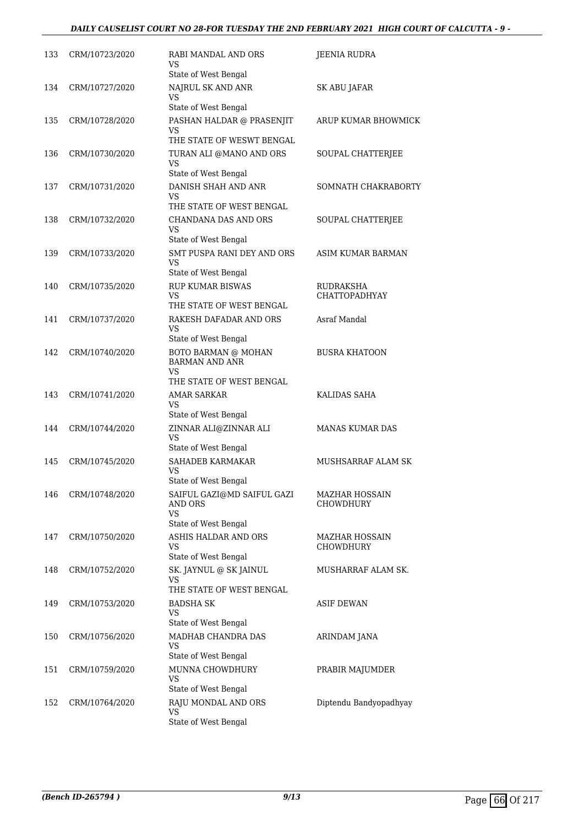## *DAILY CAUSELIST COURT NO 28-FOR TUESDAY THE 2ND FEBRUARY 2021 HIGH COURT OF CALCUTTA - 9 -*

| 133 | CRM/10723/2020 | RABI MANDAL AND ORS<br>VS<br>State of West Bengal                               | JEENIA RUDRA                       |
|-----|----------------|---------------------------------------------------------------------------------|------------------------------------|
| 134 | CRM/10727/2020 | NAJRUL SK AND ANR<br><b>VS</b>                                                  | SK ABU JAFAR                       |
| 135 | CRM/10728/2020 | State of West Bengal<br>PASHAN HALDAR @ PRASENJIT<br>VS.                        | ARUP KUMAR BHOWMICK                |
| 136 | CRM/10730/2020 | THE STATE OF WESWT BENGAL<br>TURAN ALI @MANO AND ORS<br><b>VS</b>               | SOUPAL CHATTERJEE                  |
| 137 | CRM/10731/2020 | State of West Bengal<br>DANISH SHAH AND ANR<br>VS                               | SOMNATH CHAKRABORTY                |
| 138 | CRM/10732/2020 | THE STATE OF WEST BENGAL<br>CHANDANA DAS AND ORS<br>VS.<br>State of West Bengal | SOUPAL CHATTERJEE                  |
| 139 | CRM/10733/2020 | SMT PUSPA RANI DEY AND ORS<br>VS<br>State of West Bengal                        | ASIM KUMAR BARMAN                  |
| 140 | CRM/10735/2020 | <b>RUP KUMAR BISWAS</b><br><b>VS</b><br>THE STATE OF WEST BENGAL                | RUDRAKSHA<br><b>CHATTOPADHYAY</b>  |
| 141 | CRM/10737/2020 | RAKESH DAFADAR AND ORS<br><b>VS</b><br>State of West Bengal                     | Asraf Mandal                       |
| 142 | CRM/10740/2020 | BOTO BARMAN @ MOHAN<br><b>BARMAN AND ANR</b><br>VS.                             | <b>BUSRA KHATOON</b>               |
| 143 | CRM/10741/2020 | THE STATE OF WEST BENGAL<br>AMAR SARKAR<br>VS.                                  | KALIDAS SAHA                       |
| 144 | CRM/10744/2020 | State of West Bengal<br>ZINNAR ALI@ZINNAR ALI<br>VS<br>State of West Bengal     | <b>MANAS KUMAR DAS</b>             |
| 145 | CRM/10745/2020 | SAHADEB KARMAKAR<br><b>VS</b><br>State of West Bengal                           | MUSHSARRAF ALAM SK                 |
| 146 | CRM/10748/2020 | SAIFUL GAZI@MD SAIFUL GAZI<br><b>AND ORS</b><br><b>VS</b>                       | <b>MAZHAR HOSSAIN</b><br>CHOWDHURY |
| 147 | CRM/10750/2020 | State of West Bengal<br>ASHIS HALDAR AND ORS<br>VS<br>State of West Bengal      | <b>MAZHAR HOSSAIN</b><br>CHOWDHURY |
| 148 | CRM/10752/2020 | SK. JAYNUL @ SK JAINUL<br>VS<br>THE STATE OF WEST BENGAL                        | MUSHARRAF ALAM SK.                 |
| 149 | CRM/10753/2020 | <b>BADSHA SK</b><br>VS<br>State of West Bengal                                  | <b>ASIF DEWAN</b>                  |
| 150 | CRM/10756/2020 | MADHAB CHANDRA DAS<br>VS<br>State of West Bengal                                | ARINDAM JANA                       |
| 151 | CRM/10759/2020 | MUNNA CHOWDHURY<br><b>VS</b><br>State of West Bengal                            | PRABIR MAJUMDER                    |
| 152 | CRM/10764/2020 | RAJU MONDAL AND ORS<br><b>VS</b><br>State of West Bengal                        | Diptendu Bandyopadhyay             |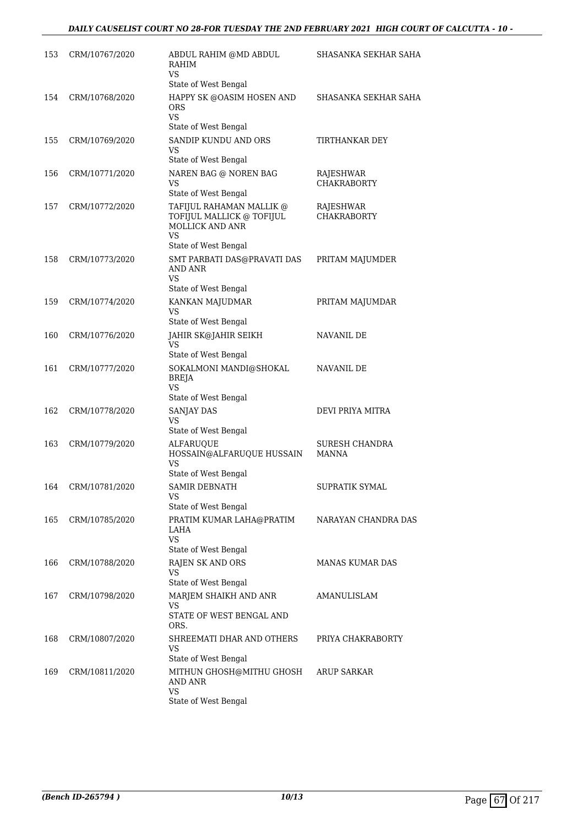| 153 | CRM/10767/2020     | ABDUL RAHIM @MD ABDUL<br>RAHIM<br>VS                                                                          | SHASANKA SEKHAR SAHA            |
|-----|--------------------|---------------------------------------------------------------------------------------------------------------|---------------------------------|
| 154 | CRM/10768/2020     | State of West Bengal<br>HAPPY SK @OASIM HOSEN AND<br><b>ORS</b><br><b>VS</b><br>State of West Bengal          | SHASANKA SEKHAR SAHA            |
| 155 | CRM/10769/2020     | SANDIP KUNDU AND ORS<br>VS<br>State of West Bengal                                                            | TIRTHANKAR DEY                  |
| 156 | CRM/10771/2020     | NAREN BAG @ NOREN BAG<br>VS<br>State of West Bengal                                                           | RAJESHWAR<br><b>CHAKRABORTY</b> |
| 157 | CRM/10772/2020     | TAFIJUL RAHAMAN MALLIK @<br>TOFIJUL MALLICK @ TOFIJUL<br><b>MOLLICK AND ANR</b><br>VS<br>State of West Bengal | RAJESHWAR<br><b>CHAKRABORTY</b> |
| 158 | CRM/10773/2020     | SMT PARBATI DAS@PRAVATI DAS<br>AND ANR<br><b>VS</b><br>State of West Bengal                                   | PRITAM MAJUMDER                 |
| 159 | CRM/10774/2020     | KANKAN MAJUDMAR<br><b>VS</b><br>State of West Bengal                                                          | PRITAM MAJUMDAR                 |
| 160 | CRM/10776/2020     | JAHIR SK@JAHIR SEIKH<br><b>VS</b><br>State of West Bengal                                                     | NAVANIL DE                      |
| 161 | CRM/10777/2020     | SOKALMONI MANDI@SHOKAL<br><b>BREJA</b><br>VS<br>State of West Bengal                                          | NAVANIL DE                      |
| 162 | CRM/10778/2020     | SANJAY DAS<br>VS<br>State of West Bengal                                                                      | DEVI PRIYA MITRA                |
| 163 | CRM/10779/2020     | <b>ALFARUQUE</b><br>HOSSAIN@ALFARUQUE HUSSAIN<br>VS<br>State of West Bengal                                   | SURESH CHANDRA<br>MANNA         |
|     | 164 CRM/10781/2020 | SAMIR DEBNATH<br>VS<br>State of West Bengal                                                                   | SUPRATIK SYMAL                  |
| 165 | CRM/10785/2020     | PRATIM KUMAR LAHA@PRATIM<br>LAHA<br>VS.<br>State of West Bengal                                               | NARAYAN CHANDRA DAS             |
| 166 | CRM/10788/2020     | RAJEN SK AND ORS<br><b>VS</b><br>State of West Bengal                                                         | <b>MANAS KUMAR DAS</b>          |
| 167 | CRM/10798/2020     | MARJEM SHAIKH AND ANR<br>VS<br>STATE OF WEST BENGAL AND<br>ORS.                                               | AMANULISLAM                     |
| 168 | CRM/10807/2020     | SHREEMATI DHAR AND OTHERS<br>VS<br>State of West Bengal                                                       | PRIYA CHAKRABORTY               |
| 169 | CRM/10811/2020     | MITHUN GHOSH@MITHU GHOSH<br>AND ANR<br>VS<br>State of West Bengal                                             | ARUP SARKAR                     |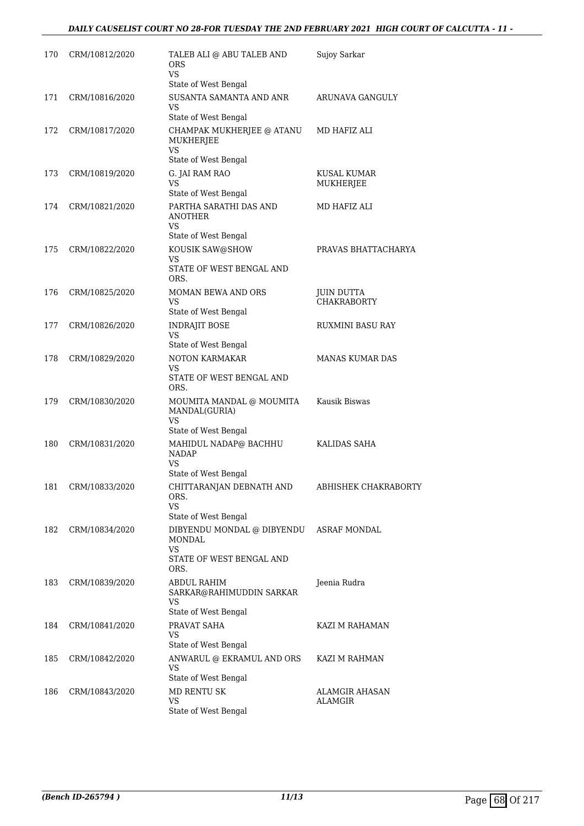## *DAILY CAUSELIST COURT NO 28-FOR TUESDAY THE 2ND FEBRUARY 2021 HIGH COURT OF CALCUTTA - 11 -*

| 170 | CRM/10812/2020     | TALEB ALI @ ABU TALEB AND<br>ORS<br>VS.<br>State of West Bengal                              | Sujoy Sarkar                            |
|-----|--------------------|----------------------------------------------------------------------------------------------|-----------------------------------------|
| 171 | CRM/10816/2020     | SUSANTA SAMANTA AND ANR<br>VS<br>State of West Bengal                                        | ARUNAVA GANGULY                         |
| 172 | CRM/10817/2020     | CHAMPAK MUKHERJEE @ ATANU<br>MUKHERJEE<br>VS.<br>State of West Bengal                        | MD HAFIZ ALI                            |
| 173 | CRM/10819/2020     | G. JAI RAM RAO<br>VS.                                                                        | KUSAL KUMAR<br>MUKHERJEE                |
| 174 | CRM/10821/2020     | State of West Bengal<br>PARTHA SARATHI DAS AND<br><b>ANOTHER</b><br><b>VS</b>                | MD HAFIZ ALI                            |
| 175 | CRM/10822/2020     | State of West Bengal<br>KOUSIK SAW@SHOW<br>VS<br>STATE OF WEST BENGAL AND<br>ORS.            | PRAVAS BHATTACHARYA                     |
| 176 | CRM/10825/2020     | MOMAN BEWA AND ORS<br>VS<br>State of West Bengal                                             | JUIN DUTTA<br><b>CHAKRABORTY</b>        |
| 177 | CRM/10826/2020     | <b>INDRAJIT BOSE</b><br><b>VS</b><br>State of West Bengal                                    | RUXMINI BASU RAY                        |
| 178 | CRM/10829/2020     | NOTON KARMAKAR<br>VS<br>STATE OF WEST BENGAL AND<br>ORS.                                     | <b>MANAS KUMAR DAS</b>                  |
| 179 | CRM/10830/2020     | MOUMITA MANDAL @ MOUMITA<br>MANDAL(GURIA)<br>VS<br>State of West Bengal                      | Kausik Biswas                           |
| 180 | CRM/10831/2020     | MAHIDUL NADAP@ BACHHU<br><b>NADAP</b><br>VS<br>State of West Bengal                          | KALIDAS SAHA                            |
|     | 181 CRM/10833/2020 | CHITTARANJAN DEBNATH AND<br>ORS.<br>VS.<br>State of West Bengal                              | ABHISHEK CHAKRABORTY                    |
| 182 | CRM/10834/2020     | DIBYENDU MONDAL @ DIBYENDU<br><b>MONDAL</b><br><b>VS</b><br>STATE OF WEST BENGAL AND<br>ORS. | <b>ASRAF MONDAL</b>                     |
| 183 | CRM/10839/2020     | ABDUL RAHIM<br>SARKAR@RAHIMUDDIN SARKAR<br>VS<br>State of West Bengal                        | Jeenia Rudra                            |
| 184 | CRM/10841/2020     | PRAVAT SAHA<br>VS<br>State of West Bengal                                                    | KAZI M RAHAMAN                          |
| 185 | CRM/10842/2020     | ANWARUL @ EKRAMUL AND ORS<br><b>VS</b><br>State of West Bengal                               | KAZI M RAHMAN                           |
| 186 | CRM/10843/2020     | MD RENTU SK<br><b>VS</b><br>State of West Bengal                                             | <b>ALAMGIR AHASAN</b><br><b>ALAMGIR</b> |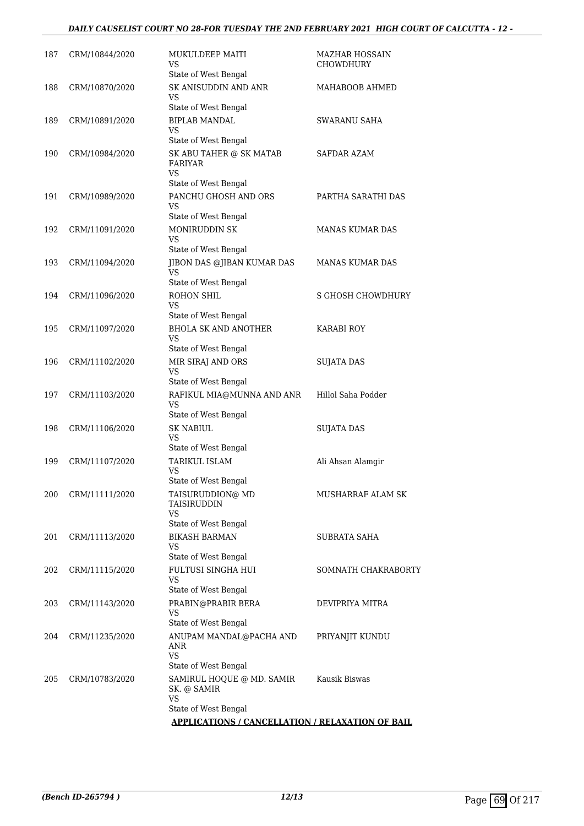## *DAILY CAUSELIST COURT NO 28-FOR TUESDAY THE 2ND FEBRUARY 2021 HIGH COURT OF CALCUTTA - 12 -*

| 187 | CRM/10844/2020 | MUKULDEEP MAITI<br>VS.                                               | MAZHAR HOSSAIN<br><b>CHOWDHURY</b> |
|-----|----------------|----------------------------------------------------------------------|------------------------------------|
| 188 | CRM/10870/2020 | State of West Bengal<br>SK ANISUDDIN AND ANR<br>VS                   | MAHABOOB AHMED                     |
|     |                | State of West Bengal                                                 |                                    |
| 189 | CRM/10891/2020 | <b>BIPLAB MANDAL</b><br>VS<br>State of West Bengal                   | SWARANU SAHA                       |
| 190 | CRM/10984/2020 | SK ABU TAHER @ SK MATAB<br><b>FARIYAR</b>                            | <b>SAFDAR AZAM</b>                 |
|     |                | <b>VS</b><br>State of West Bengal                                    |                                    |
| 191 | CRM/10989/2020 | PANCHU GHOSH AND ORS<br><b>VS</b><br>State of West Bengal            | PARTHA SARATHI DAS                 |
| 192 | CRM/11091/2020 | <b>MONIRUDDIN SK</b><br><b>VS</b>                                    | <b>MANAS KUMAR DAS</b>             |
| 193 | CRM/11094/2020 | State of West Bengal<br>JIBON DAS @JIBAN KUMAR DAS<br><b>VS</b>      | <b>MANAS KUMAR DAS</b>             |
|     |                | State of West Bengal                                                 |                                    |
| 194 | CRM/11096/2020 | ROHON SHIL<br>VS<br>State of West Bengal                             | <b>S GHOSH CHOWDHURY</b>           |
| 195 | CRM/11097/2020 | <b>BHOLA SK AND ANOTHER</b><br>VS                                    | KARABI ROY                         |
| 196 | CRM/11102/2020 | State of West Bengal<br>MIR SIRAJ AND ORS<br>VS                      | <b>SUJATA DAS</b>                  |
| 197 | CRM/11103/2020 | State of West Bengal<br>RAFIKUL MIA@MUNNA AND ANR<br><b>VS</b>       | Hillol Saha Podder                 |
| 198 | CRM/11106/2020 | State of West Bengal<br><b>SK NABIUL</b><br>VS                       | <b>SUJATA DAS</b>                  |
| 199 | CRM/11107/2020 | State of West Bengal<br>TARIKUL ISLAM<br>VS                          | Ali Ahsan Alamgir                  |
| 200 | CRM/11111/2020 | State of West Bengal<br>TAISURUDDION@ MD<br>TAISIRUDDIN<br><b>VS</b> | MUSHARRAF ALAM SK                  |
|     |                | State of West Bengal                                                 |                                    |
| 201 | CRM/11113/2020 | <b>BIKASH BARMAN</b><br>VS<br>State of West Bengal                   | SUBRATA SAHA                       |
| 202 | CRM/11115/2020 | <b>FULTUSI SINGHA HUI</b><br>VS<br>State of West Bengal              | SOMNATH CHAKRABORTY                |
| 203 | CRM/11143/2020 | PRABIN@PRABIR BERA<br>VS                                             | DEVIPRIYA MITRA                    |
| 204 | CRM/11235/2020 | State of West Bengal<br>ANUPAM MANDAL@PACHA AND<br>ANR               | PRIYANJIT KUNDU                    |
|     |                | <b>VS</b><br>State of West Bengal                                    |                                    |
| 205 | CRM/10783/2020 | SAMIRUL HOQUE @ MD. SAMIR<br>SK. @ SAMIR<br>VS                       | Kausik Biswas                      |
|     |                | State of West Bengal                                                 |                                    |
|     |                | <b>APPLICATIONS / CANCELLATION / RELAXATION OF BAIL</b>              |                                    |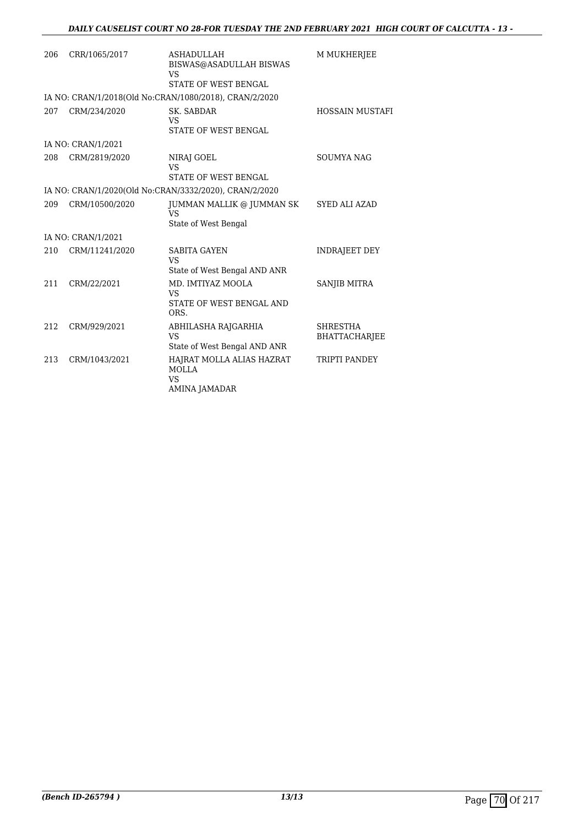| 206 | CRR/1065/2017      | <b>ASHADULLAH</b><br>BISWAS@ASADULLAH BISWAS<br>VS<br>STATE OF WEST BENGAL | M MUKHERJEE                      |
|-----|--------------------|----------------------------------------------------------------------------|----------------------------------|
|     |                    | IA NO: CRAN/1/2018(Old No:CRAN/1080/2018), CRAN/2/2020                     |                                  |
| 207 | CRM/234/2020       | SK. SABDAR<br>VS<br>STATE OF WEST BENGAL                                   | <b>HOSSAIN MUSTAFI</b>           |
|     | IA NO: CRAN/1/2021 |                                                                            |                                  |
| 208 | CRM/2819/2020      | NIRAJ GOEL<br><b>VS</b><br>STATE OF WEST BENGAL                            | <b>SOUMYA NAG</b>                |
|     |                    | IA NO: CRAN/1/2020(Old No:CRAN/3332/2020), CRAN/2/2020                     |                                  |
| 209 | CRM/10500/2020     | JUMMAN MALLIK @ JUMMAN SK<br>VS<br>State of West Bengal                    | <b>SYED ALI AZAD</b>             |
|     | IA NO: CRAN/1/2021 |                                                                            |                                  |
| 210 | CRM/11241/2020     | <b>SABITA GAYEN</b><br><b>VS</b><br>State of West Bengal AND ANR           | <b>INDRAJEET DEY</b>             |
| 211 | CRM/22/2021        | MD. IMTIYAZ MOOLA<br>VS<br>STATE OF WEST BENGAL AND<br>ORS.                | <b>SANJIB MITRA</b>              |
| 212 | CRM/929/2021       | ABHILASHA RAJGARHIA<br><b>VS</b><br>State of West Bengal AND ANR           | SHRESTHA<br><b>BHATTACHARJEE</b> |
| 213 | CRM/1043/2021      | HAJRAT MOLLA ALIAS HAZRAT<br><b>MOLLA</b><br><b>VS</b><br>AMINA JAMADAR    | TRIPTI PANDEY                    |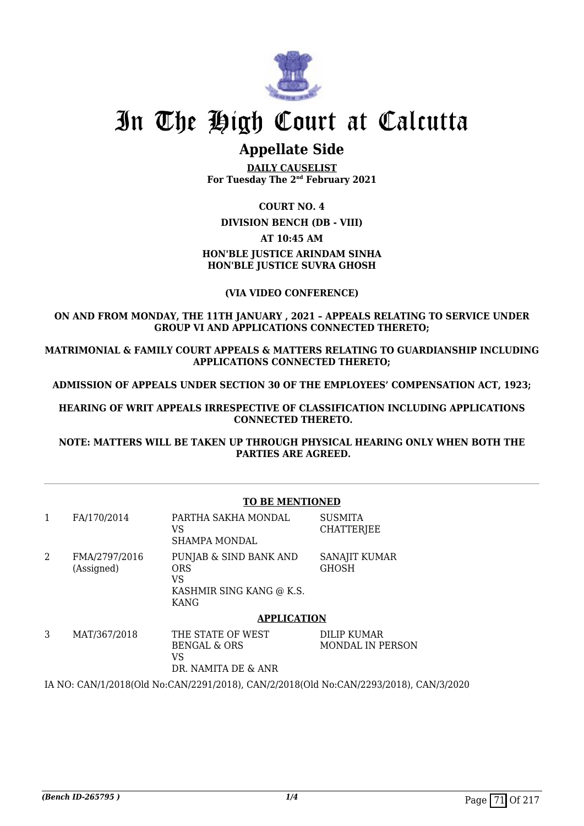

## **Appellate Side**

**DAILY CAUSELIST For Tuesday The 2nd February 2021**

#### **COURT NO. 4**

**DIVISION BENCH (DB - VIII)**

#### **AT 10:45 AM**

### **HON'BLE JUSTICE ARINDAM SINHA HON'BLE JUSTICE SUVRA GHOSH**

#### **(VIA VIDEO CONFERENCE)**

#### **ON AND FROM MONDAY, THE 11TH JANUARY , 2021 – APPEALS RELATING TO SERVICE UNDER GROUP VI AND APPLICATIONS CONNECTED THERETO;**

**MATRIMONIAL & FAMILY COURT APPEALS & MATTERS RELATING TO GUARDIANSHIP INCLUDING APPLICATIONS CONNECTED THERETO;**

**ADMISSION OF APPEALS UNDER SECTION 30 OF THE EMPLOYEES' COMPENSATION ACT, 1923;**

**HEARING OF WRIT APPEALS IRRESPECTIVE OF CLASSIFICATION INCLUDING APPLICATIONS CONNECTED THERETO.**

**NOTE: MATTERS WILL BE TAKEN UP THROUGH PHYSICAL HEARING ONLY WHEN BOTH THE PARTIES ARE AGREED.**

#### **TO BE MENTIONED**

|   | FA/170/2014                 | PARTHA SAKHA MONDAL<br>VS<br>SHAMPA MONDAL                                     | <b>SUSMITA</b><br>CHATTERJEE    |
|---|-----------------------------|--------------------------------------------------------------------------------|---------------------------------|
| 2 | FMA/2797/2016<br>(Assigned) | PUNJAB & SIND BANK AND<br><b>ORS</b><br>VS<br>KASHMIR SING KANG @ K.S.<br>KANG | SANAJIT KUMAR<br><b>GHOSH</b>   |
|   |                             | <b>APPLICATION</b>                                                             |                                 |
| 3 | MAT/367/2018                | THE STATE OF WEST<br>BENGAL & ORS<br>VS<br>DR. NAMITA DE & ANR                 | DILIP KUMAR<br>MONDAL IN PERSON |

IA NO: CAN/1/2018(Old No:CAN/2291/2018), CAN/2/2018(Old No:CAN/2293/2018), CAN/3/2020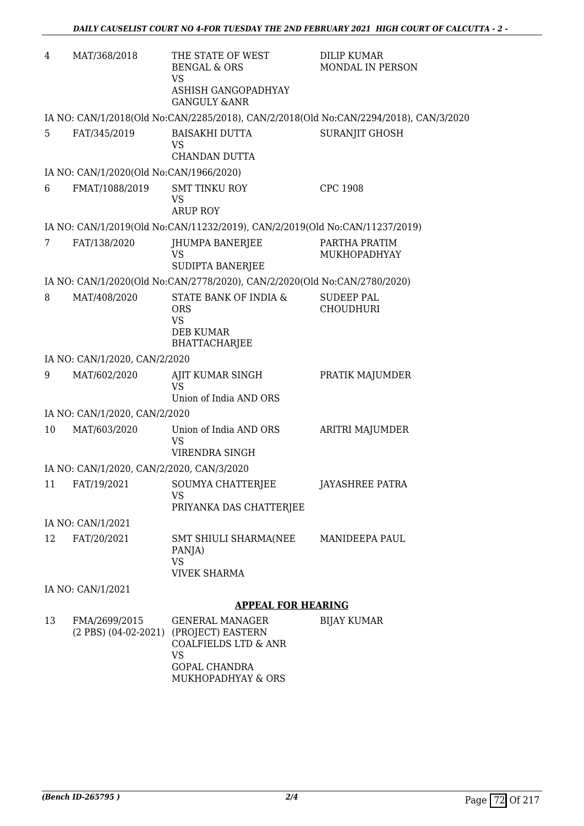| 4  | MAT/368/2018                              | THE STATE OF WEST<br><b>BENGAL &amp; ORS</b><br><b>VS</b>                                                        | <b>DILIP KUMAR</b><br>MONDAL IN PERSON                                                |
|----|-------------------------------------------|------------------------------------------------------------------------------------------------------------------|---------------------------------------------------------------------------------------|
|    |                                           | ASHISH GANGOPADHYAY<br><b>GANGULY &amp;ANR</b>                                                                   |                                                                                       |
|    |                                           |                                                                                                                  | IA NO: CAN/1/2018(Old No:CAN/2285/2018), CAN/2/2018(Old No:CAN/2294/2018), CAN/3/2020 |
| 5  | FAT/345/2019                              | <b>BAISAKHI DUTTA</b><br><b>VS</b><br>CHANDAN DUTTA                                                              | <b>SURANJIT GHOSH</b>                                                                 |
|    | IA NO: CAN/1/2020(Old No:CAN/1966/2020)   |                                                                                                                  |                                                                                       |
| 6  | FMAT/1088/2019                            | <b>SMT TINKU ROY</b><br><b>VS</b><br><b>ARUP ROY</b>                                                             | <b>CPC 1908</b>                                                                       |
|    |                                           | IA NO: CAN/1/2019(Old No:CAN/11232/2019), CAN/2/2019(Old No:CAN/11237/2019)                                      |                                                                                       |
| 7  | FAT/138/2020                              | JHUMPA BANERJEE<br>VS                                                                                            | PARTHA PRATIM<br>MUKHOPADHYAY                                                         |
|    |                                           | SUDIPTA BANERJEE<br>IA NO: CAN/1/2020(Old No:CAN/2778/2020), CAN/2/2020(Old No:CAN/2780/2020)                    |                                                                                       |
| 8  | MAT/408/2020                              | STATE BANK OF INDIA &                                                                                            | <b>SUDEEP PAL</b>                                                                     |
|    |                                           | <b>ORS</b><br><b>VS</b>                                                                                          | <b>CHOUDHURI</b>                                                                      |
|    |                                           | <b>DEB KUMAR</b><br><b>BHATTACHARJEE</b>                                                                         |                                                                                       |
|    | IA NO: CAN/1/2020, CAN/2/2020             |                                                                                                                  |                                                                                       |
| 9  | MAT/602/2020                              | AJIT KUMAR SINGH<br><b>VS</b><br>Union of India AND ORS                                                          | PRATIK MAJUMDER                                                                       |
|    | IA NO: CAN/1/2020, CAN/2/2020             |                                                                                                                  |                                                                                       |
| 10 | MAT/603/2020                              | Union of India AND ORS                                                                                           | ARITRI MAJUMDER                                                                       |
|    |                                           | <b>VS</b>                                                                                                        |                                                                                       |
|    |                                           | VIRENDRA SINGH                                                                                                   |                                                                                       |
|    | IA NO: CAN/1/2020, CAN/2/2020, CAN/3/2020 |                                                                                                                  |                                                                                       |
|    | 11 FAT/19/2021                            | SOUMYA CHATTERJEE<br>VS.                                                                                         | JAYASHREE PATRA                                                                       |
|    |                                           | PRIYANKA DAS CHATTERJEE                                                                                          |                                                                                       |
|    | IA NO: CAN/1/2021                         |                                                                                                                  |                                                                                       |
| 12 | FAT/20/2021                               | SMT SHIULI SHARMA(NEE MANIDEEPA PAUL<br>PANJA)<br><b>VS</b>                                                      |                                                                                       |
|    |                                           | <b>VIVEK SHARMA</b>                                                                                              |                                                                                       |
|    | IA NO: CAN/1/2021                         |                                                                                                                  |                                                                                       |
|    |                                           | <b>APPEAL FOR HEARING</b>                                                                                        |                                                                                       |
| 13 | FMA/2699/2015                             | <b>GENERAL MANAGER</b><br>(2 PBS) (04-02-2021) (PROJECT) EASTERN<br><b>COALFIELDS LTD &amp; ANR</b><br><b>VS</b> | <b>BIJAY KUMAR</b>                                                                    |
|    |                                           | <b>GOPAL CHANDRA</b><br>MUKHOPADHYAY & ORS                                                                       |                                                                                       |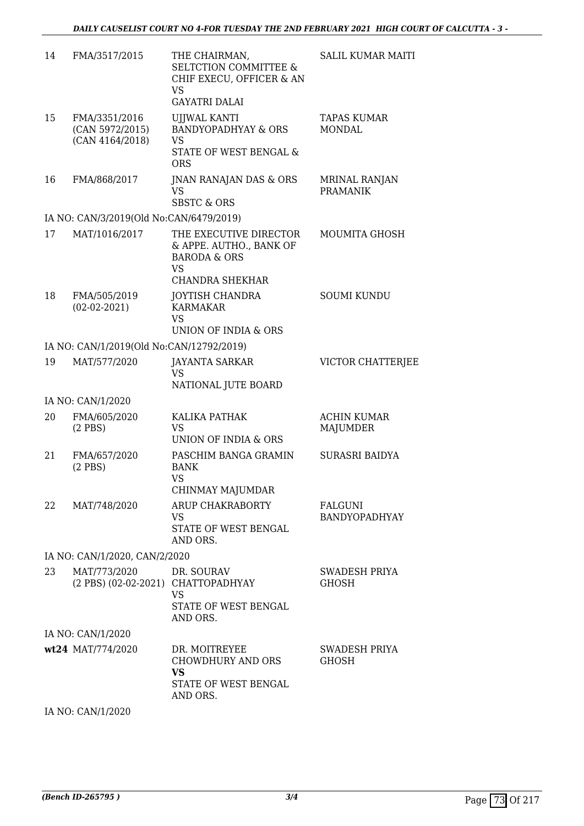| 14 | FMA/3517/2015                                       | THE CHAIRMAN,<br><b>SELTCTION COMMITTEE &amp;</b><br>CHIF EXECU, OFFICER & AN<br><b>VS</b><br><b>GAYATRI DALAI</b> | <b>SALIL KUMAR MAITI</b>              |
|----|-----------------------------------------------------|--------------------------------------------------------------------------------------------------------------------|---------------------------------------|
| 15 | FMA/3351/2016<br>(CAN 5972/2015)<br>(CAN 4164/2018) | <b>UJJWAL KANTI</b><br><b>BANDYOPADHYAY &amp; ORS</b><br>VS<br>STATE OF WEST BENGAL &<br><b>ORS</b>                | <b>TAPAS KUMAR</b><br><b>MONDAL</b>   |
| 16 | FMA/868/2017                                        | JNAN RANAJAN DAS & ORS<br><b>VS</b><br><b>SBSTC &amp; ORS</b>                                                      | MRINAL RANJAN<br><b>PRAMANIK</b>      |
|    | IA NO: CAN/3/2019(Old No:CAN/6479/2019)             |                                                                                                                    |                                       |
| 17 | MAT/1016/2017                                       | THE EXECUTIVE DIRECTOR<br>& APPE. AUTHO., BANK OF<br><b>BARODA &amp; ORS</b><br>VS<br>CHANDRA SHEKHAR              | MOUMITA GHOSH                         |
| 18 | FMA/505/2019<br>$(02-02-2021)$                      | <b>JOYTISH CHANDRA</b><br><b>KARMAKAR</b><br><b>VS</b><br>UNION OF INDIA & ORS                                     | <b>SOUMI KUNDU</b>                    |
|    | IA NO: CAN/1/2019(Old No:CAN/12792/2019)            |                                                                                                                    |                                       |
| 19 | MAT/577/2020                                        | <b>JAYANTA SARKAR</b>                                                                                              | VICTOR CHATTERJEE                     |
|    |                                                     | <b>VS</b>                                                                                                          |                                       |
|    |                                                     | NATIONAL JUTE BOARD                                                                                                |                                       |
|    | IA NO: CAN/1/2020                                   |                                                                                                                    |                                       |
| 20 | FMA/605/2020<br>$(2$ PBS $)$                        | KALIKA PATHAK<br><b>VS</b><br>UNION OF INDIA & ORS                                                                 | <b>ACHIN KUMAR</b><br><b>MAJUMDER</b> |
| 21 | FMA/657/2020<br>$(2$ PBS $)$                        | PASCHIM BANGA GRAMIN<br><b>BANK</b><br><b>VS</b><br>CHINMAY MAJUMDAR                                               | SURASRI BAIDYA                        |
| 22 | MAT/748/2020                                        | ARUP CHAKRABORTY<br>VS<br>STATE OF WEST BENGAL<br>AND ORS.                                                         | FALGUNI<br>BANDYOPADHYAY              |
|    | IA NO: CAN/1/2020, CAN/2/2020                       |                                                                                                                    |                                       |
| 23 | MAT/773/2020<br>(2 PBS) (02-02-2021) CHATTOPADHYAY  | DR. SOURAV<br>VS<br>STATE OF WEST BENGAL                                                                           | SWADESH PRIYA<br><b>GHOSH</b>         |
|    |                                                     | AND ORS.                                                                                                           |                                       |
|    | IA NO: CAN/1/2020                                   |                                                                                                                    |                                       |
|    | wt24 MAT/774/2020                                   | DR. MOITREYEE<br><b>CHOWDHURY AND ORS</b><br><b>VS</b><br>STATE OF WEST BENGAL<br>AND ORS.                         | SWADESH PRIYA<br><b>GHOSH</b>         |

IA NO: CAN/1/2020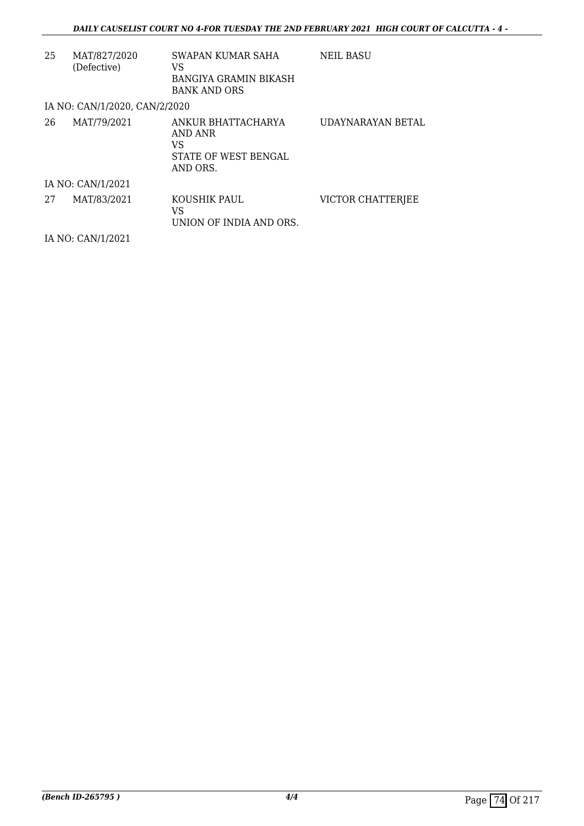| 25 | MAT/827/2020<br>(Defective)   | SWAPAN KUMAR SAHA<br>VS<br>BANGIYA GRAMIN BIKASH<br><b>BANK AND ORS</b> | NEIL BASU         |
|----|-------------------------------|-------------------------------------------------------------------------|-------------------|
|    | IA NO: CAN/1/2020, CAN/2/2020 |                                                                         |                   |
| 26 | MAT/79/2021                   | ANKUR BHATTACHARYA<br>AND ANR<br>VS<br>STATE OF WEST BENGAL<br>AND ORS. | UDAYNARAYAN BETAL |
|    | IA NO: CAN/1/2021             |                                                                         |                   |
| 27 | MAT/83/2021                   | KOUSHIK PAUL<br>VS<br>UNION OF INDIA AND ORS.                           | VICTOR CHATTERJEE |
|    | IA NO: CAN/1/2021             |                                                                         |                   |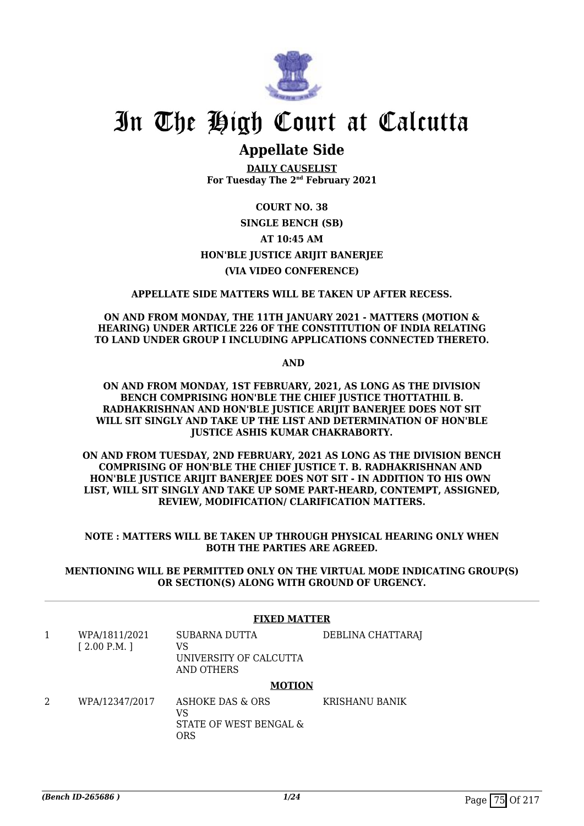

# **Appellate Side**

**DAILY CAUSELIST For Tuesday The 2nd February 2021**

### **COURT NO. 38**

### **SINGLE BENCH (SB) AT 10:45 AM HON'BLE JUSTICE ARIJIT BANERJEE (VIA VIDEO CONFERENCE)**

#### **APPELLATE SIDE MATTERS WILL BE TAKEN UP AFTER RECESS.**

#### **ON AND FROM MONDAY, THE 11TH JANUARY 2021 - MATTERS (MOTION & HEARING) UNDER ARTICLE 226 OF THE CONSTITUTION OF INDIA RELATING TO LAND UNDER GROUP I INCLUDING APPLICATIONS CONNECTED THERETO.**

 **AND**

#### **ON AND FROM MONDAY, 1ST FEBRUARY, 2021, AS LONG AS THE DIVISION BENCH COMPRISING HON'BLE THE CHIEF JUSTICE THOTTATHIL B. RADHAKRISHNAN AND HON'BLE JUSTICE ARIJIT BANERJEE DOES NOT SIT WILL SIT SINGLY AND TAKE UP THE LIST AND DETERMINATION OF HON'BLE JUSTICE ASHIS KUMAR CHAKRABORTY.**

**ON AND FROM TUESDAY, 2ND FEBRUARY, 2021 AS LONG AS THE DIVISION BENCH COMPRISING OF HON'BLE THE CHIEF JUSTICE T. B. RADHAKRISHNAN AND HON'BLE JUSTICE ARIJIT BANERJEE DOES NOT SIT - IN ADDITION TO HIS OWN LIST, WILL SIT SINGLY AND TAKE UP SOME PART-HEARD, CONTEMPT, ASSIGNED, REVIEW, MODIFICATION/ CLARIFICATION MATTERS.**

#### **NOTE : MATTERS WILL BE TAKEN UP THROUGH PHYSICAL HEARING ONLY WHEN BOTH THE PARTIES ARE AGREED.**

**MENTIONING WILL BE PERMITTED ONLY ON THE VIRTUAL MODE INDICATING GROUP(S) OR SECTION(S) ALONG WITH GROUND OF URGENCY.**

#### **FIXED MATTER**

1 WPA/1811/2021 [ 2.00 P.M. ] SUBARNA DUTTA VS UNIVERSITY OF CALCUTTA AND OTHERS DEBLINA CHATTARAJ

#### **MOTION**

2 WPA/12347/2017 ASHOKE DAS & ORS VS STATE OF WEST BENGAL & ORS KRISHANU BANIK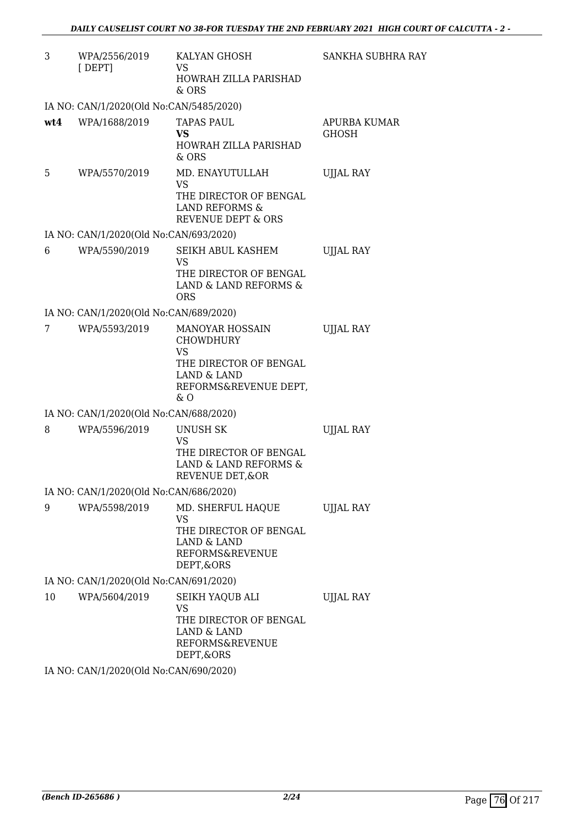| 3   | WPA/2556/2019<br>[DEF]                  | KALYAN GHOSH<br>VS<br>HOWRAH ZILLA PARISHAD<br>& ORS                                                                                | SANKHA SUBHRA RAY            |
|-----|-----------------------------------------|-------------------------------------------------------------------------------------------------------------------------------------|------------------------------|
|     | IA NO: CAN/1/2020(Old No:CAN/5485/2020) |                                                                                                                                     |                              |
| wt4 | WPA/1688/2019                           | <b>TAPAS PAUL</b><br><b>VS</b><br><b>HOWRAH ZILLA PARISHAD</b><br>$&$ ORS                                                           | APURBA KUMAR<br><b>GHOSH</b> |
| 5   | WPA/5570/2019                           | MD. ENAYUTULLAH<br>VS<br>THE DIRECTOR OF BENGAL<br>LAND REFORMS &<br><b>REVENUE DEPT &amp; ORS</b>                                  | <b>UJJAL RAY</b>             |
|     | IA NO: CAN/1/2020(Old No:CAN/693/2020)  |                                                                                                                                     |                              |
| 6   | WPA/5590/2019                           | SEIKH ABUL KASHEM<br><b>VS</b><br>THE DIRECTOR OF BENGAL<br>LAND & LAND REFORMS &<br><b>ORS</b>                                     | <b>UJJAL RAY</b>             |
|     | IA NO: CAN/1/2020(Old No:CAN/689/2020)  |                                                                                                                                     |                              |
| 7   | WPA/5593/2019                           | <b>MANOYAR HOSSAIN</b><br><b>CHOWDHURY</b><br><b>VS</b><br>THE DIRECTOR OF BENGAL<br>LAND & LAND<br>REFORMS&REVENUE DEPT,<br>$\&$ O | <b>UJJAL RAY</b>             |
|     | IA NO: CAN/1/2020(Old No:CAN/688/2020)  |                                                                                                                                     |                              |
| 8   | WPA/5596/2019                           | UNUSH SK<br>VS<br>THE DIRECTOR OF BENGAL<br>LAND & LAND REFORMS &<br>REVENUE DET, & OR                                              | <b>UJJAL RAY</b>             |
|     | IA NO: CAN/1/2020(Old No:CAN/686/2020)  |                                                                                                                                     |                              |
| 9   | WPA/5598/2019                           | MD. SHERFUL HAQUE<br>VS<br>THE DIRECTOR OF BENGAL<br><b>LAND &amp; LAND</b><br>REFORMS&REVENUE<br>DEPT, & ORS                       | UJJAL RAY                    |
|     | IA NO: CAN/1/2020(Old No:CAN/691/2020)  |                                                                                                                                     |                              |
| 10  | WPA/5604/2019                           | SEIKH YAQUB ALI<br><b>VS</b><br>THE DIRECTOR OF BENGAL<br>LAND & LAND<br>REFORMS&REVENUE<br>DEPT, & ORS                             | <b>UJJAL RAY</b>             |

IA NO: CAN/1/2020(Old No:CAN/690/2020)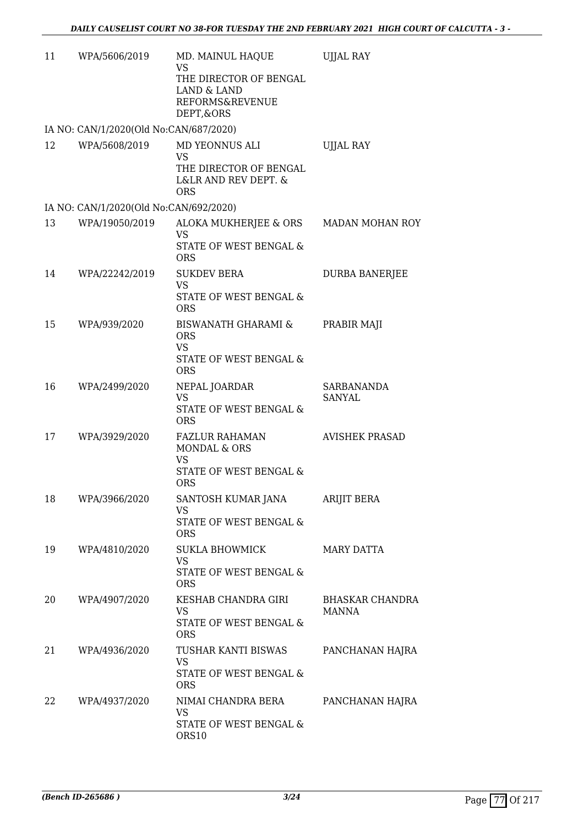| 11 | WPA/5606/2019                          | MD. MAINUL HAQUE<br><b>VS</b><br>THE DIRECTOR OF BENGAL<br>LAND & LAND<br><b>REFORMS&amp;REVENUE</b><br>DEPT, & ORS | <b>UJJAL RAY</b>            |
|----|----------------------------------------|---------------------------------------------------------------------------------------------------------------------|-----------------------------|
|    | IA NO: CAN/1/2020(Old No:CAN/687/2020) |                                                                                                                     |                             |
| 12 | WPA/5608/2019                          | MD YEONNUS ALI<br>VS<br>THE DIRECTOR OF BENGAL<br>L&LR AND REV DEPT. &<br><b>ORS</b>                                | <b>UJJAL RAY</b>            |
|    | IA NO: CAN/1/2020(Old No:CAN/692/2020) |                                                                                                                     |                             |
| 13 | WPA/19050/2019                         | ALOKA MUKHERJEE & ORS<br><b>VS</b><br>STATE OF WEST BENGAL &<br><b>ORS</b>                                          | MADAN MOHAN ROY             |
| 14 | WPA/22242/2019                         | <b>SUKDEV BERA</b><br><b>VS</b><br>STATE OF WEST BENGAL &<br><b>ORS</b>                                             | DURBA BANERJEE              |
| 15 | WPA/939/2020                           | <b>BISWANATH GHARAMI &amp;</b><br><b>ORS</b><br><b>VS</b><br>STATE OF WEST BENGAL &<br><b>ORS</b>                   | PRABIR MAJI                 |
| 16 | WPA/2499/2020                          | NEPAL JOARDAR<br><b>VS</b><br>STATE OF WEST BENGAL &<br><b>ORS</b>                                                  | <b>SARBANANDA</b><br>SANYAL |
| 17 | WPA/3929/2020                          | <b>FAZLUR RAHAMAN</b><br><b>MONDAL &amp; ORS</b><br>VS<br>STATE OF WEST BENGAL &<br><b>ORS</b>                      | <b>AVISHEK PRASAD</b>       |
| 18 | WPA/3966/2020                          | SANTOSH KUMAR JANA<br>VS.<br>STATE OF WEST BENGAL &<br><b>ORS</b>                                                   | ARIJIT BERA                 |
| 19 | WPA/4810/2020                          | <b>SUKLA BHOWMICK</b><br><b>VS</b><br>STATE OF WEST BENGAL &<br><b>ORS</b>                                          | <b>MARY DATTA</b>           |
| 20 | WPA/4907/2020                          | KESHAB CHANDRA GIRI<br>VS<br>STATE OF WEST BENGAL &<br><b>ORS</b>                                                   | BHASKAR CHANDRA<br>MANNA    |
| 21 | WPA/4936/2020                          | TUSHAR KANTI BISWAS<br>VS<br>STATE OF WEST BENGAL &<br><b>ORS</b>                                                   | PANCHANAN HAJRA             |
| 22 | WPA/4937/2020                          | NIMAI CHANDRA BERA<br>VS<br>STATE OF WEST BENGAL &<br>ORS10                                                         | PANCHANAN HAJRA             |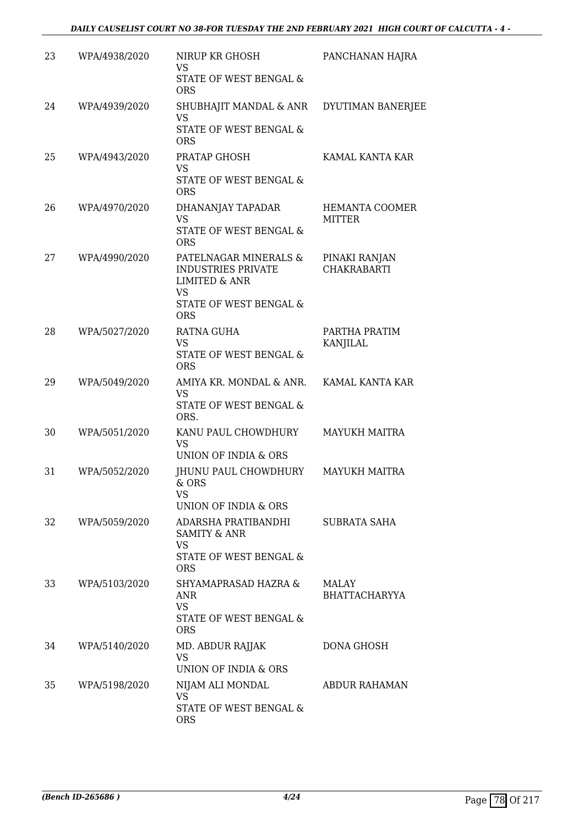| 23 | WPA/4938/2020 | NIRUP KR GHOSH<br>VS<br>STATE OF WEST BENGAL &<br><b>ORS</b>                                                                 | PANCHANAN HAJRA                     |
|----|---------------|------------------------------------------------------------------------------------------------------------------------------|-------------------------------------|
| 24 | WPA/4939/2020 | SHUBHAJIT MANDAL & ANR DYUTIMAN BANERJEE<br><b>VS</b><br>STATE OF WEST BENGAL &<br><b>ORS</b>                                |                                     |
| 25 | WPA/4943/2020 | PRATAP GHOSH<br><b>VS</b><br>STATE OF WEST BENGAL &<br><b>ORS</b>                                                            | KAMAL KANTA KAR                     |
| 26 | WPA/4970/2020 | DHANANJAY TAPADAR<br><b>VS</b><br>STATE OF WEST BENGAL &<br><b>ORS</b>                                                       | HEMANTA COOMER<br><b>MITTER</b>     |
| 27 | WPA/4990/2020 | PATELNAGAR MINERALS &<br><b>INDUSTRIES PRIVATE</b><br><b>LIMITED &amp; ANR</b><br>VS<br>STATE OF WEST BENGAL &<br><b>ORS</b> | PINAKI RANJAN<br><b>CHAKRABARTI</b> |
| 28 | WPA/5027/2020 | <b>RATNA GUHA</b><br><b>VS</b><br>STATE OF WEST BENGAL &<br><b>ORS</b>                                                       | PARTHA PRATIM<br>KANJILAL           |
| 29 | WPA/5049/2020 | AMIYA KR. MONDAL & ANR.<br><b>VS</b><br>STATE OF WEST BENGAL &<br>ORS.                                                       | KAMAL KANTA KAR                     |
| 30 | WPA/5051/2020 | KANU PAUL CHOWDHURY<br><b>VS</b><br><b>UNION OF INDIA &amp; ORS</b>                                                          | <b>MAYUKH MAITRA</b>                |
| 31 | WPA/5052/2020 | JHUNU PAUL CHOWDHURY<br>$&$ ORS<br>VS<br>UNION OF INDIA & ORS                                                                | <b>MAYUKH MAITRA</b>                |
| 32 | WPA/5059/2020 | ADARSHA PRATIBANDHI<br><b>SAMITY &amp; ANR</b><br>VS<br>STATE OF WEST BENGAL &<br><b>ORS</b>                                 | <b>SUBRATA SAHA</b>                 |
| 33 | WPA/5103/2020 | SHYAMAPRASAD HAZRA &<br>ANR<br><b>VS</b><br>STATE OF WEST BENGAL &<br><b>ORS</b>                                             | MALAY<br><b>BHATTACHARYYA</b>       |
| 34 | WPA/5140/2020 | MD. ABDUR RAJJAK<br><b>VS</b><br>UNION OF INDIA & ORS                                                                        | DONA GHOSH                          |
| 35 | WPA/5198/2020 | NIJAM ALI MONDAL<br>VS<br>STATE OF WEST BENGAL &<br><b>ORS</b>                                                               | ABDUR RAHAMAN                       |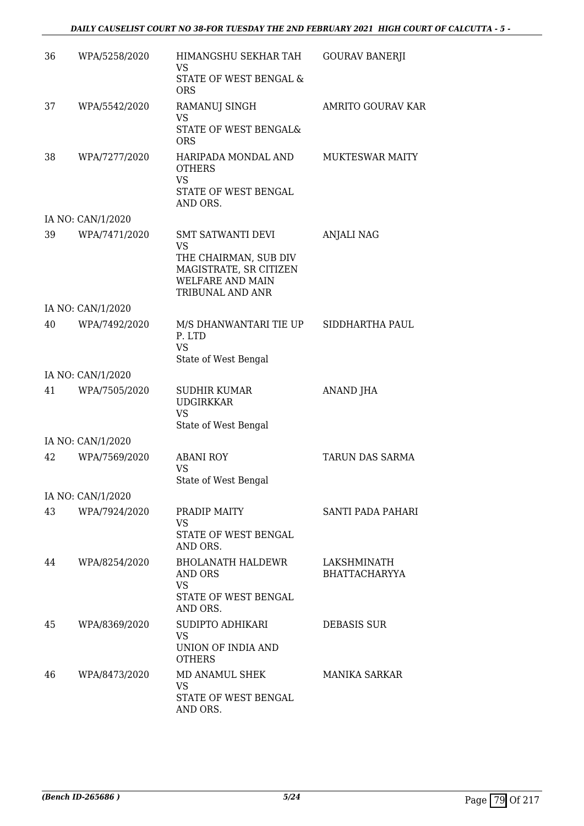#### *DAILY CAUSELIST COURT NO 38-FOR TUESDAY THE 2ND FEBRUARY 2021 HIGH COURT OF CALCUTTA - 5 -*

| 36 | WPA/5258/2020     | HIMANGSHU SEKHAR TAH<br>VS                                                                     | <b>GOURAV BANERJI</b>               |
|----|-------------------|------------------------------------------------------------------------------------------------|-------------------------------------|
|    |                   | STATE OF WEST BENGAL &<br><b>ORS</b>                                                           |                                     |
| 37 | WPA/5542/2020     | RAMANUJ SINGH<br><b>VS</b>                                                                     | <b>AMRITO GOURAV KAR</b>            |
|    |                   | STATE OF WEST BENGAL&<br><b>ORS</b>                                                            |                                     |
| 38 | WPA/7277/2020     | HARIPADA MONDAL AND<br><b>OTHERS</b><br><b>VS</b>                                              | <b>MUKTESWAR MAITY</b>              |
|    |                   | STATE OF WEST BENGAL<br>AND ORS.                                                               |                                     |
|    | IA NO: CAN/1/2020 |                                                                                                |                                     |
| 39 | WPA/7471/2020     | <b>SMT SATWANTI DEVI</b><br>VS                                                                 | <b>ANJALI NAG</b>                   |
|    |                   | THE CHAIRMAN, SUB DIV<br>MAGISTRATE, SR CITIZEN<br><b>WELFARE AND MAIN</b><br>TRIBUNAL AND ANR |                                     |
|    | IA NO: CAN/1/2020 |                                                                                                |                                     |
| 40 | WPA/7492/2020     | M/S DHANWANTARI TIE UP<br>P. LTD<br><b>VS</b><br>State of West Bengal                          | SIDDHARTHA PAUL                     |
|    | IA NO: CAN/1/2020 |                                                                                                |                                     |
| 41 | WPA/7505/2020     | <b>SUDHIR KUMAR</b>                                                                            | ANAND JHA                           |
|    |                   | <b>UDGIRKKAR</b><br><b>VS</b><br>State of West Bengal                                          |                                     |
|    | IA NO: CAN/1/2020 |                                                                                                |                                     |
| 42 | WPA/7569/2020     | <b>ABANI ROY</b><br><b>VS</b><br>State of West Bengal                                          | TARUN DAS SARMA                     |
|    | IA NO: CAN/1/2020 |                                                                                                |                                     |
| 43 | WPA/7924/2020     | PRADIP MAITY<br><b>VS</b>                                                                      | SANTI PADA PAHARI                   |
|    |                   | STATE OF WEST BENGAL<br>AND ORS.                                                               |                                     |
| 44 | WPA/8254/2020     | <b>BHOLANATH HALDEWR</b><br>AND ORS<br><b>VS</b><br>STATE OF WEST BENGAL<br>AND ORS.           | LAKSHMINATH<br><b>BHATTACHARYYA</b> |
| 45 | WPA/8369/2020     | SUDIPTO ADHIKARI                                                                               | DEBASIS SUR                         |
|    |                   | VS<br>UNION OF INDIA AND<br><b>OTHERS</b>                                                      |                                     |
| 46 | WPA/8473/2020     | MD ANAMUL SHEK<br><b>VS</b><br>STATE OF WEST BENGAL                                            | <b>MANIKA SARKAR</b>                |
|    |                   | AND ORS.                                                                                       |                                     |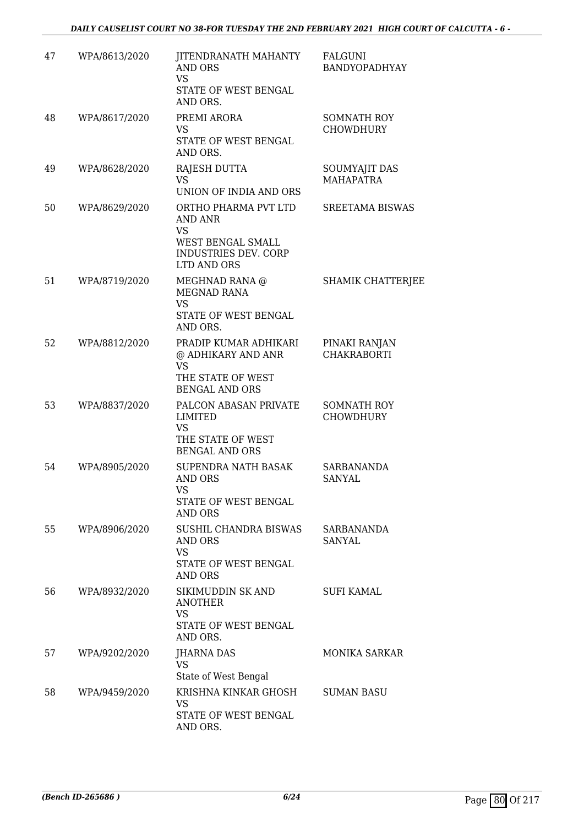| 47 | WPA/8613/2020 | JITENDRANATH MAHANTY<br>AND ORS<br><b>VS</b><br>STATE OF WEST BENGAL<br>AND ORS.                         | FALGUNI<br>BANDYOPADHYAY               |
|----|---------------|----------------------------------------------------------------------------------------------------------|----------------------------------------|
| 48 | WPA/8617/2020 | PREMI ARORA<br>VS<br>STATE OF WEST BENGAL<br>AND ORS.                                                    | SOMNATH ROY<br><b>CHOWDHURY</b>        |
| 49 | WPA/8628/2020 | RAJESH DUTTA<br><b>VS</b><br>UNION OF INDIA AND ORS                                                      | SOUMYAJIT DAS<br><b>MAHAPATRA</b>      |
| 50 | WPA/8629/2020 | ORTHO PHARMA PVT LTD<br>AND ANR<br><b>VS</b><br>WEST BENGAL SMALL<br>INDUSTRIES DEV. CORP<br>LTD AND ORS | <b>SREETAMA BISWAS</b>                 |
| 51 | WPA/8719/2020 | MEGHNAD RANA @<br>MEGNAD RANA<br><b>VS</b><br>STATE OF WEST BENGAL<br>AND ORS.                           | SHAMIK CHATTERJEE                      |
| 52 | WPA/8812/2020 | PRADIP KUMAR ADHIKARI<br>@ ADHIKARY AND ANR<br><b>VS</b><br>THE STATE OF WEST<br><b>BENGAL AND ORS</b>   | PINAKI RANJAN<br><b>CHAKRABORTI</b>    |
| 53 | WPA/8837/2020 | PALCON ABASAN PRIVATE<br><b>LIMITED</b><br><b>VS</b><br>THE STATE OF WEST<br><b>BENGAL AND ORS</b>       | <b>SOMNATH ROY</b><br><b>CHOWDHURY</b> |
| 54 | WPA/8905/2020 | SUPENDRA NATH BASAK<br>AND ORS<br>vs<br>STATE OF WEST BENGAL<br>AND ORS                                  | SARBANANDA<br>SANYAL                   |
| 55 | WPA/8906/2020 | SUSHIL CHANDRA BISWAS<br>AND ORS<br><b>VS</b><br>STATE OF WEST BENGAL<br>AND ORS                         | SARBANANDA<br>SANYAL                   |
| 56 | WPA/8932/2020 | SIKIMUDDIN SK AND<br><b>ANOTHER</b><br><b>VS</b><br>STATE OF WEST BENGAL<br>AND ORS.                     | <b>SUFI KAMAL</b>                      |
| 57 | WPA/9202/2020 | <b>JHARNA DAS</b><br>VS<br>State of West Bengal                                                          | <b>MONIKA SARKAR</b>                   |
| 58 | WPA/9459/2020 | KRISHNA KINKAR GHOSH<br>VS<br>STATE OF WEST BENGAL<br>AND ORS.                                           | <b>SUMAN BASU</b>                      |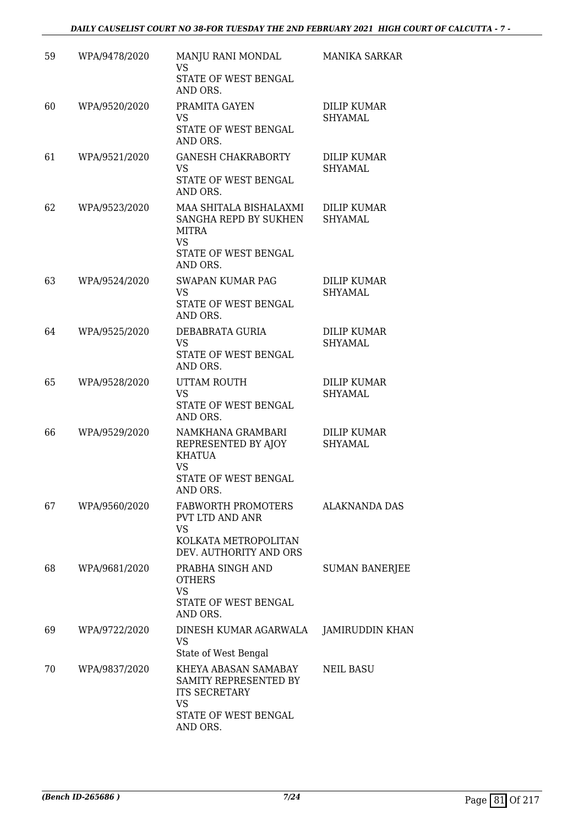| 59 | WPA/9478/2020 | MANJU RANI MONDAL<br>VS.<br>STATE OF WEST BENGAL<br>AND ORS.                                                           | <b>MANIKA SARKAR</b>                 |
|----|---------------|------------------------------------------------------------------------------------------------------------------------|--------------------------------------|
| 60 | WPA/9520/2020 | PRAMITA GAYEN<br>VS<br>STATE OF WEST BENGAL<br>AND ORS.                                                                | <b>DILIP KUMAR</b><br>SHYAMAL        |
| 61 | WPA/9521/2020 | <b>GANESH CHAKRABORTY</b><br><b>VS</b><br>STATE OF WEST BENGAL<br>AND ORS.                                             | <b>DILIP KUMAR</b><br>SHYAMAL        |
| 62 | WPA/9523/2020 | MAA SHITALA BISHALAXMI<br>SANGHA REPD BY SUKHEN<br><b>MITRA</b><br><b>VS</b><br>STATE OF WEST BENGAL<br>AND ORS.       | <b>DILIP KUMAR</b><br><b>SHYAMAL</b> |
| 63 | WPA/9524/2020 | <b>SWAPAN KUMAR PAG</b><br><b>VS</b><br>STATE OF WEST BENGAL<br>AND ORS.                                               | DILIP KUMAR<br><b>SHYAMAL</b>        |
| 64 | WPA/9525/2020 | DEBABRATA GURIA<br><b>VS</b><br>STATE OF WEST BENGAL<br>AND ORS.                                                       | <b>DILIP KUMAR</b><br>SHYAMAL        |
| 65 | WPA/9528/2020 | UTTAM ROUTH<br><b>VS</b><br>STATE OF WEST BENGAL<br>AND ORS.                                                           | DILIP KUMAR<br>SHYAMAL               |
| 66 | WPA/9529/2020 | NAMKHANA GRAMBARI<br>REPRESENTED BY AJOY<br>KHATUA<br><b>VS</b><br>STATE OF WEST BENGAL<br>AND ORS.                    | <b>DILIP KUMAR</b><br>SHYAMAL        |
| 67 | WPA/9560/2020 | FABWORTH PROMOTERS<br>PVT LTD AND ANR<br><b>VS</b><br>KOLKATA METROPOLITAN<br>DEV. AUTHORITY AND ORS                   | ALAKNANDA DAS                        |
| 68 | WPA/9681/2020 | PRABHA SINGH AND<br><b>OTHERS</b><br><b>VS</b><br>STATE OF WEST BENGAL<br>AND ORS.                                     | <b>SUMAN BANERJEE</b>                |
| 69 | WPA/9722/2020 | DINESH KUMAR AGARWALA<br>VS<br>State of West Bengal                                                                    | <b>JAMIRUDDIN KHAN</b>               |
| 70 | WPA/9837/2020 | KHEYA ABASAN SAMABAY<br>SAMITY REPRESENTED BY<br><b>ITS SECRETARY</b><br><b>VS</b><br>STATE OF WEST BENGAL<br>AND ORS. | <b>NEIL BASU</b>                     |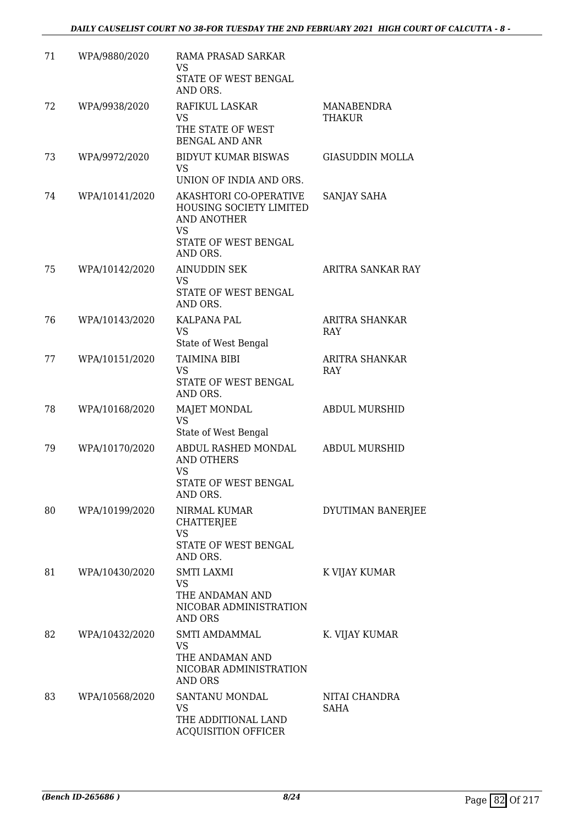| 71 | WPA/9880/2020  | RAMA PRASAD SARKAR<br>VS<br>STATE OF WEST BENGAL<br>AND ORS.                                                      |                              |
|----|----------------|-------------------------------------------------------------------------------------------------------------------|------------------------------|
| 72 | WPA/9938/2020  | RAFIKUL LASKAR<br>VS                                                                                              | MANABENDRA<br>THAKUR         |
|    |                | THE STATE OF WEST<br><b>BENGAL AND ANR</b>                                                                        |                              |
| 73 | WPA/9972/2020  | <b>BIDYUT KUMAR BISWAS</b><br><b>VS</b><br>UNION OF INDIA AND ORS.                                                | <b>GIASUDDIN MOLLA</b>       |
| 74 | WPA/10141/2020 | AKASHTORI CO-OPERATIVE<br>HOUSING SOCIETY LIMITED<br><b>AND ANOTHER</b><br><b>VS</b>                              | SANJAY SAHA                  |
|    |                | STATE OF WEST BENGAL<br>AND ORS.                                                                                  |                              |
| 75 | WPA/10142/2020 | <b>AINUDDIN SEK</b><br>VS<br>STATE OF WEST BENGAL<br>AND ORS.                                                     | ARITRA SANKAR RAY            |
| 76 | WPA/10143/2020 | KALPANA PAL<br><b>VS</b><br>State of West Bengal                                                                  | ARITRA SHANKAR<br><b>RAY</b> |
| 77 | WPA/10151/2020 | TAIMINA BIBI<br>VS<br>STATE OF WEST BENGAL<br>AND ORS.                                                            | ARITRA SHANKAR<br><b>RAY</b> |
| 78 | WPA/10168/2020 | MAJET MONDAL<br><b>VS</b>                                                                                         | <b>ABDUL MURSHID</b>         |
| 79 | WPA/10170/2020 | State of West Bengal<br>ABDUL RASHED MONDAL<br><b>AND OTHERS</b><br><b>VS</b><br>STATE OF WEST BENGAL<br>AND ORS. | <b>ABDUL MURSHID</b>         |
| 80 | WPA/10199/2020 | NIRMAL KUMAR<br><b>CHATTERJEE</b><br><b>VS</b><br>STATE OF WEST BENGAL                                            | DYUTIMAN BANERJEE            |
| 81 | WPA/10430/2020 | AND ORS.<br><b>SMTI LAXMI</b><br>VS<br>THE ANDAMAN AND<br>NICOBAR ADMINISTRATION<br>AND ORS                       | K VIJAY KUMAR                |
| 82 | WPA/10432/2020 | SMTI AMDAMMAL<br>VS<br>THE ANDAMAN AND<br>NICOBAR ADMINISTRATION<br>AND ORS                                       | K. VIJAY KUMAR               |
| 83 | WPA/10568/2020 | SANTANU MONDAL<br>VS<br>THE ADDITIONAL LAND<br><b>ACQUISITION OFFICER</b>                                         | NITAI CHANDRA<br>SAHA        |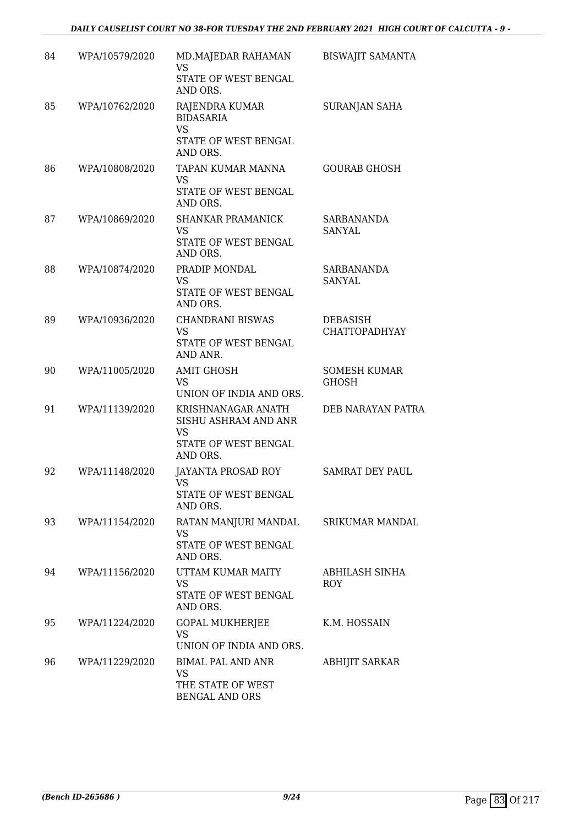| 84 | WPA/10579/2020 | MD.MAJEDAR RAHAMAN<br><b>VS</b><br>STATE OF WEST BENGAL<br>AND ORS.                         | <b>BISWAJIT SAMANTA</b>             |
|----|----------------|---------------------------------------------------------------------------------------------|-------------------------------------|
| 85 | WPA/10762/2020 | RAJENDRA KUMAR<br><b>BIDASARIA</b><br><b>VS</b><br>STATE OF WEST BENGAL<br>AND ORS.         | SURANJAN SAHA                       |
| 86 | WPA/10808/2020 | TAPAN KUMAR MANNA<br>VS<br>STATE OF WEST BENGAL<br>AND ORS.                                 | <b>GOURAB GHOSH</b>                 |
| 87 | WPA/10869/2020 | <b>SHANKAR PRAMANICK</b><br><b>VS</b><br>STATE OF WEST BENGAL<br>AND ORS.                   | <b>SARBANANDA</b><br>SANYAL         |
| 88 | WPA/10874/2020 | PRADIP MONDAL<br><b>VS</b><br>STATE OF WEST BENGAL<br>AND ORS.                              | <b>SARBANANDA</b><br><b>SANYAL</b>  |
| 89 | WPA/10936/2020 | <b>CHANDRANI BISWAS</b><br><b>VS</b><br>STATE OF WEST BENGAL<br>AND ANR.                    | <b>DEBASISH</b><br>CHATTOPADHYAY    |
| 90 | WPA/11005/2020 | <b>AMIT GHOSH</b><br><b>VS</b><br>UNION OF INDIA AND ORS.                                   | <b>SOMESH KUMAR</b><br><b>GHOSH</b> |
| 91 | WPA/11139/2020 | KRISHNANAGAR ANATH<br>SISHU ASHRAM AND ANR<br><b>VS</b><br>STATE OF WEST BENGAL<br>AND ORS. | DEB NARAYAN PATRA                   |
| 92 | WPA/11148/2020 | JAYANTA PROSAD ROY<br>VS<br>STATE OF WEST BENGAL<br>AND ORS.                                | <b>SAMRAT DEY PAUL</b>              |
| 93 | WPA/11154/2020 | RATAN MANJURI MANDAL<br>VS<br>STATE OF WEST BENGAL<br>AND ORS.                              | <b>SRIKUMAR MANDAL</b>              |
| 94 | WPA/11156/2020 | UTTAM KUMAR MAITY<br><b>VS</b><br>STATE OF WEST BENGAL<br>AND ORS.                          | ABHILASH SINHA<br>ROY               |
| 95 | WPA/11224/2020 | GOPAL MUKHERJEE<br>VS<br>UNION OF INDIA AND ORS.                                            | K.M. HOSSAIN                        |
| 96 | WPA/11229/2020 | <b>BIMAL PAL AND ANR</b><br>VS<br>THE STATE OF WEST<br><b>BENGAL AND ORS</b>                | <b>ABHIJIT SARKAR</b>               |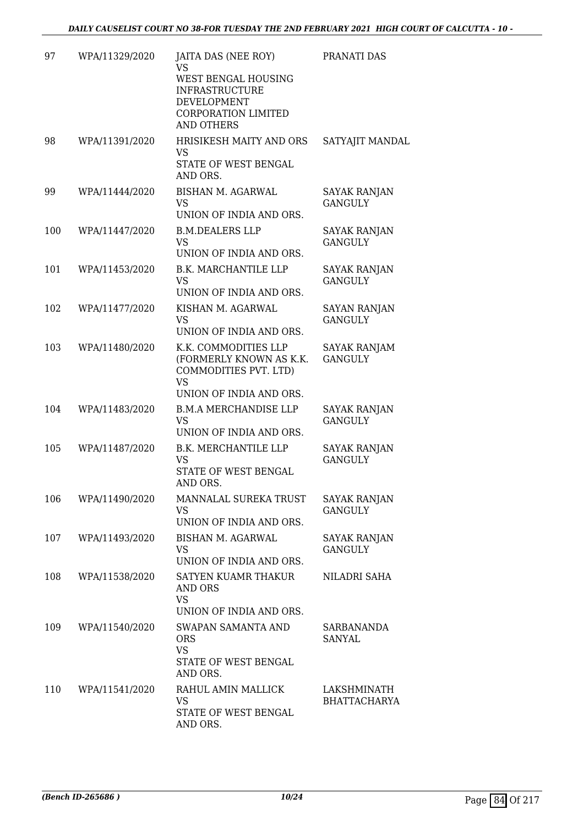| 97  | WPA/11329/2020 | JAITA DAS (NEE ROY)<br><b>VS</b><br>WEST BENGAL HOUSING<br><b>INFRASTRUCTURE</b><br>DEVELOPMENT<br><b>CORPORATION LIMITED</b><br><b>AND OTHERS</b> | PRANATI DAS                           |
|-----|----------------|----------------------------------------------------------------------------------------------------------------------------------------------------|---------------------------------------|
| 98  | WPA/11391/2020 | HRISIKESH MAITY AND ORS<br><b>VS</b><br>STATE OF WEST BENGAL<br>AND ORS.                                                                           | SATYAJIT MANDAL                       |
| 99  | WPA/11444/2020 | <b>BISHAN M. AGARWAL</b><br><b>VS</b><br>UNION OF INDIA AND ORS.                                                                                   | <b>SAYAK RANJAN</b><br><b>GANGULY</b> |
| 100 | WPA/11447/2020 | <b>B.M.DEALERS LLP</b><br><b>VS</b><br>UNION OF INDIA AND ORS.                                                                                     | <b>SAYAK RANJAN</b><br><b>GANGULY</b> |
| 101 | WPA/11453/2020 | <b>B.K. MARCHANTILE LLP</b><br><b>VS</b><br>UNION OF INDIA AND ORS.                                                                                | <b>SAYAK RANJAN</b><br><b>GANGULY</b> |
| 102 | WPA/11477/2020 | KISHAN M. AGARWAL<br><b>VS</b><br>UNION OF INDIA AND ORS.                                                                                          | <b>SAYAN RANJAN</b><br><b>GANGULY</b> |
| 103 | WPA/11480/2020 | K.K. COMMODITIES LLP<br>(FORMERLY KNOWN AS K.K.<br>COMMODITIES PVT. LTD)<br><b>VS</b><br>UNION OF INDIA AND ORS.                                   | SAYAK RANJAM<br><b>GANGULY</b>        |
| 104 | WPA/11483/2020 | <b>B.M.A MERCHANDISE LLP</b><br><b>VS</b><br>UNION OF INDIA AND ORS.                                                                               | SAYAK RANJAN<br><b>GANGULY</b>        |
| 105 | WPA/11487/2020 | <b>B.K. MERCHANTILE LLP</b><br><b>VS</b><br>STATE OF WEST BENGAL<br>AND ORS.                                                                       | <b>SAYAK RANJAN</b><br><b>GANGULY</b> |
| 106 | WPA/11490/2020 | MANNALAL SUREKA TRUST<br><b>VS</b><br>UNION OF INDIA AND ORS.                                                                                      | <b>SAYAK RANJAN</b><br><b>GANGULY</b> |
| 107 | WPA/11493/2020 | BISHAN M. AGARWAL<br>VS<br>UNION OF INDIA AND ORS.                                                                                                 | SAYAK RANJAN<br><b>GANGULY</b>        |
| 108 | WPA/11538/2020 | SATYEN KUAMR THAKUR<br>AND ORS<br><b>VS</b><br>UNION OF INDIA AND ORS.                                                                             | NILADRI SAHA                          |
| 109 | WPA/11540/2020 | SWAPAN SAMANTA AND<br><b>ORS</b><br><b>VS</b><br>STATE OF WEST BENGAL<br>AND ORS.                                                                  | SARBANANDA<br>SANYAL                  |
| 110 | WPA/11541/2020 | RAHUL AMIN MALLICK<br>VS<br>STATE OF WEST BENGAL<br>AND ORS.                                                                                       | LAKSHMINATH<br><b>BHATTACHARYA</b>    |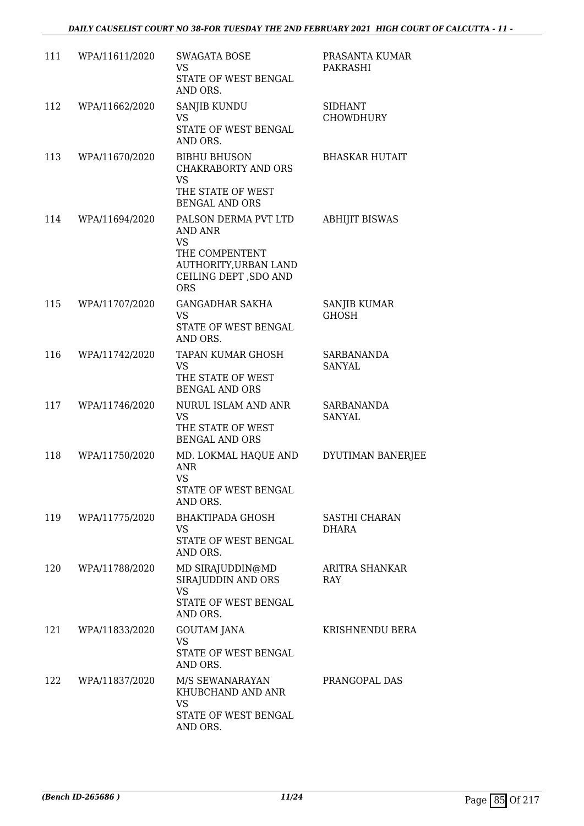| 111 | WPA/11611/2020 | <b>SWAGATA BOSE</b><br>VS<br>STATE OF WEST BENGAL<br>AND ORS.                                                                   | PRASANTA KUMAR<br>PAKRASHI         |
|-----|----------------|---------------------------------------------------------------------------------------------------------------------------------|------------------------------------|
| 112 | WPA/11662/2020 | SANJIB KUNDU<br>VS<br>STATE OF WEST BENGAL<br>AND ORS.                                                                          | <b>SIDHANT</b><br><b>CHOWDHURY</b> |
| 113 | WPA/11670/2020 | <b>BIBHU BHUSON</b><br><b>CHAKRABORTY AND ORS</b><br><b>VS</b><br>THE STATE OF WEST<br><b>BENGAL AND ORS</b>                    | <b>BHASKAR HUTAIT</b>              |
| 114 | WPA/11694/2020 | PALSON DERMA PVT LTD<br>AND ANR<br><b>VS</b><br>THE COMPENTENT<br>AUTHORITY, URBAN LAND<br>CEILING DEPT , SDO AND<br><b>ORS</b> | <b>ABHIJIT BISWAS</b>              |
| 115 | WPA/11707/2020 | <b>GANGADHAR SAKHA</b><br><b>VS</b><br>STATE OF WEST BENGAL<br>AND ORS.                                                         | SANJIB KUMAR<br><b>GHOSH</b>       |
| 116 | WPA/11742/2020 | TAPAN KUMAR GHOSH<br><b>VS</b><br>THE STATE OF WEST<br><b>BENGAL AND ORS</b>                                                    | SARBANANDA<br>SANYAL               |
| 117 | WPA/11746/2020 | NURUL ISLAM AND ANR<br><b>VS</b><br>THE STATE OF WEST<br><b>BENGAL AND ORS</b>                                                  | SARBANANDA<br>SANYAL               |
| 118 | WPA/11750/2020 | MD. LOKMAL HAQUE AND<br><b>ANR</b><br><b>VS</b><br>STATE OF WEST BENGAL<br>AND ORS.                                             | DYUTIMAN BANERJEE                  |
| 119 | WPA/11775/2020 | <b>BHAKTIPADA GHOSH</b><br><b>VS</b><br>STATE OF WEST BENGAL<br>AND ORS.                                                        | SASTHI CHARAN<br><b>DHARA</b>      |
| 120 | WPA/11788/2020 | MD SIRAJUDDIN@MD<br>SIRAJUDDIN AND ORS<br><b>VS</b><br>STATE OF WEST BENGAL<br>AND ORS.                                         | ARITRA SHANKAR<br>RAY              |
| 121 | WPA/11833/2020 | <b>GOUTAM JANA</b><br>VS<br>STATE OF WEST BENGAL<br>AND ORS.                                                                    | KRISHNENDU BERA                    |
| 122 | WPA/11837/2020 | M/S SEWANARAYAN<br>KHUBCHAND AND ANR<br><b>VS</b><br>STATE OF WEST BENGAL<br>AND ORS.                                           | PRANGOPAL DAS                      |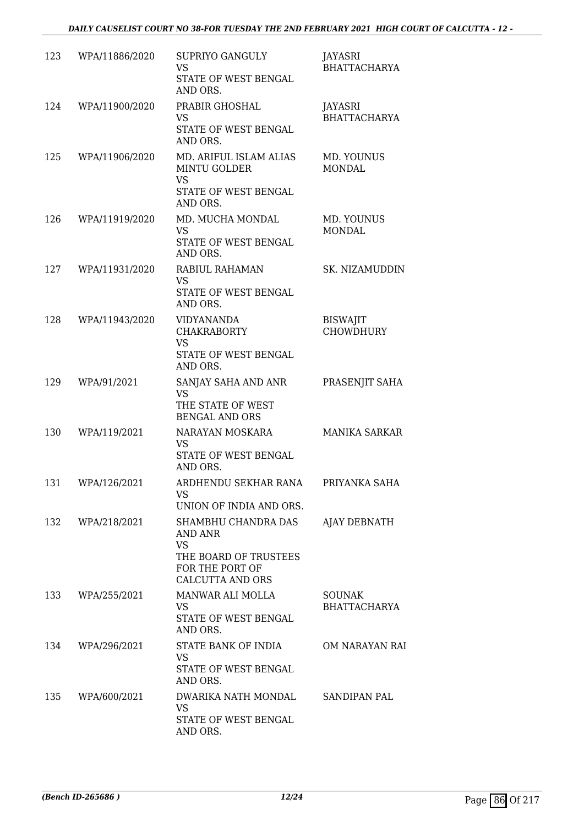| 123 | WPA/11886/2020   | SUPRIYO GANGULY<br><b>VS</b><br>STATE OF WEST BENGAL<br>AND ORS.                                                   | JAYASRI<br><b>BHATTACHARYA</b>       |
|-----|------------------|--------------------------------------------------------------------------------------------------------------------|--------------------------------------|
| 124 | WPA/11900/2020   | PRABIR GHOSHAL<br>VS<br>STATE OF WEST BENGAL<br>AND ORS.                                                           | JAYASRI<br><b>BHATTACHARYA</b>       |
| 125 | WPA/11906/2020   | MD. ARIFUL ISLAM ALIAS<br><b>MINTU GOLDER</b><br><b>VS</b><br>STATE OF WEST BENGAL<br>AND ORS.                     | MD. YOUNUS<br><b>MONDAL</b>          |
| 126 | WPA/11919/2020   | MD. MUCHA MONDAL<br><b>VS</b><br>STATE OF WEST BENGAL<br>AND ORS.                                                  | MD. YOUNUS<br><b>MONDAL</b>          |
| 127 | WPA/11931/2020   | RABIUL RAHAMAN<br><b>VS</b><br>STATE OF WEST BENGAL<br>AND ORS.                                                    | SK. NIZAMUDDIN                       |
| 128 | WPA/11943/2020   | <b>VIDYANANDA</b><br><b>CHAKRABORTY</b><br><b>VS</b><br>STATE OF WEST BENGAL<br>AND ORS.                           | <b>BISWAJIT</b><br><b>CHOWDHURY</b>  |
| 129 | WPA/91/2021      | SANJAY SAHA AND ANR<br><b>VS</b><br>THE STATE OF WEST<br><b>BENGAL AND ORS</b>                                     | PRASENJIT SAHA                       |
| 130 | WPA/119/2021     | NARAYAN MOSKARA<br><b>VS</b><br>STATE OF WEST BENGAL<br>AND ORS.                                                   | <b>MANIKA SARKAR</b>                 |
| 131 | WPA/126/2021     | ARDHENDU SEKHAR RANA<br>VS.<br>UNION OF INDIA AND ORS.                                                             | PRIYANKA SAHA                        |
|     | 132 WPA/218/2021 | SHAMBHU CHANDRA DAS<br>AND ANR<br><b>VS</b><br>THE BOARD OF TRUSTEES<br>FOR THE PORT OF<br><b>CALCUTTA AND ORS</b> | AJAY DEBNATH                         |
| 133 | WPA/255/2021     | MANWAR ALI MOLLA<br><b>VS</b><br>STATE OF WEST BENGAL<br>AND ORS.                                                  | <b>SOUNAK</b><br><b>BHATTACHARYA</b> |
| 134 | WPA/296/2021     | STATE BANK OF INDIA<br><b>VS</b><br>STATE OF WEST BENGAL<br>AND ORS.                                               | OM NARAYAN RAI                       |
| 135 | WPA/600/2021     | DWARIKA NATH MONDAL<br><b>VS</b><br>STATE OF WEST BENGAL<br>AND ORS.                                               | <b>SANDIPAN PAL</b>                  |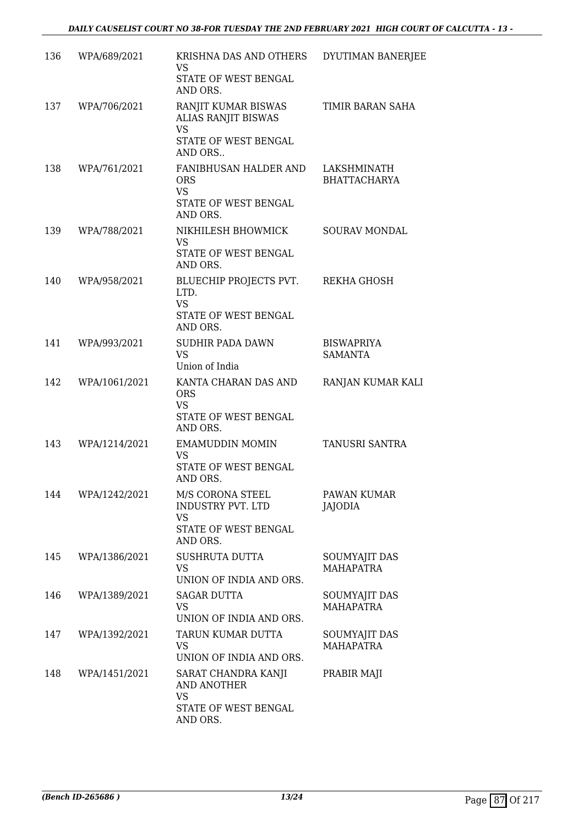| 136 | WPA/689/2021  | KRISHNA DAS AND OTHERS<br>VS.<br>STATE OF WEST BENGAL<br>AND ORS.                      | DYUTIMAN BANERJEE                   |
|-----|---------------|----------------------------------------------------------------------------------------|-------------------------------------|
| 137 | WPA/706/2021  | RANJIT KUMAR BISWAS<br>ALIAS RANJIT BISWAS<br><b>VS</b>                                | TIMIR BARAN SAHA                    |
|     |               | STATE OF WEST BENGAL<br>AND ORS                                                        |                                     |
| 138 | WPA/761/2021  | FANIBHUSAN HALDER AND<br><b>ORS</b><br><b>VS</b><br>STATE OF WEST BENGAL<br>AND ORS.   | LAKSHMINATH<br><b>BHATTACHARYA</b>  |
| 139 | WPA/788/2021  | NIKHILESH BHOWMICK<br>VS<br>STATE OF WEST BENGAL<br>AND ORS.                           | SOURAV MONDAL                       |
| 140 | WPA/958/2021  | BLUECHIP PROJECTS PVT.<br>LTD.<br><b>VS</b><br>STATE OF WEST BENGAL<br>AND ORS.        | REKHA GHOSH                         |
| 141 | WPA/993/2021  | <b>SUDHIR PADA DAWN</b><br><b>VS</b><br>Union of India                                 | <b>BISWAPRIYA</b><br><b>SAMANTA</b> |
| 142 | WPA/1061/2021 | KANTA CHARAN DAS AND<br><b>ORS</b><br><b>VS</b><br>STATE OF WEST BENGAL<br>AND ORS.    | RANJAN KUMAR KALI                   |
| 143 | WPA/1214/2021 | EMAMUDDIN MOMIN<br>VS<br>STATE OF WEST BENGAL<br>AND ORS.                              | TANUSRI SANTRA                      |
| 144 | WPA/1242/2021 | M/S CORONA STEEL<br>INDUSTRY PVT. LTD<br><b>VS</b><br>STATE OF WEST BENGAL<br>AND ORS. | PAWAN KUMAR<br>JAJODIA              |
| 145 | WPA/1386/2021 | SUSHRUTA DUTTA<br>VS<br>UNION OF INDIA AND ORS.                                        | SOUMYAJIT DAS<br><b>MAHAPATRA</b>   |
| 146 | WPA/1389/2021 | <b>SAGAR DUTTA</b><br>VS<br>UNION OF INDIA AND ORS.                                    | SOUMYAJIT DAS<br><b>MAHAPATRA</b>   |
| 147 | WPA/1392/2021 | TARUN KUMAR DUTTA<br><b>VS</b><br>UNION OF INDIA AND ORS.                              | SOUMYAJIT DAS<br><b>MAHAPATRA</b>   |
| 148 | WPA/1451/2021 | SARAT CHANDRA KANJI<br>AND ANOTHER<br><b>VS</b><br>STATE OF WEST BENGAL<br>AND ORS.    | PRABIR MAJI                         |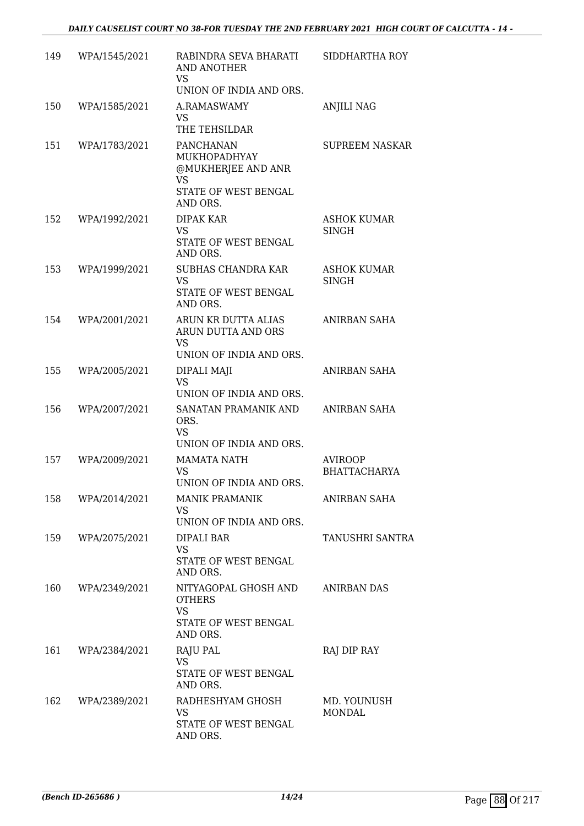| 149 | WPA/1545/2021 | RABINDRA SEVA BHARATI<br><b>AND ANOTHER</b><br>VS<br>UNION OF INDIA AND ORS.                     | SIDDHARTHA ROY                        |
|-----|---------------|--------------------------------------------------------------------------------------------------|---------------------------------------|
| 150 | WPA/1585/2021 | A.RAMASWAMY<br>VS.<br>THE TEHSILDAR                                                              | <b>ANJILI NAG</b>                     |
| 151 | WPA/1783/2021 | PANCHANAN<br>MUKHOPADHYAY<br>@MUKHERJEE AND ANR<br><b>VS</b><br>STATE OF WEST BENGAL<br>AND ORS. | <b>SUPREEM NASKAR</b>                 |
| 152 | WPA/1992/2021 | DIPAK KAR<br><b>VS</b><br>STATE OF WEST BENGAL<br>AND ORS.                                       | ASHOK KUMAR<br><b>SINGH</b>           |
| 153 | WPA/1999/2021 | SUBHAS CHANDRA KAR<br><b>VS</b><br>STATE OF WEST BENGAL<br>AND ORS.                              | <b>ASHOK KUMAR</b><br><b>SINGH</b>    |
| 154 | WPA/2001/2021 | ARUN KR DUTTA ALIAS<br>ARUN DUTTA AND ORS<br><b>VS</b><br>UNION OF INDIA AND ORS.                | ANIRBAN SAHA                          |
| 155 | WPA/2005/2021 | DIPALI MAJI<br><b>VS</b><br>UNION OF INDIA AND ORS.                                              | ANIRBAN SAHA                          |
| 156 | WPA/2007/2021 | SANATAN PRAMANIK AND<br>ORS.<br><b>VS</b><br>UNION OF INDIA AND ORS.                             | ANIRBAN SAHA                          |
| 157 | WPA/2009/2021 | <b>MAMATA NATH</b><br><b>VS</b><br>UNION OF INDIA AND ORS.                                       | <b>AVIROOP</b><br><b>BHATTACHARYA</b> |
| 158 | WPA/2014/2021 | <b>MANIK PRAMANIK</b><br><b>VS</b><br>UNION OF INDIA AND ORS.                                    | ANIRBAN SAHA                          |
| 159 | WPA/2075/2021 | DIPALI BAR<br><b>VS</b><br>STATE OF WEST BENGAL<br>AND ORS.                                      | <b>TANUSHRI SANTRA</b>                |
| 160 | WPA/2349/2021 | NITYAGOPAL GHOSH AND<br><b>OTHERS</b><br><b>VS</b><br>STATE OF WEST BENGAL<br>AND ORS.           | ANIRBAN DAS                           |
| 161 | WPA/2384/2021 | RAJU PAL<br><b>VS</b><br>STATE OF WEST BENGAL<br>AND ORS.                                        | RAJ DIP RAY                           |
| 162 | WPA/2389/2021 | RADHESHYAM GHOSH<br>VS<br>STATE OF WEST BENGAL<br>AND ORS.                                       | MD. YOUNUSH<br><b>MONDAL</b>          |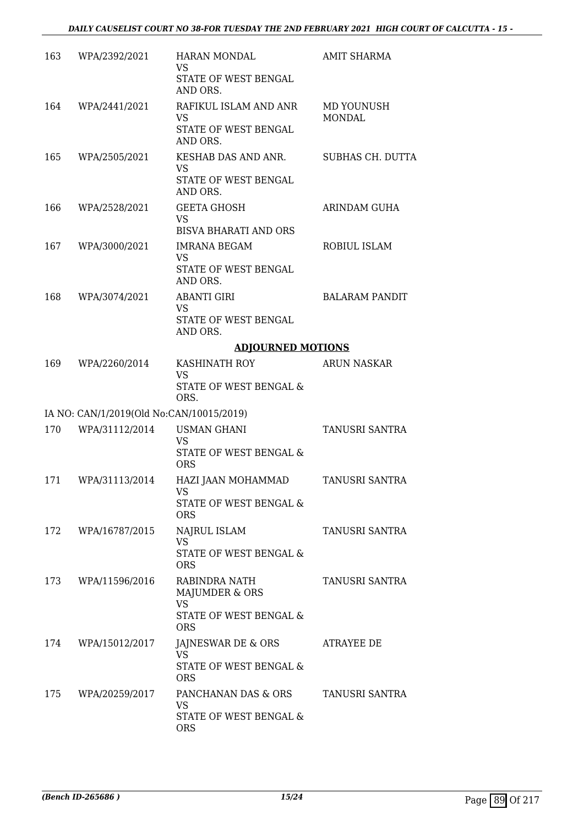| 163 | WPA/2392/2021                            | <b>HARAN MONDAL</b><br><b>VS</b><br>STATE OF WEST BENGAL<br>AND ORS.    | <b>AMIT SHARMA</b>    |
|-----|------------------------------------------|-------------------------------------------------------------------------|-----------------------|
| 164 | WPA/2441/2021                            | RAFIKUL ISLAM AND ANR<br>VS<br>STATE OF WEST BENGAL<br>AND ORS.         | MD YOUNUSH<br>MONDAL  |
| 165 | WPA/2505/2021                            | KESHAB DAS AND ANR.<br><b>VS</b><br>STATE OF WEST BENGAL<br>AND ORS.    | SUBHAS CH. DUTTA      |
| 166 | WPA/2528/2021                            | <b>GEETA GHOSH</b><br><b>VS</b><br><b>BISVA BHARATI AND ORS</b>         | ARINDAM GUHA          |
| 167 | WPA/3000/2021                            | <b>IMRANA BEGAM</b><br>VS<br>STATE OF WEST BENGAL<br>AND ORS.           | ROBIUL ISLAM          |
| 168 | WPA/3074/2021                            | <b>ABANTI GIRI</b><br><b>VS</b><br>STATE OF WEST BENGAL<br>AND ORS.     | <b>BALARAM PANDIT</b> |
|     |                                          | <b>ADJOURNED MOTIONS</b>                                                |                       |
| 169 | WPA/2260/2014                            | KASHINATH ROY<br><b>VS</b>                                              | <b>ARUN NASKAR</b>    |
|     |                                          | STATE OF WEST BENGAL &<br>ORS.                                          |                       |
|     | IA NO: CAN/1/2019(Old No:CAN/10015/2019) |                                                                         |                       |
| 170 | WPA/31112/2014                           | <b>USMAN GHANI</b><br><b>VS</b>                                         | TANUSRI SANTRA        |
|     |                                          | STATE OF WEST BENGAL &<br><b>ORS</b>                                    |                       |
| 171 | WPA/31113/2014                           | HAZI JAAN MOHAMMAD<br><b>VS</b><br>STATE OF WEST BENGAL &<br><b>ORS</b> | TANUSRI SANTRA        |
| 172 | WPA/16787/2015                           | NAJRUL ISLAM<br><b>VS</b><br>STATE OF WEST BENGAL &<br><b>ORS</b>       | TANUSRI SANTRA        |
| 173 | WPA/11596/2016                           | RABINDRA NATH<br>MAJUMDER & ORS<br><b>VS</b>                            | TANUSRI SANTRA        |
|     |                                          | STATE OF WEST BENGAL &<br><b>ORS</b>                                    |                       |
| 174 | WPA/15012/2017                           | JAJNESWAR DE & ORS<br><b>VS</b>                                         | ATRAYEE DE            |
|     |                                          | STATE OF WEST BENGAL &<br><b>ORS</b>                                    |                       |
| 175 | WPA/20259/2017                           | PANCHANAN DAS & ORS<br>VS                                               | TANUSRI SANTRA        |
|     |                                          | STATE OF WEST BENGAL &<br><b>ORS</b>                                    |                       |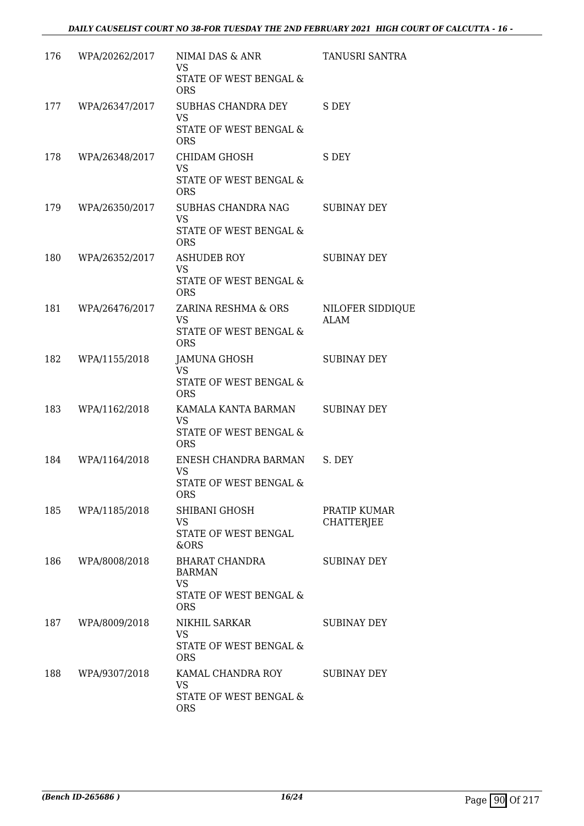| 176 | WPA/20262/2017 | NIMAI DAS & ANR<br><b>VS</b><br>STATE OF WEST BENGAL &                                | TANUSRI SANTRA                    |
|-----|----------------|---------------------------------------------------------------------------------------|-----------------------------------|
| 177 | WPA/26347/2017 | <b>ORS</b><br>SUBHAS CHANDRA DEY                                                      | S DEY                             |
|     |                | <b>VS</b><br>STATE OF WEST BENGAL &<br><b>ORS</b>                                     |                                   |
| 178 | WPA/26348/2017 | CHIDAM GHOSH<br><b>VS</b><br>STATE OF WEST BENGAL &                                   | S DEY                             |
| 179 | WPA/26350/2017 | <b>ORS</b><br>SUBHAS CHANDRA NAG<br><b>VS</b><br>STATE OF WEST BENGAL &<br><b>ORS</b> | <b>SUBINAY DEY</b>                |
| 180 | WPA/26352/2017 | <b>ASHUDEB ROY</b><br><b>VS</b><br>STATE OF WEST BENGAL &                             | <b>SUBINAY DEY</b>                |
| 181 | WPA/26476/2017 | <b>ORS</b><br>ZARINA RESHMA & ORS<br>VS.<br>STATE OF WEST BENGAL &<br><b>ORS</b>      | NILOFER SIDDIQUE<br><b>ALAM</b>   |
| 182 | WPA/1155/2018  | JAMUNA GHOSH<br><b>VS</b><br>STATE OF WEST BENGAL &<br><b>ORS</b>                     | <b>SUBINAY DEY</b>                |
| 183 | WPA/1162/2018  | KAMALA KANTA BARMAN<br><b>VS</b><br>STATE OF WEST BENGAL &<br><b>ORS</b>              | <b>SUBINAY DEY</b>                |
| 184 | WPA/1164/2018  | ENESH CHANDRA BARMAN<br><b>VS</b><br>STATE OF WEST BENGAL &<br><b>ORS</b>             | S. DEY                            |
| 185 | WPA/1185/2018  | SHIBANI GHOSH<br>VS<br>STATE OF WEST BENGAL<br>&ORS                                   | PRATIP KUMAR<br><b>CHATTERJEE</b> |
| 186 | WPA/8008/2018  | BHARAT CHANDRA<br><b>BARMAN</b><br><b>VS</b><br>STATE OF WEST BENGAL &<br><b>ORS</b>  | <b>SUBINAY DEY</b>                |
| 187 | WPA/8009/2018  | NIKHIL SARKAR<br><b>VS</b><br>STATE OF WEST BENGAL &<br><b>ORS</b>                    | <b>SUBINAY DEY</b>                |
| 188 | WPA/9307/2018  | KAMAL CHANDRA ROY<br><b>VS</b><br>STATE OF WEST BENGAL &<br><b>ORS</b>                | SUBINAY DEY                       |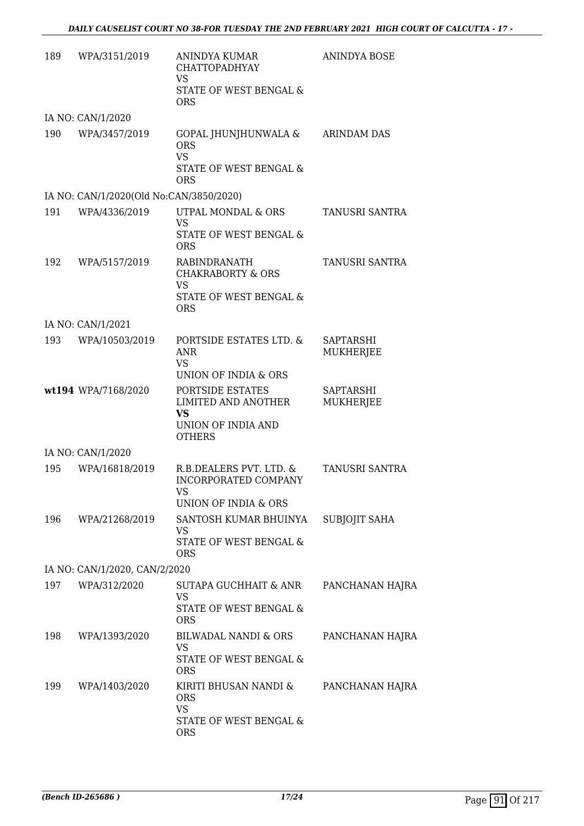| 189 | WPA/3151/2019                           | ANINDYA KUMAR<br><b>CHATTOPADHYAY</b><br><b>VS</b>                                                 | <b>ANINDYA BOSE</b>           |
|-----|-----------------------------------------|----------------------------------------------------------------------------------------------------|-------------------------------|
|     |                                         | STATE OF WEST BENGAL &<br><b>ORS</b>                                                               |                               |
|     | IA NO: CAN/1/2020                       |                                                                                                    |                               |
| 190 | WPA/3457/2019                           | GOPAL JHUNJHUNWALA &<br><b>ORS</b><br><b>VS</b><br><b>STATE OF WEST BENGAL &amp;</b><br><b>ORS</b> | <b>ARINDAM DAS</b>            |
|     | IA NO: CAN/1/2020(Old No:CAN/3850/2020) |                                                                                                    |                               |
| 191 | WPA/4336/2019                           | UTPAL MONDAL & ORS<br><b>VS</b><br>STATE OF WEST BENGAL &<br><b>ORS</b>                            | TANUSRI SANTRA                |
| 192 | WPA/5157/2019                           | RABINDRANATH<br><b>CHAKRABORTY &amp; ORS</b><br><b>VS</b><br>STATE OF WEST BENGAL &<br><b>ORS</b>  | <b>TANUSRI SANTRA</b>         |
|     | IA NO: CAN/1/2021                       |                                                                                                    |                               |
| 193 | WPA/10503/2019                          | PORTSIDE ESTATES LTD. &<br><b>ANR</b><br>VS.                                                       | <b>SAPTARSHI</b><br>MUKHERJEE |
|     |                                         | UNION OF INDIA & ORS                                                                               |                               |
|     | wt194 WPA/7168/2020                     | PORTSIDE ESTATES<br>LIMITED AND ANOTHER<br><b>VS</b><br>UNION OF INDIA AND<br><b>OTHERS</b>        | SAPTARSHI<br><b>MUKHERJEE</b> |
|     | IA NO: CAN/1/2020                       |                                                                                                    |                               |
| 195 | WPA/16818/2019                          | R.B.DEALERS PVT. LTD. &<br>INCORPORATED COMPANY<br><b>VS</b>                                       | <b>TANUSRI SANTRA</b>         |
|     |                                         | UNION OF INDIA & ORS                                                                               |                               |
| 196 | WPA/21268/2019                          | SANTOSH KUMAR BHUINYA<br><b>VS</b><br>STATE OF WEST BENGAL &<br><b>ORS</b>                         | SUBJOJIT SAHA                 |
|     | IA NO: CAN/1/2020, CAN/2/2020           |                                                                                                    |                               |
| 197 | WPA/312/2020                            | SUTAPA GUCHHAIT & ANR                                                                              | PANCHANAN HAJRA               |
|     |                                         | VS<br>STATE OF WEST BENGAL &<br><b>ORS</b>                                                         |                               |
| 198 | WPA/1393/2020                           | <b>BILWADAL NANDI &amp; ORS</b><br><b>VS</b>                                                       | PANCHANAN HAJRA               |
|     |                                         | STATE OF WEST BENGAL &<br><b>ORS</b>                                                               |                               |
| 199 | WPA/1403/2020                           | KIRITI BHUSAN NANDI &<br><b>ORS</b><br><b>VS</b><br>STATE OF WEST BENGAL &                         | PANCHANAN HAJRA               |
|     |                                         | <b>ORS</b>                                                                                         |                               |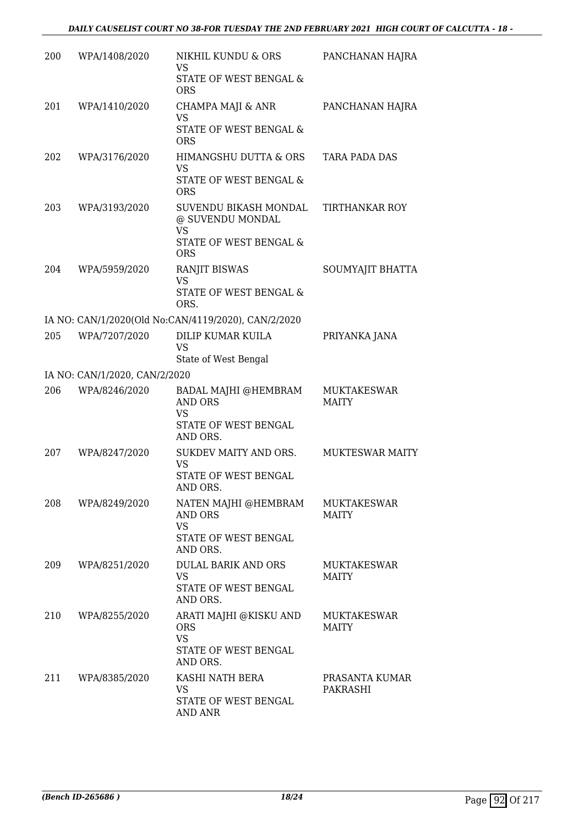| 200 | WPA/1408/2020                 | NIKHIL KUNDU & ORS<br><b>VS</b><br>STATE OF WEST BENGAL &<br><b>ORS</b>                 | PANCHANAN HAJRA                    |
|-----|-------------------------------|-----------------------------------------------------------------------------------------|------------------------------------|
| 201 | WPA/1410/2020                 | CHAMPA MAJI & ANR<br><b>VS</b><br>STATE OF WEST BENGAL &<br><b>ORS</b>                  | PANCHANAN HAJRA                    |
| 202 | WPA/3176/2020                 | HIMANGSHU DUTTA & ORS<br><b>VS</b><br>STATE OF WEST BENGAL &<br><b>ORS</b>              | TARA PADA DAS                      |
| 203 | WPA/3193/2020                 | SUVENDU BIKASH MONDAL<br>@ SUVENDU MONDAL<br>VS<br>STATE OF WEST BENGAL &<br><b>ORS</b> | <b>TIRTHANKAR ROY</b>              |
| 204 | WPA/5959/2020                 | <b>RANJIT BISWAS</b><br><b>VS</b><br>STATE OF WEST BENGAL &<br>ORS.                     | SOUMYAJIT BHATTA                   |
|     |                               | IA NO: CAN/1/2020(Old No:CAN/4119/2020), CAN/2/2020                                     |                                    |
| 205 | WPA/7207/2020                 | DILIP KUMAR KUILA<br><b>VS</b><br>State of West Bengal                                  | PRIYANKA JANA                      |
|     | IA NO: CAN/1/2020, CAN/2/2020 |                                                                                         |                                    |
| 206 | WPA/8246/2020                 | BADAL MAJHI @HEMBRAM<br><b>AND ORS</b><br><b>VS</b><br>STATE OF WEST BENGAL<br>AND ORS. | <b>MUKTAKESWAR</b><br><b>MAITY</b> |
| 207 | WPA/8247/2020                 | SUKDEV MAITY AND ORS.<br>VS<br>STATE OF WEST BENGAL<br>AND ORS.                         | <b>MUKTESWAR MAITY</b>             |
| 208 | WPA/8249/2020                 | NATEN MAJHI @HEMBRAM<br><b>AND ORS</b><br><b>VS</b><br>STATE OF WEST BENGAL<br>AND ORS. | <b>MUKTAKESWAR</b><br>MAITY        |
| 209 | WPA/8251/2020                 | DULAL BARIK AND ORS<br><b>VS</b><br>STATE OF WEST BENGAL<br>AND ORS.                    | MUKTAKESWAR<br><b>MAITY</b>        |
| 210 | WPA/8255/2020                 | ARATI MAJHI @KISKU AND<br><b>ORS</b><br><b>VS</b><br>STATE OF WEST BENGAL<br>AND ORS.   | MUKTAKESWAR<br>MAITY               |
| 211 | WPA/8385/2020                 | KASHI NATH BERA<br>VS<br>STATE OF WEST BENGAL<br>AND ANR                                | PRASANTA KUMAR<br>PAKRASHI         |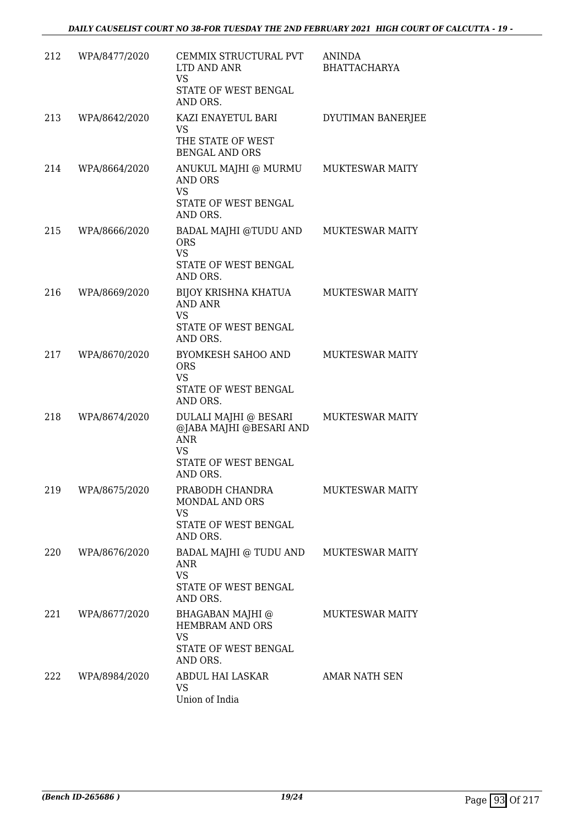| 212 | WPA/8477/2020 | CEMMIX STRUCTURAL PVT<br>LTD AND ANR<br><b>VS</b><br>STATE OF WEST BENGAL<br>AND ORS.                           | <b>ANINDA</b><br><b>BHATTACHARYA</b> |
|-----|---------------|-----------------------------------------------------------------------------------------------------------------|--------------------------------------|
| 213 | WPA/8642/2020 | KAZI ENAYETUL BARI<br>VS.<br>THE STATE OF WEST<br><b>BENGAL AND ORS</b>                                         | DYUTIMAN BANERJEE                    |
| 214 | WPA/8664/2020 | ANUKUL MAJHI @ MURMU<br><b>AND ORS</b><br><b>VS</b><br>STATE OF WEST BENGAL<br>AND ORS.                         | <b>MUKTESWAR MAITY</b>               |
| 215 | WPA/8666/2020 | BADAL MAJHI @TUDU AND<br><b>ORS</b><br><b>VS</b><br>STATE OF WEST BENGAL<br>AND ORS.                            | <b>MUKTESWAR MAITY</b>               |
| 216 | WPA/8669/2020 | BIJOY KRISHNA KHATUA<br>AND ANR<br><b>VS</b><br>STATE OF WEST BENGAL<br>AND ORS.                                | <b>MUKTESWAR MAITY</b>               |
| 217 | WPA/8670/2020 | BYOMKESH SAHOO AND<br><b>ORS</b><br>VS<br>STATE OF WEST BENGAL<br>AND ORS.                                      | <b>MUKTESWAR MAITY</b>               |
| 218 | WPA/8674/2020 | DULALI MAJHI @ BESARI<br>@JABA MAJHI @BESARI AND<br><b>ANR</b><br><b>VS</b><br>STATE OF WEST BENGAL<br>AND ORS. | <b>MUKTESWAR MAITY</b>               |
| 219 | WPA/8675/2020 | PRABODH CHANDRA<br>MONDAL AND ORS<br>VS<br>STATE OF WEST BENGAL<br>AND ORS.                                     | MUKTESWAR MAITY                      |
| 220 | WPA/8676/2020 | BADAL MAJHI @ TUDU AND<br><b>ANR</b><br><b>VS</b><br>STATE OF WEST BENGAL<br>AND ORS.                           | <b>MUKTESWAR MAITY</b>               |
| 221 | WPA/8677/2020 | BHAGABAN MAJHI @<br>HEMBRAM AND ORS<br><b>VS</b><br>STATE OF WEST BENGAL<br>AND ORS.                            | <b>MUKTESWAR MAITY</b>               |
| 222 | WPA/8984/2020 | ABDUL HAI LASKAR<br>VS<br>Union of India                                                                        | AMAR NATH SEN                        |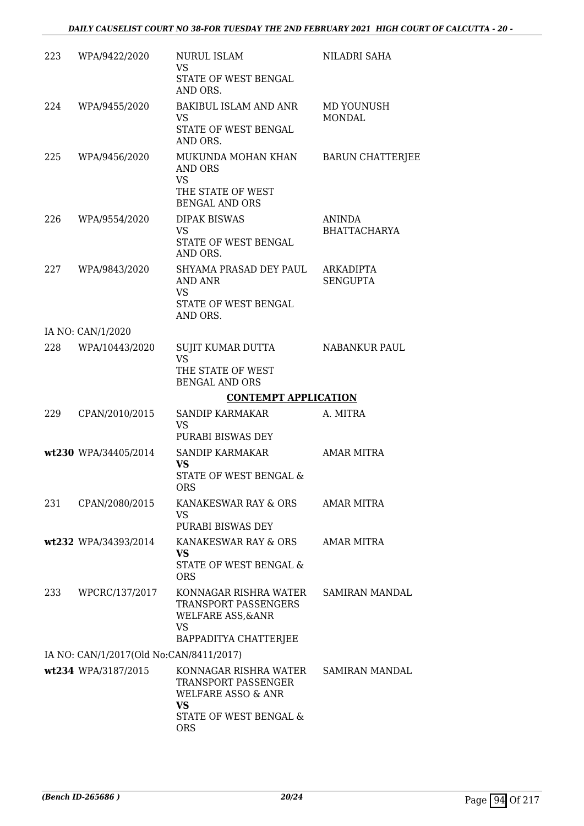| 223 | WPA/9422/2020                           | <b>NURUL ISLAM</b><br>VS                                                                                             | NILADRI SAHA            |
|-----|-----------------------------------------|----------------------------------------------------------------------------------------------------------------------|-------------------------|
|     |                                         | STATE OF WEST BENGAL<br>AND ORS.                                                                                     |                         |
| 224 | WPA/9455/2020                           | <b>BAKIBUL ISLAM AND ANR</b><br>VS                                                                                   | MD YOUNUSH              |
|     |                                         | STATE OF WEST BENGAL<br>AND ORS.                                                                                     | MONDAL                  |
| 225 | WPA/9456/2020                           | MUKUNDA MOHAN KHAN<br>AND ORS<br><b>VS</b><br>THE STATE OF WEST                                                      | <b>BARUN CHATTERJEE</b> |
| 226 | WPA/9554/2020                           | <b>BENGAL AND ORS</b><br><b>DIPAK BISWAS</b>                                                                         | ANINDA                  |
|     |                                         | <b>VS</b><br>STATE OF WEST BENGAL                                                                                    | <b>BHATTACHARYA</b>     |
| 227 | WPA/9843/2020                           | AND ORS.<br>SHYAMA PRASAD DEY PAUL                                                                                   | ARKADIPTA               |
|     |                                         | <b>AND ANR</b><br>VS                                                                                                 | <b>SENGUPTA</b>         |
|     |                                         | STATE OF WEST BENGAL<br>AND ORS.                                                                                     |                         |
|     | IA NO: CAN/1/2020                       |                                                                                                                      |                         |
| 228 | WPA/10443/2020                          | SUJIT KUMAR DUTTA<br><b>VS</b>                                                                                       | NABANKUR PAUL           |
|     |                                         | THE STATE OF WEST<br><b>BENGAL AND ORS</b>                                                                           |                         |
|     |                                         | <b>CONTEMPT APPLICATION</b>                                                                                          |                         |
| 229 | CPAN/2010/2015                          | SANDIP KARMAKAR<br>VS                                                                                                | A. MITRA                |
|     |                                         | PURABI BISWAS DEY                                                                                                    |                         |
|     | wt230 WPA/34405/2014                    | SANDIP KARMAKAR<br>VS<br>STATE OF WEST BENGAL &<br><b>ORS</b>                                                        | <b>AMAR MITRA</b>       |
| 231 | CPAN/2080/2015                          | KANAKESWAR RAY & ORS<br><b>VS</b>                                                                                    | <b>AMAR MITRA</b>       |
|     |                                         | PURABI BISWAS DEY                                                                                                    |                         |
|     | wt232 WPA/34393/2014                    | KANAKESWAR RAY & ORS<br><b>VS</b>                                                                                    | <b>AMAR MITRA</b>       |
|     |                                         | STATE OF WEST BENGAL &<br><b>ORS</b>                                                                                 |                         |
| 233 | WPCRC/137/2017                          | KONNAGAR RISHRA WATER<br><b>TRANSPORT PASSENGERS</b><br><b>WELFARE ASS, &amp; ANR</b><br>VS<br>BAPPADITYA CHATTERJEE | <b>SAMIRAN MANDAL</b>   |
|     | IA NO: CAN/1/2017(Old No:CAN/8411/2017) |                                                                                                                      |                         |
|     | wt234 WPA/3187/2015                     | KONNAGAR RISHRA WATER<br>TRANSPORT PASSENGER<br><b>WELFARE ASSO &amp; ANR</b>                                        | SAMIRAN MANDAL          |
|     |                                         | VS<br>STATE OF WEST BENGAL &<br><b>ORS</b>                                                                           |                         |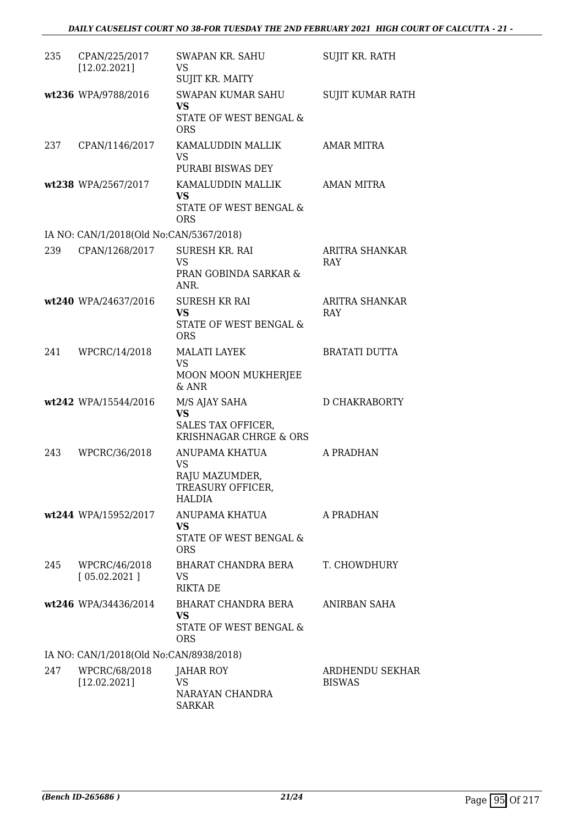| 235 | CPAN/225/2017<br>[12.02.2021]           | SWAPAN KR. SAHU<br>VS<br>SUJIT KR. MAITY                                                 | SUJIT KR. RATH                   |
|-----|-----------------------------------------|------------------------------------------------------------------------------------------|----------------------------------|
|     | wt236 WPA/9788/2016                     | <b>SWAPAN KUMAR SAHU</b><br><b>VS</b><br><b>STATE OF WEST BENGAL &amp;</b><br><b>ORS</b> | SUJIT KUMAR RATH                 |
| 237 | CPAN/1146/2017                          | KAMALUDDIN MALLIK<br>VS<br>PURABI BISWAS DEY                                             | <b>AMAR MITRA</b>                |
|     | wt238 WPA/2567/2017                     | KAMALUDDIN MALLIK<br><b>VS</b><br>STATE OF WEST BENGAL &<br><b>ORS</b>                   | AMAN MITRA                       |
|     | IA NO: CAN/1/2018(Old No:CAN/5367/2018) |                                                                                          |                                  |
| 239 | CPAN/1268/2017                          | <b>SURESH KR. RAI</b><br><b>VS</b><br>PRAN GOBINDA SARKAR &<br>ANR.                      | ARITRA SHANKAR<br><b>RAY</b>     |
|     | wt240 WPA/24637/2016                    | <b>SURESH KR RAI</b><br><b>VS</b><br>STATE OF WEST BENGAL &<br><b>ORS</b>                | ARITRA SHANKAR<br>RAY            |
| 241 | WPCRC/14/2018                           | <b>MALATI LAYEK</b><br>VS<br>MOON MOON MUKHERJEE<br>$&$ ANR                              | <b>BRATATI DUTTA</b>             |
|     | wt242 WPA/15544/2016                    | M/S AJAY SAHA<br><b>VS</b><br>SALES TAX OFFICER,<br>KRISHNAGAR CHRGE & ORS               | D CHAKRABORTY                    |
| 243 | WPCRC/36/2018                           | ANUPAMA KHATUA<br>VS.<br>RAJU MAZUMDER,<br>TREASURY OFFICER,<br>HALDIA                   | A PRADHAN                        |
|     | wt244 WPA/15952/2017                    | ANUPAMA KHATUA<br>VS.<br>STATE OF WEST BENGAL &<br><b>ORS</b>                            | A PRADHAN                        |
| 245 | WPCRC/46/2018<br>[05.02.2021]           | BHARAT CHANDRA BERA<br><b>VS</b><br><b>RIKTA DE</b>                                      | T. CHOWDHURY                     |
|     | wt246 WPA/34436/2014                    | BHARAT CHANDRA BERA<br><b>VS</b><br>STATE OF WEST BENGAL &<br><b>ORS</b>                 | ANIRBAN SAHA                     |
|     | IA NO: CAN/1/2018(Old No:CAN/8938/2018) |                                                                                          |                                  |
| 247 | WPCRC/68/2018<br>[12.02.2021]           | JAHAR ROY<br>VS<br>NARAYAN CHANDRA<br><b>SARKAR</b>                                      | ARDHENDU SEKHAR<br><b>BISWAS</b> |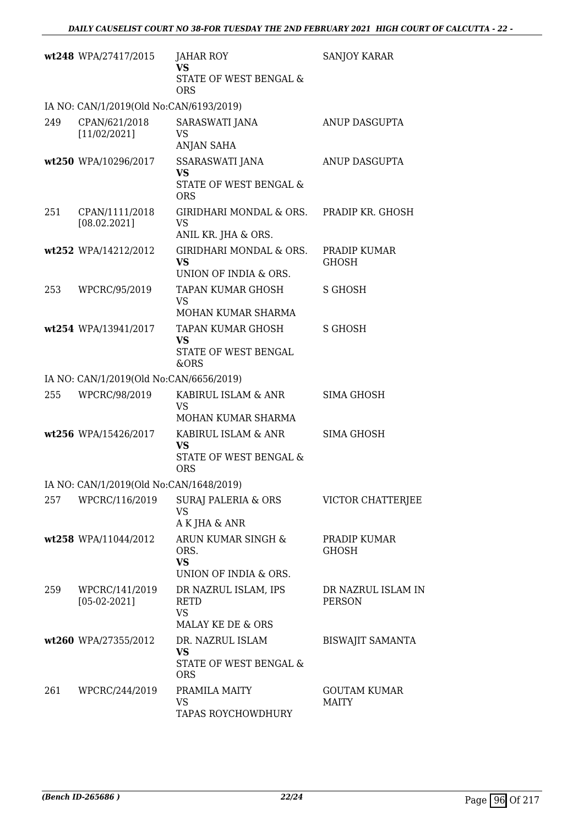|     | wt248 WPA/27417/2015                    | JAHAR ROY<br><b>VS</b>                                                   | SANJOY KARAR                        |
|-----|-----------------------------------------|--------------------------------------------------------------------------|-------------------------------------|
|     |                                         | STATE OF WEST BENGAL &<br><b>ORS</b>                                     |                                     |
|     | IA NO: CAN/1/2019(Old No:CAN/6193/2019) |                                                                          |                                     |
| 249 | CPAN/621/2018<br>[11/02/2021]           | SARASWATI JANA<br><b>VS</b><br><b>ANJAN SAHA</b>                         | ANUP DASGUPTA                       |
|     | wt250 WPA/10296/2017                    | SSARASWATI JANA<br><b>VS</b><br>STATE OF WEST BENGAL &<br><b>ORS</b>     | ANUP DASGUPTA                       |
| 251 | CPAN/1111/2018<br>[08.02.2021]          | GIRIDHARI MONDAL & ORS. PRADIP KR. GHOSH<br>VS<br>ANIL KR. JHA & ORS.    |                                     |
|     | wt252 WPA/14212/2012                    | GIRIDHARI MONDAL & ORS.<br><b>VS</b><br>UNION OF INDIA & ORS.            | PRADIP KUMAR<br><b>GHOSH</b>        |
| 253 | WPCRC/95/2019                           | TAPAN KUMAR GHOSH<br>VS<br>MOHAN KUMAR SHARMA                            | S GHOSH                             |
|     | wt254 WPA/13941/2017                    | TAPAN KUMAR GHOSH<br><b>VS</b><br>STATE OF WEST BENGAL<br>&ORS           | <b>S GHOSH</b>                      |
|     | IA NO: CAN/1/2019(Old No:CAN/6656/2019) |                                                                          |                                     |
| 255 | WPCRC/98/2019                           | KABIRUL ISLAM & ANR<br>VS<br>MOHAN KUMAR SHARMA                          | SIMA GHOSH                          |
|     | wt256 WPA/15426/2017                    | KABIRUL ISLAM & ANR<br><b>VS</b><br>STATE OF WEST BENGAL &<br><b>ORS</b> | SIMA GHOSH                          |
|     | IA NO: CAN/1/2019(Old No:CAN/1648/2019) |                                                                          |                                     |
| 257 | WPCRC/116/2019                          | SURAJ PALERIA & ORS<br>VS<br>A K JHA & ANR                               | VICTOR CHATTERJEE                   |
|     | wt258 WPA/11044/2012                    | ARUN KUMAR SINGH &<br>ORS.<br><b>VS</b><br>UNION OF INDIA & ORS.         | PRADIP KUMAR<br><b>GHOSH</b>        |
| 259 | WPCRC/141/2019<br>$[05-02-2021]$        | DR NAZRUL ISLAM, IPS<br><b>RETD</b><br><b>VS</b><br>MALAY KE DE & ORS    | DR NAZRUL ISLAM IN<br><b>PERSON</b> |
|     | wt260 WPA/27355/2012                    | DR. NAZRUL ISLAM<br>VS<br>STATE OF WEST BENGAL &<br><b>ORS</b>           | <b>BISWAJIT SAMANTA</b>             |
| 261 | WPCRC/244/2019                          | PRAMILA MAITY<br>VS<br>TAPAS ROYCHOWDHURY                                | <b>GOUTAM KUMAR</b><br><b>MAITY</b> |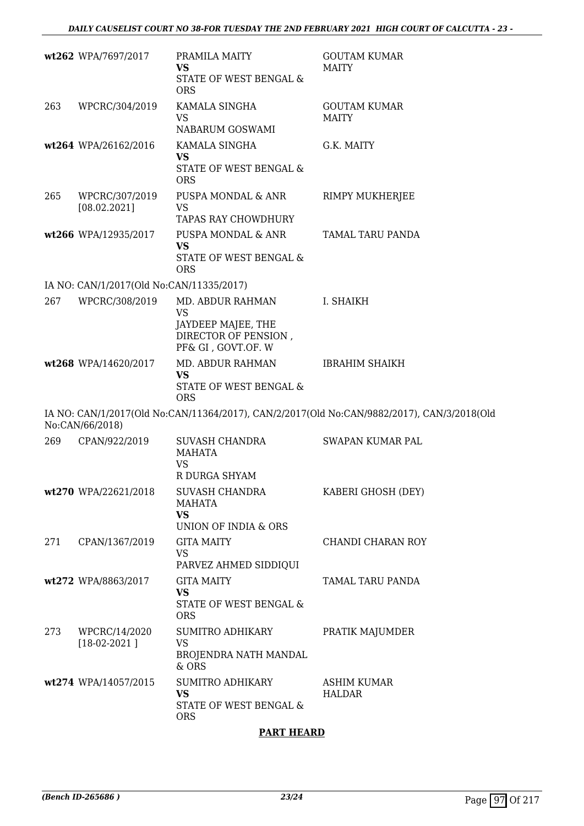|     | wt262 WPA/7697/2017                      | PRAMILA MAITY<br><b>VS</b><br>STATE OF WEST BENGAL &<br><b>ORS</b>                              | <b>GOUTAM KUMAR</b><br><b>MAITY</b>                                                        |
|-----|------------------------------------------|-------------------------------------------------------------------------------------------------|--------------------------------------------------------------------------------------------|
| 263 | WPCRC/304/2019                           | KAMALA SINGHA<br>VS<br>NABARUM GOSWAMI                                                          | <b>GOUTAM KUMAR</b><br><b>MAITY</b>                                                        |
|     | wt264 WPA/26162/2016                     | KAMALA SINGHA<br><b>VS</b><br>STATE OF WEST BENGAL &<br><b>ORS</b>                              | G.K. MAITY                                                                                 |
| 265 | WPCRC/307/2019<br>[08.02.2021]           | PUSPA MONDAL & ANR<br><b>VS</b><br>TAPAS RAY CHOWDHURY                                          | RIMPY MUKHERJEE                                                                            |
|     | wt266 WPA/12935/2017                     | PUSPA MONDAL & ANR<br><b>VS</b><br>STATE OF WEST BENGAL &<br><b>ORS</b>                         | TAMAL TARU PANDA                                                                           |
|     | IA NO: CAN/1/2017(Old No:CAN/11335/2017) |                                                                                                 |                                                                                            |
| 267 | WPCRC/308/2019                           | MD. ABDUR RAHMAN<br>VS                                                                          | I. SHAIKH                                                                                  |
|     |                                          | JAYDEEP MAJEE, THE<br>DIRECTOR OF PENSION,<br>PF& GI, GOVT.OF. W                                |                                                                                            |
|     | wt268 WPA/14620/2017                     | MD. ABDUR RAHMAN<br><b>VS</b><br>STATE OF WEST BENGAL &<br><b>ORS</b>                           | <b>IBRAHIM SHAIKH</b>                                                                      |
|     | No:CAN/66/2018)                          |                                                                                                 | IA NO: CAN/1/2017(Old No:CAN/11364/2017), CAN/2/2017(Old No:CAN/9882/2017), CAN/3/2018(Old |
| 269 | CPAN/922/2019                            | SUVASH CHANDRA<br><b>MAHATA</b><br><b>VS</b><br>R DURGA SHYAM                                   | SWAPAN KUMAR PAL                                                                           |
|     | wt270 WPA/22621/2018                     | SUVASH CHANDRA<br><b>MAHATA</b><br><b>VS</b><br>UNION OF INDIA & ORS                            | KABERI GHOSH (DEY)                                                                         |
| 271 | CPAN/1367/2019                           | <b>GITA MAITY</b><br>VS                                                                         | CHANDI CHARAN ROY                                                                          |
|     | wt272 WPA/8863/2017                      | PARVEZ AHMED SIDDIQUI<br><b>GITA MAITY</b><br><b>VS</b><br>STATE OF WEST BENGAL &<br><b>ORS</b> | TAMAL TARU PANDA                                                                           |
| 273 | WPCRC/14/2020<br>$[18-02-2021]$          | SUMITRO ADHIKARY<br>VS<br>BROJENDRA NATH MANDAL<br>& ORS                                        | PRATIK MAJUMDER                                                                            |
|     | wt274 WPA/14057/2015                     | <b>SUMITRO ADHIKARY</b><br><b>VS</b><br>STATE OF WEST BENGAL &<br><b>ORS</b>                    | ASHIM KUMAR<br><b>HALDAR</b>                                                               |

#### **PART HEARD**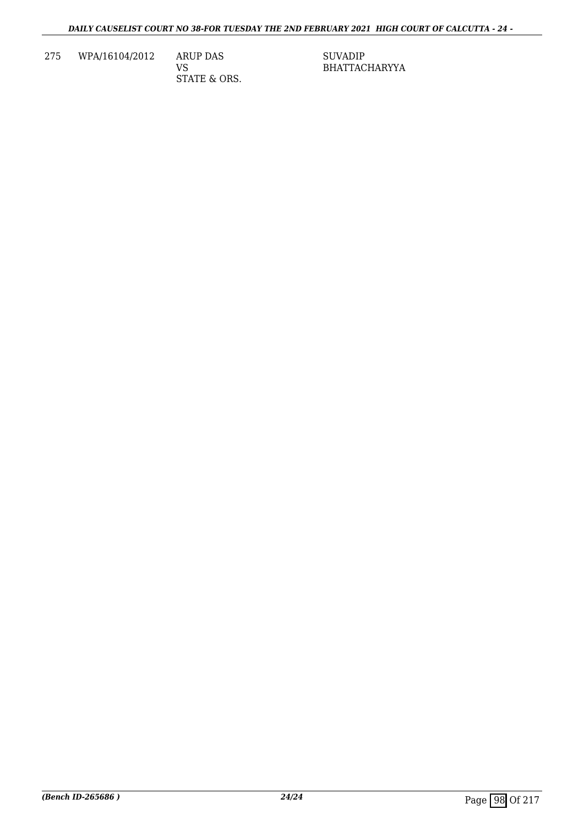275 WPA/16104/2012 ARUP DAS

VS STATE & ORS. SUVADIP BHATTACHARYYA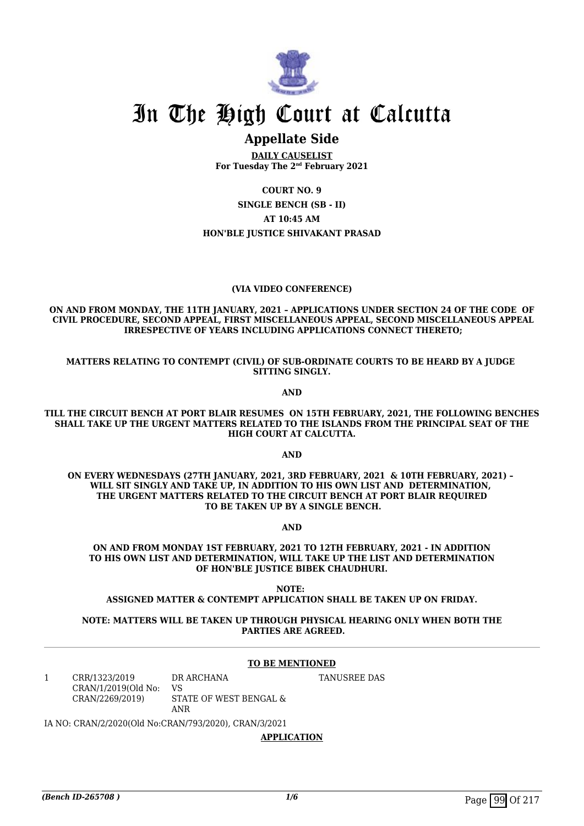

### **Appellate Side**

**DAILY CAUSELIST For Tuesday The 2nd February 2021**

**COURT NO. 9**

**SINGLE BENCH (SB - II)**

**AT 10:45 AM**

#### **HON'BLE JUSTICE SHIVAKANT PRASAD**

#### **(VIA VIDEO CONFERENCE)**

**ON AND FROM MONDAY, THE 11TH JANUARY, 2021 – APPLICATIONS UNDER SECTION 24 OF THE CODE OF CIVIL PROCEDURE, SECOND APPEAL, FIRST MISCELLANEOUS APPEAL, SECOND MISCELLANEOUS APPEAL IRRESPECTIVE OF YEARS INCLUDING APPLICATIONS CONNECT THERETO;**

**MATTERS RELATING TO CONTEMPT (CIVIL) OF SUB-ORDINATE COURTS TO BE HEARD BY A JUDGE SITTING SINGLY.**

**AND**

**TILL THE CIRCUIT BENCH AT PORT BLAIR RESUMES ON 15TH FEBRUARY, 2021, THE FOLLOWING BENCHES SHALL TAKE UP THE URGENT MATTERS RELATED TO THE ISLANDS FROM THE PRINCIPAL SEAT OF THE HIGH COURT AT CALCUTTA.**

**AND**

**ON EVERY WEDNESDAYS (27TH JANUARY, 2021, 3RD FEBRUARY, 2021 & 10TH FEBRUARY, 2021) – WILL SIT SINGLY AND TAKE UP, IN ADDITION TO HIS OWN LIST AND DETERMINATION, THE URGENT MATTERS RELATED TO THE CIRCUIT BENCH AT PORT BLAIR REQUIRED TO BE TAKEN UP BY A SINGLE BENCH.**

**AND**

**ON AND FROM MONDAY 1ST FEBRUARY, 2021 TO 12TH FEBRUARY, 2021 - IN ADDITION TO HIS OWN LIST AND DETERMINATION, WILL TAKE UP THE LIST AND DETERMINATION OF HON'BLE JUSTICE BIBEK CHAUDHURI.**

**NOTE: ASSIGNED MATTER & CONTEMPT APPLICATION SHALL BE TAKEN UP ON FRIDAY.**

**NOTE: MATTERS WILL BE TAKEN UP THROUGH PHYSICAL HEARING ONLY WHEN BOTH THE PARTIES ARE AGREED.**

#### **TO BE MENTIONED**

1 CRR/1323/2019 CRAN/1/2019(Old No: CRAN/2269/2019) DR ARCHANA VS STATE OF WEST BENGAL & ANR

TANUSREE DAS

IA NO: CRAN/2/2020(Old No:CRAN/793/2020), CRAN/3/2021

**APPLICATION**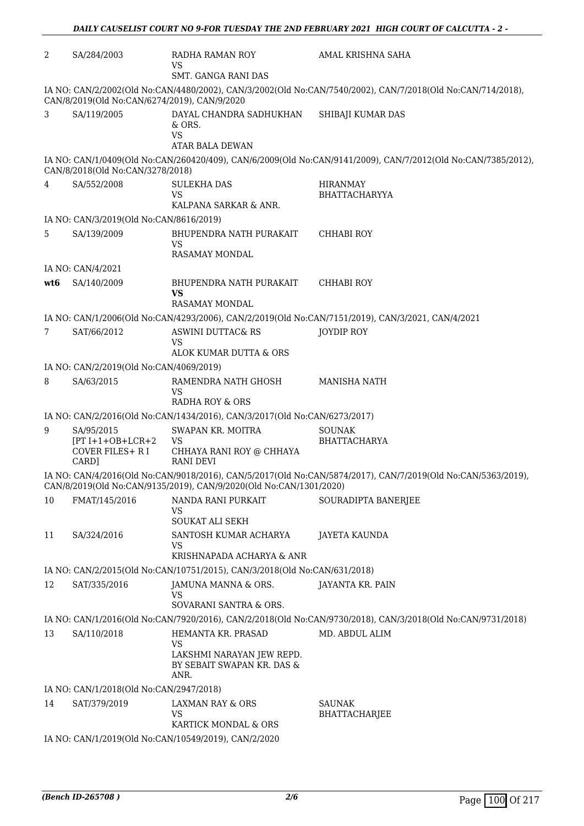| 2                                                                                                           | SA/284/2003                                          | RADHA RAMAN ROY                                                           | AMAL KRISHNA SAHA                                                                                             |  |
|-------------------------------------------------------------------------------------------------------------|------------------------------------------------------|---------------------------------------------------------------------------|---------------------------------------------------------------------------------------------------------------|--|
|                                                                                                             |                                                      | <b>VS</b><br><b>SMT. GANGA RANI DAS</b>                                   |                                                                                                               |  |
|                                                                                                             |                                                      |                                                                           |                                                                                                               |  |
|                                                                                                             | CAN/8/2019(Old No:CAN/6274/2019), CAN/9/2020         |                                                                           | IA NO: CAN/2/2002(Old No:CAN/4480/2002), CAN/3/2002(Old No:CAN/7540/2002), CAN/7/2018(Old No:CAN/714/2018),   |  |
| 3                                                                                                           | SA/119/2005                                          | DAYAL CHANDRA SADHUKHAN<br>& ORS.<br><b>VS</b><br><b>ATAR BALA DEWAN</b>  | SHIBAJI KUMAR DAS                                                                                             |  |
|                                                                                                             | CAN/8/2018(Old No:CAN/3278/2018)                     |                                                                           | IA NO: CAN/1/0409(Old No:CAN/260420/409), CAN/6/2009(Old No:CAN/9141/2009), CAN/7/2012(Old No:CAN/7385/2012), |  |
| $\overline{4}$                                                                                              | SA/552/2008                                          | <b>SULEKHA DAS</b>                                                        | <b>HIRANMAY</b>                                                                                               |  |
|                                                                                                             |                                                      | <b>VS</b>                                                                 | <b>BHATTACHARYYA</b>                                                                                          |  |
|                                                                                                             |                                                      | KALPANA SARKAR & ANR.                                                     |                                                                                                               |  |
|                                                                                                             | IA NO: CAN/3/2019(Old No:CAN/8616/2019)              |                                                                           |                                                                                                               |  |
| 5                                                                                                           | SA/139/2009                                          | BHUPENDRA NATH PURAKAIT<br>VS                                             | <b>CHHABI ROY</b>                                                                                             |  |
|                                                                                                             |                                                      | RASAMAY MONDAL                                                            |                                                                                                               |  |
|                                                                                                             | IA NO: CAN/4/2021                                    |                                                                           |                                                                                                               |  |
| wt6                                                                                                         | SA/140/2009                                          | BHUPENDRA NATH PURAKAIT<br>VS                                             | <b>CHHABI ROY</b>                                                                                             |  |
|                                                                                                             |                                                      | <b>RASAMAY MONDAL</b>                                                     |                                                                                                               |  |
|                                                                                                             |                                                      |                                                                           | IA NO: CAN/1/2006(Old No:CAN/4293/2006), CAN/2/2019(Old No:CAN/7151/2019), CAN/3/2021, CAN/4/2021             |  |
| 7                                                                                                           | SAT/66/2012                                          | <b>ASWINI DUTTAC&amp; RS</b><br><b>VS</b>                                 | <b>JOYDIP ROY</b>                                                                                             |  |
|                                                                                                             |                                                      | ALOK KUMAR DUTTA & ORS                                                    |                                                                                                               |  |
|                                                                                                             | IA NO: CAN/2/2019(Old No:CAN/4069/2019)              |                                                                           |                                                                                                               |  |
| 8                                                                                                           | SA/63/2015                                           | RAMENDRA NATH GHOSH<br>VS<br>RADHA ROY & ORS                              | MANISHA NATH                                                                                                  |  |
|                                                                                                             |                                                      | IA NO: CAN/2/2016(Old No:CAN/1434/2016), CAN/3/2017(Old No:CAN/6273/2017) |                                                                                                               |  |
| 9                                                                                                           | SA/95/2015                                           | SWAPAN KR. MOITRA                                                         | <b>SOUNAK</b>                                                                                                 |  |
|                                                                                                             | $[PT I+1+OB+LCR+2]$<br>COVER FILES+ R I              | <b>VS</b><br>CHHAYA RANI ROY @ CHHAYA                                     | BHATTACHARYA                                                                                                  |  |
|                                                                                                             | CARD]                                                | <b>RANI DEVI</b>                                                          | IA NO: CAN/4/2016(Old No:CAN/9018/2016), CAN/5/2017(Old No:CAN/5874/2017), CAN/7/2019(Old No:CAN/5363/2019),  |  |
|                                                                                                             |                                                      | CAN/8/2019(Old No:CAN/9135/2019), CAN/9/2020(Old No:CAN/1301/2020)        |                                                                                                               |  |
| 10                                                                                                          | FMAT/145/2016                                        | NANDA RANI PURKAIT<br>VS                                                  | SOURADIPTA BANERJEE                                                                                           |  |
|                                                                                                             |                                                      | SOUKAT ALI SEKH                                                           |                                                                                                               |  |
| 11                                                                                                          | SA/324/2016                                          | SANTOSH KUMAR ACHARYA<br>VS<br>KRISHNAPADA ACHARYA & ANR                  | JAYETA KAUNDA                                                                                                 |  |
|                                                                                                             |                                                      | IA NO: CAN/2/2015(Old No:CAN/10751/2015), CAN/3/2018(Old No:CAN/631/2018) |                                                                                                               |  |
| 12                                                                                                          | SAT/335/2016                                         | JAMUNA MANNA & ORS.<br>VS                                                 | JAYANTA KR. PAIN                                                                                              |  |
|                                                                                                             |                                                      | SOVARANI SANTRA & ORS.                                                    |                                                                                                               |  |
| IA NO: CAN/1/2016(Old No:CAN/7920/2016), CAN/2/2018(Old No:CAN/9730/2018), CAN/3/2018(Old No:CAN/9731/2018) |                                                      |                                                                           |                                                                                                               |  |
| 13                                                                                                          | SA/110/2018                                          | HEMANTA KR. PRASAD                                                        | MD. ABDUL ALIM                                                                                                |  |
|                                                                                                             |                                                      | <b>VS</b><br>LAKSHMI NARAYAN JEW REPD.<br>BY SEBAIT SWAPAN KR. DAS &      |                                                                                                               |  |
|                                                                                                             |                                                      | ANR.                                                                      |                                                                                                               |  |
|                                                                                                             | IA NO: CAN/1/2018(Old No:CAN/2947/2018)              |                                                                           |                                                                                                               |  |
| 14                                                                                                          | SAT/379/2019                                         | <b>LAXMAN RAY &amp; ORS</b><br>VS                                         | SAUNAK<br>BHATTACHARJEE                                                                                       |  |
|                                                                                                             |                                                      | KARTICK MONDAL & ORS                                                      |                                                                                                               |  |
|                                                                                                             | IA NO: CAN/1/2019(Old No:CAN/10549/2019), CAN/2/2020 |                                                                           |                                                                                                               |  |

*DAILY CAUSELIST COURT NO 9-FOR TUESDAY THE 2ND FEBRUARY 2021 HIGH COURT OF CALCUTTA - 2 -*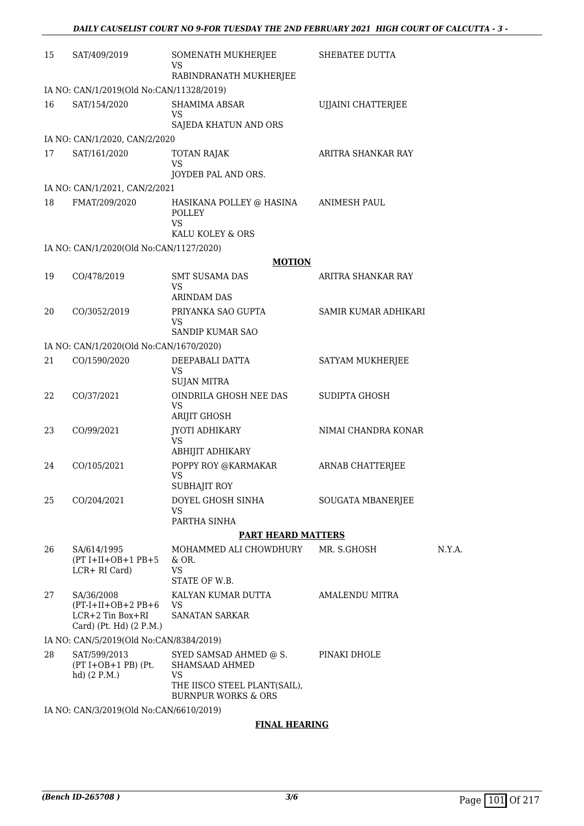| 15 | SAT/409/2019                                         | SOMENATH MUKHERJEE<br><b>VS</b><br>RABINDRANATH MUKHERJEE                   | SHEBATEE DUTTA       |        |
|----|------------------------------------------------------|-----------------------------------------------------------------------------|----------------------|--------|
|    | IA NO: CAN/1/2019(Old No:CAN/11328/2019)             |                                                                             |                      |        |
| 16 | SAT/154/2020                                         | SHAMIMA ABSAR                                                               | UJJAINI CHATTERJEE   |        |
|    |                                                      | VS                                                                          |                      |        |
|    |                                                      | SAJEDA KHATUN AND ORS                                                       |                      |        |
| 17 | IA NO: CAN/1/2020, CAN/2/2020<br>SAT/161/2020        |                                                                             | ARITRA SHANKAR RAY   |        |
|    |                                                      | <b>TOTAN RAJAK</b><br><b>VS</b>                                             |                      |        |
|    |                                                      | JOYDEB PAL AND ORS.                                                         |                      |        |
|    | IA NO: CAN/1/2021, CAN/2/2021                        |                                                                             |                      |        |
| 18 | FMAT/209/2020                                        | HASIKANA POLLEY @ HASINA<br><b>POLLEY</b><br>VS                             | ANIMESH PAUL         |        |
|    |                                                      | KALU KOLEY & ORS                                                            |                      |        |
|    | IA NO: CAN/1/2020(Old No:CAN/1127/2020)              |                                                                             |                      |        |
|    |                                                      | <b>MOTION</b>                                                               |                      |        |
| 19 | CO/478/2019                                          | <b>SMT SUSAMA DAS</b><br>VS                                                 | ARITRA SHANKAR RAY   |        |
|    |                                                      | <b>ARINDAM DAS</b>                                                          |                      |        |
| 20 | CO/3052/2019                                         | PRIYANKA SAO GUPTA<br>VS                                                    | SAMIR KUMAR ADHIKARI |        |
|    |                                                      | SANDIP KUMAR SAO                                                            |                      |        |
|    | IA NO: CAN/1/2020(Old No:CAN/1670/2020)              |                                                                             |                      |        |
| 21 | CO/1590/2020                                         | DEEPABALI DATTA<br>VS                                                       | SATYAM MUKHERJEE     |        |
|    |                                                      | <b>SUJAN MITRA</b>                                                          |                      |        |
| 22 | CO/37/2021                                           | OINDRILA GHOSH NEE DAS<br><b>VS</b>                                         | SUDIPTA GHOSH        |        |
|    |                                                      | ARIJIT GHOSH                                                                |                      |        |
| 23 | CO/99/2021                                           | JYOTI ADHIKARY<br><b>VS</b><br>ABHIJIT ADHIKARY                             | NIMAI CHANDRA KONAR  |        |
| 24 | CO/105/2021                                          | POPPY ROY @KARMAKAR                                                         | ARNAB CHATTERJEE     |        |
|    |                                                      | VS                                                                          |                      |        |
|    |                                                      | <b>SUBHAJIT ROY</b>                                                         |                      |        |
| 25 | CO/204/2021                                          | DOYEL GHOSH SINHA<br><b>VS</b>                                              | SOUGATA MBANERJEE    |        |
|    |                                                      | PARTHA SINHA                                                                |                      |        |
|    |                                                      | <b>PART HEARD MATTERS</b>                                                   |                      |        |
| 26 | SA/614/1995<br>$(PT I+II+OB+1 PB+5$<br>LCR+ RI Card) | MOHAMMED ALI CHOWDHURY<br>& OR.<br><b>VS</b>                                | MR. S.GHOSH          | N.Y.A. |
|    |                                                      | STATE OF W.B.                                                               |                      |        |
| 27 | SA/36/2008<br>$(PT-I+II+OB+2PB+6$                    | KALYAN KUMAR DUTTA<br>VS                                                    | AMALENDU MITRA       |        |
|    | $LCR+2$ Tin Box+RI<br>Card) (Pt. Hd) (2 P.M.)        | <b>SANATAN SARKAR</b>                                                       |                      |        |
|    | IA NO: CAN/5/2019(Old No:CAN/8384/2019)              |                                                                             |                      |        |
| 28 | SAT/599/2013<br>$(PT I+OB+1 PB)$ (Pt.                | SYED SAMSAD AHMED @ S.<br>SHAMSAAD AHMED                                    | PINAKI DHOLE         |        |
|    | hd) $(2 P.M.)$                                       | <b>VS</b><br>THE IISCO STEEL PLANT(SAIL),<br><b>BURNPUR WORKS &amp; ORS</b> |                      |        |
|    | IA NO: CAN/3/2019(Old No:CAN/6610/2019)              |                                                                             |                      |        |

#### **FINAL HEARING**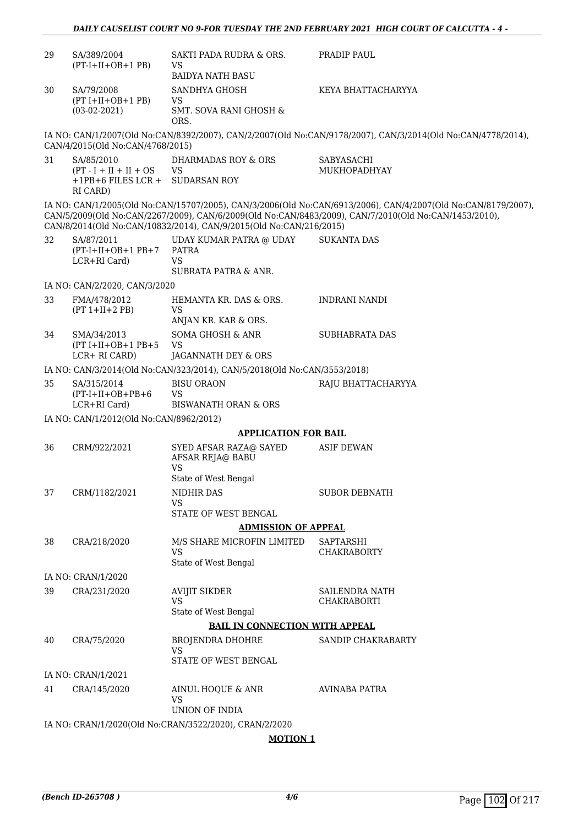| 29 | SA/389/2004<br>$(PT-I+II+OB+1PB)$                                            | SAKTI PADA RUDRA & ORS.<br><b>VS</b><br><b>BAIDYA NATH BASU</b>           | PRADIP PAUL                                                                                                                                                                                                            |  |  |
|----|------------------------------------------------------------------------------|---------------------------------------------------------------------------|------------------------------------------------------------------------------------------------------------------------------------------------------------------------------------------------------------------------|--|--|
| 30 | SA/79/2008<br>$(PT I+II+OB+1 PB)$<br>$(03-02-2021)$                          | SANDHYA GHOSH<br><b>VS</b><br>SMT. SOVA RANI GHOSH &<br>ORS.              | KEYA BHATTACHARYYA                                                                                                                                                                                                     |  |  |
|    | CAN/4/2015(Old No:CAN/4768/2015)                                             |                                                                           | IA NO: CAN/1/2007(Old No:CAN/8392/2007), CAN/2/2007(Old No:CAN/9178/2007), CAN/3/2014(Old No:CAN/4778/2014),                                                                                                           |  |  |
| 31 | SA/85/2010<br>$(PT - I + II + II + OS)$<br>$+1$ PB+6 FILES LCR +<br>RI CARD) | <b>DHARMADAS ROY &amp; ORS</b><br><b>VS</b><br><b>SUDARSAN ROY</b>        | SABYASACHI<br>MUKHOPADHYAY                                                                                                                                                                                             |  |  |
|    |                                                                              | CAN/8/2014(Old No:CAN/10832/2014), CAN/9/2015(Old No:CAN/216/2015)        | IA NO: CAN/1/2005(Old No:CAN/15707/2005), CAN/3/2006(Old No:CAN/6913/2006), CAN/4/2007(Old No:CAN/8179/2007),<br>CAN/5/2009(Old No:CAN/2267/2009), CAN/6/2009(Old No:CAN/8483/2009), CAN/7/2010(Old No:CAN/1453/2010), |  |  |
| 32 | SA/87/2011<br>$(PT-I+II+OB+1PB+7$<br>LCR+RI Card)                            | UDAY KUMAR PATRA @ UDAY<br>PATRA<br><b>VS</b><br>SUBRATA PATRA & ANR.     | <b>SUKANTA DAS</b>                                                                                                                                                                                                     |  |  |
|    | IA NO: CAN/2/2020, CAN/3/2020                                                |                                                                           |                                                                                                                                                                                                                        |  |  |
| 33 | FMA/478/2012<br>$(PT 1+II+2 PB)$                                             | HEMANTA KR. DAS & ORS.<br><b>VS</b><br>ANJAN KR. KAR & ORS.               | <b>INDRANI NANDI</b>                                                                                                                                                                                                   |  |  |
| 34 | SMA/34/2013<br>$(PT I+II+OB+1 PB+5$<br>LCR+ RI CARD)                         | SOMA GHOSH & ANR<br><b>VS</b><br>JAGANNATH DEY & ORS                      | SUBHABRATA DAS                                                                                                                                                                                                         |  |  |
|    |                                                                              | IA NO: CAN/3/2014(Old No:CAN/323/2014), CAN/5/2018(Old No:CAN/3553/2018)  |                                                                                                                                                                                                                        |  |  |
| 35 | SA/315/2014<br>$(PT-I+II+OB+PB+6)$<br>LCR+RI Card)                           | <b>BISU ORAON</b><br><b>VS</b><br><b>BISWANATH ORAN &amp; ORS</b>         | RAJU BHATTACHARYYA                                                                                                                                                                                                     |  |  |
|    | IA NO: CAN/1/2012(Old No:CAN/8962/2012)                                      |                                                                           |                                                                                                                                                                                                                        |  |  |
|    |                                                                              | <b>APPLICATION FOR BAIL</b>                                               |                                                                                                                                                                                                                        |  |  |
| 36 | CRM/922/2021                                                                 | SYED AFSAR RAZA@ SAYED<br>AFSAR REJA@ BABU<br>VS.<br>State of West Bengal | <b>ASIF DEWAN</b>                                                                                                                                                                                                      |  |  |
| 37 | CRM/1182/2021                                                                | NIDHIR DAS<br><b>VS</b><br>STATE OF WEST BENGAL                           | <b>SUBOR DEBNATH</b>                                                                                                                                                                                                   |  |  |
|    |                                                                              | <b>ADMISSION OF APPEAL</b>                                                |                                                                                                                                                                                                                        |  |  |
| 38 | CRA/218/2020                                                                 | M/S SHARE MICROFIN LIMITED                                                | SAPTARSHI                                                                                                                                                                                                              |  |  |
|    |                                                                              | <b>VS</b><br>State of West Bengal                                         | <b>CHAKRABORTY</b>                                                                                                                                                                                                     |  |  |
|    | IA NO: CRAN/1/2020                                                           |                                                                           |                                                                                                                                                                                                                        |  |  |
| 39 | CRA/231/2020                                                                 | <b>AVIJIT SIKDER</b><br><b>VS</b><br>State of West Bengal                 | SAILENDRA NATH<br><b>CHAKRABORTI</b>                                                                                                                                                                                   |  |  |
|    |                                                                              | <b>BAIL IN CONNECTION WITH APPEAL</b>                                     |                                                                                                                                                                                                                        |  |  |
| 40 | CRA/75/2020                                                                  | <b>BROJENDRA DHOHRE</b><br><b>VS</b><br>STATE OF WEST BENGAL              | SANDIP CHAKRABARTY                                                                                                                                                                                                     |  |  |
|    | IA NO: CRAN/1/2021                                                           |                                                                           |                                                                                                                                                                                                                        |  |  |
| 41 | CRA/145/2020                                                                 | AINUL HOQUE & ANR<br><b>VS</b><br>UNION OF INDIA                          | AVINABA PATRA                                                                                                                                                                                                          |  |  |
|    | IA NO: CRAN/1/2020(Old No:CRAN/3522/2020), CRAN/2/2020                       |                                                                           |                                                                                                                                                                                                                        |  |  |
|    |                                                                              |                                                                           |                                                                                                                                                                                                                        |  |  |

**MOTION 1**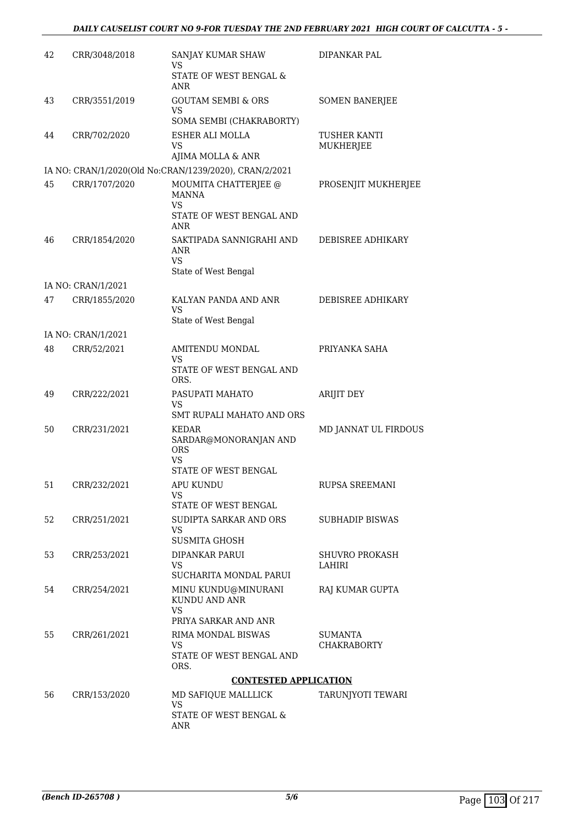#### *DAILY CAUSELIST COURT NO 9-FOR TUESDAY THE 2ND FEBRUARY 2021 HIGH COURT OF CALCUTTA - 5 -*

| 42 | CRR/3048/2018      | SANJAY KUMAR SHAW<br>VS                                                    | DIPANKAR PAL                         |
|----|--------------------|----------------------------------------------------------------------------|--------------------------------------|
|    |                    | STATE OF WEST BENGAL &<br>ANR                                              |                                      |
| 43 | CRR/3551/2019      | <b>GOUTAM SEMBI &amp; ORS</b><br>VS<br>SOMA SEMBI (CHAKRABORTY)            | <b>SOMEN BANERJEE</b>                |
| 44 | CRR/702/2020       | ESHER ALI MOLLA<br>VS<br>AJIMA MOLLA & ANR                                 | <b>TUSHER KANTI</b><br>MUKHERJEE     |
|    |                    | IA NO: CRAN/1/2020(Old No:CRAN/1239/2020), CRAN/2/2021                     |                                      |
| 45 | CRR/1707/2020      | MOUMITA CHATTERJEE @<br>MANNA<br>VS<br>STATE OF WEST BENGAL AND<br>ANR     | PROSENJIT MUKHERJEE                  |
| 46 | CRR/1854/2020      | SAKTIPADA SANNIGRAHI AND<br>ANR<br>VS<br>State of West Bengal              | DEBISREE ADHIKARY                    |
|    | IA NO: CRAN/1/2021 |                                                                            |                                      |
| 47 | CRR/1855/2020      | KALYAN PANDA AND ANR<br>VS                                                 | DEBISREE ADHIKARY                    |
|    |                    | State of West Bengal                                                       |                                      |
| 48 | IA NO: CRAN/1/2021 |                                                                            |                                      |
|    | CRR/52/2021        | AMITENDU MONDAL<br>VS<br>STATE OF WEST BENGAL AND<br>ORS.                  | PRIYANKA SAHA                        |
| 49 | CRR/222/2021       | PASUPATI MAHATO<br>VS<br>SMT RUPALI MAHATO AND ORS                         | ARIJIT DEY                           |
| 50 | CRR/231/2021       | KEDAR<br>SARDAR@MONORANJAN AND<br><b>ORS</b><br>VS<br>STATE OF WEST BENGAL | MD JANNAT UL FIRDOUS                 |
| 51 | CRR/232/2021       | APU KUNDU<br>VS<br>STATE OF WEST BENGAL                                    | RUPSA SREEMANI                       |
| 52 | CRR/251/2021       | SUDIPTA SARKAR AND ORS<br>VS<br><b>SUSMITA GHOSH</b>                       | <b>SUBHADIP BISWAS</b>               |
| 53 | CRR/253/2021       | DIPANKAR PARUI<br>VS.<br>SUCHARITA MONDAL PARUI                            | <b>SHUVRO PROKASH</b><br>LAHIRI      |
| 54 | CRR/254/2021       | MINU KUNDU@MINURANI<br>KUNDU AND ANR<br><b>VS</b><br>PRIYA SARKAR AND ANR  | RAJ KUMAR GUPTA                      |
| 55 | CRR/261/2021       | RIMA MONDAL BISWAS<br>VS.<br>STATE OF WEST BENGAL AND                      | <b>SUMANTA</b><br><b>CHAKRABORTY</b> |
|    |                    | ORS.                                                                       |                                      |
| 56 | CRR/153/2020       | <b>CONTESTED APPLICATION</b><br>MD SAFIQUE MALLLICK                        | TARUNJYOTI TEWARI                    |
|    |                    | VS<br>STATE OF WEST BENGAL &<br><b>ANR</b>                                 |                                      |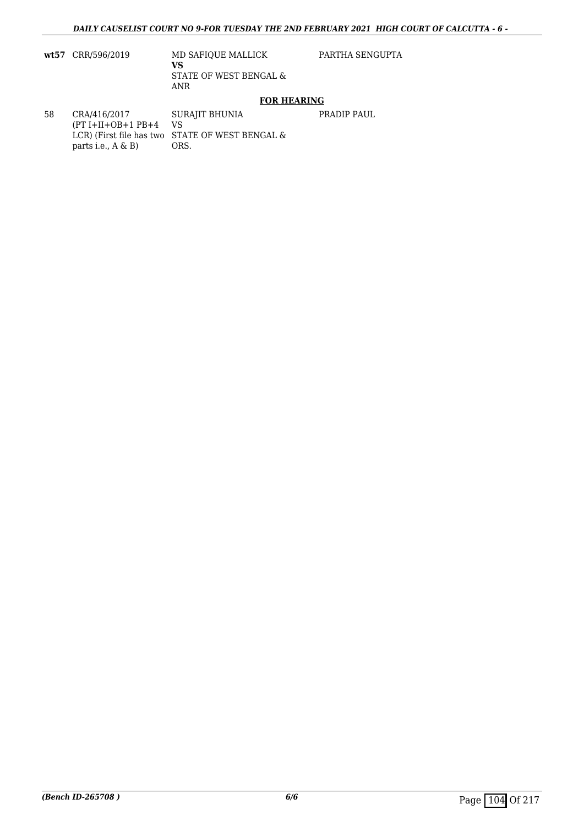**wt57** CRR/596/2019 MD SAFIQUE MALLICK **VS** STATE OF WEST BENGAL & ANR

PARTHA SENGUPTA

PRADIP PAUL

### **FOR HEARING**

58 CRA/416/2017  $(PT I+II+OB+1 PB+4$ LCR) (First file has two STATE OF WEST BENGAL & parts i.e., A & B) SURAJIT BHUNIA VS ORS.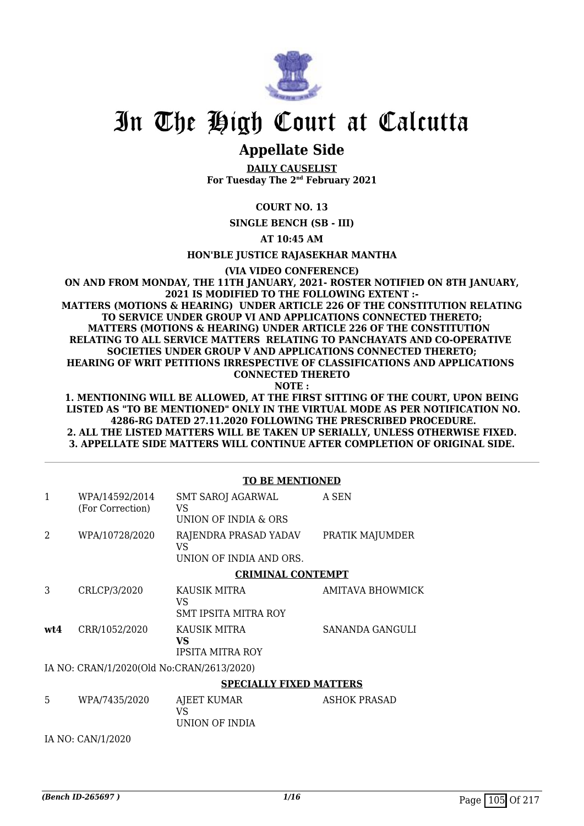

# **Appellate Side**

**DAILY CAUSELIST For Tuesday The 2nd February 2021**

#### **COURT NO. 13**

**SINGLE BENCH (SB - III)**

**AT 10:45 AM**

**HON'BLE JUSTICE RAJASEKHAR MANTHA**

**(VIA VIDEO CONFERENCE)**

#### **ON AND FROM MONDAY, THE 11TH JANUARY, 2021- ROSTER NOTIFIED ON 8TH JANUARY, 2021 IS MODIFIED TO THE FOLLOWING EXTENT :- MATTERS (MOTIONS & HEARING) UNDER ARTICLE 226 OF THE CONSTITUTION RELATING TO SERVICE UNDER GROUP VI AND APPLICATIONS CONNECTED THERETO; MATTERS (MOTIONS & HEARING) UNDER ARTICLE 226 OF THE CONSTITUTION RELATING TO ALL SERVICE MATTERS RELATING TO PANCHAYATS AND CO-OPERATIVE SOCIETIES UNDER GROUP V AND APPLICATIONS CONNECTED THERETO; HEARING OF WRIT PETITIONS IRRESPECTIVE OF CLASSIFICATIONS AND APPLICATIONS CONNECTED THERETO**

**NOTE :**

**1. MENTIONING WILL BE ALLOWED, AT THE FIRST SITTING OF THE COURT, UPON BEING LISTED AS "TO BE MENTIONED" ONLY IN THE VIRTUAL MODE AS PER NOTIFICATION NO. 4286-RG DATED 27.11.2020 FOLLOWING THE PRESCRIBED PROCEDURE. 2. ALL THE LISTED MATTERS WILL BE TAKEN UP SERIALLY, UNLESS OTHERWISE FIXED. 3. APPELLATE SIDE MATTERS WILL CONTINUE AFTER COMPLETION OF ORIGINAL SIDE.**

|                                           |                                    | <b>TO BE MENTIONED</b>                                 |                         |  |
|-------------------------------------------|------------------------------------|--------------------------------------------------------|-------------------------|--|
| 1                                         | WPA/14592/2014<br>(For Correction) | <b>SMT SAROJ AGARWAL</b><br>VS<br>UNION OF INDIA & ORS | A SEN                   |  |
| $\mathcal{L}$                             | WPA/10728/2020                     | RAJENDRA PRASAD YADAV<br>VS<br>UNION OF INDIA AND ORS. | PRATIK MAJUMDER         |  |
|                                           |                                    | <b>CRIMINAL CONTEMPT</b>                               |                         |  |
| 3                                         | CRLCP/3/2020                       | KAUSIK MITRA<br>VS<br>SMT IPSITA MITRA ROY             | <b>AMITAVA BHOWMICK</b> |  |
| wt4                                       | CRR/1052/2020                      | KAUSIK MITRA<br>VS.<br><b>IPSITA MITRA ROY</b>         | SANANDA GANGULI         |  |
| IA NO: CRAN/1/2020(Old No:CRAN/2613/2020) |                                    |                                                        |                         |  |
|                                           |                                    | <b>SPECIALLY FIXED MATTERS</b>                         |                         |  |
| 5                                         | WPA/7435/2020                      | AJEET KUMAR<br>VS<br>UNION OF INDIA                    | <b>ASHOK PRASAD</b>     |  |
|                                           | IA NO: CAN/1/2020                  |                                                        |                         |  |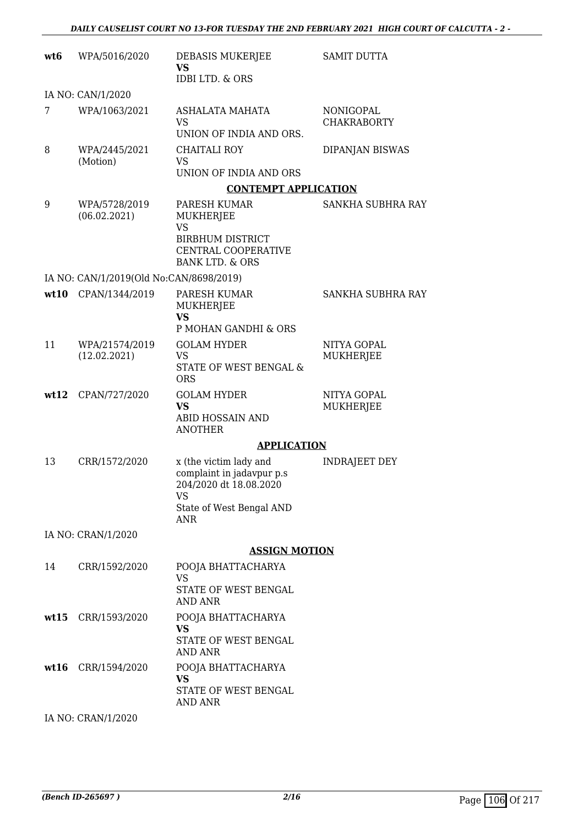| wt <sub>6</sub> | WPA/5016/2020                           | DEBASIS MUKERJEE<br>VS<br><b>IDBI LTD. &amp; ORS</b>                                                                   | <b>SAMIT DUTTA</b>              |
|-----------------|-----------------------------------------|------------------------------------------------------------------------------------------------------------------------|---------------------------------|
|                 | IA NO: CAN/1/2020                       |                                                                                                                        |                                 |
| 7               | WPA/1063/2021                           | ASHALATA MAHATA<br><b>VS</b><br>UNION OF INDIA AND ORS.                                                                | NONIGOPAL<br><b>CHAKRABORTY</b> |
| 8               | WPA/2445/2021<br>(Motion)               | CHAITALI ROY<br>VS<br>UNION OF INDIA AND ORS                                                                           | DIPANJAN BISWAS                 |
|                 |                                         | <b>CONTEMPT APPLICATION</b>                                                                                            |                                 |
| 9               | WPA/5728/2019<br>(06.02.2021)           | PARESH KUMAR<br>MUKHERJEE<br><b>VS</b><br><b>BIRBHUM DISTRICT</b><br>CENTRAL COOPERATIVE<br><b>BANK LTD. &amp; ORS</b> | SANKHA SUBHRA RAY               |
|                 | IA NO: CAN/1/2019(Old No:CAN/8698/2019) |                                                                                                                        |                                 |
| wt10            | CPAN/1344/2019                          | PARESH KUMAR<br>MUKHERJEE<br><b>VS</b><br>P MOHAN GANDHI & ORS                                                         | <b>SANKHA SUBHRA RAY</b>        |
| 11              | WPA/21574/2019<br>(12.02.2021)          | <b>GOLAM HYDER</b><br><b>VS</b><br>STATE OF WEST BENGAL &<br><b>ORS</b>                                                | NITYA GOPAL<br>MUKHERJEE        |
| wt12            | CPAN/727/2020                           | <b>GOLAM HYDER</b><br><b>VS</b><br>ABID HOSSAIN AND<br><b>ANOTHER</b>                                                  | NITYA GOPAL<br>MUKHERJEE        |
|                 |                                         | <b>APPLICATION</b>                                                                                                     |                                 |
| 13              | CRR/1572/2020                           | x (the victim lady and<br>complaint in jadavpur p.s<br>204/2020 dt 18.08.2020<br>VS<br>State of West Bengal AND<br>ANR | INDRAJEET DEY                   |
|                 | IA NO: CRAN/1/2020                      |                                                                                                                        |                                 |
|                 |                                         | <b>ASSIGN MOTION</b>                                                                                                   |                                 |
| 14              | CRR/1592/2020                           | POOJA BHATTACHARYA                                                                                                     |                                 |
|                 |                                         | VS<br>STATE OF WEST BENGAL<br><b>AND ANR</b>                                                                           |                                 |
|                 | wt15 CRR/1593/2020                      | POOJA BHATTACHARYA<br>VS.<br>STATE OF WEST BENGAL<br>AND ANR                                                           |                                 |
| wt16            | CRR/1594/2020                           | POOJA BHATTACHARYA<br><b>VS</b><br>STATE OF WEST BENGAL<br><b>AND ANR</b>                                              |                                 |
|                 | IA NO: CRAN/1/2020                      |                                                                                                                        |                                 |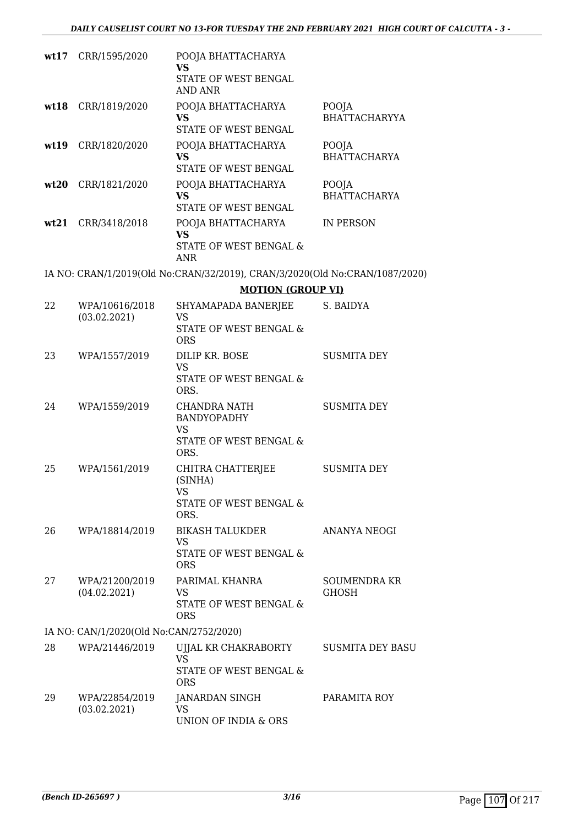|    | wt17 CRR/1595/2020                      | POOJA BHATTACHARYA<br>VS<br>STATE OF WEST BENGAL<br><b>AND ANR</b>                |                                     |
|----|-----------------------------------------|-----------------------------------------------------------------------------------|-------------------------------------|
|    | wt18 CRR/1819/2020                      | POOJA BHATTACHARYA<br>VS<br>STATE OF WEST BENGAL                                  | POOJA<br><b>BHATTACHARYYA</b>       |
|    | wt19 CRR/1820/2020                      | POOJA BHATTACHARYA<br><b>VS</b><br>STATE OF WEST BENGAL                           | POOJA<br><b>BHATTACHARYA</b>        |
|    | wt20 CRR/1821/2020                      | POOJA BHATTACHARYA<br>VS<br>STATE OF WEST BENGAL                                  | POOJA<br><b>BHATTACHARYA</b>        |
|    | wt21 CRR/3418/2018                      | POOJA BHATTACHARYA<br><b>VS</b><br>STATE OF WEST BENGAL &<br>ANR                  | IN PERSON                           |
|    |                                         | IA NO: CRAN/1/2019(Old No:CRAN/32/2019), CRAN/3/2020(Old No:CRAN/1087/2020)       |                                     |
|    |                                         | <b>MOTION (GROUP VI)</b>                                                          |                                     |
| 22 | WPA/10616/2018<br>(03.02.2021)          | SHYAMAPADA BANERJEE<br><b>VS</b><br>STATE OF WEST BENGAL &<br><b>ORS</b>          | S. BAIDYA                           |
| 23 | WPA/1557/2019                           | DILIP KR. BOSE<br>VS<br>STATE OF WEST BENGAL &<br>ORS.                            | <b>SUSMITA DEY</b>                  |
| 24 | WPA/1559/2019                           | <b>CHANDRA NATH</b><br><b>BANDYOPADHY</b><br>VS<br>STATE OF WEST BENGAL &<br>ORS. | <b>SUSMITA DEY</b>                  |
| 25 | WPA/1561/2019                           | CHITRA CHATTERJEE<br>(SINHA)<br>VS<br>STATE OF WEST BENGAL &<br>ORS.              | <b>SUSMITA DEY</b>                  |
| 26 | WPA/18814/2019                          | <b>BIKASH TALUKDER</b><br><b>VS</b><br>STATE OF WEST BENGAL &<br><b>ORS</b>       | ANANYA NEOGI                        |
| 27 | WPA/21200/2019<br>(04.02.2021)          | PARIMAL KHANRA<br>VS<br>STATE OF WEST BENGAL &<br><b>ORS</b>                      | <b>SOUMENDRA KR</b><br><b>GHOSH</b> |
|    | IA NO: CAN/1/2020(Old No:CAN/2752/2020) |                                                                                   |                                     |
| 28 | WPA/21446/2019                          | UJJAL KR CHAKRABORTY<br>VS<br>STATE OF WEST BENGAL &<br><b>ORS</b>                | <b>SUSMITA DEY BASU</b>             |
| 29 | WPA/22854/2019<br>(03.02.2021)          | JANARDAN SINGH<br>VS<br>UNION OF INDIA & ORS                                      | PARAMITA ROY                        |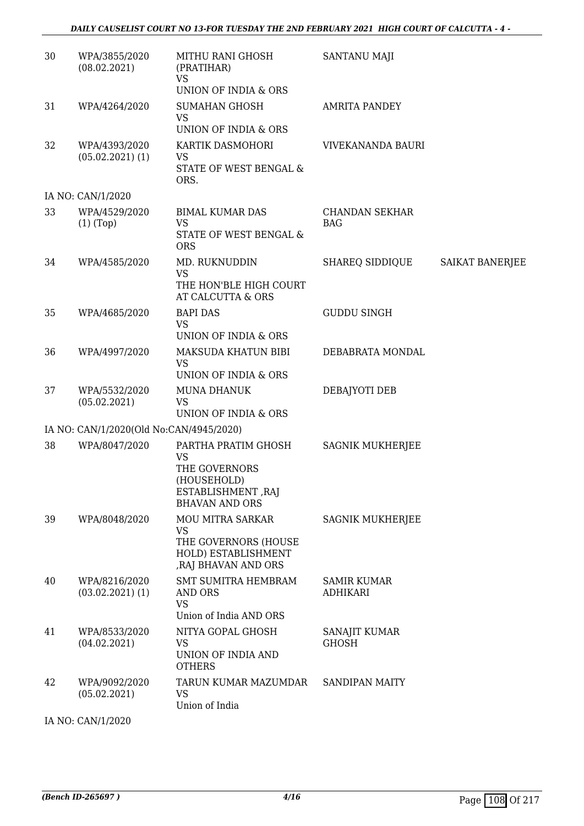| 30 | WPA/3855/2020<br>(08.02.2021)           | MITHU RANI GHOSH<br>(PRATIHAR)<br>VS<br>UNION OF INDIA & ORS                                                | SANTANU MAJI                          |                 |
|----|-----------------------------------------|-------------------------------------------------------------------------------------------------------------|---------------------------------------|-----------------|
| 31 | WPA/4264/2020                           | <b>SUMAHAN GHOSH</b><br><b>VS</b><br>UNION OF INDIA & ORS                                                   | <b>AMRITA PANDEY</b>                  |                 |
| 32 | WPA/4393/2020<br>$(05.02.2021)$ (1)     | KARTIK DASMOHORI<br><b>VS</b><br>STATE OF WEST BENGAL &<br>ORS.                                             | VIVEKANANDA BAURI                     |                 |
|    | IA NO: CAN/1/2020                       |                                                                                                             |                                       |                 |
| 33 | WPA/4529/2020<br>$(1)$ (Top)            | <b>BIMAL KUMAR DAS</b><br><b>VS</b><br>STATE OF WEST BENGAL &<br><b>ORS</b>                                 | <b>CHANDAN SEKHAR</b><br><b>BAG</b>   |                 |
| 34 | WPA/4585/2020                           | MD. RUKNUDDIN<br><b>VS</b><br>THE HON'BLE HIGH COURT<br>AT CALCUTTA & ORS                                   | SHAREQ SIDDIQUE                       | SAIKAT BANERJEE |
| 35 | WPA/4685/2020                           | <b>BAPI DAS</b><br><b>VS</b><br>UNION OF INDIA & ORS                                                        | <b>GUDDU SINGH</b>                    |                 |
| 36 | WPA/4997/2020                           | MAKSUDA KHATUN BIBI<br><b>VS</b><br>UNION OF INDIA & ORS                                                    | DEBABRATA MONDAL                      |                 |
| 37 | WPA/5532/2020<br>(05.02.2021)           | <b>MUNA DHANUK</b><br><b>VS</b><br>UNION OF INDIA & ORS                                                     | DEBAJYOTI DEB                         |                 |
|    | IA NO: CAN/1/2020(Old No:CAN/4945/2020) |                                                                                                             |                                       |                 |
| 38 | WPA/8047/2020                           | PARTHA PRATIM GHOSH<br>VS<br>THE GOVERNORS<br>(HOUSEHOLD)<br>ESTABLISHMENT, RAJ<br><b>BHAVAN AND ORS</b>    | <b>SAGNIK MUKHERJEE</b>               |                 |
| 39 | WPA/8048/2020                           | <b>MOU MITRA SARKAR</b><br><b>VS</b><br>THE GOVERNORS (HOUSE<br>HOLD) ESTABLISHMENT<br>, RAJ BHAVAN AND ORS | <b>SAGNIK MUKHERJEE</b>               |                 |
| 40 | WPA/8216/2020<br>$(03.02.2021)$ $(1)$   | <b>SMT SUMITRA HEMBRAM</b><br>AND ORS<br><b>VS</b><br>Union of India AND ORS                                | <b>SAMIR KUMAR</b><br><b>ADHIKARI</b> |                 |
| 41 | WPA/8533/2020<br>(04.02.2021)           | NITYA GOPAL GHOSH<br>VS<br>UNION OF INDIA AND<br><b>OTHERS</b>                                              | SANAJIT KUMAR<br><b>GHOSH</b>         |                 |
| 42 | WPA/9092/2020<br>(05.02.2021)           | TARUN KUMAR MAZUMDAR<br><b>VS</b><br>Union of India                                                         | <b>SANDIPAN MAITY</b>                 |                 |
|    | IA NO: CAN/1/2020                       |                                                                                                             |                                       |                 |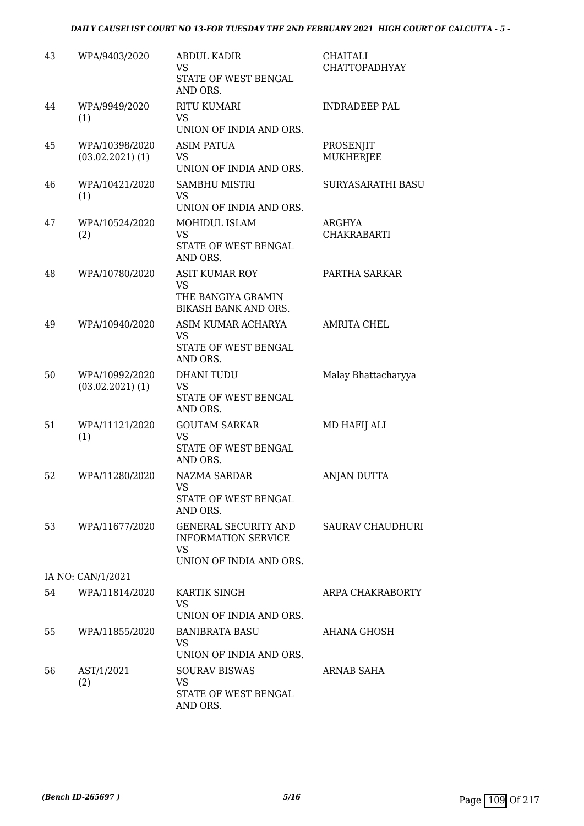#### *DAILY CAUSELIST COURT NO 13-FOR TUESDAY THE 2ND FEBRUARY 2021 HIGH COURT OF CALCUTTA - 5 -*

| 43 | WPA/9403/2020                          | <b>ABDUL KADIR</b><br><b>VS</b><br>STATE OF WEST BENGAL<br>AND ORS.                               | <b>CHAITALI</b><br>CHATTOPADHYAY |
|----|----------------------------------------|---------------------------------------------------------------------------------------------------|----------------------------------|
| 44 | WPA/9949/2020<br>(1)                   | <b>RITU KUMARI</b><br>VS<br>UNION OF INDIA AND ORS.                                               | <b>INDRADEEP PAL</b>             |
| 45 | WPA/10398/2020<br>$(03.02.2021)$ $(1)$ | <b>ASIM PATUA</b><br>VS<br>UNION OF INDIA AND ORS.                                                | PROSENJIT<br><b>MUKHERJEE</b>    |
| 46 | WPA/10421/2020<br>(1)                  | <b>SAMBHU MISTRI</b><br><b>VS</b><br>UNION OF INDIA AND ORS.                                      | SURYASARATHI BASU                |
| 47 | WPA/10524/2020<br>(2)                  | MOHIDUL ISLAM<br>VS<br>STATE OF WEST BENGAL<br>AND ORS.                                           | ARGHYA<br><b>CHAKRABARTI</b>     |
| 48 | WPA/10780/2020                         | <b>ASIT KUMAR ROY</b><br><b>VS</b><br>THE BANGIYA GRAMIN<br><b>BIKASH BANK AND ORS.</b>           | PARTHA SARKAR                    |
| 49 | WPA/10940/2020                         | ASIM KUMAR ACHARYA<br>VS<br>STATE OF WEST BENGAL<br>AND ORS.                                      | <b>AMRITA CHEL</b>               |
| 50 | WPA/10992/2020<br>$(03.02.2021)$ $(1)$ | <b>DHANI TUDU</b><br>VS<br>STATE OF WEST BENGAL<br>AND ORS.                                       | Malay Bhattacharyya              |
| 51 | WPA/11121/2020<br>(1)                  | <b>GOUTAM SARKAR</b><br><b>VS</b><br>STATE OF WEST BENGAL<br>AND ORS.                             | MD HAFIJ ALI                     |
| 52 | WPA/11280/2020                         | NAZMA SARDAR<br>VS<br><b>STATE OF WEST BENGAL</b><br>AND ORS.                                     | <b>ANJAN DUTTA</b>               |
| 53 | WPA/11677/2020                         | <b>GENERAL SECURITY AND</b><br><b>INFORMATION SERVICE</b><br><b>VS</b><br>UNION OF INDIA AND ORS. | <b>SAURAV CHAUDHURI</b>          |
|    | IA NO: CAN/1/2021                      |                                                                                                   |                                  |
| 54 | WPA/11814/2020                         | KARTIK SINGH<br>VS<br>UNION OF INDIA AND ORS.                                                     | ARPA CHAKRABORTY                 |
| 55 | WPA/11855/2020                         | <b>BANIBRATA BASU</b><br>VS.<br>UNION OF INDIA AND ORS.                                           | AHANA GHOSH                      |
| 56 | AST/1/2021<br>(2)                      | <b>SOURAV BISWAS</b><br><b>VS</b><br>STATE OF WEST BENGAL<br>AND ORS.                             | ARNAB SAHA                       |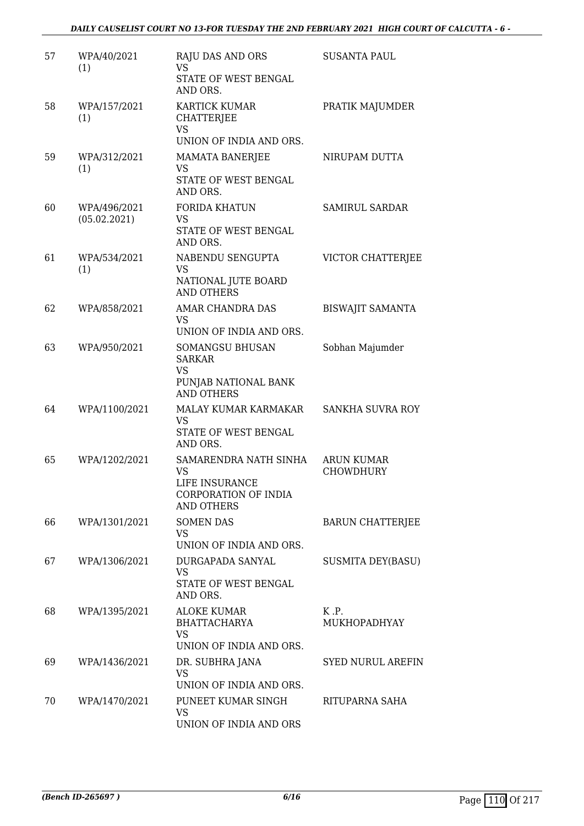| 57 | WPA/40/2021<br>(1)           | <b>RAJU DAS AND ORS</b><br><b>VS</b><br>STATE OF WEST BENGAL<br>AND ORS.                          | <b>SUSANTA PAUL</b>                   |
|----|------------------------------|---------------------------------------------------------------------------------------------------|---------------------------------------|
| 58 | WPA/157/2021<br>(1)          | KARTICK KUMAR<br><b>CHATTERJEE</b><br><b>VS</b>                                                   | PRATIK MAJUMDER                       |
| 59 | WPA/312/2021<br>(1)          | UNION OF INDIA AND ORS.<br>MAMATA BANERJEE<br><b>VS</b><br>STATE OF WEST BENGAL<br>AND ORS.       | NIRUPAM DUTTA                         |
| 60 | WPA/496/2021<br>(05.02.2021) | <b>FORIDA KHATUN</b><br><b>VS</b><br>STATE OF WEST BENGAL<br>AND ORS.                             | <b>SAMIRUL SARDAR</b>                 |
| 61 | WPA/534/2021<br>(1)          | NABENDU SENGUPTA<br>VS<br>NATIONAL JUTE BOARD<br><b>AND OTHERS</b>                                | VICTOR CHATTERJEE                     |
| 62 | WPA/858/2021                 | AMAR CHANDRA DAS<br><b>VS</b><br>UNION OF INDIA AND ORS.                                          | <b>BISWAJIT SAMANTA</b>               |
| 63 | WPA/950/2021                 | <b>SOMANGSU BHUSAN</b><br><b>SARKAR</b><br><b>VS</b><br>PUNJAB NATIONAL BANK<br><b>AND OTHERS</b> | Sobhan Majumder                       |
| 64 | WPA/1100/2021                | MALAY KUMAR KARMAKAR<br><b>VS</b><br>STATE OF WEST BENGAL<br>AND ORS.                             | SANKHA SUVRA ROY                      |
| 65 | WPA/1202/2021                | SAMARENDRA NATH SINHA<br><b>VS</b><br>LIFE INSURANCE<br>CORPORATION OF INDIA<br><b>AND OTHERS</b> | <b>ARUN KUMAR</b><br><b>CHOWDHURY</b> |
| 66 | WPA/1301/2021                | <b>SOMEN DAS</b><br>VS<br>UNION OF INDIA AND ORS.                                                 | <b>BARUN CHATTERJEE</b>               |
| 67 | WPA/1306/2021                | DURGAPADA SANYAL<br>VS<br>STATE OF WEST BENGAL<br>AND ORS.                                        | <b>SUSMITA DEY(BASU)</b>              |
| 68 | WPA/1395/2021                | ALOKE KUMAR<br>BHATTACHARYA<br><b>VS</b><br>UNION OF INDIA AND ORS.                               | K.P.<br>MUKHOPADHYAY                  |
| 69 | WPA/1436/2021                | DR. SUBHRA JANA<br>VS<br>UNION OF INDIA AND ORS.                                                  | <b>SYED NURUL AREFIN</b>              |
| 70 | WPA/1470/2021                | PUNEET KUMAR SINGH<br>VS<br>UNION OF INDIA AND ORS                                                | RITUPARNA SAHA                        |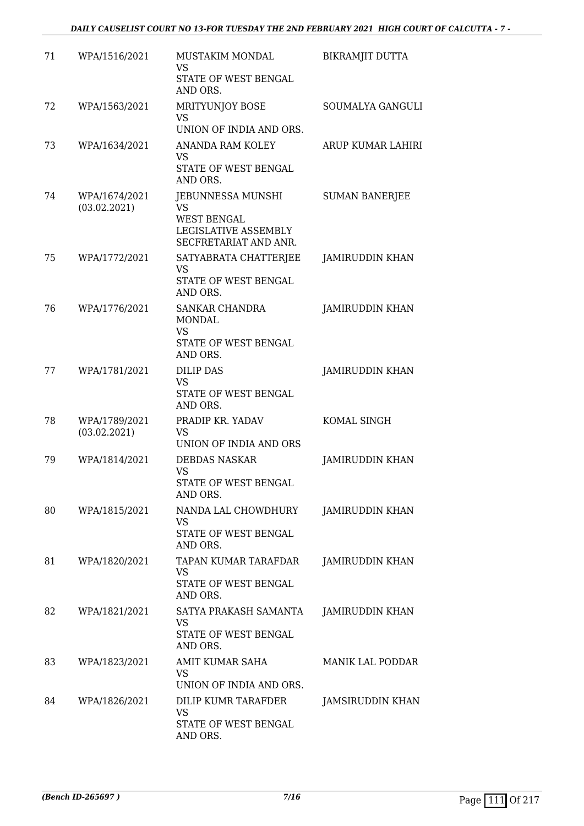| 71 | WPA/1516/2021                 | MUSTAKIM MONDAL<br>VS<br>STATE OF WEST BENGAL<br>AND ORS.                                             | <b>BIKRAMJIT DUTTA</b>  |
|----|-------------------------------|-------------------------------------------------------------------------------------------------------|-------------------------|
| 72 | WPA/1563/2021                 | MRITYUNJOY BOSE<br>VS<br>UNION OF INDIA AND ORS.                                                      | SOUMALYA GANGULI        |
| 73 | WPA/1634/2021                 | ANANDA RAM KOLEY<br>VS<br>STATE OF WEST BENGAL<br>AND ORS.                                            | ARUP KUMAR LAHIRI       |
| 74 | WPA/1674/2021<br>(03.02.2021) | JEBUNNESSA MUNSHI<br><b>VS</b><br><b>WEST BENGAL</b><br>LEGISLATIVE ASSEMBLY<br>SECFRETARIAT AND ANR. | <b>SUMAN BANERJEE</b>   |
| 75 | WPA/1772/2021                 | SATYABRATA CHATTERJEE<br><b>VS</b><br>STATE OF WEST BENGAL<br>AND ORS.                                | <b>JAMIRUDDIN KHAN</b>  |
| 76 | WPA/1776/2021                 | SANKAR CHANDRA<br><b>MONDAL</b><br>VS<br>STATE OF WEST BENGAL<br>AND ORS.                             | <b>JAMIRUDDIN KHAN</b>  |
| 77 | WPA/1781/2021                 | <b>DILIP DAS</b><br><b>VS</b><br>STATE OF WEST BENGAL<br>AND ORS.                                     | <b>JAMIRUDDIN KHAN</b>  |
| 78 | WPA/1789/2021<br>(03.02.2021) | PRADIP KR. YADAV<br>VS<br>UNION OF INDIA AND ORS                                                      | KOMAL SINGH             |
| 79 | WPA/1814/2021                 | <b>DEBDAS NASKAR</b><br><b>VS</b><br>STATE OF WEST BENGAL<br>AND ORS.                                 | <b>JAMIRUDDIN KHAN</b>  |
| 80 | WPA/1815/2021                 | NANDA LAL CHOWDHURY<br>VS<br>STATE OF WEST BENGAL<br>AND ORS.                                         | <b>JAMIRUDDIN KHAN</b>  |
| 81 | WPA/1820/2021                 | TAPAN KUMAR TARAFDAR<br>VS<br>STATE OF WEST BENGAL<br>AND ORS.                                        | JAMIRUDDIN KHAN         |
| 82 | WPA/1821/2021                 | SATYA PRAKASH SAMANTA<br>VS<br>STATE OF WEST BENGAL<br>AND ORS.                                       | JAMIRUDDIN KHAN         |
| 83 | WPA/1823/2021                 | AMIT KUMAR SAHA<br>VS<br>UNION OF INDIA AND ORS.                                                      | <b>MANIK LAL PODDAR</b> |
| 84 | WPA/1826/2021                 | DILIP KUMR TARAFDER<br><b>VS</b><br>STATE OF WEST BENGAL<br>AND ORS.                                  | JAMSIRUDDIN KHAN        |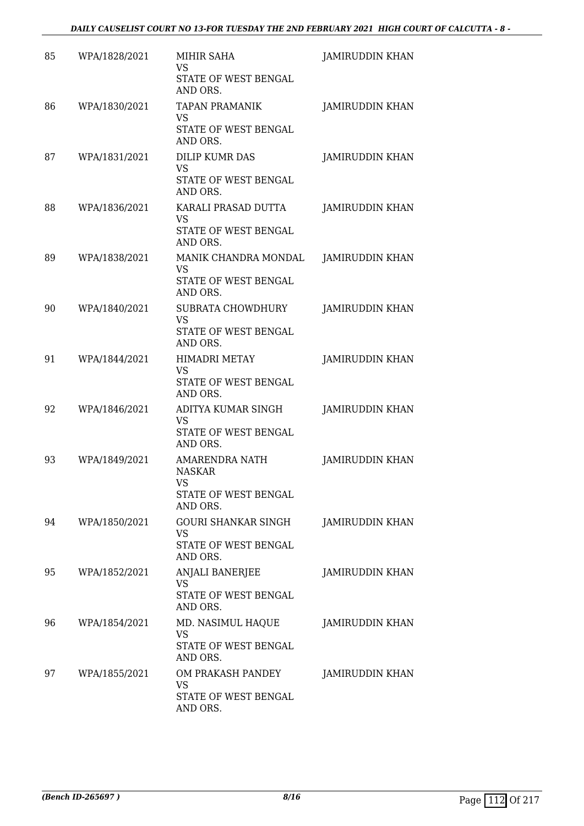| 85 | WPA/1828/2021 | MIHIR SAHA<br>VS<br>STATE OF WEST BENGAL<br>AND ORS.                             | <b>JAMIRUDDIN KHAN</b> |
|----|---------------|----------------------------------------------------------------------------------|------------------------|
| 86 | WPA/1830/2021 | <b>TAPAN PRAMANIK</b><br>VS<br>STATE OF WEST BENGAL<br>AND ORS.                  | <b>JAMIRUDDIN KHAN</b> |
| 87 | WPA/1831/2021 | DILIP KUMR DAS<br><b>VS</b><br>STATE OF WEST BENGAL<br>AND ORS.                  | <b>JAMIRUDDIN KHAN</b> |
| 88 | WPA/1836/2021 | KARALI PRASAD DUTTA<br><b>VS</b><br>STATE OF WEST BENGAL<br>AND ORS.             | JAMIRUDDIN KHAN        |
| 89 | WPA/1838/2021 | MANIK CHANDRA MONDAL<br>VS<br>STATE OF WEST BENGAL<br>AND ORS.                   | <b>JAMIRUDDIN KHAN</b> |
| 90 | WPA/1840/2021 | SUBRATA CHOWDHURY<br><b>VS</b><br>STATE OF WEST BENGAL<br>AND ORS.               | <b>JAMIRUDDIN KHAN</b> |
| 91 | WPA/1844/2021 | <b>HIMADRI METAY</b><br>VS<br>STATE OF WEST BENGAL<br>AND ORS.                   | JAMIRUDDIN KHAN        |
| 92 | WPA/1846/2021 | ADITYA KUMAR SINGH<br>VS<br>STATE OF WEST BENGAL<br>AND ORS.                     | JAMIRUDDIN KHAN        |
| 93 | WPA/1849/2021 | <b>AMARENDRA NATH</b><br><b>NASKAR</b><br>VS<br>STATE OF WEST BENGAL<br>AND ORS. | JAMIRUDDIN KHAN        |
| 94 | WPA/1850/2021 | <b>GOURI SHANKAR SINGH</b><br>VS<br>STATE OF WEST BENGAL<br>AND ORS.             | <b>JAMIRUDDIN KHAN</b> |
| 95 | WPA/1852/2021 | ANJALI BANERJEE<br><b>VS</b><br>STATE OF WEST BENGAL<br>AND ORS.                 | <b>JAMIRUDDIN KHAN</b> |
| 96 | WPA/1854/2021 | MD. NASIMUL HAQUE<br>VS<br>STATE OF WEST BENGAL<br>AND ORS.                      | JAMIRUDDIN KHAN        |
| 97 | WPA/1855/2021 | OM PRAKASH PANDEY<br>VS<br>STATE OF WEST BENGAL<br>AND ORS.                      | <b>JAMIRUDDIN KHAN</b> |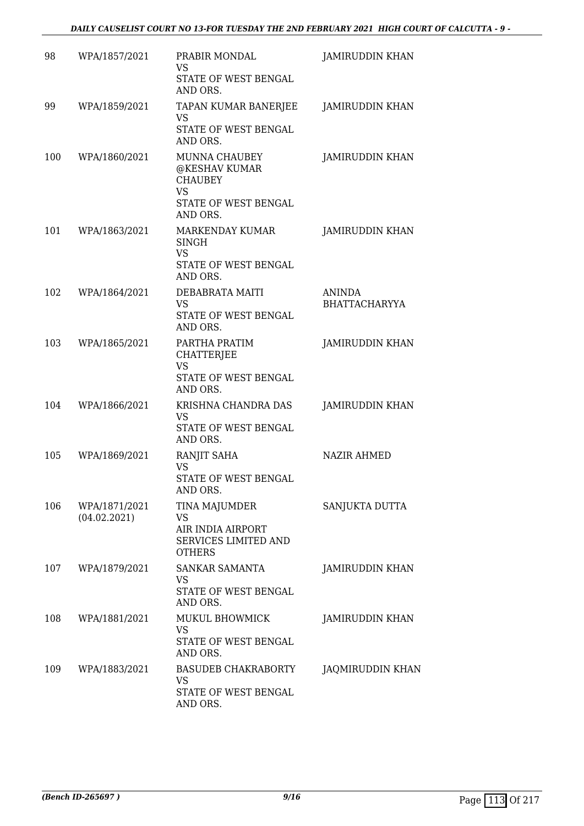| 98  | WPA/1857/2021                 | PRABIR MONDAL<br>VS<br>STATE OF WEST BENGAL<br>AND ORS.                                           | JAMIRUDDIN KHAN                       |
|-----|-------------------------------|---------------------------------------------------------------------------------------------------|---------------------------------------|
| 99  | WPA/1859/2021                 | TAPAN KUMAR BANERJEE<br>VS<br>STATE OF WEST BENGAL<br>AND ORS.                                    | <b>JAMIRUDDIN KHAN</b>                |
| 100 | WPA/1860/2021                 | MUNNA CHAUBEY<br>@KESHAV KUMAR<br><b>CHAUBEY</b><br><b>VS</b><br>STATE OF WEST BENGAL<br>AND ORS. | <b>JAMIRUDDIN KHAN</b>                |
| 101 | WPA/1863/2021                 | MARKENDAY KUMAR<br>SINGH<br><b>VS</b><br>STATE OF WEST BENGAL<br>AND ORS.                         | <b>JAMIRUDDIN KHAN</b>                |
| 102 | WPA/1864/2021                 | DEBABRATA MAITI<br>VS<br>STATE OF WEST BENGAL<br>AND ORS.                                         | <b>ANINDA</b><br><b>BHATTACHARYYA</b> |
| 103 | WPA/1865/2021                 | PARTHA PRATIM<br><b>CHATTERJEE</b><br><b>VS</b><br>STATE OF WEST BENGAL<br>AND ORS.               | JAMIRUDDIN KHAN                       |
| 104 | WPA/1866/2021                 | KRISHNA CHANDRA DAS<br>VS<br>STATE OF WEST BENGAL<br>AND ORS.                                     | JAMIRUDDIN KHAN                       |
| 105 | WPA/1869/2021                 | RANJIT SAHA<br><b>VS</b><br><b>STATE OF WEST BENGAL</b><br>AND ORS.                               | <b>NAZIR AHMED</b>                    |
| 106 | WPA/1871/2021<br>(04.02.2021) | TINA MAJUMDER<br>VS<br>AIR INDIA AIRPORT<br><b>SERVICES LIMITED AND</b><br><b>OTHERS</b>          | SANJUKTA DUTTA                        |
| 107 | WPA/1879/2021                 | SANKAR SAMANTA<br>VS<br>STATE OF WEST BENGAL<br>AND ORS.                                          | JAMIRUDDIN KHAN                       |
| 108 | WPA/1881/2021                 | MUKUL BHOWMICK<br>VS<br>STATE OF WEST BENGAL<br>AND ORS.                                          | <b>JAMIRUDDIN KHAN</b>                |
| 109 | WPA/1883/2021                 | <b>BASUDEB CHAKRABORTY</b><br>VS<br>STATE OF WEST BENGAL<br>AND ORS.                              | JAQMIRUDDIN KHAN                      |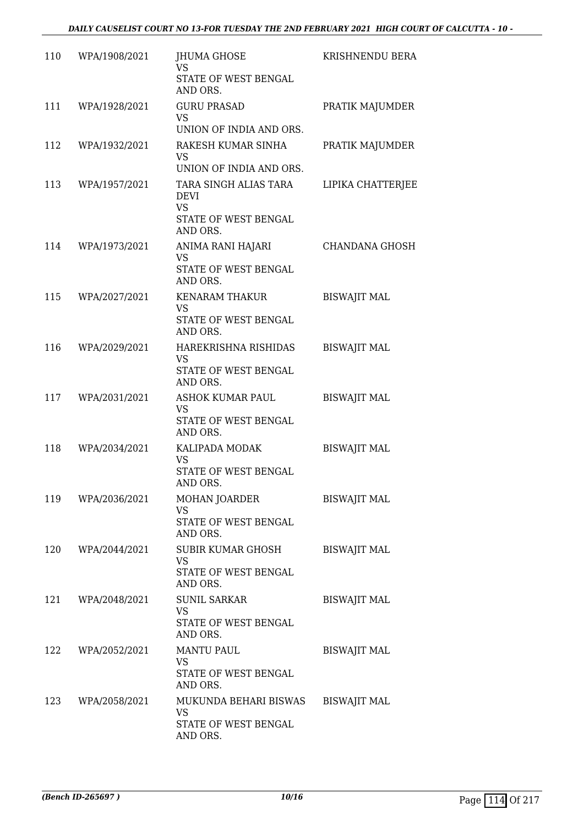| 110 | WPA/1908/2021 | JHUMA GHOSE<br><b>VS</b><br>STATE OF WEST BENGAL<br>AND ORS.                          | KRISHNENDU BERA     |
|-----|---------------|---------------------------------------------------------------------------------------|---------------------|
| 111 | WPA/1928/2021 | <b>GURU PRASAD</b>                                                                    | PRATIK MAJUMDER     |
|     |               | <b>VS</b><br>UNION OF INDIA AND ORS.                                                  |                     |
| 112 | WPA/1932/2021 | RAKESH KUMAR SINHA<br>VS<br>UNION OF INDIA AND ORS.                                   | PRATIK MAJUMDER     |
| 113 | WPA/1957/2021 | TARA SINGH ALIAS TARA<br><b>DEVI</b><br><b>VS</b><br>STATE OF WEST BENGAL<br>AND ORS. | LIPIKA CHATTERJEE   |
| 114 | WPA/1973/2021 | ANIMA RANI HAJARI<br>VS<br>STATE OF WEST BENGAL<br>AND ORS.                           | CHANDANA GHOSH      |
| 115 | WPA/2027/2021 | <b>KENARAM THAKUR</b><br><b>VS</b><br>STATE OF WEST BENGAL<br>AND ORS.                | <b>BISWAJIT MAL</b> |
| 116 | WPA/2029/2021 | HAREKRISHNA RISHIDAS<br>VS<br>STATE OF WEST BENGAL<br>AND ORS.                        | <b>BISWAJIT MAL</b> |
| 117 | WPA/2031/2021 | ASHOK KUMAR PAUL<br><b>VS</b><br>STATE OF WEST BENGAL<br>AND ORS.                     | <b>BISWAJIT MAL</b> |
| 118 | WPA/2034/2021 | KALIPADA MODAK<br><b>VS</b><br>STATE OF WEST BENGAL<br>AND ORS.                       | <b>BISWAJIT MAL</b> |
| 119 | WPA/2036/2021 | MOHAN JOARDER<br><b>VS</b><br>STATE OF WEST BENGAL<br>AND ORS.                        | <b>BISWAJIT MAL</b> |
| 120 | WPA/2044/2021 | SUBIR KUMAR GHOSH<br><b>VS</b><br>STATE OF WEST BENGAL<br>AND ORS.                    | <b>BISWAJIT MAL</b> |
| 121 | WPA/2048/2021 | <b>SUNIL SARKAR</b><br><b>VS</b><br>STATE OF WEST BENGAL<br>AND ORS.                  | <b>BISWAJIT MAL</b> |
| 122 | WPA/2052/2021 | <b>MANTU PAUL</b><br><b>VS</b><br>STATE OF WEST BENGAL<br>AND ORS.                    | <b>BISWAJIT MAL</b> |
| 123 | WPA/2058/2021 | MUKUNDA BEHARI BISWAS<br><b>VS</b><br>STATE OF WEST BENGAL<br>AND ORS.                | <b>BISWAJIT MAL</b> |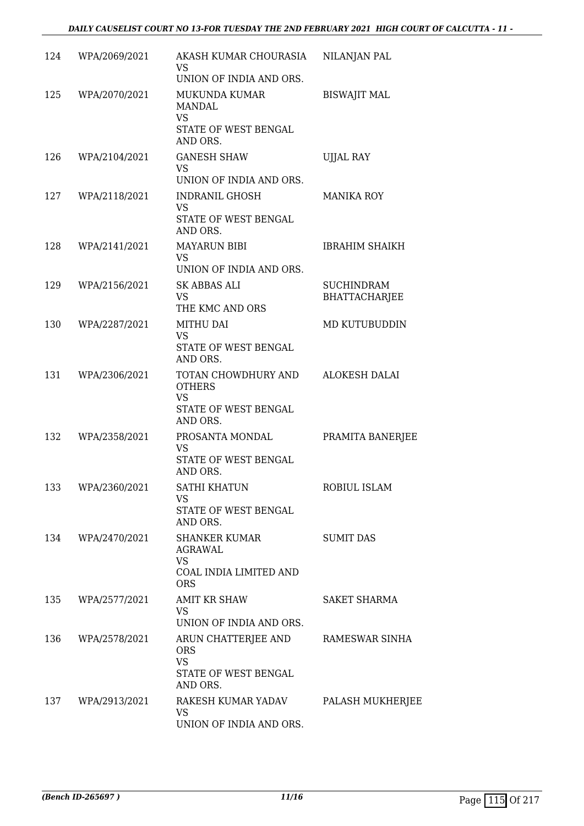| 124 | WPA/2069/2021     | AKASH KUMAR CHOURASIA<br>VS<br>UNION OF INDIA AND ORS.                                | NILANJAN PAL                              |
|-----|-------------------|---------------------------------------------------------------------------------------|-------------------------------------------|
| 125 | WPA/2070/2021     | MUKUNDA KUMAR<br>MANDAL<br>VS<br>STATE OF WEST BENGAL<br>AND ORS.                     | <b>BISWAJIT MAL</b>                       |
| 126 | WPA/2104/2021     | <b>GANESH SHAW</b><br>VS<br>UNION OF INDIA AND ORS.                                   | <b>UJJAL RAY</b>                          |
| 127 | WPA/2118/2021     | <b>INDRANIL GHOSH</b><br><b>VS</b><br>STATE OF WEST BENGAL<br>AND ORS.                | <b>MANIKA ROY</b>                         |
| 128 | WPA/2141/2021     | <b>MAYARUN BIBI</b><br>VS<br>UNION OF INDIA AND ORS.                                  | <b>IBRAHIM SHAIKH</b>                     |
| 129 | WPA/2156/2021     | SK ABBAS ALI<br><b>VS</b><br>THE KMC AND ORS                                          | <b>SUCHINDRAM</b><br><b>BHATTACHARJEE</b> |
| 130 | WPA/2287/2021     | MITHU DAI<br><b>VS</b><br>STATE OF WEST BENGAL<br>AND ORS.                            | MD KUTUBUDDIN                             |
| 131 | WPA/2306/2021     | TOTAN CHOWDHURY AND<br><b>OTHERS</b><br><b>VS</b><br>STATE OF WEST BENGAL<br>AND ORS. | <b>ALOKESH DALAI</b>                      |
| 132 | WPA/2358/2021     | PROSANTA MONDAL<br><b>VS</b><br>STATE OF WEST BENGAL<br>AND ORS.                      | PRAMITA BANERJEE                          |
| 133 | WPA/2360/2021     | SATHI KHATUN<br>VS<br>STATE OF WEST BENGAL<br>AND ORS.                                | ROBIUL ISLAM                              |
|     | 134 WPA/2470/2021 | SHANKER KUMAR<br>AGRAWAL<br><b>VS</b><br>COAL INDIA LIMITED AND<br><b>ORS</b>         | <b>SUMIT DAS</b>                          |
| 135 | WPA/2577/2021     | AMIT KR SHAW<br><b>VS</b><br>UNION OF INDIA AND ORS.                                  | SAKET SHARMA                              |
| 136 | WPA/2578/2021     | ARUN CHATTERJEE AND<br><b>ORS</b><br><b>VS</b><br>STATE OF WEST BENGAL<br>AND ORS.    | RAMESWAR SINHA                            |
| 137 | WPA/2913/2021     | RAKESH KUMAR YADAV<br>VS<br>UNION OF INDIA AND ORS.                                   | PALASH MUKHERJEE                          |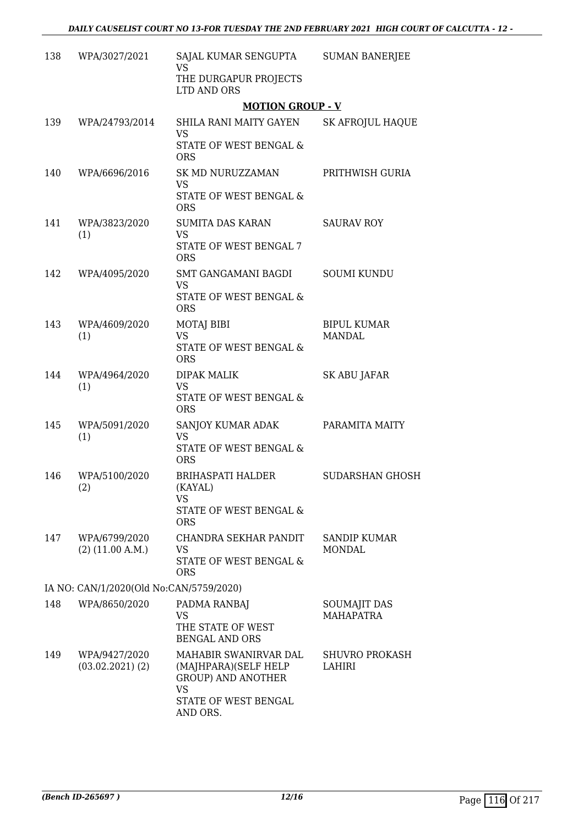| 138 | WPA/3027/2021                           | SAJAL KUMAR SENGUPTA<br><b>VS</b>                                                                        | <b>SUMAN BANERJEE</b>                   |
|-----|-----------------------------------------|----------------------------------------------------------------------------------------------------------|-----------------------------------------|
|     |                                         | THE DURGAPUR PROJECTS<br>LTD AND ORS                                                                     |                                         |
|     |                                         | <b>MOTION GROUP - V</b>                                                                                  |                                         |
| 139 | WPA/24793/2014                          | SHILA RANI MAITY GAYEN<br><b>VS</b><br>STATE OF WEST BENGAL &<br><b>ORS</b>                              | <b>SK AFROJUL HAQUE</b>                 |
| 140 | WPA/6696/2016                           | SK MD NURUZZAMAN<br><b>VS</b>                                                                            | PRITHWISH GURIA                         |
|     |                                         | STATE OF WEST BENGAL &<br><b>ORS</b>                                                                     |                                         |
| 141 | WPA/3823/2020<br>(1)                    | SUMITA DAS KARAN<br><b>VS</b>                                                                            | <b>SAURAV ROY</b>                       |
|     |                                         | STATE OF WEST BENGAL 7<br><b>ORS</b>                                                                     |                                         |
| 142 | WPA/4095/2020                           | SMT GANGAMANI BAGDI<br><b>VS</b><br>STATE OF WEST BENGAL &<br><b>ORS</b>                                 | <b>SOUMI KUNDU</b>                      |
| 143 | WPA/4609/2020<br>(1)                    | <b>MOTAJ BIBI</b><br><b>VS</b><br>STATE OF WEST BENGAL &<br><b>ORS</b>                                   | <b>BIPUL KUMAR</b><br><b>MANDAL</b>     |
| 144 | WPA/4964/2020<br>(1)                    | <b>DIPAK MALIK</b><br>VS<br>STATE OF WEST BENGAL &<br><b>ORS</b>                                         | SK ABU JAFAR                            |
| 145 | WPA/5091/2020<br>(1)                    | SANJOY KUMAR ADAK<br><b>VS</b><br>STATE OF WEST BENGAL &<br><b>ORS</b>                                   | PARAMITA MAITY                          |
| 146 | WPA/5100/2020<br>(2)                    | BRIHASPATI HALDER<br>(KAYAL)<br>VS<br>STATE OF WEST BENGAL &<br><b>ORS</b>                               | <b>SUDARSHAN GHOSH</b>                  |
| 147 | WPA/6799/2020<br>$(2)$ (11.00 A.M.)     | CHANDRA SEKHAR PANDIT<br>VS<br>STATE OF WEST BENGAL &<br><b>ORS</b>                                      | <b>SANDIP KUMAR</b><br><b>MONDAL</b>    |
|     | IA NO: CAN/1/2020(Old No:CAN/5759/2020) |                                                                                                          |                                         |
| 148 | WPA/8650/2020                           | PADMA RANBAJ<br>VS<br>THE STATE OF WEST<br><b>BENGAL AND ORS</b>                                         | <b>SOUMAJIT DAS</b><br><b>MAHAPATRA</b> |
| 149 | WPA/9427/2020<br>$(03.02.2021)$ $(2)$   | MAHABIR SWANIRVAR DAL<br>(MAJHPARA)(SELF HELP<br><b>GROUP) AND ANOTHER</b><br>VS<br>STATE OF WEST BENGAL | <b>SHUVRO PROKASH</b><br>LAHIRI         |
|     |                                         | AND ORS.                                                                                                 |                                         |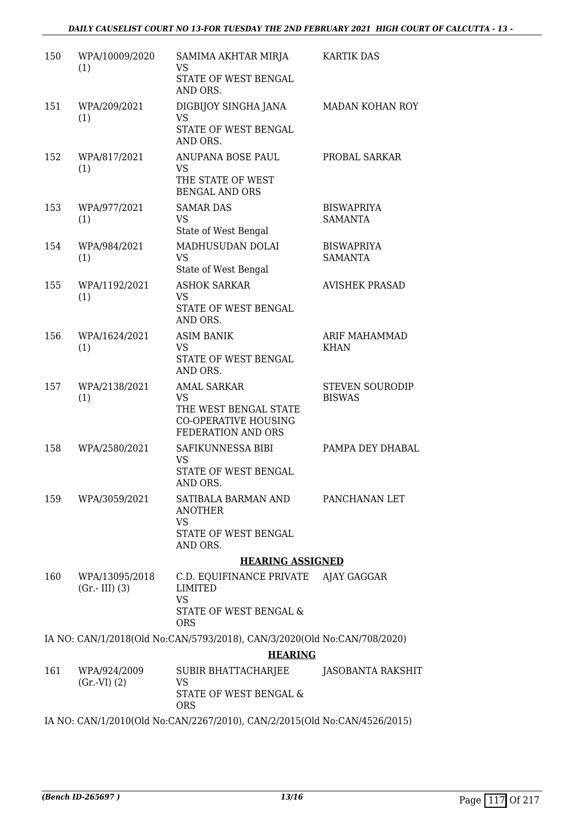| 150 | WPA/10009/2020<br>(1)             | SAMIMA AKHTAR MIRJA<br>VS<br>STATE OF WEST BENGAL<br>AND ORS.                                                 | <b>KARTIK DAS</b>                       |
|-----|-----------------------------------|---------------------------------------------------------------------------------------------------------------|-----------------------------------------|
| 151 | WPA/209/2021<br>(1)               | DIGBIJOY SINGHA JANA<br><b>VS</b><br>STATE OF WEST BENGAL<br>AND ORS.                                         | MADAN KOHAN ROY                         |
| 152 | WPA/817/2021<br>(1)               | ANUPANA BOSE PAUL<br><b>VS</b><br>THE STATE OF WEST<br><b>BENGAL AND ORS</b>                                  | PROBAL SARKAR                           |
| 153 | WPA/977/2021<br>(1)               | <b>SAMAR DAS</b><br><b>VS</b><br>State of West Bengal                                                         | <b>BISWAPRIYA</b><br><b>SAMANTA</b>     |
| 154 | WPA/984/2021<br>(1)               | MADHUSUDAN DOLAI<br><b>VS</b><br>State of West Bengal                                                         | <b>BISWAPRIYA</b><br><b>SAMANTA</b>     |
| 155 | WPA/1192/2021<br>(1)              | <b>ASHOK SARKAR</b><br><b>VS</b><br>STATE OF WEST BENGAL<br>AND ORS.                                          | <b>AVISHEK PRASAD</b>                   |
| 156 | WPA/1624/2021<br>(1)              | <b>ASIM BANIK</b><br><b>VS</b><br>STATE OF WEST BENGAL<br>AND ORS.                                            | ARIF MAHAMMAD<br><b>KHAN</b>            |
| 157 | WPA/2138/2021<br>(1)              | <b>AMAL SARKAR</b><br><b>VS</b><br>THE WEST BENGAL STATE<br><b>CO-OPERATIVE HOUSING</b><br>FEDERATION AND ORS | <b>STEVEN SOURODIP</b><br><b>BISWAS</b> |
| 158 | WPA/2580/2021                     | SAFIKUNNESSA BIBI<br><b>VS</b><br>STATE OF WEST BENGAL<br>AND ORS.                                            | PAMPA DEY DHABAL                        |
| 159 | WPA/3059/2021                     | SATIBALA BARMAN AND<br><b>ANOTHER</b><br>VS<br>STATE OF WEST BENGAL<br>AND ORS.                               | PANCHANAN LET                           |
|     |                                   | <b>HEARING ASSIGNED</b>                                                                                       |                                         |
| 160 | WPA/13095/2018<br>$(Gr.-III)$ (3) | C.D. EQUIFINANCE PRIVATE AJAY GAGGAR<br>LIMITED<br><b>VS</b><br>STATE OF WEST BENGAL &<br><b>ORS</b>          |                                         |
|     |                                   | IA NO: CAN/1/2018(Old No:CAN/5793/2018), CAN/3/2020(Old No:CAN/708/2020)                                      |                                         |
|     |                                   | <b>HEARING</b>                                                                                                |                                         |
| 161 | WPA/924/2009<br>(Gr.VI) (2)       | SUBIR BHATTACHARJEE<br>VS<br>STATE OF WEST BENGAL &                                                           | JASOBANTA RAKSHIT                       |
|     |                                   | <b>ORS</b>                                                                                                    |                                         |
|     |                                   | IA NO: CAN/1/2010(Old No:CAN/2267/2010), CAN/2/2015(Old No:CAN/4526/2015)                                     |                                         |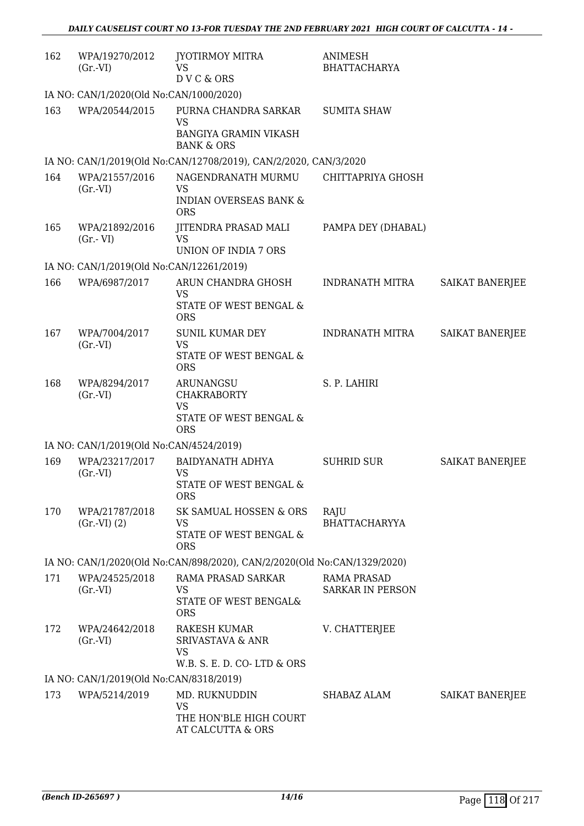| 162 | WPA/19270/2012<br>$(Gr.-VI)$             | JYOTIRMOY MITRA<br>VS<br>DVC & ORS                                                        | ANIMESH<br><b>BHATTACHARYA</b>                |                        |  |  |
|-----|------------------------------------------|-------------------------------------------------------------------------------------------|-----------------------------------------------|------------------------|--|--|
|     | IA NO: CAN/1/2020(Old No:CAN/1000/2020)  |                                                                                           |                                               |                        |  |  |
| 163 | WPA/20544/2015                           | PURNA CHANDRA SARKAR<br><b>VS</b><br>BANGIYA GRAMIN VIKASH<br><b>BANK &amp; ORS</b>       | <b>SUMITA SHAW</b>                            |                        |  |  |
|     |                                          | IA NO: CAN/1/2019(Old No:CAN/12708/2019), CAN/2/2020, CAN/3/2020                          |                                               |                        |  |  |
| 164 | WPA/21557/2016<br>$(Gr.-VI)$             | NAGENDRANATH MURMU<br>VS                                                                  | CHITTAPRIYA GHOSH                             |                        |  |  |
|     |                                          | <b>INDIAN OVERSEAS BANK &amp;</b><br><b>ORS</b>                                           |                                               |                        |  |  |
| 165 | WPA/21892/2016<br>$(Gr.-VI)$             | JITENDRA PRASAD MALI<br><b>VS</b><br>UNION OF INDIA 7 ORS                                 | PAMPA DEY (DHABAL)                            |                        |  |  |
|     | IA NO: CAN/1/2019(Old No:CAN/12261/2019) |                                                                                           |                                               |                        |  |  |
| 166 | WPA/6987/2017                            | ARUN CHANDRA GHOSH<br>VS<br>STATE OF WEST BENGAL &                                        | <b>INDRANATH MITRA</b>                        | SAIKAT BANERJEE        |  |  |
| 167 | WPA/7004/2017<br>$(Gr.-VI)$              | <b>ORS</b><br><b>SUNIL KUMAR DEY</b><br><b>VS</b><br>STATE OF WEST BENGAL &<br><b>ORS</b> | <b>INDRANATH MITRA</b>                        | SAIKAT BANERJEE        |  |  |
| 168 | WPA/8294/2017<br>$(Gr.-VI)$              | ARUNANGSU<br><b>CHAKRABORTY</b><br><b>VS</b><br>STATE OF WEST BENGAL &<br><b>ORS</b>      | S. P. LAHIRI                                  |                        |  |  |
|     | IA NO: CAN/1/2019(Old No:CAN/4524/2019)  |                                                                                           |                                               |                        |  |  |
| 169 | WPA/23217/2017<br>$(Gr.-VI)$             | BAIDYANATH ADHYA<br><b>VS</b><br>STATE OF WEST BENGAL &<br><b>ORS</b>                     | <b>SUHRID SUR</b>                             | <b>SAIKAT BANERJEE</b> |  |  |
| 170 | WPA/21787/2018<br>(Gr.VI) (2)            | SK SAMUAL HOSSEN & ORS<br><b>VS</b><br>STATE OF WEST BENGAL &<br><b>ORS</b>               | RAJU<br><b>BHATTACHARYYA</b>                  |                        |  |  |
|     |                                          | IA NO: CAN/1/2020(Old No:CAN/898/2020), CAN/2/2020(Old No:CAN/1329/2020)                  |                                               |                        |  |  |
| 171 | WPA/24525/2018<br>(Gr.VI)                | RAMA PRASAD SARKAR<br>VS<br>STATE OF WEST BENGAL&<br><b>ORS</b>                           | <b>RAMA PRASAD</b><br><b>SARKAR IN PERSON</b> |                        |  |  |
| 172 | WPA/24642/2018<br>(Gr.VI)                | RAKESH KUMAR<br><b>SRIVASTAVA &amp; ANR</b><br>VS<br>W.B. S. E. D. CO-LTD & ORS           | V. CHATTERJEE                                 |                        |  |  |
|     | IA NO: CAN/1/2019(Old No:CAN/8318/2019)  |                                                                                           |                                               |                        |  |  |
| 173 | WPA/5214/2019                            | MD. RUKNUDDIN<br>VS<br>THE HON'BLE HIGH COURT<br>AT CALCUTTA & ORS                        | SHABAZ ALAM                                   | SAIKAT BANERJEE        |  |  |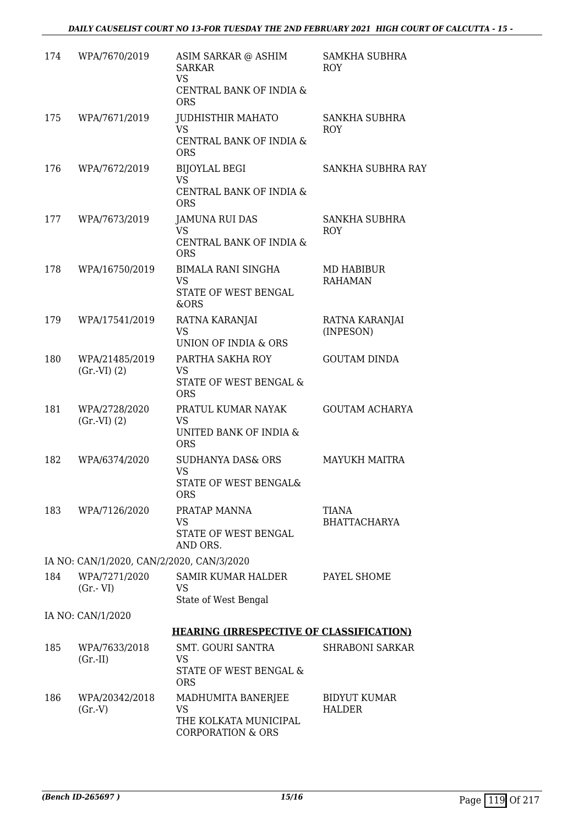#### *DAILY CAUSELIST COURT NO 13-FOR TUESDAY THE 2ND FEBRUARY 2021 HIGH COURT OF CALCUTTA - 15 -*

| 174 | WPA/7670/2019                             | ASIM SARKAR @ ASHIM<br><b>SARKAR</b><br><b>VS</b><br>CENTRAL BANK OF INDIA &<br><b>ORS</b> | <b>SAMKHA SUBHRA</b><br><b>ROY</b> |
|-----|-------------------------------------------|--------------------------------------------------------------------------------------------|------------------------------------|
| 175 | WPA/7671/2019                             | <b>JUDHISTHIR MAHATO</b><br><b>VS</b><br>CENTRAL BANK OF INDIA &                           | SANKHA SUBHRA<br><b>ROY</b>        |
| 176 | WPA/7672/2019                             | <b>ORS</b>                                                                                 | SANKHA SUBHRA RAY                  |
|     |                                           | <b>BIJOYLAL BEGI</b><br>VS<br>CENTRAL BANK OF INDIA &<br><b>ORS</b>                        |                                    |
| 177 | WPA/7673/2019                             | <b>JAMUNA RUI DAS</b><br>VS                                                                | SANKHA SUBHRA<br>ROY               |
|     |                                           | CENTRAL BANK OF INDIA &<br><b>ORS</b>                                                      |                                    |
| 178 | WPA/16750/2019                            | BIMALA RANI SINGHA<br><b>VS</b><br>STATE OF WEST BENGAL<br>&ORS                            | MD HABIBUR<br><b>RAHAMAN</b>       |
| 179 | WPA/17541/2019                            | RATNA KARANJAI<br><b>VS</b><br>UNION OF INDIA & ORS                                        | RATNA KARANJAI<br>(INPESON)        |
| 180 | WPA/21485/2019<br>(Gr.VI) (2)             | PARTHA SAKHA ROY<br>VS<br>STATE OF WEST BENGAL &<br><b>ORS</b>                             | <b>GOUTAM DINDA</b>                |
| 181 | WPA/2728/2020<br>(Gr.VI) (2)              | PRATUL KUMAR NAYAK<br><b>VS</b><br>UNITED BANK OF INDIA &<br><b>ORS</b>                    | <b>GOUTAM ACHARYA</b>              |
| 182 | WPA/6374/2020                             | <b>SUDHANYA DAS&amp; ORS</b><br>VS<br>STATE OF WEST BENGAL&<br><b>ORS</b>                  | <b>MAYUKH MAITRA</b>               |
| 183 | WPA/7126/2020                             | PRATAP MANNA<br>VS<br>STATE OF WEST BENGAL<br>AND ORS.                                     | TIANA<br><b>BHATTACHARYA</b>       |
|     | IA NO: CAN/1/2020, CAN/2/2020, CAN/3/2020 |                                                                                            |                                    |
| 184 | WPA/7271/2020<br>$(Gr.-VI)$               | SAMIR KUMAR HALDER<br>VS<br>State of West Bengal                                           | PAYEL SHOME                        |
|     | IA NO: CAN/1/2020                         |                                                                                            |                                    |
|     |                                           | <b>HEARING (IRRESPECTIVE OF CLASSIFICATION)</b>                                            |                                    |
| 185 | WPA/7633/2018<br>$(Gr.-II)$               | SMT. GOURI SANTRA<br>VS<br>STATE OF WEST BENGAL &<br><b>ORS</b>                            | <b>SHRABONI SARKAR</b>             |
| 186 | WPA/20342/2018<br>(Gr.V)                  | MADHUMITA BANERJEE<br>VS<br>THE KOLKATA MUNICIPAL<br><b>CORPORATION &amp; ORS</b>          | BIDYUT KUMAR<br>HALDER             |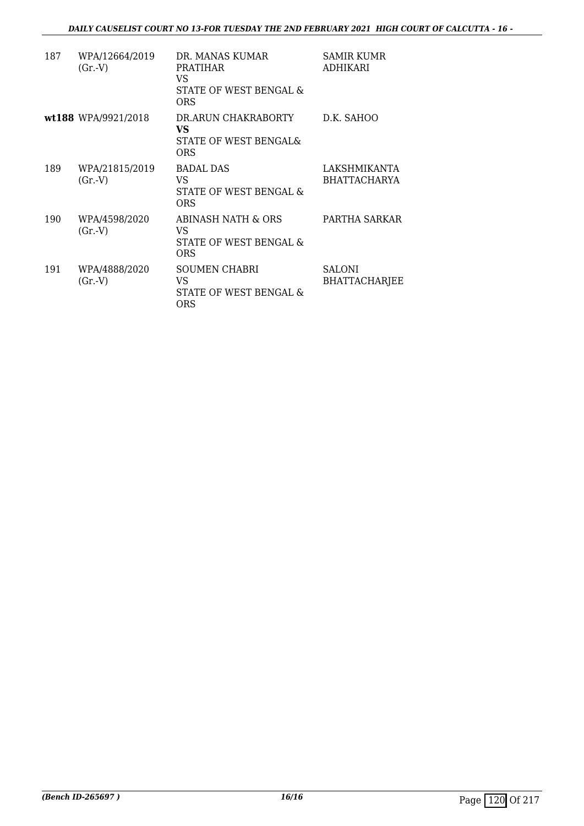| 187 | WPA/12664/2019<br>(Gr.V) | DR. MANAS KUMAR<br>PRATIHAR<br>VS<br>STATE OF WEST BENGAL &<br><b>ORS</b> | SAMIR KUMR<br><b>ADHIKARI</b>         |
|-----|--------------------------|---------------------------------------------------------------------------|---------------------------------------|
|     | wt188 WPA/9921/2018      | DR.ARUN CHAKRABORTY<br>VS<br>STATE OF WEST BENGAL&<br><b>ORS</b>          | D.K. SAHOO                            |
| 189 | WPA/21815/2019<br>(Gr.V) | <b>BADAL DAS</b><br>VS<br>STATE OF WEST BENGAL &<br>ORS                   | LAKSHMIKANTA<br><b>BHATTACHARYA</b>   |
| 190 | WPA/4598/2020<br>(Gr.V)  | ABINASH NATH & ORS<br>VS<br>STATE OF WEST BENGAL &<br><b>ORS</b>          | PARTHA SARKAR                         |
| 191 | WPA/4888/2020<br>(Gr.V)  | <b>SOUMEN CHABRI</b><br>VS<br>STATE OF WEST BENGAL &<br><b>ORS</b>        | <b>SALONI</b><br><b>BHATTACHARJEE</b> |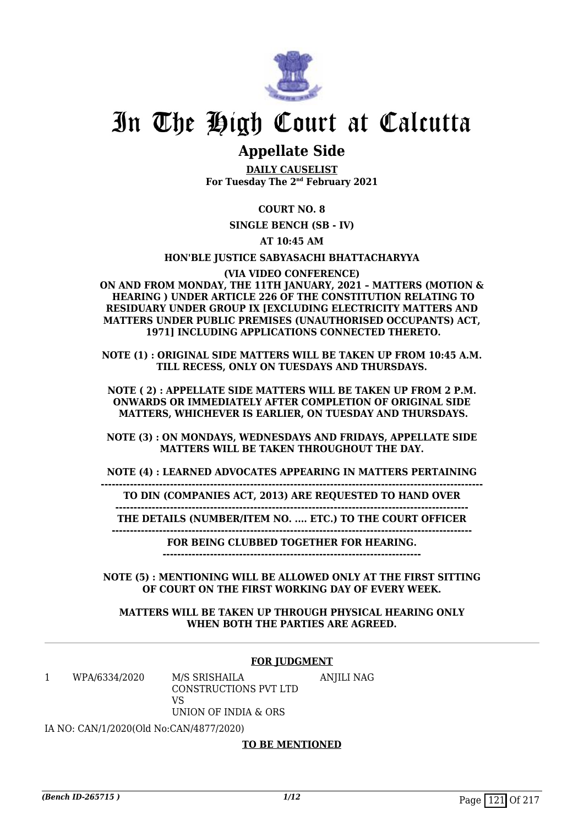

## In The High Court at Calcutta

### **Appellate Side**

**DAILY CAUSELIST For Tuesday The 2nd February 2021**

#### **COURT NO. 8**

**SINGLE BENCH (SB - IV)**

#### **AT 10:45 AM**

#### **HON'BLE JUSTICE SABYASACHI BHATTACHARYYA**

**(VIA VIDEO CONFERENCE) ON AND FROM MONDAY, THE 11TH JANUARY, 2021 – MATTERS (MOTION & HEARING ) UNDER ARTICLE 226 OF THE CONSTITUTION RELATING TO RESIDUARY UNDER GROUP IX [EXCLUDING ELECTRICITY MATTERS AND MATTERS UNDER PUBLIC PREMISES (UNAUTHORISED OCCUPANTS) ACT, 1971] INCLUDING APPLICATIONS CONNECTED THERETO.**

**NOTE (1) : ORIGINAL SIDE MATTERS WILL BE TAKEN UP FROM 10:45 A.M. TILL RECESS, ONLY ON TUESDAYS AND THURSDAYS.**

**NOTE ( 2) : APPELLATE SIDE MATTERS WILL BE TAKEN UP FROM 2 P.M. ONWARDS OR IMMEDIATELY AFTER COMPLETION OF ORIGINAL SIDE MATTERS, WHICHEVER IS EARLIER, ON TUESDAY AND THURSDAYS.**

**NOTE (3) : ON MONDAYS, WEDNESDAYS AND FRIDAYS, APPELLATE SIDE MATTERS WILL BE TAKEN THROUGHOUT THE DAY.**

**NOTE (4) : LEARNED ADVOCATES APPEARING IN MATTERS PERTAINING**

**--------------------------------------------------------------------------------------------------------- TO DIN (COMPANIES ACT, 2013) ARE REQUESTED TO HAND OVER**

**-------------------------------------------------------------------------------------------------**

**THE DETAILS (NUMBER/ITEM NO. .... ETC.) TO THE COURT OFFICER ---------------------------------------------------------------------------------------------------**

**FOR BEING CLUBBED TOGETHER FOR HEARING.**

**-----------------------------------------------------------------------**

**NOTE (5) : MENTIONING WILL BE ALLOWED ONLY AT THE FIRST SITTING OF COURT ON THE FIRST WORKING DAY OF EVERY WEEK.**

#### **MATTERS WILL BE TAKEN UP THROUGH PHYSICAL HEARING ONLY WHEN BOTH THE PARTIES ARE AGREED.**

#### **FOR JUDGMENT**

1 WPA/6334/2020 M/S SRISHAILA CONSTRUCTIONS PVT LTD  $V<sup>Q</sup>$ ANJILI NAG

UNION OF INDIA & ORS

IA NO: CAN/1/2020(Old No:CAN/4877/2020)

#### **TO BE MENTIONED**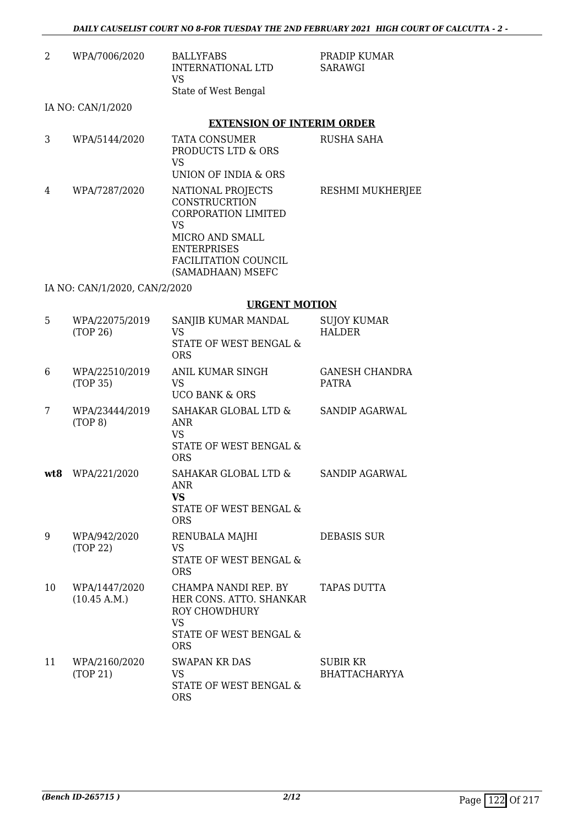| 2   | WPA/7006/2020                 | <b>BALLYFABS</b><br>INTERNATIONAL LTD<br><b>VS</b><br>State of West Bengal                                                                                                        | PRADIP KUMAR<br><b>SARAWGI</b>        |
|-----|-------------------------------|-----------------------------------------------------------------------------------------------------------------------------------------------------------------------------------|---------------------------------------|
|     | IA NO: CAN/1/2020             |                                                                                                                                                                                   |                                       |
|     |                               | <b>EXTENSION OF INTERIM ORDER</b>                                                                                                                                                 |                                       |
| 3   | WPA/5144/2020                 | <b>TATA CONSUMER</b><br>PRODUCTS LTD & ORS<br><b>VS</b><br>UNION OF INDIA & ORS                                                                                                   | <b>RUSHA SAHA</b>                     |
| 4   | WPA/7287/2020                 | NATIONAL PROJECTS<br><b>CONSTRUCRTION</b><br><b>CORPORATION LIMITED</b><br><b>VS</b><br>MICRO AND SMALL<br><b>ENTERPRISES</b><br><b>FACILITATION COUNCIL</b><br>(SAMADHAAN) MSEFC | RESHMI MUKHERJEE                      |
|     | IA NO: CAN/1/2020, CAN/2/2020 |                                                                                                                                                                                   |                                       |
|     |                               | <b>URGENT MOTION</b>                                                                                                                                                              |                                       |
| 5   | WPA/22075/2019<br>(TOP 26)    | SANJIB KUMAR MANDAL<br>VS<br>STATE OF WEST BENGAL &<br><b>ORS</b>                                                                                                                 | <b>SUJOY KUMAR</b><br><b>HALDER</b>   |
| 6   | WPA/22510/2019<br>(TOP 35)    | ANIL KUMAR SINGH<br><b>VS</b><br><b>UCO BANK &amp; ORS</b>                                                                                                                        | <b>GANESH CHANDRA</b><br><b>PATRA</b> |
| 7   | WPA/23444/2019<br>(TOP 8)     | SAHAKAR GLOBAL LTD &<br><b>ANR</b><br>VS.<br>STATE OF WEST BENGAL &<br><b>ORS</b>                                                                                                 | <b>SANDIP AGARWAL</b>                 |
| wt8 | WPA/221/2020                  | SAHAKAR GLOBAL LTD &<br><b>ANR</b><br><b>VS</b>                                                                                                                                   | <b>SANDIP AGARWAL</b>                 |

STATE OF WEST BENGAL & ORS 9 WPA/942/2020 (TOP 22) RENUBALA MAJHI VS STATE OF WEST BENGAL & ORS DEBASIS SUR 10 WPA/1447/2020 (10.45 A.M.) CHAMPA NANDI REP. BY HER CONS. ATTO. SHANKAR ROY CHOWDHURY VS STATE OF WEST BENGAL & ORS TAPAS DUTTA 11 WPA/2160/2020 (TOP 21) SWAPAN KR DAS VS STATE OF WEST BENGAL & ORS SUBIR KR BHATTACHARYYA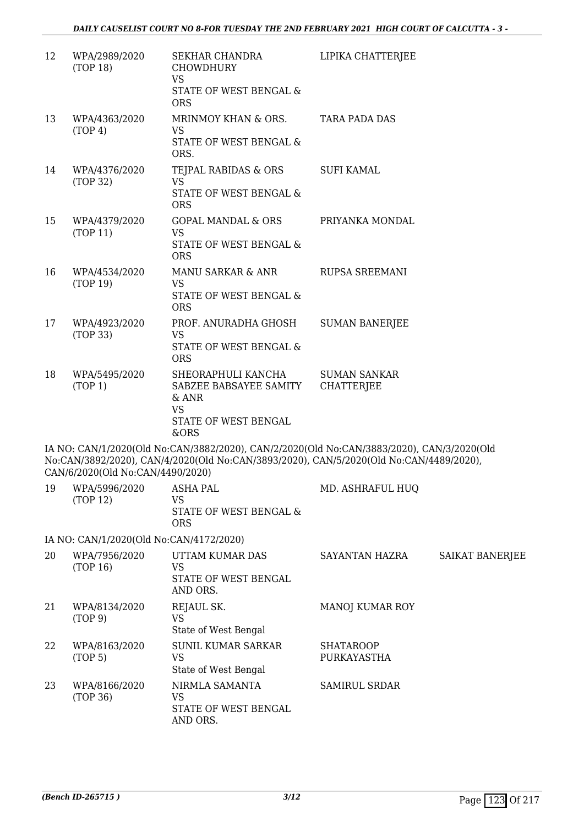| 12 | WPA/2989/2020<br>(TOP 18)               | SEKHAR CHANDRA<br><b>CHOWDHURY</b><br><b>VS</b>                                                                                                                                     | LIPIKA CHATTERJEE                        |                        |
|----|-----------------------------------------|-------------------------------------------------------------------------------------------------------------------------------------------------------------------------------------|------------------------------------------|------------------------|
|    |                                         | STATE OF WEST BENGAL &<br><b>ORS</b>                                                                                                                                                |                                          |                        |
| 13 | WPA/4363/2020<br>(TOP 4)                | MRINMOY KHAN & ORS.<br><b>VS</b><br>STATE OF WEST BENGAL &<br>ORS.                                                                                                                  | <b>TARA PADA DAS</b>                     |                        |
| 14 | WPA/4376/2020<br>(TOP 32)               | TEJPAL RABIDAS & ORS<br><b>VS</b><br>STATE OF WEST BENGAL &<br><b>ORS</b>                                                                                                           | <b>SUFI KAMAL</b>                        |                        |
| 15 | WPA/4379/2020<br>(TOP 11)               | <b>GOPAL MANDAL &amp; ORS</b><br><b>VS</b><br>STATE OF WEST BENGAL &<br><b>ORS</b>                                                                                                  | PRIYANKA MONDAL                          |                        |
| 16 | WPA/4534/2020<br>(TOP 19)               | MANU SARKAR & ANR<br><b>VS</b><br>STATE OF WEST BENGAL &<br><b>ORS</b>                                                                                                              | <b>RUPSA SREEMANI</b>                    |                        |
| 17 | WPA/4923/2020<br>(TOP 33)               | PROF. ANURADHA GHOSH<br><b>VS</b><br>STATE OF WEST BENGAL &<br><b>ORS</b>                                                                                                           | <b>SUMAN BANERJEE</b>                    |                        |
| 18 | WPA/5495/2020<br>(TOP 1)                | SHEORAPHULI KANCHA<br>SABZEE BABSAYEE SAMITY<br>& ANR<br><b>VS</b><br>STATE OF WEST BENGAL<br>&ORS                                                                                  | <b>SUMAN SANKAR</b><br><b>CHATTERJEE</b> |                        |
|    | CAN/6/2020(Old No:CAN/4490/2020)        | IA NO: CAN/1/2020(Old No:CAN/3882/2020), CAN/2/2020(Old No:CAN/3883/2020), CAN/3/2020(Old<br>No:CAN/3892/2020), CAN/4/2020(Old No:CAN/3893/2020), CAN/5/2020(Old No:CAN/4489/2020), |                                          |                        |
|    | 19 WPA/5996/2020<br>(TOP 12)            | <b>ASHA PAL</b><br><b>VS</b><br>STATE OF WEST BENGAL &<br><b>ORS</b>                                                                                                                | MD. ASHRAFUL HUQ                         |                        |
|    | IA NO: CAN/1/2020(Old No:CAN/4172/2020) |                                                                                                                                                                                     |                                          |                        |
| 20 | WPA/7956/2020<br>(TOP 16)               | UTTAM KUMAR DAS<br><b>VS</b><br>STATE OF WEST BENGAL<br>AND ORS.                                                                                                                    | SAYANTAN HAZRA                           | <b>SAIKAT BANERJEE</b> |
| 21 | WPA/8134/2020<br>(TOP 9)                | REJAUL SK.<br><b>VS</b><br>State of West Bengal                                                                                                                                     | <b>MANOJ KUMAR ROY</b>                   |                        |
| 22 | WPA/8163/2020<br>(TOP <sub>5</sub> )    | <b>SUNIL KUMAR SARKAR</b><br><b>VS</b><br>State of West Bengal                                                                                                                      | <b>SHATAROOP</b><br>PURKAYASTHA          |                        |
| 23 | WPA/8166/2020<br>(TOP 36)               | NIRMLA SAMANTA<br><b>VS</b><br>STATE OF WEST BENGAL<br>AND ORS.                                                                                                                     | <b>SAMIRUL SRDAR</b>                     |                        |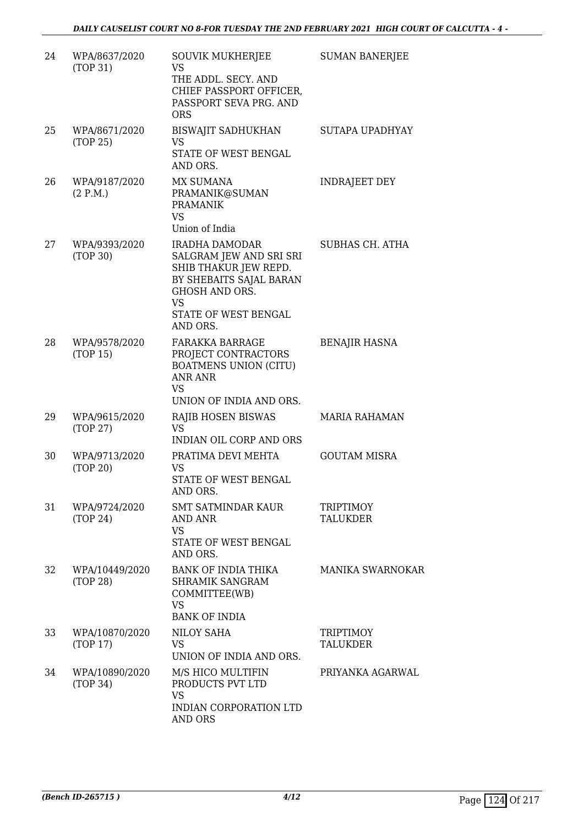| 24 | WPA/8637/2020<br>(TOP 31)  | <b>SOUVIK MUKHERJEE</b><br><b>VS</b><br>THE ADDL. SECY. AND<br>CHIEF PASSPORT OFFICER,<br>PASSPORT SEVA PRG. AND<br><b>ORS</b>                                   | <b>SUMAN BANERJEE</b>               |
|----|----------------------------|------------------------------------------------------------------------------------------------------------------------------------------------------------------|-------------------------------------|
| 25 | WPA/8671/2020<br>(TOP 25)  | <b>BISWAJIT SADHUKHAN</b><br>VS<br>STATE OF WEST BENGAL<br>AND ORS.                                                                                              | SUTAPA UPADHYAY                     |
| 26 | WPA/9187/2020<br>(2 P.M.)  | <b>MX SUMANA</b><br>PRAMANIK@SUMAN<br><b>PRAMANIK</b><br>VS.<br>Union of India                                                                                   | <b>INDRAJEET DEY</b>                |
| 27 | WPA/9393/2020<br>(TOP 30)  | IRADHA DAMODAR<br>SALGRAM JEW AND SRI SRI<br>SHIB THAKUR JEW REPD.<br>BY SHEBAITS SAJAL BARAN<br>GHOSH AND ORS.<br><b>VS</b><br>STATE OF WEST BENGAL<br>AND ORS. | SUBHAS CH. ATHA                     |
| 28 | WPA/9578/2020<br>(TOP 15)  | <b>FARAKKA BARRAGE</b><br>PROJECT CONTRACTORS<br><b>BOATMENS UNION (CITU)</b><br><b>ANR ANR</b><br><b>VS</b><br>UNION OF INDIA AND ORS.                          | <b>BENAJIR HASNA</b>                |
| 29 | WPA/9615/2020<br>(TOP 27)  | <b>RAJIB HOSEN BISWAS</b><br><b>VS</b><br><b>INDIAN OIL CORP AND ORS</b>                                                                                         | <b>MARIA RAHAMAN</b>                |
| 30 | WPA/9713/2020<br>(TOP 20)  | PRATIMA DEVI MEHTA<br><b>VS</b><br>STATE OF WEST BENGAL<br>AND ORS.                                                                                              | <b>GOUTAM MISRA</b>                 |
| 31 | WPA/9724/2020<br>(TOP 24)  | SMT SATMINDAR KAUR<br>AND ANR<br><b>VS</b><br>STATE OF WEST BENGAL<br>AND ORS.                                                                                   | <b>TRIPTIMOY</b><br><b>TALUKDER</b> |
| 32 | WPA/10449/2020<br>(TOP 28) | <b>BANK OF INDIA THIKA</b><br>SHRAMIK SANGRAM<br>COMMITTEE(WB)<br><b>VS</b><br><b>BANK OF INDIA</b>                                                              | <b>MANIKA SWARNOKAR</b>             |
| 33 | WPA/10870/2020<br>(TOP 17) | NILOY SAHA<br>VS.<br>UNION OF INDIA AND ORS.                                                                                                                     | <b>TRIPTIMOY</b><br><b>TALUKDER</b> |
| 34 | WPA/10890/2020<br>(TOP 34) | M/S HICO MULTIFIN<br>PRODUCTS PVT LTD<br><b>VS</b><br>INDIAN CORPORATION LTD<br><b>AND ORS</b>                                                                   | PRIYANKA AGARWAL                    |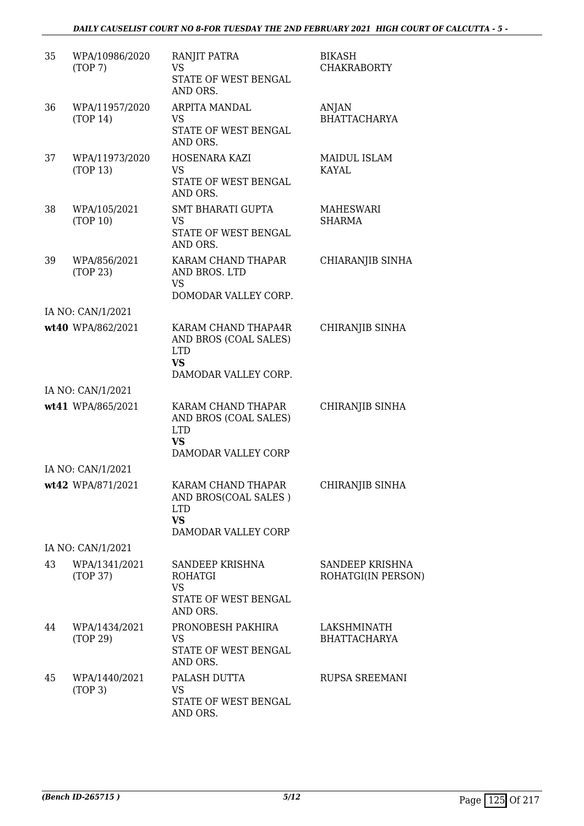| 35 | WPA/10986/2020<br>(TOP7)   | RANJIT PATRA<br><b>VS</b><br>STATE OF WEST BENGAL<br>AND ORS.                                   | BIKASH<br><b>CHAKRABORTY</b>          |
|----|----------------------------|-------------------------------------------------------------------------------------------------|---------------------------------------|
| 36 | WPA/11957/2020<br>(TOP 14) | <b>ARPITA MANDAL</b><br><b>VS</b><br>STATE OF WEST BENGAL<br>AND ORS.                           | <b>ANJAN</b><br><b>BHATTACHARYA</b>   |
| 37 | WPA/11973/2020<br>(TOP 13) | HOSENARA KAZI<br><b>VS</b><br>STATE OF WEST BENGAL<br>AND ORS.                                  | <b>MAIDUL ISLAM</b><br><b>KAYAL</b>   |
| 38 | WPA/105/2021<br>(TOP 10)   | <b>SMT BHARATI GUPTA</b><br><b>VS</b><br>STATE OF WEST BENGAL<br>AND ORS.                       | MAHESWARI<br><b>SHARMA</b>            |
| 39 | WPA/856/2021<br>(TOP 23)   | KARAM CHAND THAPAR<br>AND BROS. LTD<br><b>VS</b><br>DOMODAR VALLEY CORP.                        | CHIARANJIB SINHA                      |
|    | IA NO: CAN/1/2021          |                                                                                                 |                                       |
|    | wt40 WPA/862/2021          | KARAM CHAND THAPA4R<br>AND BROS (COAL SALES)<br><b>LTD</b><br><b>VS</b><br>DAMODAR VALLEY CORP. | CHIRANJIB SINHA                       |
|    | IA NO: CAN/1/2021          |                                                                                                 |                                       |
|    | wt41 WPA/865/2021          | KARAM CHAND THAPAR<br>AND BROS (COAL SALES)<br><b>LTD</b><br><b>VS</b><br>DAMODAR VALLEY CORP   | CHIRANJIB SINHA                       |
|    | IA NO: CAN/1/2021          |                                                                                                 |                                       |
|    | wt42 WPA/871/2021          | KARAM CHAND THAPAR<br>AND BROS(COAL SALES)<br><b>LTD</b><br><b>VS</b><br>DAMODAR VALLEY CORP    | CHIRANJIB SINHA                       |
|    | IA NO: CAN/1/2021          |                                                                                                 |                                       |
| 43 | WPA/1341/2021<br>(TOP 37)  | SANDEEP KRISHNA<br><b>ROHATGI</b><br><b>VS</b><br>STATE OF WEST BENGAL<br>AND ORS.              | SANDEEP KRISHNA<br>ROHATGI(IN PERSON) |
| 44 | WPA/1434/2021<br>(TOP 29)  | PRONOBESH PAKHIRA<br>VS<br>STATE OF WEST BENGAL<br>AND ORS.                                     | LAKSHMINATH<br><b>BHATTACHARYA</b>    |
| 45 | WPA/1440/2021<br>(TOP 3)   | PALASH DUTTA<br><b>VS</b><br>STATE OF WEST BENGAL<br>AND ORS.                                   | <b>RUPSA SREEMANI</b>                 |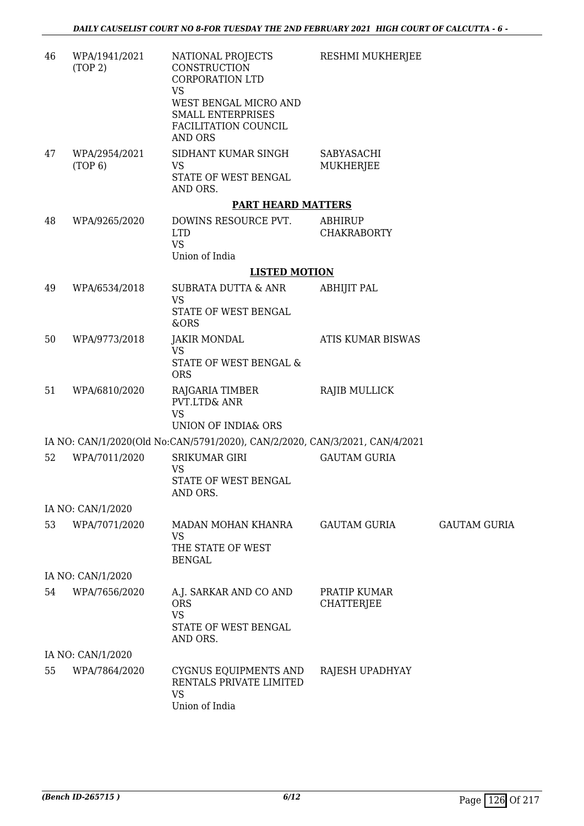| 46 | WPA/1941/2021<br>(TOP 2) | NATIONAL PROJECTS<br>CONSTRUCTION<br><b>CORPORATION LTD</b>                                       | RESHMI MUKHERJEE                     |                     |
|----|--------------------------|---------------------------------------------------------------------------------------------------|--------------------------------------|---------------------|
|    |                          | <b>VS</b><br>WEST BENGAL MICRO AND<br><b>SMALL ENTERPRISES</b><br>FACILITATION COUNCIL<br>AND ORS |                                      |                     |
| 47 | WPA/2954/2021<br>(TOP 6) | SIDHANT KUMAR SINGH<br><b>VS</b><br>STATE OF WEST BENGAL<br>AND ORS.                              | SABYASACHI<br>MUKHERJEE              |                     |
|    |                          | <b>PART HEARD MATTERS</b>                                                                         |                                      |                     |
| 48 | WPA/9265/2020            | DOWINS RESOURCE PVT.<br><b>LTD</b><br><b>VS</b><br>Union of India                                 | <b>ABHIRUP</b><br><b>CHAKRABORTY</b> |                     |
|    |                          | <b>LISTED MOTION</b>                                                                              |                                      |                     |
| 49 | WPA/6534/2018            | SUBRATA DUTTA & ANR<br><b>VS</b><br>STATE OF WEST BENGAL                                          | <b>ABHIJIT PAL</b>                   |                     |
| 50 | WPA/9773/2018            | &ORS<br><b>JAKIR MONDAL</b>                                                                       | ATIS KUMAR BISWAS                    |                     |
|    |                          | <b>VS</b>                                                                                         |                                      |                     |
|    |                          | STATE OF WEST BENGAL &<br><b>ORS</b>                                                              |                                      |                     |
| 51 | WPA/6810/2020            | RAJGARIA TIMBER<br><b>PVT.LTD&amp; ANR</b><br><b>VS</b><br>UNION OF INDIA& ORS                    | <b>RAJIB MULLICK</b>                 |                     |
|    |                          | IA NO: CAN/1/2020(Old No:CAN/5791/2020), CAN/2/2020, CAN/3/2021, CAN/4/2021                       |                                      |                     |
| 52 | WPA/7011/2020            | <b>SRIKUMAR GIRI</b><br><b>VS</b><br>STATE OF WEST BENGAL<br>AND ORS.                             | <b>GAUTAM GURIA</b>                  |                     |
|    | IA NO: CAN/1/2020        |                                                                                                   |                                      |                     |
| 53 | WPA/7071/2020            | MADAN MOHAN KHANRA<br><b>VS</b><br>THE STATE OF WEST<br><b>BENGAL</b>                             | <b>GAUTAM GURIA</b>                  | <b>GAUTAM GURIA</b> |
|    | IA NO: CAN/1/2020        |                                                                                                   |                                      |                     |
| 54 | WPA/7656/2020            | A.J. SARKAR AND CO AND<br><b>ORS</b><br><b>VS</b><br>STATE OF WEST BENGAL<br>AND ORS.             | PRATIP KUMAR<br>CHATTERJEE           |                     |
|    | IA NO: CAN/1/2020        |                                                                                                   |                                      |                     |
| 55 | WPA/7864/2020            | CYGNUS EQUIPMENTS AND<br>RENTALS PRIVATE LIMITED<br><b>VS</b><br>Union of India                   | RAJESH UPADHYAY                      |                     |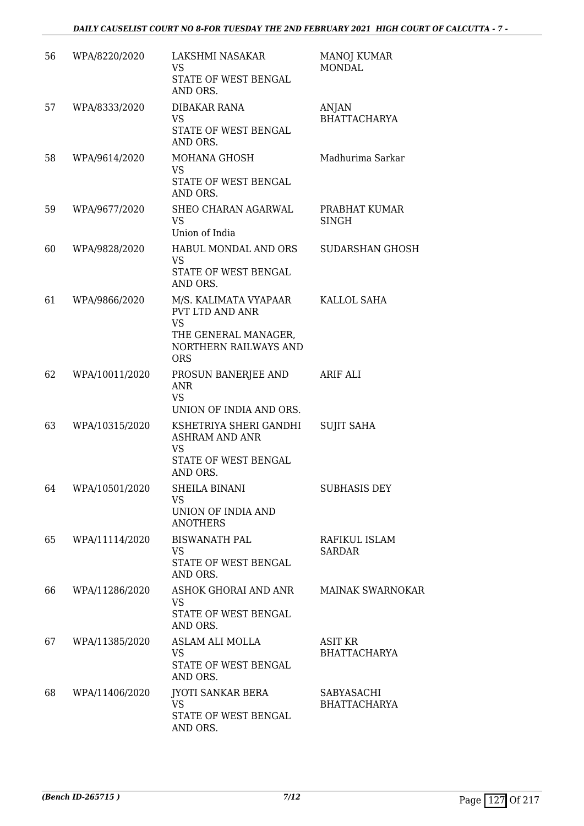| 56 | WPA/8220/2020  | LAKSHMI NASAKAR<br><b>VS</b><br>STATE OF WEST BENGAL<br>AND ORS.                                                     | <b>MANOJ KUMAR</b><br><b>MONDAL</b>   |
|----|----------------|----------------------------------------------------------------------------------------------------------------------|---------------------------------------|
| 57 | WPA/8333/2020  | <b>DIBAKAR RANA</b><br><b>VS</b><br>STATE OF WEST BENGAL<br>AND ORS.                                                 | <b>ANJAN</b><br><b>BHATTACHARYA</b>   |
| 58 | WPA/9614/2020  | <b>MOHANA GHOSH</b><br><b>VS</b><br>STATE OF WEST BENGAL<br>AND ORS.                                                 | Madhurima Sarkar                      |
| 59 | WPA/9677/2020  | SHEO CHARAN AGARWAL<br><b>VS</b><br>Union of India                                                                   | PRABHAT KUMAR<br><b>SINGH</b>         |
| 60 | WPA/9828/2020  | HABUL MONDAL AND ORS<br><b>VS</b><br>STATE OF WEST BENGAL<br>AND ORS.                                                | <b>SUDARSHAN GHOSH</b>                |
| 61 | WPA/9866/2020  | M/S. KALIMATA VYAPAAR<br>PVT LTD AND ANR<br><b>VS</b><br>THE GENERAL MANAGER,<br>NORTHERN RAILWAYS AND<br><b>ORS</b> | KALLOL SAHA                           |
| 62 | WPA/10011/2020 | PROSUN BANERJEE AND<br>ANR<br><b>VS</b><br>UNION OF INDIA AND ORS.                                                   | ARIF ALI                              |
| 63 | WPA/10315/2020 | KSHETRIYA SHERI GANDHI<br><b>ASHRAM AND ANR</b><br><b>VS</b><br>STATE OF WEST BENGAL<br>AND ORS.                     | <b>SUJIT SAHA</b>                     |
| 64 | WPA/10501/2020 | <b>SHEILA BINANI</b><br><b>VS</b><br>UNION OF INDIA AND<br><b>ANOTHERS</b>                                           | <b>SUBHASIS DEY</b>                   |
| 65 | WPA/11114/2020 | <b>BISWANATH PAL</b><br><b>VS</b><br>STATE OF WEST BENGAL<br>AND ORS.                                                | RAFIKUL ISLAM<br><b>SARDAR</b>        |
| 66 | WPA/11286/2020 | ASHOK GHORAI AND ANR<br><b>VS</b><br>STATE OF WEST BENGAL<br>AND ORS.                                                | <b>MAINAK SWARNOKAR</b>               |
| 67 | WPA/11385/2020 | ASLAM ALI MOLLA<br><b>VS</b><br>STATE OF WEST BENGAL<br>AND ORS.                                                     | <b>ASIT KR</b><br><b>BHATTACHARYA</b> |
| 68 | WPA/11406/2020 | <b>JYOTI SANKAR BERA</b><br>VS.<br>STATE OF WEST BENGAL<br>AND ORS.                                                  | SABYASACHI<br><b>BHATTACHARYA</b>     |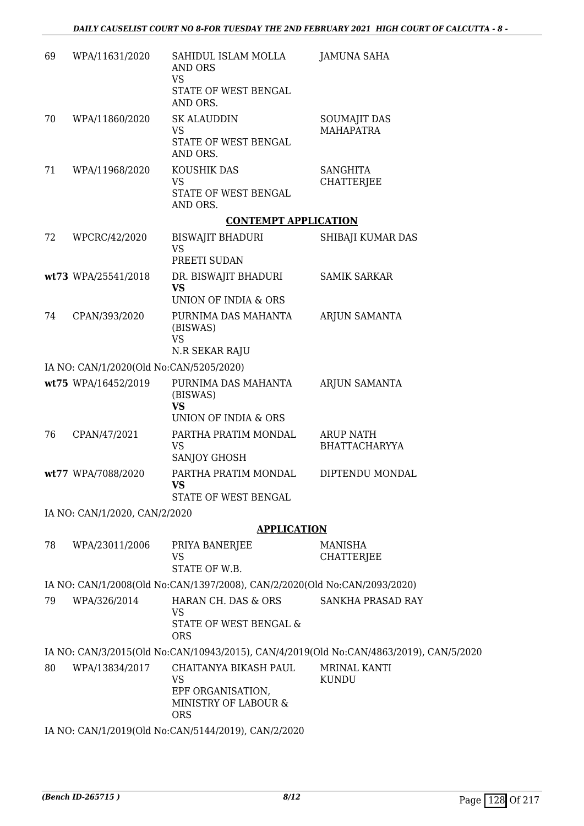| 69 | WPA/11631/2020                          | SAHIDUL ISLAM MOLLA<br>AND ORS<br><b>VS</b>                                                   | <b>JAMUNA SAHA</b>                                                                     |
|----|-----------------------------------------|-----------------------------------------------------------------------------------------------|----------------------------------------------------------------------------------------|
|    |                                         | STATE OF WEST BENGAL<br>AND ORS.                                                              |                                                                                        |
| 70 | WPA/11860/2020                          | <b>SK ALAUDDIN</b><br><b>VS</b>                                                               | <b>SOUMAJIT DAS</b><br><b>MAHAPATRA</b>                                                |
|    |                                         | STATE OF WEST BENGAL<br>AND ORS.                                                              |                                                                                        |
| 71 | WPA/11968/2020                          | KOUSHIK DAS                                                                                   | <b>SANGHITA</b>                                                                        |
|    |                                         | <b>VS</b><br>STATE OF WEST BENGAL<br>AND ORS.                                                 | <b>CHATTERJEE</b>                                                                      |
|    |                                         | <b>CONTEMPT APPLICATION</b>                                                                   |                                                                                        |
| 72 | WPCRC/42/2020                           | BISWAJIT BHADURI<br><b>VS</b>                                                                 | SHIBAJI KUMAR DAS                                                                      |
|    |                                         | PREETI SUDAN                                                                                  |                                                                                        |
|    | wt73 WPA/25541/2018                     | DR. BISWAJIT BHADURI<br><b>VS</b>                                                             | <b>SAMIK SARKAR</b>                                                                    |
|    |                                         | UNION OF INDIA & ORS                                                                          |                                                                                        |
| 74 | CPAN/393/2020                           | PURNIMA DAS MAHANTA<br>(BISWAS)<br><b>VS</b><br>N.R SEKAR RAJU                                | ARJUN SAMANTA                                                                          |
|    | IA NO: CAN/1/2020(Old No:CAN/5205/2020) |                                                                                               |                                                                                        |
|    | wt75 WPA/16452/2019                     | PURNIMA DAS MAHANTA<br>(BISWAS)                                                               | ARJUN SAMANTA                                                                          |
|    |                                         | <b>VS</b><br>UNION OF INDIA & ORS                                                             |                                                                                        |
| 76 | CPAN/47/2021                            | PARTHA PRATIM MONDAL<br><b>VS</b>                                                             | <b>ARUP NATH</b><br><b>BHATTACHARYYA</b>                                               |
|    |                                         | SANJOY GHOSH                                                                                  |                                                                                        |
|    | wt77 WPA/7088/2020                      | PARTHA PRATIM MONDAL<br><b>VS</b><br>STATE OF WEST BENGAL                                     | DIPTENDU MONDAL                                                                        |
|    | IA NO: CAN/1/2020, CAN/2/2020           |                                                                                               |                                                                                        |
|    |                                         | <b>APPLICATION</b>                                                                            |                                                                                        |
| 78 | WPA/23011/2006                          | PRIYA BANERJEE                                                                                | MANISHA                                                                                |
|    |                                         | <b>VS</b><br>STATE OF W.B.                                                                    | <b>CHATTERJEE</b>                                                                      |
|    |                                         | IA NO: CAN/1/2008(Old No:CAN/1397/2008), CAN/2/2020(Old No:CAN/2093/2020)                     |                                                                                        |
| 79 | WPA/326/2014                            | HARAN CH. DAS & ORS<br><b>VS</b>                                                              | SANKHA PRASAD RAY                                                                      |
|    |                                         | STATE OF WEST BENGAL &<br><b>ORS</b>                                                          |                                                                                        |
|    |                                         |                                                                                               | IA NO: CAN/3/2015(Old No:CAN/10943/2015), CAN/4/2019(Old No:CAN/4863/2019), CAN/5/2020 |
| 80 | WPA/13834/2017                          | CHAITANYA BIKASH PAUL<br><b>VS</b><br>EPF ORGANISATION,<br>MINISTRY OF LABOUR &<br><b>ORS</b> | MRINAL KANTI<br><b>KUNDU</b>                                                           |
|    |                                         | IA NO: CAN/1/2019(Old No:CAN/5144/2019), CAN/2/2020                                           |                                                                                        |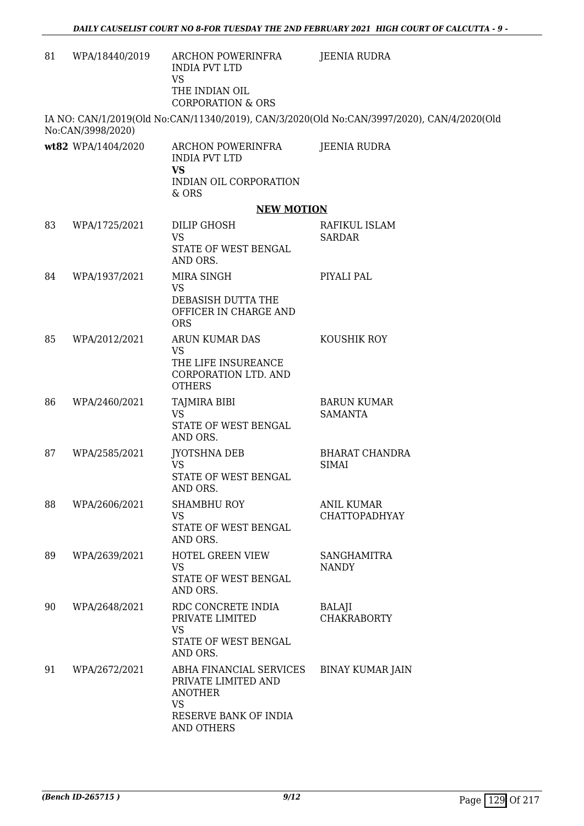| 81 | WPA/18440/2019     | ARCHON POWERINFRA<br><b>INDIA PVT LTD</b><br><b>VS</b><br>THE INDIAN OIL<br><b>CORPORATION &amp; ORS</b>             | JEENIA RUDRA                                                                               |
|----|--------------------|----------------------------------------------------------------------------------------------------------------------|--------------------------------------------------------------------------------------------|
|    | No:CAN/3998/2020)  |                                                                                                                      | IA NO: CAN/1/2019(Old No:CAN/11340/2019), CAN/3/2020(Old No:CAN/3997/2020), CAN/4/2020(Old |
|    | wt82 WPA/1404/2020 | ARCHON POWERINFRA<br><b>INDIA PVT LTD</b><br><b>VS</b><br>INDIAN OIL CORPORATION<br>& ORS                            | JEENIA RUDRA                                                                               |
|    |                    | <b>NEW MOTION</b>                                                                                                    |                                                                                            |
| 83 | WPA/1725/2021      | DILIP GHOSH<br><b>VS</b><br>STATE OF WEST BENGAL<br>AND ORS.                                                         | RAFIKUL ISLAM<br><b>SARDAR</b>                                                             |
| 84 | WPA/1937/2021      | MIRA SINGH<br><b>VS</b><br>DEBASISH DUTTA THE<br>OFFICER IN CHARGE AND<br><b>ORS</b>                                 | PIYALI PAL                                                                                 |
| 85 | WPA/2012/2021      | ARUN KUMAR DAS<br><b>VS</b><br>THE LIFE INSUREANCE<br>CORPORATION LTD. AND<br><b>OTHERS</b>                          | KOUSHIK ROY                                                                                |
| 86 | WPA/2460/2021      | TAJMIRA BIBI<br><b>VS</b><br>STATE OF WEST BENGAL<br>AND ORS.                                                        | <b>BARUN KUMAR</b><br><b>SAMANTA</b>                                                       |
| 87 | WPA/2585/2021      | JYOTSHNA DEB<br><b>VS</b><br>STATE OF WEST BENGAL<br>AND ORS                                                         | <b>BHARAT CHANDRA</b><br><b>SIMAI</b>                                                      |
| 88 | WPA/2606/2021      | <b>SHAMBHU ROY</b><br><b>VS</b><br>STATE OF WEST BENGAL<br>AND ORS.                                                  | ANIL KUMAR<br>CHATTOPADHYAY                                                                |
| 89 | WPA/2639/2021      | HOTEL GREEN VIEW<br><b>VS</b><br>STATE OF WEST BENGAL<br>AND ORS.                                                    | <b>SANGHAMITRA</b><br><b>NANDY</b>                                                         |
| 90 | WPA/2648/2021      | RDC CONCRETE INDIA<br>PRIVATE LIMITED<br><b>VS</b><br>STATE OF WEST BENGAL<br>AND ORS.                               | BALAJI<br><b>CHAKRABORTY</b>                                                               |
| 91 | WPA/2672/2021      | ABHA FINANCIAL SERVICES<br>PRIVATE LIMITED AND<br><b>ANOTHER</b><br><b>VS</b><br>RESERVE BANK OF INDIA<br>AND OTHERS | <b>BINAY KUMAR JAIN</b>                                                                    |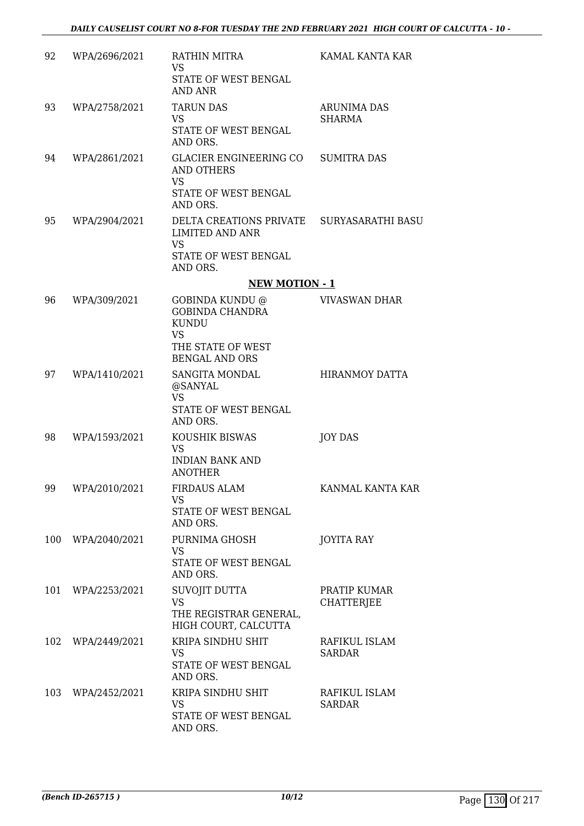| 92  | WPA/2696/2021 | RATHIN MITRA<br><b>VS</b><br>STATE OF WEST BENGAL<br><b>AND ANR</b>                                                  | KAMAL KANTA KAR                     |
|-----|---------------|----------------------------------------------------------------------------------------------------------------------|-------------------------------------|
| 93  | WPA/2758/2021 | <b>TARUN DAS</b><br><b>VS</b><br>STATE OF WEST BENGAL<br>AND ORS.                                                    | <b>ARUNIMA DAS</b><br><b>SHARMA</b> |
| 94  | WPA/2861/2021 | GLACIER ENGINEERING CO SUMITRA DAS<br>AND OTHERS<br><b>VS</b><br>STATE OF WEST BENGAL<br>AND ORS.                    |                                     |
| 95  | WPA/2904/2021 | DELTA CREATIONS PRIVATE SURYASARATHI BASU<br><b>LIMITED AND ANR</b><br><b>VS</b><br>STATE OF WEST BENGAL<br>AND ORS. |                                     |
|     |               | <b>NEW MOTION - 1</b>                                                                                                |                                     |
| 96  | WPA/309/2021  | GOBINDA KUNDU @<br><b>GOBINDA CHANDRA</b><br><b>KUNDU</b><br><b>VS</b><br>THE STATE OF WEST<br><b>BENGAL AND ORS</b> | <b>VIVASWAN DHAR</b>                |
| 97  | WPA/1410/2021 | SANGITA MONDAL<br>@SANYAL<br><b>VS</b><br>STATE OF WEST BENGAL<br>AND ORS.                                           | <b>HIRANMOY DATTA</b>               |
| 98  | WPA/1593/2021 | KOUSHIK BISWAS<br><b>VS</b><br><b>INDIAN BANK AND</b><br><b>ANOTHER</b>                                              | <b>JOY DAS</b>                      |
| 99  | WPA/2010/2021 | <b>FIRDAUS ALAM</b><br>VS<br>STATE OF WEST BENGAL<br>AND ORS.                                                        | KANMAL KANTA KAR                    |
| 100 | WPA/2040/2021 | PURNIMA GHOSH<br><b>VS</b><br>STATE OF WEST BENGAL<br>AND ORS.                                                       | <b>JOYITA RAY</b>                   |
| 101 | WPA/2253/2021 | SUVOJIT DUTTA<br><b>VS</b><br>THE REGISTRAR GENERAL,<br>HIGH COURT, CALCUTTA                                         | PRATIP KUMAR<br><b>CHATTERJEE</b>   |
| 102 | WPA/2449/2021 | KRIPA SINDHU SHIT<br><b>VS</b><br>STATE OF WEST BENGAL<br>AND ORS.                                                   | RAFIKUL ISLAM<br><b>SARDAR</b>      |
| 103 | WPA/2452/2021 | KRIPA SINDHU SHIT<br><b>VS</b><br>STATE OF WEST BENGAL<br>AND ORS.                                                   | RAFIKUL ISLAM<br><b>SARDAR</b>      |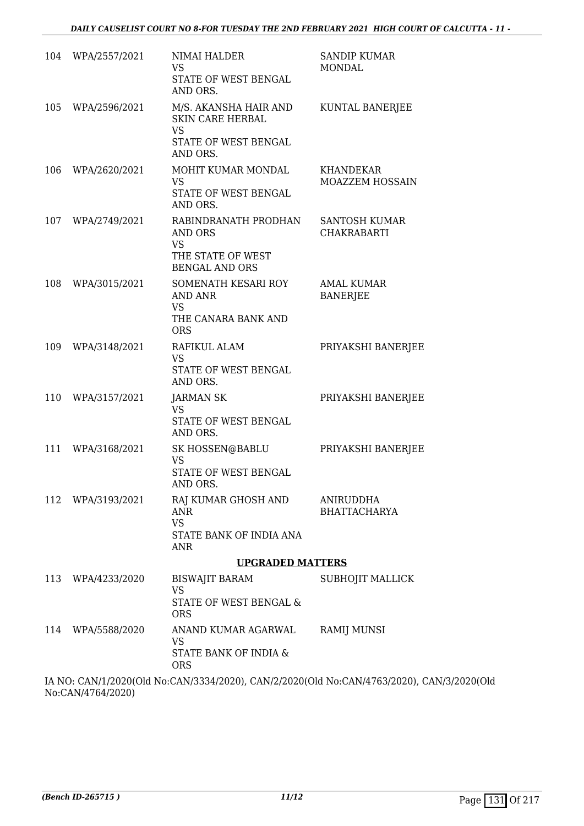| 104 | WPA/2557/2021 | NIMAI HALDER<br><b>VS</b><br>STATE OF WEST BENGAL<br>AND ORS.                                     | <b>SANDIP KUMAR</b><br><b>MONDAL</b>       |
|-----|---------------|---------------------------------------------------------------------------------------------------|--------------------------------------------|
| 105 | WPA/2596/2021 | M/S. AKANSHA HAIR AND<br><b>SKIN CARE HERBAL</b><br><b>VS</b><br>STATE OF WEST BENGAL<br>AND ORS. | KUNTAL BANERJEE                            |
| 106 | WPA/2620/2021 | MOHIT KUMAR MONDAL<br><b>VS</b><br>STATE OF WEST BENGAL<br>AND ORS.                               | <b>KHANDEKAR</b><br>MOAZZEM HOSSAIN        |
| 107 | WPA/2749/2021 | RABINDRANATH PRODHAN<br>AND ORS<br><b>VS</b><br>THE STATE OF WEST<br><b>BENGAL AND ORS</b>        | <b>SANTOSH KUMAR</b><br><b>CHAKRABARTI</b> |
| 108 | WPA/3015/2021 | SOMENATH KESARI ROY<br><b>AND ANR</b><br><b>VS</b><br>THE CANARA BANK AND<br><b>ORS</b>           | <b>AMAL KUMAR</b><br><b>BANERJEE</b>       |
| 109 | WPA/3148/2021 | RAFIKUL ALAM<br><b>VS</b><br>STATE OF WEST BENGAL<br>AND ORS.                                     | PRIYAKSHI BANERJEE                         |
| 110 | WPA/3157/2021 | <b>JARMAN SK</b><br><b>VS</b><br>STATE OF WEST BENGAL<br>AND ORS.                                 | PRIYAKSHI BANERJEE                         |
| 111 | WPA/3168/2021 | SK HOSSEN@BABLU<br><b>VS</b><br>STATE OF WEST BENGAL<br>AND ORS.                                  | PRIYAKSHI BANERJEE                         |
| 112 | WPA/3193/2021 | RAJ KUMAR GHOSH AND<br><b>ANR</b><br><b>VS</b><br>STATE BANK OF INDIA ANA<br>ANR                  | ANIRUDDHA<br><b>BHATTACHARYA</b>           |
|     |               | <b>UPGRADED MATTERS</b>                                                                           |                                            |
| 113 | WPA/4233/2020 | <b>BISWAJIT BARAM</b><br><b>VS</b>                                                                | SUBHOJIT MALLICK                           |
|     |               | STATE OF WEST BENGAL &<br><b>ORS</b>                                                              |                                            |
| 114 | WPA/5588/2020 | ANAND KUMAR AGARWAL<br><b>VS</b><br>STATE BANK OF INDIA &<br><b>ORS</b>                           | RAMIJ MUNSI                                |

IA NO: CAN/1/2020(Old No:CAN/3334/2020), CAN/2/2020(Old No:CAN/4763/2020), CAN/3/2020(Old No:CAN/4764/2020)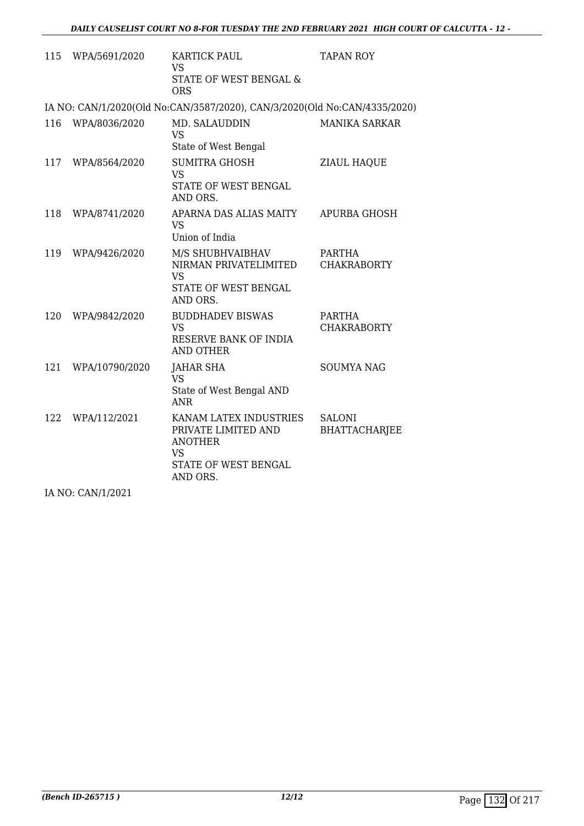|     | 115 WPA/5691/2020 | <b>KARTICK PAUL</b><br>VS.<br>STATE OF WEST BENGAL &<br><b>ORS</b>                                               | <b>TAPAN ROY</b>                      |
|-----|-------------------|------------------------------------------------------------------------------------------------------------------|---------------------------------------|
|     |                   | IA NO: CAN/1/2020(Old No:CAN/3587/2020), CAN/3/2020(Old No:CAN/4335/2020)                                        |                                       |
| 116 | WPA/8036/2020     | MD. SALAUDDIN<br><b>VS</b><br>State of West Bengal                                                               | <b>MANIKA SARKAR</b>                  |
| 117 | WPA/8564/2020     | <b>SUMITRA GHOSH</b><br><b>VS</b><br>STATE OF WEST BENGAL<br>AND ORS.                                            | ZIAUL HAQUE                           |
| 118 | WPA/8741/2020     | APARNA DAS ALIAS MAITY<br><b>VS</b><br>Union of India                                                            | APURBA GHOSH                          |
| 119 | WPA/9426/2020     | M/S SHUBHVAIBHAV<br>NIRMAN PRIVATELIMITED<br><b>VS</b><br>STATE OF WEST BENGAL<br>AND ORS.                       | <b>PARTHA</b><br><b>CHAKRABORTY</b>   |
| 120 | WPA/9842/2020     | <b>BUDDHADEV BISWAS</b><br><b>VS</b><br>RESERVE BANK OF INDIA<br>AND OTHER                                       | PARTHA<br><b>CHAKRABORTY</b>          |
| 121 | WPA/10790/2020    | <b>JAHAR SHA</b><br><b>VS</b><br>State of West Bengal AND<br><b>ANR</b>                                          | <b>SOUMYA NAG</b>                     |
| 122 | WPA/112/2021      | KANAM LATEX INDUSTRIES<br>PRIVATE LIMITED AND<br><b>ANOTHER</b><br><b>VS</b><br>STATE OF WEST BENGAL<br>AND ORS. | <b>SALONI</b><br><b>BHATTACHARJEE</b> |

IA NO: CAN/1/2021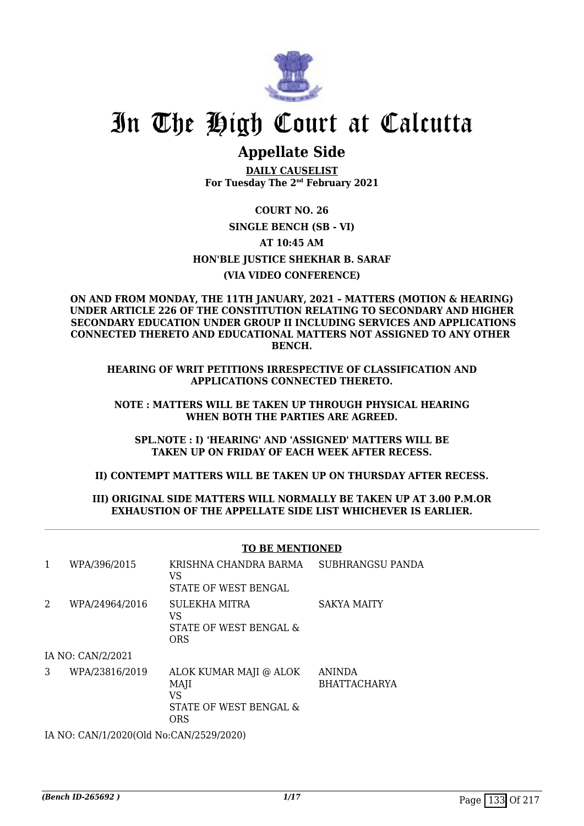

# In The High Court at Calcutta

## **Appellate Side**

**DAILY CAUSELIST For Tuesday The 2nd February 2021**

**COURT NO. 26 SINGLE BENCH (SB - VI) AT 10:45 AM HON'BLE JUSTICE SHEKHAR B. SARAF (VIA VIDEO CONFERENCE)**

**ON AND FROM MONDAY, THE 11TH JANUARY, 2021 – MATTERS (MOTION & HEARING) UNDER ARTICLE 226 OF THE CONSTITUTION RELATING TO SECONDARY AND HIGHER SECONDARY EDUCATION UNDER GROUP II INCLUDING SERVICES AND APPLICATIONS CONNECTED THERETO AND EDUCATIONAL MATTERS NOT ASSIGNED TO ANY OTHER BENCH.**

**HEARING OF WRIT PETITIONS IRRESPECTIVE OF CLASSIFICATION AND APPLICATIONS CONNECTED THERETO.**

**NOTE : MATTERS WILL BE TAKEN UP THROUGH PHYSICAL HEARING WHEN BOTH THE PARTIES ARE AGREED.**

**SPL.NOTE : I) 'HEARING' AND 'ASSIGNED' MATTERS WILL BE TAKEN UP ON FRIDAY OF EACH WEEK AFTER RECESS.**

**II) CONTEMPT MATTERS WILL BE TAKEN UP ON THURSDAY AFTER RECESS.**

#### **III) ORIGINAL SIDE MATTERS WILL NORMALLY BE TAKEN UP AT 3.00 P.M.OR EXHAUSTION OF THE APPELLATE SIDE LIST WHICHEVER IS EARLIER.**

#### **TO BE MENTIONED**

| 1 | WPA/396/2015      | KRISHNA CHANDRA BARMA<br>VS<br>STATE OF WEST BENGAL                   | <b>SUBHRANGSU PANDA</b>              |
|---|-------------------|-----------------------------------------------------------------------|--------------------------------------|
| 2 | WPA/24964/2016    | SULEKHA MITRA<br>VS<br>STATE OF WEST BENGAL &<br><b>ORS</b>           | <b>SAKYA MAITY</b>                   |
|   | IA NO: CAN/2/2021 |                                                                       |                                      |
| 3 | WPA/23816/2019    | ALOK KUMAR MAJI @ ALOK<br>MAJI<br>VS<br>STATE OF WEST BENGAL &<br>ORS | <b>ANINDA</b><br><b>BHATTACHARYA</b> |

IA NO: CAN/1/2020(Old No:CAN/2529/2020)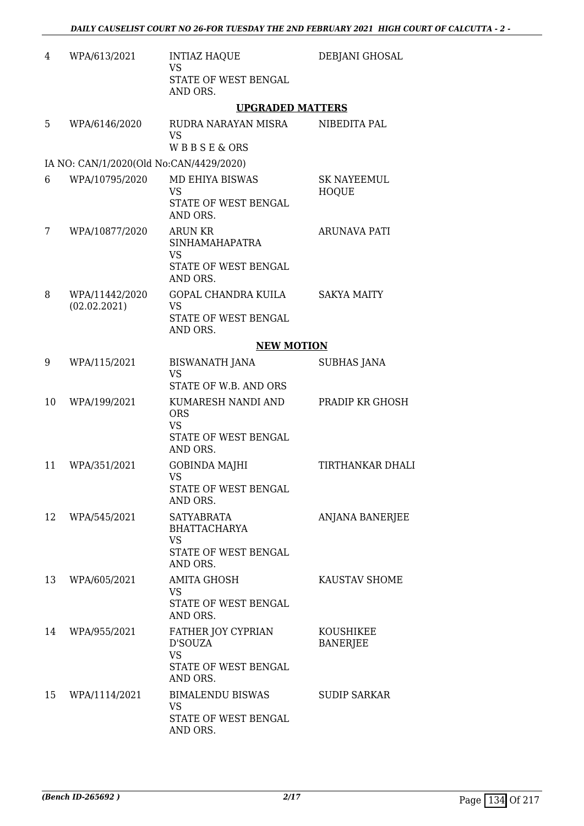| WPA/613/2021                   | <b>INTIAZ HAQUE</b><br><b>VS</b>                                      | DEBJANI GHOSAL                                                                                                                             |
|--------------------------------|-----------------------------------------------------------------------|--------------------------------------------------------------------------------------------------------------------------------------------|
|                                | STATE OF WEST BENGAL<br>AND ORS.                                      |                                                                                                                                            |
|                                | <b>UPGRADED MATTERS</b>                                               |                                                                                                                                            |
| WPA/6146/2020                  | RUDRA NARAYAN MISRA<br><b>VS</b>                                      | NIBEDITA PAL                                                                                                                               |
|                                |                                                                       |                                                                                                                                            |
|                                |                                                                       |                                                                                                                                            |
|                                | <b>VS</b><br>STATE OF WEST BENGAL                                     | <b>SK NAYEEMUL</b><br><b>HOQUE</b>                                                                                                         |
|                                | AND ORS.                                                              |                                                                                                                                            |
| WPA/10877/2020                 | <b>ARUN KR</b><br><b>SINHAMAHAPATRA</b><br><b>VS</b>                  | ARUNAVA PATI                                                                                                                               |
|                                | STATE OF WEST BENGAL<br>AND ORS.                                      |                                                                                                                                            |
| WPA/11442/2020<br>(02.02.2021) | GOPAL CHANDRA KUILA<br><b>VS</b>                                      | <b>SAKYA MAITY</b>                                                                                                                         |
|                                | STATE OF WEST BENGAL<br>AND ORS.                                      |                                                                                                                                            |
|                                | <b>NEW MOTION</b>                                                     |                                                                                                                                            |
| WPA/115/2021                   | <b>BISWANATH JANA</b><br><b>VS</b>                                    | <b>SUBHAS JANA</b>                                                                                                                         |
|                                | STATE OF W.B. AND ORS                                                 |                                                                                                                                            |
| WPA/199/2021                   | KUMARESH NANDI AND<br><b>ORS</b><br><b>VS</b><br>STATE OF WEST BENGAL | PRADIP KR GHOSH                                                                                                                            |
| WPA/351/2021                   | GOBINDA MAJHI                                                         | <b>TIRTHANKAR DHALI</b>                                                                                                                    |
|                                | STATE OF WEST BENGAL<br>AND ORS.                                      |                                                                                                                                            |
| WPA/545/2021                   | <b>SATYABRATA</b><br><b>BHATTACHARYA</b><br><b>VS</b>                 | ANJANA BANERJEE                                                                                                                            |
|                                | STATE OF WEST BENGAL<br>AND ORS.                                      |                                                                                                                                            |
| WPA/605/2021                   | <b>AMITA GHOSH</b><br><b>VS</b>                                       | KAUSTAV SHOME                                                                                                                              |
|                                | STATE OF WEST BENGAL<br>AND ORS.                                      |                                                                                                                                            |
| WPA/955/2021                   | FATHER JOY CYPRIAN<br>D'SOUZA<br><b>VS</b><br>STATE OF WEST BENGAL    | KOUSHIKEE<br><b>BANERJEE</b>                                                                                                               |
| WPA/1114/2021                  | <b>BIMALENDU BISWAS</b><br><b>VS</b><br>STATE OF WEST BENGAL          | <b>SUDIP SARKAR</b>                                                                                                                        |
|                                | WPA/10795/2020                                                        | <b>WBBSE&amp;ORS</b><br>IA NO: CAN/1/2020(Old No:CAN/4429/2020)<br><b>MD EHIYA BISWAS</b><br>AND ORS.<br><b>VS</b><br>AND ORS.<br>AND ORS. |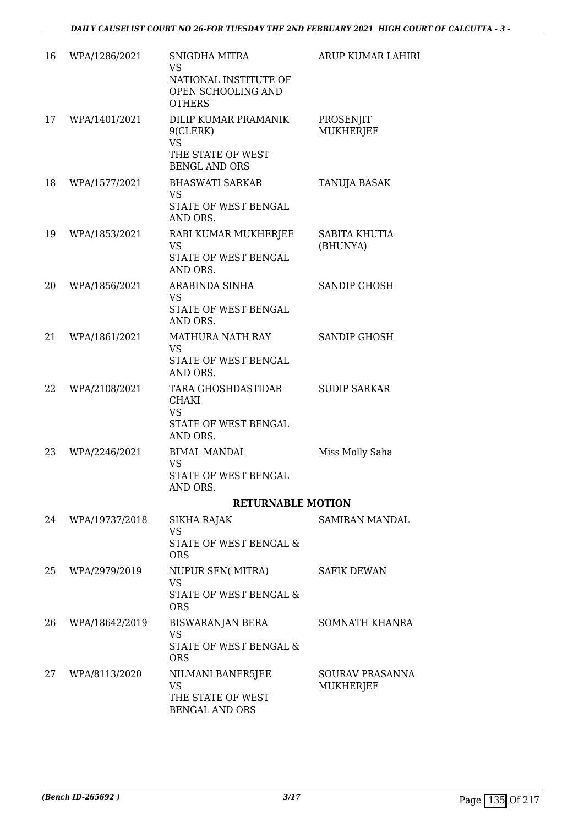| 16 | WPA/1286/2021  | SNIGDHA MITRA<br><b>VS</b><br>NATIONAL INSTITUTE OF<br>OPEN SCHOOLING AND<br><b>OTHERS</b> | <b>ARUP KUMAR LAHIRI</b>     |
|----|----------------|--------------------------------------------------------------------------------------------|------------------------------|
| 17 | WPA/1401/2021  | DILIP KUMAR PRAMANIK<br>9(CLERK)<br><b>VS</b><br>THE STATE OF WEST<br><b>BENGL AND ORS</b> | PROSENJIT<br>MUKHERJEE       |
| 18 | WPA/1577/2021  | <b>BHASWATI SARKAR</b><br><b>VS</b><br>STATE OF WEST BENGAL<br>AND ORS.                    | TANUJA BASAK                 |
| 19 | WPA/1853/2021  | RABI KUMAR MUKHERJEE<br><b>VS</b><br>STATE OF WEST BENGAL<br>AND ORS.                      | SABITA KHUTIA<br>(BHUNYA)    |
| 20 | WPA/1856/2021  | ARABINDA SINHA<br><b>VS</b><br>STATE OF WEST BENGAL<br>AND ORS.                            | SANDIP GHOSH                 |
| 21 | WPA/1861/2021  | MATHURA NATH RAY<br><b>VS</b><br>STATE OF WEST BENGAL<br>AND ORS.                          | <b>SANDIP GHOSH</b>          |
| 22 | WPA/2108/2021  | TARA GHOSHDASTIDAR<br><b>CHAKI</b><br><b>VS</b><br>STATE OF WEST BENGAL<br>AND ORS.        | <b>SUDIP SARKAR</b>          |
| 23 | WPA/2246/2021  | <b>BIMAL MANDAL</b><br><b>VS</b><br>STATE OF WEST BENGAL<br>AND ORS.                       | Miss Molly Saha              |
|    |                | <b>RETURNABLE MOTION</b>                                                                   |                              |
| 24 | WPA/19737/2018 | SIKHA RAJAK<br><b>VS</b><br>STATE OF WEST BENGAL &<br><b>ORS</b>                           | <b>SAMIRAN MANDAL</b>        |
| 25 | WPA/2979/2019  | <b>NUPUR SEN( MITRA)</b><br><b>VS</b><br>STATE OF WEST BENGAL &<br><b>ORS</b>              | <b>SAFIK DEWAN</b>           |
| 26 | WPA/18642/2019 | BISWARANJAN BERA<br><b>VS</b><br>STATE OF WEST BENGAL &<br><b>ORS</b>                      | SOMNATH KHANRA               |
| 27 | WPA/8113/2020  | NILMANI BANER5JEE<br>VS<br>THE STATE OF WEST<br><b>BENGAL AND ORS</b>                      | SOURAV PRASANNA<br>MUKHERJEE |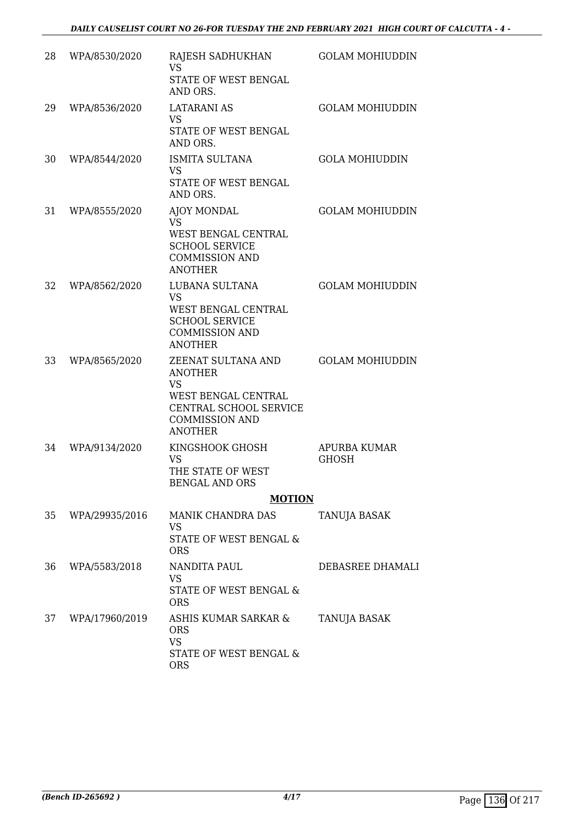| 28 | WPA/8530/2020  | RAJESH SADHUKHAN<br><b>VS</b><br>STATE OF WEST BENGAL<br>AND ORS.                                                                             | <b>GOLAM MOHIUDDIN</b>              |
|----|----------------|-----------------------------------------------------------------------------------------------------------------------------------------------|-------------------------------------|
| 29 | WPA/8536/2020  | <b>LATARANI AS</b><br><b>VS</b><br>STATE OF WEST BENGAL<br>AND ORS.                                                                           | <b>GOLAM MOHIUDDIN</b>              |
| 30 | WPA/8544/2020  | ISMITA SULTANA<br><b>VS</b><br>STATE OF WEST BENGAL<br>AND ORS.                                                                               | <b>GOLA MOHIUDDIN</b>               |
| 31 | WPA/8555/2020  | AJOY MONDAL<br>VS<br>WEST BENGAL CENTRAL<br><b>SCHOOL SERVICE</b><br><b>COMMISSION AND</b><br><b>ANOTHER</b>                                  | <b>GOLAM MOHIUDDIN</b>              |
| 32 | WPA/8562/2020  | LUBANA SULTANA<br>VS.<br>WEST BENGAL CENTRAL<br><b>SCHOOL SERVICE</b><br><b>COMMISSION AND</b><br><b>ANOTHER</b>                              | <b>GOLAM MOHIUDDIN</b>              |
| 33 | WPA/8565/2020  | ZEENAT SULTANA AND<br><b>ANOTHER</b><br><b>VS</b><br>WEST BENGAL CENTRAL<br>CENTRAL SCHOOL SERVICE<br><b>COMMISSION AND</b><br><b>ANOTHER</b> | <b>GOLAM MOHIUDDIN</b>              |
| 34 | WPA/9134/2020  | KINGSHOOK GHOSH<br><b>VS</b><br>THE STATE OF WEST<br><b>BENGAL AND ORS</b>                                                                    | <b>APURBA KUMAR</b><br><b>GHOSH</b> |
|    |                | <b>MOTION</b>                                                                                                                                 |                                     |
| 35 | WPA/29935/2016 | <b>MANIK CHANDRA DAS</b><br><b>VS</b><br>STATE OF WEST BENGAL &<br><b>ORS</b>                                                                 | TANUJA BASAK                        |
| 36 | WPA/5583/2018  | NANDITA PAUL<br>VS<br>STATE OF WEST BENGAL &<br><b>ORS</b>                                                                                    | DEBASREE DHAMALI                    |
| 37 | WPA/17960/2019 | ASHIS KUMAR SARKAR &<br><b>ORS</b><br><b>VS</b><br>STATE OF WEST BENGAL &<br><b>ORS</b>                                                       | TANUJA BASAK                        |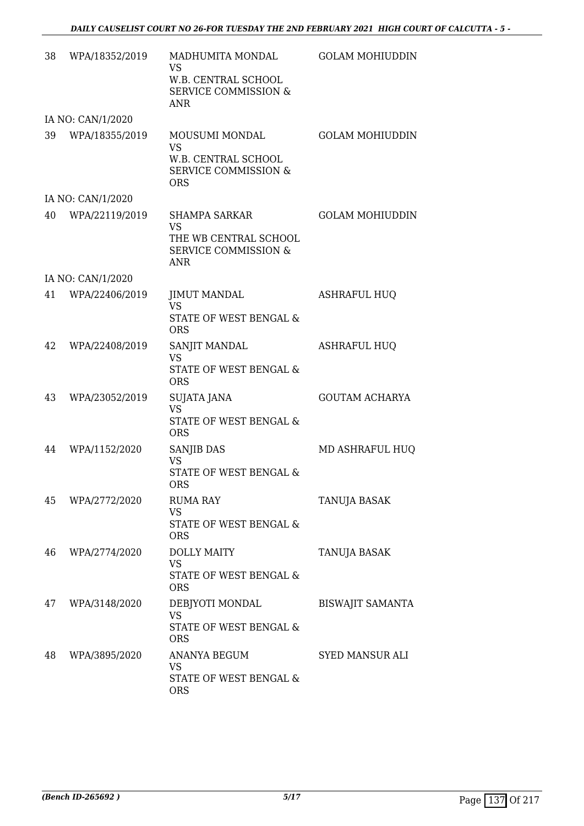| 38 | WPA/18352/2019    | MADHUMITA MONDAL<br>VS<br>W.B. CENTRAL SCHOOL<br><b>SERVICE COMMISSION &amp;</b><br><b>ANR</b>              | <b>GOLAM MOHIUDDIN</b>  |
|----|-------------------|-------------------------------------------------------------------------------------------------------------|-------------------------|
|    | IA NO: CAN/1/2020 |                                                                                                             |                         |
| 39 | WPA/18355/2019    | MOUSUMI MONDAL<br><b>VS</b><br><b>W.B. CENTRAL SCHOOL</b><br><b>SERVICE COMMISSION &amp;</b><br><b>ORS</b>  | <b>GOLAM MOHIUDDIN</b>  |
|    | IA NO: CAN/1/2020 |                                                                                                             |                         |
| 40 | WPA/22119/2019    | <b>SHAMPA SARKAR</b><br><b>VS</b><br>THE WB CENTRAL SCHOOL<br><b>SERVICE COMMISSION &amp;</b><br><b>ANR</b> | <b>GOLAM MOHIUDDIN</b>  |
|    | IA NO: CAN/1/2020 |                                                                                                             |                         |
| 41 | WPA/22406/2019    | <b>JIMUT MANDAL</b><br><b>VS</b><br>STATE OF WEST BENGAL &<br><b>ORS</b>                                    | <b>ASHRAFUL HUQ</b>     |
| 42 | WPA/22408/2019    | SANJIT MANDAL<br><b>VS</b><br>STATE OF WEST BENGAL &<br><b>ORS</b>                                          | <b>ASHRAFUL HUQ</b>     |
| 43 | WPA/23052/2019    | SUJATA JANA<br><b>VS</b><br>STATE OF WEST BENGAL &<br><b>ORS</b>                                            | <b>GOUTAM ACHARYA</b>   |
| 44 | WPA/1152/2020     | SANJIB DAS<br><b>VS</b><br>STATE OF WEST BENGAL &<br><b>ORS</b>                                             | MD ASHRAFUL HUQ         |
| 45 | WPA/2772/2020     | <b>RUMA RAY</b><br><b>VS</b><br>STATE OF WEST BENGAL &<br><b>ORS</b>                                        | TANUJA BASAK            |
| 46 | WPA/2774/2020     | <b>DOLLY MAITY</b><br><b>VS</b><br>STATE OF WEST BENGAL &<br><b>ORS</b>                                     | TANUJA BASAK            |
| 47 | WPA/3148/2020     | DEBJYOTI MONDAL<br><b>VS</b><br>STATE OF WEST BENGAL &<br><b>ORS</b>                                        | <b>BISWAJIT SAMANTA</b> |
| 48 | WPA/3895/2020     | ANANYA BEGUM<br><b>VS</b><br>STATE OF WEST BENGAL &<br><b>ORS</b>                                           | <b>SYED MANSUR ALI</b>  |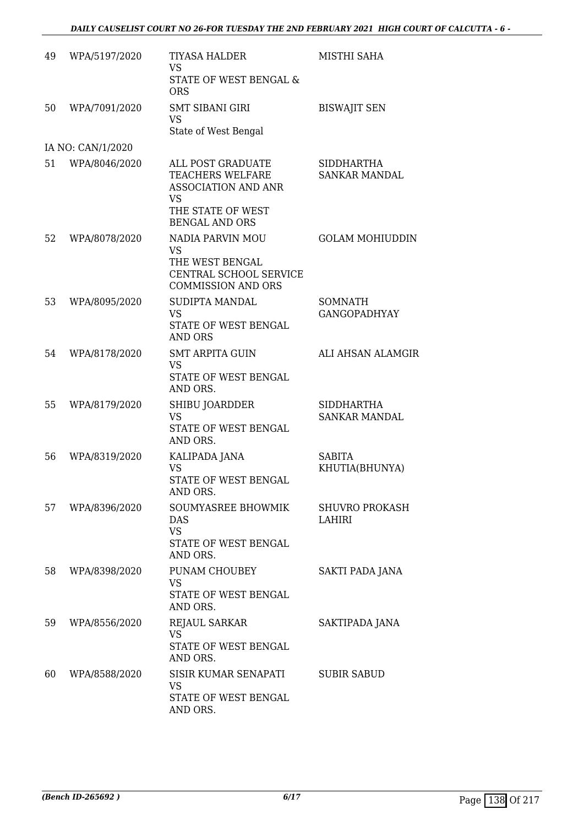| 49 | WPA/5197/2020     | <b>TIYASA HALDER</b><br><b>VS</b><br>STATE OF WEST BENGAL &<br><b>ORS</b>                                    | MISTHI SAHA                               |
|----|-------------------|--------------------------------------------------------------------------------------------------------------|-------------------------------------------|
| 50 | WPA/7091/2020     | <b>SMT SIBANI GIRI</b><br><b>VS</b><br>State of West Bengal                                                  | <b>BISWAJIT SEN</b>                       |
|    | IA NO: CAN/1/2020 |                                                                                                              |                                           |
| 51 | WPA/8046/2020     | ALL POST GRADUATE<br><b>TEACHERS WELFARE</b><br><b>ASSOCIATION AND ANR</b><br><b>VS</b><br>THE STATE OF WEST | <b>SIDDHARTHA</b><br><b>SANKAR MANDAL</b> |
|    |                   | <b>BENGAL AND ORS</b>                                                                                        |                                           |
| 52 | WPA/8078/2020     | NADIA PARVIN MOU<br><b>VS</b><br>THE WEST BENGAL<br>CENTRAL SCHOOL SERVICE<br><b>COMMISSION AND ORS</b>      | <b>GOLAM MOHIUDDIN</b>                    |
| 53 | WPA/8095/2020     | <b>SUDIPTA MANDAL</b><br><b>VS</b><br>STATE OF WEST BENGAL<br><b>AND ORS</b>                                 | SOMNATH<br><b>GANGOPADHYAY</b>            |
| 54 | WPA/8178/2020     | <b>SMT ARPITA GUIN</b><br><b>VS</b><br>STATE OF WEST BENGAL<br>AND ORS.                                      | ALI AHSAN ALAMGIR                         |
| 55 | WPA/8179/2020     | SHIBU JOARDDER<br><b>VS</b><br>STATE OF WEST BENGAL<br>AND ORS.                                              | SIDDHARTHA<br><b>SANKAR MANDAL</b>        |
| 56 | WPA/8319/2020     | KALIPADA JANA<br><b>VS</b><br><b>STATE OF WEST BENGAL</b><br>AND ORS.                                        | <b>SABITA</b><br>KHUTIA(BHUNYA)           |
| 57 | WPA/8396/2020     | SOUMYASREE BHOWMIK<br>DAS<br><b>VS</b><br>STATE OF WEST BENGAL<br>AND ORS.                                   | <b>SHUVRO PROKASH</b><br>LAHIRI           |
| 58 | WPA/8398/2020     | PUNAM CHOUBEY<br>VS<br>STATE OF WEST BENGAL<br>AND ORS.                                                      | SAKTI PADA JANA                           |
| 59 | WPA/8556/2020     | REJAUL SARKAR<br><b>VS</b><br>STATE OF WEST BENGAL<br>AND ORS.                                               | SAKTIPADA JANA                            |
| 60 | WPA/8588/2020     | SISIR KUMAR SENAPATI<br>VS<br>STATE OF WEST BENGAL<br>AND ORS.                                               | <b>SUBIR SABUD</b>                        |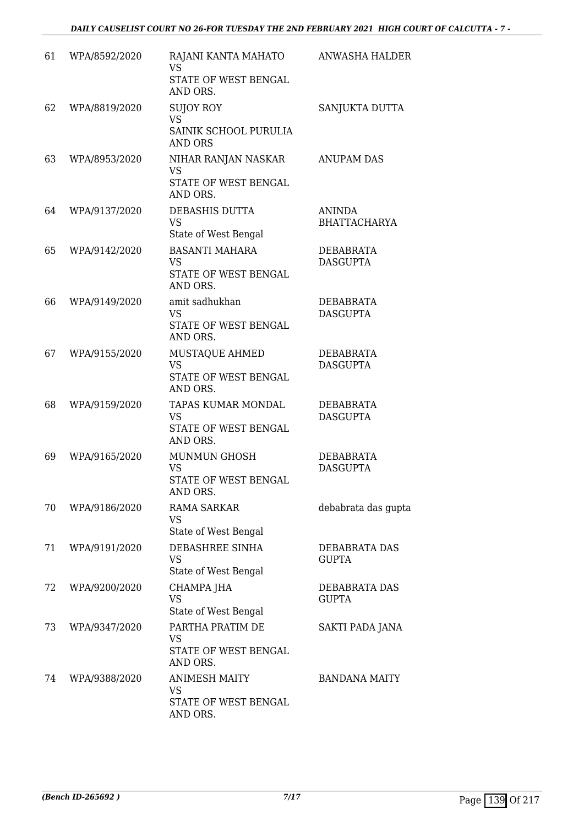| 61 | WPA/8592/2020 | RAJANI KANTA MAHATO<br>VS.<br>STATE OF WEST BENGAL<br>AND ORS.           | ANWASHA HALDER                       |
|----|---------------|--------------------------------------------------------------------------|--------------------------------------|
| 62 | WPA/8819/2020 | <b>SUJOY ROY</b><br><b>VS</b><br>SAINIK SCHOOL PURULIA<br><b>AND ORS</b> | SANJUKTA DUTTA                       |
| 63 | WPA/8953/2020 | NIHAR RANJAN NASKAR<br><b>VS</b><br>STATE OF WEST BENGAL<br>AND ORS.     | <b>ANUPAM DAS</b>                    |
| 64 | WPA/9137/2020 | DEBASHIS DUTTA<br><b>VS</b><br>State of West Bengal                      | <b>ANINDA</b><br><b>BHATTACHARYA</b> |
| 65 | WPA/9142/2020 | <b>BASANTI MAHARA</b><br><b>VS</b><br>STATE OF WEST BENGAL<br>AND ORS.   | <b>DEBABRATA</b><br><b>DASGUPTA</b>  |
| 66 | WPA/9149/2020 | amit sadhukhan<br><b>VS</b><br>STATE OF WEST BENGAL<br>AND ORS.          | <b>DEBABRATA</b><br><b>DASGUPTA</b>  |
| 67 | WPA/9155/2020 | MUSTAQUE AHMED<br><b>VS</b><br>STATE OF WEST BENGAL<br>AND ORS.          | DEBABRATA<br><b>DASGUPTA</b>         |
| 68 | WPA/9159/2020 | TAPAS KUMAR MONDAL<br><b>VS</b><br>STATE OF WEST BENGAL<br>AND ORS.      | DEBABRATA<br><b>DASGUPTA</b>         |
| 69 | WPA/9165/2020 | <b>MUNMUN GHOSH</b><br><b>VS</b><br>STATE OF WEST BENGAL<br>AND ORS.     | DEBABRATA<br><b>DASGUPTA</b>         |
| 70 | WPA/9186/2020 | <b>RAMA SARKAR</b><br>VS.<br>State of West Bengal                        | debabrata das gupta                  |
| 71 | WPA/9191/2020 | DEBASHREE SINHA<br><b>VS</b><br>State of West Bengal                     | <b>DEBABRATA DAS</b><br><b>GUPTA</b> |
| 72 | WPA/9200/2020 | CHAMPA JHA<br><b>VS</b><br>State of West Bengal                          | DEBABRATA DAS<br><b>GUPTA</b>        |
| 73 | WPA/9347/2020 | PARTHA PRATIM DE<br><b>VS</b><br>STATE OF WEST BENGAL<br>AND ORS.        | SAKTI PADA JANA                      |
| 74 | WPA/9388/2020 | <b>ANIMESH MAITY</b><br>VS.<br>STATE OF WEST BENGAL<br>AND ORS.          | <b>BANDANA MAITY</b>                 |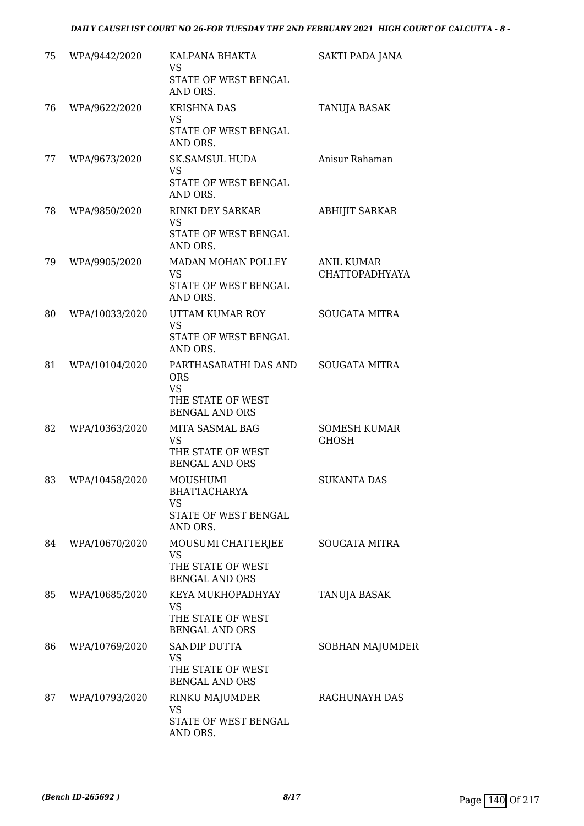| 75 | WPA/9442/2020  | KALPANA BHAKTA<br><b>VS</b><br>STATE OF WEST BENGAL<br>AND ORS.                                | SAKTI PADA JANA                            |
|----|----------------|------------------------------------------------------------------------------------------------|--------------------------------------------|
| 76 | WPA/9622/2020  | <b>KRISHNA DAS</b><br><b>VS</b><br>STATE OF WEST BENGAL                                        | <b>TANUJA BASAK</b>                        |
| 77 | WPA/9673/2020  | AND ORS.<br><b>SK.SAMSUL HUDA</b><br><b>VS</b><br>STATE OF WEST BENGAL<br>AND ORS.             | Anisur Rahaman                             |
| 78 | WPA/9850/2020  | <b>RINKI DEY SARKAR</b><br><b>VS</b><br>STATE OF WEST BENGAL<br>AND ORS.                       | <b>ABHIJIT SARKAR</b>                      |
| 79 | WPA/9905/2020  | MADAN MOHAN POLLEY<br><b>VS</b><br>STATE OF WEST BENGAL<br>AND ORS.                            | <b>ANIL KUMAR</b><br><b>CHATTOPADHYAYA</b> |
| 80 | WPA/10033/2020 | UTTAM KUMAR ROY<br><b>VS</b><br>STATE OF WEST BENGAL<br>AND ORS.                               | <b>SOUGATA MITRA</b>                       |
| 81 | WPA/10104/2020 | PARTHASARATHI DAS AND<br><b>ORS</b><br><b>VS</b><br>THE STATE OF WEST<br><b>BENGAL AND ORS</b> | <b>SOUGATA MITRA</b>                       |
| 82 | WPA/10363/2020 | MITA SASMAL BAG<br><b>VS</b><br>THE STATE OF WEST<br><b>BENGAL AND ORS</b>                     | <b>SOMESH KUMAR</b><br><b>GHOSH</b>        |
| 83 | WPA/10458/2020 | <b>MOUSHUMI</b><br><b>BHATTACHARYA</b><br><b>VS</b><br>STATE OF WEST BENGAL<br>AND ORS.        | <b>SUKANTA DAS</b>                         |
| 84 | WPA/10670/2020 | MOUSUMI CHATTERJEE<br>VS<br>THE STATE OF WEST<br><b>BENGAL AND ORS</b>                         | <b>SOUGATA MITRA</b>                       |
| 85 | WPA/10685/2020 | KEYA MUKHOPADHYAY<br><b>VS</b><br>THE STATE OF WEST<br><b>BENGAL AND ORS</b>                   | <b>TANUJA BASAK</b>                        |
| 86 | WPA/10769/2020 | SANDIP DUTTA<br><b>VS</b><br>THE STATE OF WEST<br><b>BENGAL AND ORS</b>                        | SOBHAN MAJUMDER                            |
| 87 | WPA/10793/2020 | RINKU MAJUMDER<br><b>VS</b><br>STATE OF WEST BENGAL<br>AND ORS.                                | RAGHUNAYH DAS                              |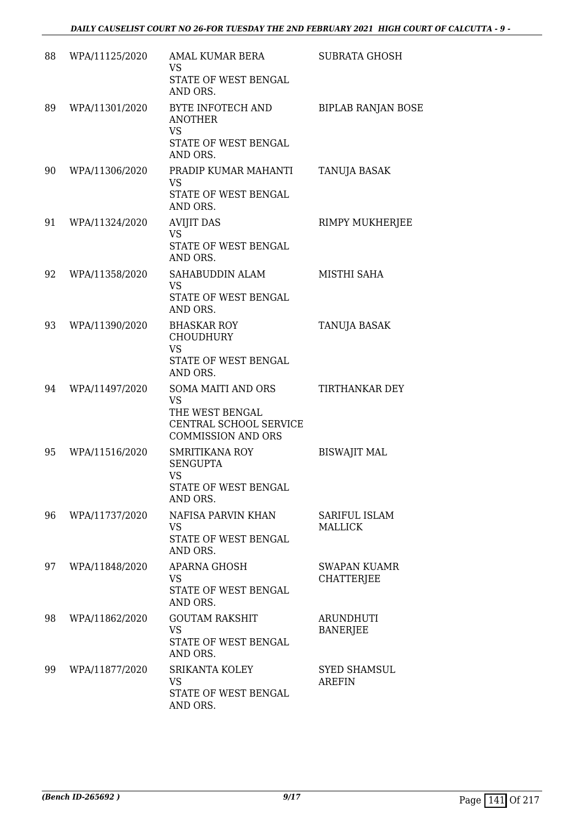| 88 | WPA/11125/2020 | AMAL KUMAR BERA<br><b>VS</b><br>STATE OF WEST BENGAL<br>AND ORS.                                          | <b>SUBRATA GHOSH</b>                     |
|----|----------------|-----------------------------------------------------------------------------------------------------------|------------------------------------------|
| 89 | WPA/11301/2020 | BYTE INFOTECH AND<br><b>ANOTHER</b><br><b>VS</b><br>STATE OF WEST BENGAL<br>AND ORS.                      | <b>BIPLAB RANJAN BOSE</b>                |
| 90 | WPA/11306/2020 | PRADIP KUMAR MAHANTI<br>VS<br>STATE OF WEST BENGAL<br>AND ORS.                                            | TANUJA BASAK                             |
| 91 | WPA/11324/2020 | <b>AVIJIT DAS</b><br><b>VS</b><br>STATE OF WEST BENGAL<br>AND ORS.                                        | RIMPY MUKHERJEE                          |
| 92 | WPA/11358/2020 | SAHABUDDIN ALAM<br><b>VS</b><br>STATE OF WEST BENGAL<br>AND ORS.                                          | MISTHI SAHA                              |
| 93 | WPA/11390/2020 | <b>BHASKAR ROY</b><br><b>CHOUDHURY</b><br><b>VS</b><br>STATE OF WEST BENGAL<br>AND ORS.                   | <b>TANUJA BASAK</b>                      |
| 94 | WPA/11497/2020 | SOMA MAITI AND ORS<br><b>VS</b><br>THE WEST BENGAL<br>CENTRAL SCHOOL SERVICE<br><b>COMMISSION AND ORS</b> | TIRTHANKAR DEY                           |
| 95 | WPA/11516/2020 | <b>SMRITIKANA ROY</b><br><b>SENGUPTA</b><br><b>VS</b><br>STATE OF WEST BENGAL<br>AND ORS.                 | <b>BISWAJIT MAL</b>                      |
| 96 | WPA/11737/2020 | NAFISA PARVIN KHAN<br><b>VS</b><br>STATE OF WEST BENGAL<br>AND ORS.                                       | <b>SARIFUL ISLAM</b><br><b>MALLICK</b>   |
| 97 | WPA/11848/2020 | APARNA GHOSH<br><b>VS</b><br>STATE OF WEST BENGAL<br>AND ORS.                                             | <b>SWAPAN KUAMR</b><br><b>CHATTERJEE</b> |
| 98 | WPA/11862/2020 | <b>GOUTAM RAKSHIT</b><br><b>VS</b><br>STATE OF WEST BENGAL<br>AND ORS.                                    | ARUNDHUTI<br><b>BANERJEE</b>             |
| 99 | WPA/11877/2020 | SRIKANTA KOLEY<br><b>VS</b><br>STATE OF WEST BENGAL<br>AND ORS.                                           | <b>SYED SHAMSUL</b><br><b>AREFIN</b>     |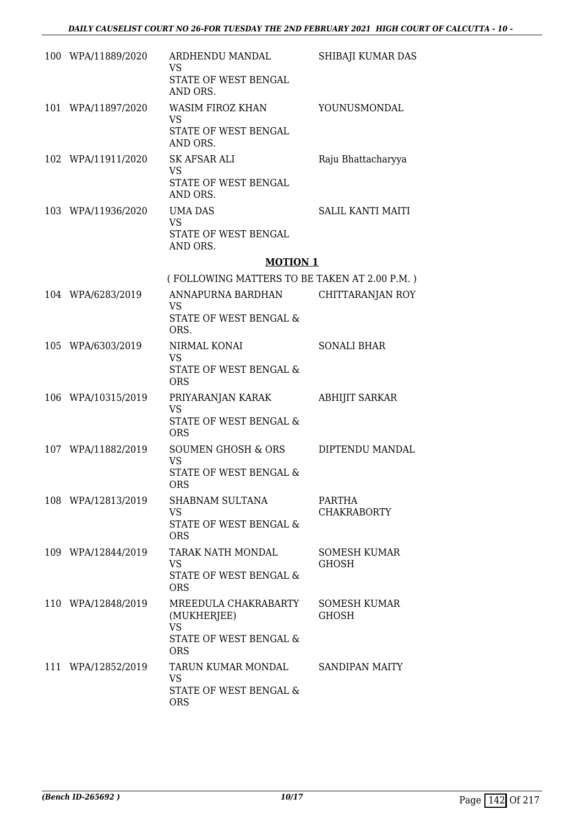| 100 WPA/11889/2020 | ARDHENDU MANDAL<br><b>VS</b><br>STATE OF WEST BENGAL<br>AND ORS.                         | SHIBAJI KUMAR DAS            |
|--------------------|------------------------------------------------------------------------------------------|------------------------------|
| 101 WPA/11897/2020 | <b>WASIM FIROZ KHAN</b><br><b>VS</b><br>STATE OF WEST BENGAL<br>AND ORS.                 | YOUNUSMONDAL                 |
| 102 WPA/11911/2020 | SK AFSAR ALI<br><b>VS</b><br>STATE OF WEST BENGAL<br>AND ORS.                            | Raju Bhattacharyya           |
| 103 WPA/11936/2020 | <b>UMA DAS</b><br><b>VS</b><br>STATE OF WEST BENGAL<br>AND ORS.                          | <b>SALIL KANTI MAITI</b>     |
|                    | <b>MOTION 1</b>                                                                          |                              |
|                    | (FOLLOWING MATTERS TO BE TAKEN AT 2.00 P.M.)                                             |                              |
| 104 WPA/6283/2019  | ANNAPURNA BARDHAN<br><b>VS</b>                                                           | CHITTARANJAN ROY             |
|                    | STATE OF WEST BENGAL &<br>ORS.                                                           |                              |
| 105 WPA/6303/2019  | NIRMAL KONAI<br><b>VS</b><br>STATE OF WEST BENGAL &<br><b>ORS</b>                        | <b>SONALI BHAR</b>           |
| 106 WPA/10315/2019 | PRIYARANJAN KARAK<br><b>VS</b><br>STATE OF WEST BENGAL &<br><b>ORS</b>                   | <b>ABHIJIT SARKAR</b>        |
| 107 WPA/11882/2019 | SOUMEN GHOSH & ORS<br><b>VS</b><br>STATE OF WEST BENGAL &<br>ORS                         | DIPTENDU MANDAL              |
| 108 WPA/12813/2019 | SHABNAM SULTANA<br><b>VS</b><br>STATE OF WEST BENGAL &<br><b>ORS</b>                     | PARTHA<br><b>CHAKRABORTY</b> |
| 109 WPA/12844/2019 | <b>TARAK NATH MONDAL</b><br><b>VS</b><br>STATE OF WEST BENGAL &<br><b>ORS</b>            | <b>SOMESH KUMAR</b><br>GHOSH |
| 110 WPA/12848/2019 | MREEDULA CHAKRABARTY<br>(MUKHERJEE)<br><b>VS</b><br>STATE OF WEST BENGAL &<br><b>ORS</b> | SOMESH KUMAR<br><b>GHOSH</b> |
| 111 WPA/12852/2019 | TARUN KUMAR MONDAL<br><b>VS</b><br>STATE OF WEST BENGAL &<br><b>ORS</b>                  | SANDIPAN MAITY               |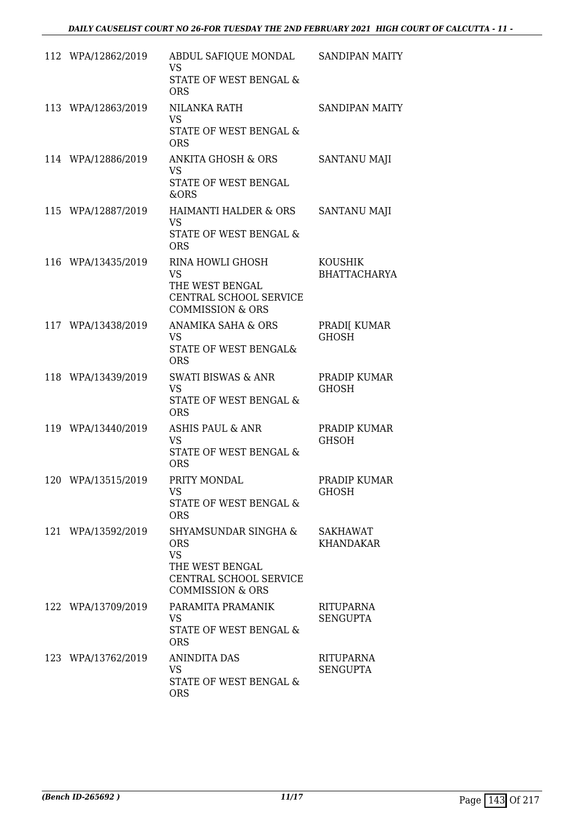| 112 WPA/12862/2019 | ABDUL SAFIQUE MONDAL<br><b>VS</b><br><b>STATE OF WEST BENGAL &amp;</b><br><b>ORS</b>                                        | SANDIPAN MAITY                      |
|--------------------|-----------------------------------------------------------------------------------------------------------------------------|-------------------------------------|
| 113 WPA/12863/2019 | NILANKA RATH<br><b>VS</b><br>STATE OF WEST BENGAL &<br><b>ORS</b>                                                           | SANDIPAN MAITY                      |
| 114 WPA/12886/2019 | ANKITA GHOSH & ORS<br><b>VS</b><br>STATE OF WEST BENGAL<br>&ORS                                                             | SANTANU MAJI                        |
| 115 WPA/12887/2019 | <b>HAIMANTI HALDER &amp; ORS</b><br><b>VS</b><br>STATE OF WEST BENGAL &<br><b>ORS</b>                                       | SANTANU MAJI                        |
| 116 WPA/13435/2019 | <b>RINA HOWLI GHOSH</b><br><b>VS</b><br>THE WEST BENGAL<br>CENTRAL SCHOOL SERVICE<br><b>COMMISSION &amp; ORS</b>            | KOUSHIK<br><b>BHATTACHARYA</b>      |
| 117 WPA/13438/2019 | ANAMIKA SAHA & ORS<br>VS.<br>STATE OF WEST BENGAL&<br><b>ORS</b>                                                            | PRADI[ KUMAR<br><b>GHOSH</b>        |
| 118 WPA/13439/2019 | <b>SWATI BISWAS &amp; ANR</b><br><b>VS</b><br>STATE OF WEST BENGAL &<br><b>ORS</b>                                          | PRADIP KUMAR<br><b>GHOSH</b>        |
| 119 WPA/13440/2019 | <b>ASHIS PAUL &amp; ANR</b><br><b>VS</b><br>STATE OF WEST BENGAL &<br><b>ORS</b>                                            | PRADIP KUMAR<br><b>GHSOH</b>        |
| 120 WPA/13515/2019 | PRITY MONDAL<br><b>VS</b><br>STATE OF WEST BENGAL &<br><b>ORS</b>                                                           | PRADIP KUMAR<br><b>GHOSH</b>        |
| 121 WPA/13592/2019 | SHYAMSUNDAR SINGHA &<br><b>ORS</b><br><b>VS</b><br>THE WEST BENGAL<br>CENTRAL SCHOOL SERVICE<br><b>COMMISSION &amp; ORS</b> | <b>SAKHAWAT</b><br><b>KHANDAKAR</b> |
| 122 WPA/13709/2019 | PARAMITA PRAMANIK<br><b>VS</b><br>STATE OF WEST BENGAL &<br><b>ORS</b>                                                      | RITUPARNA<br>SENGUPTA               |
| 123 WPA/13762/2019 | ANINDITA DAS<br><b>VS</b><br>STATE OF WEST BENGAL &<br><b>ORS</b>                                                           | RITUPARNA<br><b>SENGUPTA</b>        |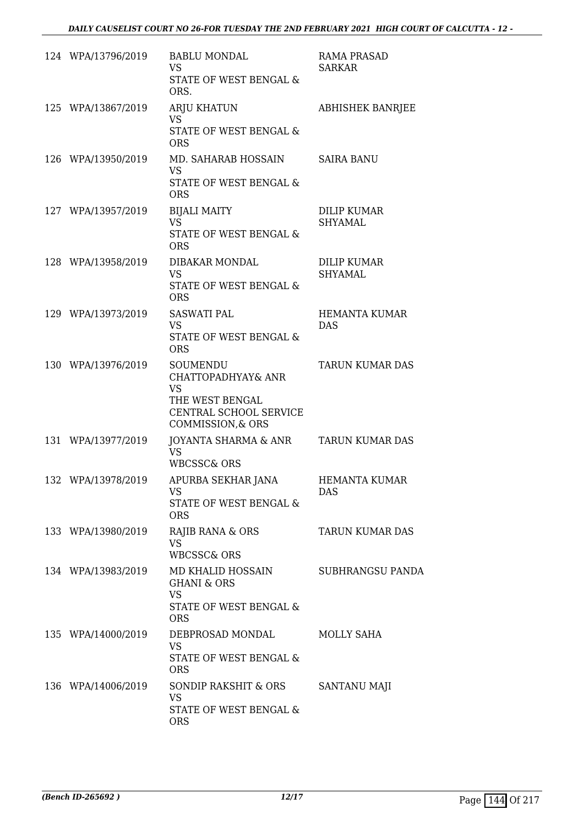| 124 WPA/13796/2019 | <b>BABLU MONDAL</b><br><b>VS</b><br>STATE OF WEST BENGAL &<br>ORS.                                            | <b>RAMA PRASAD</b><br><b>SARKAR</b>  |
|--------------------|---------------------------------------------------------------------------------------------------------------|--------------------------------------|
| 125 WPA/13867/2019 | <b>ARJU KHATUN</b><br><b>VS</b><br>STATE OF WEST BENGAL &<br><b>ORS</b>                                       | <b>ABHISHEK BANRJEE</b>              |
| 126 WPA/13950/2019 | MD. SAHARAB HOSSAIN<br><b>VS</b><br><b>STATE OF WEST BENGAL &amp;</b><br><b>ORS</b>                           | <b>SAIRA BANU</b>                    |
| 127 WPA/13957/2019 | <b>BIJALI MAITY</b><br><b>VS</b><br>STATE OF WEST BENGAL &<br><b>ORS</b>                                      | <b>DILIP KUMAR</b><br><b>SHYAMAL</b> |
| 128 WPA/13958/2019 | DIBAKAR MONDAL<br><b>VS</b><br><b>STATE OF WEST BENGAL &amp;</b><br><b>ORS</b>                                | DILIP KUMAR<br><b>SHYAMAL</b>        |
| 129 WPA/13973/2019 | <b>SASWATI PAL</b><br><b>VS</b><br>STATE OF WEST BENGAL &<br><b>ORS</b>                                       | <b>HEMANTA KUMAR</b><br><b>DAS</b>   |
| 130 WPA/13976/2019 | SOUMENDU<br>CHATTOPADHYAY& ANR<br><b>VS</b><br>THE WEST BENGAL<br>CENTRAL SCHOOL SERVICE<br>COMMISSION, & ORS | <b>TARUN KUMAR DAS</b>               |
| 131 WPA/13977/2019 | JOYANTA SHARMA & ANR<br><b>VS</b><br><b>WBCSSC&amp; ORS</b>                                                   | <b>TARUN KUMAR DAS</b>               |
| 132 WPA/13978/2019 | APURBA SEKHAR JANA<br><b>VS</b><br>STATE OF WEST BENGAL &<br><b>ORS</b>                                       | <b>HEMANTA KUMAR</b><br>DAS          |
| 133 WPA/13980/2019 | RAJIB RANA & ORS<br><b>VS</b><br><b>WBCSSC&amp; ORS</b>                                                       | TARUN KUMAR DAS                      |
| 134 WPA/13983/2019 | MD KHALID HOSSAIN<br><b>GHANI &amp; ORS</b><br><b>VS</b><br><b>STATE OF WEST BENGAL &amp;</b><br><b>ORS</b>   | <b>SUBHRANGSU PANDA</b>              |
| 135 WPA/14000/2019 | DEBPROSAD MONDAL<br><b>VS</b><br>STATE OF WEST BENGAL &<br><b>ORS</b>                                         | MOLLY SAHA                           |
| 136 WPA/14006/2019 | SONDIP RAKSHIT & ORS<br><b>VS</b><br>STATE OF WEST BENGAL &<br><b>ORS</b>                                     | SANTANU MAJI                         |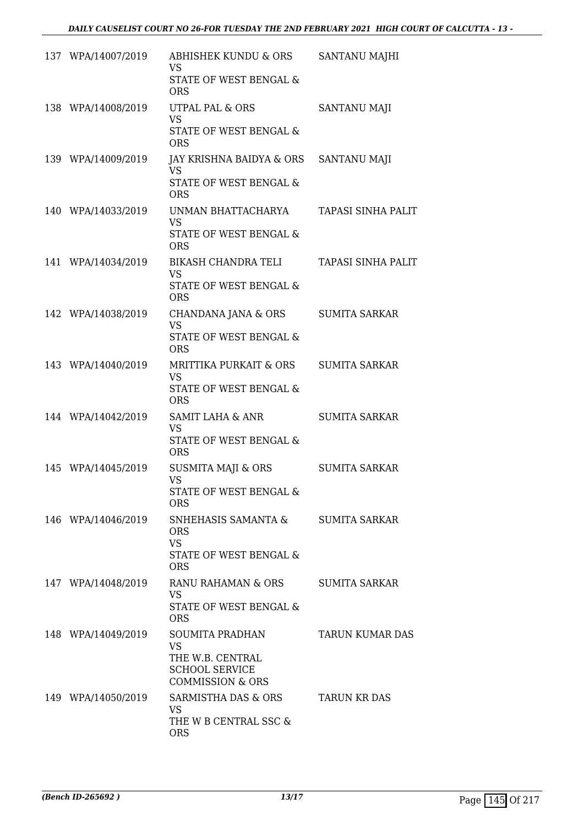| 137 WPA/14007/2019 | ABHISHEK KUNDU & ORS<br><b>VS</b><br>STATE OF WEST BENGAL &<br><b>ORS</b>                                | SANTANU MAJHI        |
|--------------------|----------------------------------------------------------------------------------------------------------|----------------------|
| 138 WPA/14008/2019 | <b>UTPAL PAL &amp; ORS</b><br><b>VS</b><br>STATE OF WEST BENGAL &<br><b>ORS</b>                          | <b>SANTANU MAJI</b>  |
| 139 WPA/14009/2019 | JAY KRISHNA BAIDYA & ORS<br>VS<br><b>STATE OF WEST BENGAL &amp;</b><br><b>ORS</b>                        | SANTANU MAJI         |
| 140 WPA/14033/2019 | UNMAN BHATTACHARYA<br><b>VS</b><br>STATE OF WEST BENGAL &<br><b>ORS</b>                                  | TAPASI SINHA PALIT   |
| 141 WPA/14034/2019 | <b>BIKASH CHANDRA TELI</b><br><b>VS</b><br>STATE OF WEST BENGAL &<br><b>ORS</b>                          | TAPASI SINHA PALIT   |
| 142 WPA/14038/2019 | CHANDANA JANA & ORS<br><b>VS</b><br>STATE OF WEST BENGAL &<br><b>ORS</b>                                 | <b>SUMITA SARKAR</b> |
| 143 WPA/14040/2019 | <b>MRITTIKA PURKAIT &amp; ORS</b><br><b>VS</b><br>STATE OF WEST BENGAL &<br><b>ORS</b>                   | <b>SUMITA SARKAR</b> |
| 144 WPA/14042/2019 | <b>SAMIT LAHA &amp; ANR</b><br><b>VS</b><br>STATE OF WEST BENGAL &<br><b>ORS</b>                         | <b>SUMITA SARKAR</b> |
| 145 WPA/14045/2019 | <b>SUSMITA MAJI &amp; ORS</b><br><b>VS</b><br>STATE OF WEST BENGAL &<br><b>ORS</b>                       | <b>SUMITA SARKAR</b> |
| 146 WPA/14046/2019 | SNHEHASIS SAMANTA &<br><b>ORS</b><br><b>VS</b><br>STATE OF WEST BENGAL &<br><b>ORS</b>                   | <b>SUMITA SARKAR</b> |
| 147 WPA/14048/2019 | RANU RAHAMAN & ORS<br>VS.<br>STATE OF WEST BENGAL &<br><b>ORS</b>                                        | SUMITA SARKAR        |
| 148 WPA/14049/2019 | SOUMITA PRADHAN<br><b>VS</b><br>THE W.B. CENTRAL<br><b>SCHOOL SERVICE</b><br><b>COMMISSION &amp; ORS</b> | TARUN KUMAR DAS      |
| 149 WPA/14050/2019 | SARMISTHA DAS & ORS<br><b>VS</b><br>THE W B CENTRAL SSC &<br><b>ORS</b>                                  | <b>TARUN KR DAS</b>  |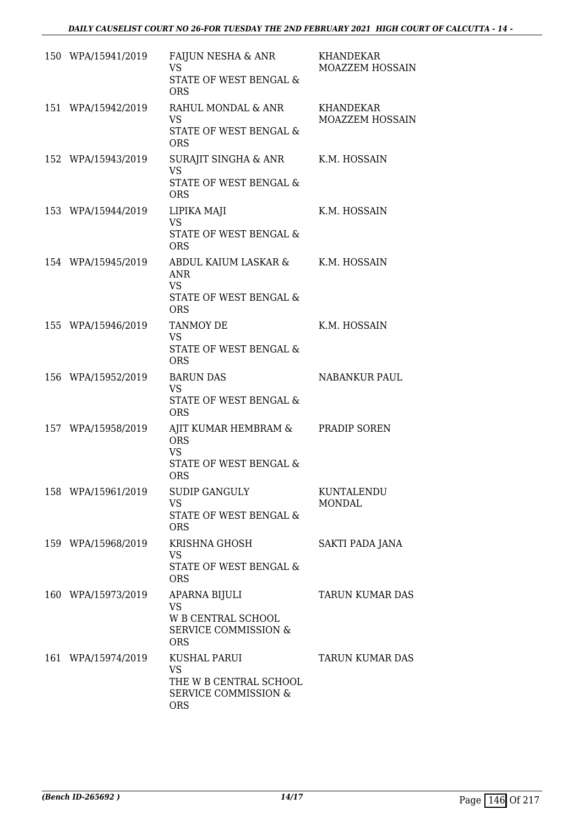| 150 WPA/15941/2019 | FAIJUN NESHA & ANR<br><b>VS</b><br>STATE OF WEST BENGAL &<br><b>ORS</b>                              | <b>KHANDEKAR</b><br>MOAZZEM HOSSAIN |
|--------------------|------------------------------------------------------------------------------------------------------|-------------------------------------|
| 151 WPA/15942/2019 | RAHUL MONDAL & ANR<br><b>VS</b><br>STATE OF WEST BENGAL &<br><b>ORS</b>                              | KHANDEKAR<br>MOAZZEM HOSSAIN        |
| 152 WPA/15943/2019 | SURAJIT SINGHA & ANR K.M. HOSSAIN<br><b>VS</b><br>STATE OF WEST BENGAL &<br><b>ORS</b>               |                                     |
| 153 WPA/15944/2019 | LIPIKA MAJI<br><b>VS</b><br>STATE OF WEST BENGAL &<br><b>ORS</b>                                     | K.M. HOSSAIN                        |
| 154 WPA/15945/2019 | ABDUL KAIUM LASKAR & K.M. HOSSAIN<br><b>ANR</b><br><b>VS</b><br>STATE OF WEST BENGAL &<br><b>ORS</b> |                                     |
| 155 WPA/15946/2019 | <b>TANMOY DE</b><br><b>VS</b><br>STATE OF WEST BENGAL &<br><b>ORS</b>                                | K.M. HOSSAIN                        |
| 156 WPA/15952/2019 | <b>BARUN DAS</b><br><b>VS</b><br>STATE OF WEST BENGAL &<br><b>ORS</b>                                | <b>NABANKUR PAUL</b>                |
| 157 WPA/15958/2019 | AJIT KUMAR HEMBRAM & PRADIP SOREN<br><b>ORS</b><br><b>VS</b><br>STATE OF WEST BENGAL &<br><b>ORS</b> |                                     |
| 158 WPA/15961/2019 | <b>SUDIP GANGULY</b><br><b>VS</b><br><b>STATE OF WEST BENGAL &amp;</b><br><b>ORS</b>                 | KUNTALENDU<br><b>MONDAL</b>         |
| 159 WPA/15968/2019 | <b>KRISHNA GHOSH</b><br><b>VS</b><br>STATE OF WEST BENGAL &<br><b>ORS</b>                            | SAKTI PADA JANA                     |
| 160 WPA/15973/2019 | APARNA BIJULI<br><b>VS</b><br>W B CENTRAL SCHOOL<br><b>SERVICE COMMISSION &amp;</b><br><b>ORS</b>    | <b>TARUN KUMAR DAS</b>              |
| 161 WPA/15974/2019 | KUSHAL PARUI<br><b>VS</b><br>THE W B CENTRAL SCHOOL<br><b>SERVICE COMMISSION &amp;</b><br><b>ORS</b> | TARUN KUMAR DAS                     |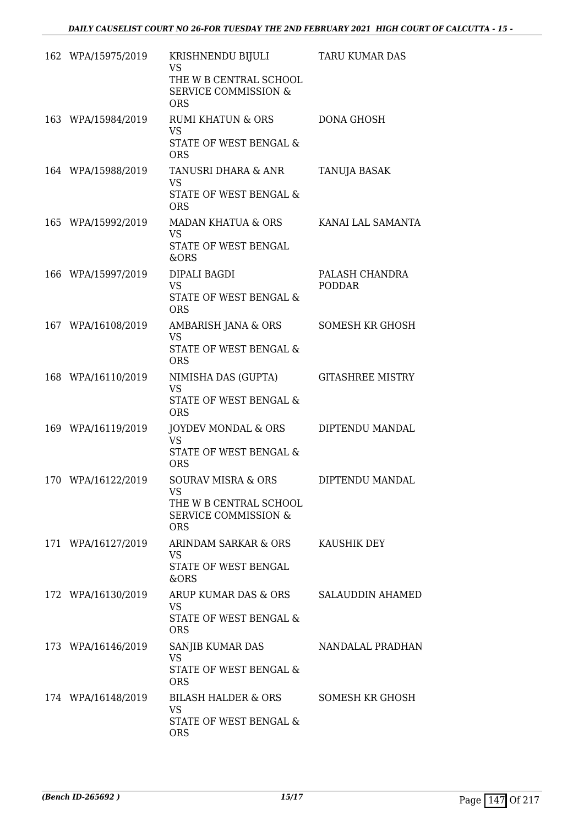| 162 WPA/15975/2019 | KRISHNENDU BIJULI<br>VS<br>THE W B CENTRAL SCHOOL<br><b>SERVICE COMMISSION &amp;</b><br><b>ORS</b>             | TARU KUMAR DAS                  |
|--------------------|----------------------------------------------------------------------------------------------------------------|---------------------------------|
| 163 WPA/15984/2019 | <b>RUMI KHATUN &amp; ORS</b><br><b>VS</b><br>STATE OF WEST BENGAL &<br><b>ORS</b>                              | <b>DONA GHOSH</b>               |
| 164 WPA/15988/2019 | TANUSRI DHARA & ANR<br><b>VS</b><br>STATE OF WEST BENGAL &<br><b>ORS</b>                                       | TANUJA BASAK                    |
| 165 WPA/15992/2019 | MADAN KHATUA & ORS<br><b>VS</b><br><b>STATE OF WEST BENGAL</b><br>&ORS                                         | KANAI LAL SAMANTA               |
| 166 WPA/15997/2019 | DIPALI BAGDI<br><b>VS</b><br><b>STATE OF WEST BENGAL &amp;</b><br><b>ORS</b>                                   | PALASH CHANDRA<br><b>PODDAR</b> |
| 167 WPA/16108/2019 | AMBARISH JANA & ORS<br><b>VS</b><br><b>STATE OF WEST BENGAL &amp;</b><br><b>ORS</b>                            | <b>SOMESH KR GHOSH</b>          |
| 168 WPA/16110/2019 | NIMISHA DAS (GUPTA)<br><b>VS</b><br>STATE OF WEST BENGAL &<br><b>ORS</b>                                       | <b>GITASHREE MISTRY</b>         |
| 169 WPA/16119/2019 | JOYDEV MONDAL & ORS<br><b>VS</b><br>STATE OF WEST BENGAL &<br><b>ORS</b>                                       | DIPTENDU MANDAL                 |
| 170 WPA/16122/2019 | <b>SOURAV MISRA &amp; ORS</b><br>VS<br>THE W B CENTRAL SCHOOL<br><b>SERVICE COMMISSION &amp;</b><br><b>ORS</b> | DIPTENDU MANDAL                 |
| 171 WPA/16127/2019 | ARINDAM SARKAR & ORS<br><b>VS</b><br>STATE OF WEST BENGAL<br>&ORS                                              | KAUSHIK DEY                     |
| 172 WPA/16130/2019 | ARUP KUMAR DAS & ORS<br>VS<br>STATE OF WEST BENGAL &<br><b>ORS</b>                                             | <b>SALAUDDIN AHAMED</b>         |
| 173 WPA/16146/2019 | SANJIB KUMAR DAS<br><b>VS</b><br>STATE OF WEST BENGAL &<br><b>ORS</b>                                          | NANDALAL PRADHAN                |
| 174 WPA/16148/2019 | <b>BILASH HALDER &amp; ORS</b><br>VS<br>STATE OF WEST BENGAL &<br><b>ORS</b>                                   | SOMESH KR GHOSH                 |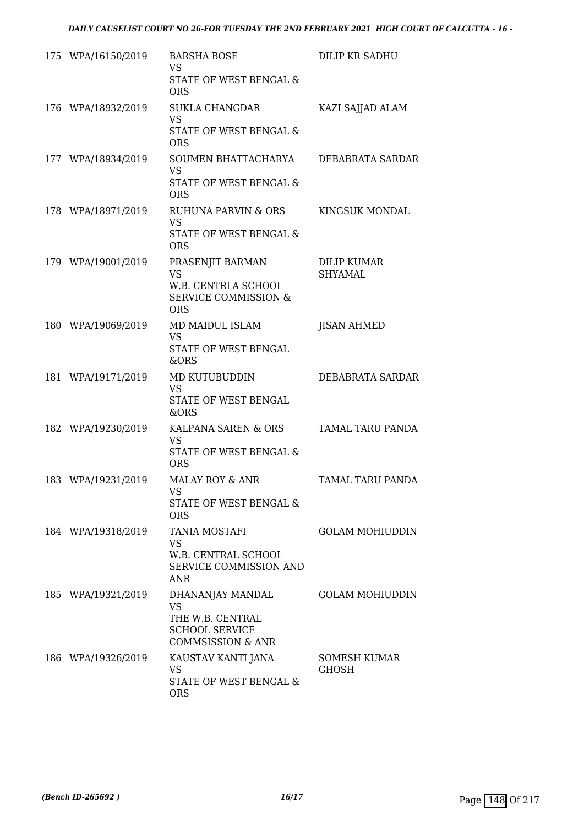| 175 WPA/16150/2019 | <b>BARSHA BOSE</b><br><b>VS</b><br>STATE OF WEST BENGAL &<br><b>ORS</b>                                    | DILIP KR SADHU                       |
|--------------------|------------------------------------------------------------------------------------------------------------|--------------------------------------|
| 176 WPA/18932/2019 | <b>SUKLA CHANGDAR</b><br><b>VS</b><br>STATE OF WEST BENGAL &<br><b>ORS</b>                                 | KAZI SAJJAD ALAM                     |
| 177 WPA/18934/2019 | SOUMEN BHATTACHARYA<br>VS.<br><b>STATE OF WEST BENGAL &amp;</b><br><b>ORS</b>                              | DEBABRATA SARDAR                     |
| 178 WPA/18971/2019 | RUHUNA PARVIN & ORS<br><b>VS</b><br>STATE OF WEST BENGAL &<br><b>ORS</b>                                   | KINGSUK MONDAL                       |
| 179 WPA/19001/2019 | PRASENJIT BARMAN<br><b>VS</b><br>W.B. CENTRLA SCHOOL<br><b>SERVICE COMMISSION &amp;</b><br><b>ORS</b>      | <b>DILIP KUMAR</b><br><b>SHYAMAL</b> |
| 180 WPA/19069/2019 | MD MAIDUL ISLAM<br><b>VS</b><br>STATE OF WEST BENGAL<br>&ORS                                               | <b>JISAN AHMED</b>                   |
| 181 WPA/19171/2019 | MD KUTUBUDDIN<br><b>VS</b><br>STATE OF WEST BENGAL<br>&ORS                                                 | DEBABRATA SARDAR                     |
| 182 WPA/19230/2019 | KALPANA SAREN & ORS<br><b>VS</b><br>STATE OF WEST BENGAL &<br><b>ORS</b>                                   | TAMAL TARU PANDA                     |
| 183 WPA/19231/2019 | <b>MALAY ROY &amp; ANR</b><br><b>VS</b><br>STATE OF WEST BENGAL &<br><b>ORS</b>                            | TAMAL TARU PANDA                     |
| 184 WPA/19318/2019 | <b>TANIA MOSTAFI</b><br><b>VS</b><br>W.B. CENTRAL SCHOOL<br>SERVICE COMMISSION AND<br>ANR.                 | <b>GOLAM MOHIUDDIN</b>               |
| 185 WPA/19321/2019 | DHANANJAY MANDAL<br><b>VS</b><br>THE W.B. CENTRAL<br><b>SCHOOL SERVICE</b><br><b>COMMSISSION &amp; ANR</b> | <b>GOLAM MOHIUDDIN</b>               |
| 186 WPA/19326/2019 | KAUSTAV KANTI JANA<br>VS<br>STATE OF WEST BENGAL &<br><b>ORS</b>                                           | SOMESH KUMAR<br><b>GHOSH</b>         |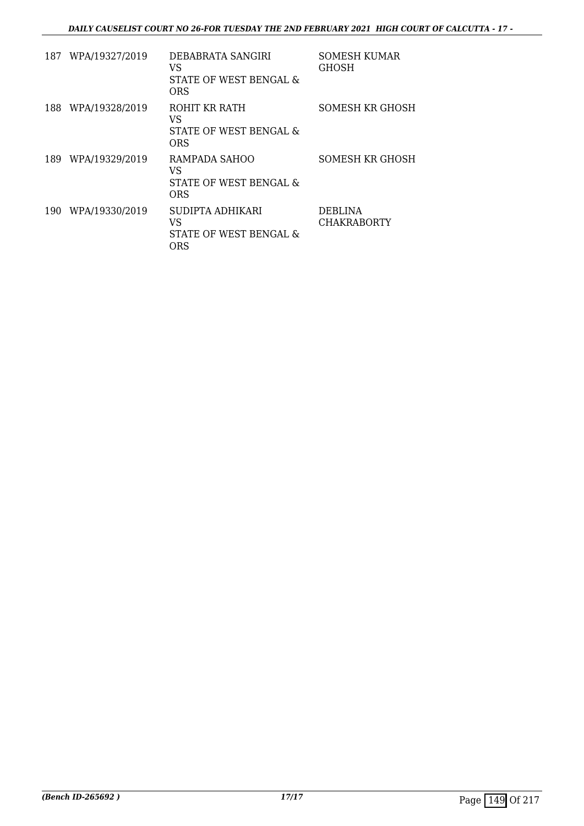| 187 | WPA/19327/2019 | DEBABRATA SANGIRI<br>VS<br>STATE OF WEST BENGAL &<br><b>ORS</b> | <b>SOMESH KUMAR</b><br>GHOSH |
|-----|----------------|-----------------------------------------------------------------|------------------------------|
| 188 | WPA/19328/2019 | ROHIT KR RATH<br>VS<br>STATE OF WEST BENGAL &<br><b>ORS</b>     | SOMESH KR GHOSH              |
| 189 | WPA/19329/2019 | RAMPADA SAHOO<br>VS<br>STATE OF WEST BENGAL &<br>ORS            | SOMESH KR GHOSH              |
| 190 | WPA/19330/2019 | SUDIPTA ADHIKARI<br>VS<br>STATE OF WEST BENGAL &<br><b>ORS</b>  | DEBLINA<br>CHAKRABORTY       |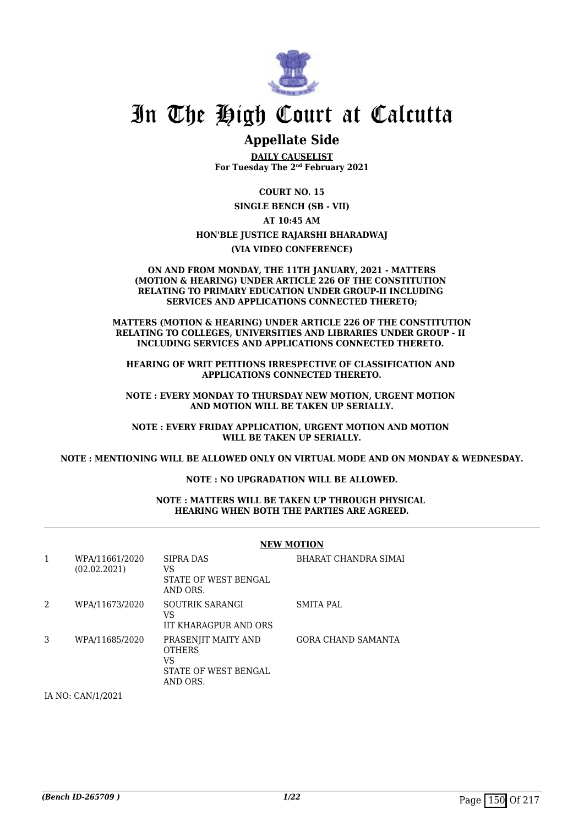

## In The High Court at Calcutta

### **Appellate Side**

**DAILY CAUSELIST For Tuesday The 2nd February 2021**

**COURT NO. 15**

**SINGLE BENCH (SB - VII)**

## **AT 10:45 AM**

**HON'BLE JUSTICE RAJARSHI BHARADWAJ**

**(VIA VIDEO CONFERENCE)**

#### **ON AND FROM MONDAY, THE 11TH JANUARY, 2021 - MATTERS (MOTION & HEARING) UNDER ARTICLE 226 OF THE CONSTITUTION RELATING TO PRIMARY EDUCATION UNDER GROUP-II INCLUDING SERVICES AND APPLICATIONS CONNECTED THERETO;**

**MATTERS (MOTION & HEARING) UNDER ARTICLE 226 OF THE CONSTITUTION RELATING TO COLLEGES, UNIVERSITIES AND LIBRARIES UNDER GROUP - II INCLUDING SERVICES AND APPLICATIONS CONNECTED THERETO.** 

**HEARING OF WRIT PETITIONS IRRESPECTIVE OF CLASSIFICATION AND APPLICATIONS CONNECTED THERETO.**

**NOTE : EVERY MONDAY TO THURSDAY NEW MOTION, URGENT MOTION AND MOTION WILL BE TAKEN UP SERIALLY.**

**NOTE : EVERY FRIDAY APPLICATION, URGENT MOTION AND MOTION WILL BE TAKEN UP SERIALLY.**

**NOTE : MENTIONING WILL BE ALLOWED ONLY ON VIRTUAL MODE AND ON MONDAY & WEDNESDAY.**

#### **NOTE : NO UPGRADATION WILL BE ALLOWED.**

#### **NOTE : MATTERS WILL BE TAKEN UP THROUGH PHYSICAL HEARING WHEN BOTH THE PARTIES ARE AGREED.**

|                |                                                                                                                                                                                                                                                                                                                                    | <b>NEW MOTION</b>                                                              |                           |  |
|----------------|------------------------------------------------------------------------------------------------------------------------------------------------------------------------------------------------------------------------------------------------------------------------------------------------------------------------------------|--------------------------------------------------------------------------------|---------------------------|--|
| 1              | WPA/11661/2020<br>(02.02.2021)                                                                                                                                                                                                                                                                                                     | SIPRA DAS<br>VS<br>STATE OF WEST BENGAL<br>AND ORS.                            | BHARAT CHANDRA SIMAI      |  |
| $\overline{2}$ | WPA/11673/2020                                                                                                                                                                                                                                                                                                                     | SOUTRIK SARANGI<br>VS<br><b>IIT KHARAGPUR AND ORS</b>                          | <b>SMITA PAL</b>          |  |
| 3              | WPA/11685/2020                                                                                                                                                                                                                                                                                                                     | PRASENJIT MAITY AND<br><b>OTHERS</b><br>VS<br>STATE OF WEST BENGAL<br>AND ORS. | <b>GORA CHAND SAMANTA</b> |  |
|                | $\mathbf{r}$ $\mathbf{r}$ $\mathbf{r}$ $\mathbf{r}$ $\mathbf{r}$ $\mathbf{r}$ $\mathbf{r}$ $\mathbf{r}$ $\mathbf{r}$ $\mathbf{r}$ $\mathbf{r}$ $\mathbf{r}$ $\mathbf{r}$ $\mathbf{r}$ $\mathbf{r}$ $\mathbf{r}$ $\mathbf{r}$ $\mathbf{r}$ $\mathbf{r}$ $\mathbf{r}$ $\mathbf{r}$ $\mathbf{r}$ $\mathbf{r}$ $\mathbf{r}$ $\mathbf{$ |                                                                                |                           |  |

IA NO: CAN/1/2021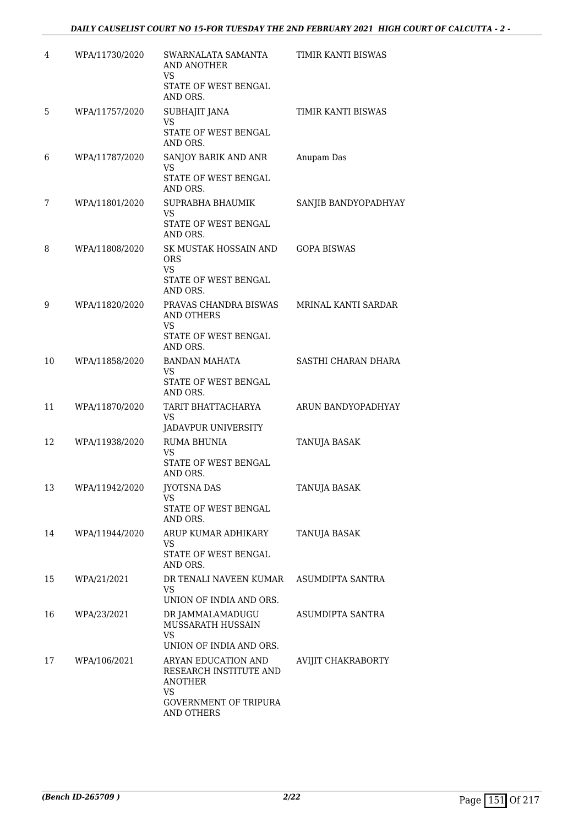| 4  | WPA/11730/2020 | SWARNALATA SAMANTA<br>AND ANOTHER<br><b>VS</b>                  | TIMIR KANTI BISWAS   |
|----|----------------|-----------------------------------------------------------------|----------------------|
|    |                | STATE OF WEST BENGAL<br>AND ORS.                                |                      |
| 5  | WPA/11757/2020 | <b>SUBHAJIT JANA</b><br><b>VS</b>                               | TIMIR KANTI BISWAS   |
|    |                | STATE OF WEST BENGAL<br>AND ORS.                                |                      |
| 6  | WPA/11787/2020 | SANJOY BARIK AND ANR<br>VS                                      | Anupam Das           |
|    |                | STATE OF WEST BENGAL<br>AND ORS.                                |                      |
| 7  | WPA/11801/2020 | SUPRABHA BHAUMIK<br>VS                                          | SANJIB BANDYOPADHYAY |
|    |                | STATE OF WEST BENGAL<br>AND ORS.                                |                      |
| 8  | WPA/11808/2020 | SK MUSTAK HOSSAIN AND<br><b>ORS</b><br><b>VS</b>                | <b>GOPA BISWAS</b>   |
|    |                | STATE OF WEST BENGAL<br>AND ORS.                                |                      |
| 9  | WPA/11820/2020 | PRAVAS CHANDRA BISWAS<br>AND OTHERS<br>VS                       | MRINAL KANTI SARDAR  |
|    |                | STATE OF WEST BENGAL<br>AND ORS.                                |                      |
| 10 | WPA/11858/2020 | <b>BANDAN MAHATA</b><br>VS                                      | SASTHI CHARAN DHARA  |
|    |                | STATE OF WEST BENGAL<br>AND ORS.                                |                      |
| 11 | WPA/11870/2020 | TARIT BHATTACHARYA<br>VS<br>JADAVPUR UNIVERSITY                 | ARUN BANDYOPADHYAY   |
| 12 | WPA/11938/2020 | <b>RUMA BHUNIA</b><br>VS                                        | TANUJA BASAK         |
|    |                | STATE OF WEST BENGAL<br>AND ORS.                                |                      |
| 13 | WPA/11942/2020 | <b>JYOTSNA DAS</b><br><b>VS</b>                                 | TANUJA BASAK         |
|    |                | STATE OF WEST BENGAL<br>AND ORS.                                |                      |
| 14 | WPA/11944/2020 | ARUP KUMAR ADHIKARY<br>VS                                       | TANUJA BASAK         |
|    |                | STATE OF WEST BENGAL<br>AND ORS.                                |                      |
| 15 | WPA/21/2021    | DR TENALI NAVEEN KUMAR<br>VS.                                   | ASUMDIPTA SANTRA     |
|    |                | UNION OF INDIA AND ORS.                                         |                      |
| 16 | WPA/23/2021    | DR JAMMALAMADUGU<br>MUSSARATH HUSSAIN<br><b>VS</b>              | ASUMDIPTA SANTRA     |
|    |                | UNION OF INDIA AND ORS.                                         |                      |
| 17 | WPA/106/2021   | ARYAN EDUCATION AND<br>RESEARCH INSTITUTE AND<br><b>ANOTHER</b> | AVIJIT CHAKRABORTY   |
|    |                | VS.<br><b>GOVERNMENT OF TRIPURA</b><br><b>AND OTHERS</b>        |                      |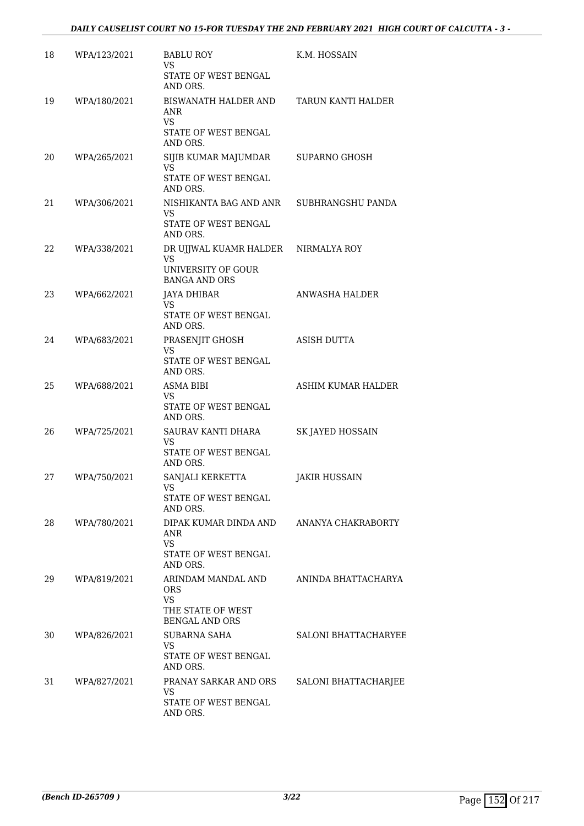| 18 | WPA/123/2021 | <b>BABLU ROY</b><br>VS<br>STATE OF WEST BENGAL                                              | K.M. HOSSAIN                |
|----|--------------|---------------------------------------------------------------------------------------------|-----------------------------|
|    |              | AND ORS.                                                                                    |                             |
| 19 | WPA/180/2021 | BISWANATH HALDER AND<br>ANR<br><b>VS</b><br>STATE OF WEST BENGAL<br>AND ORS.                | TARUN KANTI HALDER          |
| 20 | WPA/265/2021 | SIJIB KUMAR MAJUMDAR<br><b>VS</b><br><b>STATE OF WEST BENGAL</b>                            | <b>SUPARNO GHOSH</b>        |
|    |              | AND ORS.                                                                                    |                             |
| 21 | WPA/306/2021 | NISHIKANTA BAG AND ANR<br>VS<br>STATE OF WEST BENGAL<br>AND ORS.                            | SUBHRANGSHU PANDA           |
| 22 | WPA/338/2021 | DR UJJWAL KUAMR HALDER<br>VS<br>UNIVERSITY OF GOUR<br><b>BANGA AND ORS</b>                  | NIRMALYA ROY                |
| 23 | WPA/662/2021 | JAYA DHIBAR<br><b>VS</b><br>STATE OF WEST BENGAL<br>AND ORS.                                | <b>ANWASHA HALDER</b>       |
| 24 | WPA/683/2021 | PRASENJIT GHOSH<br>VS<br>STATE OF WEST BENGAL<br>AND ORS.                                   | <b>ASISH DUTTA</b>          |
| 25 | WPA/688/2021 | ASMA BIBI<br><b>VS</b><br>STATE OF WEST BENGAL                                              | ASHIM KUMAR HALDER          |
| 26 | WPA/725/2021 | AND ORS.<br>SAURAV KANTI DHARA<br>VS<br>STATE OF WEST BENGAL<br>AND ORS.                    | SK JAYED HOSSAIN            |
| 27 | WPA/750/2021 | SANJALI KERKETTA<br>VS<br>STATE OF WEST BENGAL<br>AND ORS.                                  | JAKIR HUSSAIN               |
| 28 | WPA/780/2021 | DIPAK KUMAR DINDA AND<br>ANR<br><b>VS</b><br>STATE OF WEST BENGAL<br>AND ORS.               | ANANYA CHAKRABORTY          |
| 29 | WPA/819/2021 | ARINDAM MANDAL AND<br><b>ORS</b><br><b>VS</b><br>THE STATE OF WEST<br><b>BENGAL AND ORS</b> | ANINDA BHATTACHARYA         |
| 30 | WPA/826/2021 | <b>SUBARNA SAHA</b><br>VS.<br>STATE OF WEST BENGAL<br>AND ORS.                              | <b>SALONI BHATTACHARYEE</b> |
| 31 | WPA/827/2021 | PRANAY SARKAR AND ORS<br><b>VS</b><br>STATE OF WEST BENGAL<br>AND ORS.                      | SALONI BHATTACHARJEE        |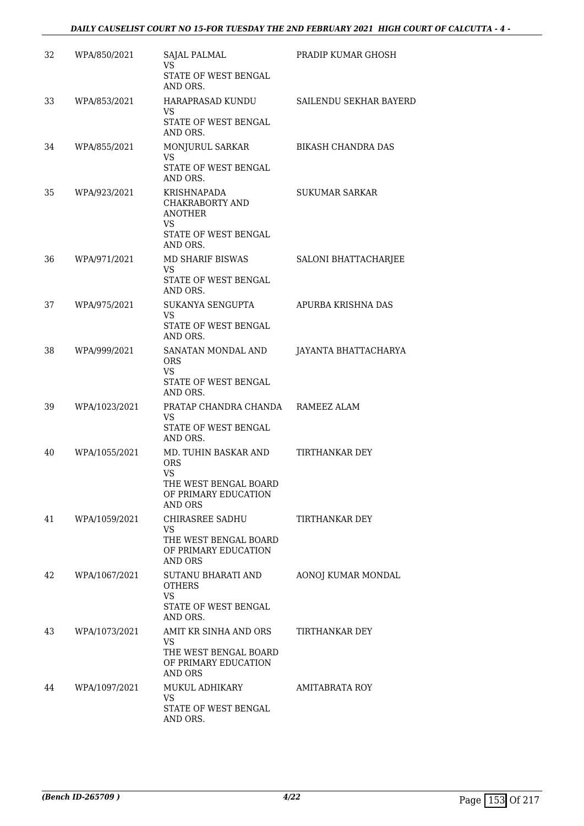| 32 | WPA/850/2021  | SAJAL PALMAL<br>VS                                                                               | PRADIP KUMAR GHOSH        |
|----|---------------|--------------------------------------------------------------------------------------------------|---------------------------|
|    |               | STATE OF WEST BENGAL<br>AND ORS.                                                                 |                           |
| 33 | WPA/853/2021  | HARAPRASAD KUNDU<br><b>VS</b>                                                                    | SAILENDU SEKHAR BAYERD    |
|    |               | STATE OF WEST BENGAL<br>AND ORS.                                                                 |                           |
| 34 | WPA/855/2021  | MONJURUL SARKAR<br><b>VS</b>                                                                     | <b>BIKASH CHANDRA DAS</b> |
|    |               | STATE OF WEST BENGAL<br>AND ORS.                                                                 |                           |
| 35 | WPA/923/2021  | KRISHNAPADA<br>CHAKRABORTY AND<br><b>ANOTHER</b><br>VS<br>STATE OF WEST BENGAL                   | <b>SUKUMAR SARKAR</b>     |
|    |               | AND ORS.                                                                                         |                           |
| 36 | WPA/971/2021  | MD SHARIF BISWAS<br>VS.<br>STATE OF WEST BENGAL<br>AND ORS.                                      | SALONI BHATTACHARJEE      |
| 37 | WPA/975/2021  | SUKANYA SENGUPTA                                                                                 | APURBA KRISHNA DAS        |
|    |               | <b>VS</b><br>STATE OF WEST BENGAL<br>AND ORS.                                                    |                           |
| 38 | WPA/999/2021  | SANATAN MONDAL AND<br><b>ORS</b><br>VS                                                           | JAYANTA BHATTACHARYA      |
|    |               | STATE OF WEST BENGAL<br>AND ORS.                                                                 |                           |
| 39 | WPA/1023/2021 | PRATAP CHANDRA CHANDA RAMEEZ ALAM<br>VS<br>STATE OF WEST BENGAL<br>AND ORS.                      |                           |
| 40 | WPA/1055/2021 | MD. TUHIN BASKAR AND<br><b>ORS</b><br><b>VS</b><br>THE WEST BENGAL BOARD<br>OF PRIMARY EDUCATION | TIRTHANKAR DEY            |
| 41 | WPA/1059/2021 | AND ORS<br>CHIRASREE SADHU                                                                       | TIRTHANKAR DEY            |
|    |               | <b>VS</b><br>THE WEST BENGAL BOARD<br>OF PRIMARY EDUCATION<br><b>AND ORS</b>                     |                           |
| 42 | WPA/1067/2021 | SUTANU BHARATI AND<br><b>OTHERS</b><br>VS                                                        | AONOJ KUMAR MONDAL        |
|    |               | STATE OF WEST BENGAL<br>AND ORS.                                                                 |                           |
| 43 | WPA/1073/2021 | AMIT KR SINHA AND ORS<br><b>VS</b>                                                               | TIRTHANKAR DEY            |
|    |               | THE WEST BENGAL BOARD<br>OF PRIMARY EDUCATION<br>AND ORS                                         |                           |
| 44 | WPA/1097/2021 | MUKUL ADHIKARY<br><b>VS</b>                                                                      | AMITABRATA ROY            |
|    |               | STATE OF WEST BENGAL<br>AND ORS.                                                                 |                           |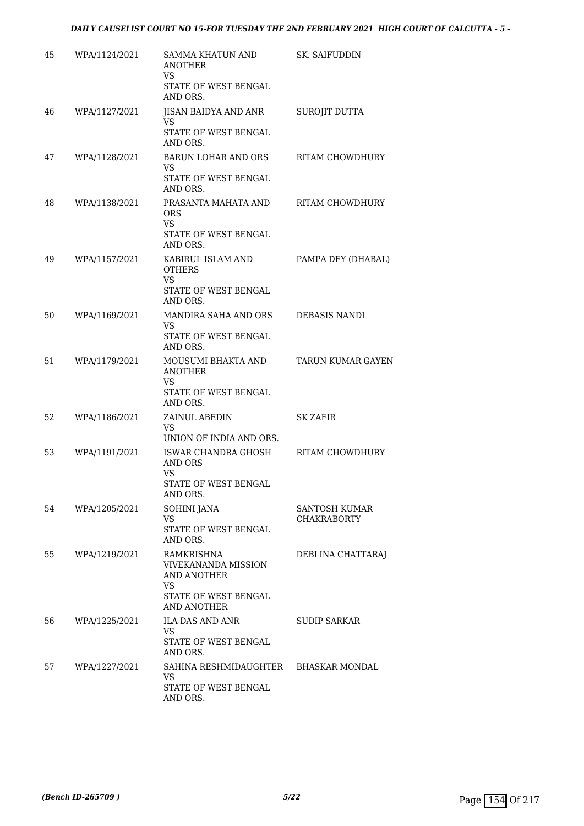| 45 | WPA/1124/2021 | <b>SAMMA KHATUN AND</b><br><b>ANOTHER</b><br>VS<br>STATE OF WEST BENGAL<br>AND ORS.                         | <b>SK. SAIFUDDIN</b>                |
|----|---------------|-------------------------------------------------------------------------------------------------------------|-------------------------------------|
| 46 | WPA/1127/2021 | <b>IISAN BAIDYA AND ANR</b><br>VS<br>STATE OF WEST BENGAL<br>AND ORS.                                       | <b>SUROJIT DUTTA</b>                |
| 47 | WPA/1128/2021 | <b>BARUN LOHAR AND ORS</b><br>VS.<br>STATE OF WEST BENGAL<br>AND ORS.                                       | RITAM CHOWDHURY                     |
| 48 | WPA/1138/2021 | PRASANTA MAHATA AND<br><b>ORS</b><br><b>VS</b><br>STATE OF WEST BENGAL                                      | <b>RITAM CHOWDHURY</b>              |
| 49 | WPA/1157/2021 | AND ORS.<br>KABIRUL ISLAM AND<br><b>OTHERS</b><br>VS<br>STATE OF WEST BENGAL                                | PAMPA DEY (DHABAL)                  |
| 50 | WPA/1169/2021 | AND ORS.<br>MANDIRA SAHA AND ORS<br>VS.<br>STATE OF WEST BENGAL<br>AND ORS.                                 | <b>DEBASIS NANDI</b>                |
| 51 | WPA/1179/2021 | MOUSUMI BHAKTA AND<br><b>ANOTHER</b><br>VS<br>STATE OF WEST BENGAL<br>AND ORS.                              | <b>TARUN KUMAR GAYEN</b>            |
| 52 | WPA/1186/2021 | ZAINUL ABEDIN<br>VS<br>UNION OF INDIA AND ORS.                                                              | <b>SK ZAFIR</b>                     |
| 53 | WPA/1191/2021 | ISWAR CHANDRA GHOSH<br>AND ORS<br><b>VS</b><br>STATE OF WEST BENGAL<br>AND ORS.                             | RITAM CHOWDHURY                     |
| 54 | WPA/1205/2021 | SOHINI JANA<br><b>VS</b><br>STATE OF WEST BENGAL<br>AND ORS.                                                | SANTOSH KUMAR<br><b>CHAKRABORTY</b> |
| 55 | WPA/1219/2021 | RAMKRISHNA<br><b>VIVEKANANDA MISSION</b><br>AND ANOTHER<br><b>VS</b><br>STATE OF WEST BENGAL<br>AND ANOTHER | DEBLINA CHATTARAJ                   |
| 56 | WPA/1225/2021 | <b>ILA DAS AND ANR</b><br>VS.<br>STATE OF WEST BENGAL<br>AND ORS.                                           | SUDIP SARKAR                        |
| 57 | WPA/1227/2021 | SAHINA RESHMIDAUGHTER<br>VS<br>STATE OF WEST BENGAL<br>AND ORS.                                             | BHASKAR MONDAL                      |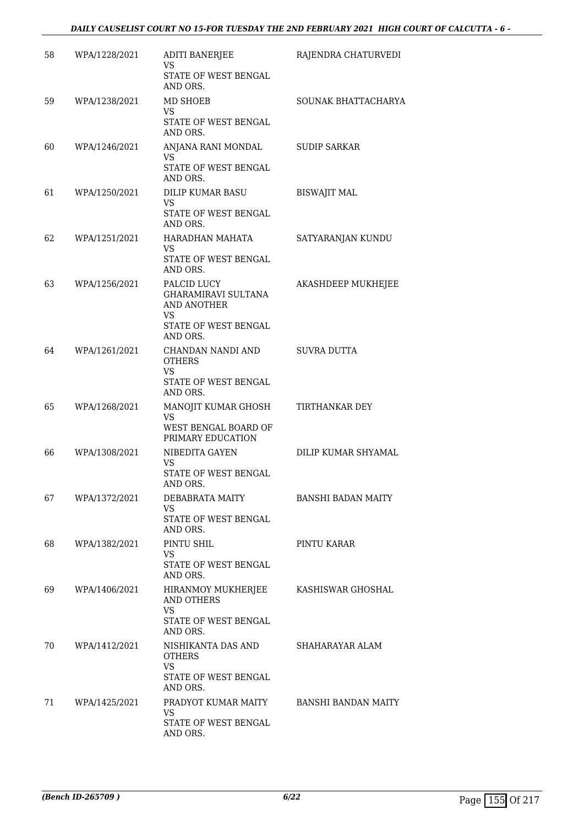| 58 | WPA/1228/2021 | <b>ADITI BANERJEE</b><br>VS<br><b>STATE OF WEST BENGAL</b><br>AND ORS.                             | RAJENDRA CHATURVEDI        |
|----|---------------|----------------------------------------------------------------------------------------------------|----------------------------|
| 59 | WPA/1238/2021 | <b>MD SHOEB</b><br>VS<br>STATE OF WEST BENGAL<br>AND ORS.                                          | SOUNAK BHATTACHARYA        |
| 60 | WPA/1246/2021 | ANJANA RANI MONDAL<br><b>VS</b><br>STATE OF WEST BENGAL<br>AND ORS.                                | <b>SUDIP SARKAR</b>        |
| 61 | WPA/1250/2021 | DILIP KUMAR BASU<br>VS<br>STATE OF WEST BENGAL<br>AND ORS.                                         | <b>BISWAJIT MAL</b>        |
| 62 | WPA/1251/2021 | HARADHAN MAHATA<br>VS<br>STATE OF WEST BENGAL<br>AND ORS.                                          | SATYARANJAN KUNDU          |
| 63 | WPA/1256/2021 | PALCID LUCY<br><b>GHARAMIRAVI SULTANA</b><br>AND ANOTHER<br>VS<br>STATE OF WEST BENGAL<br>AND ORS. | AKASHDEEP MUKHEJEE         |
| 64 | WPA/1261/2021 | CHANDAN NANDI AND<br><b>OTHERS</b><br><b>VS</b><br>STATE OF WEST BENGAL<br>AND ORS.                | SUVRA DUTTA                |
| 65 | WPA/1268/2021 | MANOJIT KUMAR GHOSH<br>VS<br>WEST BENGAL BOARD OF<br>PRIMARY EDUCATION                             | TIRTHANKAR DEY             |
| 66 | WPA/1308/2021 | NIBEDITA GAYEN<br>VS<br>STATE OF WEST BENGAL<br>AND ORS.                                           | DILIP KUMAR SHYAMAL        |
| 67 | WPA/1372/2021 | DEBABRATA MAITY<br>VS<br>STATE OF WEST BENGAL<br>AND ORS.                                          | <b>BANSHI BADAN MAITY</b>  |
| 68 | WPA/1382/2021 | PINTU SHIL<br>VS<br>STATE OF WEST BENGAL<br>AND ORS.                                               | PINTU KARAR                |
| 69 | WPA/1406/2021 | HIRANMOY MUKHERJEE<br><b>AND OTHERS</b><br>VS<br>STATE OF WEST BENGAL                              | KASHISWAR GHOSHAL          |
| 70 | WPA/1412/2021 | AND ORS.<br>NISHIKANTA DAS AND<br><b>OTHERS</b><br>VS<br>STATE OF WEST BENGAL                      | SHAHARAYAR ALAM            |
| 71 | WPA/1425/2021 | AND ORS.<br>PRADYOT KUMAR MAITY<br>VS<br>STATE OF WEST BENGAL<br>AND ORS.                          | <b>BANSHI BANDAN MAITY</b> |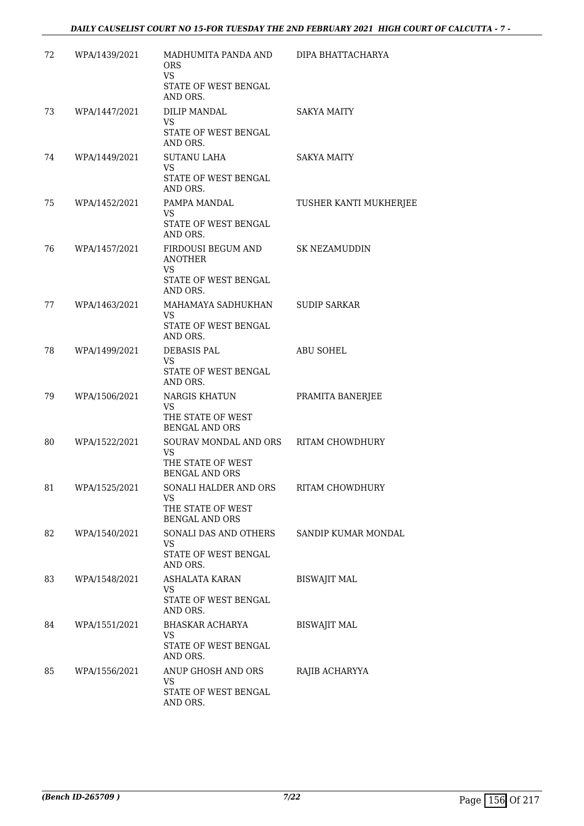| 72 | WPA/1439/2021 | MADHUMITA PANDA AND<br><b>ORS</b><br><b>VS</b><br>STATE OF WEST BENGAL<br>AND ORS.        | DIPA BHATTACHARYA      |
|----|---------------|-------------------------------------------------------------------------------------------|------------------------|
| 73 | WPA/1447/2021 | DILIP MANDAL<br>VS.<br>STATE OF WEST BENGAL<br>AND ORS.                                   | <b>SAKYA MAITY</b>     |
| 74 | WPA/1449/2021 | <b>SUTANU LAHA</b><br>VS.<br>STATE OF WEST BENGAL<br>AND ORS.                             | <b>SAKYA MAITY</b>     |
| 75 | WPA/1452/2021 | PAMPA MANDAL<br>VS<br>STATE OF WEST BENGAL<br>AND ORS.                                    | TUSHER KANTI MUKHERJEE |
| 76 | WPA/1457/2021 | FIRDOUSI BEGUM AND<br><b>ANOTHER</b><br><b>VS</b><br>STATE OF WEST BENGAL<br>AND ORS.     | SK NEZAMUDDIN          |
| 77 | WPA/1463/2021 | MAHAMAYA SADHUKHAN<br><b>VS</b><br>STATE OF WEST BENGAL<br>AND ORS.                       | <b>SUDIP SARKAR</b>    |
| 78 | WPA/1499/2021 | DEBASIS PAL<br>VS<br>STATE OF WEST BENGAL<br>AND ORS.                                     | <b>ABU SOHEL</b>       |
| 79 | WPA/1506/2021 | NARGIS KHATUN<br>VS<br>THE STATE OF WEST<br><b>BENGAL AND ORS</b>                         | PRAMITA BANERJEE       |
| 80 | WPA/1522/2021 | SOURAV MONDAL AND ORS RITAM CHOWDHURY<br>VS<br>THE STATE OF WEST<br><b>BENGAL AND ORS</b> |                        |
| 81 | WPA/1525/2021 | SONALI HALDER AND ORS<br>VS.<br>THE STATE OF WEST<br><b>BENGAL AND ORS</b>                | <b>RITAM CHOWDHURY</b> |
| 82 | WPA/1540/2021 | SONALI DAS AND OTHERS<br>VS.<br>STATE OF WEST BENGAL<br>AND ORS.                          | SANDIP KUMAR MONDAL    |
| 83 | WPA/1548/2021 | ASHALATA KARAN<br>VS.<br>STATE OF WEST BENGAL<br>AND ORS.                                 | <b>BISWAJIT MAL</b>    |
| 84 | WPA/1551/2021 | BHASKAR ACHARYA<br><b>VS</b><br>STATE OF WEST BENGAL<br>AND ORS.                          | <b>BISWAJIT MAL</b>    |
| 85 | WPA/1556/2021 | ANUP GHOSH AND ORS<br>VS.<br>STATE OF WEST BENGAL<br>AND ORS.                             | RAJIB ACHARYYA         |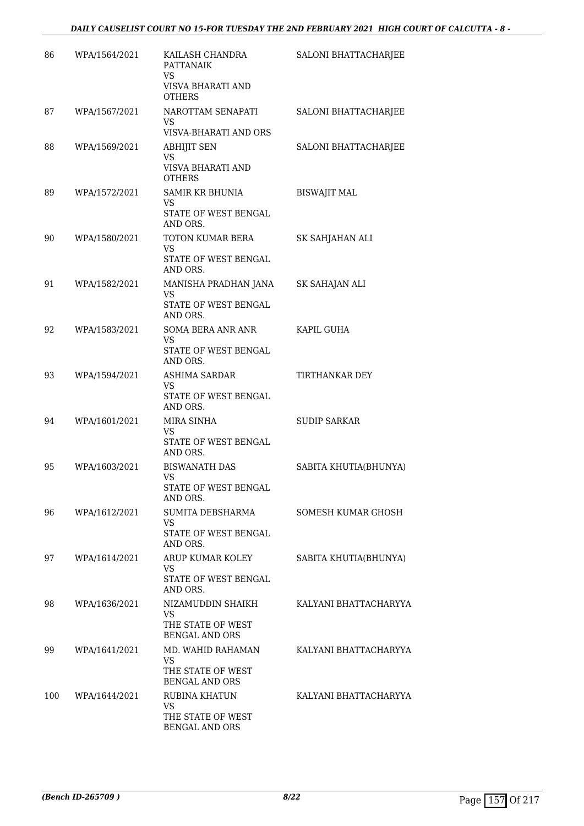| 86  | WPA/1564/2021 | KAILASH CHANDRA<br><b>PATTANAIK</b>                  | SALONI BHATTACHARJEE  |
|-----|---------------|------------------------------------------------------|-----------------------|
|     |               | <b>VS</b><br>VISVA BHARATI AND<br><b>OTHERS</b>      |                       |
| 87  | WPA/1567/2021 | NAROTTAM SENAPATI<br>VS<br>VISVA-BHARATI AND ORS     | SALONI BHATTACHARJEE  |
| 88  | WPA/1569/2021 | <b>ABHIJIT SEN</b><br>VS                             | SALONI BHATTACHARJEE  |
|     |               | VISVA BHARATI AND<br><b>OTHERS</b>                   |                       |
| 89  | WPA/1572/2021 | <b>SAMIR KR BHUNIA</b><br>VS<br>STATE OF WEST BENGAL | <b>BISWAJIT MAL</b>   |
|     |               | AND ORS.                                             |                       |
| 90  | WPA/1580/2021 | TOTON KUMAR BERA<br><b>VS</b>                        | SK SAHJAHAN ALI       |
|     |               | STATE OF WEST BENGAL<br>AND ORS.                     |                       |
| 91  | WPA/1582/2021 | MANISHA PRADHAN JANA<br><b>VS</b>                    | SK SAHAJAN ALI        |
|     |               | STATE OF WEST BENGAL<br>AND ORS.                     |                       |
| 92  | WPA/1583/2021 | SOMA BERA ANR ANR<br><b>VS</b>                       | KAPIL GUHA            |
|     |               | STATE OF WEST BENGAL<br>AND ORS.                     |                       |
| 93  | WPA/1594/2021 | ASHIMA SARDAR<br>VS.                                 | TIRTHANKAR DEY        |
|     |               | STATE OF WEST BENGAL<br>AND ORS.                     |                       |
| 94  | WPA/1601/2021 | MIRA SINHA<br>VS                                     | <b>SUDIP SARKAR</b>   |
|     |               | STATE OF WEST BENGAL<br>AND ORS.                     |                       |
| 95  | WPA/1603/2021 | <b>BISWANATH DAS</b><br>VS                           | SABITA KHUTIA(BHUNYA) |
|     |               | STATE OF WEST BENGAL<br>AND ORS.                     |                       |
| 96  | WPA/1612/2021 | SUMITA DEBSHARMA<br>VS.                              | SOMESH KUMAR GHOSH    |
|     |               | STATE OF WEST BENGAL<br>AND ORS.                     |                       |
| 97  | WPA/1614/2021 | ARUP KUMAR KOLEY<br>VS.                              | SABITA KHUTIA(BHUNYA) |
|     |               | STATE OF WEST BENGAL<br>AND ORS.                     |                       |
| 98  | WPA/1636/2021 | NIZAMUDDIN SHAIKH<br><b>VS</b>                       | KALYANI BHATTACHARYYA |
|     |               | THE STATE OF WEST<br><b>BENGAL AND ORS</b>           |                       |
| 99  | WPA/1641/2021 | MD. WAHID RAHAMAN<br>VS.                             | KALYANI BHATTACHARYYA |
|     |               | THE STATE OF WEST<br><b>BENGAL AND ORS</b>           |                       |
| 100 | WPA/1644/2021 | RUBINA KHATUN<br><b>VS</b>                           | KALYANI BHATTACHARYYA |
|     |               | THE STATE OF WEST<br><b>BENGAL AND ORS</b>           |                       |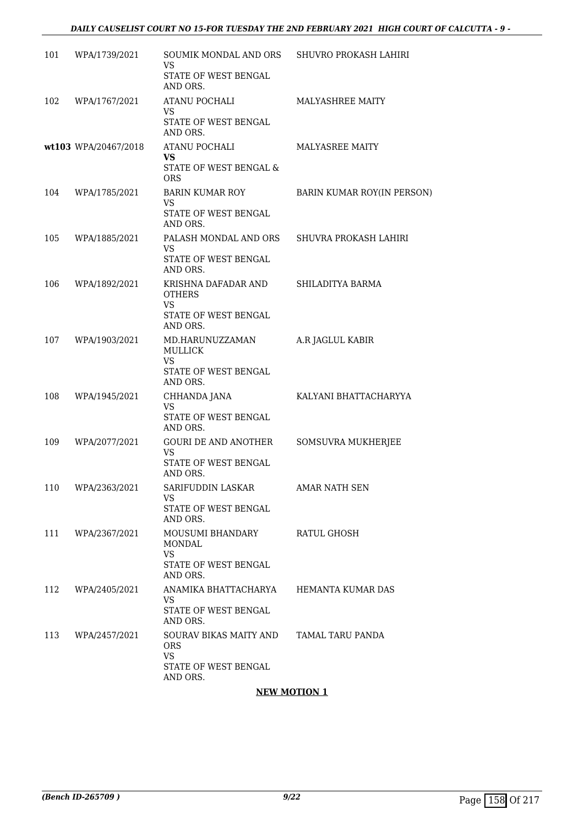| 101 | WPA/1739/2021        | SOUMIK MONDAL AND ORS<br>VS<br>STATE OF WEST BENGAL<br>AND ORS.                       | SHUVRO PROKASH LAHIRI      |
|-----|----------------------|---------------------------------------------------------------------------------------|----------------------------|
| 102 | WPA/1767/2021        | <b>ATANU POCHALI</b><br><b>VS</b><br>STATE OF WEST BENGAL<br>AND ORS.                 | MALYASHREE MAITY           |
|     | wt103 WPA/20467/2018 | <b>ATANU POCHALI</b><br>VS<br>STATE OF WEST BENGAL &<br><b>ORS</b>                    | MALYASREE MAITY            |
| 104 | WPA/1785/2021        | BARIN KUMAR ROY<br>VS<br>STATE OF WEST BENGAL<br>AND ORS.                             | BARIN KUMAR ROY(IN PERSON) |
| 105 | WPA/1885/2021        | PALASH MONDAL AND ORS<br><b>VS</b><br>STATE OF WEST BENGAL<br>AND ORS.                | SHUVRA PROKASH LAHIRI      |
| 106 | WPA/1892/2021        | KRISHNA DAFADAR AND<br><b>OTHERS</b><br><b>VS</b><br>STATE OF WEST BENGAL<br>AND ORS. | SHILADITYA BARMA           |
| 107 | WPA/1903/2021        | MD.HARUNUZZAMAN<br><b>MULLICK</b><br><b>VS</b><br>STATE OF WEST BENGAL<br>AND ORS.    | A.R JAGLUL KABIR           |
| 108 | WPA/1945/2021        | CHHANDA JANA<br>VS<br>STATE OF WEST BENGAL<br>AND ORS.                                | KALYANI BHATTACHARYYA      |
| 109 | WPA/2077/2021        | <b>GOURI DE AND ANOTHER</b><br>VS<br>STATE OF WEST BENGAL<br>AND ORS.                 | SOMSUVRA MUKHERJEE         |
| 110 | WPA/2363/2021        | SARIFUDDIN LASKAR<br>VS.<br>STATE OF WEST BENGAL<br>AND ORS.                          | AMAR NATH SEN              |
| 111 | WPA/2367/2021        | MOUSUMI BHANDARY<br>MONDAL<br>VS.<br>STATE OF WEST BENGAL<br>AND ORS.                 | RATUL GHOSH                |
| 112 | WPA/2405/2021        | ANAMIKA BHATTACHARYA<br>VS<br><b>STATE OF WEST BENGAL</b><br>AND ORS.                 | HEMANTA KUMAR DAS          |
| 113 | WPA/2457/2021        | SOURAV BIKAS MAITY AND<br><b>ORS</b><br>VS.<br>STATE OF WEST BENGAL<br>AND ORS.       | TAMAL TARU PANDA           |

#### **NEW MOTION 1**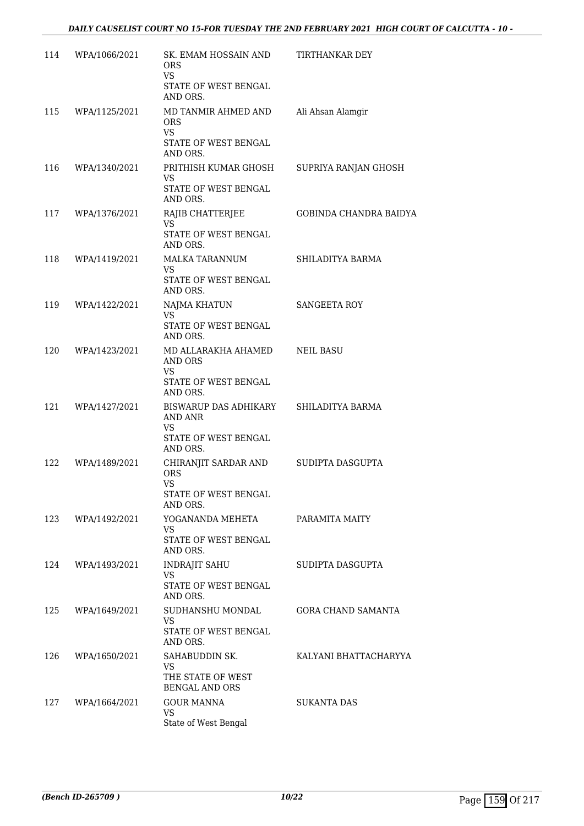| 114 | WPA/1066/2021 | SK. EMAM HOSSAIN AND<br><b>ORS</b><br>VS                                            | TIRTHANKAR DEY            |
|-----|---------------|-------------------------------------------------------------------------------------|---------------------------|
|     |               | STATE OF WEST BENGAL<br>AND ORS.                                                    |                           |
| 115 | WPA/1125/2021 | MD TANMIR AHMED AND<br><b>ORS</b><br><b>VS</b>                                      | Ali Ahsan Alamgir         |
|     |               | STATE OF WEST BENGAL<br>AND ORS.                                                    |                           |
| 116 | WPA/1340/2021 | PRITHISH KUMAR GHOSH<br><b>VS</b><br>STATE OF WEST BENGAL                           | SUPRIYA RANJAN GHOSH      |
| 117 | WPA/1376/2021 | AND ORS.<br>RAJIB CHATTERJEE                                                        | GOBINDA CHANDRA BAIDYA    |
|     |               | VS.<br>STATE OF WEST BENGAL<br>AND ORS.                                             |                           |
| 118 | WPA/1419/2021 | MALKA TARANNUM<br><b>VS</b><br>STATE OF WEST BENGAL<br>AND ORS.                     | SHILADITYA BARMA          |
| 119 | WPA/1422/2021 | NAJMA KHATUN                                                                        | SANGEETA ROY              |
|     |               | VS.<br>STATE OF WEST BENGAL<br>AND ORS.                                             |                           |
| 120 | WPA/1423/2021 | MD ALLARAKHA AHAMED<br>AND ORS<br><b>VS</b>                                         | <b>NEIL BASU</b>          |
|     |               | STATE OF WEST BENGAL<br>AND ORS.                                                    |                           |
| 121 | WPA/1427/2021 | BISWARUP DAS ADHIKARY<br>AND ANR<br>VS                                              | SHILADITYA BARMA          |
|     |               | STATE OF WEST BENGAL<br>AND ORS.                                                    |                           |
| 122 | WPA/1489/2021 | CHIRANJIT SARDAR AND<br><b>ORS</b><br><b>VS</b><br>STATE OF WEST BENGAL<br>AND ORS. | SUDIPTA DASGUPTA          |
| 123 | WPA/1492/2021 | YOGANANDA MEHETA                                                                    | PARAMITA MAITY            |
|     |               | VS.<br>STATE OF WEST BENGAL<br>AND ORS.                                             |                           |
| 124 | WPA/1493/2021 | <b>INDRAJIT SAHU</b><br>VS.                                                         | SUDIPTA DASGUPTA          |
|     |               | STATE OF WEST BENGAL<br>AND ORS.                                                    |                           |
| 125 | WPA/1649/2021 | SUDHANSHU MONDAL<br><b>VS</b><br>STATE OF WEST BENGAL<br>AND ORS.                   | <b>GORA CHAND SAMANTA</b> |
| 126 | WPA/1650/2021 | SAHABUDDIN SK.<br><b>VS</b><br>THE STATE OF WEST<br><b>BENGAL AND ORS</b>           | KALYANI BHATTACHARYYA     |
| 127 | WPA/1664/2021 | <b>GOUR MANNA</b><br><b>VS</b><br>State of West Bengal                              | <b>SUKANTA DAS</b>        |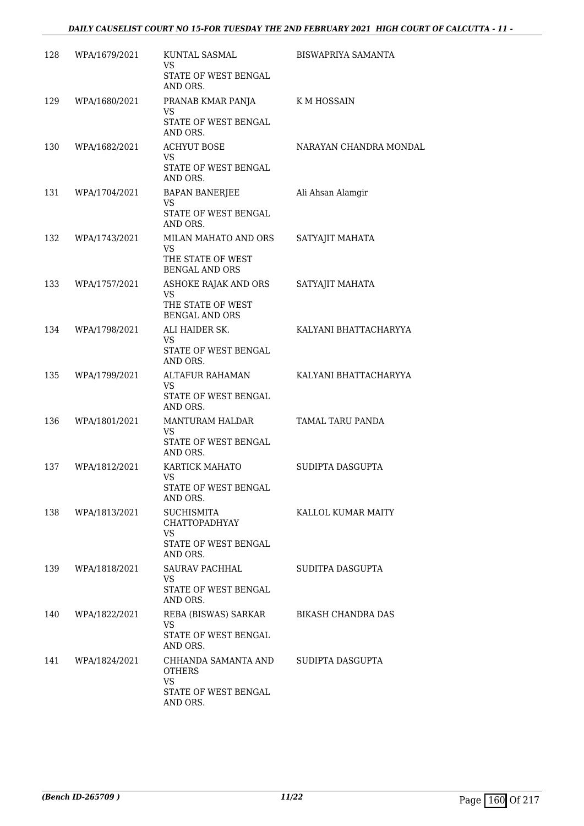#### *DAILY CAUSELIST COURT NO 15-FOR TUESDAY THE 2ND FEBRUARY 2021 HIGH COURT OF CALCUTTA - 11 -*

| 128 | WPA/1679/2021 | KUNTAL SASMAL<br>VS                                                                  | <b>BISWAPRIYA SAMANTA</b> |
|-----|---------------|--------------------------------------------------------------------------------------|---------------------------|
|     |               | STATE OF WEST BENGAL<br>AND ORS.                                                     |                           |
| 129 | WPA/1680/2021 | PRANAB KMAR PANJA<br><b>VS</b>                                                       | K M HOSSAIN               |
|     |               | STATE OF WEST BENGAL<br>AND ORS.                                                     |                           |
| 130 | WPA/1682/2021 | <b>ACHYUT BOSE</b><br>VS<br>STATE OF WEST BENGAL<br>AND ORS.                         | NARAYAN CHANDRA MONDAL    |
| 131 | WPA/1704/2021 | BAPAN BANERJEE<br>VS<br>STATE OF WEST BENGAL<br>AND ORS.                             | Ali Ahsan Alamgir         |
| 132 | WPA/1743/2021 | MILAN MAHATO AND ORS<br><b>VS</b><br>THE STATE OF WEST<br><b>BENGAL AND ORS</b>      | SATYAJIT MAHATA           |
| 133 | WPA/1757/2021 | ASHOKE RAJAK AND ORS<br><b>VS</b><br>THE STATE OF WEST<br><b>BENGAL AND ORS</b>      | SATYAJIT MAHATA           |
| 134 | WPA/1798/2021 | ALI HAIDER SK.<br><b>VS</b><br>STATE OF WEST BENGAL<br>AND ORS.                      | KALYANI BHATTACHARYYA     |
| 135 | WPA/1799/2021 | ALTAFUR RAHAMAN<br><b>VS</b><br>STATE OF WEST BENGAL<br>AND ORS.                     | KALYANI BHATTACHARYYA     |
| 136 | WPA/1801/2021 | MANTURAM HALDAR<br><b>VS</b><br>STATE OF WEST BENGAL<br>AND ORS.                     | TAMAL TARU PANDA          |
| 137 | WPA/1812/2021 | KARTICK MAHATO<br>VS<br>STATE OF WEST BENGAL<br>AND ORS.                             | SUDIPTA DASGUPTA          |
| 138 | WPA/1813/2021 | <b>SUCHISMITA</b><br><b>CHATTOPADHYAY</b><br>VS.<br>STATE OF WEST BENGAL<br>AND ORS. | KALLOL KUMAR MAITY        |
| 139 | WPA/1818/2021 | SAURAV PACHHAL<br>VS.<br>STATE OF WEST BENGAL<br>AND ORS.                            | SUDITPA DASGUPTA          |
| 140 | WPA/1822/2021 | REBA (BISWAS) SARKAR<br>VS.<br>STATE OF WEST BENGAL<br>AND ORS.                      | <b>BIKASH CHANDRA DAS</b> |
| 141 | WPA/1824/2021 | CHHANDA SAMANTA AND<br>OTHERS<br><b>VS</b><br>STATE OF WEST BENGAL<br>AND ORS.       | SUDIPTA DASGUPTA          |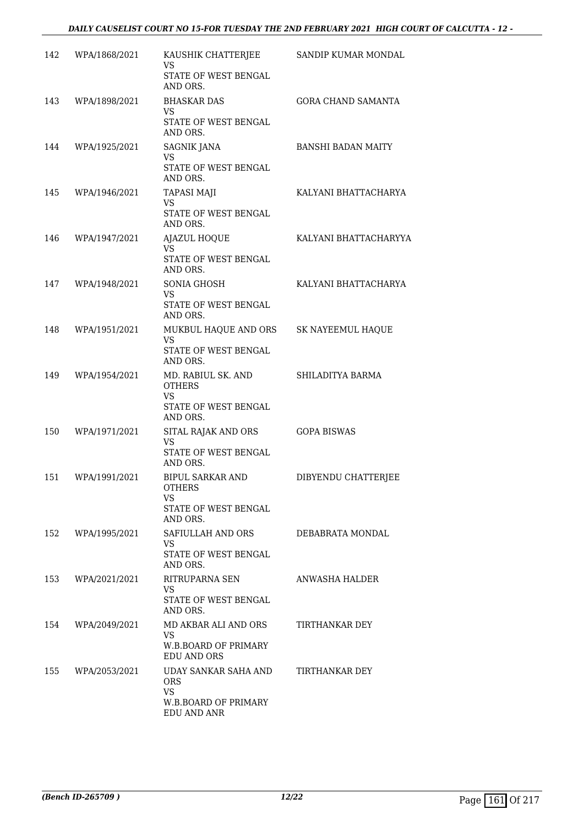| 142 | WPA/1868/2021 | KAUSHIK CHATTERJEE<br>VS<br>STATE OF WEST BENGAL<br>AND ORS.                        | SANDIP KUMAR MONDAL       |
|-----|---------------|-------------------------------------------------------------------------------------|---------------------------|
| 143 | WPA/1898/2021 | <b>BHASKAR DAS</b><br><b>VS</b><br>STATE OF WEST BENGAL<br>AND ORS.                 | <b>GORA CHAND SAMANTA</b> |
| 144 | WPA/1925/2021 | <b>SAGNIK JANA</b><br>VS<br><b>STATE OF WEST BENGAL</b><br>AND ORS.                 | <b>BANSHI BADAN MAITY</b> |
| 145 | WPA/1946/2021 | <b>TAPASI MAJI</b><br><b>VS</b><br>STATE OF WEST BENGAL<br>AND ORS.                 | KALYANI BHATTACHARYA      |
| 146 | WPA/1947/2021 | AJAZUL HOQUE<br><b>VS</b><br>STATE OF WEST BENGAL<br>AND ORS.                       | KALYANI BHATTACHARYYA     |
| 147 | WPA/1948/2021 | SONIA GHOSH<br><b>VS</b><br>STATE OF WEST BENGAL<br>AND ORS.                        | KALYANI BHATTACHARYA      |
| 148 | WPA/1951/2021 | MUKBUL HAQUE AND ORS<br>VS.<br>STATE OF WEST BENGAL<br>AND ORS.                     | SK NAYEEMUL HAQUE         |
| 149 | WPA/1954/2021 | MD. RABIUL SK. AND<br><b>OTHERS</b><br>VS<br>STATE OF WEST BENGAL<br>AND ORS.       | SHILADITYA BARMA          |
| 150 | WPA/1971/2021 | SITAL RAJAK AND ORS<br>VS<br>STATE OF WEST BENGAL<br>AND ORS.                       | <b>GOPA BISWAS</b>        |
| 151 | WPA/1991/2021 | <b>BIPUL SARKAR AND</b><br><b>OTHERS</b><br>VS.<br>STATE OF WEST BENGAL<br>AND ORS. | DIBYENDU CHATTERJEE       |
| 152 | WPA/1995/2021 | SAFIULLAH AND ORS<br>VS.<br>STATE OF WEST BENGAL<br>AND ORS.                        | DEBABRATA MONDAL          |
| 153 | WPA/2021/2021 | RITRUPARNA SEN<br>VS.<br>STATE OF WEST BENGAL<br>AND ORS.                           | ANWASHA HALDER            |
| 154 | WPA/2049/2021 | MD AKBAR ALI AND ORS<br><b>VS</b><br>W.B.BOARD OF PRIMARY<br><b>EDU AND ORS</b>     | TIRTHANKAR DEY            |
| 155 | WPA/2053/2021 | UDAY SANKAR SAHA AND<br>ORS.<br><b>VS</b><br>W.B.BOARD OF PRIMARY<br>EDU AND ANR    | TIRTHANKAR DEY            |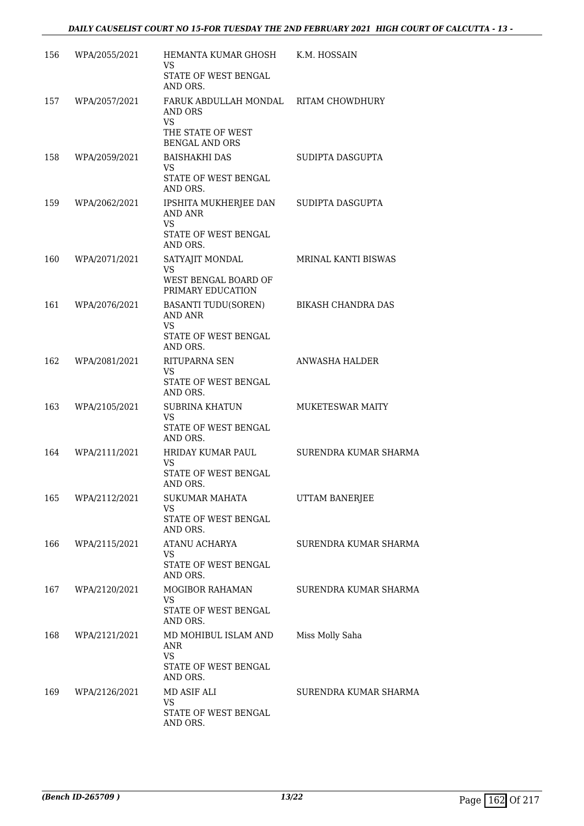| 156 | WPA/2055/2021 | HEMANTA KUMAR GHOSH<br>VS<br>STATE OF WEST BENGAL                                                                       | K.M. HOSSAIN            |
|-----|---------------|-------------------------------------------------------------------------------------------------------------------------|-------------------------|
| 157 | WPA/2057/2021 | AND ORS.<br>FARUK ABDULLAH MONDAL RITAM CHOWDHURY<br>AND ORS<br><b>VS</b><br>THE STATE OF WEST<br><b>BENGAL AND ORS</b> |                         |
| 158 | WPA/2059/2021 | <b>BAISHAKHI DAS</b><br>VS<br>STATE OF WEST BENGAL<br>AND ORS.                                                          | SUDIPTA DASGUPTA        |
| 159 | WPA/2062/2021 | IPSHITA MUKHERJEE DAN<br><b>AND ANR</b><br>VS<br>STATE OF WEST BENGAL<br>AND ORS.                                       | SUDIPTA DASGUPTA        |
| 160 | WPA/2071/2021 | SATYAJIT MONDAL<br><b>VS</b><br>WEST BENGAL BOARD OF<br>PRIMARY EDUCATION                                               | MRINAL KANTI BISWAS     |
| 161 | WPA/2076/2021 | BASANTI TUDU(SOREN)<br><b>AND ANR</b><br><b>VS</b><br>STATE OF WEST BENGAL<br>AND ORS.                                  | BIKASH CHANDRA DAS      |
| 162 | WPA/2081/2021 | RITUPARNA SEN<br>VS.<br>STATE OF WEST BENGAL<br>AND ORS.                                                                | ANWASHA HALDER          |
| 163 | WPA/2105/2021 | SUBRINA KHATUN<br><b>VS</b><br>STATE OF WEST BENGAL<br>AND ORS.                                                         | <b>MUKETESWAR MAITY</b> |
| 164 | WPA/2111/2021 | HRIDAY KUMAR PAUL<br>VS<br>STATE OF WEST BENGAL<br>AND ORS.                                                             | SURENDRA KUMAR SHARMA   |
| 165 | WPA/2112/2021 | SUKUMAR MAHATA<br>VS.<br>STATE OF WEST BENGAL<br>AND ORS.                                                               | UTTAM BANERJEE          |
| 166 | WPA/2115/2021 | ATANU ACHARYA<br>VS.<br>STATE OF WEST BENGAL<br>AND ORS.                                                                | SURENDRA KUMAR SHARMA   |
| 167 | WPA/2120/2021 | MOGIBOR RAHAMAN<br><b>VS</b><br>STATE OF WEST BENGAL<br>AND ORS.                                                        | SURENDRA KUMAR SHARMA   |
| 168 | WPA/2121/2021 | MD MOHIBUL ISLAM AND<br><b>ANR</b><br><b>VS</b><br>STATE OF WEST BENGAL<br>AND ORS.                                     | Miss Molly Saha         |
| 169 | WPA/2126/2021 | MD ASIF ALI<br><b>VS</b><br>STATE OF WEST BENGAL<br>AND ORS.                                                            | SURENDRA KUMAR SHARMA   |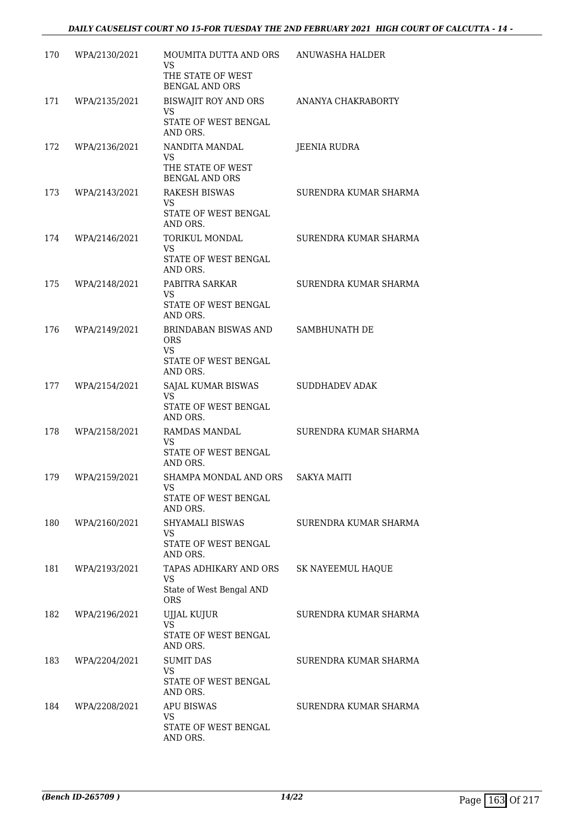| 170 | WPA/2130/2021 | MOUMITA DUTTA AND ORS<br>VS<br>THE STATE OF WEST<br><b>BENGAL AND ORS</b>           | ANUWASHA HALDER       |
|-----|---------------|-------------------------------------------------------------------------------------|-----------------------|
| 171 | WPA/2135/2021 | BISWAJIT ROY AND ORS<br><b>VS</b><br>STATE OF WEST BENGAL<br>AND ORS.               | ANANYA CHAKRABORTY    |
| 172 | WPA/2136/2021 | NANDITA MANDAL<br>VS<br>THE STATE OF WEST<br><b>BENGAL AND ORS</b>                  | <b>JEENIA RUDRA</b>   |
| 173 | WPA/2143/2021 | <b>RAKESH BISWAS</b><br><b>VS</b><br>STATE OF WEST BENGAL<br>AND ORS.               | SURENDRA KUMAR SHARMA |
| 174 | WPA/2146/2021 | TORIKUL MONDAL<br><b>VS</b><br>STATE OF WEST BENGAL<br>AND ORS.                     | SURENDRA KUMAR SHARMA |
| 175 | WPA/2148/2021 | PABITRA SARKAR<br><b>VS</b><br>STATE OF WEST BENGAL<br>AND ORS.                     | SURENDRA KUMAR SHARMA |
| 176 | WPA/2149/2021 | BRINDABAN BISWAS AND<br><b>ORS</b><br><b>VS</b><br>STATE OF WEST BENGAL<br>AND ORS. | SAMBHUNATH DE         |
| 177 | WPA/2154/2021 | SAJAL KUMAR BISWAS<br>VS<br>STATE OF WEST BENGAL<br>AND ORS.                        | SUDDHADEV ADAK        |
| 178 | WPA/2158/2021 | RAMDAS MANDAL<br>VS<br>STATE OF WEST BENGAL<br>AND ORS.                             | SURENDRA KUMAR SHARMA |
| 179 | WPA/2159/2021 | SHAMPA MONDAL AND ORS<br>VS FOR STRUMP.<br>STATE OF WEST BENGAL<br>AND ORS.         | <b>SAKYA MAITI</b>    |
| 180 | WPA/2160/2021 | SHYAMALI BISWAS<br>VS<br>STATE OF WEST BENGAL<br>AND ORS.                           | SURENDRA KUMAR SHARMA |
| 181 | WPA/2193/2021 | TAPAS ADHIKARY AND ORS<br>VS<br>State of West Bengal AND<br><b>ORS</b>              | SK NAYEEMUL HAQUE     |
| 182 | WPA/2196/2021 | UJJAL KUJUR<br><b>VS</b><br>STATE OF WEST BENGAL<br>AND ORS.                        | SURENDRA KUMAR SHARMA |
| 183 | WPA/2204/2021 | <b>SUMIT DAS</b><br><b>VS</b><br>STATE OF WEST BENGAL<br>AND ORS.                   | SURENDRA KUMAR SHARMA |
| 184 | WPA/2208/2021 | <b>APU BISWAS</b><br><b>VS</b><br>STATE OF WEST BENGAL<br>AND ORS.                  | SURENDRA KUMAR SHARMA |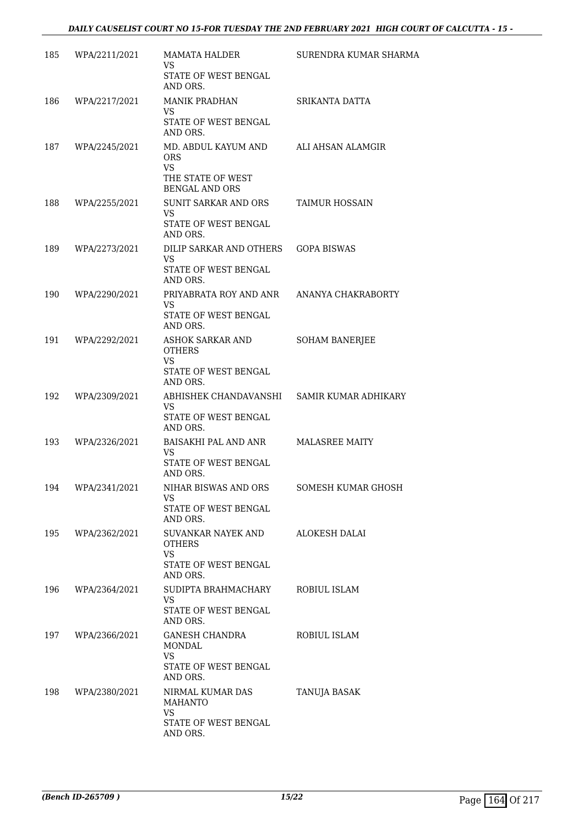| 185 | WPA/2211/2021     | MAMATA HALDER<br><b>VS</b><br>STATE OF WEST BENGAL                                              | SURENDRA KUMAR SHARMA |
|-----|-------------------|-------------------------------------------------------------------------------------------------|-----------------------|
| 186 | WPA/2217/2021     | AND ORS.<br><b>MANIK PRADHAN</b><br>VS<br>STATE OF WEST BENGAL<br>AND ORS.                      | SRIKANTA DATTA        |
| 187 | WPA/2245/2021     | MD. ABDUL KAYUM AND<br><b>ORS</b><br><b>VS</b><br>THE STATE OF WEST<br><b>BENGAL AND ORS</b>    | ALI AHSAN ALAMGIR     |
| 188 | WPA/2255/2021     | SUNIT SARKAR AND ORS<br><b>VS</b><br>STATE OF WEST BENGAL<br>AND ORS.                           | TAIMUR HOSSAIN        |
| 189 | WPA/2273/2021     | DILIP SARKAR AND OTHERS<br>VS.<br>STATE OF WEST BENGAL<br>AND ORS.                              | <b>GOPA BISWAS</b>    |
| 190 | WPA/2290/2021     | PRIYABRATA ROY AND ANR<br><b>VS</b><br>STATE OF WEST BENGAL<br>AND ORS.                         | ANANYA CHAKRABORTY    |
| 191 | WPA/2292/2021     | ASHOK SARKAR AND<br>OTHERS<br>VS<br>STATE OF WEST BENGAL<br>AND ORS.                            | <b>SOHAM BANERJEE</b> |
| 192 | WPA/2309/2021     | ABHISHEK CHANDAVANSHI SAMIR KUMAR ADHIKARY<br><b>VS</b><br>STATE OF WEST BENGAL<br>AND ORS.     |                       |
| 193 | WPA/2326/2021     | BAISAKHI PAL AND ANR<br><b>VS</b><br>STATE OF WEST BENGAL<br>AND ORS.                           | <b>MALASREE MAITY</b> |
|     | 194 WPA/2341/2021 | NIHAR BISWAS AND ORS<br>VS<br>STATE OF WEST BENGAL<br>AND ORS.                                  | SOMESH KUMAR GHOSH    |
| 195 | WPA/2362/2021     | SUVANKAR NAYEK AND<br><b>OTHERS</b><br><b>VS</b><br>STATE OF WEST BENGAL<br>AND ORS.            | ALOKESH DALAI         |
| 196 | WPA/2364/2021     | SUDIPTA BRAHMACHARY<br>VS.<br>STATE OF WEST BENGAL<br>AND ORS.                                  | ROBIUL ISLAM          |
| 197 | WPA/2366/2021     | GANESH CHANDRA<br><b>MONDAL</b><br><b>VS</b><br>STATE OF WEST BENGAL                            | ROBIUL ISLAM          |
| 198 | WPA/2380/2021     | AND ORS.<br>NIRMAL KUMAR DAS<br><b>MAHANTO</b><br><b>VS</b><br>STATE OF WEST BENGAL<br>AND ORS. | TANUJA BASAK          |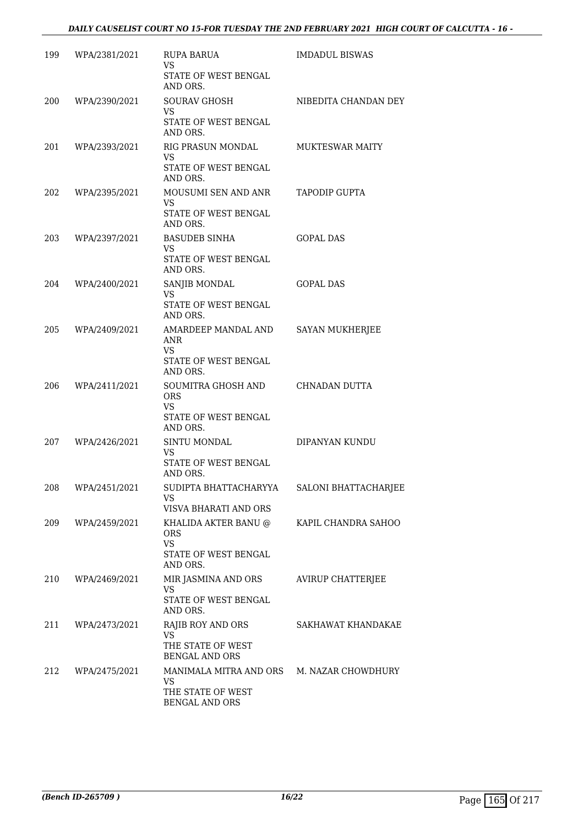| 199 | WPA/2381/2021 | <b>RUPA BARUA</b><br>VS<br>STATE OF WEST BENGAL<br>AND ORS.                                     | <b>IMDADUL BISWAS</b>    |
|-----|---------------|-------------------------------------------------------------------------------------------------|--------------------------|
| 200 | WPA/2390/2021 | <b>SOURAV GHOSH</b><br>VS<br>STATE OF WEST BENGAL<br>AND ORS.                                   | NIBEDITA CHANDAN DEY     |
| 201 | WPA/2393/2021 | RIG PRASUN MONDAL<br>VS.<br>STATE OF WEST BENGAL<br>AND ORS.                                    | <b>MUKTESWAR MAITY</b>   |
| 202 | WPA/2395/2021 | MOUSUMI SEN AND ANR<br>VS.<br>STATE OF WEST BENGAL<br>AND ORS.                                  | TAPODIP GUPTA            |
| 203 | WPA/2397/2021 | <b>BASUDEB SINHA</b><br>VS.<br>STATE OF WEST BENGAL<br>AND ORS.                                 | <b>GOPAL DAS</b>         |
| 204 | WPA/2400/2021 | SANJIB MONDAL<br>VS.<br>STATE OF WEST BENGAL<br>AND ORS.                                        | <b>GOPAL DAS</b>         |
| 205 | WPA/2409/2021 | AMARDEEP MANDAL AND<br>ANR<br>VS<br>STATE OF WEST BENGAL<br>AND ORS.                            | <b>SAYAN MUKHERJEE</b>   |
| 206 | WPA/2411/2021 | SOUMITRA GHOSH AND CHNADAN DUTTA<br><b>ORS</b><br><b>VS</b><br>STATE OF WEST BENGAL<br>AND ORS. |                          |
| 207 | WPA/2426/2021 | SINTU MONDAL<br>VS<br>STATE OF WEST BENGAL<br>AND ORS.                                          | DIPANYAN KUNDU           |
| 208 | WPA/2451/2021 | SUDIPTA BHATTACHARYYA<br>VS.<br>VISVA BHARATI AND ORS                                           | SALONI BHATTACHARJEE     |
| 209 | WPA/2459/2021 | KHALIDA AKTER BANU @<br>ORS.<br><b>VS</b><br>STATE OF WEST BENGAL<br>AND ORS.                   | KAPIL CHANDRA SAHOO      |
| 210 | WPA/2469/2021 | MIR JASMINA AND ORS<br>VS.<br>STATE OF WEST BENGAL<br>AND ORS.                                  | <b>AVIRUP CHATTERJEE</b> |
| 211 | WPA/2473/2021 | RAJIB ROY AND ORS<br><b>VS</b><br>THE STATE OF WEST<br><b>BENGAL AND ORS</b>                    | SAKHAWAT KHANDAKAE       |
| 212 | WPA/2475/2021 | MANIMALA MITRA AND ORS<br>VS.<br>THE STATE OF WEST<br><b>BENGAL AND ORS</b>                     | M. NAZAR CHOWDHURY       |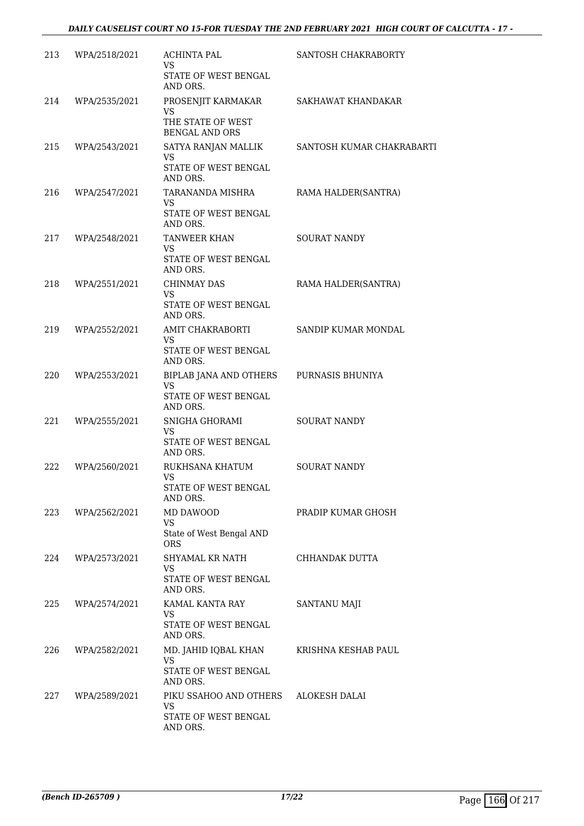| 213 | WPA/2518/2021 | <b>ACHINTA PAL</b><br>VS.<br>STATE OF WEST BENGAL<br>AND ORS.                   | SANTOSH CHAKRABORTY       |
|-----|---------------|---------------------------------------------------------------------------------|---------------------------|
| 214 | WPA/2535/2021 | PROSENJIT KARMAKAR<br><b>VS</b><br>THE STATE OF WEST<br><b>BENGAL AND ORS</b>   | SAKHAWAT KHANDAKAR        |
| 215 | WPA/2543/2021 | SATYA RANJAN MALLIK<br>VS<br>STATE OF WEST BENGAL<br>AND ORS.                   | SANTOSH KUMAR CHAKRABARTI |
| 216 | WPA/2547/2021 | TARANANDA MISHRA<br>VS.<br>STATE OF WEST BENGAL                                 | RAMA HALDER(SANTRA)       |
| 217 | WPA/2548/2021 | AND ORS.<br>TANWEER KHAN<br><b>VS</b><br>STATE OF WEST BENGAL                   | <b>SOURAT NANDY</b>       |
| 218 | WPA/2551/2021 | AND ORS.<br><b>CHINMAY DAS</b><br><b>VS</b><br>STATE OF WEST BENGAL<br>AND ORS. | RAMA HALDER(SANTRA)       |
| 219 | WPA/2552/2021 | AMIT CHAKRABORTI<br><b>VS</b><br>STATE OF WEST BENGAL<br>AND ORS.               | SANDIP KUMAR MONDAL       |
| 220 | WPA/2553/2021 | BIPLAB JANA AND OTHERS<br>VS<br>STATE OF WEST BENGAL<br>AND ORS.                | PURNASIS BHUNIYA          |
| 221 | WPA/2555/2021 | SNIGHA GHORAMI<br><b>VS</b><br>STATE OF WEST BENGAL<br>AND ORS.                 | SOURAT NANDY              |
| 222 | WPA/2560/2021 | RUKHSANA KHATUM<br><b>VS</b><br>STATE OF WEST BENGAL<br>AND ORS.                | <b>SOURAT NANDY</b>       |
| 223 | WPA/2562/2021 | MD DAWOOD<br>VS.<br>State of West Bengal AND<br><b>ORS</b>                      | PRADIP KUMAR GHOSH        |
| 224 | WPA/2573/2021 | SHYAMAL KR NATH<br><b>VS</b><br>STATE OF WEST BENGAL<br>AND ORS.                | CHHANDAK DUTTA            |
| 225 | WPA/2574/2021 | KAMAL KANTA RAY<br>VS.<br>STATE OF WEST BENGAL<br>AND ORS.                      | SANTANU MAJI              |
| 226 | WPA/2582/2021 | MD. JAHID IQBAL KHAN<br><b>VS</b><br>STATE OF WEST BENGAL<br>AND ORS.           | KRISHNA KESHAB PAUL       |
| 227 | WPA/2589/2021 | PIKU SSAHOO AND OTHERS<br>VS.<br>STATE OF WEST BENGAL<br>AND ORS.               | ALOKESH DALAI             |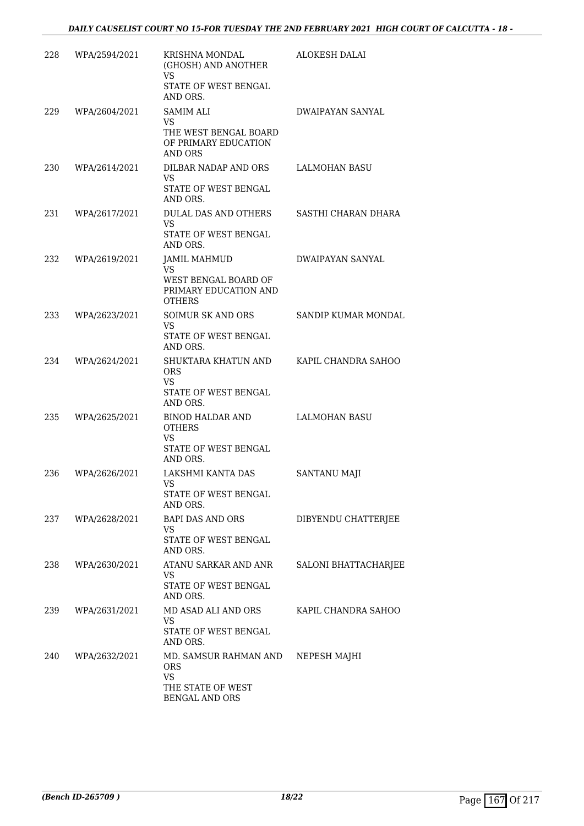| 228 | WPA/2594/2021     | KRISHNA MONDAL<br>(GHOSH) AND ANOTHER<br><b>VS</b><br>STATE OF WEST BENGAL<br>AND ORS.         | ALOKESH DALAI           |
|-----|-------------------|------------------------------------------------------------------------------------------------|-------------------------|
| 229 | WPA/2604/2021     | <b>SAMIM ALI</b><br>VS<br>THE WEST BENGAL BOARD<br>OF PRIMARY EDUCATION<br><b>AND ORS</b>      | DWAIPAYAN SANYAL        |
| 230 | WPA/2614/2021     | DILBAR NADAP AND ORS<br>VS.<br>STATE OF WEST BENGAL<br>AND ORS.                                | <b>LALMOHAN BASU</b>    |
| 231 | WPA/2617/2021     | DULAL DAS AND OTHERS<br><b>VS</b><br>STATE OF WEST BENGAL<br>AND ORS.                          | SASTHI CHARAN DHARA     |
| 232 | WPA/2619/2021     | <b>JAMIL MAHMUD</b><br>VS.<br>WEST BENGAL BOARD OF<br>PRIMARY EDUCATION AND<br><b>OTHERS</b>   | <b>DWAIPAYAN SANYAL</b> |
| 233 | WPA/2623/2021     | SOIMUR SK AND ORS<br>VS.<br>STATE OF WEST BENGAL<br>AND ORS.                                   | SANDIP KUMAR MONDAL     |
| 234 | WPA/2624/2021     | SHUKTARA KHATUN AND<br><b>ORS</b><br><b>VS</b><br>STATE OF WEST BENGAL<br>AND ORS.             | KAPIL CHANDRA SAHOO     |
| 235 | WPA/2625/2021     | <b>BINOD HALDAR AND</b><br><b>OTHERS</b><br><b>VS</b><br>STATE OF WEST BENGAL<br>AND ORS.      | LALMOHAN BASU           |
| 236 | WPA/2626/2021     | LAKSHMI KANTA DAS<br>VS<br>STATE OF WEST BENGAL<br>AND ORS.                                    | <b>SANTANU MAJI</b>     |
|     | 237 WPA/2628/2021 | BAPI DAS AND ORS<br><b>VS</b><br>STATE OF WEST BENGAL<br>AND ORS.                              | DIBYENDU CHATTERJEE     |
| 238 | WPA/2630/2021     | ATANU SARKAR AND ANR<br>VS<br>STATE OF WEST BENGAL<br>AND ORS.                                 | SALONI BHATTACHARJEE    |
| 239 | WPA/2631/2021     | MD ASAD ALI AND ORS<br>VS.<br>STATE OF WEST BENGAL<br>AND ORS.                                 | KAPIL CHANDRA SAHOO     |
| 240 | WPA/2632/2021     | MD. SAMSUR RAHMAN AND<br><b>ORS</b><br><b>VS</b><br>THE STATE OF WEST<br><b>BENGAL AND ORS</b> | NEPESH MAJHI            |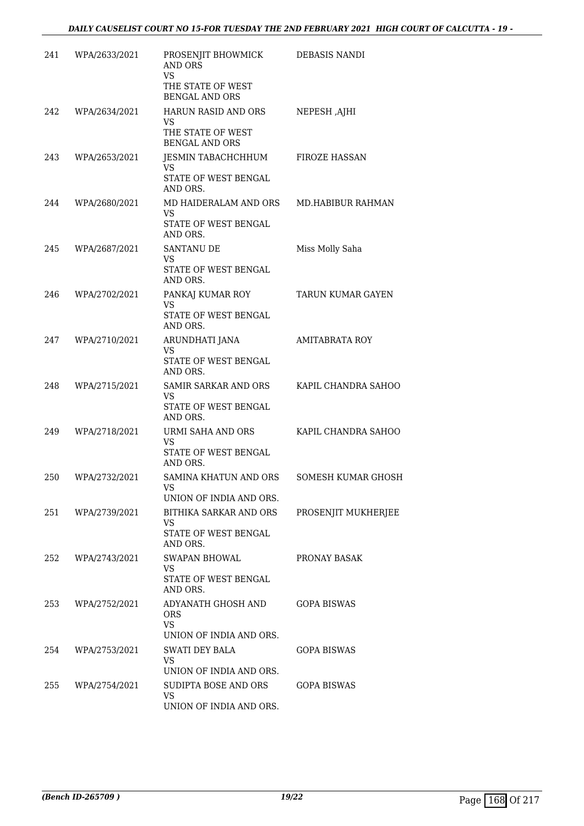| 241 | WPA/2633/2021 | PROSENJIT BHOWMICK<br><b>AND ORS</b><br><b>VS</b><br>THE STATE OF WEST<br><b>BENGAL AND ORS</b> | DEBASIS NANDI         |
|-----|---------------|-------------------------------------------------------------------------------------------------|-----------------------|
| 242 | WPA/2634/2021 | HARUN RASID AND ORS<br>VS.<br>THE STATE OF WEST<br><b>BENGAL AND ORS</b>                        | NEPESH ,AJHI          |
| 243 | WPA/2653/2021 | JESMIN TABACHCHHUM<br>VS.<br>STATE OF WEST BENGAL<br>AND ORS.                                   | <b>FIROZE HASSAN</b>  |
| 244 | WPA/2680/2021 | MD HAIDERALAM AND ORS<br><b>VS</b><br>STATE OF WEST BENGAL<br>AND ORS.                          | MD.HABIBUR RAHMAN     |
| 245 | WPA/2687/2021 | <b>SANTANU DE</b><br><b>VS</b><br>STATE OF WEST BENGAL<br>AND ORS.                              | Miss Molly Saha       |
| 246 | WPA/2702/2021 | PANKAJ KUMAR ROY<br><b>VS</b><br>STATE OF WEST BENGAL<br>AND ORS.                               | TARUN KUMAR GAYEN     |
| 247 | WPA/2710/2021 | ARUNDHATI JANA<br>VS<br>STATE OF WEST BENGAL<br>AND ORS.                                        | <b>AMITABRATA ROY</b> |
| 248 | WPA/2715/2021 | SAMIR SARKAR AND ORS<br><b>VS</b><br>STATE OF WEST BENGAL<br>AND ORS.                           | KAPIL CHANDRA SAHOO   |
| 249 | WPA/2718/2021 | URMI SAHA AND ORS<br>VS<br>STATE OF WEST BENGAL<br>AND ORS.                                     | KAPIL CHANDRA SAHOO   |
| 250 | WPA/2732/2021 | SAMINA KHATUN AND ORS<br>VS —<br>UNION OF INDIA AND ORS.                                        | SOMESH KUMAR GHOSH    |
| 251 | WPA/2739/2021 | BITHIKA SARKAR AND ORS<br>VS.<br>STATE OF WEST BENGAL<br>AND ORS.                               | PROSENJIT MUKHERJEE   |
| 252 | WPA/2743/2021 | SWAPAN BHOWAL<br>VS<br>STATE OF WEST BENGAL<br>AND ORS.                                         | PRONAY BASAK          |
| 253 | WPA/2752/2021 | ADYANATH GHOSH AND<br><b>ORS</b><br><b>VS</b><br>UNION OF INDIA AND ORS.                        | <b>GOPA BISWAS</b>    |
| 254 | WPA/2753/2021 | SWATI DEY BALA<br><b>VS</b><br>UNION OF INDIA AND ORS.                                          | <b>GOPA BISWAS</b>    |
| 255 | WPA/2754/2021 | SUDIPTA BOSE AND ORS<br><b>VS</b><br>UNION OF INDIA AND ORS.                                    | <b>GOPA BISWAS</b>    |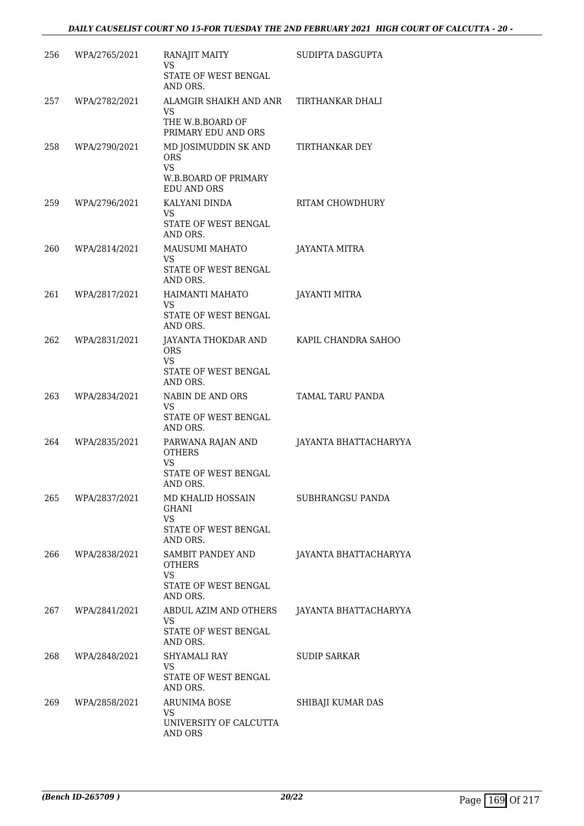| 256 | WPA/2765/2021 | RANAJIT MAITY<br>VS<br>STATE OF WEST BENGAL<br>AND ORS.                                              | SUDIPTA DASGUPTA      |
|-----|---------------|------------------------------------------------------------------------------------------------------|-----------------------|
| 257 | WPA/2782/2021 | ALAMGIR SHAIKH AND ANR<br>VS.<br>THE W.B.BOARD OF<br>PRIMARY EDU AND ORS                             | TIRTHANKAR DHALI      |
| 258 | WPA/2790/2021 | MD JOSIMUDDIN SK AND<br><b>ORS</b><br><b>VS</b><br><b>W.B.BOARD OF PRIMARY</b><br><b>EDU AND ORS</b> | TIRTHANKAR DEY        |
| 259 | WPA/2796/2021 | KALYANI DINDA<br>VS.<br>STATE OF WEST BENGAL<br>AND ORS.                                             | RITAM CHOWDHURY       |
| 260 | WPA/2814/2021 | MAUSUMI MAHATO<br>VS<br>STATE OF WEST BENGAL<br>AND ORS.                                             | JAYANTA MITRA         |
| 261 | WPA/2817/2021 | HAIMANTI MAHATO<br><b>VS</b><br>STATE OF WEST BENGAL<br>AND ORS.                                     | <b>JAYANTI MITRA</b>  |
| 262 | WPA/2831/2021 | JAYANTA THOKDAR AND<br><b>ORS</b><br><b>VS</b><br>STATE OF WEST BENGAL<br>AND ORS.                   | KAPIL CHANDRA SAHOO   |
| 263 | WPA/2834/2021 | NABIN DE AND ORS<br>VS<br>STATE OF WEST BENGAL<br>AND ORS.                                           | TAMAL TARU PANDA      |
| 264 | WPA/2835/2021 | PARWANA RAJAN AND<br><b>OTHERS</b><br><b>VS</b><br>STATE OF WEST BENGAL<br>AND ORS.                  | JAYANTA BHATTACHARYYA |
| 265 | WPA/2837/2021 | MD KHALID HOSSAIN<br><b>GHANI</b><br><b>VS</b><br>STATE OF WEST BENGAL<br>AND ORS.                   | SUBHRANGSU PANDA      |
| 266 | WPA/2838/2021 | SAMBIT PANDEY AND<br><b>OTHERS</b><br><b>VS</b><br><b>STATE OF WEST BENGAL</b><br>AND ORS.           | JAYANTA BHATTACHARYYA |
| 267 | WPA/2841/2021 | ABDUL AZIM AND OTHERS<br>VS.<br>STATE OF WEST BENGAL<br>AND ORS.                                     | JAYANTA BHATTACHARYYA |
| 268 | WPA/2848/2021 | SHYAMALI RAY<br>VS<br>STATE OF WEST BENGAL<br>AND ORS.                                               | <b>SUDIP SARKAR</b>   |
| 269 | WPA/2858/2021 | ARUNIMA BOSE<br>VS<br>UNIVERSITY OF CALCUTTA<br>AND ORS                                              | SHIBAJI KUMAR DAS     |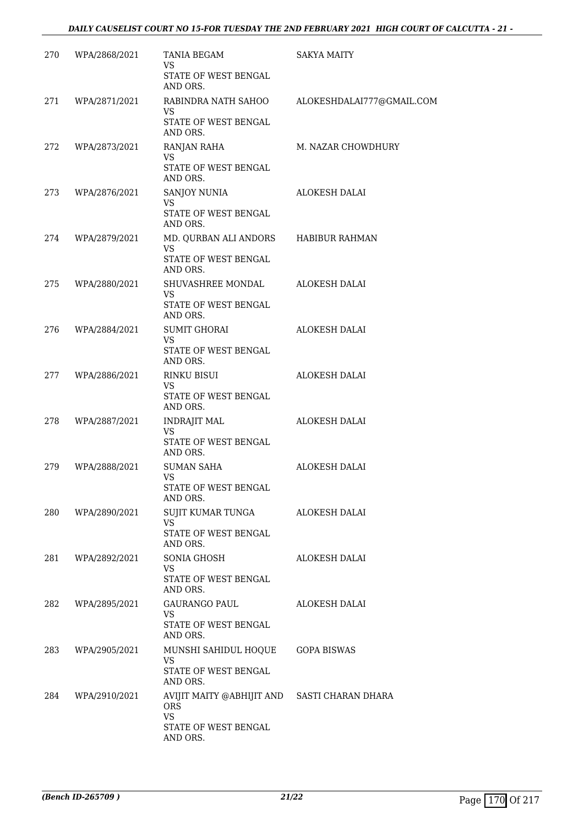| 270 | WPA/2868/2021 | TANIA BEGAM<br>VS<br>STATE OF WEST BENGAL                                                                               | <b>SAKYA MAITY</b>        |
|-----|---------------|-------------------------------------------------------------------------------------------------------------------------|---------------------------|
| 271 | WPA/2871/2021 | AND ORS.<br>RABINDRA NATH SAHOO<br><b>VS</b><br>STATE OF WEST BENGAL                                                    | ALOKESHDALAI777@GMAIL.COM |
| 272 | WPA/2873/2021 | AND ORS.<br>RANJAN RAHA<br><b>VS</b><br>STATE OF WEST BENGAL<br>AND ORS.                                                | M. NAZAR CHOWDHURY        |
| 273 | WPA/2876/2021 | SANJOY NUNIA<br><b>VS</b><br>STATE OF WEST BENGAL                                                                       | ALOKESH DALAI             |
| 274 | WPA/2879/2021 | AND ORS.<br>MD. QURBAN ALI ANDORS<br><b>VS</b><br>STATE OF WEST BENGAL                                                  | <b>HABIBUR RAHMAN</b>     |
| 275 | WPA/2880/2021 | AND ORS.<br>SHUVASHREE MONDAL<br><b>VS</b><br>STATE OF WEST BENGAL                                                      | ALOKESH DALAI             |
| 276 | WPA/2884/2021 | AND ORS.<br>SUMIT GHORAI<br>VS.<br>STATE OF WEST BENGAL                                                                 | ALOKESH DALAI             |
| 277 | WPA/2886/2021 | AND ORS.<br>RINKU BISUI<br>VS<br>STATE OF WEST BENGAL<br>AND ORS.                                                       | ALOKESH DALAI             |
| 278 | WPA/2887/2021 | INDRAJIT MAL<br>VS<br>STATE OF WEST BENGAL<br>AND ORS.                                                                  | ALOKESH DALAI             |
| 279 | WPA/2888/2021 | <b>SUMAN SAHA</b><br><b>VS</b><br>STATE OF WEST BENGAL<br>AND ORS.                                                      | ALOKESH DALAI             |
| 280 | WPA/2890/2021 | SUJIT KUMAR TUNGA<br>VS.<br>STATE OF WEST BENGAL                                                                        | ALOKESH DALAI             |
| 281 | WPA/2892/2021 | AND ORS.<br>SONIA GHOSH<br>VS.<br>STATE OF WEST BENGAL                                                                  | ALOKESH DALAI             |
| 282 | WPA/2895/2021 | AND ORS.<br>GAURANGO PAUL<br><b>VS</b><br>STATE OF WEST BENGAL                                                          | ALOKESH DALAI             |
| 283 | WPA/2905/2021 | AND ORS.<br>MUNSHI SAHIDUL HOQUE<br><b>VS</b><br>STATE OF WEST BENGAL                                                   | <b>GOPA BISWAS</b>        |
| 284 | WPA/2910/2021 | AND ORS.<br>AVIJIT MAITY @ABHIJIT AND SASTI CHARAN DHARA<br><b>ORS</b><br><b>VS</b><br>STATE OF WEST BENGAL<br>AND ORS. |                           |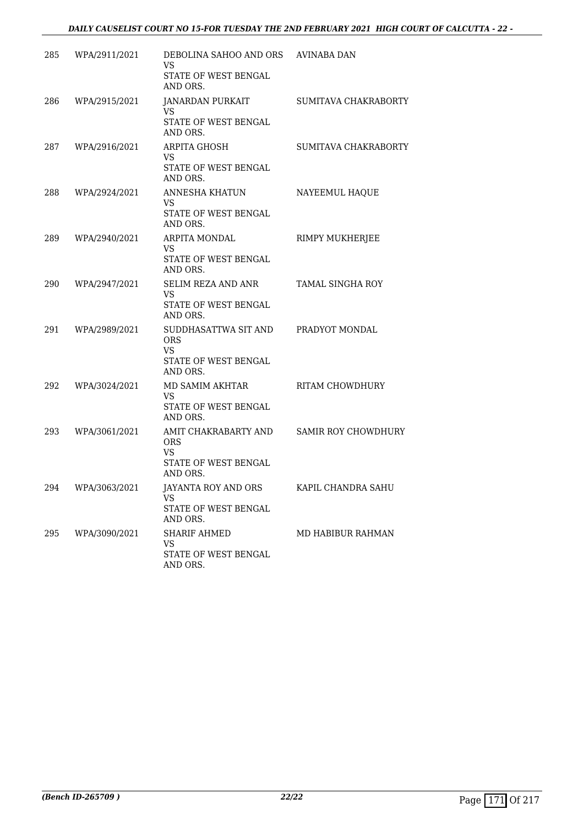| 285 | WPA/2911/2021 | DEBOLINA SAHOO AND ORS AVINABA DAN<br>VS<br>STATE OF WEST BENGAL<br>AND ORS.        |                         |
|-----|---------------|-------------------------------------------------------------------------------------|-------------------------|
| 286 | WPA/2915/2021 | JANARDAN PURKAIT<br>VS<br>STATE OF WEST BENGAL<br>AND ORS.                          | SUMITAVA CHAKRABORTY    |
| 287 | WPA/2916/2021 | <b>ARPITA GHOSH</b><br>VS<br><b>STATE OF WEST BENGAL</b><br>AND ORS.                | SUMITAVA CHAKRABORTY    |
| 288 | WPA/2924/2021 | ANNESHA KHATUN<br>VS<br>STATE OF WEST BENGAL<br>AND ORS.                            | NAYEEMUL HAQUE          |
| 289 | WPA/2940/2021 | ARPITA MONDAL<br>VS<br>STATE OF WEST BENGAL<br>AND ORS.                             | RIMPY MUKHERJEE         |
| 290 | WPA/2947/2021 | SELIM REZA AND ANR<br>VS<br>STATE OF WEST BENGAL<br>AND ORS.                        | <b>TAMAL SINGHA ROY</b> |
| 291 | WPA/2989/2021 | SUDDHASATTWA SIT AND<br><b>ORS</b><br>VS.<br>STATE OF WEST BENGAL<br>AND ORS.       | PRADYOT MONDAL          |
| 292 | WPA/3024/2021 | MD SAMIM AKHTAR<br>VS<br>STATE OF WEST BENGAL<br>AND ORS.                           | RITAM CHOWDHURY         |
| 293 | WPA/3061/2021 | AMIT CHAKRABARTY AND<br><b>ORS</b><br><b>VS</b><br>STATE OF WEST BENGAL<br>AND ORS. | SAMIR ROY CHOWDHURY     |
| 294 | WPA/3063/2021 | JAYANTA ROY AND ORS<br>VS.<br>STATE OF WEST BENGAL<br>AND ORS.                      | KAPIL CHANDRA SAHU      |
| 295 | WPA/3090/2021 | SHARIF AHMED<br><b>VS</b><br>STATE OF WEST BENGAL<br>AND ORS.                       | MD HABIBUR RAHMAN       |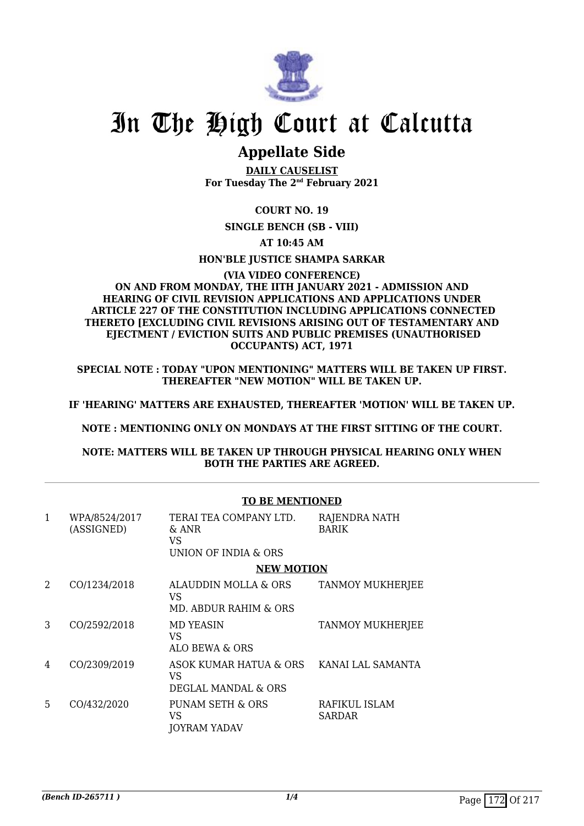

# In The High Court at Calcutta

### **Appellate Side**

**DAILY CAUSELIST For Tuesday The 2nd February 2021**

**COURT NO. 19**

**SINGLE BENCH (SB - VIII)**

**AT 10:45 AM**

**HON'BLE JUSTICE SHAMPA SARKAR**

#### **(VIA VIDEO CONFERENCE) ON AND FROM MONDAY, THE IITH JANUARY 2021 - ADMISSION AND HEARING OF CIVIL REVISION APPLICATIONS AND APPLICATIONS UNDER ARTICLE 227 OF THE CONSTITUTION INCLUDING APPLICATIONS CONNECTED THERETO [EXCLUDING CIVIL REVISIONS ARISING OUT OF TESTAMENTARY AND EJECTMENT / EVICTION SUITS AND PUBLIC PREMISES (UNAUTHORISED OCCUPANTS) ACT, 1971**

**SPECIAL NOTE : TODAY "UPON MENTIONING" MATTERS WILL BE TAKEN UP FIRST. THEREAFTER "NEW MOTION" WILL BE TAKEN UP.**

**IF 'HEARING' MATTERS ARE EXHAUSTED, THEREAFTER 'MOTION' WILL BE TAKEN UP.**

**NOTE : MENTIONING ONLY ON MONDAYS AT THE FIRST SITTING OF THE COURT.**

**NOTE: MATTERS WILL BE TAKEN UP THROUGH PHYSICAL HEARING ONLY WHEN BOTH THE PARTIES ARE AGREED.**

|   |                             | <b>TO BE MENTIONED</b>                                        |                               |  |
|---|-----------------------------|---------------------------------------------------------------|-------------------------------|--|
| 1 | WPA/8524/2017<br>(ASSIGNED) | TERAI TEA COMPANY LTD.<br>& ANR<br>VS<br>UNION OF INDIA & ORS | RAJENDRA NATH<br><b>BARIK</b> |  |
|   |                             | <b>NEW MOTION</b>                                             |                               |  |
| 2 | CO/1234/2018                | ALAUDDIN MOLLA & ORS<br>VS<br>MD. ABDUR RAHIM & ORS           | <b>TANMOY MUKHERJEE</b>       |  |
| 3 | CO/2592/2018                | MD YEASIN<br>VS<br>ALO BEWA & ORS                             | TANMOY MUKHERJEE              |  |
| 4 | CO/2309/2019                | ASOK KUMAR HATUA & ORS<br>VS<br>DEGLAL MANDAL & ORS           | KANAI LAL SAMANTA             |  |
| 5 | CO/432/2020                 | PUNAM SETH & ORS<br>VS<br><b>JOYRAM YADAV</b>                 | RAFIKUL ISLAM<br>SARDAR       |  |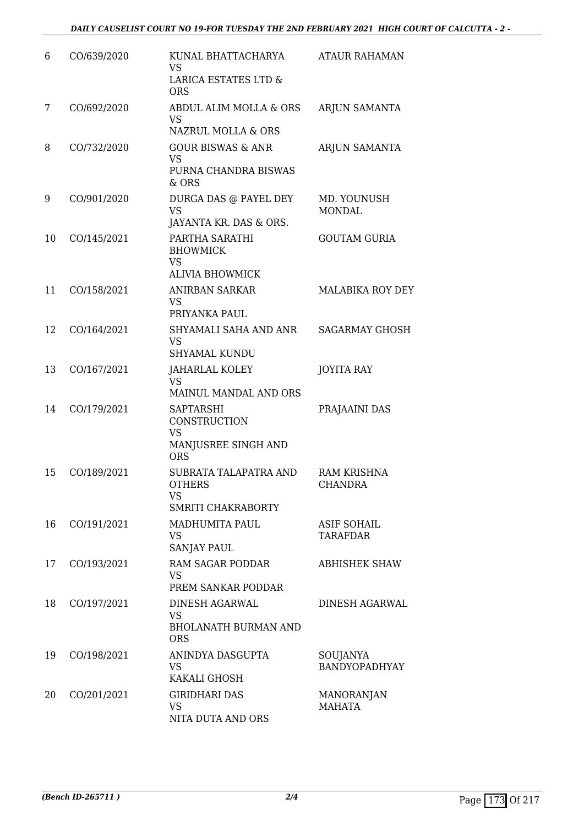| 6  | CO/639/2020 | KUNAL BHATTACHARYA<br>VS.<br><b>LARICA ESTATES LTD &amp;</b><br><b>ORS</b>         | <b>ATAUR RAHAMAN</b>                  |
|----|-------------|------------------------------------------------------------------------------------|---------------------------------------|
| 7  | CO/692/2020 | ABDUL ALIM MOLLA & ORS<br><b>VS</b><br><b>NAZRUL MOLLA &amp; ORS</b>               | ARJUN SAMANTA                         |
| 8  | CO/732/2020 | <b>GOUR BISWAS &amp; ANR</b><br><b>VS</b><br>PURNA CHANDRA BISWAS<br>$&$ ORS       | ARJUN SAMANTA                         |
| 9  | CO/901/2020 | DURGA DAS @ PAYEL DEY<br><b>VS</b><br>JAYANTA KR. DAS & ORS.                       | MD. YOUNUSH<br><b>MONDAL</b>          |
| 10 | CO/145/2021 | PARTHA SARATHI<br><b>BHOWMICK</b><br><b>VS</b><br><b>ALIVIA BHOWMICK</b>           | <b>GOUTAM GURIA</b>                   |
| 11 | CO/158/2021 | ANIRBAN SARKAR<br><b>VS</b><br>PRIYANKA PAUL                                       | <b>MALABIKA ROY DEY</b>               |
| 12 | CO/164/2021 | SHYAMALI SAHA AND ANR<br><b>VS</b><br><b>SHYAMAL KUNDU</b>                         | <b>SAGARMAY GHOSH</b>                 |
| 13 | CO/167/2021 | <b>JAHARLAL KOLEY</b><br><b>VS</b><br>MAINUL MANDAL AND ORS                        | <b>JOYITA RAY</b>                     |
| 14 | CO/179/2021 | <b>SAPTARSHI</b><br>CONSTRUCTION<br><b>VS</b><br>MANJUSREE SINGH AND<br><b>ORS</b> | PRAJAAINI DAS                         |
| 15 | CO/189/2021 | SUBRATA TALAPATRA AND<br><b>OTHERS</b><br>VS.<br>SMRITI CHAKRABORTY                | <b>RAM KRISHNA</b><br>CHANDRA         |
| 16 | CO/191/2021 | <b>MADHUMITA PAUL</b><br>VS.<br><b>SANJAY PAUL</b>                                 | <b>ASIF SOHAIL</b><br><b>TARAFDAR</b> |
| 17 | CO/193/2021 | RAM SAGAR PODDAR<br><b>VS</b><br>PREM SANKAR PODDAR                                | <b>ABHISHEK SHAW</b>                  |
| 18 | CO/197/2021 | DINESH AGARWAL<br><b>VS</b><br><b>BHOLANATH BURMAN AND</b><br><b>ORS</b>           | <b>DINESH AGARWAL</b>                 |
| 19 | CO/198/2021 | ANINDYA DASGUPTA<br><b>VS</b><br>KAKALI GHOSH                                      | SOUJANYA<br>BANDYOPADHYAY             |
| 20 | CO/201/2021 | <b>GIRIDHARI DAS</b><br><b>VS</b><br>NITA DUTA AND ORS                             | MANORANJAN<br><b>MAHATA</b>           |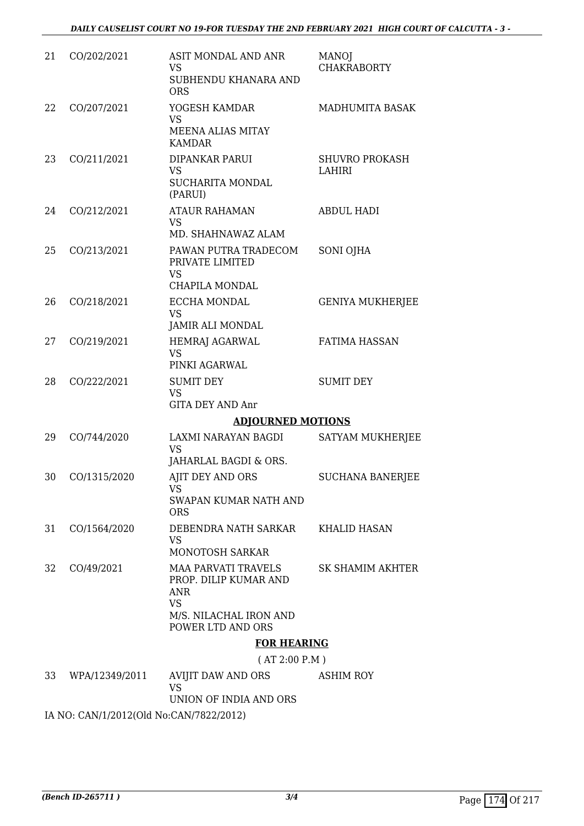| 21 | CO/202/2021    | ASIT MONDAL AND ANR<br><b>VS</b><br>SUBHENDU KHANARA AND<br><b>ORS</b>                                                        | <b>MANOJ</b><br><b>CHAKRABORTY</b>     |
|----|----------------|-------------------------------------------------------------------------------------------------------------------------------|----------------------------------------|
| 22 | CO/207/2021    | YOGESH KAMDAR<br><b>VS</b><br>MEENA ALIAS MITAY<br><b>KAMDAR</b>                                                              | MADHUMITA BASAK                        |
| 23 | CO/211/2021    | <b>DIPANKAR PARUI</b><br><b>VS</b><br><b>SUCHARITA MONDAL</b><br>(PARUI)                                                      | <b>SHUVRO PROKASH</b><br><b>LAHIRI</b> |
| 24 | CO/212/2021    | <b>ATAUR RAHAMAN</b><br><b>VS</b><br>MD. SHAHNAWAZ ALAM                                                                       | <b>ABDUL HADI</b>                      |
| 25 | CO/213/2021    | PAWAN PUTRA TRADECOM<br>PRIVATE LIMITED<br><b>VS</b><br><b>CHAPILA MONDAL</b>                                                 | SONI OJHA                              |
| 26 | CO/218/2021    | ECCHA MONDAL<br><b>VS</b><br>JAMIR ALI MONDAL                                                                                 | <b>GENIYA MUKHERJEE</b>                |
| 27 | CO/219/2021    | <b>HEMRAJ AGARWAL</b><br><b>VS</b><br>PINKI AGARWAL                                                                           | <b>FATIMA HASSAN</b>                   |
| 28 | CO/222/2021    | <b>SUMIT DEY</b><br><b>VS</b><br><b>GITA DEY AND Anr</b>                                                                      | <b>SUMIT DEY</b>                       |
|    |                | <b>ADJOURNED MOTIONS</b>                                                                                                      |                                        |
| 29 | CO/744/2020    | LAXMI NARAYAN BAGDI<br><b>VS</b><br>JAHARLAL BAGDI & ORS.                                                                     | SATYAM MUKHERJEE                       |
| 30 | CO/1315/2020   | AJIT DEY AND ORS<br><b>VS</b><br>SWAPAN KUMAR NATH AND<br><b>ORS</b>                                                          | <b>SUCHANA BANERJEE</b>                |
| 31 | CO/1564/2020   | DEBENDRA NATH SARKAR<br><b>VS</b><br>MONOTOSH SARKAR                                                                          | <b>KHALID HASAN</b>                    |
| 32 | CO/49/2021     | <b>MAA PARVATI TRAVELS</b><br>PROP. DILIP KUMAR AND<br><b>ANR</b><br><b>VS</b><br>M/S. NILACHAL IRON AND<br>POWER LTD AND ORS | <b>SK SHAMIM AKHTER</b>                |
|    |                | <b>FOR HEARING</b>                                                                                                            |                                        |
|    |                | (AT 2:00 P.M)                                                                                                                 |                                        |
| 33 | WPA/12349/2011 | AVIJIT DAW AND ORS<br><b>VS</b>                                                                                               | <b>ASHIM ROY</b>                       |

UNION OF INDIA AND ORS

IA NO: CAN/1/2012(Old No:CAN/7822/2012)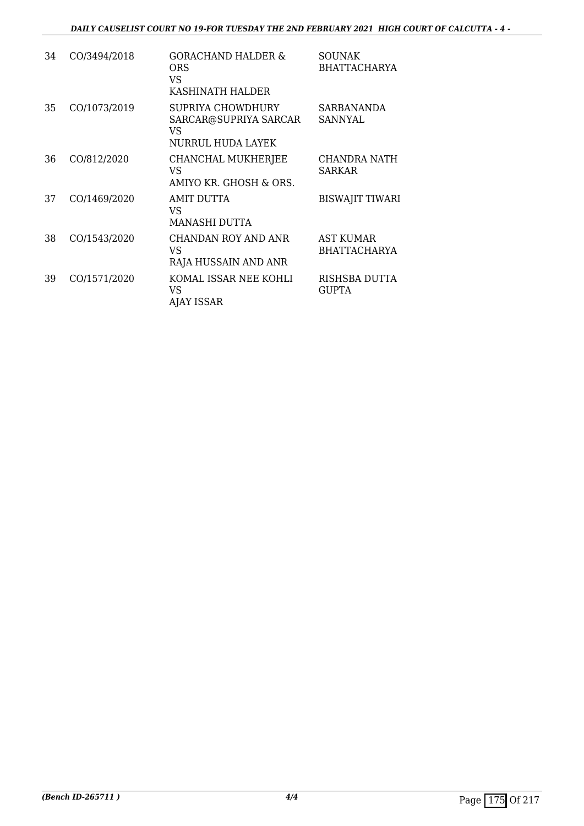| 34 | CO/3494/2018 | <b>GORACHAND HALDER &amp;</b><br><b>ORS</b><br>VS.<br>KASHINATH HALDER | <b>SOUNAK</b><br><b>BHATTACHARYA</b>    |
|----|--------------|------------------------------------------------------------------------|-----------------------------------------|
| 35 | CO/1073/2019 | SUPRIYA CHOWDHURY<br>SARCAR@SUPRIYA SARCAR<br>VS<br>NURRUL HUDA LAYEK  | <b>SARBANANDA</b><br>SANNYAL            |
| 36 | CO/812/2020  | CHANCHAL MUKHERJEE<br>VS<br>AMIYO KR. GHOSH & ORS.                     | CHANDRA NATH<br><b>SARKAR</b>           |
| 37 | CO/1469/2020 | AMIT DUTTA<br>VS.<br>MANASHI DUTTA                                     | <b>BISWAJIT TIWARI</b>                  |
| 38 | CO/1543/2020 | <b>CHANDAN ROY AND ANR</b><br>VS<br>RAJA HUSSAIN AND ANR               | <b>AST KUMAR</b><br><b>BHATTACHARYA</b> |
| 39 | CO/1571/2020 | KOMAL ISSAR NEE KOHLI<br>VS<br><b>AJAY ISSAR</b>                       | RISHSBA DUTTA<br><b>GUPTA</b>           |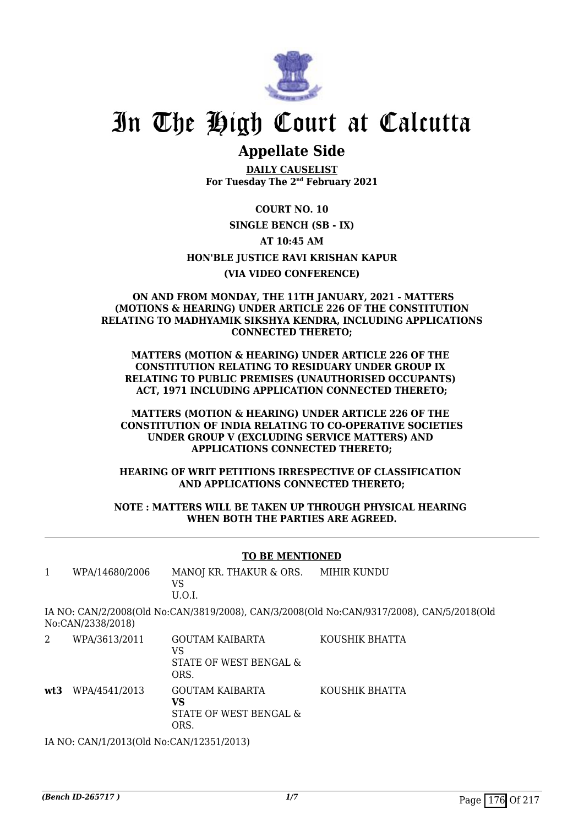

## In The High Court at Calcutta

## **Appellate Side**

**DAILY CAUSELIST For Tuesday The 2nd February 2021**

**COURT NO. 10 SINGLE BENCH (SB - IX) AT 10:45 AM HON'BLE JUSTICE RAVI KRISHAN KAPUR (VIA VIDEO CONFERENCE)**

#### **ON AND FROM MONDAY, THE 11TH JANUARY, 2021 - MATTERS (MOTIONS & HEARING) UNDER ARTICLE 226 OF THE CONSTITUTION RELATING TO MADHYAMIK SIKSHYA KENDRA, INCLUDING APPLICATIONS CONNECTED THERETO;**

**MATTERS (MOTION & HEARING) UNDER ARTICLE 226 OF THE CONSTITUTION RELATING TO RESIDUARY UNDER GROUP IX RELATING TO PUBLIC PREMISES (UNAUTHORISED OCCUPANTS) ACT, 1971 INCLUDING APPLICATION CONNECTED THERETO;**

#### **MATTERS (MOTION & HEARING) UNDER ARTICLE 226 OF THE CONSTITUTION OF INDIA RELATING TO CO-OPERATIVE SOCIETIES UNDER GROUP V (EXCLUDING SERVICE MATTERS) AND APPLICATIONS CONNECTED THERETO;**

#### **HEARING OF WRIT PETITIONS IRRESPECTIVE OF CLASSIFICATION AND APPLICATIONS CONNECTED THERETO;**

#### **NOTE : MATTERS WILL BE TAKEN UP THROUGH PHYSICAL HEARING WHEN BOTH THE PARTIES ARE AGREED.**

#### **TO BE MENTIONED**

| WPA/14680/2006    | MANOJ KR. THAKUR & ORS. | MIHIR KUNDU                                                                               |
|-------------------|-------------------------|-------------------------------------------------------------------------------------------|
|                   | VS                      |                                                                                           |
|                   | U.O.L                   |                                                                                           |
| No:CAN/2338/2018) |                         | IA NO: CAN/2/2008(Old No:CAN/3819/2008), CAN/3/2008(Old No:CAN/9317/2008), CAN/5/2018(Old |
| WPA/3613/2011     | GOLITAM KAIRARTA        | KOUSHIK RHATTA                                                                            |

| WPA/3613/2011                               | <b>GOUTAM KAIBARTA</b><br>VS<br>STATE OF WEST BENGAL &<br>ORS. | KOUSHIK BHATTA |
|---------------------------------------------|----------------------------------------------------------------|----------------|
| wt3 WPA/4541/2013                           | <b>GOUTAM KAIBARTA</b><br>VS<br>STATE OF WEST BENGAL &<br>ORS. | KOUSHIK BHATTA |
| IA NO. CANI/1/2012(OIJ No. CANI/12251/2012) |                                                                |                |

IA NO: CAN/1/2013(Old No:CAN/12351/2013)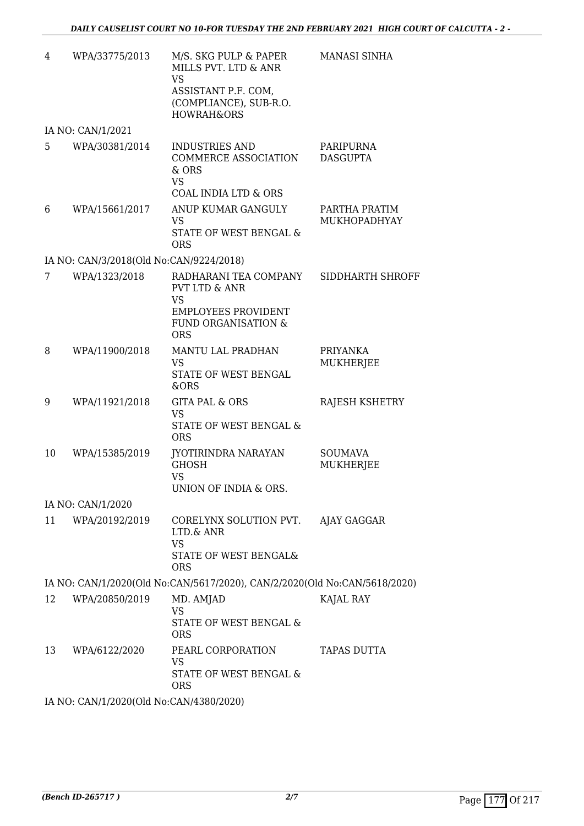| 4  | WPA/33775/2013                          | M/S. SKG PULP & PAPER<br>MILLS PVT. LTD & ANR<br><b>VS</b><br>ASSISTANT P.F. COM,<br>(COMPLIANCE), SUB-R.O.<br><b>HOWRAH&amp;ORS</b>         | MANASI SINHA                       |
|----|-----------------------------------------|----------------------------------------------------------------------------------------------------------------------------------------------|------------------------------------|
|    | IA NO: CAN/1/2021                       |                                                                                                                                              |                                    |
| 5  | WPA/30381/2014                          | <b>INDUSTRIES AND</b><br><b>COMMERCE ASSOCIATION</b><br>& ORS<br><b>VS</b>                                                                   | PARIPURNA<br><b>DASGUPTA</b>       |
|    |                                         | <b>COAL INDIA LTD &amp; ORS</b>                                                                                                              |                                    |
| 6  | WPA/15661/2017                          | ANUP KUMAR GANGULY<br><b>VS</b><br>STATE OF WEST BENGAL &<br><b>ORS</b>                                                                      | PARTHA PRATIM<br>MUKHOPADHYAY      |
|    | IA NO: CAN/3/2018(Old No:CAN/9224/2018) |                                                                                                                                              |                                    |
| 7  | WPA/1323/2018                           | RADHARANI TEA COMPANY<br><b>PVT LTD &amp; ANR</b><br><b>VS</b><br><b>EMPLOYEES PROVIDENT</b><br><b>FUND ORGANISATION &amp;</b><br><b>ORS</b> | SIDDHARTH SHROFF                   |
| 8  | WPA/11900/2018                          | <b>MANTU LAL PRADHAN</b><br><b>VS</b><br>STATE OF WEST BENGAL<br>&ORS                                                                        | PRIYANKA<br><b>MUKHERJEE</b>       |
| 9  | WPA/11921/2018                          | <b>GITA PAL &amp; ORS</b><br><b>VS</b><br>STATE OF WEST BENGAL &<br><b>ORS</b>                                                               | RAJESH KSHETRY                     |
| 10 | WPA/15385/2019                          | JYOTIRINDRA NARAYAN<br><b>GHOSH</b><br><b>VS</b><br>UNION OF INDIA & ORS.                                                                    | <b>SOUMAVA</b><br><b>MUKHERJEE</b> |
|    | IA NO: CAN/1/2020                       |                                                                                                                                              |                                    |
| 11 | WPA/20192/2019                          | CORELYNX SOLUTION PVT.<br>LTD.& ANR<br><b>VS</b><br>STATE OF WEST BENGAL&<br><b>ORS</b>                                                      | AJAY GAGGAR                        |
|    |                                         | IA NO: CAN/1/2020(Old No:CAN/5617/2020), CAN/2/2020(Old No:CAN/5618/2020)                                                                    |                                    |
| 12 | WPA/20850/2019                          | MD. AMJAD<br><b>VS</b><br>STATE OF WEST BENGAL &<br><b>ORS</b>                                                                               | KAJAL RAY                          |
| 13 | WPA/6122/2020                           | PEARL CORPORATION<br><b>VS</b><br>STATE OF WEST BENGAL &<br><b>ORS</b>                                                                       | TAPAS DUTTA                        |

IA NO: CAN/1/2020(Old No:CAN/4380/2020)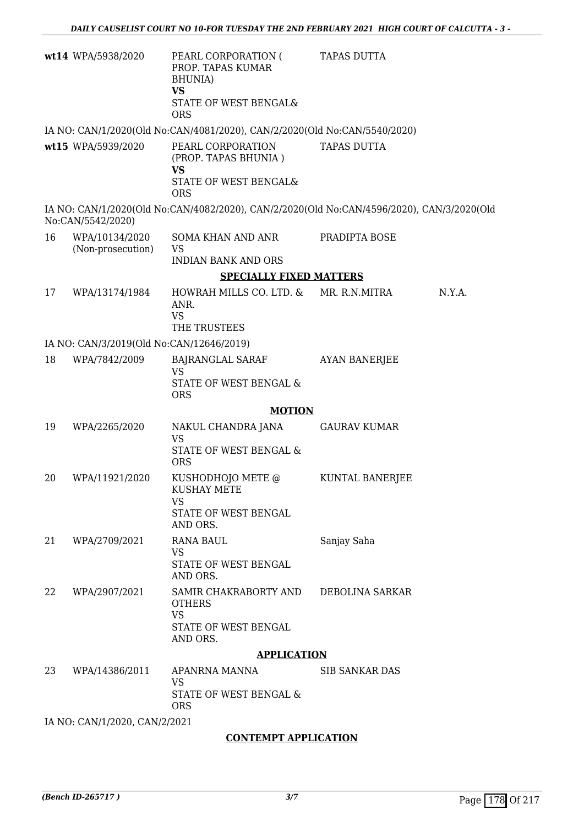|                                          | wt14 WPA/5938/2020                  | PEARL CORPORATION (<br>PROP. TAPAS KUMAR<br><b>BHUNIA</b> )<br><b>VS</b><br>STATE OF WEST BENGAL&<br><b>ORS</b> | <b>TAPAS DUTTA</b>     |        |
|------------------------------------------|-------------------------------------|-----------------------------------------------------------------------------------------------------------------|------------------------|--------|
|                                          |                                     | IA NO: CAN/1/2020(Old No:CAN/4081/2020), CAN/2/2020(Old No:CAN/5540/2020)                                       |                        |        |
|                                          | wt15 WPA/5939/2020                  | PEARL CORPORATION<br>(PROP. TAPAS BHUNIA)<br><b>VS</b><br>STATE OF WEST BENGAL&<br><b>ORS</b>                   | <b>TAPAS DUTTA</b>     |        |
|                                          | No:CAN/5542/2020)                   | IA NO: CAN/1/2020(Old No:CAN/4082/2020), CAN/2/2020(Old No:CAN/4596/2020), CAN/3/2020(Old                       |                        |        |
| 16                                       | WPA/10134/2020<br>(Non-prosecution) | SOMA KHAN AND ANR<br>VS                                                                                         | PRADIPTA BOSE          |        |
|                                          |                                     | <b>INDIAN BANK AND ORS</b>                                                                                      |                        |        |
| <b>SPECIALLY FIXED MATTERS</b>           |                                     |                                                                                                                 |                        |        |
| 17                                       | WPA/13174/1984                      | HOWRAH MILLS CO. LTD. &<br>ANR.<br><b>VS</b>                                                                    | MR. R.N.MITRA          | N.Y.A. |
|                                          |                                     | THE TRUSTEES                                                                                                    |                        |        |
| IA NO: CAN/3/2019(Old No:CAN/12646/2019) |                                     |                                                                                                                 |                        |        |
| 18                                       | WPA/7842/2009                       | BAJRANGLAL SARAF<br><b>VS</b>                                                                                   | <b>AYAN BANERJEE</b>   |        |
|                                          |                                     | STATE OF WEST BENGAL &<br><b>ORS</b>                                                                            |                        |        |
| <b>MOTION</b>                            |                                     |                                                                                                                 |                        |        |
| 19                                       | WPA/2265/2020                       | NAKUL CHANDRA JANA<br><b>VS</b>                                                                                 | <b>GAURAV KUMAR</b>    |        |
|                                          |                                     | <b>STATE OF WEST BENGAL &amp;</b><br><b>ORS</b>                                                                 |                        |        |
| 20                                       | WPA/11921/2020                      | KUSHODHOJO METE @<br><b>KUSHAY METE</b><br><b>VS</b>                                                            | <b>KUNTAL BANERJEE</b> |        |
|                                          |                                     | STATE OF WEST BENGAL<br>AND ORS.                                                                                |                        |        |
| 21                                       | WPA/2709/2021                       | <b>RANA BAUL</b>                                                                                                | Sanjay Saha            |        |
|                                          |                                     | <b>VS</b><br>STATE OF WEST BENGAL<br>AND ORS.                                                                   |                        |        |
| 22                                       | WPA/2907/2021                       | SAMIR CHAKRABORTY AND<br><b>OTHERS</b>                                                                          | DEBOLINA SARKAR        |        |
|                                          |                                     | <b>VS</b><br>STATE OF WEST BENGAL<br>AND ORS.                                                                   |                        |        |
| <b>APPLICATION</b>                       |                                     |                                                                                                                 |                        |        |
| 23                                       | WPA/14386/2011                      | APANRNA MANNA<br><b>VS</b><br>STATE OF WEST BENGAL &                                                            | <b>SIB SANKAR DAS</b>  |        |
|                                          |                                     | <b>ORS</b>                                                                                                      |                        |        |
|                                          | IA NO: CAN/1/2020, CAN/2/2021       |                                                                                                                 |                        |        |

#### **CONTEMPT APPLICATION**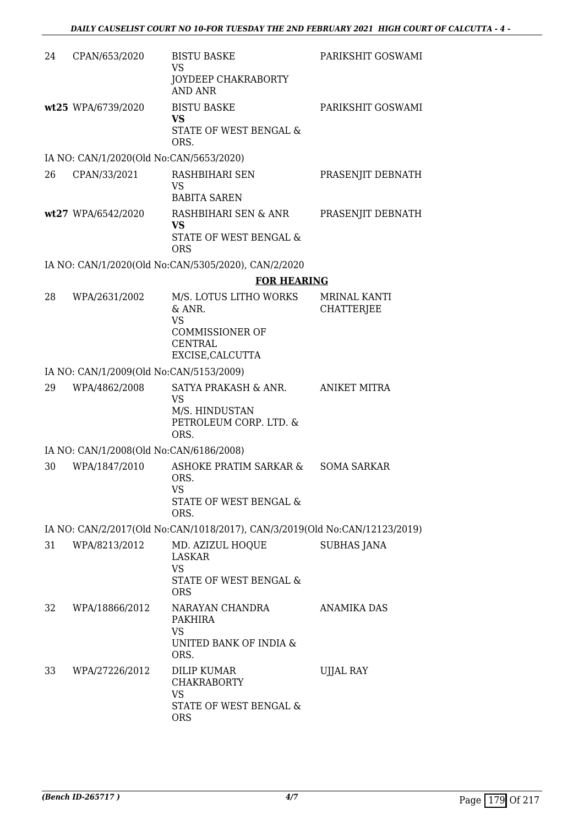| 24 | CPAN/653/2020                           | <b>BISTU BASKE</b><br><b>VS</b>                                            | PARIKSHIT GOSWAMI                        |
|----|-----------------------------------------|----------------------------------------------------------------------------|------------------------------------------|
|    |                                         | JOYDEEP CHAKRABORTY<br>AND ANR                                             |                                          |
|    | wt25 WPA/6739/2020                      | <b>BISTU BASKE</b><br><b>VS</b>                                            | PARIKSHIT GOSWAMI                        |
|    |                                         | STATE OF WEST BENGAL &<br>ORS.                                             |                                          |
|    | IA NO: CAN/1/2020(Old No:CAN/5653/2020) |                                                                            |                                          |
| 26 | CPAN/33/2021                            | RASHBIHARI SEN                                                             | PRASENJIT DEBNATH                        |
|    |                                         | <b>VS</b><br><b>BABITA SAREN</b>                                           |                                          |
|    | wt27 WPA/6542/2020                      | RASHBIHARI SEN & ANR<br>VS                                                 | PRASENJIT DEBNATH                        |
|    |                                         | STATE OF WEST BENGAL &<br><b>ORS</b>                                       |                                          |
|    |                                         | IA NO: CAN/1/2020(Old No:CAN/5305/2020), CAN/2/2020                        |                                          |
|    |                                         | <b>FOR HEARING</b>                                                         |                                          |
| 28 | WPA/2631/2002                           | M/S. LOTUS LITHO WORKS<br>& ANR.<br><b>VS</b>                              | <b>MRINAL KANTI</b><br><b>CHATTERJEE</b> |
|    |                                         | <b>COMMISSIONER OF</b><br><b>CENTRAL</b><br>EXCISE, CALCUTTA               |                                          |
|    | IA NO: CAN/1/2009(Old No:CAN/5153/2009) |                                                                            |                                          |
| 29 |                                         | SATYA PRAKASH & ANR.                                                       |                                          |
|    | WPA/4862/2008                           | <b>VS</b><br>M/S. HINDUSTAN<br>PETROLEUM CORP. LTD. &<br>ORS.              | ANIKET MITRA                             |
|    | IA NO: CAN/1/2008(Old No:CAN/6186/2008) |                                                                            |                                          |
| 30 | WPA/1847/2010                           | <b>ASHOKE PRATIM SARKAR &amp;</b><br>ORS.<br>VS<br>STATE OF WEST BENGAL &  | <b>SOMA SARKAR</b>                       |
|    |                                         | ORS.                                                                       |                                          |
|    |                                         | IA NO: CAN/2/2017(Old No:CAN/1018/2017), CAN/3/2019(Old No:CAN/12123/2019) |                                          |
| 31 | WPA/8213/2012                           | MD. AZIZUL HOQUE<br><b>LASKAR</b><br><b>VS</b>                             | <b>SUBHAS JANA</b>                       |
|    |                                         | STATE OF WEST BENGAL &<br><b>ORS</b>                                       |                                          |
| 32 | WPA/18866/2012                          | NARAYAN CHANDRA<br>PAKHIRA<br><b>VS</b><br>UNITED BANK OF INDIA &<br>ORS.  | ANAMIKA DAS                              |
| 33 | WPA/27226/2012                          | DILIP KUMAR<br><b>CHAKRABORTY</b><br>VS                                    | UJJAL RAY                                |
|    |                                         | STATE OF WEST BENGAL &<br><b>ORS</b>                                       |                                          |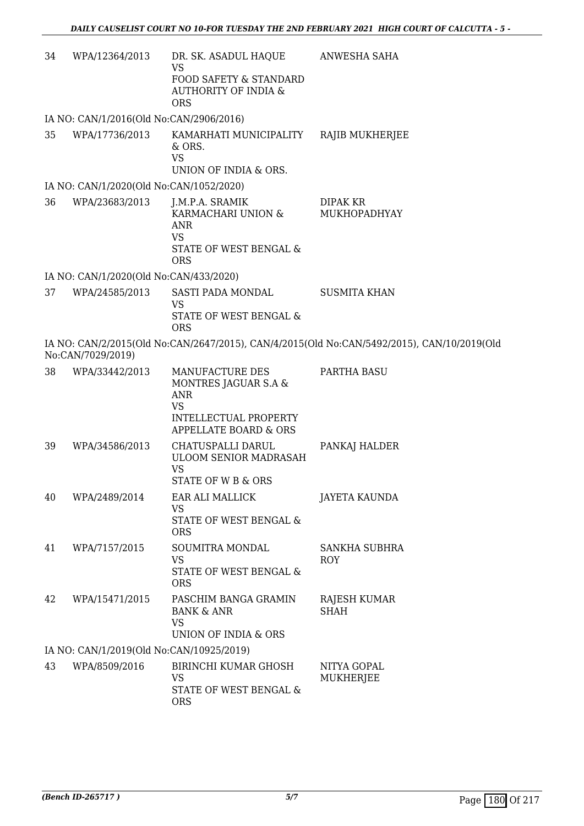| 34 | WPA/12364/2013                           | DR. SK. ASADUL HAQUE<br><b>VS</b><br>FOOD SAFETY & STANDARD<br><b>AUTHORITY OF INDIA &amp;</b><br><b>ORS</b>         | ANWESHA SAHA                                                                               |
|----|------------------------------------------|----------------------------------------------------------------------------------------------------------------------|--------------------------------------------------------------------------------------------|
|    | IA NO: CAN/1/2016(Old No:CAN/2906/2016)  |                                                                                                                      |                                                                                            |
| 35 | WPA/17736/2013                           | KAMARHATI MUNICIPALITY<br>$&$ ORS.<br><b>VS</b><br>UNION OF INDIA & ORS.                                             | RAJIB MUKHERJEE                                                                            |
|    | IA NO: CAN/1/2020(Old No:CAN/1052/2020)  |                                                                                                                      |                                                                                            |
| 36 | WPA/23683/2013                           | J.M.P.A. SRAMIK<br>KARMACHARI UNION &<br>ANR<br><b>VS</b><br><b>STATE OF WEST BENGAL &amp;</b><br><b>ORS</b>         | DIPAK KR<br>MUKHOPADHYAY                                                                   |
|    | IA NO: CAN/1/2020(Old No:CAN/433/2020)   |                                                                                                                      |                                                                                            |
| 37 | WPA/24585/2013                           | SASTI PADA MONDAL<br><b>VS</b><br>STATE OF WEST BENGAL &<br><b>ORS</b>                                               | <b>SUSMITA KHAN</b>                                                                        |
|    | No:CAN/7029/2019)                        |                                                                                                                      | IA NO: CAN/2/2015(Old No:CAN/2647/2015), CAN/4/2015(Old No:CAN/5492/2015), CAN/10/2019(Old |
| 38 | WPA/33442/2013                           | MANUFACTURE DES<br>MONTRES JAGUAR S.A &<br><b>ANR</b><br><b>VS</b><br>INTELLECTUAL PROPERTY<br>APPELLATE BOARD & ORS | PARTHA BASU                                                                                |
| 39 | WPA/34586/2013                           | CHATUSPALLI DARUL<br><b>ULOOM SENIOR MADRASAH</b><br><b>VS</b><br>STATE OF W B & ORS                                 | PANKAJ HALDER                                                                              |
| 40 | WPA/2489/2014                            | EAR ALI MALLICK<br><b>VS</b><br>STATE OF WEST BENGAL &<br><b>ORS</b>                                                 | <b>JAYETA KAUNDA</b>                                                                       |
| 41 | WPA/7157/2015                            | SOUMITRA MONDAL<br><b>VS</b><br>STATE OF WEST BENGAL &<br><b>ORS</b>                                                 | <b>SANKHA SUBHRA</b><br><b>ROY</b>                                                         |
| 42 | WPA/15471/2015                           | PASCHIM BANGA GRAMIN<br><b>BANK &amp; ANR</b><br><b>VS</b><br>UNION OF INDIA & ORS                                   | RAJESH KUMAR<br><b>SHAH</b>                                                                |
|    | IA NO: CAN/1/2019(Old No:CAN/10925/2019) |                                                                                                                      |                                                                                            |
| 43 | WPA/8509/2016                            | <b>BIRINCHI KUMAR GHOSH</b><br><b>VS</b><br>STATE OF WEST BENGAL &<br><b>ORS</b>                                     | NITYA GOPAL<br>MUKHERJEE                                                                   |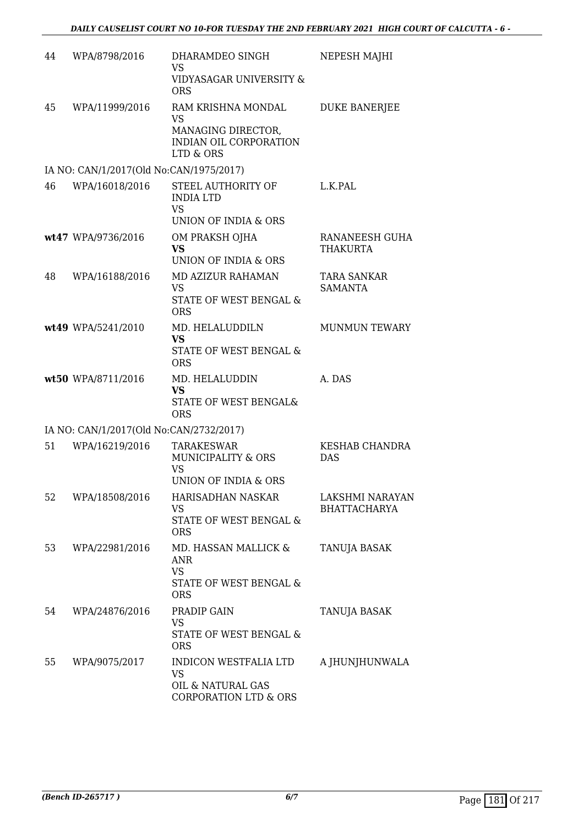| 44 | WPA/8798/2016                           | DHARAMDEO SINGH<br>VS                 | NEPESH MAJHI                      |
|----|-----------------------------------------|---------------------------------------|-----------------------------------|
|    |                                         | VIDYASAGAR UNIVERSITY &<br><b>ORS</b> |                                   |
| 45 | WPA/11999/2016                          | RAM KRISHNA MONDAL                    | <b>DUKE BANERJEE</b>              |
|    |                                         | <b>VS</b><br>MANAGING DIRECTOR,       |                                   |
|    |                                         | INDIAN OIL CORPORATION<br>LTD & ORS   |                                   |
|    | IA NO: CAN/1/2017(Old No:CAN/1975/2017) |                                       |                                   |
| 46 | WPA/16018/2016                          | STEEL AUTHORITY OF                    | L.K.PAL                           |
|    |                                         | <b>INDIA LTD</b><br><b>VS</b>         |                                   |
|    |                                         | UNION OF INDIA & ORS                  |                                   |
|    | wt47 WPA/9736/2016                      | OM PRAKSH OJHA<br><b>VS</b>           | RANANEESH GUHA<br><b>THAKURTA</b> |
|    |                                         | UNION OF INDIA & ORS                  |                                   |
| 48 | WPA/16188/2016                          | MD AZIZUR RAHAMAN                     | TARA SANKAR                       |
|    |                                         | <b>VS</b><br>STATE OF WEST BENGAL &   | <b>SAMANTA</b>                    |
|    |                                         | <b>ORS</b>                            |                                   |
|    | wt49 WPA/5241/2010                      | MD. HELALUDDILN<br><b>VS</b>          | <b>MUNMUN TEWARY</b>              |
|    |                                         | STATE OF WEST BENGAL &<br><b>ORS</b>  |                                   |
|    | wt50 WPA/8711/2016                      | MD. HELALUDDIN                        | A. DAS                            |
|    |                                         | <b>VS</b><br>STATE OF WEST BENGAL&    |                                   |
|    |                                         | <b>ORS</b>                            |                                   |
|    | IA NO: CAN/1/2017(Old No:CAN/2732/2017) |                                       |                                   |
| 51 | WPA/16219/2016                          | <b>TARAKESWAR</b>                     | KESHAB CHANDRA                    |
|    |                                         | <b>MUNICIPALITY &amp; ORS</b><br>VS   | <b>DAS</b>                        |
|    |                                         | UNION OF INDIA & ORS                  |                                   |
| 52 | WPA/18508/2016                          | HARISADHAN NASKAR                     | LAKSHMI NARAYAN                   |
|    |                                         | VS<br>STATE OF WEST BENGAL &          | <b>BHATTACHARYA</b>               |
|    |                                         | <b>ORS</b>                            |                                   |
| 53 | WPA/22981/2016                          | MD. HASSAN MALLICK &                  | <b>TANUJA BASAK</b>               |
|    |                                         | <b>ANR</b><br><b>VS</b>               |                                   |
|    |                                         | <b>STATE OF WEST BENGAL &amp;</b>     |                                   |
|    |                                         | <b>ORS</b>                            |                                   |
| 54 | WPA/24876/2016                          | PRADIP GAIN<br><b>VS</b>              | TANUJA BASAK                      |
|    |                                         | STATE OF WEST BENGAL &<br><b>ORS</b>  |                                   |
| 55 | WPA/9075/2017                           | INDICON WESTFALIA LTD<br>VS           | A JHUNJHUNWALA                    |
|    |                                         | OIL & NATURAL GAS                     |                                   |
|    |                                         | <b>CORPORATION LTD &amp; ORS</b>      |                                   |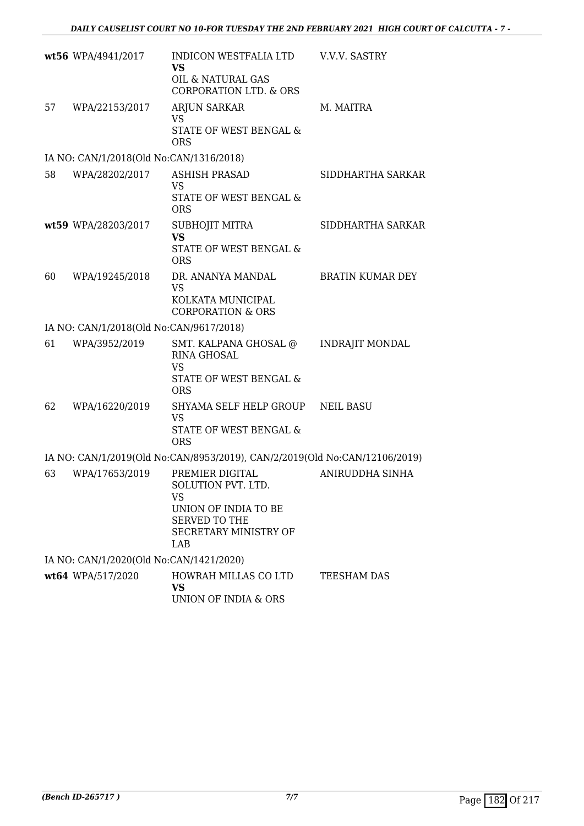|    | wt56 WPA/4941/2017                      | INDICON WESTFALIA LTD<br><b>VS</b><br>OIL & NATURAL GAS<br><b>CORPORATION LTD. &amp; ORS</b>                         | V.V.V. SASTRY           |
|----|-----------------------------------------|----------------------------------------------------------------------------------------------------------------------|-------------------------|
| 57 | WPA/22153/2017                          | <b>ARJUN SARKAR</b><br><b>VS</b><br>STATE OF WEST BENGAL &<br><b>ORS</b>                                             | M. MAITRA               |
|    | IA NO: CAN/1/2018(Old No:CAN/1316/2018) |                                                                                                                      |                         |
| 58 | WPA/28202/2017                          | <b>ASHISH PRASAD</b><br><b>VS</b><br>STATE OF WEST BENGAL &<br><b>ORS</b>                                            | SIDDHARTHA SARKAR       |
|    | wt59 WPA/28203/2017                     | SUBHOJIT MITRA<br><b>VS</b><br><b>STATE OF WEST BENGAL &amp;</b><br><b>ORS</b>                                       | SIDDHARTHA SARKAR       |
| 60 | WPA/19245/2018                          | DR. ANANYA MANDAL<br><b>VS</b><br>KOLKATA MUNICIPAL<br><b>CORPORATION &amp; ORS</b>                                  | <b>BRATIN KUMAR DEY</b> |
|    | IA NO: CAN/1/2018(Old No:CAN/9617/2018) |                                                                                                                      |                         |
| 61 | WPA/3952/2019                           | SMT. KALPANA GHOSAL @<br>RINA GHOSAL<br><b>VS</b><br>STATE OF WEST BENGAL &<br><b>ORS</b>                            | <b>INDRAJIT MONDAL</b>  |
| 62 | WPA/16220/2019                          | SHYAMA SELF HELP GROUP<br><b>VS</b><br><b>STATE OF WEST BENGAL &amp;</b><br><b>ORS</b>                               | <b>NEIL BASU</b>        |
|    |                                         | IA NO: CAN/1/2019(Old No:CAN/8953/2019), CAN/2/2019(Old No:CAN/12106/2019)                                           |                         |
| 63 | WPA/17653/2019                          | PREMIER DIGITAL<br>SOLUTION PVT. LTD.<br>VS<br>UNION OF INDIA TO BE<br>SERVED TO THE<br>SECRETARY MINISTRY OF<br>LAB | ANIRUDDHA SINHA         |
|    | IA NO: CAN/1/2020(Old No:CAN/1421/2020) |                                                                                                                      |                         |
|    | wt64 WPA/517/2020                       | HOWRAH MILLAS CO LTD<br><b>VS</b><br>UNION OF INDIA & ORS                                                            | TEESHAM DAS             |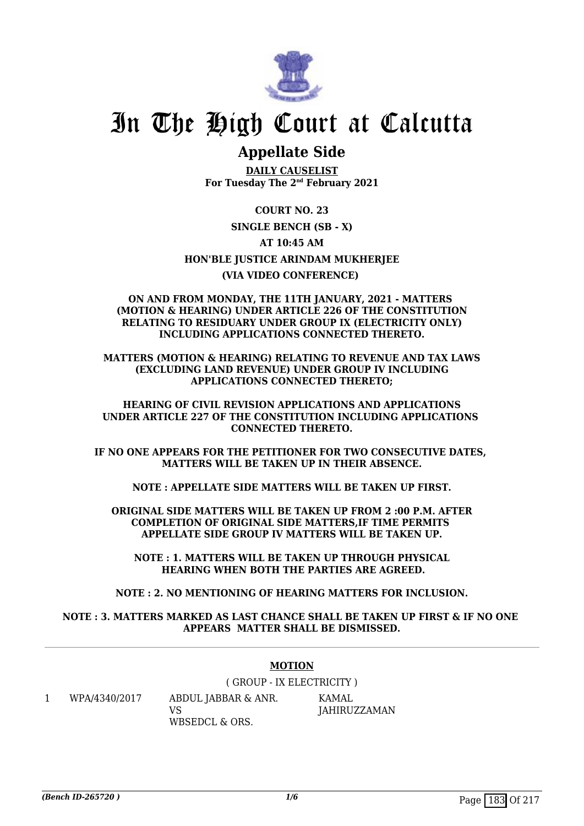

## **Appellate Side**

**DAILY CAUSELIST For Tuesday The 2nd February 2021**

**COURT NO. 23 SINGLE BENCH (SB - X) AT 10:45 AM HON'BLE JUSTICE ARINDAM MUKHERJEE (VIA VIDEO CONFERENCE)** 

#### **ON AND FROM MONDAY, THE 11TH JANUARY, 2021 - MATTERS (MOTION & HEARING) UNDER ARTICLE 226 OF THE CONSTITUTION RELATING TO RESIDUARY UNDER GROUP IX (ELECTRICITY ONLY) INCLUDING APPLICATIONS CONNECTED THERETO.**

**MATTERS (MOTION & HEARING) RELATING TO REVENUE AND TAX LAWS (EXCLUDING LAND REVENUE) UNDER GROUP IV INCLUDING APPLICATIONS CONNECTED THERETO;**

**HEARING OF CIVIL REVISION APPLICATIONS AND APPLICATIONS UNDER ARTICLE 227 OF THE CONSTITUTION INCLUDING APPLICATIONS CONNECTED THERETO.**

**IF NO ONE APPEARS FOR THE PETITIONER FOR TWO CONSECUTIVE DATES, MATTERS WILL BE TAKEN UP IN THEIR ABSENCE.**

**NOTE : APPELLATE SIDE MATTERS WILL BE TAKEN UP FIRST.**

**ORIGINAL SIDE MATTERS WILL BE TAKEN UP FROM 2 :00 P.M. AFTER COMPLETION OF ORIGINAL SIDE MATTERS,IF TIME PERMITS APPELLATE SIDE GROUP IV MATTERS WILL BE TAKEN UP.**

**NOTE : 1. MATTERS WILL BE TAKEN UP THROUGH PHYSICAL HEARING WHEN BOTH THE PARTIES ARE AGREED.**

**NOTE : 2. NO MENTIONING OF HEARING MATTERS FOR INCLUSION.**

#### **NOTE : 3. MATTERS MARKED AS LAST CHANCE SHALL BE TAKEN UP FIRST & IF NO ONE APPEARS MATTER SHALL BE DISMISSED.**

#### **MOTION**

( GROUP - IX ELECTRICITY ) KAMAL JAHIRUZZAMAN

1 WPA/4340/2017 ABDUL JABBAR & ANR.

VS WBSEDCL & ORS.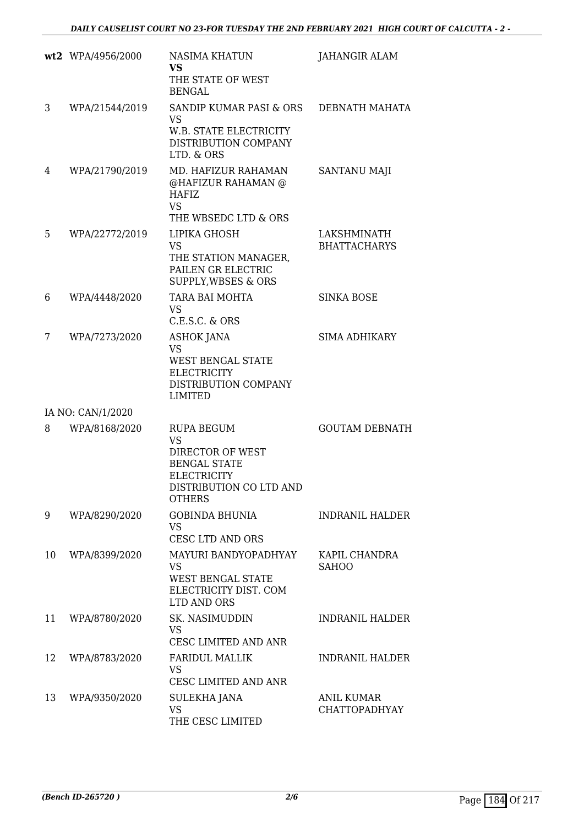|    | wt2 WPA/4956/2000 | <b>NASIMA KHATUN</b><br><b>VS</b><br>THE STATE OF WEST<br><b>BENGAL</b>                                                                     | JAHANGIR ALAM                             |
|----|-------------------|---------------------------------------------------------------------------------------------------------------------------------------------|-------------------------------------------|
| 3  | WPA/21544/2019    | SANDIP KUMAR PASI & ORS<br><b>VS</b><br><b>W.B. STATE ELECTRICITY</b><br>DISTRIBUTION COMPANY<br>LTD. & ORS                                 | DEBNATH MAHATA                            |
| 4  | WPA/21790/2019    | MD. HAFIZUR RAHAMAN<br>@HAFIZUR RAHAMAN @<br><b>HAFIZ</b><br><b>VS</b><br>THE WBSEDC LTD & ORS                                              | SANTANU MAJI                              |
| 5  | WPA/22772/2019    | LIPIKA GHOSH<br><b>VS</b><br>THE STATION MANAGER,<br>PAILEN GR ELECTRIC<br><b>SUPPLY, WBSES &amp; ORS</b>                                   | LAKSHMINATH<br><b>BHATTACHARYS</b>        |
| 6  | WPA/4448/2020     | TARA BAI MOHTA<br>VS.<br>C.E.S.C. & ORS                                                                                                     | <b>SINKA BOSE</b>                         |
| 7  | WPA/7273/2020     | <b>ASHOK JANA</b><br><b>VS</b><br><b>WEST BENGAL STATE</b><br><b>ELECTRICITY</b><br>DISTRIBUTION COMPANY<br><b>LIMITED</b>                  | <b>SIMA ADHIKARY</b>                      |
|    | IA NO: CAN/1/2020 |                                                                                                                                             |                                           |
| 8  | WPA/8168/2020     | <b>RUPA BEGUM</b><br><b>VS</b><br>DIRECTOR OF WEST<br><b>BENGAL STATE</b><br><b>ELECTRICITY</b><br>DISTRIBUTION CO LTD AND<br><b>OTHERS</b> | <b>GOUTAM DEBNATH</b>                     |
| 9  | WPA/8290/2020     | <b>GOBINDA BHUNIA</b><br><b>VS</b><br>CESC LTD AND ORS                                                                                      | <b>INDRANIL HALDER</b>                    |
| 10 | WPA/8399/2020     | MAYURI BANDYOPADHYAY<br><b>VS</b><br><b>WEST BENGAL STATE</b><br>ELECTRICITY DIST. COM<br>LTD AND ORS                                       | KAPIL CHANDRA<br><b>SAHOO</b>             |
| 11 | WPA/8780/2020     | SK. NASIMUDDIN<br><b>VS</b><br>CESC LIMITED AND ANR                                                                                         | <b>INDRANIL HALDER</b>                    |
| 12 | WPA/8783/2020     | <b>FARIDUL MALLIK</b><br><b>VS</b><br>CESC LIMITED AND ANR                                                                                  | <b>INDRANIL HALDER</b>                    |
| 13 | WPA/9350/2020     | SULEKHA JANA<br><b>VS</b><br>THE CESC LIMITED                                                                                               | <b>ANIL KUMAR</b><br><b>CHATTOPADHYAY</b> |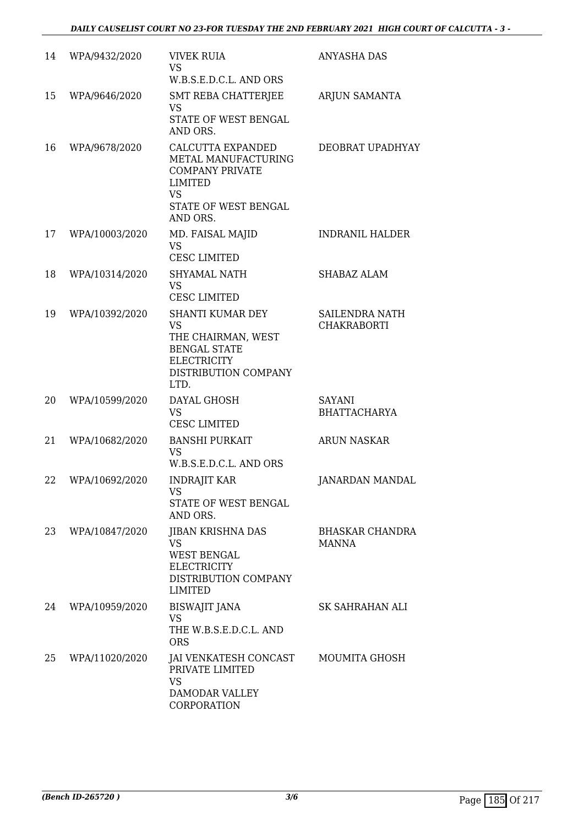| 14 | WPA/9432/2020  | <b>VIVEK RUIA</b><br><b>VS</b>                                                                                                               | ANYASHA DAS                                 |
|----|----------------|----------------------------------------------------------------------------------------------------------------------------------------------|---------------------------------------------|
| 15 | WPA/9646/2020  | W.B.S.E.D.C.L. AND ORS<br>SMT REBA CHATTERJEE<br><b>VS</b><br>STATE OF WEST BENGAL<br>AND ORS.                                               | <b>ARJUN SAMANTA</b>                        |
| 16 | WPA/9678/2020  | <b>CALCUTTA EXPANDED</b><br>METAL MANUFACTURING<br><b>COMPANY PRIVATE</b><br><b>LIMITED</b><br><b>VS</b><br>STATE OF WEST BENGAL<br>AND ORS. | DEOBRAT UPADHYAY                            |
| 17 | WPA/10003/2020 | MD. FAISAL MAJID<br><b>VS</b><br><b>CESC LIMITED</b>                                                                                         | <b>INDRANIL HALDER</b>                      |
| 18 | WPA/10314/2020 | <b>SHYAMAL NATH</b><br><b>VS</b><br><b>CESC LIMITED</b>                                                                                      | <b>SHABAZ ALAM</b>                          |
| 19 | WPA/10392/2020 | SHANTI KUMAR DEY<br><b>VS</b><br>THE CHAIRMAN, WEST<br><b>BENGAL STATE</b><br><b>ELECTRICITY</b><br>DISTRIBUTION COMPANY<br>LTD.             | <b>SAILENDRA NATH</b><br><b>CHAKRABORTI</b> |
| 20 | WPA/10599/2020 | DAYAL GHOSH<br><b>VS</b><br><b>CESC LIMITED</b>                                                                                              | <b>SAYANI</b><br><b>BHATTACHARYA</b>        |
| 21 | WPA/10682/2020 | <b>BANSHI PURKAIT</b><br><b>VS</b><br>W.B.S.E.D.C.L. AND ORS                                                                                 | <b>ARUN NASKAR</b>                          |
| 22 | WPA/10692/2020 | <b>INDRAJIT KAR</b><br><b>VS</b><br>STATE OF WEST BENGAL<br>AND ORS.                                                                         | <b>JANARDAN MANDAL</b>                      |
| 23 | WPA/10847/2020 | <b>JIBAN KRISHNA DAS</b><br><b>VS</b><br><b>WEST BENGAL</b><br><b>ELECTRICITY</b><br>DISTRIBUTION COMPANY<br><b>LIMITED</b>                  | BHASKAR CHANDRA<br>MANNA                    |
| 24 | WPA/10959/2020 | <b>BISWAJIT JANA</b><br><b>VS</b><br>THE W.B.S.E.D.C.L. AND<br><b>ORS</b>                                                                    | SK SAHRAHAN ALI                             |
| 25 | WPA/11020/2020 | JAI VENKATESH CONCAST<br>PRIVATE LIMITED<br><b>VS</b><br>DAMODAR VALLEY<br>CORPORATION                                                       | MOUMITA GHOSH                               |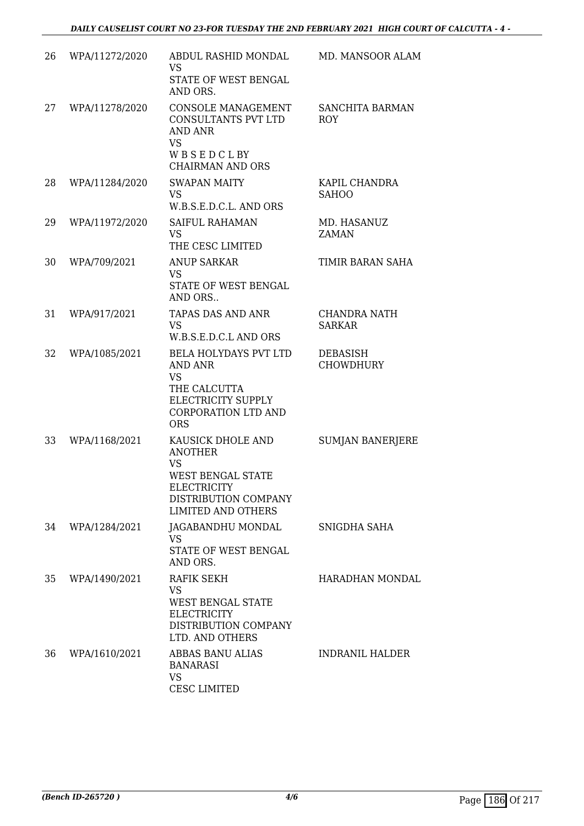| 26 | WPA/11272/2020 | ABDUL RASHID MONDAL<br><b>VS</b><br>STATE OF WEST BENGAL<br>AND ORS.                                                                      | MD. MANSOOR ALAM                     |
|----|----------------|-------------------------------------------------------------------------------------------------------------------------------------------|--------------------------------------|
| 27 | WPA/11278/2020 | CONSOLE MANAGEMENT<br><b>CONSULTANTS PVT LTD</b><br>AND ANR<br><b>VS</b><br>WBSEDCLBY<br><b>CHAIRMAN AND ORS</b>                          | SANCHITA BARMAN<br><b>ROY</b>        |
| 28 | WPA/11284/2020 | <b>SWAPAN MAITY</b><br><b>VS</b><br>W.B.S.E.D.C.L. AND ORS                                                                                | KAPIL CHANDRA<br><b>SAHOO</b>        |
| 29 | WPA/11972/2020 | <b>SAIFUL RAHAMAN</b><br><b>VS</b><br>THE CESC LIMITED                                                                                    | MD. HASANUZ<br><b>ZAMAN</b>          |
| 30 | WPA/709/2021   | <b>ANUP SARKAR</b><br><b>VS</b><br>STATE OF WEST BENGAL<br>AND ORS                                                                        | TIMIR BARAN SAHA                     |
| 31 | WPA/917/2021   | <b>TAPAS DAS AND ANR</b><br><b>VS</b><br>W.B.S.E.D.C.L AND ORS                                                                            | <b>CHANDRA NATH</b><br><b>SARKAR</b> |
| 32 | WPA/1085/2021  | BELA HOLYDAYS PVT LTD<br><b>AND ANR</b><br><b>VS</b><br>THE CALCUTTA<br>ELECTRICITY SUPPLY<br><b>CORPORATION LTD AND</b><br><b>ORS</b>    | <b>DEBASISH</b><br><b>CHOWDHURY</b>  |
| 33 | WPA/1168/2021  | KAUSICK DHOLE AND<br><b>ANOTHER</b><br><b>VS</b><br>WEST BENGAL STATE<br>ELECTRICITY<br>DISTRIBUTION COMPANY<br><b>LIMITED AND OTHERS</b> | <b>SUMJAN BANERJERE</b>              |
| 34 | WPA/1284/2021  | JAGABANDHU MONDAL<br><b>VS</b><br><b>STATE OF WEST BENGAL</b><br>AND ORS.                                                                 | SNIGDHA SAHA                         |
| 35 | WPA/1490/2021  | RAFIK SEKH<br><b>VS</b><br><b>WEST BENGAL STATE</b><br><b>ELECTRICITY</b><br>DISTRIBUTION COMPANY<br>LTD. AND OTHERS                      | HARADHAN MONDAL                      |
| 36 | WPA/1610/2021  | ABBAS BANU ALIAS<br><b>BANARASI</b><br><b>VS</b><br><b>CESC LIMITED</b>                                                                   | INDRANIL HALDER                      |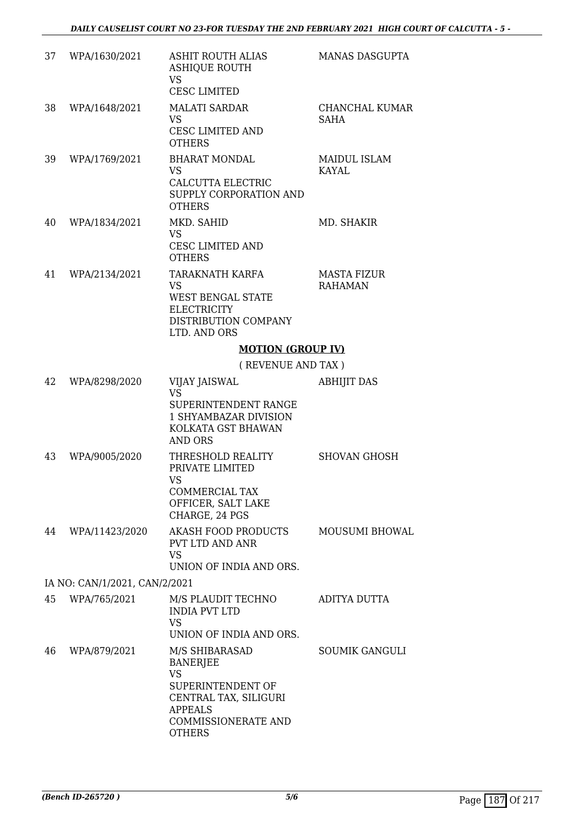| 37 | WPA/1630/2021                 | <b>ASHIT ROUTH ALIAS</b><br><b>ASHIQUE ROUTH</b><br><b>VS</b><br><b>CESC LIMITED</b>                                                                   | <b>MANAS DASGUPTA</b>                |
|----|-------------------------------|--------------------------------------------------------------------------------------------------------------------------------------------------------|--------------------------------------|
| 38 | WPA/1648/2021                 | <b>MALATI SARDAR</b><br><b>VS</b><br>CESC LIMITED AND<br><b>OTHERS</b>                                                                                 | CHANCHAL KUMAR<br><b>SAHA</b>        |
| 39 | WPA/1769/2021                 | <b>BHARAT MONDAL</b><br><b>VS</b><br>CALCUTTA ELECTRIC<br>SUPPLY CORPORATION AND<br><b>OTHERS</b>                                                      | <b>MAIDUL ISLAM</b><br><b>KAYAL</b>  |
| 40 | WPA/1834/2021                 | MKD. SAHID<br><b>VS</b><br>CESC LIMITED AND<br><b>OTHERS</b>                                                                                           | MD. SHAKIR                           |
| 41 | WPA/2134/2021                 | TARAKNATH KARFA<br><b>VS</b><br>WEST BENGAL STATE<br><b>ELECTRICITY</b><br>DISTRIBUTION COMPANY<br>LTD. AND ORS                                        | <b>MASTA FIZUR</b><br><b>RAHAMAN</b> |
|    |                               | <b>MOTION (GROUP IV)</b>                                                                                                                               |                                      |
|    |                               | (REVENUE AND TAX)                                                                                                                                      |                                      |
| 42 | WPA/8298/2020                 | VIJAY JAISWAL<br><b>VS</b><br>SUPERINTENDENT RANGE<br>1 SHYAMBAZAR DIVISION<br>KOLKATA GST BHAWAN<br><b>AND ORS</b>                                    | <b>ABHIJIT DAS</b>                   |
| 43 | WPA/9005/2020                 | THRESHOLD REALITY<br>PRIVATE LIMITED<br><b>VS</b><br>COMMERCIAL TAX<br>OFFICER, SALT LAKE<br>CHARGE, 24 PGS                                            | <b>SHOVAN GHOSH</b>                  |
| 44 | WPA/11423/2020                | <b>AKASH FOOD PRODUCTS</b><br>PVT LTD AND ANR<br><b>VS</b><br>UNION OF INDIA AND ORS.                                                                  | <b>MOUSUMI BHOWAL</b>                |
|    | IA NO: CAN/1/2021, CAN/2/2021 |                                                                                                                                                        |                                      |
| 45 | WPA/765/2021                  | M/S PLAUDIT TECHNO<br><b>INDIA PVT LTD</b><br><b>VS</b><br>UNION OF INDIA AND ORS.                                                                     | ADITYA DUTTA                         |
| 46 | WPA/879/2021                  | M/S SHIBARASAD<br><b>BANERJEE</b><br><b>VS</b><br>SUPERINTENDENT OF<br>CENTRAL TAX, SILIGURI<br><b>APPEALS</b><br>COMMISSIONERATE AND<br><b>OTHERS</b> | <b>SOUMIK GANGULI</b>                |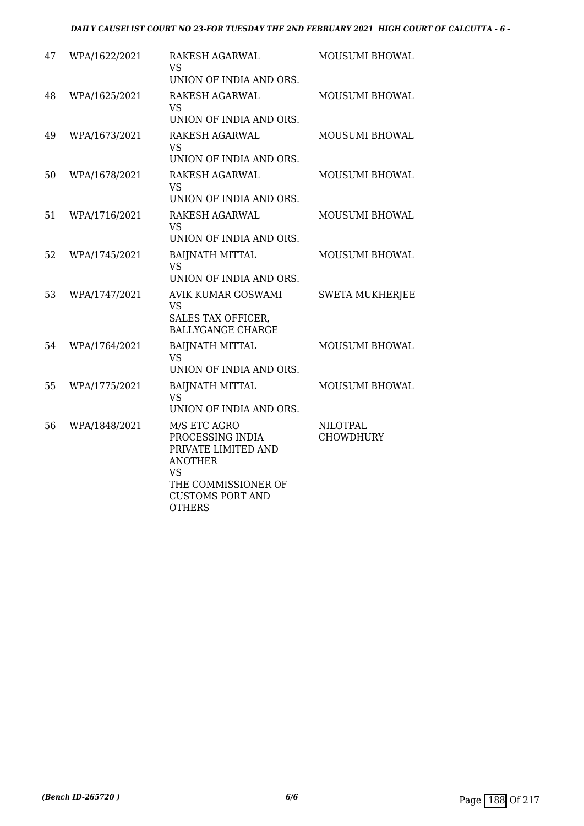| 47 | WPA/1622/2021 | RAKESH AGARWAL<br>VS                                                         | MOUSUMI BHOWAL                      |
|----|---------------|------------------------------------------------------------------------------|-------------------------------------|
|    |               | UNION OF INDIA AND ORS.                                                      |                                     |
| 48 | WPA/1625/2021 | RAKESH AGARWAL<br><b>VS</b>                                                  | MOUSUMI BHOWAL                      |
|    |               | UNION OF INDIA AND ORS.                                                      |                                     |
| 49 | WPA/1673/2021 | <b>RAKESH AGARWAL</b><br><b>VS</b>                                           | <b>MOUSUMI BHOWAL</b>               |
|    |               | UNION OF INDIA AND ORS.                                                      |                                     |
| 50 | WPA/1678/2021 | RAKESH AGARWAL<br>VS                                                         | MOUSUMI BHOWAL                      |
|    |               | UNION OF INDIA AND ORS.                                                      |                                     |
| 51 | WPA/1716/2021 | RAKESH AGARWAL<br><b>VS</b>                                                  | MOUSUMI BHOWAL                      |
|    |               | UNION OF INDIA AND ORS.                                                      |                                     |
| 52 | WPA/1745/2021 | <b>BAIJNATH MITTAL</b><br><b>VS</b><br>UNION OF INDIA AND ORS.               | MOUSUMI BHOWAL                      |
| 53 | WPA/1747/2021 | AVIK KUMAR GOSWAMI                                                           |                                     |
|    |               | <b>VS</b><br>SALES TAX OFFICER,<br><b>BALLYGANGE CHARGE</b>                  | <b>SWETA MUKHERJEE</b>              |
|    |               |                                                                              |                                     |
| 54 | WPA/1764/2021 | <b>BAIJNATH MITTAL</b><br><b>VS</b><br>UNION OF INDIA AND ORS.               | <b>MOUSUMI BHOWAL</b>               |
| 55 | WPA/1775/2021 | <b>BAIJNATH MITTAL</b><br><b>VS</b>                                          | MOUSUMI BHOWAL                      |
|    |               | UNION OF INDIA AND ORS.                                                      |                                     |
| 56 | WPA/1848/2021 | M/S ETC AGRO<br>PROCESSING INDIA<br>PRIVATE LIMITED AND<br><b>ANOTHER</b>    | <b>NILOTPAL</b><br><b>CHOWDHURY</b> |
|    |               | <b>VS</b><br>THE COMMISSIONER OF<br><b>CUSTOMS PORT AND</b><br><b>OTHERS</b> |                                     |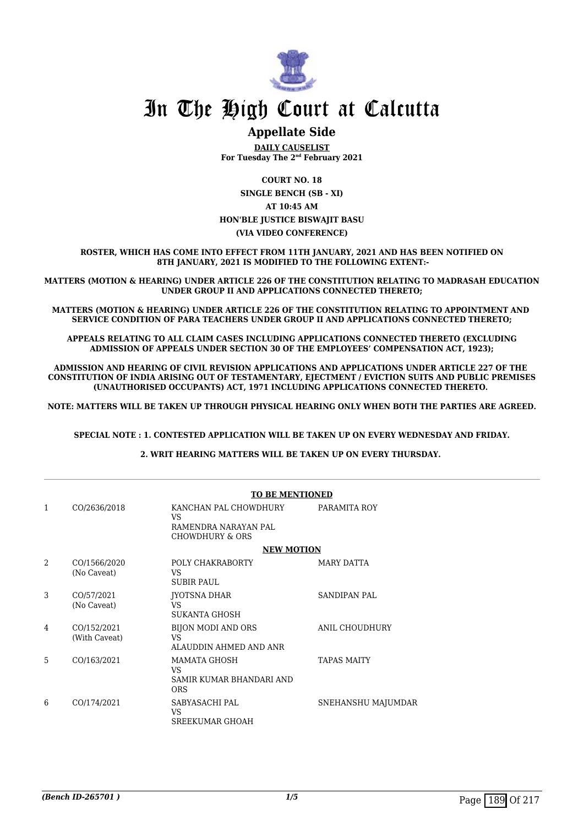

### **Appellate Side**

**DAILY CAUSELIST For Tuesday The 2nd February 2021**

**COURT NO. 18 SINGLE BENCH (SB - XI) AT 10:45 AM HON'BLE JUSTICE BISWAJIT BASU (VIA VIDEO CONFERENCE)**

**ROSTER, WHICH HAS COME INTO EFFECT FROM 11TH JANUARY, 2021 AND HAS BEEN NOTIFIED ON 8TH JANUARY, 2021 IS MODIFIED TO THE FOLLOWING EXTENT:-**

**MATTERS (MOTION & HEARING) UNDER ARTICLE 226 OF THE CONSTITUTION RELATING TO MADRASAH EDUCATION UNDER GROUP II AND APPLICATIONS CONNECTED THERETO;**

**MATTERS (MOTION & HEARING) UNDER ARTICLE 226 OF THE CONSTITUTION RELATING TO APPOINTMENT AND SERVICE CONDITION OF PARA TEACHERS UNDER GROUP II AND APPLICATIONS CONNECTED THERETO;**

**APPEALS RELATING TO ALL CLAIM CASES INCLUDING APPLICATIONS CONNECTED THERETO (EXCLUDING ADMISSION OF APPEALS UNDER SECTION 30 OF THE EMPLOYEES' COMPENSATION ACT, 1923);**

**ADMISSION AND HEARING OF CIVIL REVISION APPLICATIONS AND APPLICATIONS UNDER ARTICLE 227 OF THE CONSTITUTION OF INDIA ARISING OUT OF TESTAMENTARY, EJECTMENT / EVICTION SUITS AND PUBLIC PREMISES (UNAUTHORISED OCCUPANTS) ACT, 1971 INCLUDING APPLICATIONS CONNECTED THERETO.** 

**NOTE: MATTERS WILL BE TAKEN UP THROUGH PHYSICAL HEARING ONLY WHEN BOTH THE PARTIES ARE AGREED.**

**SPECIAL NOTE : 1. CONTESTED APPLICATION WILL BE TAKEN UP ON EVERY WEDNESDAY AND FRIDAY.**

**2. WRIT HEARING MATTERS WILL BE TAKEN UP ON EVERY THURSDAY.** 

|                |                              | <b>TO BE MENTIONED</b>                                                 |                     |
|----------------|------------------------------|------------------------------------------------------------------------|---------------------|
| 1              | CO/2636/2018                 | KANCHAN PAL CHOWDHURY<br>VS<br>RAMENDRA NARAYAN PAL<br>CHOWDHURY & ORS | PARAMITA ROY        |
|                |                              | <b>NEW MOTION</b>                                                      |                     |
| $\mathfrak{D}$ | CO/1566/2020<br>(No Caveat)  | POLY CHAKRABORTY<br>VS<br><b>SUBIR PAUL</b>                            | MARY DATTA          |
| 3              | CO/57/2021<br>(No Caveat)    | JYOTSNA DHAR<br>VS<br><b>SUKANTA GHOSH</b>                             | <b>SANDIPAN PAL</b> |
| 4              | CO/152/2021<br>(With Caveat) | <b>BIJON MODI AND ORS</b><br>VS<br>ALAUDDIN AHMED AND ANR              | ANIL CHOUDHURY      |
| 5              | CO/163/2021                  | <b>MAMATA GHOSH</b><br>VS<br>SAMIR KUMAR BHANDARI AND<br><b>ORS</b>    | <b>TAPAS MAITY</b>  |
| 6              | CO/174/2021                  | SABYASACHI PAL<br>VS<br><b>SREEKUMAR GHOAH</b>                         | SNEHANSHU MAJUMDAR  |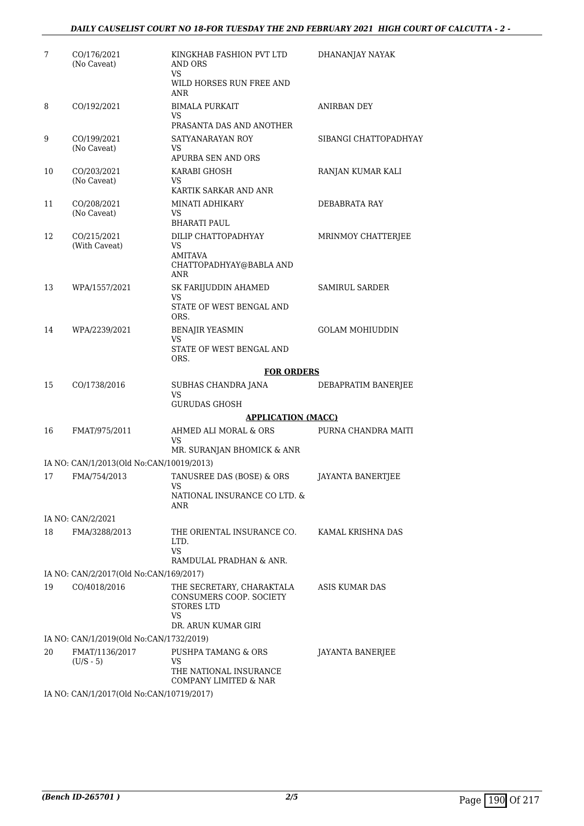#### *DAILY CAUSELIST COURT NO 18-FOR TUESDAY THE 2ND FEBRUARY 2021 HIGH COURT OF CALCUTTA - 2 -*

| 7  | CO/176/2021<br>(No Caveat)                     | KINGKHAB FASHION PVT LTD<br>AND ORS<br>VS<br>WILD HORSES RUN FREE AND<br>ANR                    | DHANANJAY NAYAK        |
|----|------------------------------------------------|-------------------------------------------------------------------------------------------------|------------------------|
| 8  | CO/192/2021                                    | <b>BIMALA PURKAIT</b><br>VS<br>PRASANTA DAS AND ANOTHER                                         | ANIRBAN DEY            |
| 9  | CO/199/2021<br>(No Caveat)                     | SATYANARAYAN ROY<br>VS<br>APURBA SEN AND ORS                                                    | SIBANGI CHATTOPADHYAY  |
| 10 | CO/203/2021<br>(No Caveat)                     | KARABI GHOSH<br>VS<br>KARTIK SARKAR AND ANR                                                     | RANJAN KUMAR KALI      |
| 11 | CO/208/2021<br>(No Caveat)                     | MINATI ADHIKARY<br>VS<br><b>BHARATI PAUL</b>                                                    | DEBABRATA RAY          |
| 12 | CO/215/2021<br>(With Caveat)                   | DILIP CHATTOPADHYAY<br>VS<br><b>AMITAVA</b><br>CHATTOPADHYAY@BABLA AND<br><b>ANR</b>            | MRINMOY CHATTERJEE     |
| 13 | WPA/1557/2021                                  | SK FARIJUDDIN AHAMED<br>VS<br>STATE OF WEST BENGAL AND<br>ORS.                                  | SAMIRUL SARDER         |
| 14 | WPA/2239/2021                                  | <b>BENAJIR YEASMIN</b><br>VS<br>STATE OF WEST BENGAL AND<br>ORS.                                | <b>GOLAM MOHIUDDIN</b> |
|    |                                                | <b>FOR ORDERS</b>                                                                               |                        |
| 15 | CO/1738/2016                                   | SUBHAS CHANDRA JANA<br>VS<br><b>GURUDAS GHOSH</b>                                               | DEBAPRATIM BANERJEE    |
|    |                                                | <b>APPLICATION (MACC)</b>                                                                       |                        |
| 16 | FMAT/975/2011                                  | AHMED ALI MORAL & ORS<br>VS<br>MR. SURANJAN BHOMICK & ANR                                       | PURNA CHANDRA MAITI    |
|    | IA NO: CAN/1/2013(Old No:CAN/10019/2013)       |                                                                                                 |                        |
| 17 | FMA/754/2013                                   | TANUSREE DAS (BOSE) & ORS<br>VS<br>NATIONAL INSURANCE CO LTD. &                                 | JAYANTA BANERTJEE      |
|    |                                                | ANR                                                                                             |                        |
|    | IA NO: CAN/2/2021                              |                                                                                                 |                        |
| 18 | FMA/3288/2013                                  | THE ORIENTAL INSURANCE CO.<br>LTD.<br>VS.<br>RAMDULAL PRADHAN & ANR.                            | KAMAL KRISHNA DAS      |
|    | IA NO: CAN/2/2017(Old No:CAN/169/2017)         |                                                                                                 |                        |
| 19 | CO/4018/2016                                   | THE SECRETARY, CHARAKTALA<br>CONSUMERS COOP. SOCIETY<br>STORES LTD<br>VS<br>DR. ARUN KUMAR GIRI | ASIS KUMAR DAS         |
|    | IA NO: CAN/1/2019(Old No:CAN/1732/2019)        |                                                                                                 |                        |
| 20 | FMAT/1136/2017<br>$(U/S - 5)$                  | PUSHPA TAMANG & ORS<br>VS<br>THE NATIONAL INSURANCE<br>COMPANY LIMITED & NAR                    | JAYANTA BANERJEE       |
|    | $14$ NO: $CAM11/2017/014$ No: $CAM11/210/2017$ |                                                                                                 |                        |

IA NO: CAN/1/2017(Old No:CAN/10719/2017)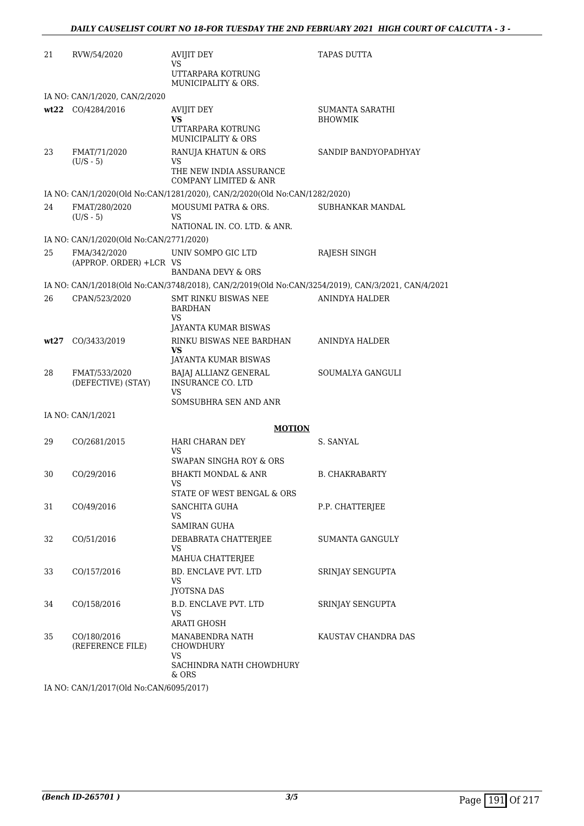| 21   | RVW/54/2020                                            | AVIJIT DEY<br>VS<br>UTTARPARA KOTRUNG                                                             | <b>TAPAS DUTTA</b>    |
|------|--------------------------------------------------------|---------------------------------------------------------------------------------------------------|-----------------------|
|      |                                                        | MUNICIPALITY & ORS.                                                                               |                       |
|      | IA NO: CAN/1/2020, CAN/2/2020<br>wt22 CO/4284/2016     | <b>AVIJIT DEY</b>                                                                                 | SUMANTA SARATHI       |
|      |                                                        | VS<br>UTTARPARA KOTRUNG<br>MUNICIPALITY & ORS                                                     | <b>BHOWMIK</b>        |
| 23   | FMAT/71/2020<br>$(U/S - 5)$                            | RANUJA KHATUN & ORS<br>VS<br>THE NEW INDIA ASSURANCE<br><b>COMPANY LIMITED &amp; ANR</b>          | SANDIP BANDYOPADHYAY  |
|      |                                                        | IA NO: CAN/1/2020(Old No:CAN/1281/2020), CAN/2/2020(Old No:CAN/1282/2020)                         |                       |
| 24   | FMAT/280/2020<br>$(U/S - 5)$                           | MOUSUMI PATRA & ORS.<br>VS<br>NATIONAL IN. CO. LTD. & ANR.                                        | SUBHANKAR MANDAL      |
|      | IA NO: CAN/1/2020(Old No:CAN/2771/2020)                |                                                                                                   |                       |
| 25   | FMA/342/2020<br>(APPROP. ORDER) +LCR VS                | UNIV SOMPO GIC LTD                                                                                | RAJESH SINGH          |
|      |                                                        | <b>BANDANA DEVY &amp; ORS</b>                                                                     |                       |
|      |                                                        | IA NO: CAN/1/2018(Old No:CAN/3748/2018), CAN/2/2019(Old No:CAN/3254/2019), CAN/3/2021, CAN/4/2021 |                       |
| 26   | CPAN/523/2020                                          | SMT RINKU BISWAS NEE<br><b>BARDHAN</b><br>VS<br>JAYANTA KUMAR BISWAS                              | ANINDYA HALDER        |
| wt27 | CO/3433/2019                                           | RINKU BISWAS NEE BARDHAN<br>VS<br>JAYANTA KUMAR BISWAS                                            | ANINDYA HALDER        |
| 28   | FMAT/533/2020<br>(DEFECTIVE) (STAY)                    | BAJAJ ALLIANZ GENERAL<br>INSURANCE CO. LTD<br>VS                                                  | SOUMALYA GANGULI      |
|      |                                                        | SOMSUBHRA SEN AND ANR                                                                             |                       |
|      | IA NO: CAN/1/2021                                      |                                                                                                   |                       |
|      |                                                        | <b>MOTION</b>                                                                                     |                       |
| 29   | CO/2681/2015                                           | HARI CHARAN DEY<br>VS<br>SWAPAN SINGHA ROY & ORS                                                  | S. SANYAL             |
| 30   | CO/29/2016                                             | BHAKTI MONDAL & ANR<br>VS<br>STATE OF WEST BENGAL & ORS                                           | <b>B. CHAKRABARTY</b> |
| 31   | CO/49/2016                                             | SANCHITA GUHA                                                                                     | P.P. CHATTERJEE       |
|      |                                                        | VS<br><b>SAMIRAN GUHA</b>                                                                         |                       |
| 32   | CO/51/2016                                             | DEBABRATA CHATTERJEE<br>VS<br>MAHUA CHATTERJEE                                                    | SUMANTA GANGULY       |
| 33   | CO/157/2016                                            | BD. ENCLAVE PVT. LTD<br>VS<br><b>JYOTSNA DAS</b>                                                  | SRINJAY SENGUPTA      |
| 34   | CO/158/2016                                            | B.D. ENCLAVE PVT. LTD<br>VS<br>ARATI GHOSH                                                        | SRINJAY SENGUPTA      |
| 35   | CO/180/2016<br>(REFERENCE FILE)                        | MANABENDRA NATH<br>CHOWDHURY<br>VS<br>SACHINDRA NATH CHOWDHURY<br>& ORS                           | KAUSTAV CHANDRA DAS   |
|      | IA NO $\cdot$ CAN/1/2017(Old No $\cdot$ CAN/6095/2017) |                                                                                                   |                       |

IA NO: CAN/1/2017(Old No:CAN/6095/2017)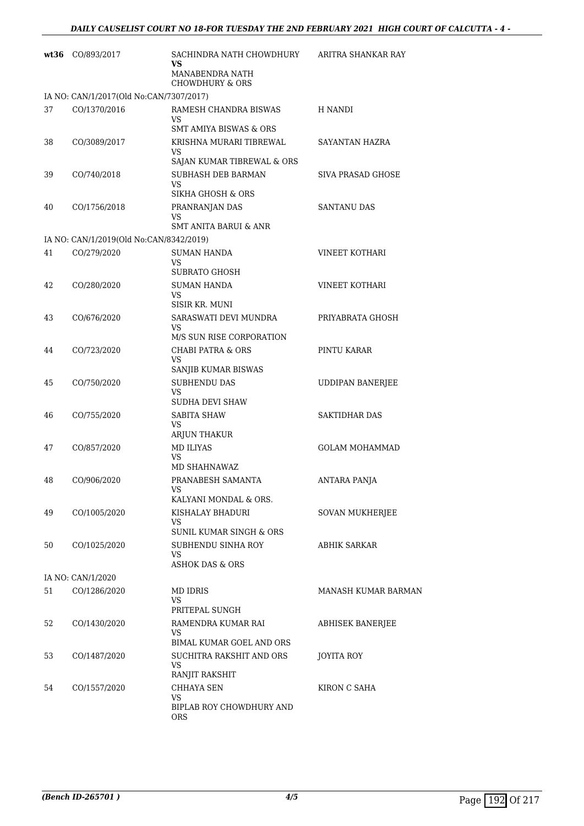| wt36 | CO/893/2017                             | SACHINDRA NATH CHOWDHURY<br>VS<br>MANABENDRA NATH                | ARITRA SHANKAR RAY      |
|------|-----------------------------------------|------------------------------------------------------------------|-------------------------|
|      |                                         | <b>CHOWDHURY &amp; ORS</b>                                       |                         |
|      | IA NO: CAN/1/2017(Old No:CAN/7307/2017) |                                                                  |                         |
| 37   | CO/1370/2016                            | RAMESH CHANDRA BISWAS<br>VS<br><b>SMT AMIYA BISWAS &amp; ORS</b> | H NANDI                 |
| 38   | CO/3089/2017                            | KRISHNA MURARI TIBREWAL<br>VS<br>SAJAN KUMAR TIBREWAL & ORS      | SAYANTAN HAZRA          |
| 39   | CO/740/2018                             | SUBHASH DEB BARMAN<br>VS<br>SIKHA GHOSH & ORS                    | SIVA PRASAD GHOSE       |
| 40   | CO/1756/2018                            | PRANRANJAN DAS<br>VS<br><b>SMT ANITA BARUI &amp; ANR</b>         | SANTANU DAS             |
|      | IA NO: CAN/1/2019(Old No:CAN/8342/2019) |                                                                  |                         |
| 41   | CO/279/2020                             | <b>SUMAN HANDA</b><br>VS<br>SUBRATO GHOSH                        | <b>VINEET KOTHARI</b>   |
| 42   | CO/280/2020                             | <b>SUMAN HANDA</b><br>VS<br>SISIR KR. MUNI                       | <b>VINEET KOTHARI</b>   |
| 43   | CO/676/2020                             | SARASWATI DEVI MUNDRA<br>VS                                      | PRIYABRATA GHOSH        |
| 44   | CO/723/2020                             | M/S SUN RISE CORPORATION<br><b>CHABI PATRA &amp; ORS</b><br>VS   | PINTU KARAR             |
| 45   | CO/750/2020                             | SANJIB KUMAR BISWAS<br>SUBHENDU DAS<br>VS<br>SUDHA DEVI SHAW     | <b>UDDIPAN BANERJEE</b> |
| 46   | CO/755/2020                             | <b>SABITA SHAW</b><br>VS<br>ARJUN THAKUR                         | <b>SAKTIDHAR DAS</b>    |
| 47   | CO/857/2020                             | <b>MD ILIYAS</b><br>VS<br>MD SHAHNAWAZ                           | <b>GOLAM MOHAMMAD</b>   |
| 48   | CO/906/2020                             | PRANABESH SAMANTA<br>VS<br>KALYANI MONDAL & ORS.                 | <b>ANTARA PANJA</b>     |
| 49   | CO/1005/2020                            | KISHALAY BHADURI<br>VS.<br>SUNIL KUMAR SINGH & ORS               | SOVAN MUKHERJEE         |
| 50   | CO/1025/2020                            | SUBHENDU SINHA ROY<br>VS<br>ASHOK DAS & ORS                      | ABHIK SARKAR            |
|      | IA NO: CAN/1/2020                       |                                                                  |                         |
| 51   | CO/1286/2020                            | <b>MD IDRIS</b><br>VS<br>PRITEPAL SUNGH                          | MANASH KUMAR BARMAN     |
| 52   | CO/1430/2020                            | RAMENDRA KUMAR RAI<br>VS<br><b>BIMAL KUMAR GOEL AND ORS</b>      | ABHISEK BANERJEE        |
| 53   | CO/1487/2020                            | SUCHITRA RAKSHIT AND ORS<br>VS<br>RANJIT RAKSHIT                 | <b>JOYITA ROY</b>       |
| 54   | CO/1557/2020                            | CHHAYA SEN<br>VS<br>BIPLAB ROY CHOWDHURY AND<br>ORS              | KIRON C SAHA            |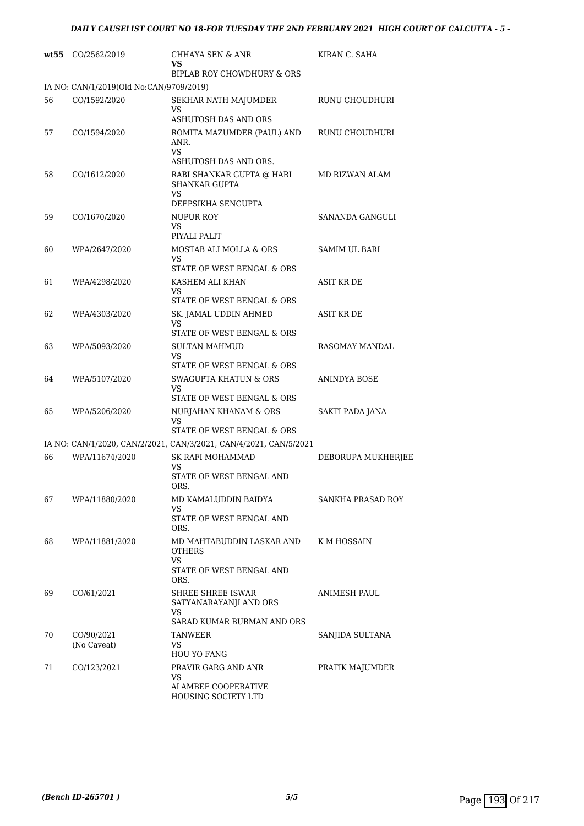|    | wt55 CO/2562/2019                       | <b>CHHAYA SEN &amp; ANR</b><br>VS                                    | KIRAN C. SAHA        |
|----|-----------------------------------------|----------------------------------------------------------------------|----------------------|
|    |                                         | BIPLAB ROY CHOWDHURY & ORS                                           |                      |
|    | IA NO: CAN/1/2019(Old No:CAN/9709/2019) |                                                                      |                      |
| 56 | CO/1592/2020                            | SEKHAR NATH MAJUMDER<br>VS                                           | RUNU CHOUDHURI       |
|    |                                         | <b>ASHUTOSH DAS AND ORS</b>                                          |                      |
| 57 | CO/1594/2020                            | ROMITA MAZUMDER (PAUL) AND<br>ANR.<br>VS                             | RUNU CHOUDHURI       |
|    |                                         | ASHUTOSH DAS AND ORS.                                                |                      |
| 58 | CO/1612/2020                            | RABI SHANKAR GUPTA @ HARI<br><b>SHANKAR GUPTA</b><br>VS              | MD RIZWAN ALAM       |
|    |                                         | DEEPSIKHA SENGUPTA                                                   |                      |
| 59 | CO/1670/2020                            | NUPUR ROY<br>VS.                                                     | SANANDA GANGULI      |
|    |                                         | PIYALI PALIT                                                         |                      |
| 60 | WPA/2647/2020                           | MOSTAB ALI MOLLA & ORS<br>VS.<br>STATE OF WEST BENGAL & ORS          | <b>SAMIM UL BARI</b> |
| 61 | WPA/4298/2020                           | KASHEM ALI KHAN                                                      | ASIT KR DE           |
|    |                                         | VS                                                                   |                      |
|    |                                         | STATE OF WEST BENGAL & ORS                                           |                      |
| 62 | WPA/4303/2020                           | SK. JAMAL UDDIN AHMED<br>VS<br>STATE OF WEST BENGAL & ORS            | ASIT KR DE           |
| 63 | WPA/5093/2020                           | <b>SULTAN MAHMUD</b>                                                 | RASOMAY MANDAL       |
|    |                                         | VS                                                                   |                      |
|    |                                         | STATE OF WEST BENGAL & ORS                                           |                      |
| 64 | WPA/5107/2020                           | <b>SWAGUPTA KHATUN &amp; ORS</b><br>VS<br>STATE OF WEST BENGAL & ORS | <b>ANINDYA BOSE</b>  |
| 65 | WPA/5206/2020                           | NURJAHAN KHANAM & ORS<br>VS                                          | SAKTI PADA JANA      |
|    |                                         | STATE OF WEST BENGAL & ORS                                           |                      |
|    |                                         | IA NO: CAN/1/2020, CAN/2/2021, CAN/3/2021, CAN/4/2021, CAN/5/2021    |                      |
| 66 | WPA/11674/2020                          | SK RAFI MOHAMMAD<br>VS.<br>STATE OF WEST BENGAL AND                  | DEBORUPA MUKHERJEE   |
|    |                                         | ORS.                                                                 |                      |
| 67 | WPA/11880/2020                          | MD KAMALUDDIN BAIDYA<br>VS.                                          | SANKHA PRASAD ROY    |
|    |                                         | STATE OF WEST BENGAL AND<br>ORS.                                     |                      |
| 68 | WPA/11881/2020                          | MD MAHTABUDDIN LASKAR AND<br>OTHERS<br>VS                            | K M HOSSAIN          |
|    |                                         | STATE OF WEST BENGAL AND<br>ORS.                                     |                      |
| 69 | CO/61/2021                              | SHREE SHREE ISWAR<br>SATYANARAYANJI AND ORS<br>VS                    | ANIMESH PAUL         |
|    |                                         | SARAD KUMAR BURMAN AND ORS                                           |                      |
| 70 | CO/90/2021<br>(No Caveat)               | TANWEER<br>VS                                                        | SANJIDA SULTANA      |
|    |                                         | <b>HOU YO FANG</b>                                                   |                      |
| 71 | CO/123/2021                             | PRAVIR GARG AND ANR<br>VS                                            | PRATIK MAJUMDER      |
|    |                                         | ALAMBEE COOPERATIVE<br><b>HOUSING SOCIETY LTD</b>                    |                      |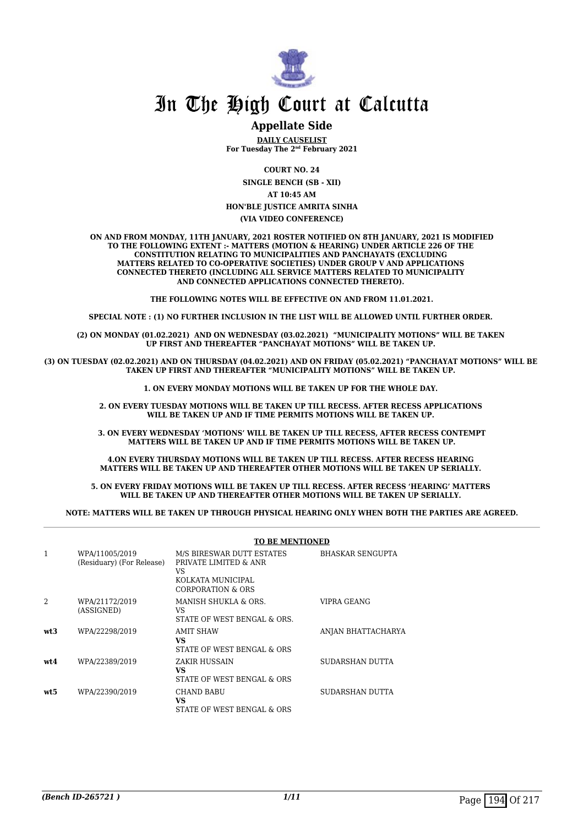

#### **Appellate Side**

**DAILY CAUSELIST For Tuesday The 2nd February 2021**

**COURT NO. 24**

**SINGLE BENCH (SB - XII) AT 10:45 AM HON'BLE JUSTICE AMRITA SINHA**

#### **(VIA VIDEO CONFERENCE)**

**ON AND FROM MONDAY, 11TH JANUARY, 2021 ROSTER NOTIFIED ON 8TH JANUARY, 2021 IS MODIFIED TO THE FOLLOWING EXTENT :- MATTERS (MOTION & HEARING) UNDER ARTICLE 226 OF THE CONSTITUTION RELATING TO MUNICIPALITIES AND PANCHAYATS (EXCLUDING MATTERS RELATED TO CO-OPERATIVE SOCIETIES) UNDER GROUP V AND APPLICATIONS CONNECTED THERETO (INCLUDING ALL SERVICE MATTERS RELATED TO MUNICIPALITY AND CONNECTED APPLICATIONS CONNECTED THERETO).** 

**THE FOLLOWING NOTES WILL BE EFFECTIVE ON AND FROM 11.01.2021.**

**SPECIAL NOTE : (1) NO FURTHER INCLUSION IN THE LIST WILL BE ALLOWED UNTIL FURTHER ORDER.** 

**(2) ON MONDAY (01.02.2021) AND ON WEDNESDAY (03.02.2021) "MUNICIPALITY MOTIONS" WILL BE TAKEN UP FIRST AND THEREAFTER "PANCHAYAT MOTIONS" WILL BE TAKEN UP.** 

**(3) ON TUESDAY (02.02.2021) AND ON THURSDAY (04.02.2021) AND ON FRIDAY (05.02.2021) "PANCHAYAT MOTIONS" WILL BE TAKEN UP FIRST AND THEREAFTER "MUNICIPALITY MOTIONS" WILL BE TAKEN UP.** 

**1. ON EVERY MONDAY MOTIONS WILL BE TAKEN UP FOR THE WHOLE DAY.** 

**2. ON EVERY TUESDAY MOTIONS WILL BE TAKEN UP TILL RECESS. AFTER RECESS APPLICATIONS**  WILL BE TAKEN UP AND IF TIME PERMITS MOTIONS WILL BE TAKEN UP.

**3. ON EVERY WEDNESDAY 'MOTIONS' WILL BE TAKEN UP TILL RECESS, AFTER RECESS CONTEMPT MATTERS WILL BE TAKEN UP AND IF TIME PERMITS MOTIONS WILL BE TAKEN UP.**

**4.ON EVERY THURSDAY MOTIONS WILL BE TAKEN UP TILL RECESS. AFTER RECESS HEARING MATTERS WILL BE TAKEN UP AND THEREAFTER OTHER MOTIONS WILL BE TAKEN UP SERIALLY.** 

**5. ON EVERY FRIDAY MOTIONS WILL BE TAKEN UP TILL RECESS. AFTER RECESS 'HEARING' MATTERS WILL BE TAKEN UP AND THEREAFTER OTHER MOTIONS WILL BE TAKEN UP SERIALLY.** 

**NOTE: MATTERS WILL BE TAKEN UP THROUGH PHYSICAL HEARING ONLY WHEN BOTH THE PARTIES ARE AGREED.**

|      |                                             | <b>TO BE MENTIONED</b>                                                                             |                         |
|------|---------------------------------------------|----------------------------------------------------------------------------------------------------|-------------------------|
| 1    | WPA/11005/2019<br>(Residuary) (For Release) | M/S BIRESWAR DUTT ESTATES<br>PRIVATE LIMITED & ANR<br>VS<br>KOLKATA MUNICIPAL<br>CORPORATION & ORS | <b>BHASKAR SENGUPTA</b> |
|      | WPA/21172/2019<br>(ASSIGNED)                | MANISH SHUKLA & ORS.<br>VS<br>STATE OF WEST BENGAL & ORS.                                          | VIPRA GEANG             |
| wt3  | WPA/22298/2019                              | AMIT SHAW<br>VS<br>STATE OF WEST BENGAL & ORS                                                      | ANJAN BHATTACHARYA      |
| wt.4 | WPA/22389/2019                              | ZAKIR HUSSAIN<br>VS<br>STATE OF WEST BENGAL & ORS                                                  | SUDARSHAN DUTTA         |
| wt5  | WPA/22390/2019                              | <b>CHAND BABU</b><br>VS<br>STATE OF WEST BENGAL & ORS                                              | SUDARSHAN DUTTA         |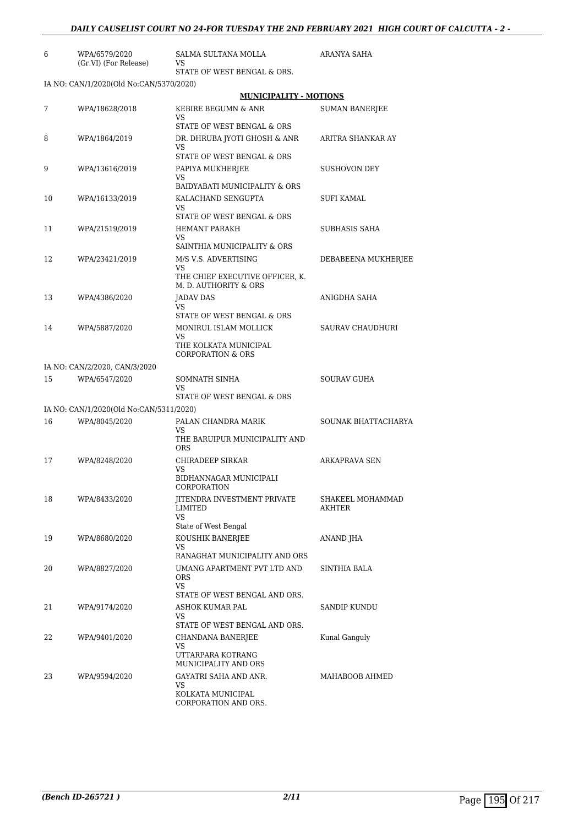| 6  | WPA/6579/2020<br>(Gr.VI) (For Release)  | SALMA SULTANA MOLLA<br>VS                                  | ARANYA SAHA                |
|----|-----------------------------------------|------------------------------------------------------------|----------------------------|
|    |                                         | STATE OF WEST BENGAL & ORS.                                |                            |
|    | IA NO: CAN/1/2020(Old No:CAN/5370/2020) |                                                            |                            |
|    |                                         | <b>MUNICIPALITY - MOTIONS</b>                              |                            |
| 7  | WPA/18628/2018                          | KEBIRE BEGUMN & ANR<br>VS<br>STATE OF WEST BENGAL & ORS    | <b>SUMAN BANERIEE</b>      |
|    |                                         |                                                            |                            |
| 8  | WPA/1864/2019                           | DR. DHRUBA JYOTI GHOSH & ANR<br>VS                         | ARITRA SHANKAR AY          |
|    |                                         | STATE OF WEST BENGAL & ORS                                 |                            |
| 9  | WPA/13616/2019                          | PAPIYA MUKHERJEE<br>VS                                     | <b>SUSHOVON DEY</b>        |
|    |                                         | BAIDYABATI MUNICIPALITY & ORS                              |                            |
| 10 | WPA/16133/2019                          | KALACHAND SENGUPTA<br>VS.                                  | SUFI KAMAL                 |
|    |                                         | STATE OF WEST BENGAL & ORS                                 |                            |
| 11 | WPA/21519/2019                          | <b>HEMANT PARAKH</b><br>VS.<br>SAINTHIA MUNICIPALITY & ORS | SUBHASIS SAHA              |
| 12 | WPA/23421/2019                          | M/S V.S. ADVERTISING                                       | DEBABEENA MUKHERJEE        |
|    |                                         | VS<br>THE CHIEF EXECUTIVE OFFICER, K.                      |                            |
|    |                                         | M. D. AUTHORITY & ORS                                      |                            |
| 13 | WPA/4386/2020                           | <b>JADAV DAS</b><br>VS                                     | ANIGDHA SAHA               |
|    |                                         | STATE OF WEST BENGAL & ORS                                 |                            |
| 14 | WPA/5887/2020                           | MONIRUL ISLAM MOLLICK<br><b>VS</b>                         | SAURAV CHAUDHURI           |
|    |                                         | THE KOLKATA MUNICIPAL<br><b>CORPORATION &amp; ORS</b>      |                            |
|    | IA NO: CAN/2/2020, CAN/3/2020           |                                                            |                            |
| 15 | WPA/6547/2020                           | SOMNATH SINHA<br>VS                                        | <b>SOURAV GUHA</b>         |
|    |                                         | STATE OF WEST BENGAL & ORS                                 |                            |
|    | IA NO: CAN/1/2020(Old No:CAN/5311/2020) |                                                            |                            |
| 16 | WPA/8045/2020                           | PALAN CHANDRA MARIK<br>VS<br>THE BARUIPUR MUNICIPALITY AND | SOUNAK BHATTACHARYA        |
|    |                                         | <b>ORS</b>                                                 |                            |
| 17 | WPA/8248/2020                           | CHIRADEEP SIRKAR<br>VS<br>BIDHANNAGAR MUNICIPALI           | <b>ARKAPRAVA SEN</b>       |
|    |                                         | CORPORATION                                                |                            |
| 18 | WPA/8433/2020                           | <b>IITENDRA INVESTMENT PRIVATE</b><br>LIMITED<br>VS        | SHAKEEL MOHAMMAD<br>AKHTER |
|    |                                         | State of West Bengal                                       |                            |
| 19 | WPA/8680/2020                           | KOUSHIK BANERJEE<br>VS                                     | ANAND JHA                  |
|    |                                         | RANAGHAT MUNICIPALITY AND ORS                              |                            |
| 20 | WPA/8827/2020                           | UMANG APARTMENT PVT LTD AND<br><b>ORS</b>                  | <b>SINTHIA BALA</b>        |
|    |                                         | VS<br>STATE OF WEST BENGAL AND ORS.                        |                            |
| 21 | WPA/9174/2020                           | ASHOK KUMAR PAL                                            | SANDIP KUNDU               |
|    |                                         | VS<br>STATE OF WEST BENGAL AND ORS.                        |                            |
| 22 | WPA/9401/2020                           | CHANDANA BANERJEE                                          | Kunal Ganguly              |
|    |                                         | VS                                                         |                            |
|    |                                         | UTTARPARA KOTRANG<br>MUNICIPALITY AND ORS                  |                            |
| 23 | WPA/9594/2020                           | GAYATRI SAHA AND ANR.                                      | MAHABOOB AHMED             |
|    |                                         | VS.<br>KOLKATA MUNICIPAL                                   |                            |

CORPORATION AND ORS.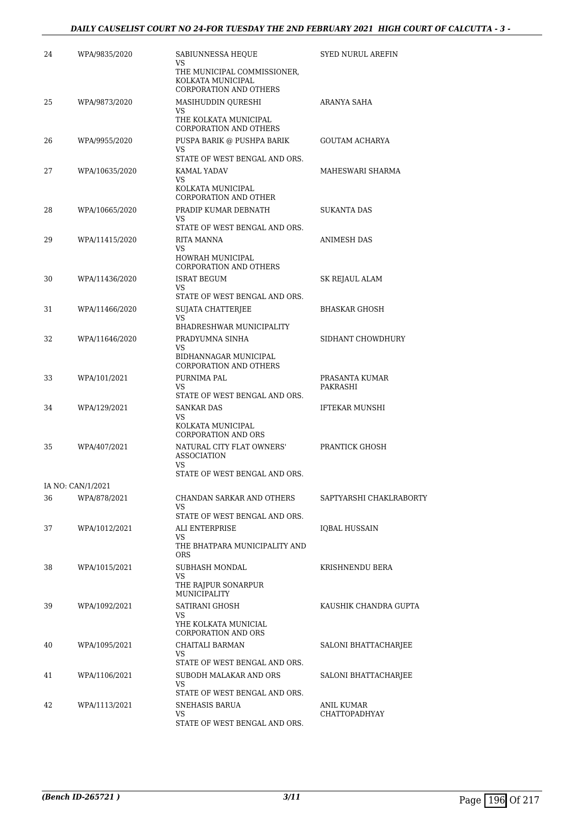| 24 | WPA/9835/2020     | SABIUNNESSA HEQUE<br>VS<br>THE MUNICIPAL COMMISSIONER,<br>KOLKATA MUNICIPAL<br>CORPORATION AND OTHERS | <b>SYED NURUL AREFIN</b>    |
|----|-------------------|-------------------------------------------------------------------------------------------------------|-----------------------------|
| 25 | WPA/9873/2020     | MASIHUDDIN QURESHI<br>VS<br>THE KOLKATA MUNICIPAL                                                     | ARANYA SAHA                 |
| 26 | WPA/9955/2020     | <b>CORPORATION AND OTHERS</b><br>PUSPA BARIK @ PUSHPA BARIK<br>VS<br>STATE OF WEST BENGAL AND ORS.    | GOUTAM ACHARYA              |
| 27 | WPA/10635/2020    | KAMAL YADAV<br>VS<br>KOLKATA MUNICIPAL<br><b>CORPORATION AND OTHER</b>                                | MAHESWARI SHARMA            |
| 28 | WPA/10665/2020    | PRADIP KUMAR DEBNATH<br>VS<br>STATE OF WEST BENGAL AND ORS.                                           | <b>SUKANTA DAS</b>          |
| 29 | WPA/11415/2020    | RITA MANNA<br>VS<br>HOWRAH MUNICIPAL<br><b>CORPORATION AND OTHERS</b>                                 | ANIMESH DAS                 |
| 30 | WPA/11436/2020    | ISRAT BEGUM<br>VS.<br>STATE OF WEST BENGAL AND ORS.                                                   | SK REJAUL ALAM              |
| 31 | WPA/11466/2020    | SUJATA CHATTERJEE<br>VS<br>BHADRESHWAR MUNICIPALITY                                                   | <b>BHASKAR GHOSH</b>        |
| 32 | WPA/11646/2020    | PRADYUMNA SINHA<br>VS<br>BIDHANNAGAR MUNICIPAL<br><b>CORPORATION AND OTHERS</b>                       | SIDHANT CHOWDHURY           |
| 33 | WPA/101/2021      | PURNIMA PAL<br>VS<br>STATE OF WEST BENGAL AND ORS.                                                    | PRASANTA KUMAR<br>PAKRASHI  |
| 34 | WPA/129/2021      | <b>SANKAR DAS</b><br>VS<br>KOLKATA MUNICIPAL<br><b>CORPORATION AND ORS</b>                            | IFTEKAR MUNSHI              |
| 35 | WPA/407/2021      | NATURAL CITY FLAT OWNERS'<br><b>ASSOCIATION</b><br>VS<br>STATE OF WEST BENGAL AND ORS.                | PRANTICK GHOSH              |
|    | IA NO: CAN/1/2021 |                                                                                                       |                             |
| 36 | WPA/878/2021      | CHANDAN SARKAR AND OTHERS<br>VS<br>STATE OF WEST BENGAL AND ORS.                                      | SAPTYARSHI CHAKLRABORTY     |
| 37 | WPA/1012/2021     | <b>ALI ENTERPRISE</b><br>VS<br>THE BHATPARA MUNICIPALITY AND<br><b>ORS</b>                            | IQBAL HUSSAIN               |
| 38 | WPA/1015/2021     | SUBHASH MONDAL<br>VS<br>THE RAJPUR SONARPUR<br><b>MUNICIPALITY</b>                                    | KRISHNENDU BERA             |
| 39 | WPA/1092/2021     | <b>SATIRANI GHOSH</b><br>VS<br>YHE KOLKATA MUNICIAL<br><b>CORPORATION AND ORS</b>                     | KAUSHIK CHANDRA GUPTA       |
| 40 | WPA/1095/2021     | CHAITALI BARMAN<br>VS<br>STATE OF WEST BENGAL AND ORS.                                                | SALONI BHATTACHARJEE        |
| 41 | WPA/1106/2021     | SUBODH MALAKAR AND ORS<br>VS<br>STATE OF WEST BENGAL AND ORS.                                         | SALONI BHATTACHARJEE        |
| 42 | WPA/1113/2021     | SNEHASIS BARUA<br>VS<br>STATE OF WEST BENGAL AND ORS.                                                 | ANIL KUMAR<br>CHATTOPADHYAY |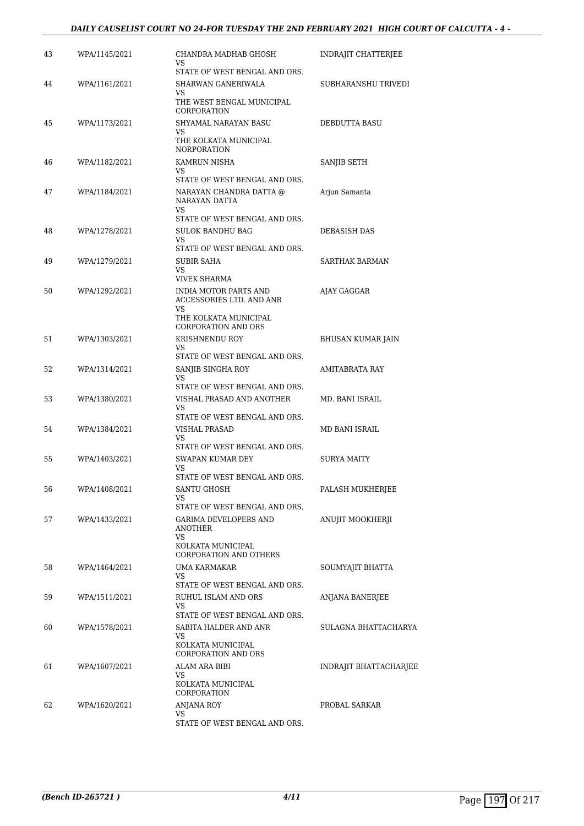| 43 | WPA/1145/2021 | CHANDRA MADHAB GHOSH<br>VS.<br>STATE OF WEST BENGAL AND ORS.                                                     | INDRAJIT CHATTERJEE    |
|----|---------------|------------------------------------------------------------------------------------------------------------------|------------------------|
| 44 | WPA/1161/2021 | SHARWAN GANERIWALA<br>VS<br>THE WEST BENGAL MUNICIPAL<br>CORPORATION                                             | SUBHARANSHU TRIVEDI    |
| 45 | WPA/1173/2021 | SHYAMAL NARAYAN BASU<br>VS<br>THE KOLKATA MUNICIPAL                                                              | DEBDUTTA BASU          |
| 46 | WPA/1182/2021 | <b>NORPORATION</b><br>KAMRUN NISHA<br>VS                                                                         | SANJIB SETH            |
| 47 | WPA/1184/2021 | STATE OF WEST BENGAL AND ORS.<br>NARAYAN CHANDRA DATTA @<br>NARAYAN DATTA<br>VS<br>STATE OF WEST BENGAL AND ORS. | Arjun Samanta          |
| 48 | WPA/1278/2021 | SULOK BANDHU BAG<br>VS<br>STATE OF WEST BENGAL AND ORS.                                                          | DEBASISH DAS           |
| 49 | WPA/1279/2021 | SUBIR SAHA<br>VS                                                                                                 | SARTHAK BARMAN         |
| 50 | WPA/1292/2021 | VIVEK SHARMA<br><b>INDIA MOTOR PARTS AND</b><br>ACCESSORIES LTD. AND ANR<br>VS.<br>THE KOLKATA MUNICIPAL         | AJAY GAGGAR            |
| 51 | WPA/1303/2021 | <b>CORPORATION AND ORS</b><br>KRISHNENDU ROY<br>VS<br>STATE OF WEST BENGAL AND ORS.                              | BHUSAN KUMAR JAIN      |
| 52 | WPA/1314/2021 | SANJIB SINGHA ROY<br>VS<br>STATE OF WEST BENGAL AND ORS.                                                         | AMITABRATA RAY         |
| 53 | WPA/1380/2021 | VISHAL PRASAD AND ANOTHER<br>VS<br>STATE OF WEST BENGAL AND ORS.                                                 | MD. BANI ISRAIL        |
| 54 | WPA/1384/2021 | VISHAL PRASAD<br>VS.<br>STATE OF WEST BENGAL AND ORS.                                                            | MD BANI ISRAIL         |
| 55 | WPA/1403/2021 | SWAPAN KUMAR DEY<br>VS<br>STATE OF WEST BENGAL AND ORS.                                                          | <b>SURYA MAITY</b>     |
| 56 | WPA/1408/2021 | SANTU GHOSH<br>VS<br>STATE OF WEST BENGAL AND ORS.                                                               | PALASH MUKHERJEE       |
| 57 | WPA/1433/2021 | GARIMA DEVELOPERS AND<br>ANOTHER<br>VS<br>KOLKATA MUNICIPAL                                                      | ANUJIT MOOKHERJI       |
| 58 | WPA/1464/2021 | <b>CORPORATION AND OTHERS</b><br>UMA KARMAKAR<br>VS                                                              | SOUMYAJIT BHATTA       |
| 59 | WPA/1511/2021 | STATE OF WEST BENGAL AND ORS.<br>RUHUL ISLAM AND ORS<br>VS<br>STATE OF WEST BENGAL AND ORS.                      | ANJANA BANERJEE        |
| 60 | WPA/1578/2021 | SABITA HALDER AND ANR<br>VS<br>KOLKATA MUNICIPAL<br><b>CORPORATION AND ORS</b>                                   | SULAGNA BHATTACHARYA   |
| 61 | WPA/1607/2021 | ALAM ARA BIBI<br>VS<br>KOLKATA MUNICIPAL                                                                         | INDRAJIT BHATTACHARJEE |
| 62 | WPA/1620/2021 | CORPORATION<br>ANJANA ROY<br>VS<br>STATE OF WEST BENGAL AND ORS.                                                 | PROBAL SARKAR          |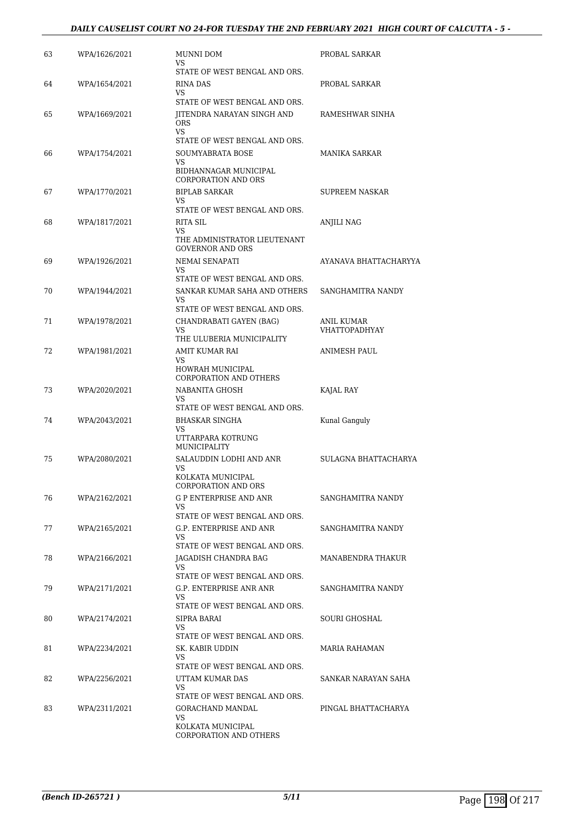#### *DAILY CAUSELIST COURT NO 24-FOR TUESDAY THE 2ND FEBRUARY 2021 HIGH COURT OF CALCUTTA - 5 -*

| 63 | WPA/1626/2021 | MUNNI DOM<br>VS                                                                             | PROBAL SARKAR                      |
|----|---------------|---------------------------------------------------------------------------------------------|------------------------------------|
| 64 | WPA/1654/2021 | STATE OF WEST BENGAL AND ORS.<br>RINA DAS<br>VS                                             | PROBAL SARKAR                      |
| 65 | WPA/1669/2021 | STATE OF WEST BENGAL AND ORS.<br>JITENDRA NARAYAN SINGH AND<br><b>ORS</b>                   | RAMESHWAR SINHA                    |
| 66 | WPA/1754/2021 | VS<br>STATE OF WEST BENGAL AND ORS.<br>SOUMYABRATA BOSE<br>VS<br>BIDHANNAGAR MUNICIPAL      | <b>MANIKA SARKAR</b>               |
| 67 | WPA/1770/2021 | <b>CORPORATION AND ORS</b><br><b>BIPLAB SARKAR</b><br>VS                                    | SUPREEM NASKAR                     |
| 68 | WPA/1817/2021 | STATE OF WEST BENGAL AND ORS.<br>RITA SIL<br>VS                                             | ANJILI NAG                         |
| 69 | WPA/1926/2021 | THE ADMINISTRATOR LIEUTENANT<br><b>GOVERNOR AND ORS</b><br>NEMAI SENAPATI<br>VS             | AYANAVA BHATTACHARYYA              |
| 70 | WPA/1944/2021 | STATE OF WEST BENGAL AND ORS.<br>SANKAR KUMAR SAHA AND OTHERS<br>VS                         | SANGHAMITRA NANDY                  |
| 71 | WPA/1978/2021 | STATE OF WEST BENGAL AND ORS.<br>CHANDRABATI GAYEN (BAG)<br>VS<br>THE ULUBERIA MUNICIPALITY | ANIL KUMAR<br><b>VHATTOPADHYAY</b> |
| 72 | WPA/1981/2021 | AMIT KUMAR RAI<br>VS<br><b>HOWRAH MUNICIPAL</b>                                             | ANIMESH PAUL                       |
| 73 | WPA/2020/2021 | <b>CORPORATION AND OTHERS</b><br>NABANITA GHOSH<br>VS                                       | KAJAL RAY                          |
| 74 | WPA/2043/2021 | STATE OF WEST BENGAL AND ORS.<br>BHASKAR SINGHA<br>VS<br>UTTARPARA KOTRUNG                  | Kunal Ganguly                      |
| 75 | WPA/2080/2021 | <b>MUNICIPALITY</b><br>SALAUDDIN LODHI AND ANR<br>VS<br>KOLKATA MUNICIPAL                   | SULAGNA BHATTACHARYA               |
| 76 | WPA/2162/2021 | CORPORATION AND ORS<br>G P ENTERPRISE AND ANR<br>VS                                         | SANGHAMITRA NANDY                  |
| 77 | WPA/2165/2021 | STATE OF WEST BENGAL AND ORS.<br>G.P. ENTERPRISE AND ANR<br>VS                              | SANGHAMITRA NANDY                  |
| 78 | WPA/2166/2021 | STATE OF WEST BENGAL AND ORS.<br>JAGADISH CHANDRA BAG<br>VS.                                | <b>MANABENDRA THAKUR</b>           |
| 79 | WPA/2171/2021 | STATE OF WEST BENGAL AND ORS.<br>G.P. ENTERPRISE ANR ANR<br>VS.                             | SANGHAMITRA NANDY                  |
| 80 | WPA/2174/2021 | STATE OF WEST BENGAL AND ORS.<br>SIPRA BARAI<br>VS<br>STATE OF WEST BENGAL AND ORS.         | SOURI GHOSHAL                      |
| 81 | WPA/2234/2021 | SK. KABIR UDDIN<br>VS.<br>STATE OF WEST BENGAL AND ORS.                                     | MARIA RAHAMAN                      |
| 82 | WPA/2256/2021 | UTTAM KUMAR DAS<br>VS<br>STATE OF WEST BENGAL AND ORS.                                      | SANKAR NARAYAN SAHA                |
| 83 | WPA/2311/2021 | GORACHAND MANDAL<br>VS.<br>KOLKATA MUNICIPAL<br>CORPORATION AND OTHERS                      | PINGAL BHATTACHARYA                |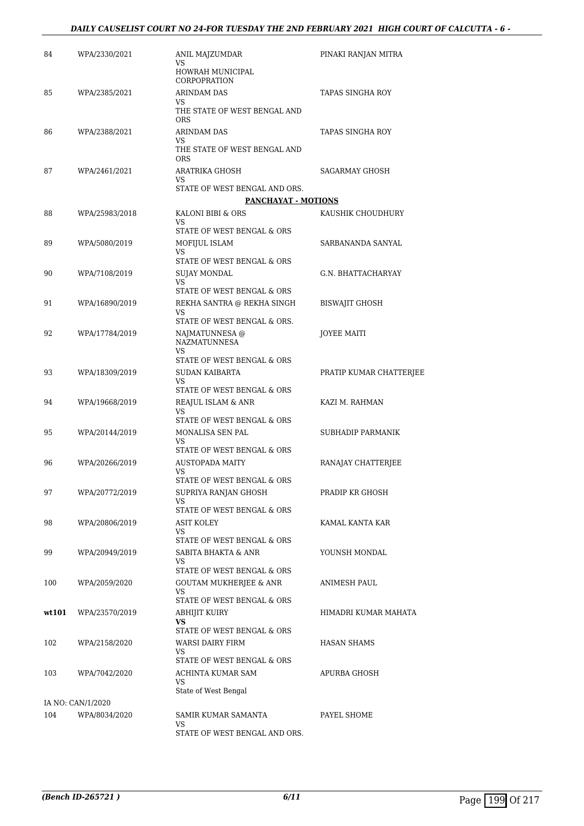| 84    | WPA/2330/2021     | ANIL MAJZUMDAR<br>VS                                 | PINAKI RANJAN MITRA     |
|-------|-------------------|------------------------------------------------------|-------------------------|
|       |                   | HOWRAH MUNICIPAL<br>CORPOPRATION                     |                         |
| 85    | WPA/2385/2021     | <b>ARINDAM DAS</b><br>VS.                            | <b>TAPAS SINGHA ROY</b> |
|       |                   | THE STATE OF WEST BENGAL AND<br><b>ORS</b>           |                         |
| 86    | WPA/2388/2021     | ARINDAM DAS                                          | TAPAS SINGHA ROY        |
|       |                   | VS<br>THE STATE OF WEST BENGAL AND<br><b>ORS</b>     |                         |
| 87    | WPA/2461/2021     | ARATRIKA GHOSH<br>VS.                                | <b>SAGARMAY GHOSH</b>   |
|       |                   | STATE OF WEST BENGAL AND ORS.<br>PANCHAYAT - MOTIONS |                         |
| 88    | WPA/25983/2018    | KALONI BIBI & ORS                                    | KAUSHIK CHOUDHURY       |
|       |                   | VS<br>STATE OF WEST BENGAL & ORS                     |                         |
| 89    | WPA/5080/2019     | MOFIJUL ISLAM<br>VS                                  | SARBANANDA SANYAL       |
|       |                   | STATE OF WEST BENGAL & ORS                           |                         |
| 90    | WPA/7108/2019     | SUJAY MONDAL<br>VS                                   | G.N. BHATTACHARYAY      |
|       |                   | STATE OF WEST BENGAL & ORS                           |                         |
| 91    | WPA/16890/2019    | REKHA SANTRA @ REKHA SINGH<br>VS.                    | <b>BISWAIIT GHOSH</b>   |
| 92    | WPA/17784/2019    | STATE OF WEST BENGAL & ORS.<br>NAJMATUNNESA @        | JOYEE MAITI             |
|       |                   | <b>NAZMATUNNESA</b><br>VS.                           |                         |
|       |                   | STATE OF WEST BENGAL & ORS                           |                         |
| 93    | WPA/18309/2019    | SUDAN KAIBARTA<br>VS<br>STATE OF WEST BENGAL & ORS   | PRATIP KUMAR CHATTERJEE |
| 94    | WPA/19668/2019    | REAJUL ISLAM & ANR                                   | KAZI M. RAHMAN          |
|       |                   | VS<br>STATE OF WEST BENGAL & ORS                     |                         |
| 95    | WPA/20144/2019    | MONALISA SEN PAL<br>VS.                              | SUBHADIP PARMANIK       |
| 96    | WPA/20266/2019    | STATE OF WEST BENGAL & ORS<br><b>AUSTOPADA MAITY</b> |                         |
|       |                   | VS<br>STATE OF WEST BENGAL & ORS                     | RANAJAY CHATTERJEE      |
| 97    | WPA/20772/2019    | SUPRIYA RANJAN GHOSH                                 | PRADIP KR GHOSH         |
|       |                   | VS<br>STATE OF WEST BENGAL & ORS                     |                         |
| 98    | WPA/20806/2019    | ASIT KOLEY                                           | KAMAL KANTA KAR         |
|       |                   | VS<br>STATE OF WEST BENGAL & ORS                     |                         |
| 99    | WPA/20949/2019    | SABITA BHAKTA & ANR                                  | YOUNSH MONDAL           |
|       |                   | VS<br>STATE OF WEST BENGAL & ORS                     |                         |
| 100   | WPA/2059/2020     | <b>GOUTAM MUKHERJEE &amp; ANR</b>                    | ANIMESH PAUL            |
|       |                   | VS<br>STATE OF WEST BENGAL & ORS                     |                         |
| wt101 | WPA/23570/2019    | ABHIJIT KUIRY                                        | HIMADRI KUMAR MAHATA    |
|       |                   | VS<br>STATE OF WEST BENGAL & ORS                     |                         |
| 102   | WPA/2158/2020     | <b>WARSI DAIRY FIRM</b>                              | <b>HASAN SHAMS</b>      |
|       |                   | VS<br>STATE OF WEST BENGAL & ORS                     |                         |
| 103   | WPA/7042/2020     | ACHINTA KUMAR SAM                                    | APURBA GHOSH            |
|       |                   | VS<br>State of West Bengal                           |                         |
|       | IA NO: CAN/1/2020 |                                                      |                         |
| 104   | WPA/8034/2020     | SAMIR KUMAR SAMANTA<br>VS                            | PAYEL SHOME             |
|       |                   | STATE OF WEST BENGAL AND ORS.                        |                         |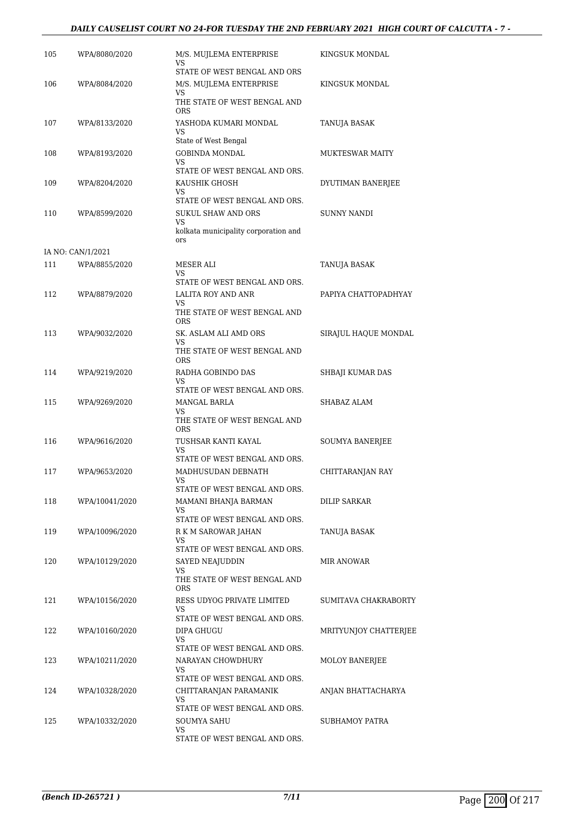#### *DAILY CAUSELIST COURT NO 24-FOR TUESDAY THE 2ND FEBRUARY 2021 HIGH COURT OF CALCUTTA - 7 -*

| 105 | WPA/8080/2020     | M/S. MUJLEMA ENTERPRISE<br>VS                           | KINGSUK MONDAL         |
|-----|-------------------|---------------------------------------------------------|------------------------|
|     |                   | STATE OF WEST BENGAL AND ORS                            |                        |
| 106 | WPA/8084/2020     | M/S. MUJLEMA ENTERPRISE<br>VS                           | KINGSUK MONDAL         |
|     |                   | THE STATE OF WEST BENGAL AND<br>ORS                     |                        |
| 107 | WPA/8133/2020     | YASHODA KUMARI MONDAL                                   | TANUJA BASAK           |
|     |                   | VS<br>State of West Bengal                              |                        |
| 108 | WPA/8193/2020     | <b>GOBINDA MONDAL</b>                                   | <b>MUKTESWAR MAITY</b> |
|     |                   | VS<br>STATE OF WEST BENGAL AND ORS.                     |                        |
| 109 | WPA/8204/2020     | KAUSHIK GHOSH                                           | DYUTIMAN BANERJEE      |
|     |                   | VS<br>STATE OF WEST BENGAL AND ORS.                     |                        |
| 110 | WPA/8599/2020     | <b>SUKUL SHAW AND ORS</b>                               | SUNNY NANDI            |
|     |                   | VS<br>kolkata municipality corporation and              |                        |
|     |                   | ors                                                     |                        |
|     | IA NO: CAN/1/2021 |                                                         |                        |
| 111 | WPA/8855/2020     | MESER ALI<br>VS                                         | <b>TANUJA BASAK</b>    |
|     |                   | STATE OF WEST BENGAL AND ORS.                           |                        |
| 112 | WPA/8879/2020     | <b>LALITA ROY AND ANR</b><br>VS                         | PAPIYA CHATTOPADHYAY   |
|     |                   | THE STATE OF WEST BENGAL AND                            |                        |
|     |                   | ORS                                                     |                        |
| 113 | WPA/9032/2020     | SK. ASLAM ALI AMD ORS<br>VS                             | SIRAJUL HAQUE MONDAL   |
|     |                   | THE STATE OF WEST BENGAL AND<br><b>ORS</b>              |                        |
| 114 | WPA/9219/2020     | RADHA GOBINDO DAS                                       | SHBAJI KUMAR DAS       |
|     |                   | VS                                                      |                        |
| 115 | WPA/9269/2020     | STATE OF WEST BENGAL AND ORS.<br>MANGAL BARLA           | SHABAZ ALAM            |
|     |                   | VS                                                      |                        |
|     |                   | THE STATE OF WEST BENGAL AND<br><b>ORS</b>              |                        |
| 116 | WPA/9616/2020     | TUSHSAR KANTI KAYAL                                     | <b>SOUMYA BANERJEE</b> |
|     |                   | VS<br>STATE OF WEST BENGAL AND ORS.                     |                        |
| 117 | WPA/9653/2020     | MADHUSUDAN DEBNATH                                      | CHITTARANJAN RAY       |
|     |                   | VS<br>STATE OF WEST BENGAL AND ORS.                     |                        |
| 118 | WPA/10041/2020    | MAMANI BHANJA BARMAN                                    | <b>DILIP SARKAR</b>    |
|     |                   | VS<br>STATE OF WEST BENGAL AND ORS.                     |                        |
| 119 | WPA/10096/2020    | R K M SAROWAR JAHAN                                     | TANUJA BASAK           |
|     |                   | VS                                                      |                        |
| 120 | WPA/10129/2020    | STATE OF WEST BENGAL AND ORS.<br>SAYED NEAJUDDIN        | <b>MIR ANOWAR</b>      |
|     |                   | VS                                                      |                        |
|     |                   | THE STATE OF WEST BENGAL AND<br>ORS.                    |                        |
| 121 | WPA/10156/2020    | RESS UDYOG PRIVATE LIMITED                              | SUMITAVA CHAKRABORTY   |
|     |                   | VS<br>STATE OF WEST BENGAL AND ORS.                     |                        |
| 122 | WPA/10160/2020    | DIPA GHUGU                                              | MRITYUNJOY CHATTERJEE  |
|     |                   | VS<br>STATE OF WEST BENGAL AND ORS.                     |                        |
| 123 | WPA/10211/2020    | NARAYAN CHOWDHURY                                       | <b>MOLOY BANERJEE</b>  |
|     |                   | VS                                                      |                        |
| 124 | WPA/10328/2020    | STATE OF WEST BENGAL AND ORS.<br>CHITTARANJAN PARAMANIK | ANJAN BHATTACHARYA     |
|     |                   | VS                                                      |                        |
|     |                   | STATE OF WEST BENGAL AND ORS.                           |                        |
| 125 | WPA/10332/2020    | SOUMYA SAHU<br>VS                                       | SUBHAMOY PATRA         |
|     |                   | STATE OF WEST BENGAL AND ORS.                           |                        |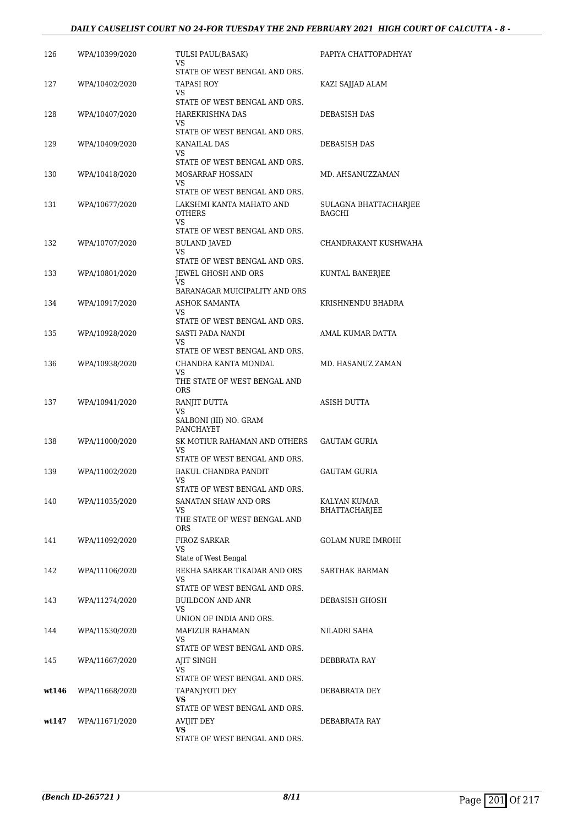#### *DAILY CAUSELIST COURT NO 24-FOR TUESDAY THE 2ND FEBRUARY 2021 HIGH COURT OF CALCUTTA - 8 -*

| 126   | WPA/10399/2020 | TULSI PAUL(BASAK)<br>VS                                      | PAPIYA CHATTOPADHYAY                   |
|-------|----------------|--------------------------------------------------------------|----------------------------------------|
| 127   | WPA/10402/2020 | STATE OF WEST BENGAL AND ORS.<br>TAPASI ROY<br>VS            | KAZI SAJJAD ALAM                       |
|       |                | STATE OF WEST BENGAL AND ORS.                                |                                        |
| 128   | WPA/10407/2020 | HAREKRISHNA DAS<br>VS<br>STATE OF WEST BENGAL AND ORS.       | DEBASISH DAS                           |
| 129   | WPA/10409/2020 | KANAILAL DAS<br>VS                                           | DEBASISH DAS                           |
|       |                | STATE OF WEST BENGAL AND ORS.                                |                                        |
| 130   | WPA/10418/2020 | MOSARRAF HOSSAIN<br>VS.<br>STATE OF WEST BENGAL AND ORS.     | MD. AHSANUZZAMAN                       |
| 131   | WPA/10677/2020 | LAKSHMI KANTA MAHATO AND<br><b>OTHERS</b><br>VS              | SULAGNA BHATTACHARJEE<br><b>BAGCHI</b> |
|       |                | STATE OF WEST BENGAL AND ORS.                                |                                        |
| 132   | WPA/10707/2020 | <b>BULAND JAVED</b><br>VS<br>STATE OF WEST BENGAL AND ORS.   | CHANDRAKANT KUSHWAHA                   |
| 133   | WPA/10801/2020 | <b>JEWEL GHOSH AND ORS</b>                                   | KUNTAL BANERJEE                        |
|       |                | VS<br>BARANAGAR MUICIPALITY AND ORS                          |                                        |
| 134   | WPA/10917/2020 | <b>ASHOK SAMANTA</b>                                         | KRISHNENDU BHADRA                      |
|       |                | VS                                                           |                                        |
| 135   | WPA/10928/2020 | STATE OF WEST BENGAL AND ORS.<br>SASTI PADA NANDI            | AMAL KUMAR DATTA                       |
|       |                | VS.                                                          |                                        |
|       |                | STATE OF WEST BENGAL AND ORS.                                |                                        |
| 136   | WPA/10938/2020 | CHANDRA KANTA MONDAL<br>VS<br>THE STATE OF WEST BENGAL AND   | MD. HASANUZ ZAMAN                      |
|       |                | <b>ORS</b>                                                   |                                        |
| 137   | WPA/10941/2020 | RANJIT DUTTA<br>VS<br>SALBONI (III) NO. GRAM<br>PANCHAYET    | ASISH DUTTA                            |
| 138   | WPA/11000/2020 | SK MOTIUR RAHAMAN AND OTHERS                                 | <b>GAUTAM GURIA</b>                    |
|       |                | VS                                                           |                                        |
|       |                | STATE OF WEST BENGAL AND ORS.<br><b>BAKUL CHANDRA PANDIT</b> |                                        |
| 139   | WPA/11002/2020 | VS                                                           | <b>GAUTAM GURIA</b>                    |
|       |                | STATE OF WEST BENGAL AND ORS.                                |                                        |
| 140   | WPA/11035/2020 | SANATAN SHAW AND ORS<br>VS                                   | KALYAN KUMAR<br>BHATTACHARJEE          |
|       |                | THE STATE OF WEST BENGAL AND<br><b>ORS</b>                   |                                        |
| 141   | WPA/11092/2020 | <b>FIROZ SARKAR</b><br>VS.                                   | <b>GOLAM NURE IMROHI</b>               |
|       |                | State of West Bengal                                         |                                        |
| 142   | WPA/11106/2020 | REKHA SARKAR TIKADAR AND ORS<br>VS                           | SARTHAK BARMAN                         |
|       |                | STATE OF WEST BENGAL AND ORS.                                |                                        |
| 143   | WPA/11274/2020 | BUILDCON AND ANR                                             | DEBASISH GHOSH                         |
|       |                | VS<br>UNION OF INDIA AND ORS.                                |                                        |
| 144   | WPA/11530/2020 | MAFIZUR RAHAMAN                                              | NILADRI SAHA                           |
|       |                | VS<br>STATE OF WEST BENGAL AND ORS.                          |                                        |
| 145   | WPA/11667/2020 | AJIT SINGH                                                   | DEBBRATA RAY                           |
|       |                | VS                                                           |                                        |
|       |                | STATE OF WEST BENGAL AND ORS.                                |                                        |
| wt146 | WPA/11668/2020 | TAPANJYOTI DEY<br>VS                                         | DEBABRATA DEY                          |
|       |                | STATE OF WEST BENGAL AND ORS.                                |                                        |
| wt147 | WPA/11671/2020 | AVIJIT DEY<br>VS                                             | DEBABRATA RAY                          |
|       |                | STATE OF WEST BENGAL AND ORS.                                |                                        |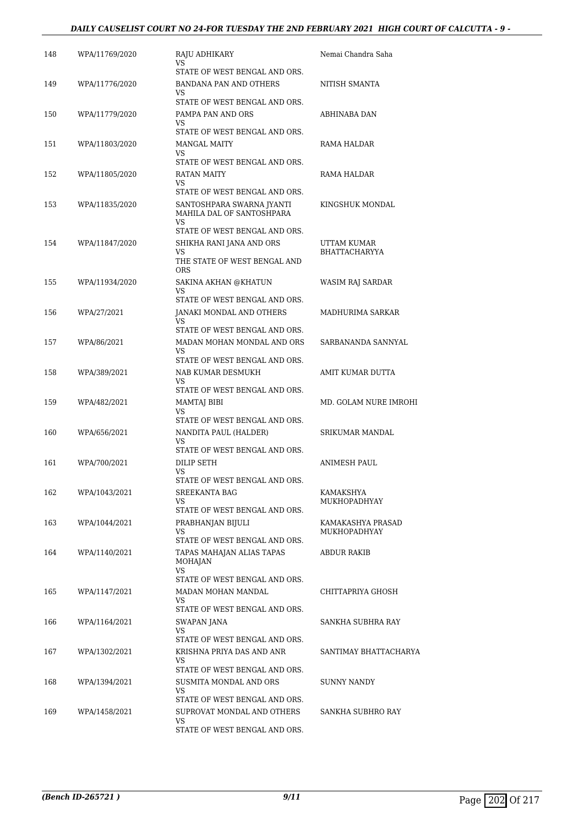#### *DAILY CAUSELIST COURT NO 24-FOR TUESDAY THE 2ND FEBRUARY 2021 HIGH COURT OF CALCUTTA - 9 -*

| 148 | WPA/11769/2020 | RAJU ADHIKARY<br>VS<br>STATE OF WEST BENGAL AND ORS.                                                                           | Nemai Chandra Saha                       |
|-----|----------------|--------------------------------------------------------------------------------------------------------------------------------|------------------------------------------|
| 149 | WPA/11776/2020 | BANDANA PAN AND OTHERS<br>VS<br>STATE OF WEST BENGAL AND ORS.                                                                  | NITISH SMANTA                            |
| 150 | WPA/11779/2020 | PAMPA PAN AND ORS<br>VS<br>STATE OF WEST BENGAL AND ORS.                                                                       | ABHINABA DAN                             |
| 151 | WPA/11803/2020 | <b>MANGAL MAITY</b><br>VS<br>STATE OF WEST BENGAL AND ORS.                                                                     | RAMA HALDAR                              |
| 152 | WPA/11805/2020 | RATAN MAITY<br>VS                                                                                                              | RAMA HALDAR                              |
| 153 | WPA/11835/2020 | STATE OF WEST BENGAL AND ORS.<br>SANTOSHPARA SWARNA JYANTI<br>MAHILA DAL OF SANTOSHPARA<br>VS<br>STATE OF WEST BENGAL AND ORS. | KINGSHUK MONDAL                          |
| 154 | WPA/11847/2020 | SHIKHA RANI JANA AND ORS<br>VS<br>THE STATE OF WEST BENGAL AND<br>ORS                                                          | UTTAM KUMAR<br>BHATTACHARYYA             |
| 155 | WPA/11934/2020 | SAKINA AKHAN @KHATUN<br>VS<br>STATE OF WEST BENGAL AND ORS.                                                                    | WASIM RAJ SARDAR                         |
| 156 | WPA/27/2021    | JANAKI MONDAL AND OTHERS<br>VS<br>STATE OF WEST BENGAL AND ORS.                                                                | MADHURIMA SARKAR                         |
| 157 | WPA/86/2021    | MADAN MOHAN MONDAL AND ORS<br>VS<br>STATE OF WEST BENGAL AND ORS.                                                              | SARBANANDA SANNYAL                       |
| 158 | WPA/389/2021   | NAB KUMAR DESMUKH<br>VS<br>STATE OF WEST BENGAL AND ORS.                                                                       | AMIT KUMAR DUTTA                         |
| 159 | WPA/482/2021   | MAMTAJ BIBI<br>VS<br>STATE OF WEST BENGAL AND ORS.                                                                             | MD. GOLAM NURE IMROHI                    |
| 160 | WPA/656/2021   | NANDITA PAUL (HALDER)<br>VS<br>STATE OF WEST BENGAL AND ORS.                                                                   | SRIKUMAR MANDAL                          |
| 161 | WPA/700/2021   | DILIP SETH<br>VS                                                                                                               | ANIMESH PAUL                             |
| 162 | WPA/1043/2021  | STATE OF WEST BENGAL AND ORS.<br>SREEKANTA BAG<br>VS<br>STATE OF WEST BENGAL AND ORS.                                          | KAMAKSHYA<br><b>MUKHOPADHYAY</b>         |
| 163 | WPA/1044/2021  | PRABHANJAN BIJULI<br>VS<br>STATE OF WEST BENGAL AND ORS.                                                                       | KAMAKASHYA PRASAD<br><b>MUKHOPADHYAY</b> |
| 164 | WPA/1140/2021  | TAPAS MAHAJAN ALIAS TAPAS<br>MOHAJAN<br>VS<br>STATE OF WEST BENGAL AND ORS.                                                    | ABDUR RAKIB                              |
| 165 | WPA/1147/2021  | MADAN MOHAN MANDAL<br>VS.<br>STATE OF WEST BENGAL AND ORS.                                                                     | CHITTAPRIYA GHOSH                        |
| 166 | WPA/1164/2021  | SWAPAN JANA<br>VS<br>STATE OF WEST BENGAL AND ORS.                                                                             | SANKHA SUBHRA RAY                        |
| 167 | WPA/1302/2021  | KRISHNA PRIYA DAS AND ANR<br>VS                                                                                                | SANTIMAY BHATTACHARYA                    |
| 168 | WPA/1394/2021  | STATE OF WEST BENGAL AND ORS.<br>SUSMITA MONDAL AND ORS<br>VS                                                                  | SUNNY NANDY                              |
| 169 | WPA/1458/2021  | STATE OF WEST BENGAL AND ORS.<br>SUPROVAT MONDAL AND OTHERS<br>VS<br>STATE OF WEST BENGAL AND ORS.                             | SANKHA SUBHRO RAY                        |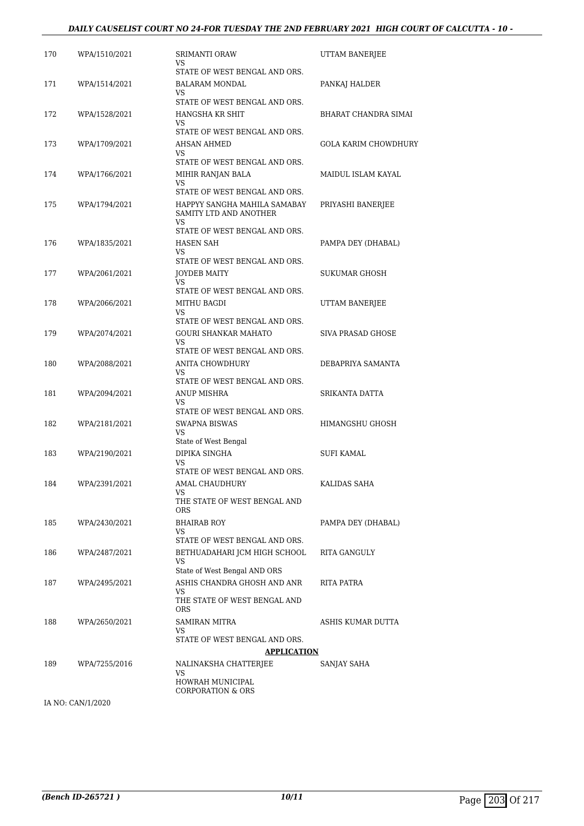#### *DAILY CAUSELIST COURT NO 24-FOR TUESDAY THE 2ND FEBRUARY 2021 HIGH COURT OF CALCUTTA - 10 -*

| 170 | WPA/1510/2021 | <b>SRIMANTI ORAW</b><br>VS                                                                   | UTTAM BANERJEE              |
|-----|---------------|----------------------------------------------------------------------------------------------|-----------------------------|
| 171 | WPA/1514/2021 | STATE OF WEST BENGAL AND ORS.<br>BALARAM MONDAL<br>VS                                        | PANKAJ HALDER               |
| 172 | WPA/1528/2021 | STATE OF WEST BENGAL AND ORS.<br>HANGSHA KR SHIT<br>VS                                       | <b>BHARAT CHANDRA SIMAI</b> |
| 173 | WPA/1709/2021 | STATE OF WEST BENGAL AND ORS.<br>AHSAN AHMED                                                 | <b>GOLA KARIM CHOWDHURY</b> |
| 174 | WPA/1766/2021 | VS<br>STATE OF WEST BENGAL AND ORS.<br>MIHIR RANJAN BALA<br>VS                               | MAIDUL ISLAM KAYAL          |
| 175 | WPA/1794/2021 | STATE OF WEST BENGAL AND ORS.<br>HAPPYY SANGHA MAHILA SAMABAY<br>SAMITY LTD AND ANOTHER      | PRIYASHI BANERJEE           |
| 176 | WPA/1835/2021 | VS<br>STATE OF WEST BENGAL AND ORS.<br>HASEN SAH<br>VS                                       | PAMPA DEY (DHABAL)          |
| 177 | WPA/2061/2021 | STATE OF WEST BENGAL AND ORS.<br><b>JOYDEB MAITY</b><br>VS                                   | SUKUMAR GHOSH               |
| 178 | WPA/2066/2021 | STATE OF WEST BENGAL AND ORS.<br>MITHU BAGDI<br>VS                                           | UTTAM BANERJEE              |
| 179 | WPA/2074/2021 | STATE OF WEST BENGAL AND ORS.<br>GOURI SHANKAR MAHATO<br>VS<br>STATE OF WEST BENGAL AND ORS. | SIVA PRASAD GHOSE           |
| 180 | WPA/2088/2021 | ANITA CHOWDHURY<br>VS<br>STATE OF WEST BENGAL AND ORS.                                       | DEBAPRIYA SAMANTA           |
| 181 | WPA/2094/2021 | ANUP MISHRA<br>VS.<br>STATE OF WEST BENGAL AND ORS.                                          | SRIKANTA DATTA              |
| 182 | WPA/2181/2021 | SWAPNA BISWAS<br>VS<br>State of West Bengal                                                  | HIMANGSHU GHOSH             |
| 183 | WPA/2190/2021 | DIPIKA SINGHA<br>VS<br>STATE OF WEST BENGAL AND ORS.                                         | SUFI KAMAL                  |
| 184 | WPA/2391/2021 | AMAL CHAUDHURY<br>VS<br>THE STATE OF WEST BENGAL AND                                         | KALIDAS SAHA                |
| 185 | WPA/2430/2021 | ORS.<br><b>BHAIRAB ROY</b><br>VS<br>STATE OF WEST BENGAL AND ORS.                            | PAMPA DEY (DHABAL)          |
| 186 | WPA/2487/2021 | BETHUADAHARI JCM HIGH SCHOOL<br>VS<br>State of West Bengal AND ORS                           | <b>RITA GANGULY</b>         |
| 187 | WPA/2495/2021 | ASHIS CHANDRA GHOSH AND ANR<br>VS<br>THE STATE OF WEST BENGAL AND<br>ORS                     | <b>RITA PATRA</b>           |
| 188 | WPA/2650/2021 | <b>SAMIRAN MITRA</b><br>VS<br>STATE OF WEST BENGAL AND ORS.                                  | ASHIS KUMAR DUTTA           |
|     |               | <b>APPLICATION</b>                                                                           |                             |
| 189 | WPA/7255/2016 | NALINAKSHA CHATTERJEE<br>VS<br>HOWRAH MUNICIPAL<br><b>CORPORATION &amp; ORS</b>              | SANJAY SAHA                 |

IA NO: CAN/1/2020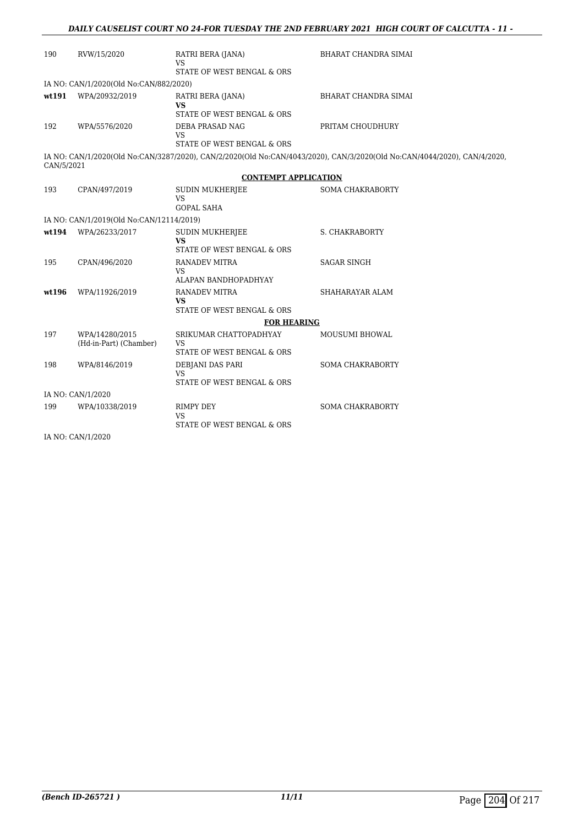| 190        | RVW/15/2020                              | RATRI BERA (JANA)<br>VS<br>STATE OF WEST BENGAL & ORS             | BHARAT CHANDRA SIMAI                                                                                                     |
|------------|------------------------------------------|-------------------------------------------------------------------|--------------------------------------------------------------------------------------------------------------------------|
|            | IA NO: CAN/1/2020(Old No:CAN/882/2020)   |                                                                   |                                                                                                                          |
|            | wt191 WPA/20932/2019                     | RATRI BERA (JANA)<br><b>VS</b><br>STATE OF WEST BENGAL & ORS      | <b>BHARAT CHANDRA SIMAI</b>                                                                                              |
| 192        | WPA/5576/2020                            | DEBA PRASAD NAG<br>VS.<br>STATE OF WEST BENGAL & ORS              | PRITAM CHOUDHURY                                                                                                         |
| CAN/5/2021 |                                          |                                                                   | IA NO: CAN/1/2020(Old No:CAN/3287/2020), CAN/2/2020(Old No:CAN/4043/2020), CAN/3/2020(Old No:CAN/4044/2020), CAN/4/2020, |
|            |                                          | <b>CONTEMPT APPLICATION</b>                                       |                                                                                                                          |
| 193        | CPAN/497/2019                            | SUDIN MUKHERJEE<br>VS.<br><b>GOPAL SAHA</b>                       | <b>SOMA CHAKRABORTY</b>                                                                                                  |
|            | IA NO: CAN/1/2019(Old No:CAN/12114/2019) |                                                                   |                                                                                                                          |
| wt194      | WPA/26233/2017                           | <b>SUDIN MUKHERJEE</b><br><b>VS</b><br>STATE OF WEST BENGAL & ORS | S. CHAKRABORTY                                                                                                           |
| 195        | CPAN/496/2020                            | <b>RANADEV MITRA</b><br>VS.<br>ALAPAN BANDHOPADHYAY               | <b>SAGAR SINGH</b>                                                                                                       |
| wt196      | WPA/11926/2019                           | <b>RANADEV MITRA</b><br><b>VS</b>                                 | SHAHARAYAR ALAM                                                                                                          |
|            |                                          | STATE OF WEST BENGAL & ORS                                        |                                                                                                                          |
|            |                                          | <b>FOR HEARING</b>                                                |                                                                                                                          |
| 197        | WPA/14280/2015<br>(Hd-in-Part) (Chamber) | SRIKUMAR CHATTOPADHYAY<br>VS<br>STATE OF WEST BENGAL & ORS        | MOUSUMI BHOWAL                                                                                                           |
| 198        | WPA/8146/2019                            | DEBJANI DAS PARI<br><b>VS</b><br>STATE OF WEST BENGAL & ORS       | <b>SOMA CHAKRABORTY</b>                                                                                                  |
|            | IA NO: CAN/1/2020                        |                                                                   |                                                                                                                          |
| 199        | WPA/10338/2019                           | <b>RIMPY DEY</b><br><b>VS</b><br>STATE OF WEST BENGAL & ORS       | <b>SOMA CHAKRABORTY</b>                                                                                                  |

IA NO: CAN/1/2020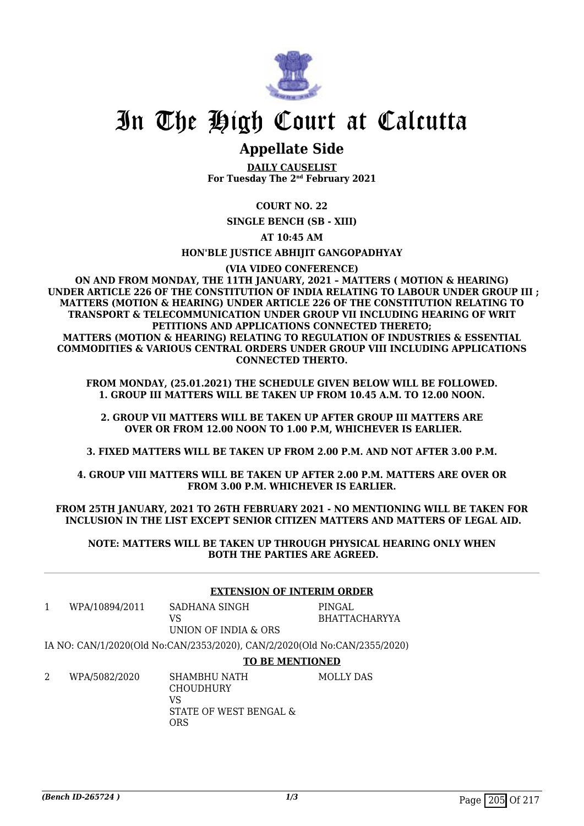

### **Appellate Side**

**DAILY CAUSELIST For Tuesday The 2nd February 2021**

#### **COURT NO. 22**

**SINGLE BENCH (SB - XIII)**

**AT 10:45 AM**

#### **HON'BLE JUSTICE ABHIJIT GANGOPADHYAY**

**(VIA VIDEO CONFERENCE)**

**ON AND FROM MONDAY, THE 11TH JANUARY, 2021 – MATTERS ( MOTION & HEARING) UNDER ARTICLE 226 OF THE CONSTITUTION OF INDIA RELATING TO LABOUR UNDER GROUP III ; MATTERS (MOTION & HEARING) UNDER ARTICLE 226 OF THE CONSTITUTION RELATING TO TRANSPORT & TELECOMMUNICATION UNDER GROUP VII INCLUDING HEARING OF WRIT PETITIONS AND APPLICATIONS CONNECTED THERETO; MATTERS (MOTION & HEARING) RELATING TO REGULATION OF INDUSTRIES & ESSENTIAL COMMODITIES & VARIOUS CENTRAL ORDERS UNDER GROUP VIII INCLUDING APPLICATIONS CONNECTED THERTO.**

**FROM MONDAY, (25.01.2021) THE SCHEDULE GIVEN BELOW WILL BE FOLLOWED. 1. GROUP III MATTERS WILL BE TAKEN UP FROM 10.45 A.M. TO 12.00 NOON.**

**2. GROUP VII MATTERS WILL BE TAKEN UP AFTER GROUP III MATTERS ARE OVER OR FROM 12.00 NOON TO 1.00 P.M, WHICHEVER IS EARLIER.**

**3. FIXED MATTERS WILL BE TAKEN UP FROM 2.00 P.M. AND NOT AFTER 3.00 P.M.**

**4. GROUP VIII MATTERS WILL BE TAKEN UP AFTER 2.00 P.M. MATTERS ARE OVER OR FROM 3.00 P.M. WHICHEVER IS EARLIER.**

**FROM 25TH JANUARY, 2021 TO 26TH FEBRUARY 2021 - NO MENTIONING WILL BE TAKEN FOR INCLUSION IN THE LIST EXCEPT SENIOR CITIZEN MATTERS AND MATTERS OF LEGAL AID.**

**NOTE: MATTERS WILL BE TAKEN UP THROUGH PHYSICAL HEARING ONLY WHEN BOTH THE PARTIES ARE AGREED.**

|   |                                                                           | <b>EXTENSION OF INTERIM ORDER</b>                                                     |                                |
|---|---------------------------------------------------------------------------|---------------------------------------------------------------------------------------|--------------------------------|
| 1 | WPA/10894/2011                                                            | SADHANA SINGH<br>VS<br>UNION OF INDIA & ORS                                           | PINGAL<br><b>BHATTACHARYYA</b> |
|   | IA NO: CAN/1/2020(Old No:CAN/2353/2020), CAN/2/2020(Old No:CAN/2355/2020) |                                                                                       |                                |
|   |                                                                           | <b>TO BE MENTIONED</b>                                                                |                                |
| 2 | WPA/5082/2020                                                             | <b>SHAMBHU NATH</b><br><b>CHOUDHURY</b><br>VS<br>STATE OF WEST BENGAL &<br><b>ORS</b> | MOLLY DAS                      |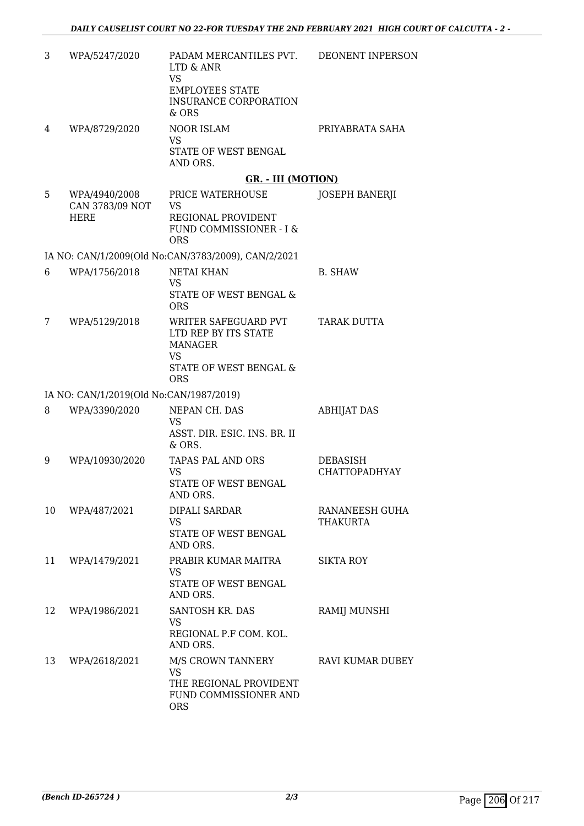| 3  | WPA/5247/2020                                   | PADAM MERCANTILES PVT.<br>LTD & ANR<br><b>VS</b><br><b>EMPLOYEES STATE</b><br><b>INSURANCE CORPORATION</b>          | DEONENT INPERSON                 |
|----|-------------------------------------------------|---------------------------------------------------------------------------------------------------------------------|----------------------------------|
| 4  | WPA/8729/2020                                   | & ORS<br>NOOR ISLAM<br>VS<br>STATE OF WEST BENGAL                                                                   | PRIYABRATA SAHA                  |
|    |                                                 | AND ORS.                                                                                                            |                                  |
|    |                                                 | <b>GR. - III (MOTION)</b>                                                                                           |                                  |
| 5  | WPA/4940/2008<br>CAN 3783/09 NOT<br><b>HERE</b> | PRICE WATERHOUSE<br>VS<br>REGIONAL PROVIDENT<br>FUND COMMISSIONER - I &<br><b>ORS</b>                               | <b>JOSEPH BANERJI</b>            |
|    |                                                 | IA NO: CAN/1/2009(Old No:CAN/3783/2009), CAN/2/2021                                                                 |                                  |
| 6  | WPA/1756/2018                                   | <b>NETAI KHAN</b><br><b>VS</b><br>STATE OF WEST BENGAL &<br><b>ORS</b>                                              | <b>B. SHAW</b>                   |
| 7  | WPA/5129/2018                                   | WRITER SAFEGUARD PVT<br>LTD REP BY ITS STATE<br><b>MANAGER</b><br><b>VS</b><br>STATE OF WEST BENGAL &<br><b>ORS</b> | <b>TARAK DUTTA</b>               |
|    | IA NO: CAN/1/2019(Old No:CAN/1987/2019)         |                                                                                                                     |                                  |
| 8  | WPA/3390/2020                                   | NEPAN CH. DAS<br><b>VS</b><br>ASST. DIR. ESIC. INS. BR. II<br>& ORS.                                                | <b>ABHIJAT DAS</b>               |
| 9  | WPA/10930/2020                                  | <b>TAPAS PAL AND ORS</b><br><b>VS</b><br>STATE OF WEST BENGAL<br>AND ORS.                                           | DEBASISH<br><b>CHATTOPADHYAY</b> |
| 10 | WPA/487/2021                                    | DIPALI SARDAR<br>VS<br>STATE OF WEST BENGAL<br>AND ORS.                                                             | RANANEESH GUHA<br>THAKURTA       |
| 11 | WPA/1479/2021                                   | PRABIR KUMAR MAITRA<br><b>VS</b><br>STATE OF WEST BENGAL<br>AND ORS.                                                | <b>SIKTA ROY</b>                 |
| 12 | WPA/1986/2021                                   | SANTOSH KR. DAS<br>VS<br>REGIONAL P.F COM. KOL.<br>AND ORS.                                                         | RAMIJ MUNSHI                     |
| 13 | WPA/2618/2021                                   | M/S CROWN TANNERY<br><b>VS</b><br>THE REGIONAL PROVIDENT<br>FUND COMMISSIONER AND<br><b>ORS</b>                     | RAVI KUMAR DUBEY                 |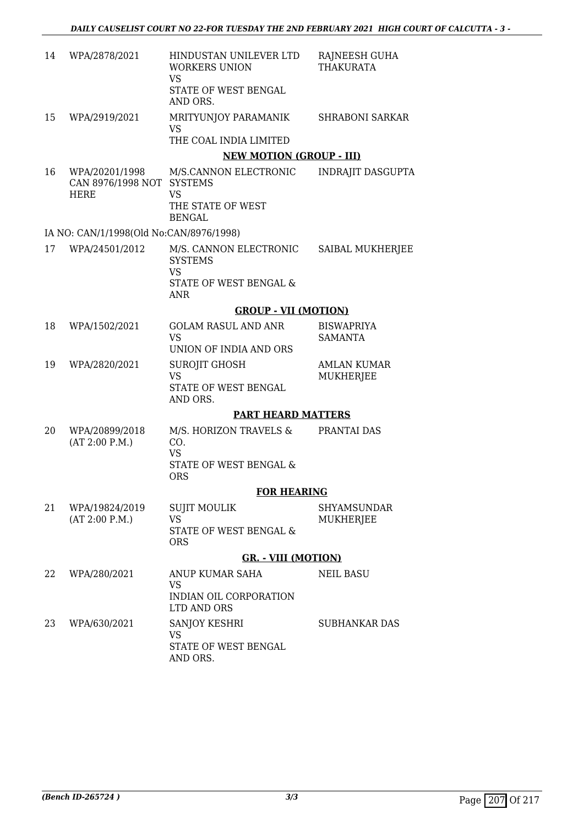| 14 | WPA/2878/2021                                              | HINDUSTAN UNILEVER LTD<br><b>WORKERS UNION</b><br><b>VS</b><br>STATE OF WEST BENGAL<br>AND ORS. | RAJNEESH GUHA<br><b>THAKURATA</b>      |
|----|------------------------------------------------------------|-------------------------------------------------------------------------------------------------|----------------------------------------|
| 15 | WPA/2919/2021                                              | MRITYUNJOY PARAMANIK<br>VS<br>THE COAL INDIA LIMITED                                            | <b>SHRABONI SARKAR</b>                 |
|    |                                                            | <b>NEW MOTION (GROUP - III)</b>                                                                 |                                        |
| 16 | WPA/20201/1998<br>CAN 8976/1998 NOT SYSTEMS<br><b>HERE</b> | M/S.CANNON ELECTRONIC<br><b>VS</b><br>THE STATE OF WEST<br><b>BENGAL</b>                        | <b>INDRAJIT DASGUPTA</b>               |
|    | IA NO: CAN/1/1998(Old No:CAN/8976/1998)                    |                                                                                                 |                                        |
| 17 | WPA/24501/2012                                             | M/S. CANNON ELECTRONIC<br><b>SYSTEMS</b><br>VS<br>STATE OF WEST BENGAL &<br><b>ANR</b>          | SAIBAL MUKHERJEE                       |
|    |                                                            | <b>GROUP - VII (MOTION)</b>                                                                     |                                        |
| 18 | WPA/1502/2021                                              | <b>GOLAM RASUL AND ANR</b><br><b>VS</b><br>UNION OF INDIA AND ORS                               | <b>BISWAPRIYA</b><br><b>SAMANTA</b>    |
| 19 | WPA/2820/2021                                              | SUROJIT GHOSH<br><b>VS</b><br>STATE OF WEST BENGAL<br>AND ORS.                                  | <b>AMLAN KUMAR</b><br><b>MUKHERJEE</b> |
|    |                                                            | <b>PART HEARD MATTERS</b>                                                                       |                                        |
| 20 | WPA/20899/2018<br>(AT 2:00 P.M.)                           | M/S. HORIZON TRAVELS &<br>CO.<br><b>VS</b><br><b>STATE OF WEST BENGAL &amp;</b><br><b>ORS</b>   | PRANTAI DAS                            |
|    |                                                            | <b>FOR HEARING</b>                                                                              |                                        |
| 21 | WPA/19824/2019<br>(AT 2:00 P.M.)                           | SUJIT MOULIK<br><b>VS</b><br>STATE OF WEST BENGAL &<br><b>ORS</b>                               | SHYAMSUNDAR<br>MUKHERJEE               |
|    |                                                            | <b>GR. - VIII (MOTION)</b>                                                                      |                                        |
| 22 | WPA/280/2021                                               | ANUP KUMAR SAHA<br>VS<br>INDIAN OIL CORPORATION<br>LTD AND ORS                                  | <b>NEIL BASU</b>                       |
| 23 | WPA/630/2021                                               | SANJOY KESHRI<br><b>VS</b><br>STATE OF WEST BENGAL<br>AND ORS.                                  | SUBHANKAR DAS                          |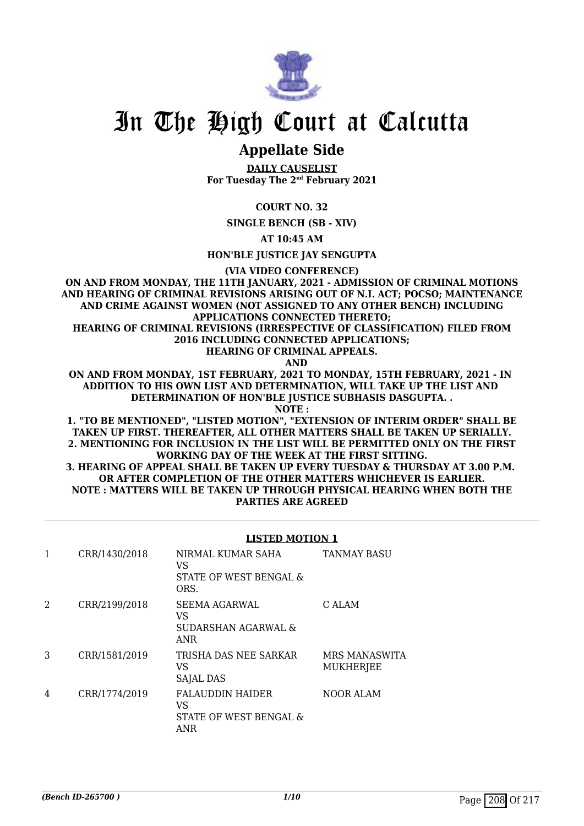

### **Appellate Side**

**DAILY CAUSELIST For Tuesday The 2nd February 2021**

#### **COURT NO. 32**

**SINGLE BENCH (SB - XIV)**

**AT 10:45 AM**

**HON'BLE JUSTICE JAY SENGUPTA**

**(VIA VIDEO CONFERENCE)**

**ON AND FROM MONDAY, THE 11TH JANUARY, 2021 - ADMISSION OF CRIMINAL MOTIONS AND HEARING OF CRIMINAL REVISIONS ARISING OUT OF N.I. ACT; POCSO; MAINTENANCE AND CRIME AGAINST WOMEN (NOT ASSIGNED TO ANY OTHER BENCH) INCLUDING APPLICATIONS CONNECTED THERETO;**

**HEARING OF CRIMINAL REVISIONS (IRRESPECTIVE OF CLASSIFICATION) FILED FROM 2016 INCLUDING CONNECTED APPLICATIONS;**

**HEARING OF CRIMINAL APPEALS.**

 **AND**

**ON AND FROM MONDAY, 1ST FEBRUARY, 2021 TO MONDAY, 15TH FEBRUARY, 2021 - IN ADDITION TO HIS OWN LIST AND DETERMINATION, WILL TAKE UP THE LIST AND DETERMINATION OF HON'BLE JUSTICE SUBHASIS DASGUPTA. .**

**NOTE :**

**1. "TO BE MENTIONED", "LISTED MOTION", "EXTENSION OF INTERIM ORDER" SHALL BE TAKEN UP FIRST. THEREAFTER, ALL OTHER MATTERS SHALL BE TAKEN UP SERIALLY. 2. MENTIONING FOR INCLUSION IN THE LIST WILL BE PERMITTED ONLY ON THE FIRST WORKING DAY OF THE WEEK AT THE FIRST SITTING. 3. HEARING OF APPEAL SHALL BE TAKEN UP EVERY TUESDAY & THURSDAY AT 3.00 P.M. OR AFTER COMPLETION OF THE OTHER MATTERS WHICHEVER IS EARLIER. NOTE : MATTERS WILL BE TAKEN UP THROUGH PHYSICAL HEARING WHEN BOTH THE PARTIES ARE AGREED**

#### **LISTED MOTION 1**

| 1 | CRR/1430/2018 | NIRMAL KUMAR SAHA<br>VS<br>STATE OF WEST BENGAL &<br>ORS.      | <b>TANMAY BASU</b>         |
|---|---------------|----------------------------------------------------------------|----------------------------|
| 2 | CRR/2199/2018 | SEEMA AGARWAL<br>VS<br>SUDARSHAN AGARWAL &<br><b>ANR</b>       | C ALAM                     |
| 3 | CRR/1581/2019 | TRISHA DAS NEE SARKAR<br>VS<br><b>SAJAL DAS</b>                | MRS MANASWITA<br>MUKHERJEE |
| 4 | CRR/1774/2019 | <b>FALAUDDIN HAIDER</b><br>VS<br>STATE OF WEST BENGAL &<br>ANR | <b>NOOR ALAM</b>           |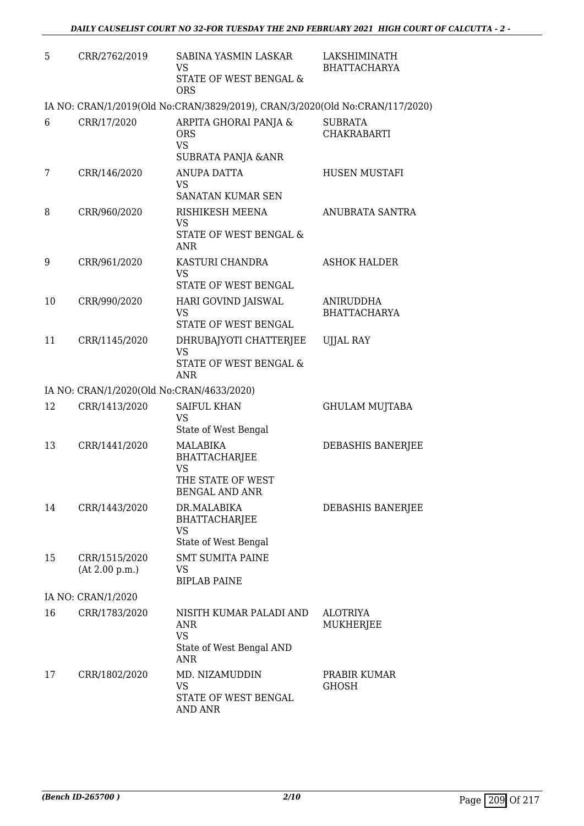| 5  | CRR/2762/2019                             | SABINA YASMIN LASKAR<br><b>VS</b><br>STATE OF WEST BENGAL &<br><b>ORS</b>                   | LAKSHIMINATH<br><b>BHATTACHARYA</b>     |
|----|-------------------------------------------|---------------------------------------------------------------------------------------------|-----------------------------------------|
|    |                                           | IA NO: CRAN/1/2019(Old No:CRAN/3829/2019), CRAN/3/2020(Old No:CRAN/117/2020)                |                                         |
| 6  | CRR/17/2020                               | ARPITA GHORAI PANJA &<br><b>ORS</b><br><b>VS</b><br><b>SUBRATA PANJA &amp; ANR</b>          | <b>SUBRATA</b><br><b>CHAKRABARTI</b>    |
| 7  | CRR/146/2020                              | <b>ANUPA DATTA</b><br><b>VS</b>                                                             | HUSEN MUSTAFI                           |
| 8  | CRR/960/2020                              | SANATAN KUMAR SEN<br>RISHIKESH MEENA<br><b>VS</b><br>STATE OF WEST BENGAL &<br><b>ANR</b>   | ANUBRATA SANTRA                         |
| 9  | CRR/961/2020                              | KASTURI CHANDRA<br><b>VS</b><br>STATE OF WEST BENGAL                                        | <b>ASHOK HALDER</b>                     |
| 10 | CRR/990/2020                              | HARI GOVIND JAISWAL<br>VS<br>STATE OF WEST BENGAL                                           | <b>ANIRUDDHA</b><br><b>BHATTACHARYA</b> |
| 11 | CRR/1145/2020                             | DHRUBAJYOTI CHATTERJEE<br>VS<br>STATE OF WEST BENGAL &<br>ANR                               | <b>UJJAL RAY</b>                        |
|    | IA NO: CRAN/1/2020(Old No:CRAN/4633/2020) |                                                                                             |                                         |
| 12 | CRR/1413/2020                             | <b>SAIFUL KHAN</b><br>VS<br>State of West Bengal                                            | <b>GHULAM MUJTABA</b>                   |
| 13 | CRR/1441/2020                             | MALABIKA<br><b>BHATTACHARJEE</b><br><b>VS</b><br>THE STATE OF WEST<br><b>BENGAL AND ANR</b> | DEBASHIS BANERJEE                       |
| 14 | CRR/1443/2020                             | DR.MALABIKA<br><b>BHATTACHARJEE</b><br>VS<br>State of West Bengal                           | DEBASHIS BANERJEE                       |
| 15 | CRR/1515/2020<br>(At 2.00 p.m.)           | <b>SMT SUMITA PAINE</b><br>VS<br><b>BIPLAB PAINE</b>                                        |                                         |
|    | IA NO: CRAN/1/2020                        |                                                                                             |                                         |
| 16 | CRR/1783/2020                             | NISITH KUMAR PALADI AND<br>ANR<br><b>VS</b><br>State of West Bengal AND<br>ANR              | ALOTRIYA<br>MUKHERJEE                   |
| 17 | CRR/1802/2020                             | MD. NIZAMUDDIN<br>VS<br>STATE OF WEST BENGAL<br>AND ANR                                     | PRABIR KUMAR<br>GHOSH                   |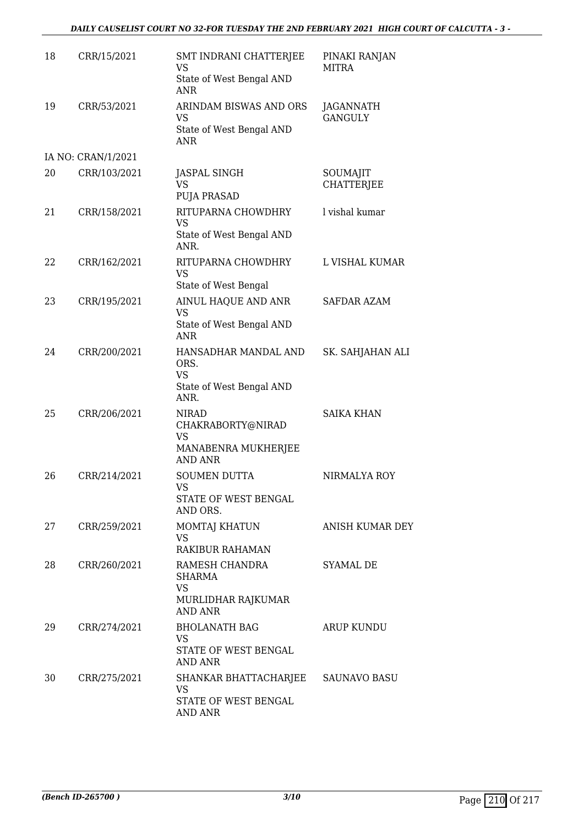#### *DAILY CAUSELIST COURT NO 32-FOR TUESDAY THE 2ND FEBRUARY 2021 HIGH COURT OF CALCUTTA - 3 -*

| 18 | CRR/15/2021        | SMT INDRANI CHATTERJEE<br>VS<br>State of West Bengal AND<br><b>ANR</b>                  | PINAKI RANJAN<br><b>MITRA</b>      |
|----|--------------------|-----------------------------------------------------------------------------------------|------------------------------------|
| 19 | CRR/53/2021        | ARINDAM BISWAS AND ORS<br>VS<br>State of West Bengal AND<br><b>ANR</b>                  | <b>JAGANNATH</b><br><b>GANGULY</b> |
|    | IA NO: CRAN/1/2021 |                                                                                         |                                    |
| 20 | CRR/103/2021       | <b>JASPAL SINGH</b><br><b>VS</b><br><b>PUJA PRASAD</b>                                  | SOUMAJIT<br><b>CHATTERJEE</b>      |
| 21 | CRR/158/2021       | RITUPARNA CHOWDHRY<br><b>VS</b><br>State of West Bengal AND<br>ANR.                     | l vishal kumar                     |
| 22 | CRR/162/2021       | RITUPARNA CHOWDHRY<br><b>VS</b><br>State of West Bengal                                 | L VISHAL KUMAR                     |
| 23 | CRR/195/2021       | AINUL HAQUE AND ANR<br>VS<br>State of West Bengal AND<br><b>ANR</b>                     | <b>SAFDAR AZAM</b>                 |
| 24 | CRR/200/2021       | HANSADHAR MANDAL AND<br>ORS.<br><b>VS</b><br>State of West Bengal AND<br>ANR.           | SK. SAHJAHAN ALI                   |
| 25 | CRR/206/2021       | <b>NIRAD</b><br>CHAKRABORTY@NIRAD<br><b>VS</b><br>MANABENRA MUKHERJEE<br><b>AND ANR</b> | <b>SAIKA KHAN</b>                  |
| 26 | CRR/214/2021       | <b>SOUMEN DUTTA</b><br>VS<br>STATE OF WEST BENGAL<br>AND ORS.                           | NIRMALYA ROY                       |
| 27 | CRR/259/2021       | MOMTAJ KHATUN<br><b>VS</b><br>RAKIBUR RAHAMAN                                           | ANISH KUMAR DEY                    |
| 28 | CRR/260/2021       | RAMESH CHANDRA<br><b>SHARMA</b><br><b>VS</b><br>MURLIDHAR RAJKUMAR<br><b>AND ANR</b>    | SYAMAL DE                          |
| 29 | CRR/274/2021       | <b>BHOLANATH BAG</b><br>VS<br>STATE OF WEST BENGAL<br>AND ANR                           | ARUP KUNDU                         |
| 30 | CRR/275/2021       | SHANKAR BHATTACHARJEE SAUNAVO BASU<br><b>VS</b><br>STATE OF WEST BENGAL<br>AND ANR      |                                    |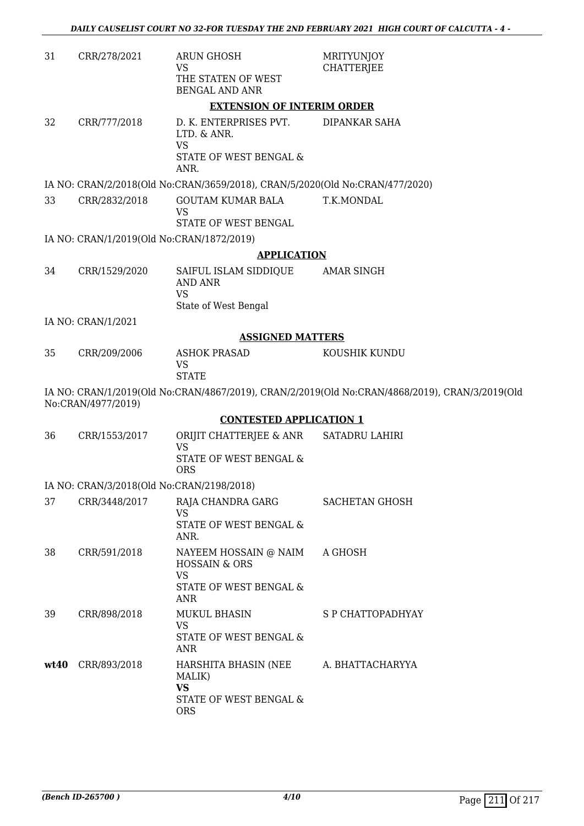| 31   | CRR/278/2021                              | <b>ARUN GHOSH</b><br>VS<br>THE STATEN OF WEST<br><b>BENGAL AND ANR</b>                   | <b>MRITYUNJOY</b><br><b>CHATTERJEE</b>                                                         |
|------|-------------------------------------------|------------------------------------------------------------------------------------------|------------------------------------------------------------------------------------------------|
|      |                                           | <b>EXTENSION OF INTERIM ORDER</b>                                                        |                                                                                                |
| 32   | CRR/777/2018                              | D. K. ENTERPRISES PVT.<br>LTD. & ANR.<br><b>VS</b><br>STATE OF WEST BENGAL &<br>ANR.     | DIPANKAR SAHA                                                                                  |
|      |                                           | IA NO: CRAN/2/2018(Old No:CRAN/3659/2018), CRAN/5/2020(Old No:CRAN/477/2020)             |                                                                                                |
| 33   | CRR/2832/2018                             | <b>GOUTAM KUMAR BALA</b><br><b>VS</b><br>STATE OF WEST BENGAL                            | T.K.MONDAL                                                                                     |
|      | IA NO: CRAN/1/2019(Old No:CRAN/1872/2019) |                                                                                          |                                                                                                |
|      |                                           | <b>APPLICATION</b>                                                                       |                                                                                                |
| 34   | CRR/1529/2020                             | SAIFUL ISLAM SIDDIQUE<br><b>AND ANR</b><br><b>VS</b>                                     | AMAR SINGH                                                                                     |
|      | IA NO: CRAN/1/2021                        | State of West Bengal                                                                     |                                                                                                |
|      |                                           | <b>ASSIGNED MATTERS</b>                                                                  |                                                                                                |
| 35   | CRR/209/2006                              | <b>ASHOK PRASAD</b><br><b>VS</b><br><b>STATE</b>                                         | KOUSHIK KUNDU                                                                                  |
|      | No:CRAN/4977/2019)                        |                                                                                          | IA NO: CRAN/1/2019(Old No:CRAN/4867/2019), CRAN/2/2019(Old No:CRAN/4868/2019), CRAN/3/2019(Old |
|      |                                           | <b>CONTESTED APPLICATION 1</b>                                                           |                                                                                                |
| 36   | CRR/1553/2017                             | ORIJIT CHATTERJEE & ANR<br><b>VS</b><br>STATE OF WEST BENGAL &                           | <b>SATADRU LAHIRI</b>                                                                          |
|      |                                           | <b>ORS</b>                                                                               |                                                                                                |
|      | IA NO: CRAN/3/2018(Old No:CRAN/2198/2018) |                                                                                          |                                                                                                |
| 37   | CRR/3448/2017                             | RAJA CHANDRA GARG<br><b>VS</b><br>STATE OF WEST BENGAL &<br>ANR.                         | SACHETAN GHOSH                                                                                 |
| 38   | CRR/591/2018                              | NAYEEM HOSSAIN @ NAIM<br><b>HOSSAIN &amp; ORS</b><br><b>VS</b><br>STATE OF WEST BENGAL & | A GHOSH                                                                                        |
|      |                                           | <b>ANR</b>                                                                               |                                                                                                |
| 39   | CRR/898/2018                              | <b>MUKUL BHASIN</b><br><b>VS</b><br>STATE OF WEST BENGAL &<br>ANR                        | S P CHATTOPADHYAY                                                                              |
| wt40 | CRR/893/2018                              | HARSHITA BHASIN (NEE<br>MALIK)<br><b>VS</b><br>STATE OF WEST BENGAL &<br><b>ORS</b>      | A. BHATTACHARYYA                                                                               |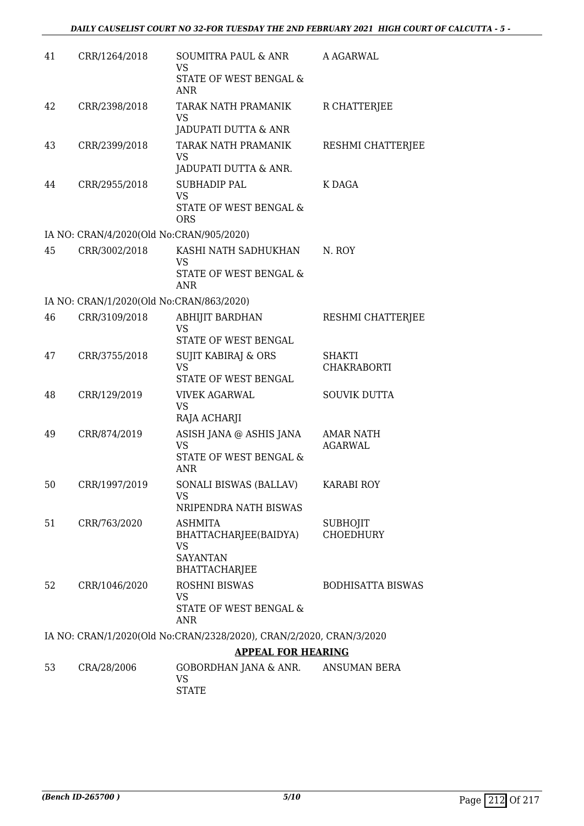| 41 | CRR/1264/2018                            | SOUMITRA PAUL & ANR<br>VS<br>STATE OF WEST BENGAL &                 | A AGARWAL                           |
|----|------------------------------------------|---------------------------------------------------------------------|-------------------------------------|
|    |                                          | ANR                                                                 |                                     |
| 42 | CRR/2398/2018                            | TARAK NATH PRAMANIK<br>VS                                           | R CHATTERJEE                        |
|    |                                          | JADUPATI DUTTA & ANR                                                |                                     |
| 43 | CRR/2399/2018                            | TARAK NATH PRAMANIK<br><b>VS</b><br>JADUPATI DUTTA & ANR.           | RESHMI CHATTERJEE                   |
| 44 | CRR/2955/2018                            | <b>SUBHADIP PAL</b>                                                 | K DAGA                              |
|    |                                          | <b>VS</b><br>STATE OF WEST BENGAL &<br><b>ORS</b>                   |                                     |
|    | IA NO: CRAN/4/2020(Old No:CRAN/905/2020) |                                                                     |                                     |
| 45 | CRR/3002/2018                            | KASHI NATH SADHUKHAN<br><b>VS</b>                                   | N. ROY                              |
|    |                                          | STATE OF WEST BENGAL &<br>ANR                                       |                                     |
|    | IA NO: CRAN/1/2020(Old No:CRAN/863/2020) |                                                                     |                                     |
| 46 | CRR/3109/2018                            | <b>ABHIJIT BARDHAN</b><br><b>VS</b>                                 | RESHMI CHATTERJEE                   |
|    |                                          | STATE OF WEST BENGAL                                                |                                     |
| 47 | CRR/3755/2018                            | SUJIT KABIRAJ & ORS<br><b>VS</b>                                    | <b>SHAKTI</b><br><b>CHAKRABORTI</b> |
|    |                                          | STATE OF WEST BENGAL                                                |                                     |
| 48 | CRR/129/2019                             | <b>VIVEK AGARWAL</b><br><b>VS</b><br>RAJA ACHARJI                   | <b>SOUVIK DUTTA</b>                 |
| 49 | CRR/874/2019                             | ASISH JANA @ ASHIS JANA                                             | <b>AMAR NATH</b>                    |
|    |                                          | <b>VS</b>                                                           | <b>AGARWAL</b>                      |
|    |                                          | STATE OF WEST BENGAL &<br><b>ANR</b>                                |                                     |
| 50 | CRR/1997/2019                            | SONALI BISWAS (BALLAV)                                              | <b>KARABI ROY</b>                   |
|    |                                          | VS<br>NRIPENDRA NATH BISWAS                                         |                                     |
| 51 | CRR/763/2020                             | <b>ASHMITA</b><br>BHATTACHARJEE(BAIDYA)                             | <b>SUBHOJIT</b><br><b>CHOEDHURY</b> |
|    |                                          | VS<br><b>SAYANTAN</b><br><b>BHATTACHARJEE</b>                       |                                     |
| 52 | CRR/1046/2020                            | <b>ROSHNI BISWAS</b>                                                | <b>BODHISATTA BISWAS</b>            |
|    |                                          | <b>VS</b><br>STATE OF WEST BENGAL &<br>ANR                          |                                     |
|    |                                          | IA NO: CRAN/1/2020(Old No:CRAN/2328/2020), CRAN/2/2020, CRAN/3/2020 |                                     |
|    |                                          | <b>APPEAL FOR HEARING</b>                                           |                                     |
| 53 | CRA/28/2006                              | GOBORDHAN JANA & ANR.<br><b>VS</b><br><b>STATE</b>                  | ANSUMAN BERA                        |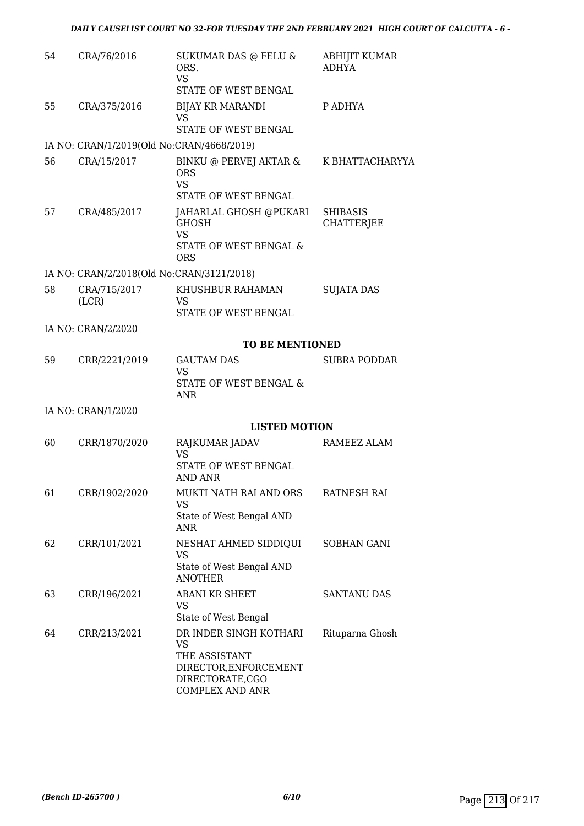| 54 | CRA/76/2016                               | SUKUMAR DAS @ FELU &<br>ORS.<br><b>VS</b><br>STATE OF WEST BENGAL                                                          | <b>ABHIJIT KUMAR</b><br><b>ADHYA</b> |
|----|-------------------------------------------|----------------------------------------------------------------------------------------------------------------------------|--------------------------------------|
| 55 | CRA/375/2016                              | <b>BIJAY KR MARANDI</b><br><b>VS</b><br>STATE OF WEST BENGAL                                                               | P ADHYA                              |
|    | IA NO: CRAN/1/2019(Old No:CRAN/4668/2019) |                                                                                                                            |                                      |
| 56 | CRA/15/2017                               | BINKU @ PERVEJ AKTAR &<br><b>ORS</b><br><b>VS</b><br>STATE OF WEST BENGAL                                                  | K BHATTACHARYYA                      |
| 57 | CRA/485/2017                              | JAHARLAL GHOSH @PUKARI<br><b>GHOSH</b><br><b>VS</b><br><b>STATE OF WEST BENGAL &amp;</b><br><b>ORS</b>                     | <b>SHIBASIS</b><br><b>CHATTERJEE</b> |
|    | IA NO: CRAN/2/2018(Old No:CRAN/3121/2018) |                                                                                                                            |                                      |
| 58 | CRA/715/2017<br>(LCR)                     | KHUSHBUR RAHAMAN<br>VS<br>STATE OF WEST BENGAL                                                                             | <b>SUJATA DAS</b>                    |
|    | IA NO: CRAN/2/2020                        |                                                                                                                            |                                      |
|    |                                           | <b>TO BE MENTIONED</b>                                                                                                     |                                      |
| 59 | CRR/2221/2019                             | <b>GAUTAM DAS</b>                                                                                                          | <b>SUBRA PODDAR</b>                  |
|    |                                           | <b>VS</b><br>STATE OF WEST BENGAL &<br><b>ANR</b>                                                                          |                                      |
|    | IA NO: CRAN/1/2020                        |                                                                                                                            |                                      |
|    |                                           | <b>LISTED MOTION</b>                                                                                                       |                                      |
| 60 | CRR/1870/2020                             | RAJKUMAR JADAV<br><b>VS</b>                                                                                                | RAMEEZ ALAM                          |
|    |                                           | STATE OF WEST BENGAL<br><b>AND ANR</b>                                                                                     |                                      |
| 61 | CRR/1902/2020                             | MUKTI NATH RAI AND ORS<br>VS                                                                                               | <b>RATNESH RAI</b>                   |
|    |                                           | State of West Bengal AND<br>ANR                                                                                            |                                      |
| 62 | CRR/101/2021                              | NESHAT AHMED SIDDIQUI<br><b>VS</b>                                                                                         | SOBHAN GANI                          |
|    |                                           | State of West Bengal AND<br><b>ANOTHER</b>                                                                                 |                                      |
| 63 | CRR/196/2021                              | <b>ABANI KR SHEET</b><br>VS.<br>State of West Bengal                                                                       | <b>SANTANU DAS</b>                   |
| 64 | CRR/213/2021                              | DR INDER SINGH KOTHARI<br><b>VS</b><br>THE ASSISTANT<br>DIRECTOR, ENFORCEMENT<br>DIRECTORATE,CGO<br><b>COMPLEX AND ANR</b> | Rituparna Ghosh                      |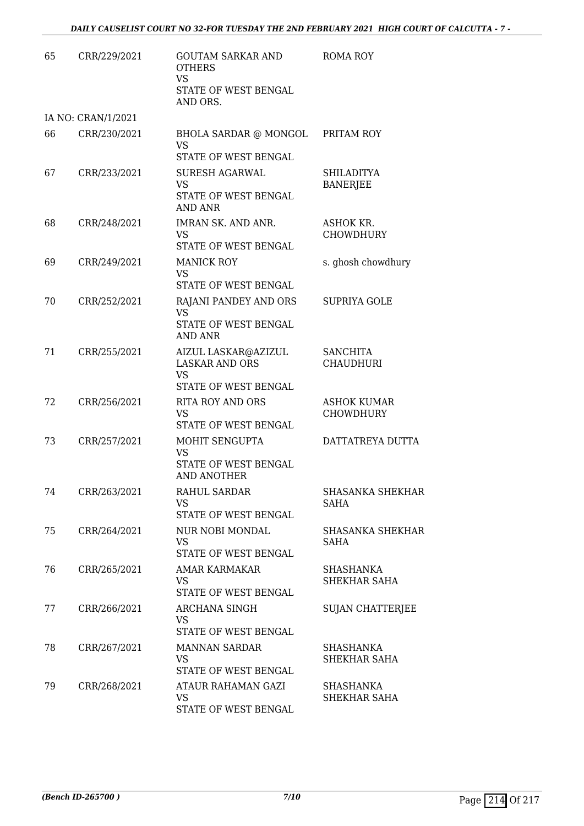| 65 | CRR/229/2021       | <b>GOUTAM SARKAR AND</b><br><b>OTHERS</b><br><b>VS</b><br>STATE OF WEST BENGAL<br>AND ORS. | <b>ROMA ROY</b>                      |
|----|--------------------|--------------------------------------------------------------------------------------------|--------------------------------------|
|    | IA NO: CRAN/1/2021 |                                                                                            |                                      |
| 66 | CRR/230/2021       | BHOLA SARDAR @ MONGOL<br><b>VS</b><br>STATE OF WEST BENGAL                                 | PRITAM ROY                           |
| 67 | CRR/233/2021       | SURESH AGARWAL<br><b>VS</b><br>STATE OF WEST BENGAL<br><b>AND ANR</b>                      | <b>SHILADITYA</b><br><b>BANERJEE</b> |
| 68 | CRR/248/2021       | IMRAN SK. AND ANR.<br><b>VS</b><br>STATE OF WEST BENGAL                                    | ASHOK KR.<br>CHOWDHURY               |
| 69 | CRR/249/2021       | <b>MANICK ROY</b><br><b>VS</b><br>STATE OF WEST BENGAL                                     | s. ghosh chowdhury                   |
| 70 | CRR/252/2021       | RAJANI PANDEY AND ORS<br><b>VS</b><br>STATE OF WEST BENGAL<br><b>AND ANR</b>               | <b>SUPRIYA GOLE</b>                  |
| 71 | CRR/255/2021       | AIZUL LASKAR@AZIZUL<br><b>LASKAR AND ORS</b><br><b>VS</b><br>STATE OF WEST BENGAL          | <b>SANCHITA</b><br><b>CHAUDHURI</b>  |
| 72 | CRR/256/2021       | RITA ROY AND ORS<br><b>VS</b><br>STATE OF WEST BENGAL                                      | <b>ASHOK KUMAR</b><br>CHOWDHURY      |
| 73 | CRR/257/2021       | MOHIT SENGUPTA<br><b>VS</b><br>STATE OF WEST BENGAL<br>AND ANOTHER                         | DATTATREYA DUTTA                     |
| 74 | CRR/263/2021       | RAHUL SARDAR<br><b>VS</b><br>STATE OF WEST BENGAL                                          | <b>SHASANKA SHEKHAR</b><br>SAHA      |
| 75 | CRR/264/2021       | NUR NOBI MONDAL<br><b>VS</b><br>STATE OF WEST BENGAL                                       | <b>SHASANKA SHEKHAR</b><br>SAHA      |
| 76 | CRR/265/2021       | AMAR KARMAKAR<br><b>VS</b><br>STATE OF WEST BENGAL                                         | SHASHANKA<br>SHEKHAR SAHA            |
| 77 | CRR/266/2021       | <b>ARCHANA SINGH</b><br>VS<br>STATE OF WEST BENGAL                                         | <b>SUJAN CHATTERJEE</b>              |
| 78 | CRR/267/2021       | <b>MANNAN SARDAR</b><br><b>VS</b><br>STATE OF WEST BENGAL                                  | SHASHANKA<br>SHEKHAR SAHA            |
| 79 | CRR/268/2021       | ATAUR RAHAMAN GAZI<br>VS<br>STATE OF WEST BENGAL                                           | SHASHANKA<br>SHEKHAR SAHA            |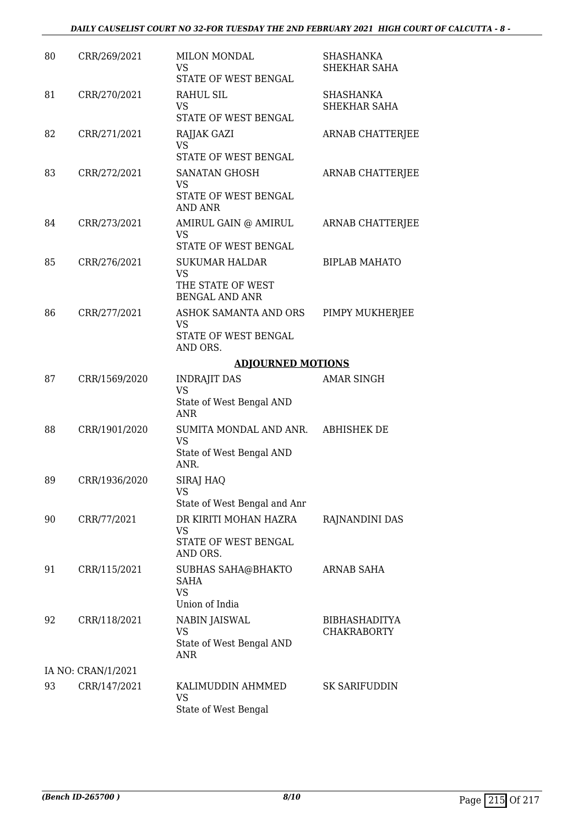| 80 | CRR/269/2021       | <b>MILON MONDAL</b><br><b>VS</b><br>STATE OF WEST BENGAL                         | <b>SHASHANKA</b><br>SHEKHAR SAHA           |
|----|--------------------|----------------------------------------------------------------------------------|--------------------------------------------|
| 81 | CRR/270/2021       | RAHUL SIL<br>VS<br>STATE OF WEST BENGAL                                          | <b>SHASHANKA</b><br>SHEKHAR SAHA           |
| 82 | CRR/271/2021       | RAJJAK GAZI<br><b>VS</b><br>STATE OF WEST BENGAL                                 | ARNAB CHATTERJEE                           |
| 83 | CRR/272/2021       | <b>SANATAN GHOSH</b><br>VS.<br>STATE OF WEST BENGAL<br><b>AND ANR</b>            | ARNAB CHATTERJEE                           |
| 84 | CRR/273/2021       | AMIRUL GAIN @ AMIRUL<br>VS<br>STATE OF WEST BENGAL                               | ARNAB CHATTERJEE                           |
| 85 | CRR/276/2021       | <b>SUKUMAR HALDAR</b><br><b>VS</b><br>THE STATE OF WEST<br><b>BENGAL AND ANR</b> | <b>BIPLAB MAHATO</b>                       |
| 86 | CRR/277/2021       | ASHOK SAMANTA AND ORS<br>VS<br>STATE OF WEST BENGAL<br>AND ORS.                  | PIMPY MUKHERJEE                            |
|    |                    | <b>ADJOURNED MOTIONS</b>                                                         |                                            |
| 87 | CRR/1569/2020      | <b>INDRAJIT DAS</b><br><b>VS</b><br>State of West Bengal AND<br><b>ANR</b>       | <b>AMAR SINGH</b>                          |
| 88 | CRR/1901/2020      | SUMITA MONDAL AND ANR.<br><b>VS</b><br>State of West Bengal AND<br>ANR.          | <b>ABHISHEK DE</b>                         |
| 89 | CRR/1936/2020      | SIRAJ HAQ<br><b>VS</b><br>State of West Bengal and Anr                           |                                            |
| 90 | CRR/77/2021        | DR KIRITI MOHAN HAZRA<br>VS<br>STATE OF WEST BENGAL<br>AND ORS.                  | RAJNANDINI DAS                             |
| 91 | CRR/115/2021       | SUBHAS SAHA@BHAKTO<br><b>SAHA</b><br><b>VS</b><br>Union of India                 | ARNAB SAHA                                 |
| 92 | CRR/118/2021       | NABIN JAISWAL<br><b>VS</b><br>State of West Bengal AND<br><b>ANR</b>             | <b>BIBHASHADITYA</b><br><b>CHAKRABORTY</b> |
|    | IA NO: CRAN/1/2021 |                                                                                  |                                            |
| 93 | CRR/147/2021       | KALIMUDDIN AHMMED<br>VS<br>State of West Bengal                                  | SK SARIFUDDIN                              |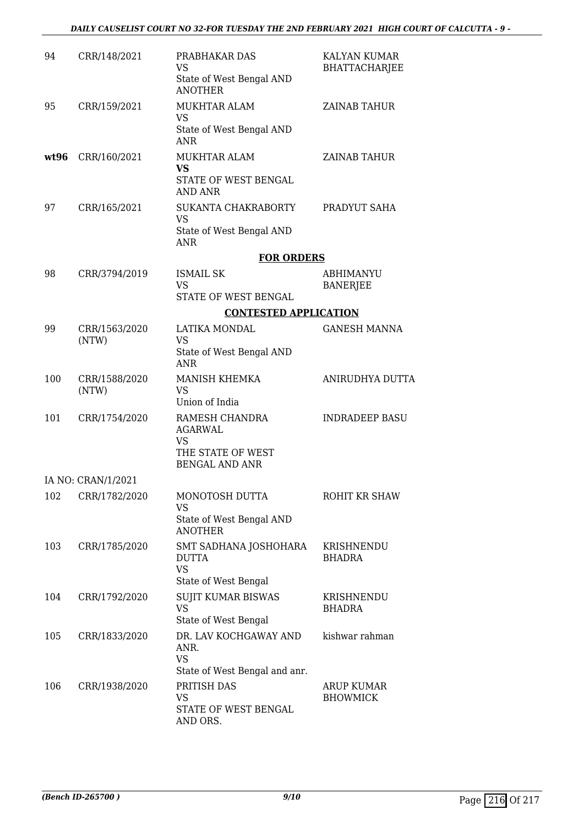| 94   | CRR/148/2021           | PRABHAKAR DAS<br><b>VS</b><br>State of West Bengal AND<br><b>ANOTHER</b>                      | KALYAN KUMAR<br><b>BHATTACHARJEE</b> |
|------|------------------------|-----------------------------------------------------------------------------------------------|--------------------------------------|
| 95   | CRR/159/2021           | MUKHTAR ALAM<br>VS<br>State of West Bengal AND<br>ANR                                         | ZAINAB TAHUR                         |
| wt96 | CRR/160/2021           | <b>MUKHTAR ALAM</b><br><b>VS</b><br>STATE OF WEST BENGAL<br>AND ANR                           | <b>ZAINAB TAHUR</b>                  |
| 97   | CRR/165/2021           | SUKANTA CHAKRABORTY<br><b>VS</b><br>State of West Bengal AND<br>ANR                           | PRADYUT SAHA                         |
|      |                        | <b>FOR ORDERS</b>                                                                             |                                      |
| 98   | CRR/3794/2019          | <b>ISMAIL SK</b><br><b>VS</b>                                                                 | <b>ABHIMANYU</b><br><b>BANERJEE</b>  |
|      |                        | STATE OF WEST BENGAL<br><b>CONTESTED APPLICATION</b>                                          |                                      |
| 99   | CRR/1563/2020          | LATIKA MONDAL                                                                                 | <b>GANESH MANNA</b>                  |
|      | (NTW)                  | VS<br>State of West Bengal AND<br>ANR                                                         |                                      |
| 100  | CRR/1588/2020<br>(NTW) | <b>MANISH KHEMKA</b><br><b>VS</b><br>Union of India                                           | ANIRUDHYA DUTTA                      |
| 101  | CRR/1754/2020          | RAMESH CHANDRA<br><b>AGARWAL</b><br>VS<br>THE STATE OF WEST<br><b>BENGAL AND ANR</b>          | <b>INDRADEEP BASU</b>                |
|      | IA NO: CRAN/1/2021     |                                                                                               |                                      |
| 102  | CRR/1782/2020          | MONOTOSH DUTTA<br>VS<br>State of West Bengal AND<br><b>ANOTHER</b>                            | ROHIT KR SHAW                        |
| 103  | CRR/1785/2020          | SMT SADHANA JOSHOHARA<br><b>DUTTA</b><br><b>VS</b>                                            | KRISHNENDU<br>BHADRA                 |
| 104  | CRR/1792/2020          | State of West Bengal<br><b>SUJIT KUMAR BISWAS</b><br><b>VS</b><br>State of West Bengal        | KRISHNENDU<br>BHADRA                 |
| 105  | CRR/1833/2020          | DR. LAV KOCHGAWAY AND<br>ANR.<br><b>VS</b>                                                    | kishwar rahman                       |
| 106  | CRR/1938/2020          | State of West Bengal and anr.<br>PRITISH DAS<br><b>VS</b><br>STATE OF WEST BENGAL<br>AND ORS. | <b>ARUP KUMAR</b><br><b>BHOWMICK</b> |